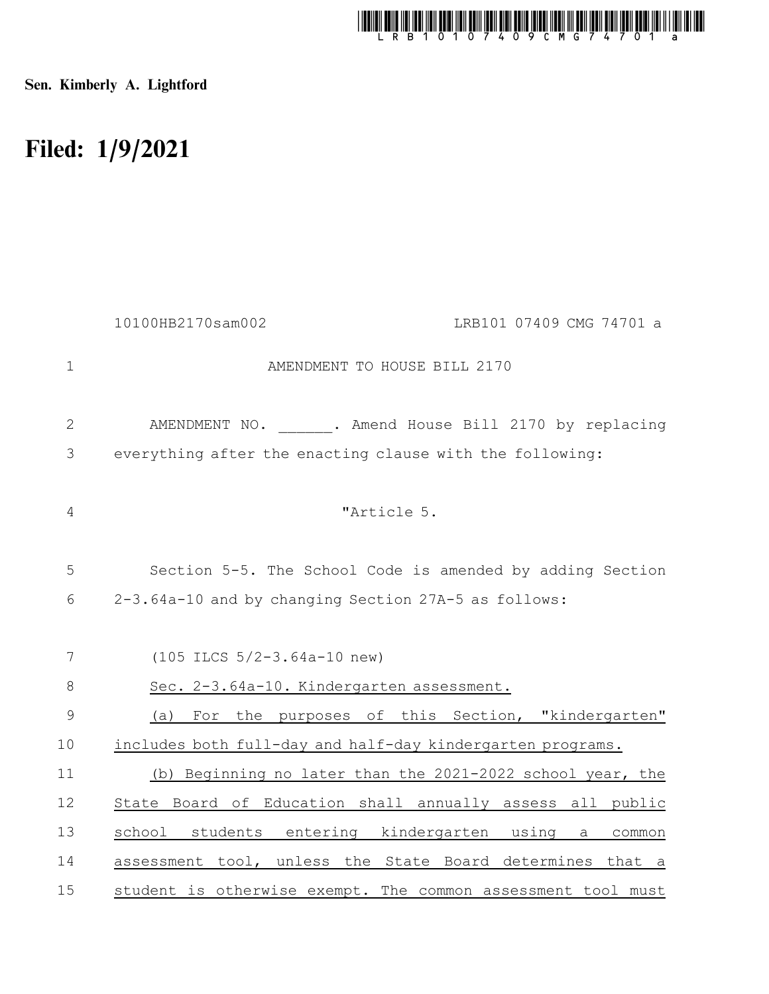

Sen. Kimberly A. Lightford

## Filed: 1/9/2021

|               | 10100HB2170sam002                                    | LRB101 07409 CMG 74701 a                                     |
|---------------|------------------------------------------------------|--------------------------------------------------------------|
| $\mathbf{1}$  |                                                      | AMENDMENT TO HOUSE BILL 2170                                 |
| $\mathbf{2}$  |                                                      | AMENDMENT NO. . Amend House Bill 2170 by replacing           |
| 3             |                                                      | everything after the enacting clause with the following:     |
| 4             |                                                      | "Article 5.                                                  |
| 5             |                                                      | Section 5-5. The School Code is amended by adding Section    |
| 6             | 2-3.64a-10 and by changing Section 27A-5 as follows: |                                                              |
|               |                                                      |                                                              |
| 7             | $(105$ ILCS $5/2-3.64a-10$ new)                      |                                                              |
| 8             | Sec. 2-3.64a-10. Kindergarten assessment.            |                                                              |
| $\mathcal{G}$ | (a)                                                  | For the purposes of this Section, "kindergarten"             |
| 10            |                                                      | includes both full-day and half-day kindergarten programs.   |
| 11            |                                                      | (b) Beginning no later than the 2021-2022 school year, the   |
| 12            |                                                      | State Board of Education shall annually assess all public    |
| 13            | school students entering kindergarten using          | a<br>common                                                  |
| 14            |                                                      | assessment tool, unless the State Board determines that a    |
| 15            |                                                      | student is otherwise exempt. The common assessment tool must |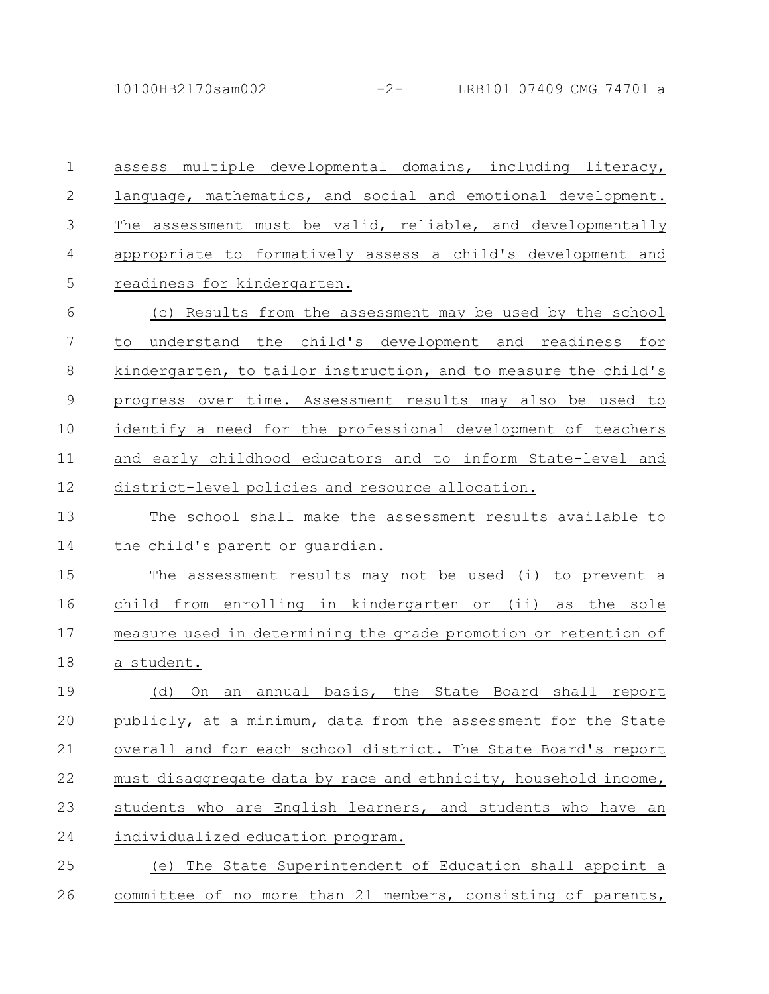10100HB2170sam002 -2- LRB101 07409 CMG 74701 a

assess multiple developmental domains, including literacy, language, mathematics, and social and emotional development. The assessment must be valid, reliable, and developmentally appropriate to formatively assess a child's development and readiness for kindergarten. 1 2 3 4 5

(c) Results from the assessment may be used by the school to understand the child's development and readiness for kindergarten, to tailor instruction, and to measure the child's progress over time. Assessment results may also be used to identify a need for the professional development of teachers and early childhood educators and to inform State-level and district-level policies and resource allocation. 6 7 8 9 10 11 12

The school shall make the assessment results available to the child's parent or guardian. 13 14

The assessment results may not be used (i) to prevent a child from enrolling in kindergarten or (ii) as the sole measure used in determining the grade promotion or retention of a student. 15 16 17 18

(d) On an annual basis, the State Board shall report publicly, at a minimum, data from the assessment for the State overall and for each school district. The State Board's report must disaggregate data by race and ethnicity, household income, students who are English learners, and students who have an individualized education program. 19 20 21 22 23 24

(e) The State Superintendent of Education shall appoint a committee of no more than 21 members, consisting of parents, 25 26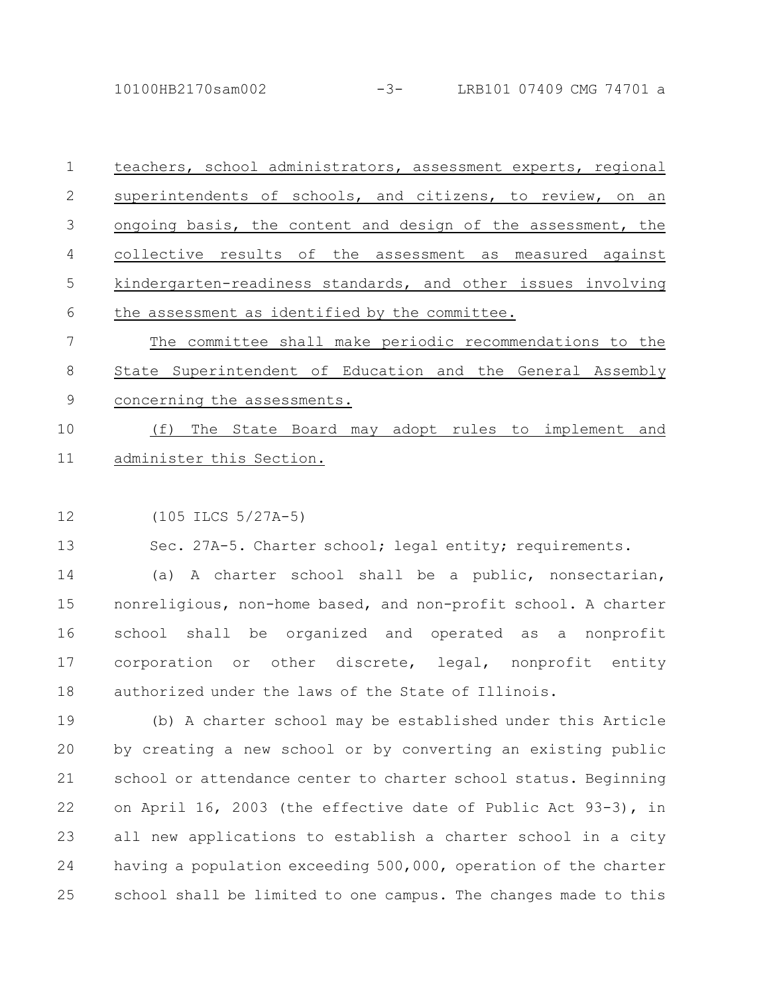10100HB2170sam002 -3- LRB101 07409 CMG 74701 a

| $\overline{1}$ | teachers, school administrators, assessment experts, regional |
|----------------|---------------------------------------------------------------|
| $\mathcal{L}$  | superintendents of schools, and citizens, to review, on an    |
| 3              | ongoing basis, the content and design of the assessment, the  |
| 4              | collective results of the assessment as measured against      |
| 5              | kindergarten-readiness standards, and other issues involving  |
| 6              | the assessment as identified by the committee.                |
|                | The committee shall make periodic recommendations to the      |
| 8              | State Superintendent of Education and the General Assembly    |

concerning the assessments. 9

(f) The State Board may adopt rules to implement and administer this Section. 10 11

(105 ILCS 5/27A-5) 12

Sec. 27A-5. Charter school; legal entity; requirements. 13

(a) A charter school shall be a public, nonsectarian, nonreligious, non-home based, and non-profit school. A charter school shall be organized and operated as a nonprofit corporation or other discrete, legal, nonprofit entity authorized under the laws of the State of Illinois. 14 15 16 17 18

(b) A charter school may be established under this Article by creating a new school or by converting an existing public school or attendance center to charter school status. Beginning on April 16, 2003 (the effective date of Public Act 93-3), in all new applications to establish a charter school in a city having a population exceeding 500,000, operation of the charter school shall be limited to one campus. The changes made to this 19 20 21 22 23 24 25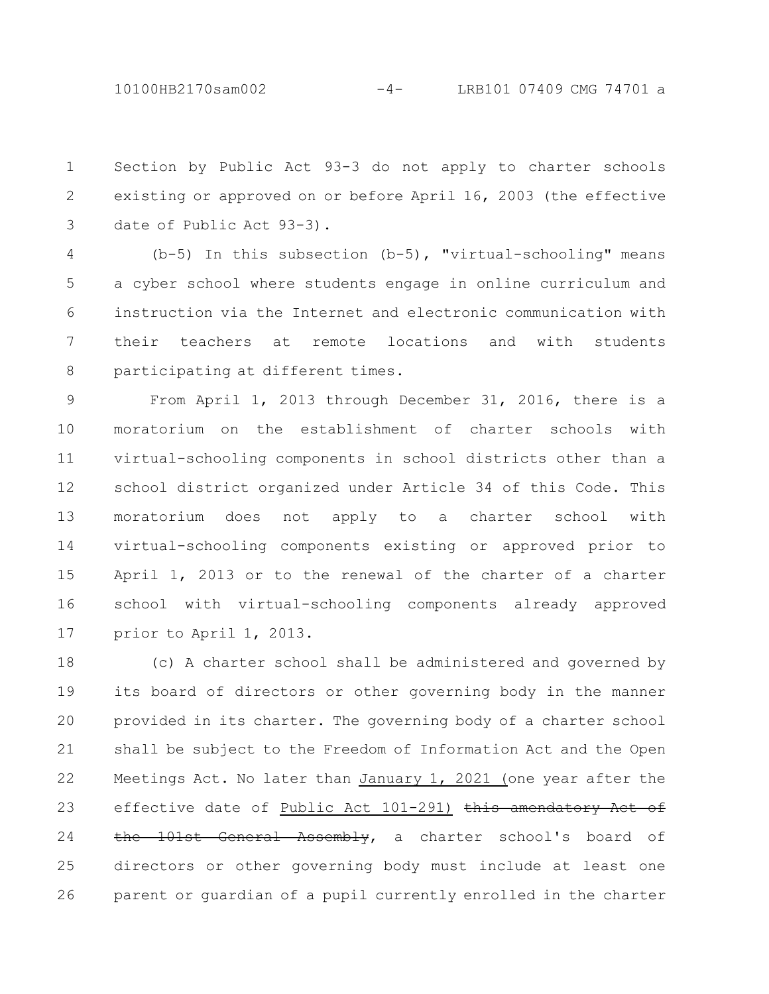Section by Public Act 93-3 do not apply to charter schools existing or approved on or before April 16, 2003 (the effective date of Public Act 93-3). 1 2 3

(b-5) In this subsection (b-5), "virtual-schooling" means a cyber school where students engage in online curriculum and instruction via the Internet and electronic communication with their teachers at remote locations and with students participating at different times. 4 5 6 7 8

From April 1, 2013 through December 31, 2016, there is a moratorium on the establishment of charter schools with virtual-schooling components in school districts other than a school district organized under Article 34 of this Code. This moratorium does not apply to a charter school with virtual-schooling components existing or approved prior to April 1, 2013 or to the renewal of the charter of a charter school with virtual-schooling components already approved prior to April 1, 2013. 9 10 11 12 13 14 15 16 17

(c) A charter school shall be administered and governed by its board of directors or other governing body in the manner provided in its charter. The governing body of a charter school shall be subject to the Freedom of Information Act and the Open Meetings Act. No later than January 1, 2021 (one year after the effective date of Public Act 101-291) this amendatory Act of the 101st General Assembly, a charter school's board of directors or other governing body must include at least one parent or guardian of a pupil currently enrolled in the charter 18 19 20 21 22 23 24 25 26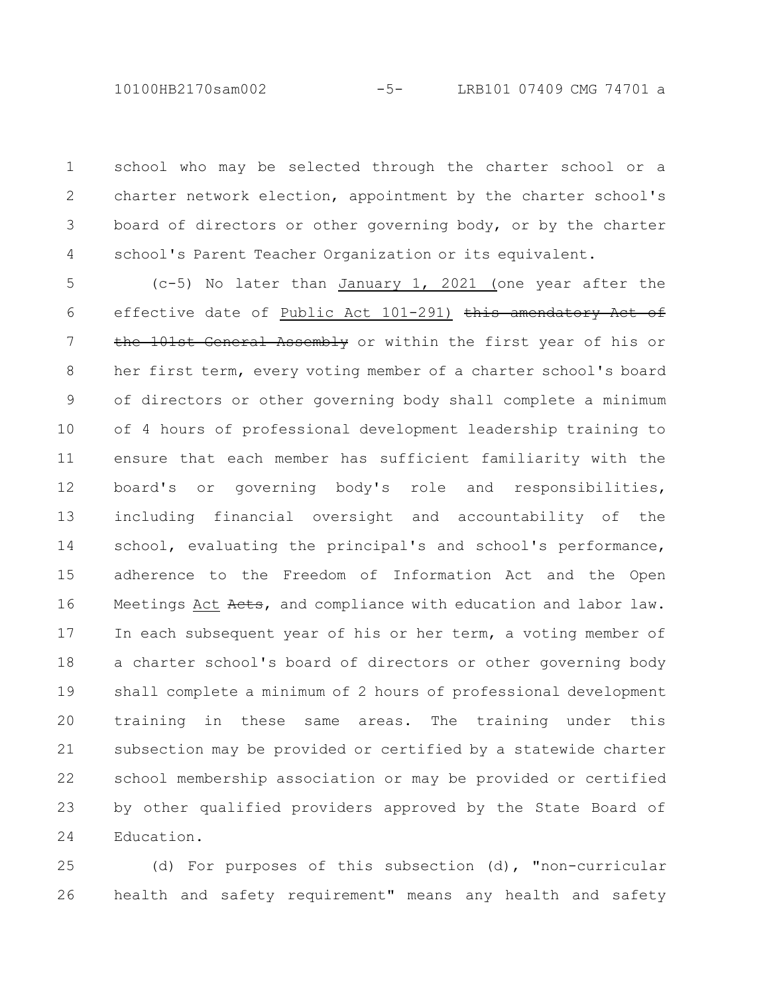school who may be selected through the charter school or a charter network election, appointment by the charter school's board of directors or other governing body, or by the charter school's Parent Teacher Organization or its equivalent. 1 2 3 4

(c-5) No later than January 1, 2021 (one year after the effective date of Public Act 101-291) this amendatory Act of the 101st General Assembly or within the first year of his or her first term, every voting member of a charter school's board of directors or other governing body shall complete a minimum of 4 hours of professional development leadership training to ensure that each member has sufficient familiarity with the board's or governing body's role and responsibilities, including financial oversight and accountability of the school, evaluating the principal's and school's performance, adherence to the Freedom of Information Act and the Open Meetings Act Acts, and compliance with education and labor law. In each subsequent year of his or her term, a voting member of a charter school's board of directors or other governing body shall complete a minimum of 2 hours of professional development training in these same areas. The training under this subsection may be provided or certified by a statewide charter school membership association or may be provided or certified by other qualified providers approved by the State Board of Education. 5 6 7 8 9 10 11 12 13 14 15 16 17 18 19 20 21 22 23 24

(d) For purposes of this subsection (d), "non-curricular health and safety requirement" means any health and safety 25 26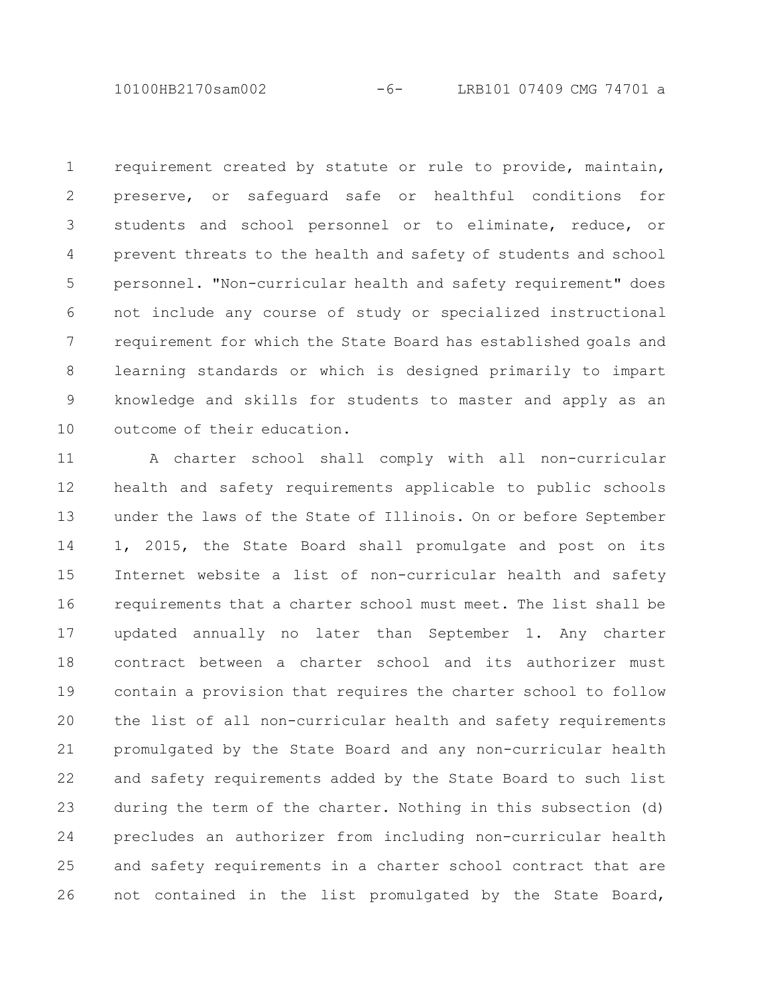10100HB2170sam002 -6- LRB101 07409 CMG 74701 a

requirement created by statute or rule to provide, maintain, preserve, or safeguard safe or healthful conditions for students and school personnel or to eliminate, reduce, or prevent threats to the health and safety of students and school personnel. "Non-curricular health and safety requirement" does not include any course of study or specialized instructional requirement for which the State Board has established goals and learning standards or which is designed primarily to impart knowledge and skills for students to master and apply as an outcome of their education. 1 2 3 4 5 6 7 8 9 10

A charter school shall comply with all non-curricular health and safety requirements applicable to public schools under the laws of the State of Illinois. On or before September 1, 2015, the State Board shall promulgate and post on its Internet website a list of non-curricular health and safety requirements that a charter school must meet. The list shall be updated annually no later than September 1. Any charter contract between a charter school and its authorizer must contain a provision that requires the charter school to follow the list of all non-curricular health and safety requirements promulgated by the State Board and any non-curricular health and safety requirements added by the State Board to such list during the term of the charter. Nothing in this subsection (d) precludes an authorizer from including non-curricular health and safety requirements in a charter school contract that are not contained in the list promulgated by the State Board, 11 12 13 14 15 16 17 18 19 20 21 22 23 24 25 26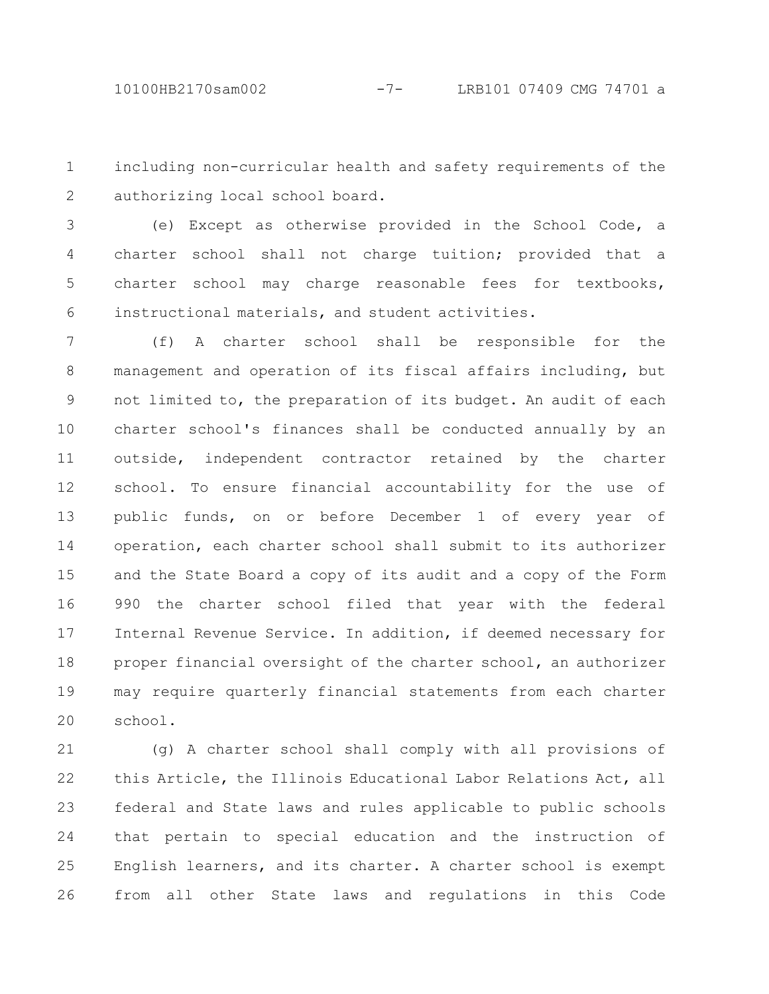including non-curricular health and safety requirements of the authorizing local school board. 1 2

(e) Except as otherwise provided in the School Code, a charter school shall not charge tuition; provided that a charter school may charge reasonable fees for textbooks, instructional materials, and student activities. 3 4 5 6

(f) A charter school shall be responsible for the management and operation of its fiscal affairs including, but not limited to, the preparation of its budget. An audit of each charter school's finances shall be conducted annually by an outside, independent contractor retained by the charter school. To ensure financial accountability for the use of public funds, on or before December 1 of every year of operation, each charter school shall submit to its authorizer and the State Board a copy of its audit and a copy of the Form 990 the charter school filed that year with the federal Internal Revenue Service. In addition, if deemed necessary for proper financial oversight of the charter school, an authorizer may require quarterly financial statements from each charter school. 7 8 9 10 11 12 13 14 15 16 17 18 19 20

(g) A charter school shall comply with all provisions of this Article, the Illinois Educational Labor Relations Act, all federal and State laws and rules applicable to public schools that pertain to special education and the instruction of English learners, and its charter. A charter school is exempt from all other State laws and regulations in this Code 21 22 23 24 25 26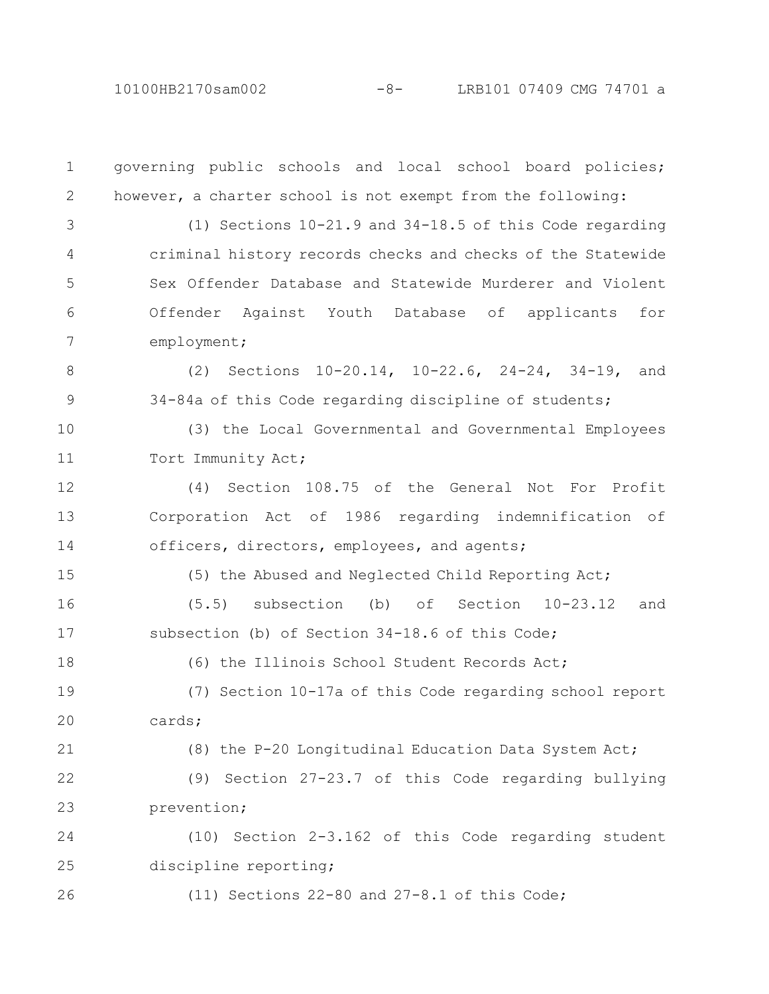10100HB2170sam002 -8- LRB101 07409 CMG 74701 a

governing public schools and local school board policies; however, a charter school is not exempt from the following: (1) Sections 10-21.9 and 34-18.5 of this Code regarding criminal history records checks and checks of the Statewide Sex Offender Database and Statewide Murderer and Violent Offender Against Youth Database of applicants for employment; (2) Sections 10-20.14, 10-22.6, 24-24, 34-19, and 34-84a of this Code regarding discipline of students; (3) the Local Governmental and Governmental Employees Tort Immunity Act; (4) Section 108.75 of the General Not For Profit Corporation Act of 1986 regarding indemnification of officers, directors, employees, and agents; (5) the Abused and Neglected Child Reporting Act; (5.5) subsection (b) of Section 10-23.12 and subsection (b) of Section 34-18.6 of this Code; (6) the Illinois School Student Records Act; (7) Section 10-17a of this Code regarding school report cards; (8) the P-20 Longitudinal Education Data System Act; (9) Section 27-23.7 of this Code regarding bullying prevention; (10) Section 2-3.162 of this Code regarding student discipline reporting; (11) Sections 22-80 and 27-8.1 of this Code; 1 2 3 4 5 6 7 8 9 10 11 12 13 14 15 16 17 18 19 20 21 22 23 24 25 26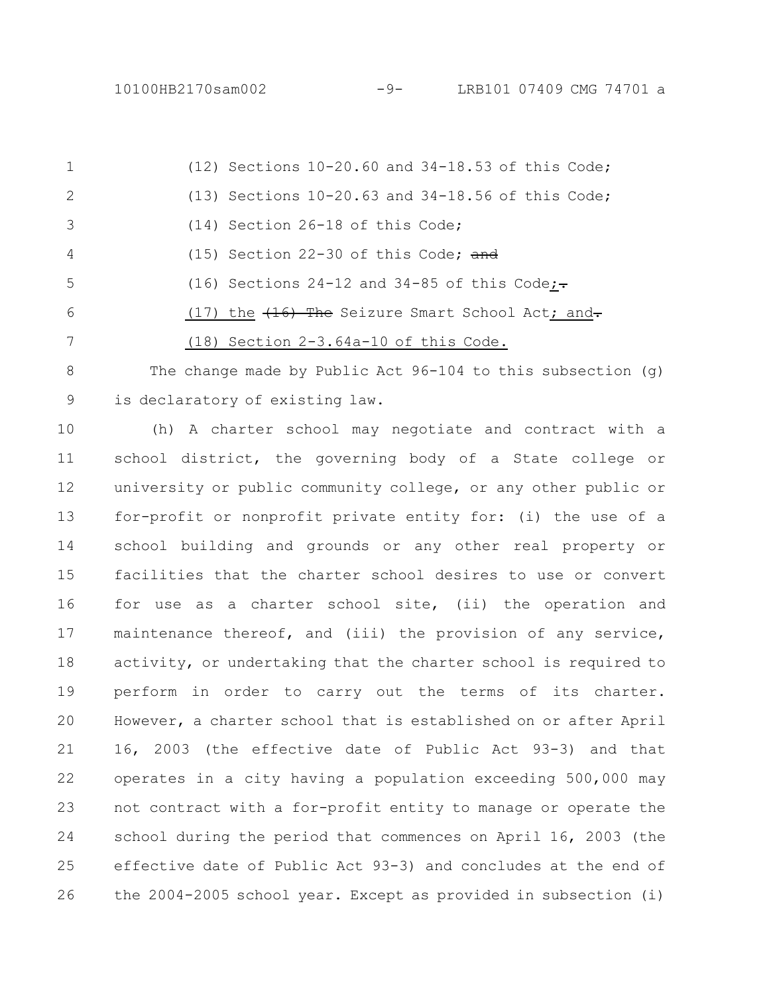(12) Sections 10-20.60 and 34-18.53 of this Code; (13) Sections 10-20.63 and 34-18.56 of this Code; (14) Section 26-18 of this Code; (15) Section 22-30 of this Code; and (16) Sections 24-12 and 34-85 of this Code; $\div$ (17) the  $(16)$  The Seizure Smart School Act; and. (18) Section 2-3.64a-10 of this Code. The change made by Public Act  $96-104$  to this subsection (q) 1 2 3 4 5 6 7 8

is declaratory of existing law. 9

(h) A charter school may negotiate and contract with a school district, the governing body of a State college or university or public community college, or any other public or for-profit or nonprofit private entity for: (i) the use of a school building and grounds or any other real property or facilities that the charter school desires to use or convert for use as a charter school site, (ii) the operation and maintenance thereof, and (iii) the provision of any service, activity, or undertaking that the charter school is required to perform in order to carry out the terms of its charter. However, a charter school that is established on or after April 16, 2003 (the effective date of Public Act 93-3) and that operates in a city having a population exceeding 500,000 may not contract with a for-profit entity to manage or operate the school during the period that commences on April 16, 2003 (the effective date of Public Act 93-3) and concludes at the end of the 2004-2005 school year. Except as provided in subsection (i) 10 11 12 13 14 15 16 17 18 19 20 21 22 23 24 25 26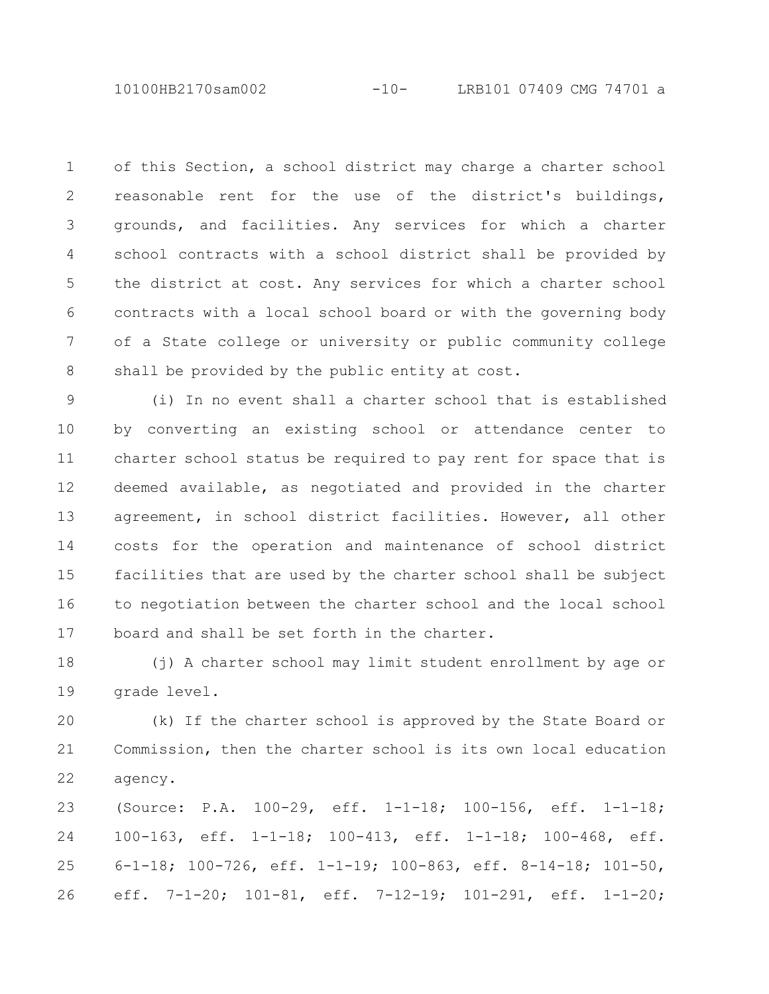10100HB2170sam002 -10- LRB101 07409 CMG 74701 a

of this Section, a school district may charge a charter school reasonable rent for the use of the district's buildings, grounds, and facilities. Any services for which a charter school contracts with a school district shall be provided by the district at cost. Any services for which a charter school contracts with a local school board or with the governing body of a State college or university or public community college shall be provided by the public entity at cost. 1 2 3 4 5 6 7 8

(i) In no event shall a charter school that is established by converting an existing school or attendance center to charter school status be required to pay rent for space that is deemed available, as negotiated and provided in the charter agreement, in school district facilities. However, all other costs for the operation and maintenance of school district facilities that are used by the charter school shall be subject to negotiation between the charter school and the local school board and shall be set forth in the charter. 9 10 11 12 13 14 15 16 17

(j) A charter school may limit student enrollment by age or grade level. 18 19

(k) If the charter school is approved by the State Board or Commission, then the charter school is its own local education agency. 20 21 22

(Source: P.A. 100-29, eff. 1-1-18; 100-156, eff. 1-1-18; 100-163, eff. 1-1-18; 100-413, eff. 1-1-18; 100-468, eff. 6-1-18; 100-726, eff. 1-1-19; 100-863, eff. 8-14-18; 101-50, eff. 7-1-20; 101-81, eff. 7-12-19; 101-291, eff. 1-1-20; 23 24 25 26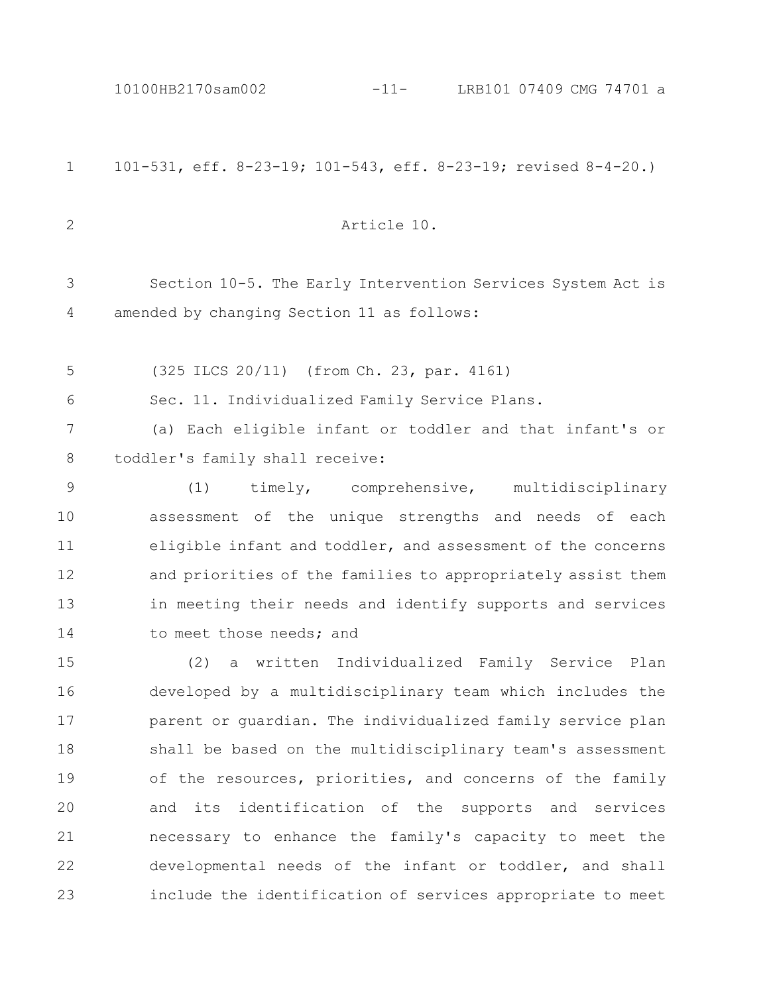101-531, eff. 8-23-19; 101-543, eff. 8-23-19; revised 8-4-20.) Article 10. Section 10-5. The Early Intervention Services System Act is amended by changing Section 11 as follows: (325 ILCS 20/11) (from Ch. 23, par. 4161) Sec. 11. Individualized Family Service Plans. (a) Each eligible infant or toddler and that infant's or toddler's family shall receive: (1) timely, comprehensive, multidisciplinary assessment of the unique strengths and needs of each eligible infant and toddler, and assessment of the concerns and priorities of the families to appropriately assist them in meeting their needs and identify supports and services to meet those needs; and (2) a written Individualized Family Service Plan developed by a multidisciplinary team which includes the parent or guardian. The individualized family service plan shall be based on the multidisciplinary team's assessment of the resources, priorities, and concerns of the family and its identification of the supports and services necessary to enhance the family's capacity to meet the developmental needs of the infant or toddler, and shall include the identification of services appropriate to meet 1 2 3 4 5 6 7 8 9 10 11 12 13 14 15 16 17 18 19 20 21 22 23 10100HB2170sam002 -11- LRB101 07409 CMG 74701 a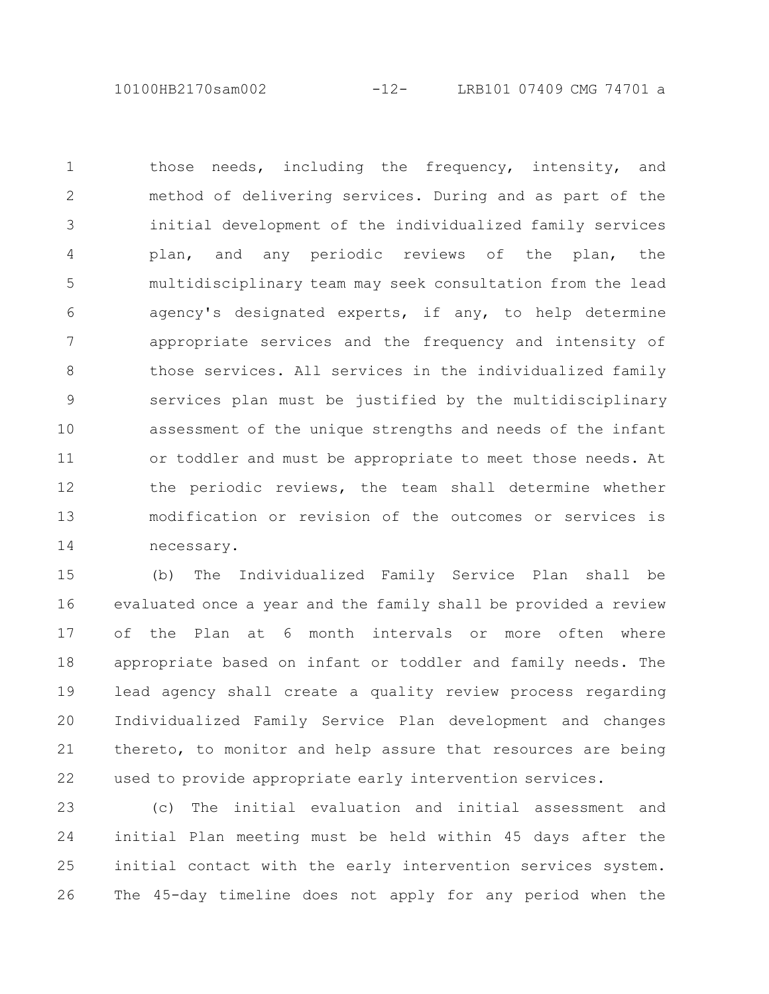10100HB2170sam002 -12- LRB101 07409 CMG 74701 a

those needs, including the frequency, intensity, and method of delivering services. During and as part of the initial development of the individualized family services plan, and any periodic reviews of the plan, the multidisciplinary team may seek consultation from the lead agency's designated experts, if any, to help determine appropriate services and the frequency and intensity of those services. All services in the individualized family services plan must be justified by the multidisciplinary assessment of the unique strengths and needs of the infant or toddler and must be appropriate to meet those needs. At the periodic reviews, the team shall determine whether modification or revision of the outcomes or services is necessary. 1 2 3 4 5 6 7 8 9 10 11 12 13 14

(b) The Individualized Family Service Plan shall be evaluated once a year and the family shall be provided a review of the Plan at 6 month intervals or more often where appropriate based on infant or toddler and family needs. The lead agency shall create a quality review process regarding Individualized Family Service Plan development and changes thereto, to monitor and help assure that resources are being used to provide appropriate early intervention services. 15 16 17 18 19 20 21 22

(c) The initial evaluation and initial assessment and initial Plan meeting must be held within 45 days after the initial contact with the early intervention services system. The 45-day timeline does not apply for any period when the 23 24 25 26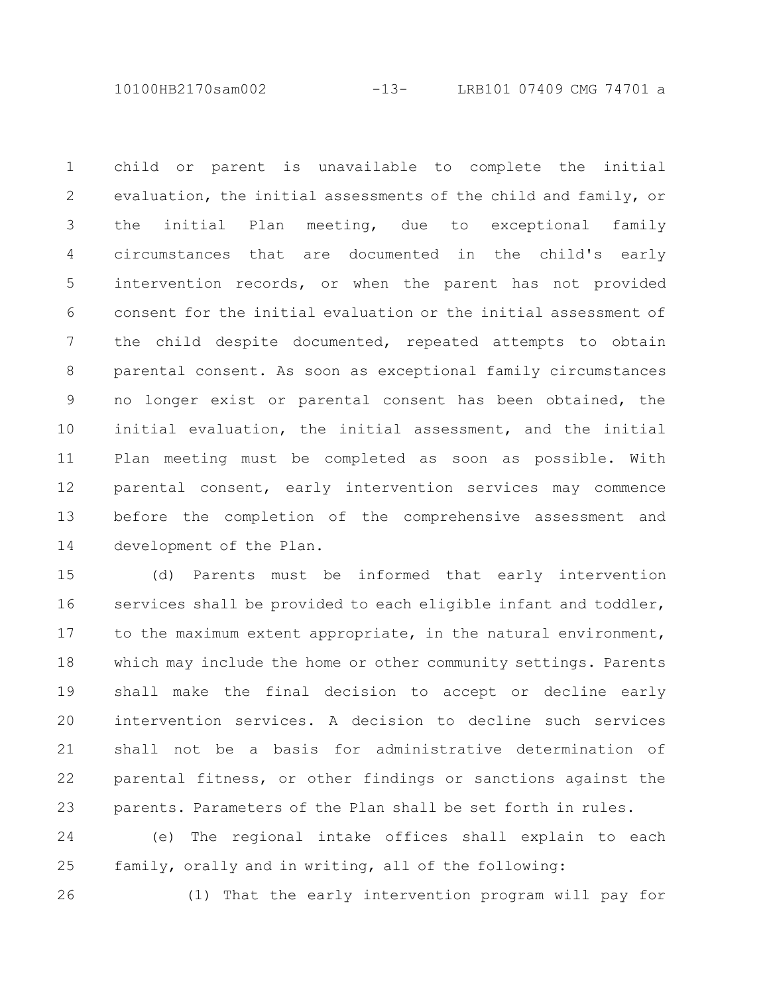10100HB2170sam002 -13- LRB101 07409 CMG 74701 a

child or parent is unavailable to complete the initial evaluation, the initial assessments of the child and family, or the initial Plan meeting, due to exceptional family circumstances that are documented in the child's early intervention records, or when the parent has not provided consent for the initial evaluation or the initial assessment of the child despite documented, repeated attempts to obtain parental consent. As soon as exceptional family circumstances no longer exist or parental consent has been obtained, the initial evaluation, the initial assessment, and the initial Plan meeting must be completed as soon as possible. With parental consent, early intervention services may commence before the completion of the comprehensive assessment and development of the Plan. 1 2 3 4 5 6 7 8 9 10 11 12 13 14

(d) Parents must be informed that early intervention services shall be provided to each eligible infant and toddler, to the maximum extent appropriate, in the natural environment, which may include the home or other community settings. Parents shall make the final decision to accept or decline early intervention services. A decision to decline such services shall not be a basis for administrative determination of parental fitness, or other findings or sanctions against the parents. Parameters of the Plan shall be set forth in rules. 15 16 17 18 19 20 21 22 23

(e) The regional intake offices shall explain to each family, orally and in writing, all of the following: 24 25

26

(1) That the early intervention program will pay for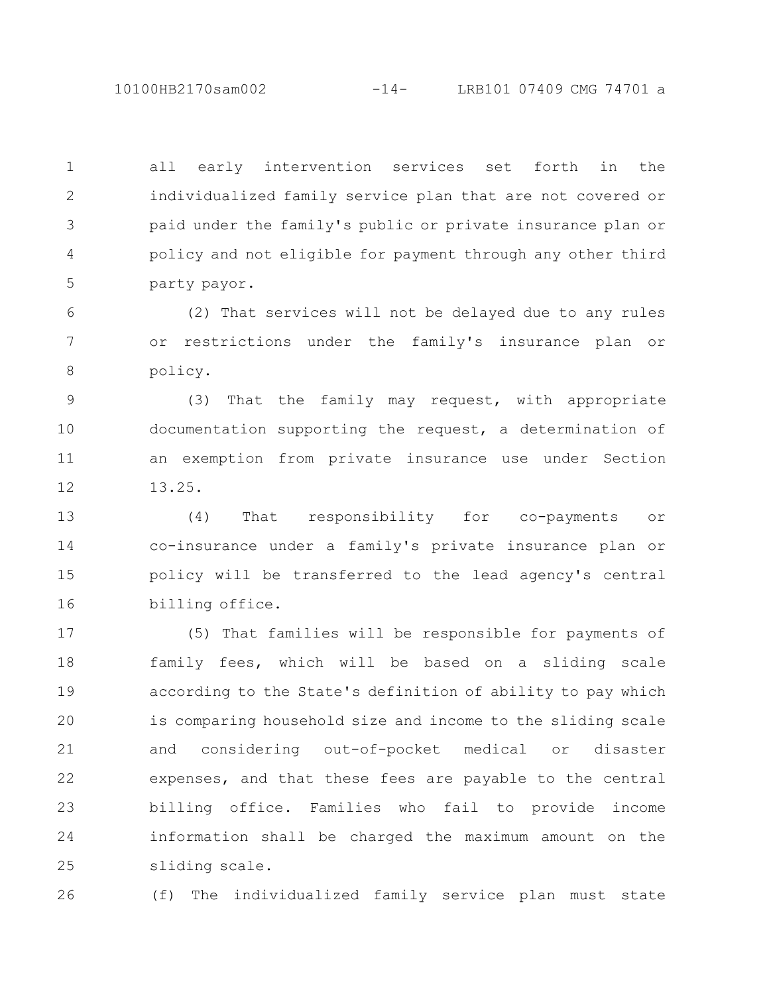10100HB2170sam002 -14- LRB101 07409 CMG 74701 a

all early intervention services set forth in the individualized family service plan that are not covered or paid under the family's public or private insurance plan or policy and not eligible for payment through any other third party payor. 1 2 3 4 5

(2) That services will not be delayed due to any rules or restrictions under the family's insurance plan or policy. 6 7 8

(3) That the family may request, with appropriate documentation supporting the request, a determination of an exemption from private insurance use under Section 13.25. 9 10 11 12

(4) That responsibility for co-payments or co-insurance under a family's private insurance plan or policy will be transferred to the lead agency's central billing office. 13 14 15 16

(5) That families will be responsible for payments of family fees, which will be based on a sliding scale according to the State's definition of ability to pay which is comparing household size and income to the sliding scale and considering out-of-pocket medical or disaster expenses, and that these fees are payable to the central billing office. Families who fail to provide income information shall be charged the maximum amount on the sliding scale. 17 18 19 20 21 22 23 24 25

(f) The individualized family service plan must state 26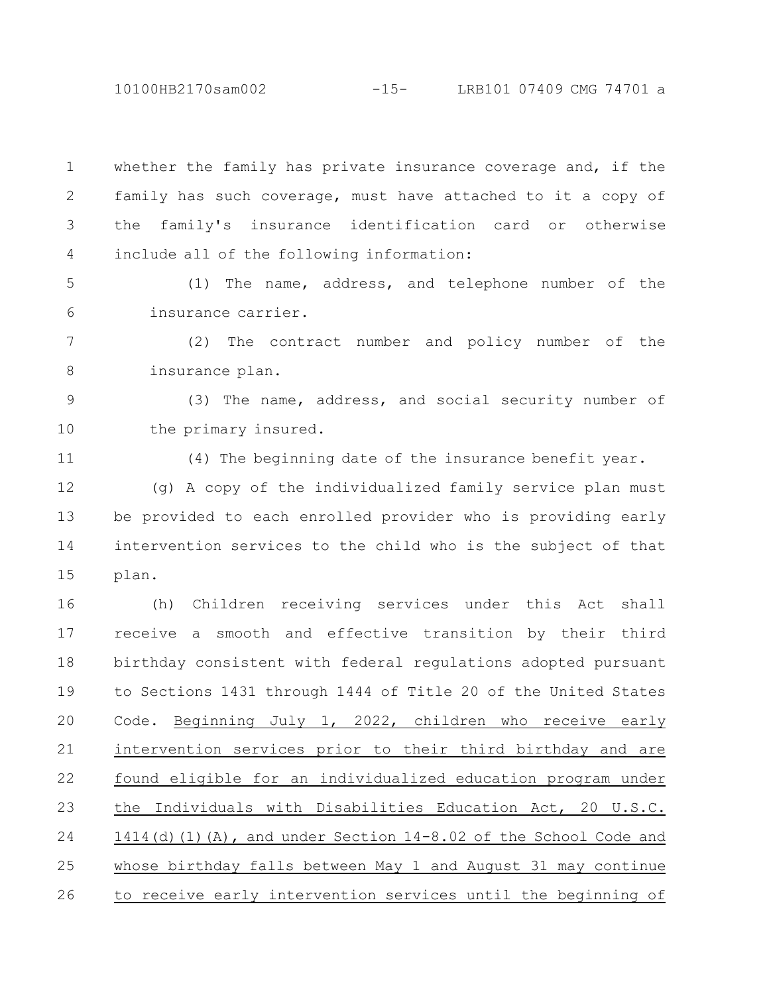10100HB2170sam002 -15- LRB101 07409 CMG 74701 a

whether the family has private insurance coverage and, if the family has such coverage, must have attached to it a copy of the family's insurance identification card or otherwise include all of the following information: (1) The name, address, and telephone number of the insurance carrier. (2) The contract number and policy number of the insurance plan. (3) The name, address, and social security number of the primary insured. (4) The beginning date of the insurance benefit year. (g) A copy of the individualized family service plan must be provided to each enrolled provider who is providing early intervention services to the child who is the subject of that plan. (h) Children receiving services under this Act shall receive a smooth and effective transition by their third birthday consistent with federal regulations adopted pursuant to Sections 1431 through 1444 of Title 20 of the United States Code. Beginning July 1, 2022, children who receive early intervention services prior to their third birthday and are found eligible for an individualized education program under the Individuals with Disabilities Education Act, 20 U.S.C. 1414(d)(1)(A), and under Section 14-8.02 of the School Code and whose birthday falls between May 1 and August 31 may continue to receive early intervention services until the beginning of 1 2 3 4 5 6 7 8 9 10 11 12 13 14 15 16 17 18 19 20 21 22 23 24 25 26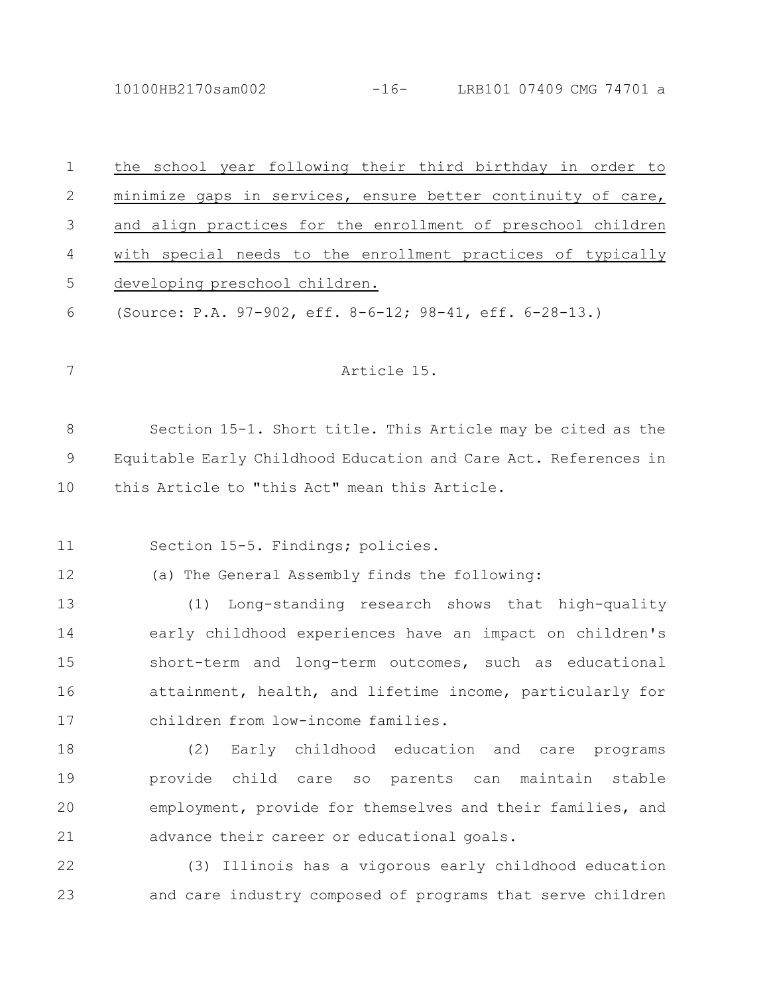10100HB2170sam002 -16- LRB101 07409 CMG 74701 a

| $\mathbf 1$ | the school year following their third birthday in order to      |
|-------------|-----------------------------------------------------------------|
| 2           | minimize gaps in services, ensure better continuity of care,    |
| 3           | and align practices for the enrollment of preschool children    |
| 4           | with special needs to the enrollment practices of typically     |
| 5           | developing preschool children.                                  |
| 6           | (Source: P.A. 97-902, eff. 8-6-12; 98-41, eff. 6-28-13.)        |
|             |                                                                 |
| 7           | Article 15.                                                     |
|             |                                                                 |
| 8           | Section 15-1. Short title. This Article may be cited as the     |
| 9           | Equitable Early Childhood Education and Care Act. References in |
| 10          | this Article to "this Act" mean this Article.                   |
|             |                                                                 |
| 11          | Section 15-5. Findings; policies.                               |
| 12          | (a) The General Assembly finds the following:                   |
| 13          | Long-standing research shows that high-quality<br>(1)           |
| 14          | early childhood experiences have an impact on children's        |
| 15          | short-term and long-term outcomes, such as educational          |
| 16          | attainment, health, and lifetime income, particularly for       |
| 17          | children from low-income families.                              |
| 18          | (2)<br>Early childhood education and care programs              |
| 19          | provide child care so parents can maintain stable               |
| 20          | employment, provide for themselves and their families, and      |
| 21          | advance their career or educational goals.                      |
| 22          | (3) Illinois has a vigorous early childhood education           |
| 23          | and care industry composed of programs that serve children      |
|             |                                                                 |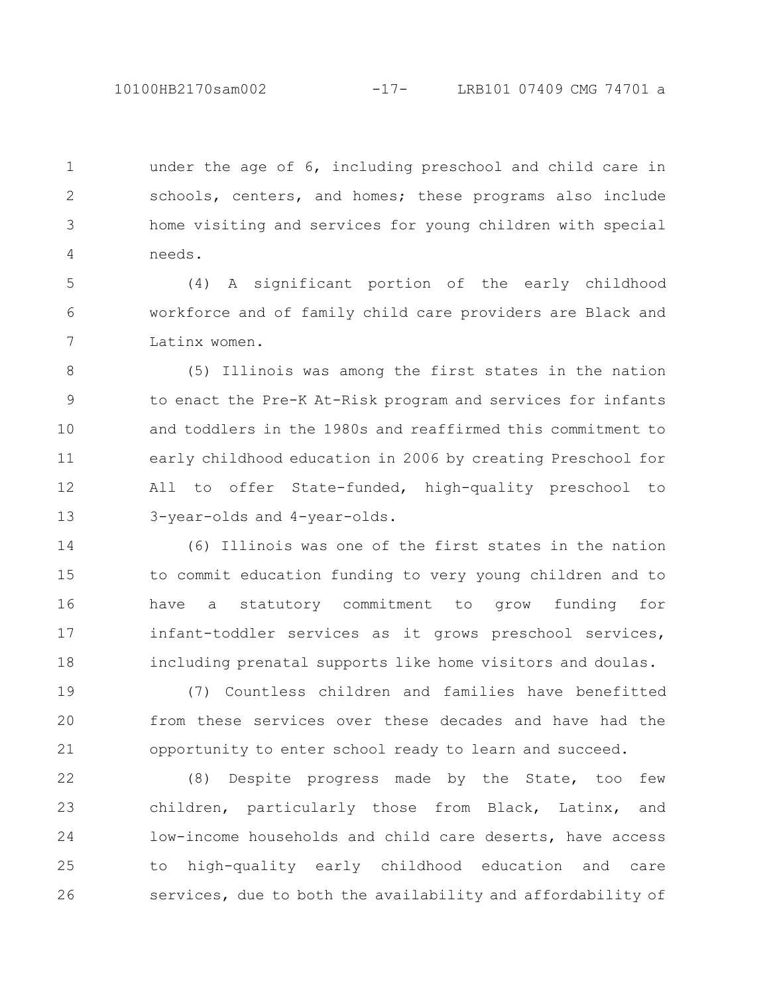under the age of 6, including preschool and child care in schools, centers, and homes; these programs also include home visiting and services for young children with special needs. 1 2 3 4

(4) A significant portion of the early childhood workforce and of family child care providers are Black and Latinx women. 5 6 7

(5) Illinois was among the first states in the nation to enact the Pre-K At-Risk program and services for infants and toddlers in the 1980s and reaffirmed this commitment to early childhood education in 2006 by creating Preschool for All to offer State-funded, high-quality preschool to 3-year-olds and 4-year-olds. 8 9 10 11 12 13

(6) Illinois was one of the first states in the nation to commit education funding to very young children and to have a statutory commitment to grow funding for infant-toddler services as it grows preschool services, including prenatal supports like home visitors and doulas. 14 15 16 17 18

(7) Countless children and families have benefitted from these services over these decades and have had the opportunity to enter school ready to learn and succeed. 19 20 21

(8) Despite progress made by the State, too few children, particularly those from Black, Latinx, and low-income households and child care deserts, have access to high-quality early childhood education and care services, due to both the availability and affordability of 22 23 24 25 26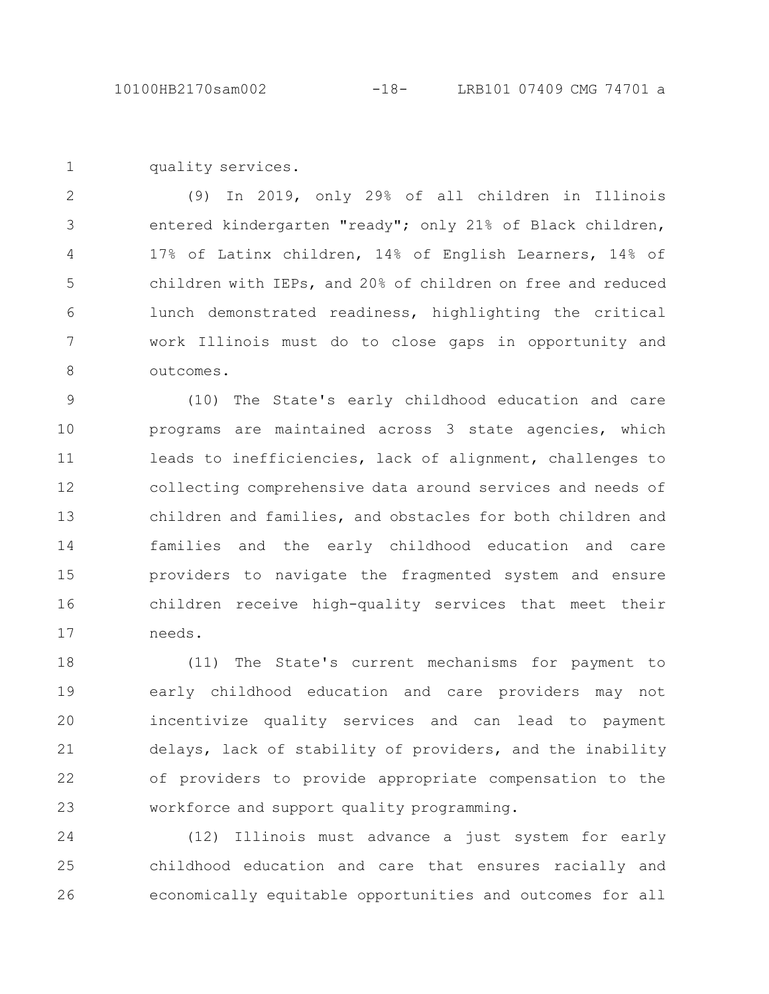quality services. 1

(9) In 2019, only 29% of all children in Illinois entered kindergarten "ready"; only 21% of Black children, 17% of Latinx children, 14% of English Learners, 14% of children with IEPs, and 20% of children on free and reduced lunch demonstrated readiness, highlighting the critical work Illinois must do to close gaps in opportunity and outcomes. 2 3 4 5 6 7 8

(10) The State's early childhood education and care programs are maintained across 3 state agencies, which leads to inefficiencies, lack of alignment, challenges to collecting comprehensive data around services and needs of children and families, and obstacles for both children and families and the early childhood education and care providers to navigate the fragmented system and ensure children receive high-quality services that meet their needs. 9 10 11 12 13 14 15 16 17

(11) The State's current mechanisms for payment to early childhood education and care providers may not incentivize quality services and can lead to payment delays, lack of stability of providers, and the inability of providers to provide appropriate compensation to the workforce and support quality programming. 18 19 20 21 22 23

(12) Illinois must advance a just system for early childhood education and care that ensures racially and economically equitable opportunities and outcomes for all 24 25 26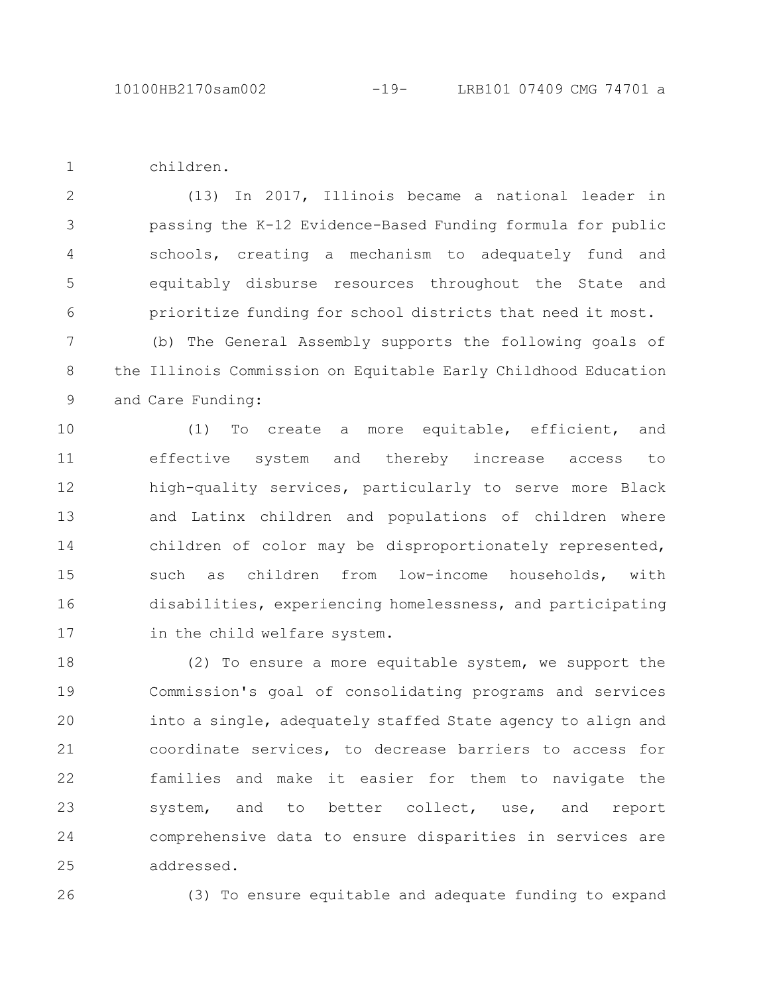children.

1

(13) In 2017, Illinois became a national leader in passing the K-12 Evidence-Based Funding formula for public schools, creating a mechanism to adequately fund and equitably disburse resources throughout the State and prioritize funding for school districts that need it most. 2 3 4 5 6

(b) The General Assembly supports the following goals of the Illinois Commission on Equitable Early Childhood Education and Care Funding: 7 8 9

(1) To create a more equitable, efficient, and effective system and thereby increase access to high-quality services, particularly to serve more Black and Latinx children and populations of children where children of color may be disproportionately represented, such as children from low-income households, with disabilities, experiencing homelessness, and participating in the child welfare system. 10 11 12 13 14 15 16 17

(2) To ensure a more equitable system, we support the Commission's goal of consolidating programs and services into a single, adequately staffed State agency to align and coordinate services, to decrease barriers to access for families and make it easier for them to navigate the system, and to better collect, use, and report comprehensive data to ensure disparities in services are addressed. 18 19 20 21 22 23 24 25

26

(3) To ensure equitable and adequate funding to expand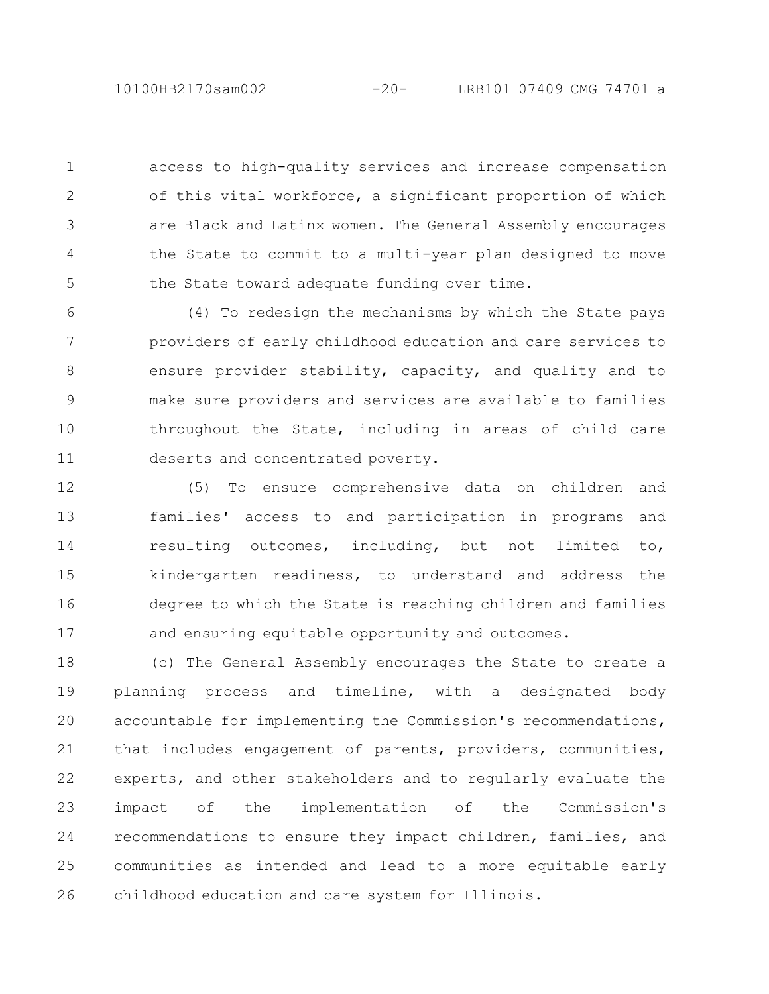10100HB2170sam002 -20- LRB101 07409 CMG 74701 a

access to high-quality services and increase compensation of this vital workforce, a significant proportion of which are Black and Latinx women. The General Assembly encourages the State to commit to a multi-year plan designed to move the State toward adequate funding over time. 1 2 3 4 5

(4) To redesign the mechanisms by which the State pays providers of early childhood education and care services to ensure provider stability, capacity, and quality and to make sure providers and services are available to families throughout the State, including in areas of child care deserts and concentrated poverty. 6 7 8 9 10 11

(5) To ensure comprehensive data on children and families' access to and participation in programs and resulting outcomes, including, but not limited to, kindergarten readiness, to understand and address the degree to which the State is reaching children and families and ensuring equitable opportunity and outcomes. 12 13 14 15 16 17

(c) The General Assembly encourages the State to create a planning process and timeline, with a designated body accountable for implementing the Commission's recommendations, that includes engagement of parents, providers, communities, experts, and other stakeholders and to regularly evaluate the impact of the implementation of the Commission's recommendations to ensure they impact children, families, and communities as intended and lead to a more equitable early childhood education and care system for Illinois. 18 19 20 21 22 23 24 25 26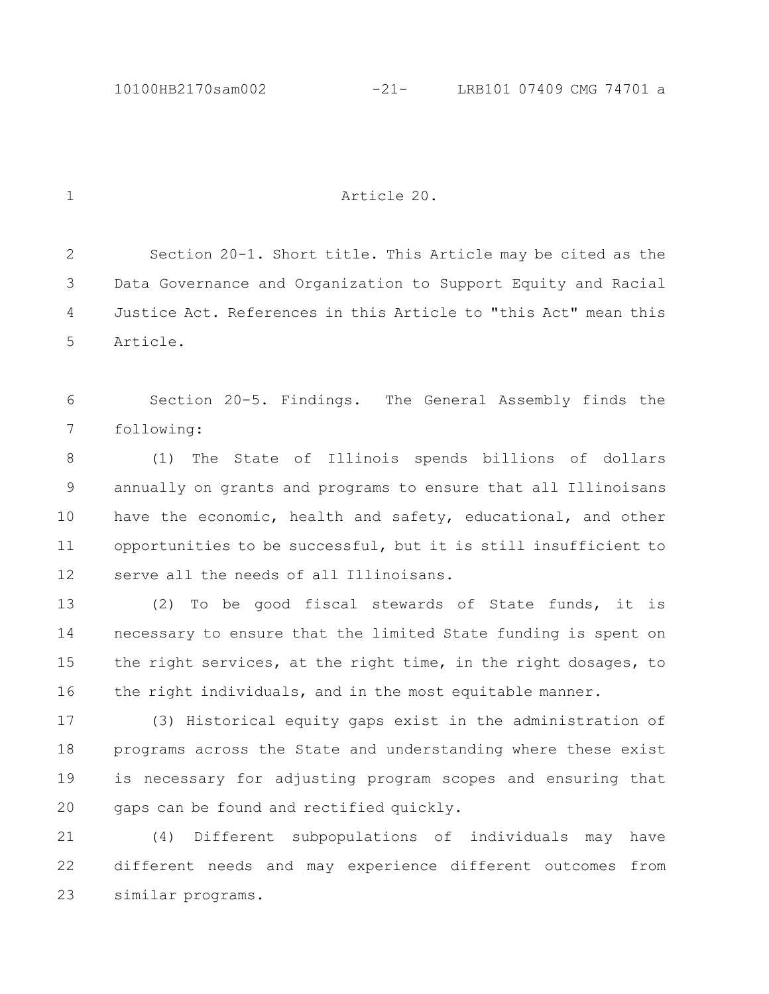## Article 20.

Section 20-1. Short title. This Article may be cited as the Data Governance and Organization to Support Equity and Racial Justice Act. References in this Article to "this Act" mean this Article. 2 3 4 5

Section 20-5. Findings. The General Assembly finds the following: 6 7

(1) The State of Illinois spends billions of dollars annually on grants and programs to ensure that all Illinoisans have the economic, health and safety, educational, and other opportunities to be successful, but it is still insufficient to serve all the needs of all Illinoisans. 8 9 10 11 12

(2) To be good fiscal stewards of State funds, it is necessary to ensure that the limited State funding is spent on the right services, at the right time, in the right dosages, to the right individuals, and in the most equitable manner. 13 14 15 16

(3) Historical equity gaps exist in the administration of programs across the State and understanding where these exist is necessary for adjusting program scopes and ensuring that gaps can be found and rectified quickly. 17 18 19 20

(4) Different subpopulations of individuals may have different needs and may experience different outcomes from similar programs. 21 22 23

1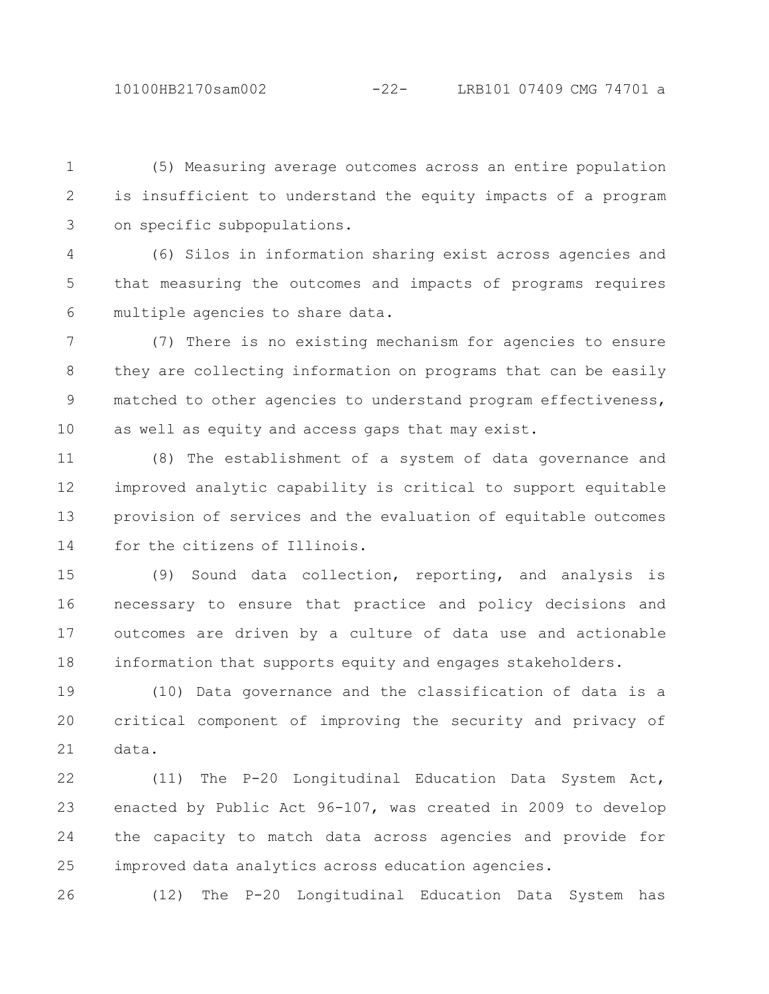(5) Measuring average outcomes across an entire population is insufficient to understand the equity impacts of a program on specific subpopulations. 1 2 3

(6) Silos in information sharing exist across agencies and that measuring the outcomes and impacts of programs requires multiple agencies to share data. 4 5 6

(7) There is no existing mechanism for agencies to ensure they are collecting information on programs that can be easily matched to other agencies to understand program effectiveness, as well as equity and access gaps that may exist. 7 8 9 10

(8) The establishment of a system of data governance and improved analytic capability is critical to support equitable provision of services and the evaluation of equitable outcomes for the citizens of Illinois. 11 12 13 14

(9) Sound data collection, reporting, and analysis is necessary to ensure that practice and policy decisions and outcomes are driven by a culture of data use and actionable information that supports equity and engages stakeholders. 15 16 17 18

(10) Data governance and the classification of data is a critical component of improving the security and privacy of data. 19 20 21

(11) The P-20 Longitudinal Education Data System Act, enacted by Public Act 96-107, was created in 2009 to develop the capacity to match data across agencies and provide for improved data analytics across education agencies. 22 23 24 25

(12) The P-20 Longitudinal Education Data System has 26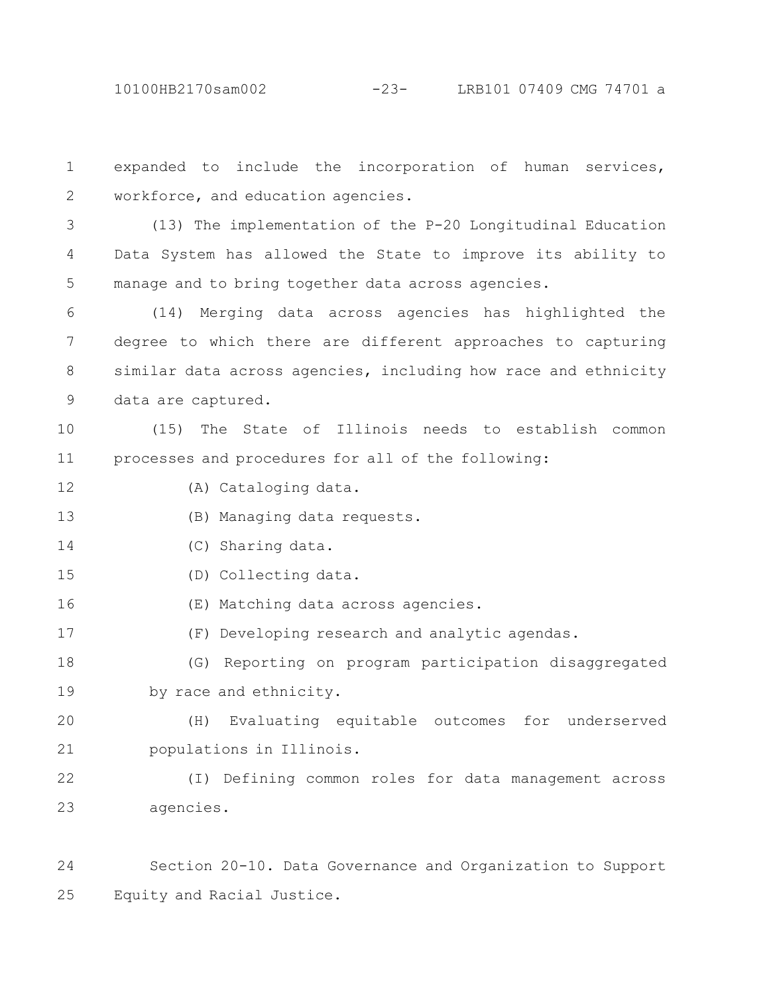10100HB2170sam002 -23- LRB101 07409 CMG 74701 a

expanded to include the incorporation of human services, workforce, and education agencies. 1 2

(13) The implementation of the P-20 Longitudinal Education Data System has allowed the State to improve its ability to manage and to bring together data across agencies. 3 4 5

(14) Merging data across agencies has highlighted the degree to which there are different approaches to capturing similar data across agencies, including how race and ethnicity data are captured. 6 7 8 9

(15) The State of Illinois needs to establish common processes and procedures for all of the following: 10 11

(A) Cataloging data. 12

(B) Managing data requests. 13

- (C) Sharing data. 14
- (D) Collecting data. 15
- (E) Matching data across agencies. 16
- (F) Developing research and analytic agendas. 17

(G) Reporting on program participation disaggregated by race and ethnicity. 18 19

(H) Evaluating equitable outcomes for underserved populations in Illinois. 20 21

(I) Defining common roles for data management across agencies. 22 23

Section 20-10. Data Governance and Organization to Support Equity and Racial Justice. 24 25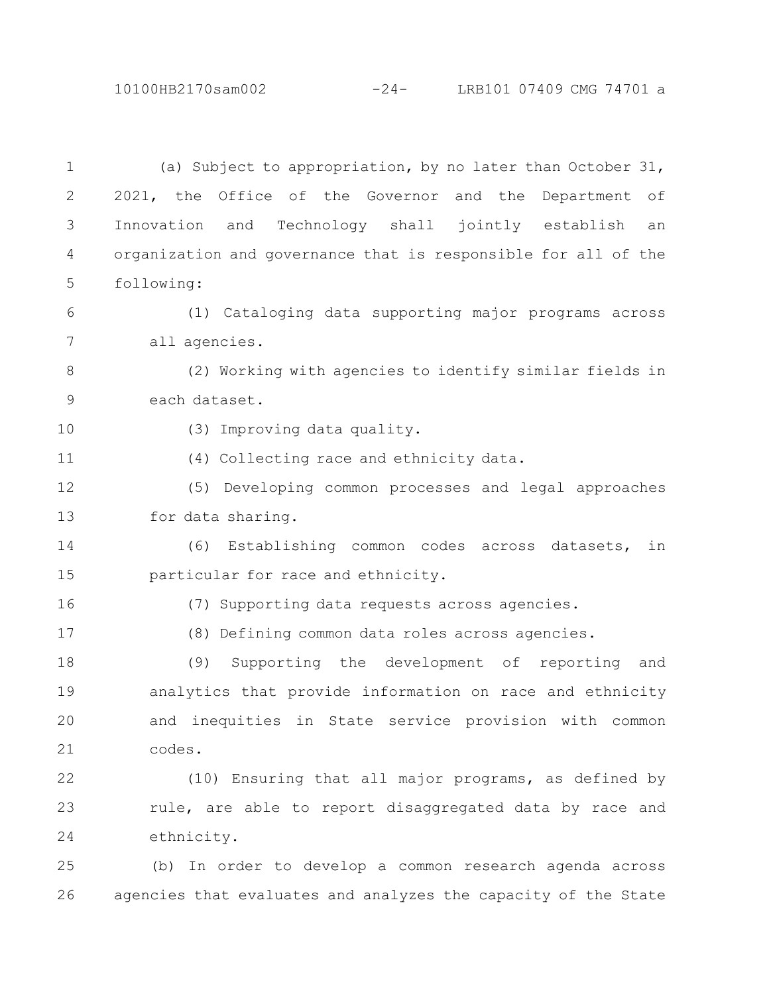10100HB2170sam002 -24- LRB101 07409 CMG 74701 a

(a) Subject to appropriation, by no later than October 31, 2021, the Office of the Governor and the Department of Innovation and Technology shall jointly establish an organization and governance that is responsible for all of the following: (1) Cataloging data supporting major programs across all agencies. (2) Working with agencies to identify similar fields in each dataset. (3) Improving data quality. (4) Collecting race and ethnicity data. (5) Developing common processes and legal approaches for data sharing. (6) Establishing common codes across datasets, in particular for race and ethnicity. (7) Supporting data requests across agencies. (8) Defining common data roles across agencies. (9) Supporting the development of reporting and analytics that provide information on race and ethnicity and inequities in State service provision with common codes. (10) Ensuring that all major programs, as defined by rule, are able to report disaggregated data by race and ethnicity. (b) In order to develop a common research agenda across 1 2 3 4 5 6 7 8 9 10 11 12 13 14 15 16 17 18 19 20 21 22 23 24 25

agencies that evaluates and analyzes the capacity of the State

26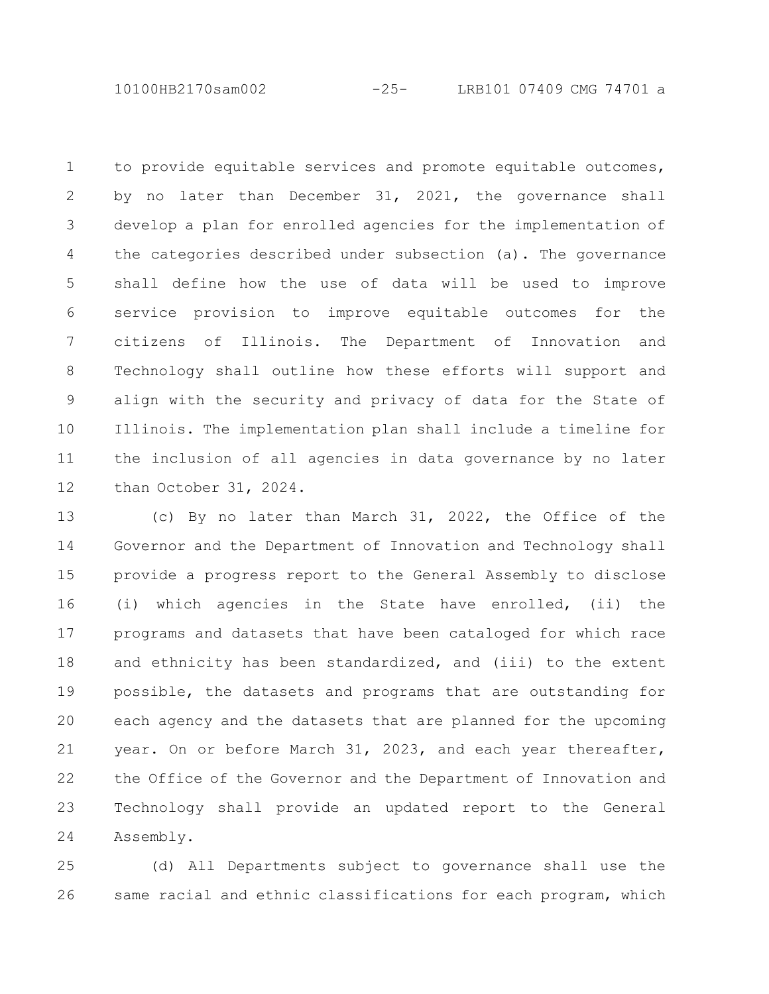10100HB2170sam002 -25- LRB101 07409 CMG 74701 a

to provide equitable services and promote equitable outcomes, by no later than December 31, 2021, the governance shall develop a plan for enrolled agencies for the implementation of the categories described under subsection (a). The governance shall define how the use of data will be used to improve service provision to improve equitable outcomes for the citizens of Illinois. The Department of Innovation and Technology shall outline how these efforts will support and align with the security and privacy of data for the State of Illinois. The implementation plan shall include a timeline for the inclusion of all agencies in data governance by no later than October 31, 2024. 1 2 3 4 5 6 7 8 9 10 11 12

(c) By no later than March 31, 2022, the Office of the Governor and the Department of Innovation and Technology shall provide a progress report to the General Assembly to disclose (i) which agencies in the State have enrolled, (ii) the programs and datasets that have been cataloged for which race and ethnicity has been standardized, and (iii) to the extent possible, the datasets and programs that are outstanding for each agency and the datasets that are planned for the upcoming year. On or before March 31, 2023, and each year thereafter, the Office of the Governor and the Department of Innovation and Technology shall provide an updated report to the General Assembly. 13 14 15 16 17 18 19 20 21 22 23 24

(d) All Departments subject to governance shall use the same racial and ethnic classifications for each program, which 25 26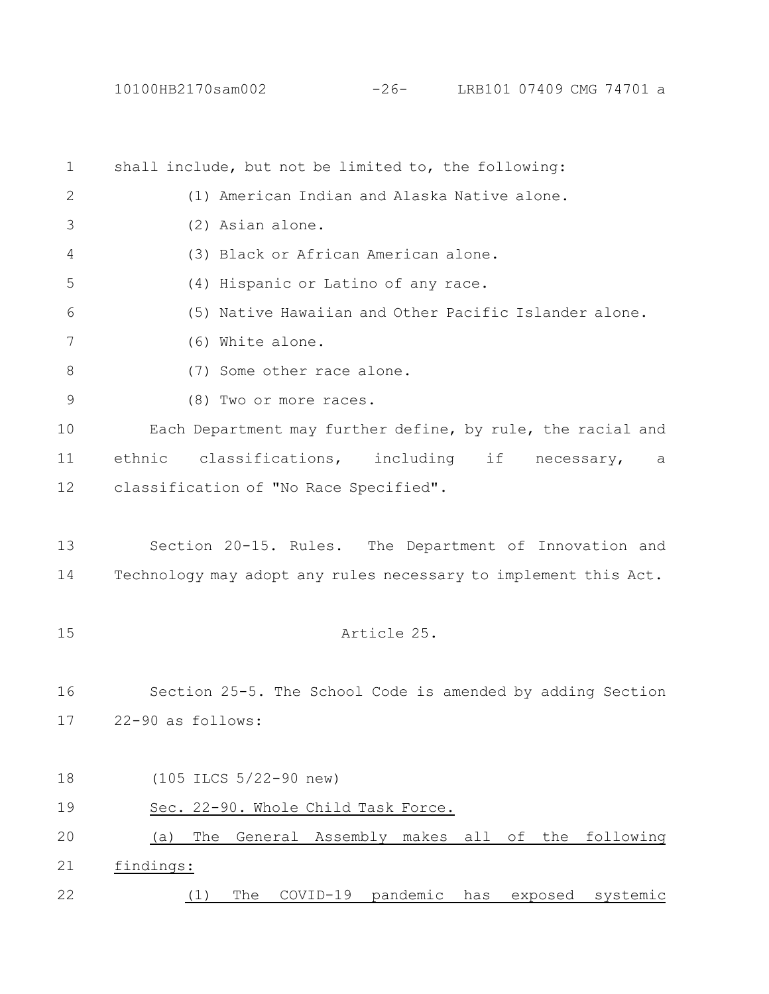shall include, but not be limited to, the following: (1) American Indian and Alaska Native alone. (2) Asian alone. (3) Black or African American alone. (4) Hispanic or Latino of any race. (5) Native Hawaiian and Other Pacific Islander alone. (6) White alone. (7) Some other race alone. (8) Two or more races. Each Department may further define, by rule, the racial and ethnic classifications, including if necessary, a classification of "No Race Specified". Section 20-15. Rules. The Department of Innovation and Technology may adopt any rules necessary to implement this Act. Article 25. Section 25-5. The School Code is amended by adding Section 22-90 as follows: (105 ILCS 5/22-90 new) Sec. 22-90. Whole Child Task Force. (a) The General Assembly makes all of the following findings: (1) The COVID-19 pandemic has exposed systemic 1 2 3 4 5 6 7 8 9 10 11 12 13 14 15 16 17 18 19 20 21 22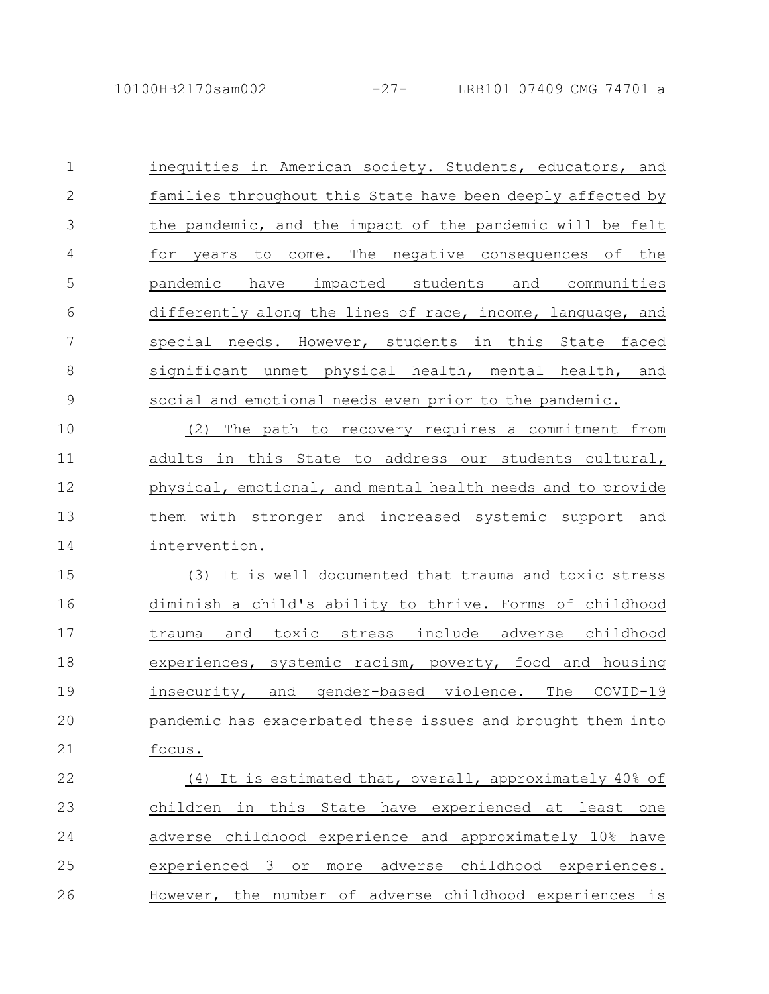| $\mathbf 1$  | inequities in American society. Students, educators, and    |
|--------------|-------------------------------------------------------------|
| $\mathbf{2}$ | families throughout this State have been deeply affected by |
| 3            | the pandemic, and the impact of the pandemic will be felt   |
| 4            | for years to come. The negative consequences of the         |
| 5            | pandemic have impacted students and communities             |
| 6            | differently along the lines of race, income, language, and  |
| 7            | special needs. However, students in this State faced        |
| $8\,$        | significant unmet physical health, mental health, and       |
| $\mathsf 9$  | social and emotional needs even prior to the pandemic.      |
| 10           | The path to recovery requires a commitment from<br>(2)      |
| 11           | adults in this State to address our students cultural,      |
| 12           | physical, emotional, and mental health needs and to provide |
| 13           | them with stronger and increased systemic support and       |
| 14           | intervention.                                               |
| 15           | (3) It is well documented that trauma and toxic stress      |
| 16           | diminish a child's ability to thrive. Forms of childhood    |
| 17           | trauma and toxic stress include adverse childhood           |
| 18           | experiences, systemic racism, poverty, food and housing     |
| 19           | insecurity, and gender-based violence. The COVID-19         |
| 20           | pandemic has exacerbated these issues and brought them into |
| 21           | focus.                                                      |
| 22           | (4) It is estimated that, overall, approximately 40% of     |
| 23           | in this State have experienced at least one<br>children     |
| 24           | adverse childhood experience and approximately 10% have     |
| 25           | experienced 3 or<br>more adverse childhood experiences.     |
| 26           | However, the number of adverse childhood experiences is     |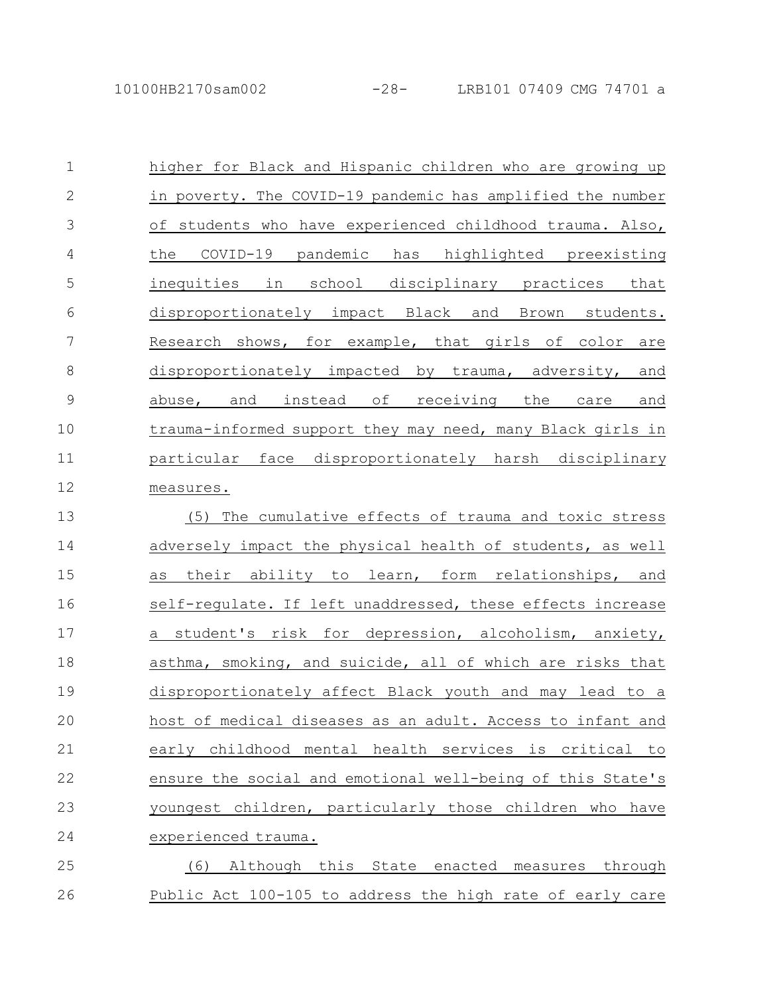| $\mathbf 1$  | higher for Black and Hispanic children who are growing up  |
|--------------|------------------------------------------------------------|
| $\mathbf{2}$ | in poverty. The COVID-19 pandemic has amplified the number |
| 3            | of students who have experienced childhood trauma. Also,   |
| 4            | the COVID-19 pandemic has highlighted preexisting          |
| 5            | inequities in school disciplinary practices that           |
| 6            | disproportionately impact Black and Brown students.        |
| 7            | Research shows, for example, that girls of color are       |
| $\,8\,$      | disproportionately impacted by trauma, adversity, and      |
| $\mathsf 9$  | abuse, and instead of receiving the<br>care and            |
| 10           | trauma-informed support they may need, many Black girls in |
| 11           | particular face disproportionately harsh disciplinary      |
| 12           | measures.                                                  |
| 13           | The cumulative effects of trauma and toxic stress<br>(5)   |
| 14           | adversely impact the physical health of students, as well  |
| 15           | their ability to learn, form relationships, and<br>as      |
| 16           | self-requlate. If left unaddressed, these effects increase |
| 17           | a student's risk for depression, alcoholism, anxiety,      |
| 18           | asthma, smoking, and suicide, all of which are risks that  |
| 19           | disproportionately affect Black youth and may lead to a    |
| 20           | host of medical diseases as an adult. Access to infant and |
| 21           | early childhood mental health services is critical to      |
| 22           | ensure the social and emotional well-being of this State's |
| 23           | youngest children, particularly those children who have    |
| 24           | experienced trauma.                                        |
| 25           | (6) Although this State enacted measures through           |
| 26           | Public Act 100-105 to address the high rate of early care  |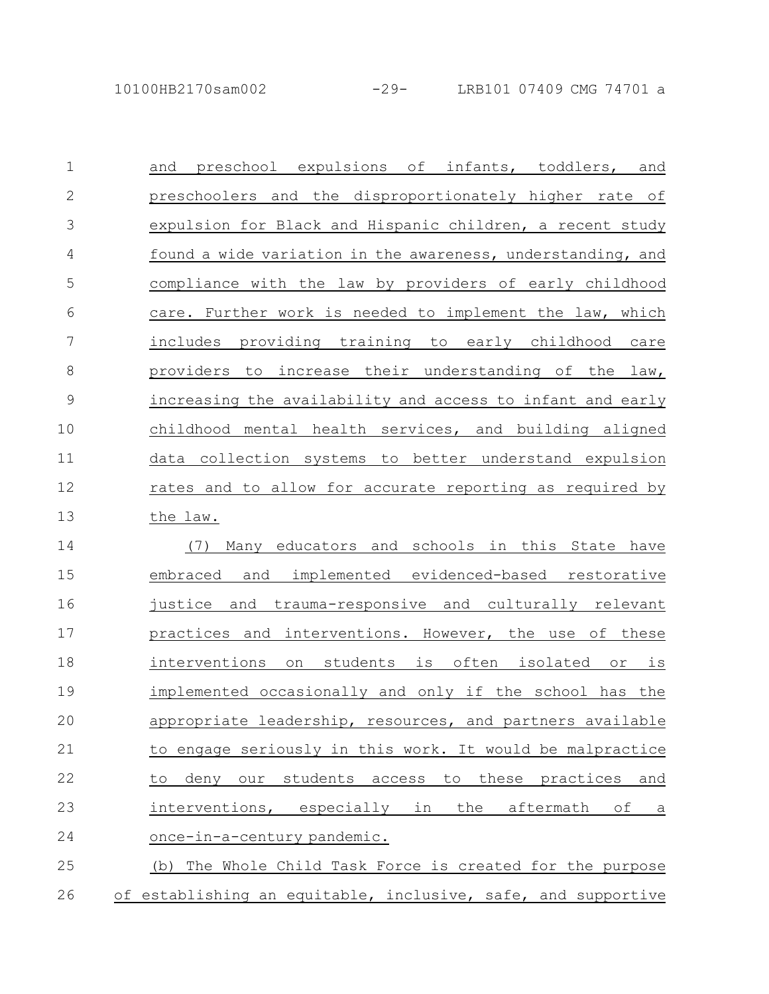| $\mathbf 1$   | preschool expulsions of infants, toddlers, and<br>and                |
|---------------|----------------------------------------------------------------------|
| $\mathbf{2}$  | preschoolers and the disproportionately higher rate of               |
| 3             | expulsion for Black and Hispanic children, a recent study            |
| 4             | found a wide variation in the awareness, understanding, and          |
| 5             | compliance with the law by providers of early childhood              |
| 6             | care. Further work is needed to implement the law, which             |
| 7             | includes providing training to early childhood care                  |
| $\,8\,$       | providers to increase their understanding of the law,                |
| $\mathcal{G}$ | increasing the availability and access to infant and early           |
| 10            | childhood mental health services, and building aligned               |
| 11            | data collection systems to better understand expulsion               |
| 12            | rates and to allow for accurate reporting as required by             |
| 13            | the law.                                                             |
| 14            | Many educators and schools in this State have<br>(7)                 |
| 15            | and implemented evidenced-based restorative<br>embraced              |
| 16            | trauma-responsive and culturally relevant<br>justice and             |
| 17            | practices and interventions. However, the use of these               |
| 18            | interventions<br>on students<br>is often isolated<br>is<br>$\circ$ r |
| 19            | implemented occasionally and only if the school has the              |
| 20            | appropriate leadership, resources, and partners available            |
| 21            | to engage seriously in this work. It would be malpractice            |
| 22            | deny our students access to<br>these practices and<br>to             |
| 23            | interventions, especially in<br>the<br>aftermath of<br>а             |
| 24            | once-in-a-century pandemic.                                          |
| 25            | (b) The Whole Child Task Force is created for the purpose            |
| 26            | of establishing an equitable, inclusive, safe, and supportive        |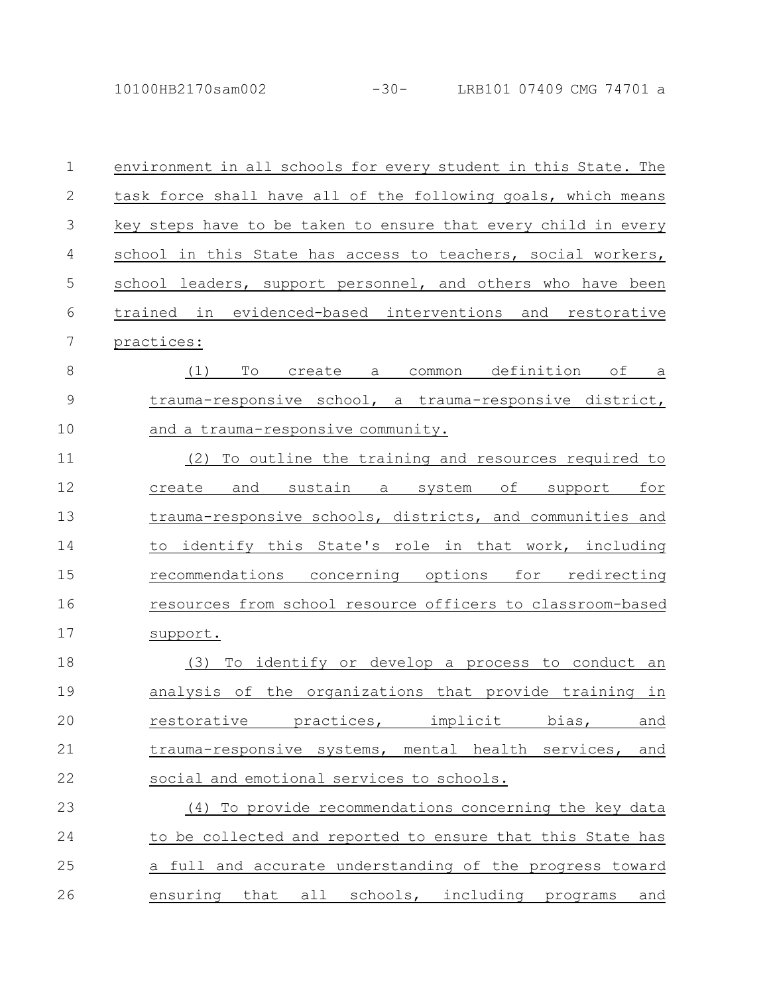10100HB2170sam002 -30- LRB101 07409 CMG 74701 a

| $\mathbf 1$  | environment in all schools for every student in this State. The |
|--------------|-----------------------------------------------------------------|
| $\mathbf{2}$ | task force shall have all of the following goals, which means   |
| 3            | key steps have to be taken to ensure that every child in every  |
| 4            | school in this State has access to teachers, social workers,    |
| 5            | school leaders, support personnel, and others who have been     |
| 6            | trained in evidenced-based interventions and restorative        |
| 7            | practices:                                                      |
| 8            | To<br>common definition<br>of a<br>(1)<br>create a              |
| 9            | trauma-responsive school, a trauma-responsive district,         |
| 10           | and a trauma-responsive community.                              |
| 11           | To outline the training and resources required to<br>(2)        |
| 12           | and sustain a system of support for<br>create                   |
| 13           | trauma-responsive schools, districts, and communities and       |
| 14           | to identify this State's role in that work, including           |
| 15           | recommendations concerning options<br>for redirecting           |
| 16           | resources from school resource officers to classroom-based      |
| 17           | support.                                                        |
| 18           | To identify or develop a process to conduct an<br>(3)           |
| 19           | analysis of the organizations that provide training<br>in       |
| 20           | restorative practices, implicit bias,<br>and                    |
| 21           | trauma-responsive systems, mental health services,<br>and       |
| 22           | social and emotional services to schools.                       |
| 23           | (4) To provide recommendations concerning the key data          |
| 24           | to be collected and reported to ensure that this State has      |
| 25           | a full and accurate understanding of the progress toward        |
| 26           | ensuring that all schools, including programs<br><u>and</u>     |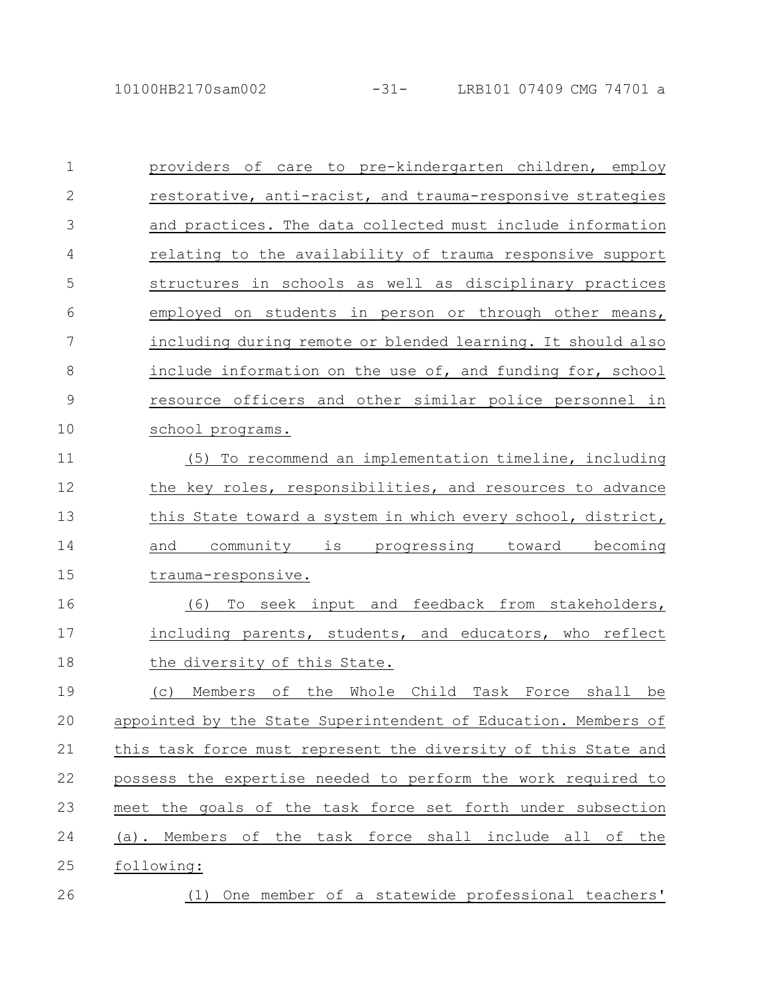providers of care to pre-kindergarten children, employ restorative, anti-racist, and trauma-responsive strategies and practices. The data collected must include information relating to the availability of trauma responsive support structures in schools as well as disciplinary practices employed on students in person or through other means, including during remote or blended learning. It should also include information on the use of, and funding for, school resource officers and other similar police personnel in school programs. (5) To recommend an implementation timeline, including the key roles, responsibilities, and resources to advance this State toward a system in which every school, district, and community is progressing toward becoming trauma-responsive. (6) To seek input and feedback from stakeholders, including parents, students, and educators, who reflect the diversity of this State. (c) Members of the Whole Child Task Force shall be appointed by the State Superintendent of Education. Members of this task force must represent the diversity of this State and possess the expertise needed to perform the work required to meet the goals of the task force set forth under subsection (a). Members of the task force shall include all of the following: (1) One member of a statewide professional teachers' 1 2 3 4 5 6 7 8 9 10 11 12 13 14 15 16 17 18 19 20 21 22 23 24 25 26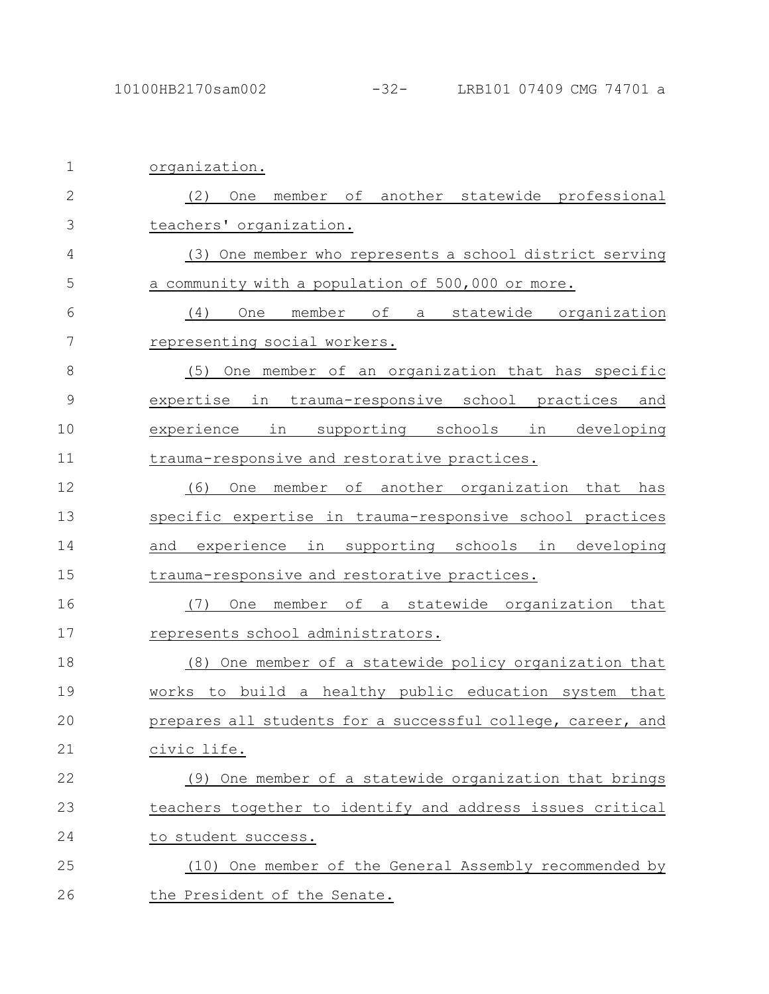| $\mathbf 1$  | organization.                                               |
|--------------|-------------------------------------------------------------|
| $\mathbf{2}$ | member of another statewide professional<br>(2)<br>One      |
| 3            | teachers' organization.                                     |
| 4            | (3) One member who represents a school district serving     |
| 5            | a community with a population of 500,000 or more.           |
| 6            | оf<br>(4)<br>member<br>statewide organization<br>One<br>a   |
| 7            | representing social workers.                                |
| 8            | One member of an organization that has specific<br>(5)      |
| 9            | expertise in trauma-responsive school practices<br>and      |
| 10           | in<br>supporting schools<br>experience<br>in<br>developing  |
| 11           | trauma-responsive and restorative practices.                |
| 12           | (6)<br>member<br>of another organization that<br>One<br>has |
| 13           | specific expertise in trauma-responsive school practices    |
| 14           | experience in supporting schools in<br>developing<br>and    |
| 15           | trauma-responsive and restorative practices.                |
| 16           | One member of a statewide organization that<br>(7)          |
| 17           | represents school administrators.                           |
| 18           | (8) One member of a statewide policy organization that      |
| 19           | works to build a healthy public education system that       |
| 20           | prepares all students for a successful college, career, and |
| 21           | civic life.                                                 |
| 22           | (9) One member of a statewide organization that brings      |
| 23           | teachers together to identify and address issues critical   |
| 24           | to student success.                                         |
| 25           | (10) One member of the General Assembly recommended by      |
| 26           | the President of the Senate.                                |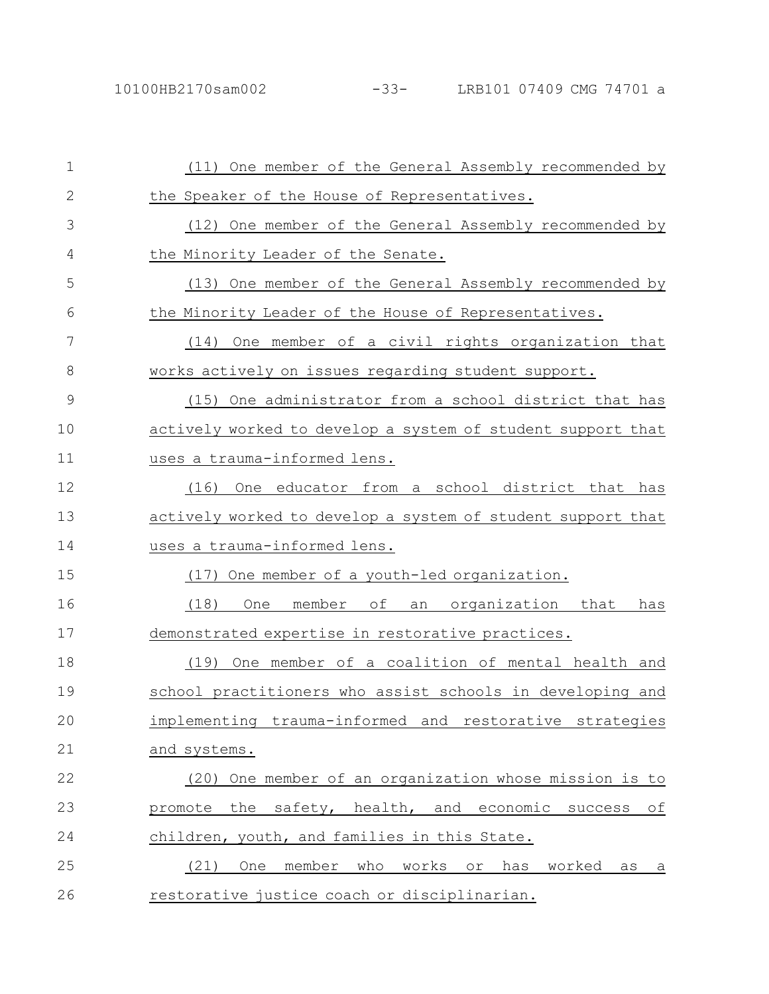| 1            | (11) One member of the General Assembly recommended by      |
|--------------|-------------------------------------------------------------|
| $\mathbf{2}$ | the Speaker of the House of Representatives.                |
| 3            | (12) One member of the General Assembly recommended by      |
| 4            | the Minority Leader of the Senate.                          |
| 5            | (13) One member of the General Assembly recommended by      |
| 6            | the Minority Leader of the House of Representatives.        |
| 7            | (14) One member of a civil rights organization that         |
| 8            | works actively on issues regarding student support.         |
| 9            | (15) One administrator from a school district that has      |
| 10           | actively worked to develop a system of student support that |
| 11           | uses a trauma-informed lens.                                |
| 12           | (16)<br>One educator from a school district that has        |
| 13           | actively worked to develop a system of student support that |
| 14           | uses a trauma-informed lens.                                |
| 15           | One member of a youth-led organization.<br>(17)             |
| 16           | (18)<br>member of<br>an organization that<br>One<br>has     |
| 17           | demonstrated expertise in restorative practices.            |
| 18           | One member of a coalition of mental health and<br>(19)      |
| 19           | school practitioners who assist schools in developing and   |
| 20           | implementing trauma-informed and restorative strategies     |
| 21           | and systems.                                                |
| 22           | One member of an organization whose mission is to<br>(20)   |
| 23           | promote the safety, health, and economic success<br>оf      |
| 24           | children, youth, and families in this State.                |
| 25           | One member who works or has<br>(21)<br>worked<br>$as_a$     |
| 26           | restorative justice coach or disciplinarian.                |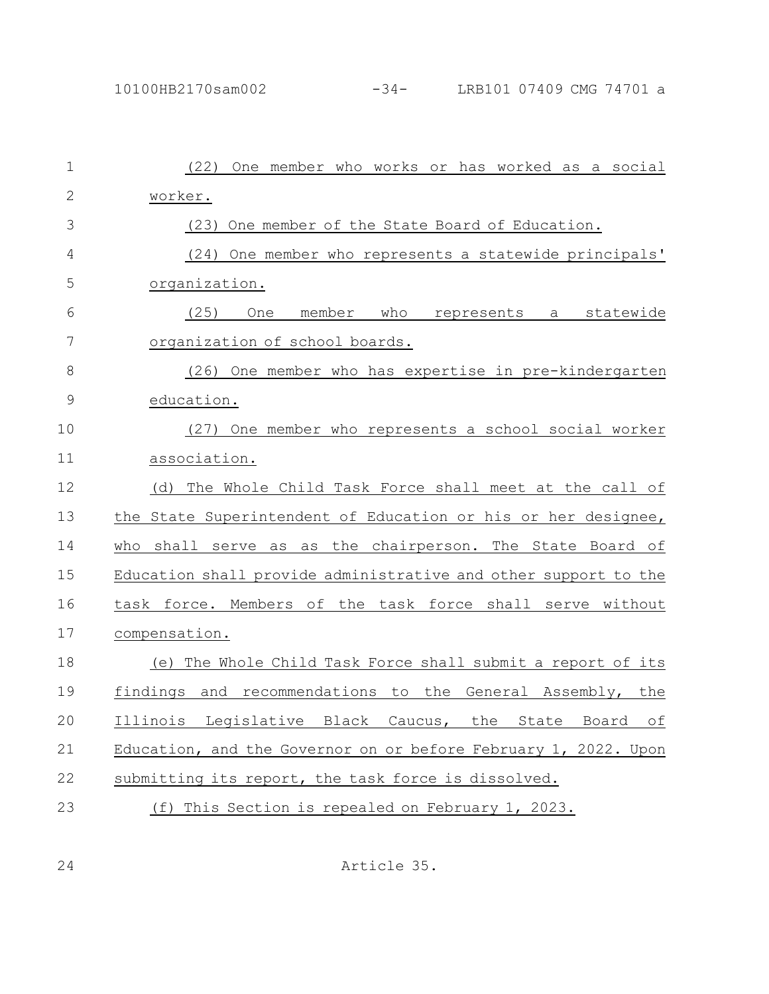| $\mathbf 1$   | One member who works or has worked as a social<br>(22)          |
|---------------|-----------------------------------------------------------------|
| 2             | worker.                                                         |
| 3             | One member of the State Board of Education.<br>(23)             |
| 4             | (24) One member who represents a statewide principals'          |
| 5             | organization.                                                   |
| 6             | (25)<br>member<br>who represents a statewide<br>One             |
| 7             | organization of school boards.                                  |
| 8             | (26) One member who has expertise in pre-kindergarten           |
| $\mathcal{G}$ | education.                                                      |
| 10            | (27) One member who represents a school social worker           |
| 11            | association.                                                    |
| 12            | (d) The Whole Child Task Force shall meet at the call of        |
| 13            | the State Superintendent of Education or his or her designee,   |
| 14            | who<br>shall serve as as the chairperson. The State Board of    |
| 15            | Education shall provide administrative and other support to the |
| 16            | task force. Members of the task force shall serve without       |
| 17            | compensation.                                                   |
| 18            | (e) The Whole Child Task Force shall submit a report of its     |
| 19            | findings and recommendations to the General Assembly, the       |
| 20            | Illinois Legislative Black Caucus, the State<br>Board<br>ОI     |
| 21            | Education, and the Governor on or before February 1, 2022. Upon |
| 22            | submitting its report, the task force is dissolved.             |
| 23            | This Section is repealed on February 1, 2023.<br>(f)            |

Article 35.

24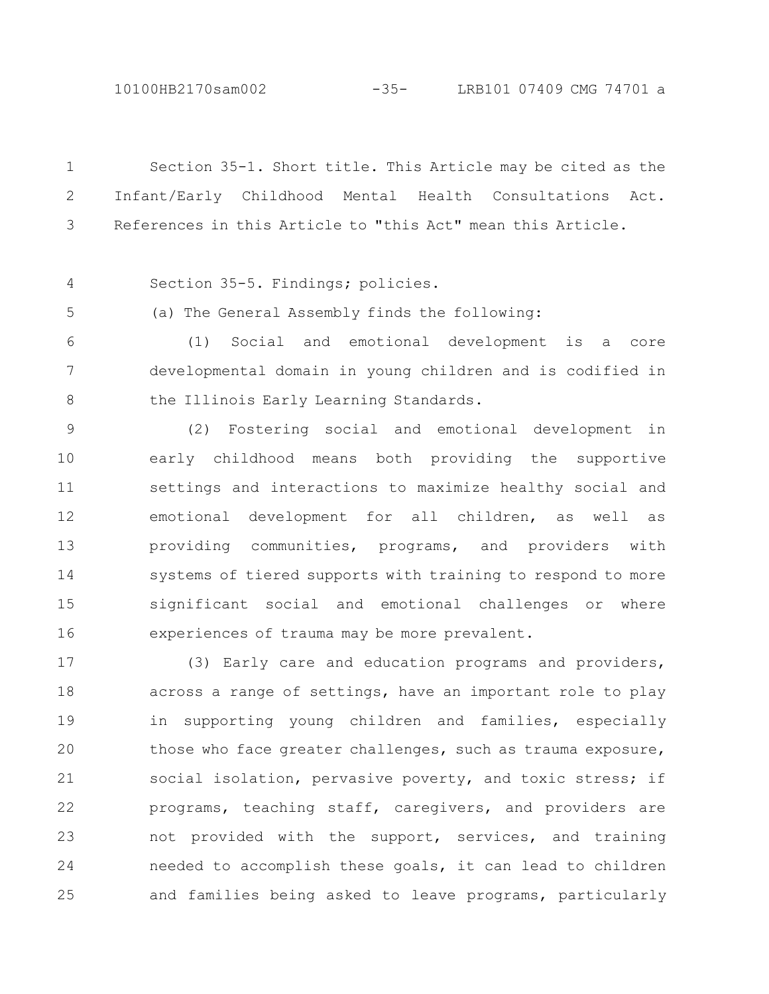10100HB2170sam002 -35- LRB101 07409 CMG 74701 a

Section 35-1. Short title. This Article may be cited as the Infant/Early Childhood Mental Health Consultations Act. References in this Article to "this Act" mean this Article. Section 35-5. Findings; policies. (a) The General Assembly finds the following: (1) Social and emotional development is a core developmental domain in young children and is codified in the Illinois Early Learning Standards. (2) Fostering social and emotional development in early childhood means both providing the supportive settings and interactions to maximize healthy social and emotional development for all children, as well as providing communities, programs, and providers with systems of tiered supports with training to respond to more significant social and emotional challenges or where experiences of trauma may be more prevalent. (3) Early care and education programs and providers, across a range of settings, have an important role to play in supporting young children and families, especially those who face greater challenges, such as trauma exposure, social isolation, pervasive poverty, and toxic stress; if programs, teaching staff, caregivers, and providers are not provided with the support, services, and training 1 2 3 4 5 6 7 8 9 10 11 12 13 14 15 16 17 18 19 20 21 22 23

needed to accomplish these goals, it can lead to children and families being asked to leave programs, particularly 24 25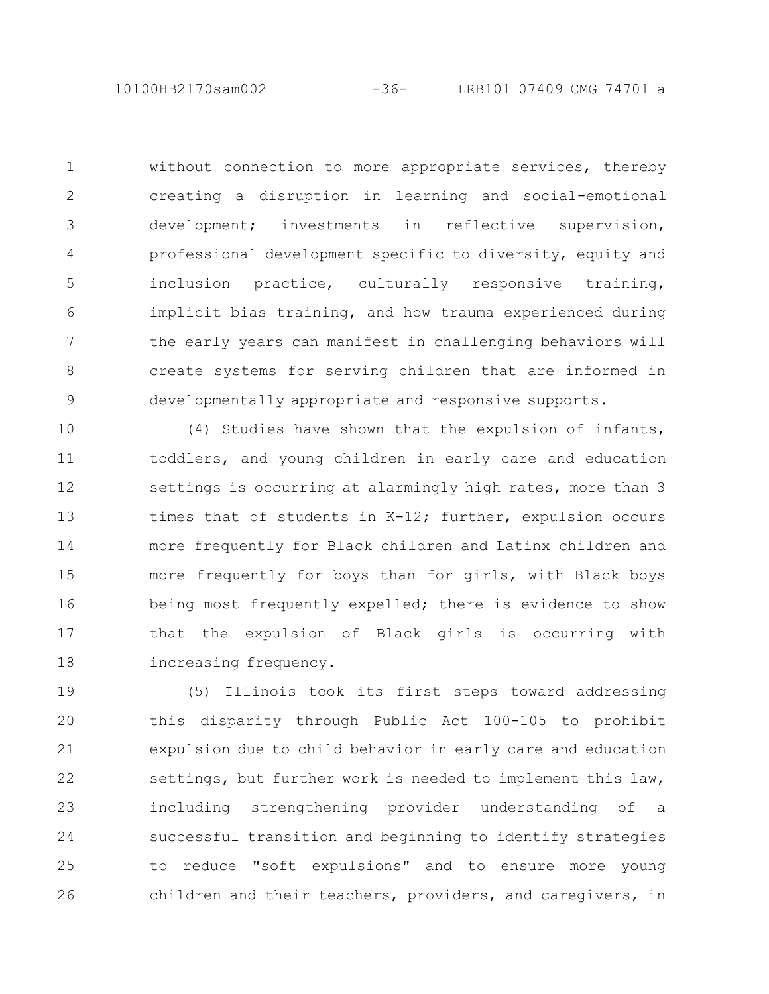without connection to more appropriate services, thereby creating a disruption in learning and social-emotional development; investments in reflective supervision, professional development specific to diversity, equity and inclusion practice, culturally responsive training, implicit bias training, and how trauma experienced during the early years can manifest in challenging behaviors will create systems for serving children that are informed in developmentally appropriate and responsive supports. 1 2 3 4 5 6 7 8 9

(4) Studies have shown that the expulsion of infants, toddlers, and young children in early care and education settings is occurring at alarmingly high rates, more than 3 times that of students in K-12; further, expulsion occurs more frequently for Black children and Latinx children and more frequently for boys than for girls, with Black boys being most frequently expelled; there is evidence to show that the expulsion of Black girls is occurring with increasing frequency. 10 11 12 13 14 15 16 17 18

(5) Illinois took its first steps toward addressing this disparity through Public Act 100-105 to prohibit expulsion due to child behavior in early care and education settings, but further work is needed to implement this law, including strengthening provider understanding of a successful transition and beginning to identify strategies to reduce "soft expulsions" and to ensure more young children and their teachers, providers, and caregivers, in 19 20 21 22 23 24 25 26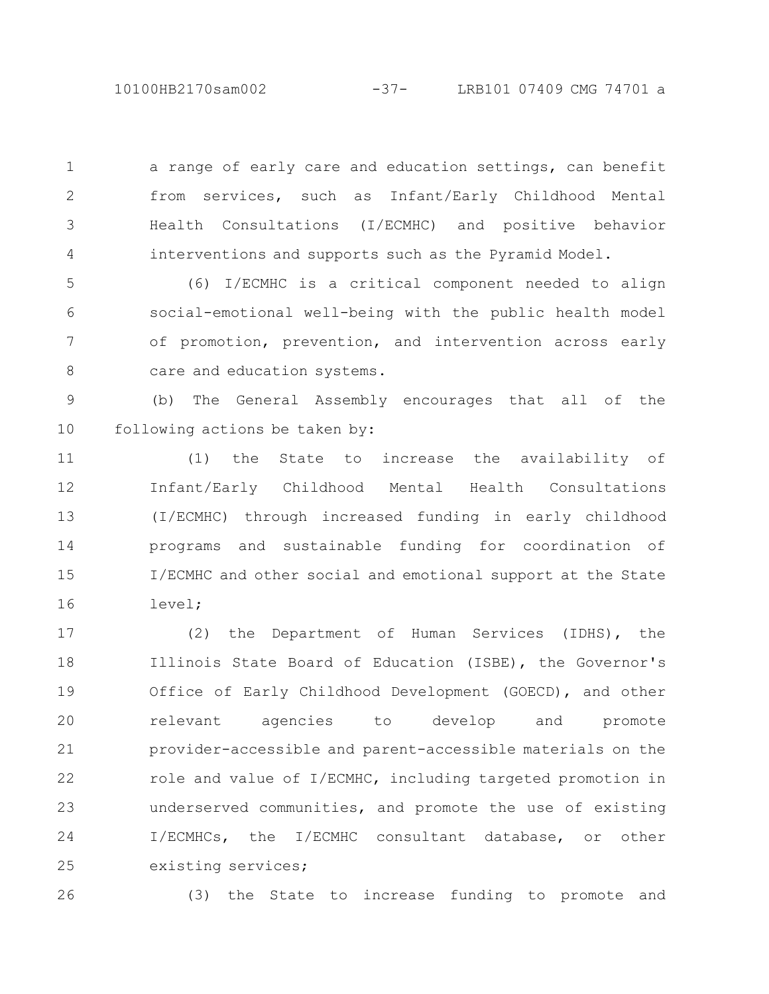10100HB2170sam002 -37- LRB101 07409 CMG 74701 a

a range of early care and education settings, can benefit from services, such as Infant/Early Childhood Mental Health Consultations (I/ECMHC) and positive behavior interventions and supports such as the Pyramid Model. 1 2 3 4

(6) I/ECMHC is a critical component needed to align social-emotional well-being with the public health model of promotion, prevention, and intervention across early care and education systems. 5 6 7 8

(b) The General Assembly encourages that all of the following actions be taken by: 9 10

(1) the State to increase the availability of Infant/Early Childhood Mental Health Consultations (I/ECMHC) through increased funding in early childhood programs and sustainable funding for coordination of I/ECMHC and other social and emotional support at the State level; 11 12 13 14 15 16

(2) the Department of Human Services (IDHS), the Illinois State Board of Education (ISBE), the Governor's Office of Early Childhood Development (GOECD), and other relevant agencies to develop and promote provider-accessible and parent-accessible materials on the role and value of I/ECMHC, including targeted promotion in underserved communities, and promote the use of existing I/ECMHCs, the I/ECMHC consultant database, or other existing services; 17 18 19 20 21 22 23 24 25

26

(3) the State to increase funding to promote and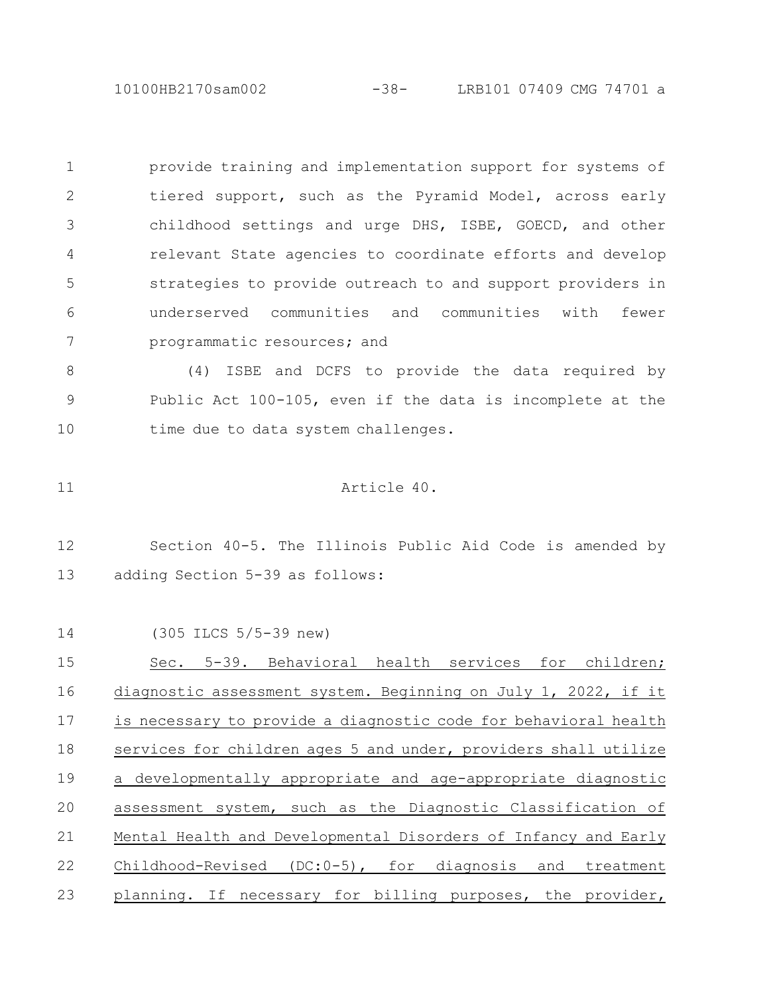10100HB2170sam002 -38- LRB101 07409 CMG 74701 a

provide training and implementation support for systems of tiered support, such as the Pyramid Model, across early childhood settings and urge DHS, ISBE, GOECD, and other relevant State agencies to coordinate efforts and develop strategies to provide outreach to and support providers in underserved communities and communities with fewer programmatic resources; and 1 2 3 4 5 6 7

(4) ISBE and DCFS to provide the data required by Public Act 100-105, even if the data is incomplete at the time due to data system challenges. 8 9 10

Article 40. 11

Section 40-5. The Illinois Public Aid Code is amended by adding Section 5-39 as follows: 12 13

(305 ILCS 5/5-39 new) Sec. 5-39. Behavioral health services for children; diagnostic assessment system. Beginning on July 1, 2022, if it is necessary to provide a diagnostic code for behavioral health services for children ages 5 and under, providers shall utilize a developmentally appropriate and age-appropriate diagnostic assessment system, such as the Diagnostic Classification of Mental Health and Developmental Disorders of Infancy and Early Childhood-Revised (DC:0-5), for diagnosis and treatment planning. If necessary for billing purposes, the provider, 14 15 16 17 18 19 20 21 22 23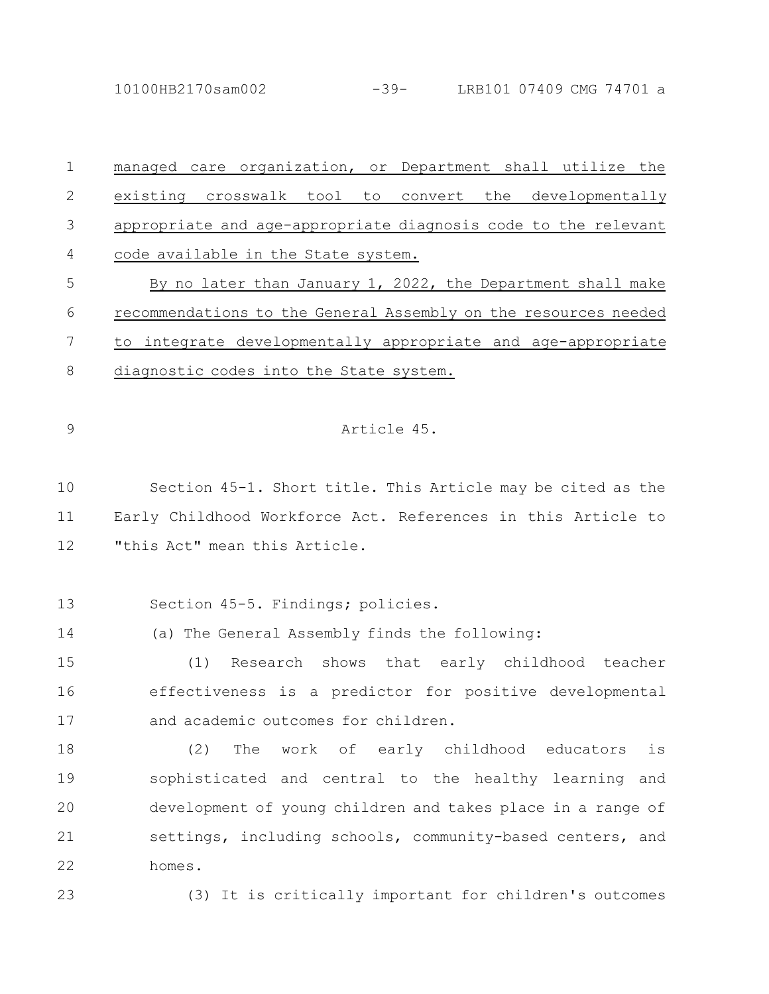10100HB2170sam002 -39- LRB101 07409 CMG 74701 a

managed care organization, or Department shall utilize the existing crosswalk tool to convert the developmentally appropriate and age-appropriate diagnosis code to the relevant code available in the State system. By no later than January 1, 2022, the Department shall make recommendations to the General Assembly on the resources needed to integrate developmentally appropriate and age-appropriate diagnostic codes into the State system. Article 45. 1 2 3 4 5 6 7 8 9

Section 45-1. Short title. This Article may be cited as the Early Childhood Workforce Act. References in this Article to "this Act" mean this Article. 10 11 12

Section 45-5. Findings; policies. 13

(a) The General Assembly finds the following: 14

(1) Research shows that early childhood teacher effectiveness is a predictor for positive developmental and academic outcomes for children. 15 16 17

(2) The work of early childhood educators is sophisticated and central to the healthy learning and development of young children and takes place in a range of settings, including schools, community-based centers, and homes. 18 19 20 21 22

23

(3) It is critically important for children's outcomes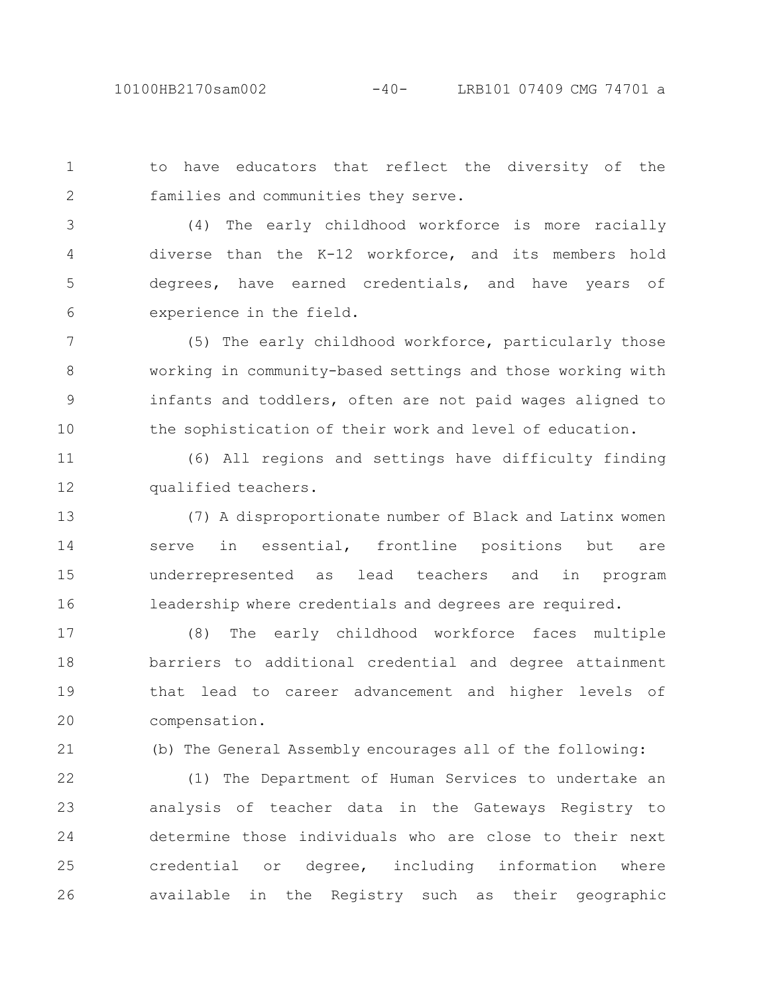to have educators that reflect the diversity of the families and communities they serve. 1 2

(4) The early childhood workforce is more racially diverse than the K-12 workforce, and its members hold degrees, have earned credentials, and have years of experience in the field. 3 4 5 6

(5) The early childhood workforce, particularly those working in community-based settings and those working with infants and toddlers, often are not paid wages aligned to the sophistication of their work and level of education. 7 8 9 10

(6) All regions and settings have difficulty finding qualified teachers. 11 12

(7) A disproportionate number of Black and Latinx women serve in essential, frontline positions but are underrepresented as lead teachers and in program leadership where credentials and degrees are required. 13 14 15 16

(8) The early childhood workforce faces multiple barriers to additional credential and degree attainment that lead to career advancement and higher levels of compensation. 17 18 19 20

21

(b) The General Assembly encourages all of the following:

(1) The Department of Human Services to undertake an analysis of teacher data in the Gateways Registry to determine those individuals who are close to their next credential or degree, including information where available in the Registry such as their geographic 22 23 24 25 26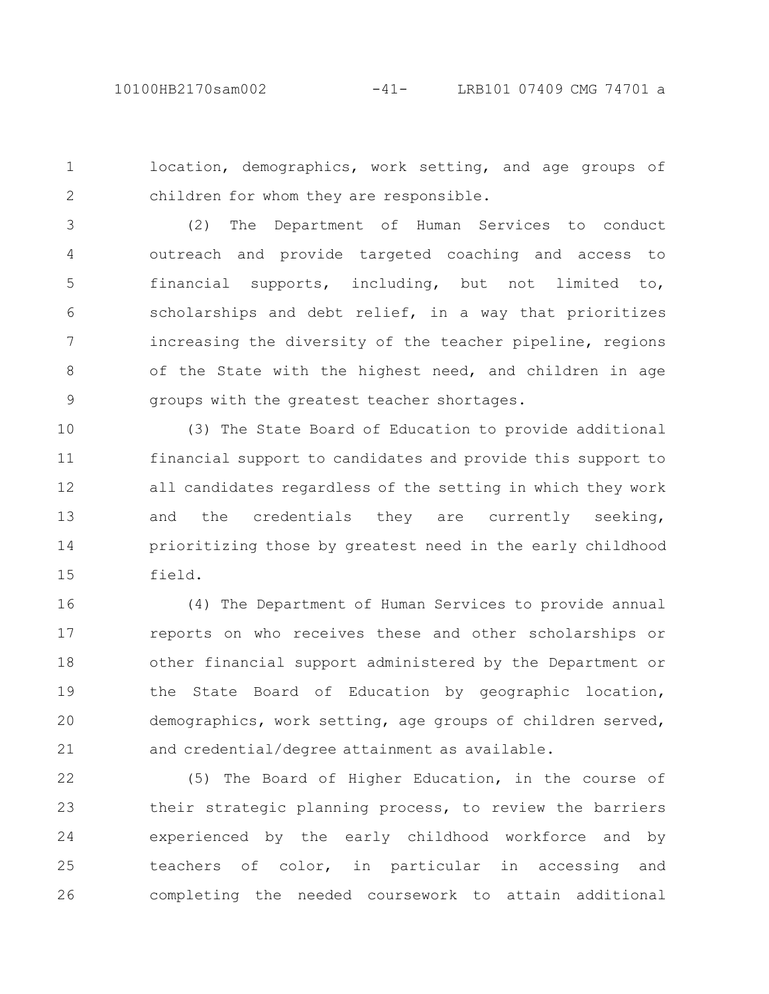location, demographics, work setting, and age groups of children for whom they are responsible. 1 2

(2) The Department of Human Services to conduct outreach and provide targeted coaching and access to financial supports, including, but not limited to, scholarships and debt relief, in a way that prioritizes increasing the diversity of the teacher pipeline, regions of the State with the highest need, and children in age groups with the greatest teacher shortages. 3 4 5 6 7 8 9

(3) The State Board of Education to provide additional financial support to candidates and provide this support to all candidates regardless of the setting in which they work and the credentials they are currently seeking, prioritizing those by greatest need in the early childhood field. 10 11 12 13 14 15

(4) The Department of Human Services to provide annual reports on who receives these and other scholarships or other financial support administered by the Department or the State Board of Education by geographic location, demographics, work setting, age groups of children served, and credential/degree attainment as available. 16 17 18 19 20 21

(5) The Board of Higher Education, in the course of their strategic planning process, to review the barriers experienced by the early childhood workforce and by teachers of color, in particular in accessing and completing the needed coursework to attain additional 22 23 24 25 26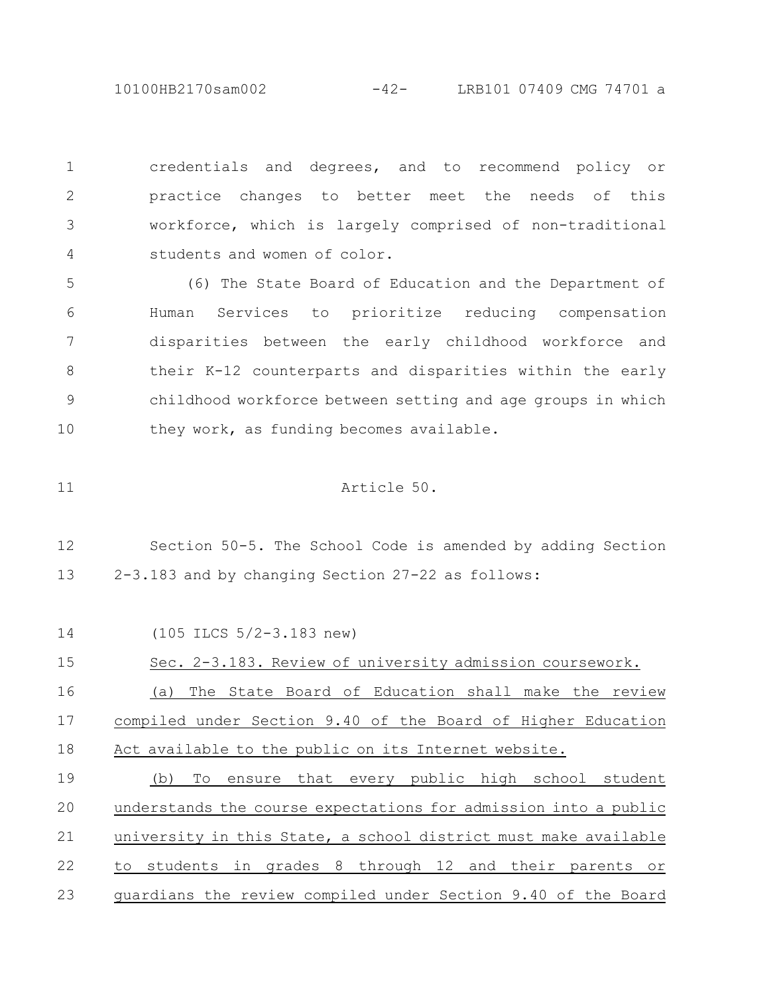10100HB2170sam002 -42- LRB101 07409 CMG 74701 a

credentials and degrees, and to recommend policy or practice changes to better meet the needs of this workforce, which is largely comprised of non-traditional students and women of color. 1 2 3 4

(6) The State Board of Education and the Department of Human Services to prioritize reducing compensation disparities between the early childhood workforce and their K-12 counterparts and disparities within the early childhood workforce between setting and age groups in which they work, as funding becomes available. 5 6 7 8 9 10

Article 50.

11

Section 50-5. The School Code is amended by adding Section 2-3.183 and by changing Section 27-22 as follows: 12 13

(105 ILCS 5/2-3.183 new) Sec. 2-3.183. Review of university admission coursework. (a) The State Board of Education shall make the review compiled under Section 9.40 of the Board of Higher Education Act available to the public on its Internet website. (b) To ensure that every public high school student understands the course expectations for admission into a public university in this State, a school district must make available to students in grades 8 through 12 and their parents or guardians the review compiled under Section 9.40 of the Board 14 15 16 17 18 19 20 21 22 23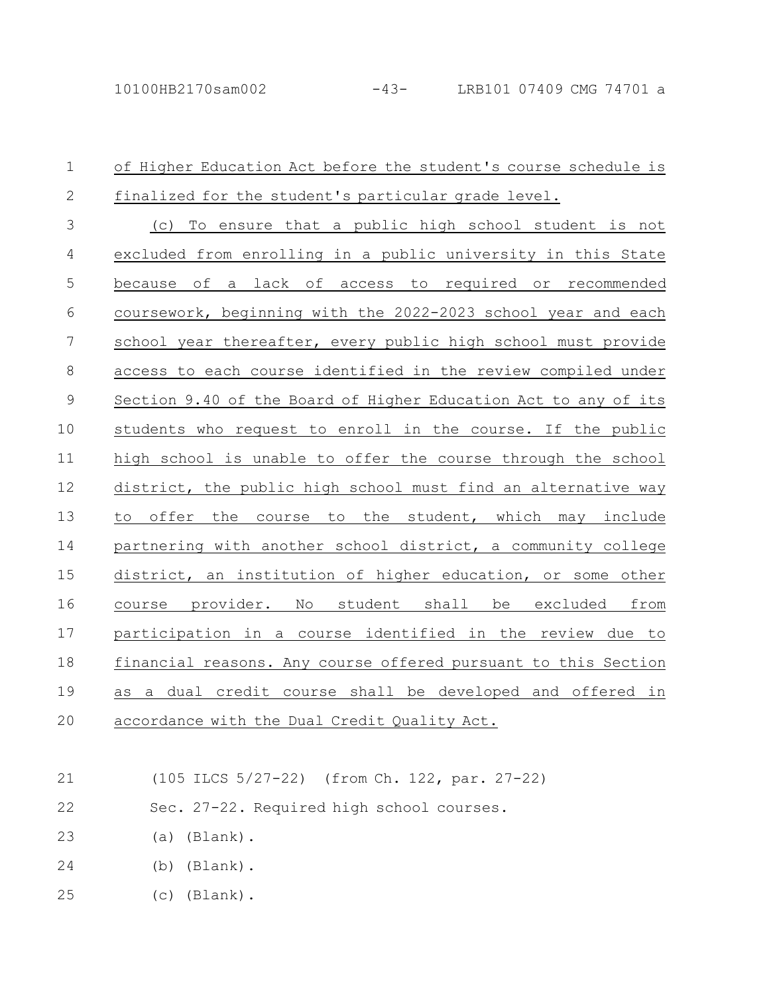## of Higher Education Act before the student's course schedule is finalized for the student's particular grade level. (c) To ensure that a public high school student is not excluded from enrolling in a public university in this State because of a lack of access to required or recommended coursework, beginning with the 2022-2023 school year and each school year thereafter, every public high school must provide access to each course identified in the review compiled under Section 9.40 of the Board of Higher Education Act to any of its students who request to enroll in the course. If the public high school is unable to offer the course through the school district, the public high school must find an alternative way to offer the course to the student, which may include partnering with another school district, a community college district, an institution of higher education, or some other course provider. No student shall be excluded from participation in a course identified in the review due to financial reasons. Any course offered pursuant to this Section as a dual credit course shall be developed and offered in accordance with the Dual Credit Quality Act. 1 2 3 4 5 6 7 8 9 10 11 12 13 14 15 16 17 18 19 20

- (105 ILCS 5/27-22) (from Ch. 122, par. 27-22) 21
- Sec. 27-22. Required high school courses. 22
- (a) (Blank). 23
- (b) (Blank). 24
- (c) (Blank). 25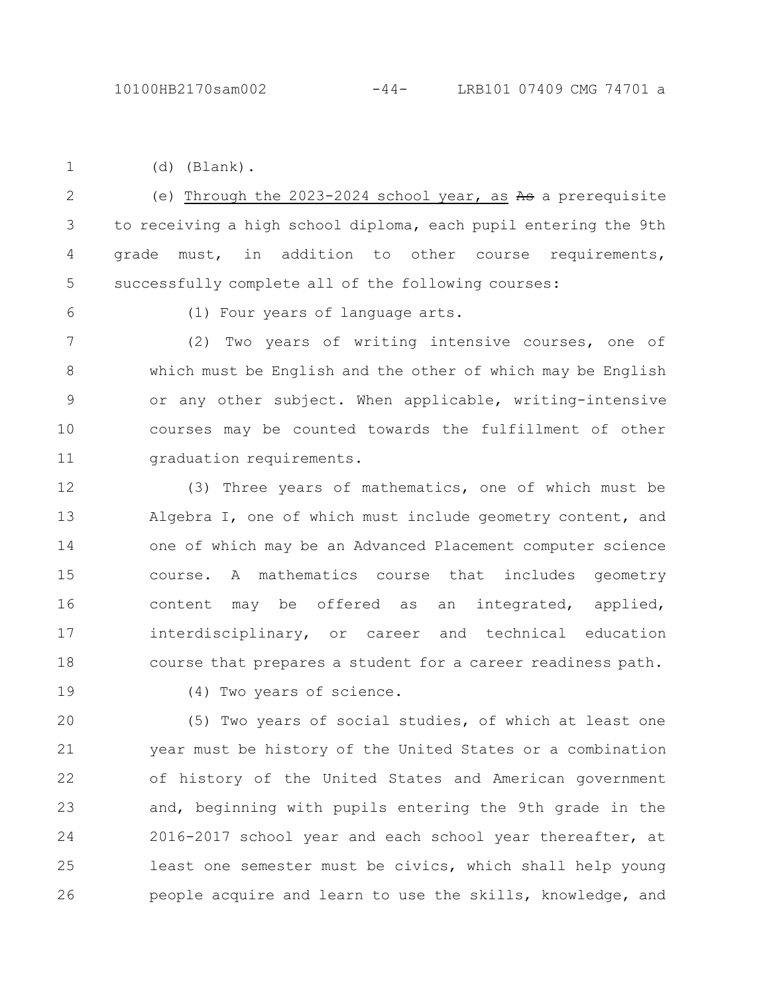1

(d) (Blank).

(e) Through the  $2023-2024$  school year, as As a prerequisite to receiving a high school diploma, each pupil entering the 9th grade must, in addition to other course requirements, successfully complete all of the following courses: 2 3 4 5

6

(1) Four years of language arts.

(2) Two years of writing intensive courses, one of which must be English and the other of which may be English or any other subject. When applicable, writing-intensive courses may be counted towards the fulfillment of other graduation requirements. 7 8 9 10 11

(3) Three years of mathematics, one of which must be Algebra I, one of which must include geometry content, and one of which may be an Advanced Placement computer science course. A mathematics course that includes geometry content may be offered as an integrated, applied, interdisciplinary, or career and technical education course that prepares a student for a career readiness path. 12 13 14 15 16 17 18

19

(4) Two years of science.

(5) Two years of social studies, of which at least one year must be history of the United States or a combination of history of the United States and American government and, beginning with pupils entering the 9th grade in the 2016-2017 school year and each school year thereafter, at least one semester must be civics, which shall help young people acquire and learn to use the skills, knowledge, and 20 21 22 23 24 25 26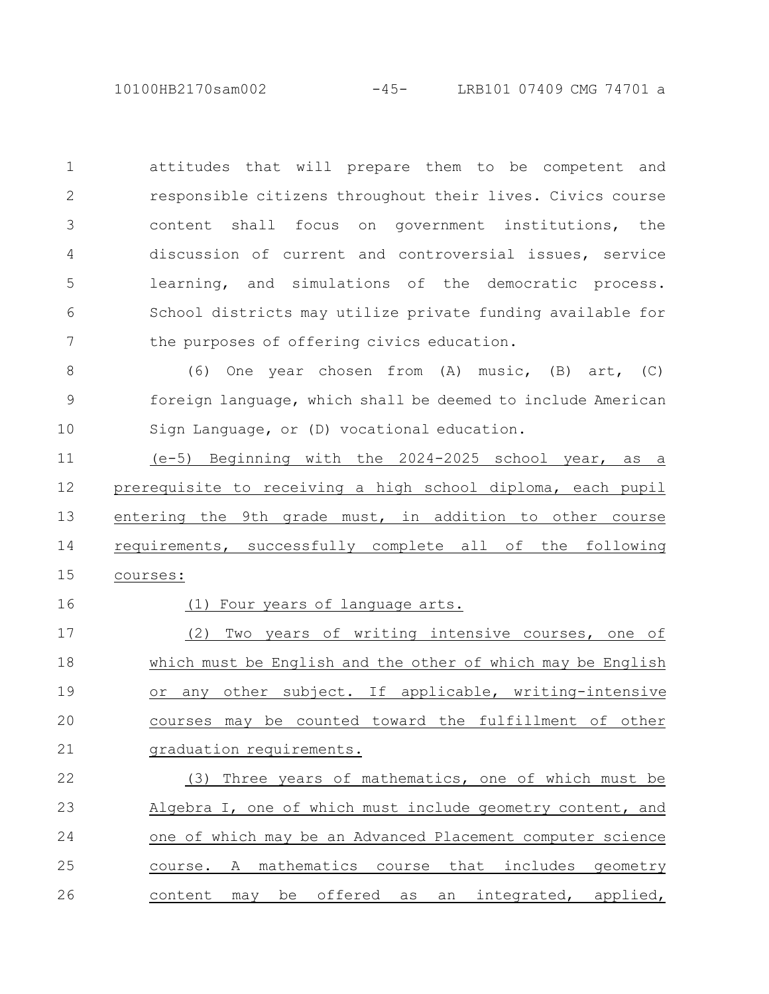10100HB2170sam002 -45- LRB101 07409 CMG 74701 a

attitudes that will prepare them to be competent and responsible citizens throughout their lives. Civics course content shall focus on government institutions, the discussion of current and controversial issues, service learning, and simulations of the democratic process. School districts may utilize private funding available for the purposes of offering civics education. 1 2 3 4 5 6 7

(6) One year chosen from (A) music, (B) art, (C) foreign language, which shall be deemed to include American Sign Language, or (D) vocational education. 8 9 10

(e-5) Beginning with the 2024-2025 school year, as a prerequisite to receiving a high school diploma, each pupil entering the 9th grade must, in addition to other course requirements, successfully complete all of the following courses: 11 12 13 14 15

16

## (1) Four years of language arts.

(2) Two years of writing intensive courses, one of which must be English and the other of which may be English or any other subject. If applicable, writing-intensive courses may be counted toward the fulfillment of other graduation requirements. 17 18 19 20 21

(3) Three years of mathematics, one of which must be Algebra I, one of which must include geometry content, and one of which may be an Advanced Placement computer science course. A mathematics course that includes geometry content may be offered as an integrated, applied, 22 23 24 25 26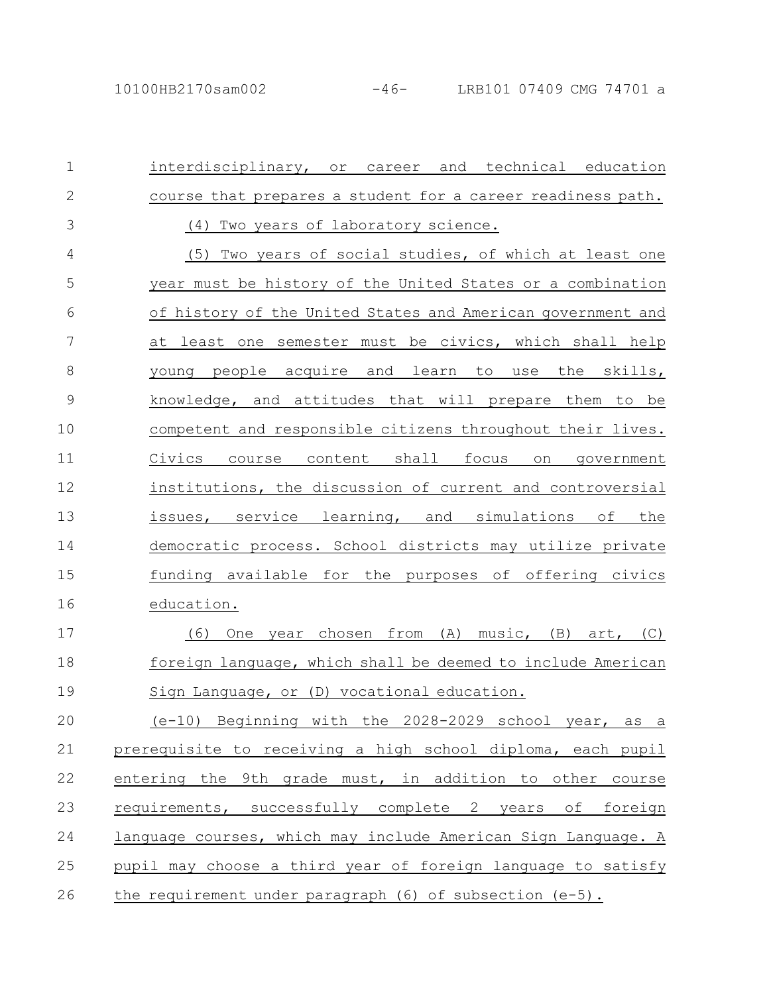interdisciplinary, or career and technical education course that prepares a student for a career readiness path. (4) Two years of laboratory science. (5) Two years of social studies, of which at least one year must be history of the United States or a combination of history of the United States and American government and at least one semester must be civics, which shall help young people acquire and learn to use the skills, knowledge, and attitudes that will prepare them to be competent and responsible citizens throughout their lives. Civics course content shall focus on government institutions, the discussion of current and controversial issues, service learning, and simulations of the democratic process. School districts may utilize private funding available for the purposes of offering civics education. (6) One year chosen from (A) music, (B) art, (C) foreign language, which shall be deemed to include American Sign Language, or (D) vocational education. (e-10) Beginning with the 2028-2029 school year, as a prerequisite to receiving a high school diploma, each pupil entering the 9th grade must, in addition to other course requirements, successfully complete 2 years of foreign language courses, which may include American Sign Language. A pupil may choose a third year of foreign language to satisfy the requirement under paragraph  $(6)$  of subsection  $(e-5)$ . 1 2 3 4 5 6 7 8 9 10 11 12 13 14 15 16 17 18 19 20 21 22 23 24 25 26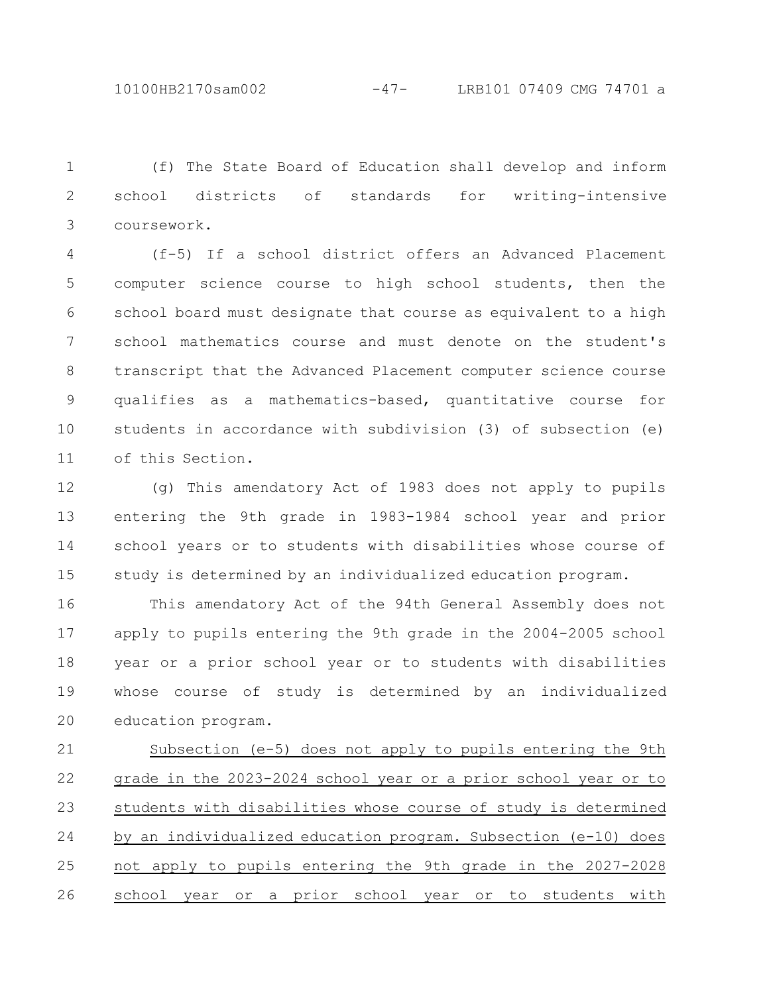10100HB2170sam002 -47- LRB101 07409 CMG 74701 a

(f) The State Board of Education shall develop and inform school districts of standards for writing-intensive coursework. 1 2 3

(f-5) If a school district offers an Advanced Placement computer science course to high school students, then the school board must designate that course as equivalent to a high school mathematics course and must denote on the student's transcript that the Advanced Placement computer science course qualifies as a mathematics-based, quantitative course for students in accordance with subdivision (3) of subsection (e) of this Section. 4 5 6 7 8 9 10 11

(g) This amendatory Act of 1983 does not apply to pupils entering the 9th grade in 1983-1984 school year and prior school years or to students with disabilities whose course of study is determined by an individualized education program. 12 13 14 15

This amendatory Act of the 94th General Assembly does not apply to pupils entering the 9th grade in the 2004-2005 school year or a prior school year or to students with disabilities whose course of study is determined by an individualized education program. 16 17 18 19 20

Subsection (e-5) does not apply to pupils entering the 9th grade in the 2023-2024 school year or a prior school year or to students with disabilities whose course of study is determined by an individualized education program. Subsection (e-10) does not apply to pupils entering the 9th grade in the 2027-2028 school year or a prior school year or to students with 21 22 23 24 25 26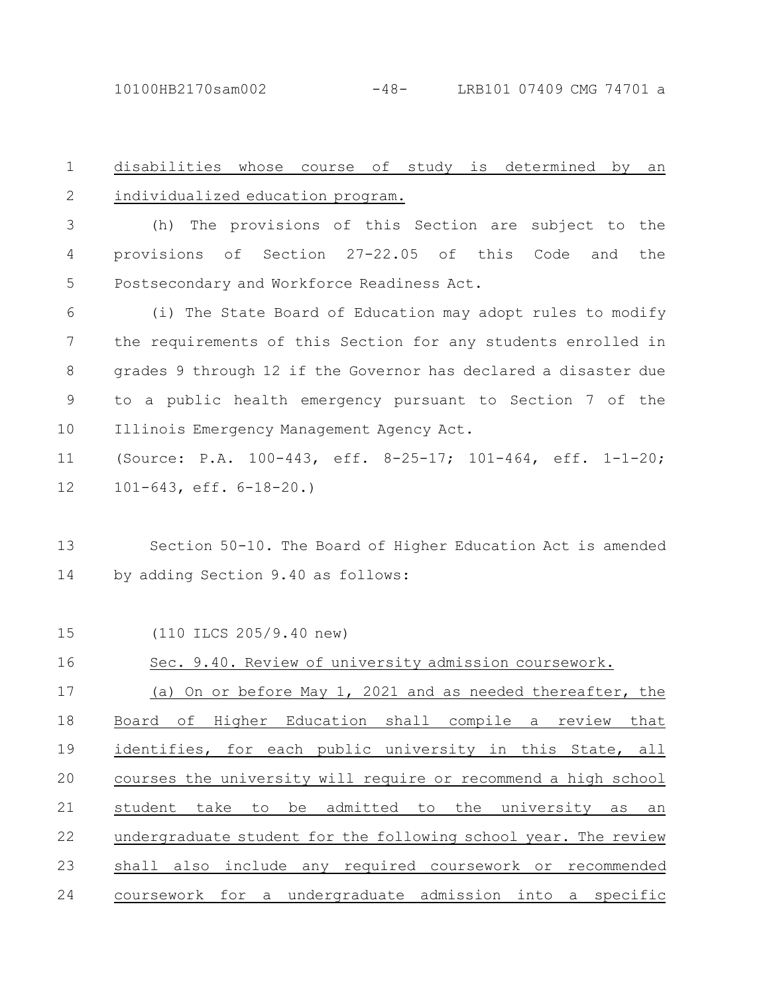10100HB2170sam002 -48- LRB101 07409 CMG 74701 a

disabilities whose course of study is determined by an individualized education program. 1 2

(h) The provisions of this Section are subject to the provisions of Section 27-22.05 of this Code and the Postsecondary and Workforce Readiness Act. 3 4 5

(i) The State Board of Education may adopt rules to modify the requirements of this Section for any students enrolled in grades 9 through 12 if the Governor has declared a disaster due to a public health emergency pursuant to Section 7 of the Illinois Emergency Management Agency Act. 6 7 8 9 10

(Source: P.A. 100-443, eff. 8-25-17; 101-464, eff. 1-1-20; 101-643, eff. 6-18-20.) 11 12

Section 50-10. The Board of Higher Education Act is amended by adding Section 9.40 as follows: 13 14

(110 ILCS 205/9.40 new) 15

Sec. 9.40. Review of university admission coursework. (a) On or before May 1, 2021 and as needed thereafter, the Board of Higher Education shall compile a review that identifies, for each public university in this State, all courses the university will require or recommend a high school student take to be admitted to the university as an undergraduate student for the following school year. The review shall also include any required coursework or recommended coursework for a undergraduate admission into a specific 16 17 18 19 20 21 22 23 24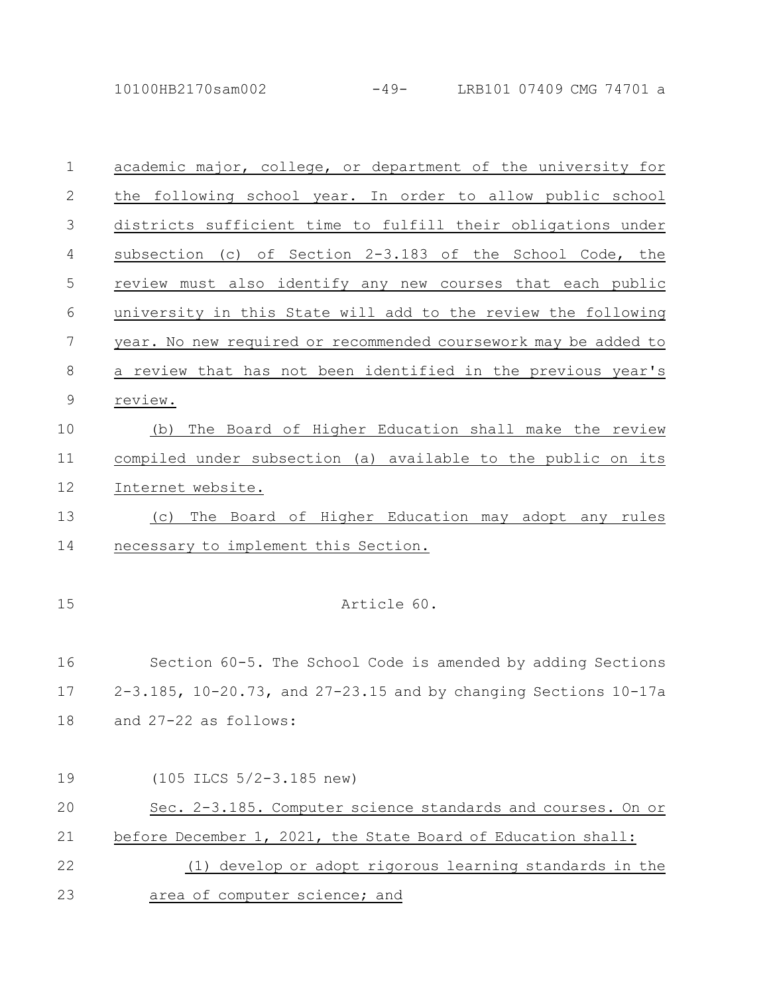10100HB2170sam002 -49- LRB101 07409 CMG 74701 a

| $\mathbf{1}$  | academic major, college, or department of the university for              |
|---------------|---------------------------------------------------------------------------|
| 2             | the following school year. In order to allow public school                |
| 3             | districts sufficient time to fulfill their obligations under              |
| 4             | subsection (c) of Section 2-3.183 of the School Code, the                 |
| 5             | review must also identify any new courses that each public                |
| 6             | university in this State will add to the review the following             |
| 7             | year. No new required or recommended coursework may be added to           |
| 8             | a review that has not been identified in the previous year's              |
| $\mathcal{G}$ | review.                                                                   |
| 10            | The Board of Higher Education shall make the review<br>(b)                |
| 11            | compiled under subsection (a) available to the public on its              |
| 12            | Internet website.                                                         |
| 13            | The Board of Higher Education may adopt any rules<br>(C)                  |
| 14            | necessary to implement this Section.                                      |
|               |                                                                           |
| 15            | Article 60.                                                               |
|               |                                                                           |
| 16            | Section 60-5. The School Code is amended by adding Sections               |
| 17            | $2-3.185$ , $10-20.73$ , and $27-23.15$ and by changing Sections $10-17a$ |
| 18            | and 27-22 as follows:                                                     |
|               |                                                                           |
| 19            | $(105$ ILCS $5/2-3.185$ new)                                              |
| 20            | Sec. 2-3.185. Computer science standards and courses. On or               |
| 21            | before December 1, 2021, the State Board of Education shall:              |
| 22            | develop or adopt rigorous learning standards in the<br>(1)                |
| 23            | area of computer science; and                                             |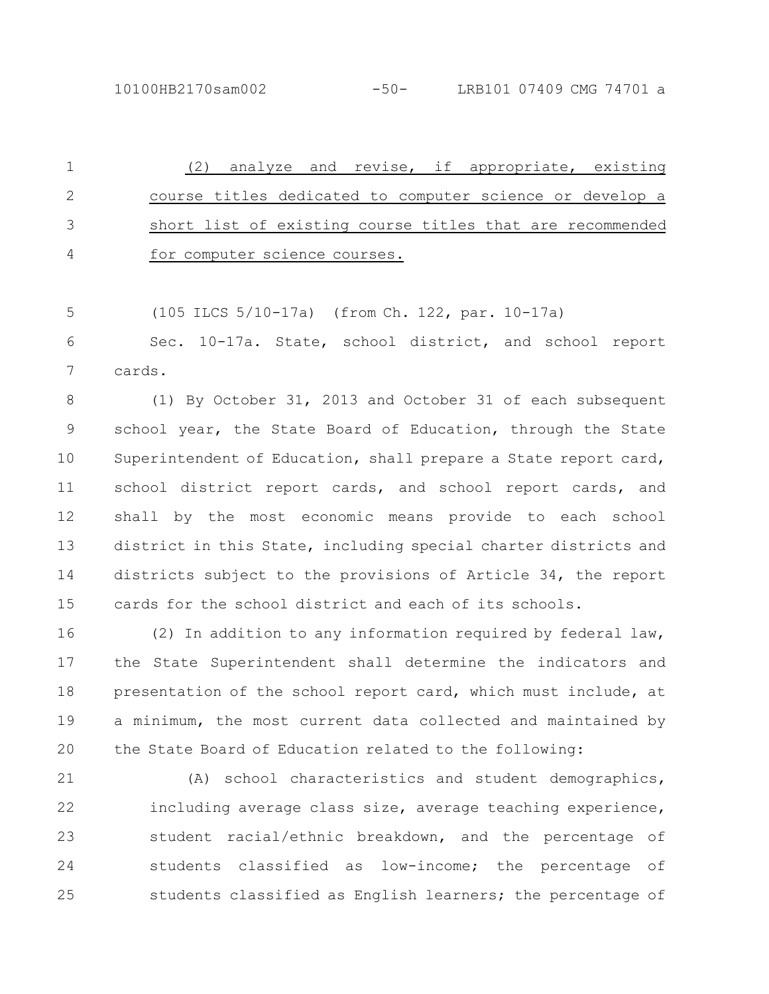(2) analyze and revise, if appropriate, existing course titles dedicated to computer science or develop a short list of existing course titles that are recommended for computer science courses. 1 2 3 4

(105 ILCS 5/10-17a) (from Ch. 122, par. 10-17a) 5

Sec. 10-17a. State, school district, and school report cards. 6 7

(1) By October 31, 2013 and October 31 of each subsequent school year, the State Board of Education, through the State Superintendent of Education, shall prepare a State report card, school district report cards, and school report cards, and shall by the most economic means provide to each school district in this State, including special charter districts and districts subject to the provisions of Article 34, the report cards for the school district and each of its schools. 8 9 10 11 12 13 14 15

(2) In addition to any information required by federal law, the State Superintendent shall determine the indicators and presentation of the school report card, which must include, at a minimum, the most current data collected and maintained by the State Board of Education related to the following: 16 17 18 19 20

(A) school characteristics and student demographics, including average class size, average teaching experience, student racial/ethnic breakdown, and the percentage of students classified as low-income; the percentage of students classified as English learners; the percentage of 21 22 23 24 25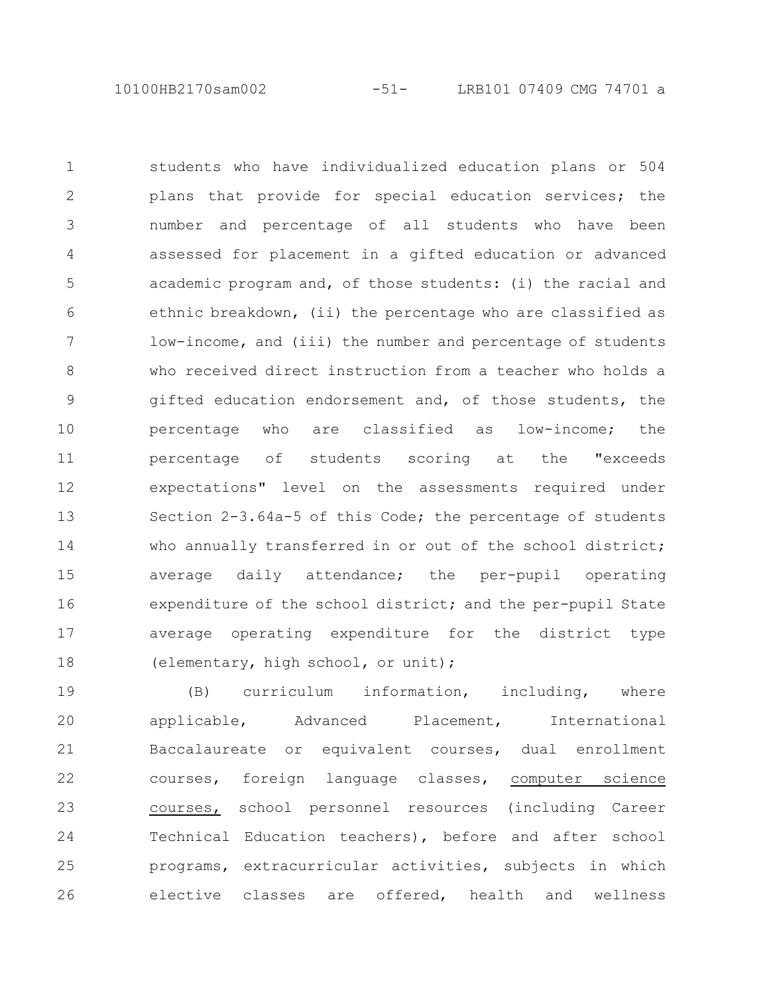10100HB2170sam002 -51- LRB101 07409 CMG 74701 a

students who have individualized education plans or 504 plans that provide for special education services; the number and percentage of all students who have been assessed for placement in a gifted education or advanced academic program and, of those students: (i) the racial and ethnic breakdown, (ii) the percentage who are classified as low-income, and (iii) the number and percentage of students who received direct instruction from a teacher who holds a gifted education endorsement and, of those students, the percentage who are classified as low-income; the percentage of students scoring at the "exceeds expectations" level on the assessments required under Section 2-3.64a-5 of this Code; the percentage of students who annually transferred in or out of the school district; average daily attendance; the per-pupil operating expenditure of the school district; and the per-pupil State average operating expenditure for the district type (elementary, high school, or unit); 1 2 3 4 5 6 7 8 9 10 11 12 13 14 15 16 17 18

(B) curriculum information, including, where applicable, Advanced Placement, International Baccalaureate or equivalent courses, dual enrollment courses, foreign language classes, computer science courses, school personnel resources (including Career Technical Education teachers), before and after school programs, extracurricular activities, subjects in which elective classes are offered, health and wellness 19 20 21 22 23 24 25 26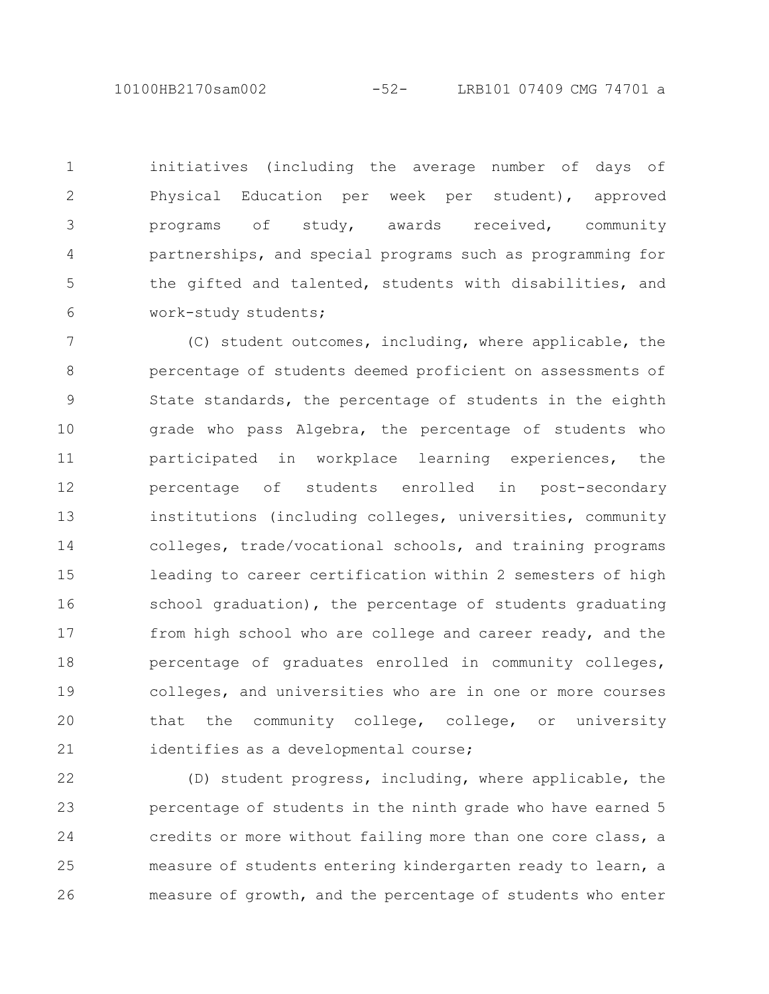10100HB2170sam002 -52- LRB101 07409 CMG 74701 a

initiatives (including the average number of days of Physical Education per week per student), approved programs of study, awards received, community partnerships, and special programs such as programming for the gifted and talented, students with disabilities, and work-study students; 1 2 3 4 5 6

(C) student outcomes, including, where applicable, the percentage of students deemed proficient on assessments of State standards, the percentage of students in the eighth grade who pass Algebra, the percentage of students who participated in workplace learning experiences, the percentage of students enrolled in post-secondary institutions (including colleges, universities, community colleges, trade/vocational schools, and training programs leading to career certification within 2 semesters of high school graduation), the percentage of students graduating from high school who are college and career ready, and the percentage of graduates enrolled in community colleges, colleges, and universities who are in one or more courses that the community college, college, or university identifies as a developmental course; 7 8 9 10 11 12 13 14 15 16 17 18 19 20 21

(D) student progress, including, where applicable, the percentage of students in the ninth grade who have earned 5 credits or more without failing more than one core class, a measure of students entering kindergarten ready to learn, a measure of growth, and the percentage of students who enter 22 23 24 25 26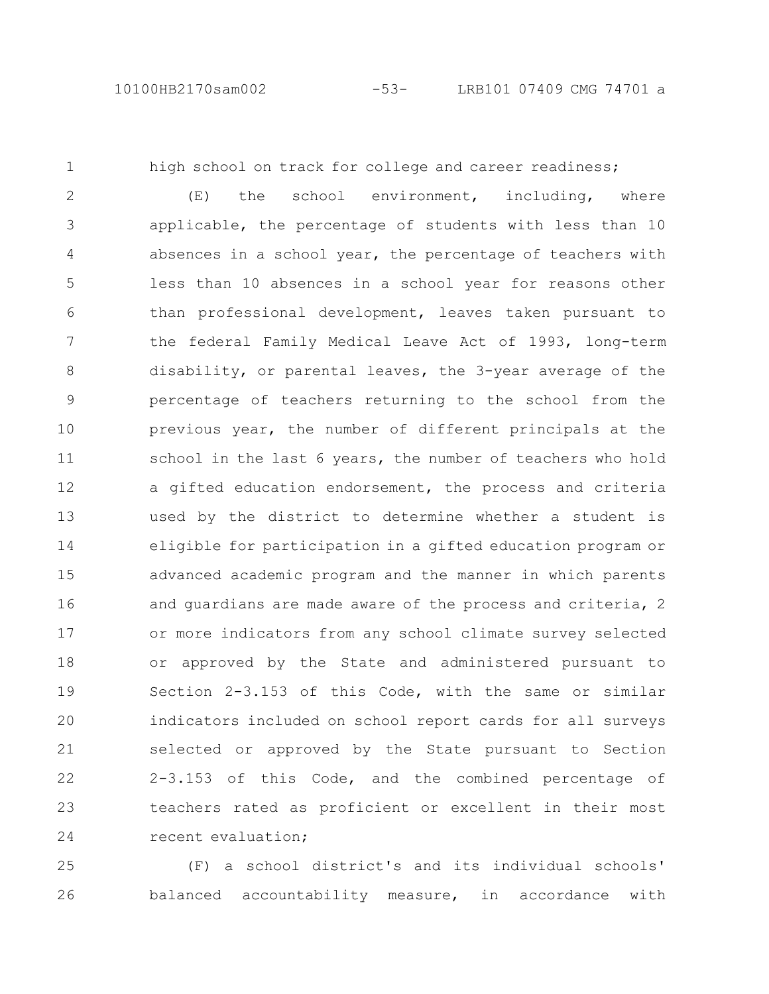1

high school on track for college and career readiness;

(E) the school environment, including, where applicable, the percentage of students with less than 10 absences in a school year, the percentage of teachers with less than 10 absences in a school year for reasons other than professional development, leaves taken pursuant to the federal Family Medical Leave Act of 1993, long-term disability, or parental leaves, the 3-year average of the percentage of teachers returning to the school from the previous year, the number of different principals at the school in the last 6 years, the number of teachers who hold a gifted education endorsement, the process and criteria used by the district to determine whether a student is eligible for participation in a gifted education program or advanced academic program and the manner in which parents and guardians are made aware of the process and criteria, 2 or more indicators from any school climate survey selected or approved by the State and administered pursuant to Section 2-3.153 of this Code, with the same or similar indicators included on school report cards for all surveys selected or approved by the State pursuant to Section 2-3.153 of this Code, and the combined percentage of teachers rated as proficient or excellent in their most recent evaluation; 2 3 4 5 6 7 8 9 10 11 12 13 14 15 16 17 18 19 20 21 22 23 24

(F) a school district's and its individual schools' balanced accountability measure, in accordance with 25 26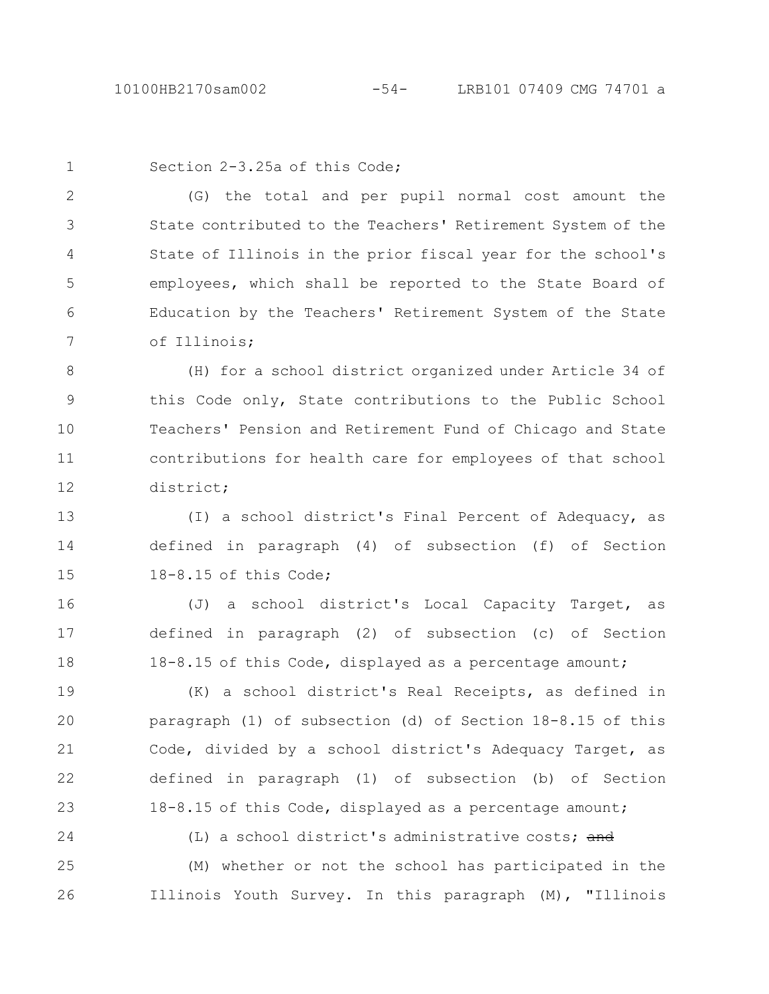1

Section 2-3.25a of this Code;

(G) the total and per pupil normal cost amount the State contributed to the Teachers' Retirement System of the State of Illinois in the prior fiscal year for the school's employees, which shall be reported to the State Board of Education by the Teachers' Retirement System of the State of Illinois; 2 3 4 5 6 7

(H) for a school district organized under Article 34 of this Code only, State contributions to the Public School Teachers' Pension and Retirement Fund of Chicago and State contributions for health care for employees of that school district; 8 9 10 11 12

(I) a school district's Final Percent of Adequacy, as defined in paragraph (4) of subsection (f) of Section 18-8.15 of this Code; 13 14 15

(J) a school district's Local Capacity Target, as defined in paragraph (2) of subsection (c) of Section 18-8.15 of this Code, displayed as a percentage amount; 16 17 18

(K) a school district's Real Receipts, as defined in paragraph (1) of subsection (d) of Section 18-8.15 of this Code, divided by a school district's Adequacy Target, as defined in paragraph (1) of subsection (b) of Section 18-8.15 of this Code, displayed as a percentage amount; 19 20 21 22 23

24

(L) a school district's administrative costs; and

(M) whether or not the school has participated in the Illinois Youth Survey. In this paragraph (M), "Illinois 25 26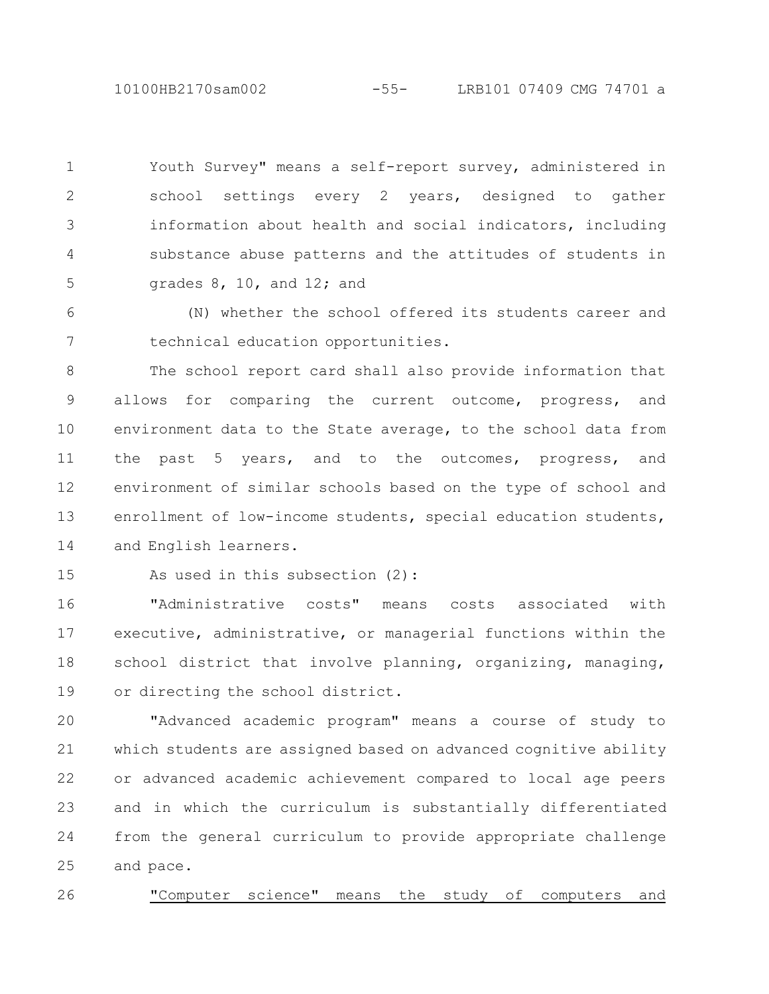10100HB2170sam002 -55- LRB101 07409 CMG 74701 a

Youth Survey" means a self-report survey, administered in school settings every 2 years, designed to gather information about health and social indicators, including substance abuse patterns and the attitudes of students in grades 8, 10, and 12; and 1 2 3 4 5

(N) whether the school offered its students career and technical education opportunities. 6 7

The school report card shall also provide information that allows for comparing the current outcome, progress, and environment data to the State average, to the school data from the past 5 years, and to the outcomes, progress, and environment of similar schools based on the type of school and enrollment of low-income students, special education students, and English learners. 8 9 10 11 12 13 14

15

As used in this subsection (2):

"Administrative costs" means costs associated with executive, administrative, or managerial functions within the school district that involve planning, organizing, managing, or directing the school district. 16 17 18 19

"Advanced academic program" means a course of study to which students are assigned based on advanced cognitive ability or advanced academic achievement compared to local age peers and in which the curriculum is substantially differentiated from the general curriculum to provide appropriate challenge and pace. 20 21 22 23 24 25

"Computer science" means the study of computers and 26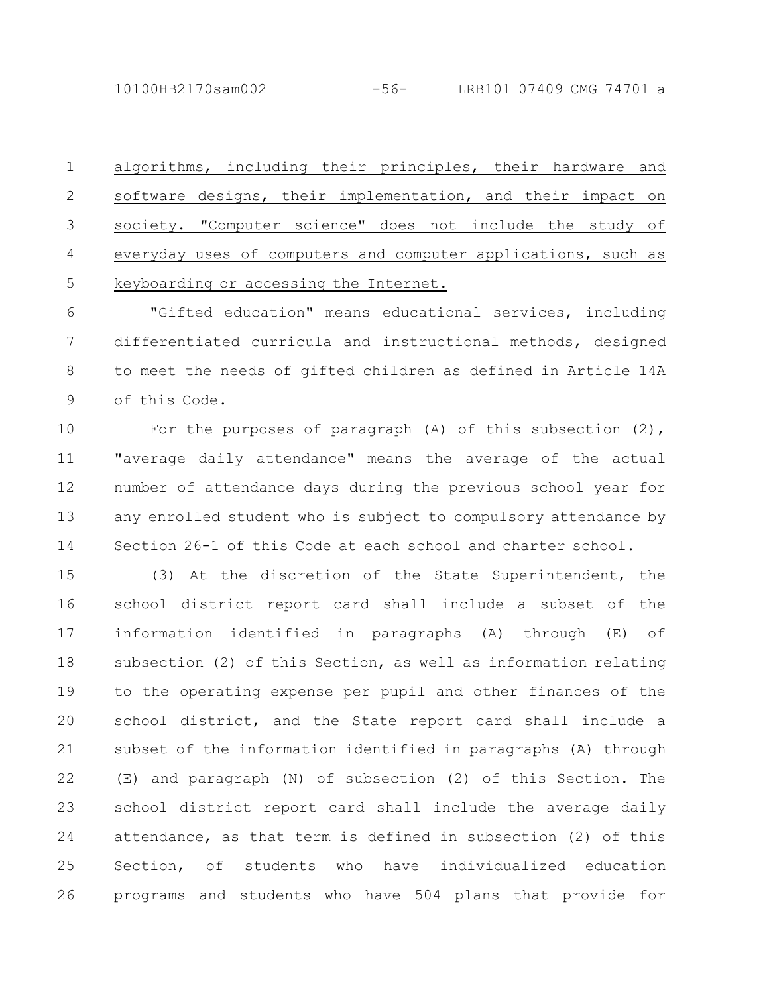10100HB2170sam002 -56- LRB101 07409 CMG 74701 a

algorithms, including their principles, their hardware and software designs, their implementation, and their impact on society. "Computer science" does not include the study of everyday uses of computers and computer applications, such as keyboarding or accessing the Internet. 1 2 3 4 5

"Gifted education" means educational services, including differentiated curricula and instructional methods, designed to meet the needs of gifted children as defined in Article 14A of this Code. 6 7 8 9

For the purposes of paragraph (A) of this subsection (2), "average daily attendance" means the average of the actual number of attendance days during the previous school year for any enrolled student who is subject to compulsory attendance by Section 26-1 of this Code at each school and charter school. 10 11 12 13 14

(3) At the discretion of the State Superintendent, the school district report card shall include a subset of the information identified in paragraphs (A) through (E) of subsection (2) of this Section, as well as information relating to the operating expense per pupil and other finances of the school district, and the State report card shall include a subset of the information identified in paragraphs (A) through (E) and paragraph (N) of subsection (2) of this Section. The school district report card shall include the average daily attendance, as that term is defined in subsection (2) of this Section, of students who have individualized education programs and students who have 504 plans that provide for 15 16 17 18 19 20 21 22 23 24 25 26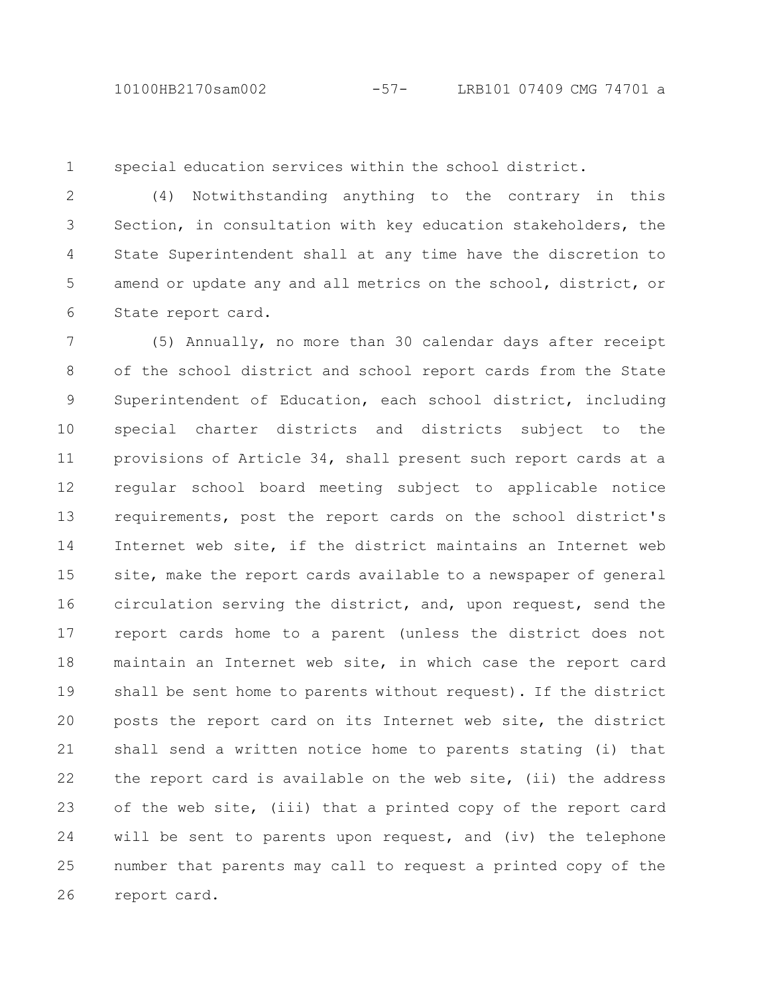1

special education services within the school district.

(4) Notwithstanding anything to the contrary in this Section, in consultation with key education stakeholders, the State Superintendent shall at any time have the discretion to amend or update any and all metrics on the school, district, or State report card. 2 3 4 5 6

(5) Annually, no more than 30 calendar days after receipt of the school district and school report cards from the State Superintendent of Education, each school district, including special charter districts and districts subject to the provisions of Article 34, shall present such report cards at a regular school board meeting subject to applicable notice requirements, post the report cards on the school district's Internet web site, if the district maintains an Internet web site, make the report cards available to a newspaper of general circulation serving the district, and, upon request, send the report cards home to a parent (unless the district does not maintain an Internet web site, in which case the report card shall be sent home to parents without request). If the district posts the report card on its Internet web site, the district shall send a written notice home to parents stating (i) that the report card is available on the web site, (ii) the address of the web site, (iii) that a printed copy of the report card will be sent to parents upon request, and (iv) the telephone number that parents may call to request a printed copy of the report card. 7 8 9 10 11 12 13 14 15 16 17 18 19 20 21 22 23 24 25 26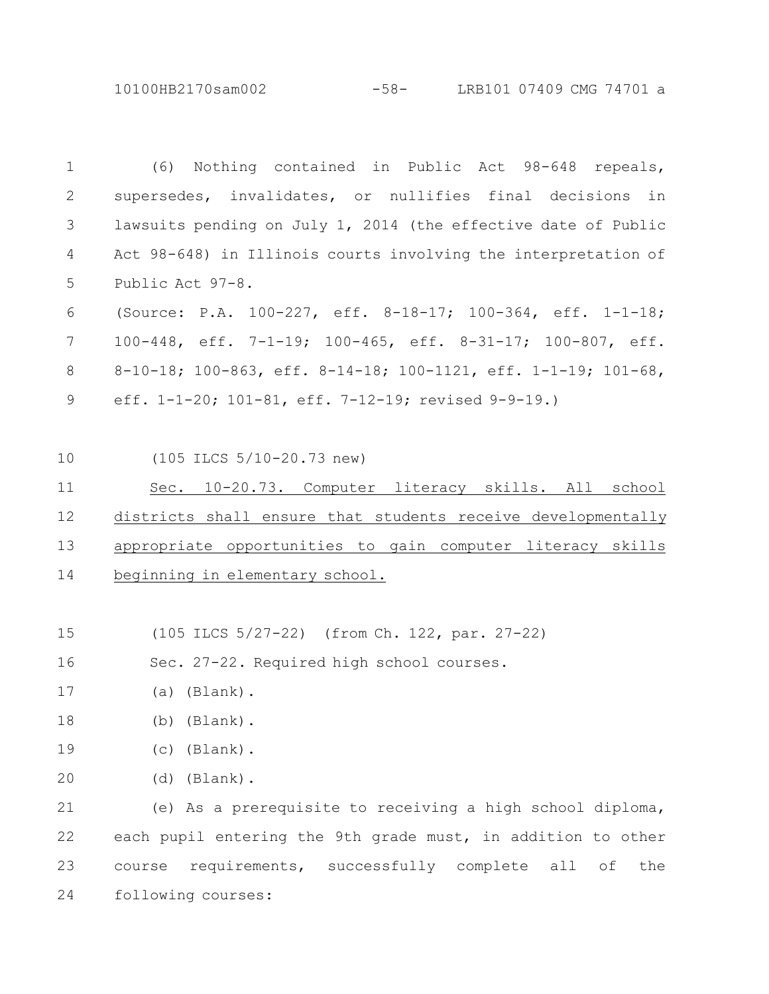10100HB2170sam002 -58- LRB101 07409 CMG 74701 a

(6) Nothing contained in Public Act 98-648 repeals, supersedes, invalidates, or nullifies final decisions in lawsuits pending on July 1, 2014 (the effective date of Public Act 98-648) in Illinois courts involving the interpretation of Public Act 97-8. (Source: P.A. 100-227, eff. 8-18-17; 100-364, eff. 1-1-18; 100-448, eff. 7-1-19; 100-465, eff. 8-31-17; 100-807, eff. 8-10-18; 100-863, eff. 8-14-18; 100-1121, eff. 1-1-19; 101-68, eff. 1-1-20; 101-81, eff. 7-12-19; revised 9-9-19.) (105 ILCS 5/10-20.73 new) Sec. 10-20.73. Computer literacy skills. All school districts shall ensure that students receive developmentally appropriate opportunities to gain computer literacy skills beginning in elementary school. (105 ILCS 5/27-22) (from Ch. 122, par. 27-22) Sec. 27-22. Required high school courses. (a) (Blank). (b) (Blank). (c) (Blank). (d) (Blank). (e) As a prerequisite to receiving a high school diploma, each pupil entering the 9th grade must, in addition to other course requirements, successfully complete all of the following courses: 1 2 3 4 5 6 7 8 9 10 11 12 13 14 15 16 18 19 21 22 23 24

20

- 
- 17
- 
- 
- 
- 
- 
- 
-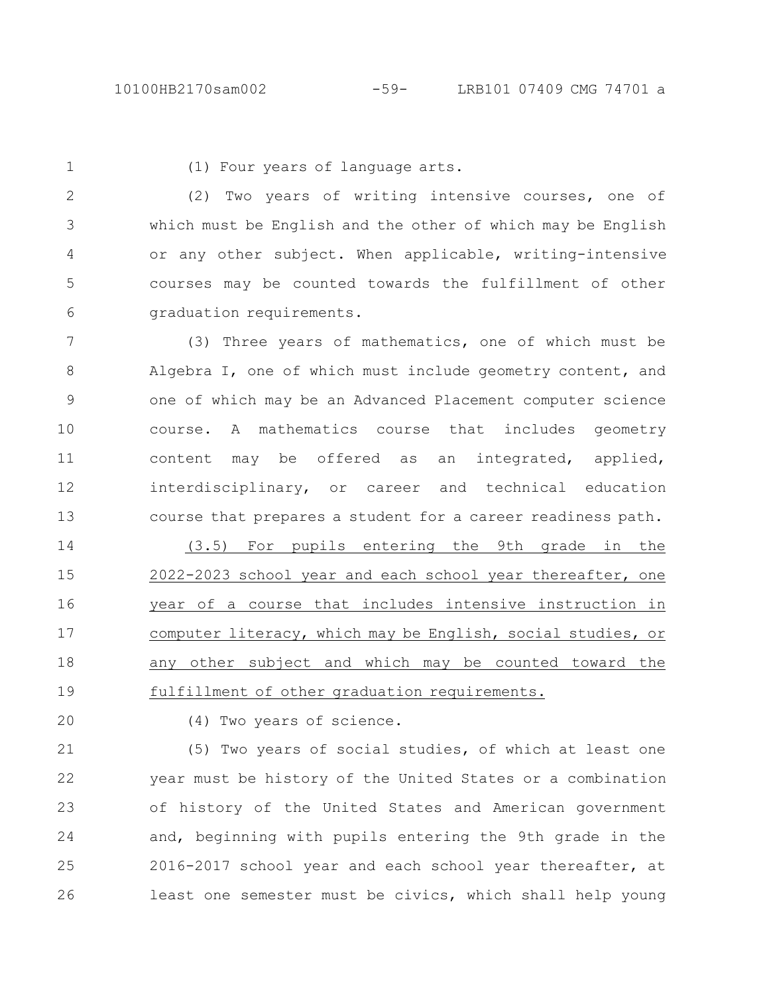1

(1) Four years of language arts.

(2) Two years of writing intensive courses, one of which must be English and the other of which may be English or any other subject. When applicable, writing-intensive courses may be counted towards the fulfillment of other graduation requirements. 2 3 4 5 6

(3) Three years of mathematics, one of which must be Algebra I, one of which must include geometry content, and one of which may be an Advanced Placement computer science course. A mathematics course that includes geometry content may be offered as an integrated, applied, interdisciplinary, or career and technical education course that prepares a student for a career readiness path. 7 8 9 10 11 12 13

(3.5) For pupils entering the 9th grade in the 2022-2023 school year and each school year thereafter, one year of a course that includes intensive instruction in computer literacy, which may be English, social studies, or any other subject and which may be counted toward the fulfillment of other graduation requirements. 14 15 16 17 18 19

20

(4) Two years of science.

(5) Two years of social studies, of which at least one year must be history of the United States or a combination of history of the United States and American government and, beginning with pupils entering the 9th grade in the 2016-2017 school year and each school year thereafter, at least one semester must be civics, which shall help young 21 22 23 24 25 26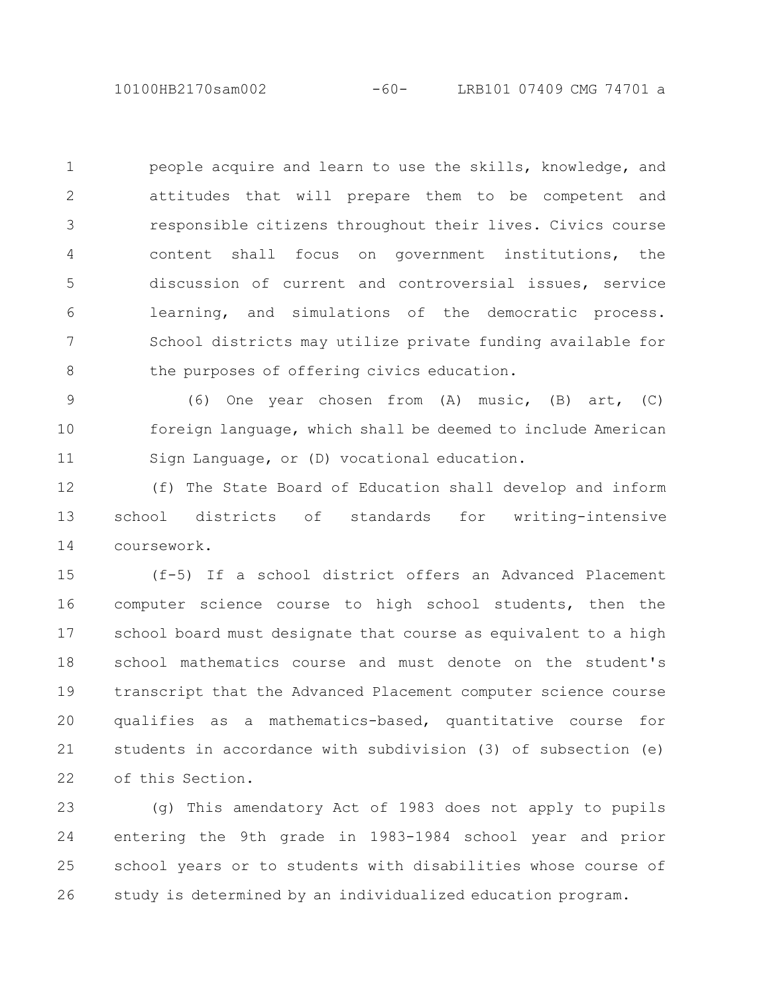10100HB2170sam002 -60- LRB101 07409 CMG 74701 a

people acquire and learn to use the skills, knowledge, and attitudes that will prepare them to be competent and responsible citizens throughout their lives. Civics course content shall focus on government institutions, the discussion of current and controversial issues, service learning, and simulations of the democratic process. School districts may utilize private funding available for the purposes of offering civics education. 1 2 3 4 5 6 7 8

(6) One year chosen from (A) music, (B) art, (C) foreign language, which shall be deemed to include American Sign Language, or (D) vocational education. 9 10 11

(f) The State Board of Education shall develop and inform school districts of standards for writing-intensive coursework. 12 13 14

(f-5) If a school district offers an Advanced Placement computer science course to high school students, then the school board must designate that course as equivalent to a high school mathematics course and must denote on the student's transcript that the Advanced Placement computer science course qualifies as a mathematics-based, quantitative course for students in accordance with subdivision (3) of subsection (e) of this Section. 15 16 17 18 19 20 21 22

(g) This amendatory Act of 1983 does not apply to pupils entering the 9th grade in 1983-1984 school year and prior school years or to students with disabilities whose course of study is determined by an individualized education program. 23 24 25 26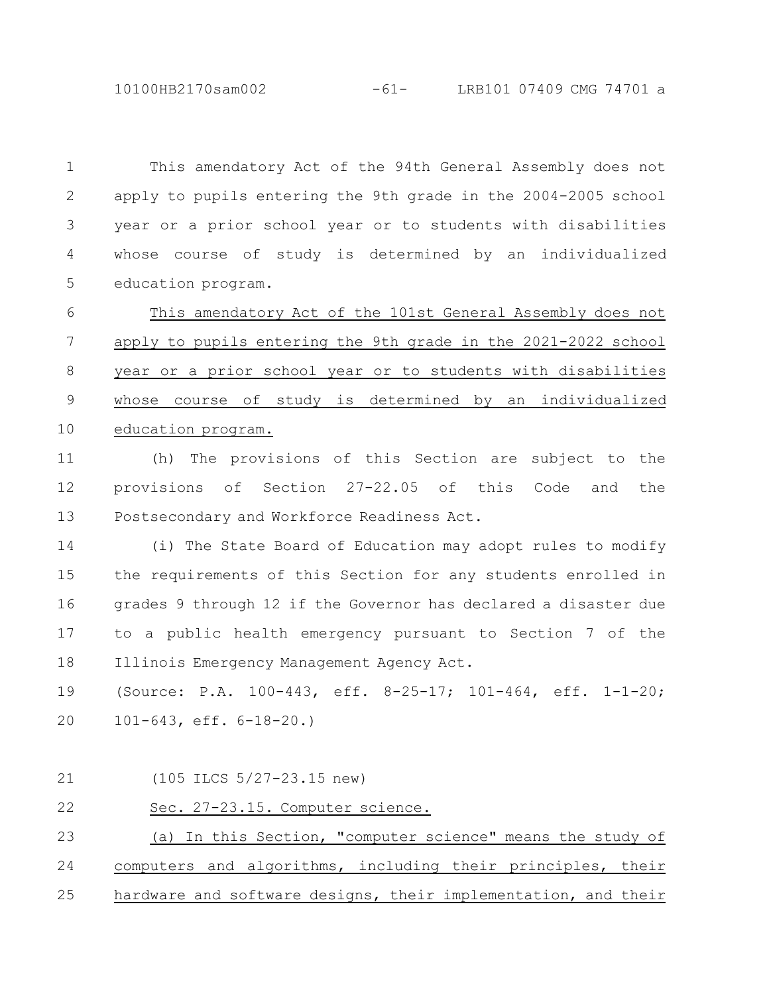10100HB2170sam002 -61- LRB101 07409 CMG 74701 a

This amendatory Act of the 94th General Assembly does not apply to pupils entering the 9th grade in the 2004-2005 school year or a prior school year or to students with disabilities whose course of study is determined by an individualized education program. 1 2 3 4 5

This amendatory Act of the 101st General Assembly does not apply to pupils entering the 9th grade in the 2021-2022 school year or a prior school year or to students with disabilities whose course of study is determined by an individualized education program. 6 7 8 9 10

(h) The provisions of this Section are subject to the provisions of Section 27-22.05 of this Code and the Postsecondary and Workforce Readiness Act. 11 12 13

(i) The State Board of Education may adopt rules to modify the requirements of this Section for any students enrolled in grades 9 through 12 if the Governor has declared a disaster due to a public health emergency pursuant to Section 7 of the Illinois Emergency Management Agency Act. 14 15 16 17 18

(Source: P.A. 100-443, eff. 8-25-17; 101-464, eff. 1-1-20; 101-643, eff. 6-18-20.) 19 20

(105 ILCS 5/27-23.15 new) 21

Sec. 27-23.15. Computer science. 22

(a) In this Section, "computer science" means the study of computers and algorithms, including their principles, their hardware and software designs, their implementation, and their 23 24 25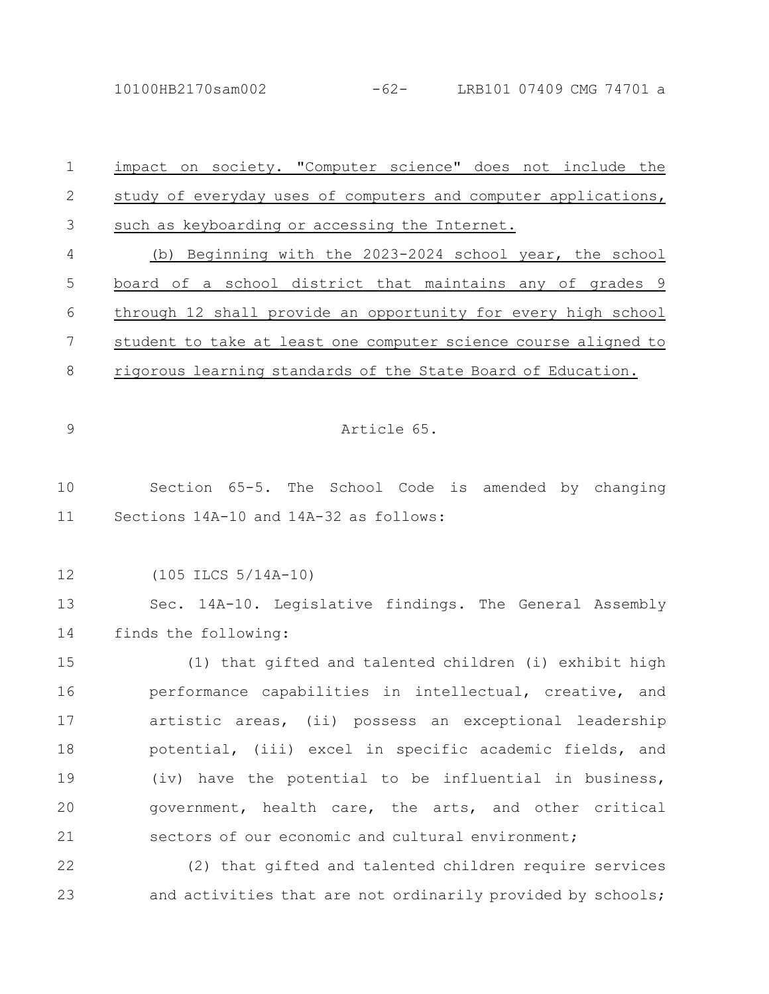10100HB2170sam002 -62- LRB101 07409 CMG 74701 a

| $\mathbf 1$   | impact on society. "Computer science" does not include the      |
|---------------|-----------------------------------------------------------------|
| $\mathbf{2}$  | study of everyday uses of computers and computer applications,  |
| 3             | such as keyboarding or accessing the Internet.                  |
| 4             | (b) Beginning with the 2023-2024 school year, the school        |
| 5             | board of a school district that maintains any of grades 9       |
| 6             | through 12 shall provide an opportunity for every high school   |
| 7             | student to take at least one computer science course aligned to |
| 8             | rigorous learning standards of the State Board of Education.    |
|               |                                                                 |
| $\mathcal{G}$ | Article 65.                                                     |
|               |                                                                 |
| 10            | Section 65-5. The School Code is amended by changing            |
| 11            | Sections 14A-10 and 14A-32 as follows:                          |
|               |                                                                 |
| 12            | $(105$ ILCS $5/14A-10)$                                         |
| 13            | Sec. 14A-10. Legislative findings. The General Assembly         |
| 14            | finds the following:                                            |
| 15            | (1) that gifted and talented children (i) exhibit high          |
| 16            | performance capabilities in intellectual, creative, and         |
| 17            | artistic areas, (ii) possess an exceptional leadership          |
| 18            | potential, (iii) excel in specific academic fields, and         |
| 19            | (iv) have the potential to be influential in business,          |
| 20            | government, health care, the arts, and other critical           |
| 21            | sectors of our economic and cultural environment;               |
| 22            | (2) that gifted and talented children require services          |
| 23            | and activities that are not ordinarily provided by schools;     |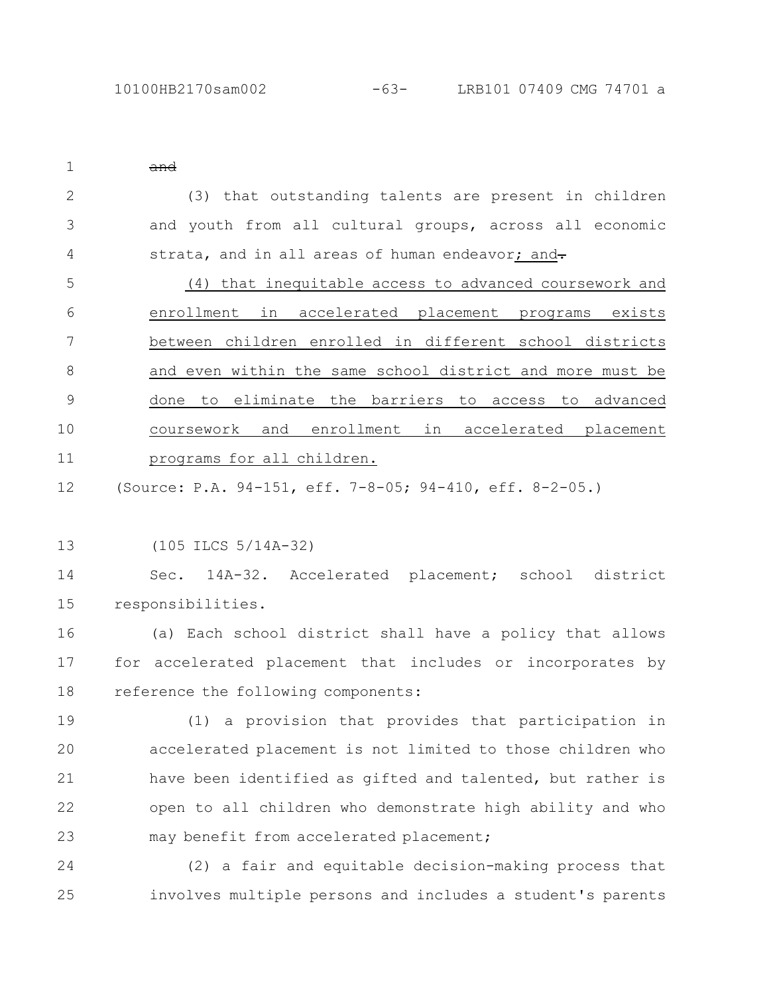| $\mathbf{1}$  | $\theta$                                                   |
|---------------|------------------------------------------------------------|
| $\mathbf{2}$  | (3) that outstanding talents are present in children       |
| 3             | and youth from all cultural groups, across all economic    |
| 4             | strata, and in all areas of human endeavor; and-           |
| 5             | (4) that inequitable access to advanced coursework and     |
| 6             | enrollment in accelerated placement programs exists        |
| 7             | between children enrolled in different school districts    |
| 8             | and even within the same school district and more must be  |
| $\mathcal{G}$ | done to eliminate the barriers to access to advanced       |
| 10            | coursework and enrollment in accelerated placement         |
| 11            | programs for all children.                                 |
| 12            | (Source: P.A. 94-151, eff. 7-8-05; 94-410, eff. 8-2-05.)   |
|               |                                                            |
| 13            | $(105$ ILCS $5/14A-32)$                                    |
| 14            | Sec. 14A-32. Accelerated placement; school district        |
| 15            | responsibilities.                                          |
| 16            | (a) Each school district shall have a policy that allows   |
| 17            | for accelerated placement that includes or incorporates by |
| 18            | reference the following components:                        |
| 19            | (1) a provision that provides that participation in        |
| 20            | accelerated placement is not limited to those children who |
| 21            | have been identified as gifted and talented, but rather is |
| 22            | open to all children who demonstrate high ability and who  |
| 23            | may benefit from accelerated placement;                    |
| 24            | (2) a fair and equitable decision-making process that      |
| 25            | involves multiple persons and includes a student's parents |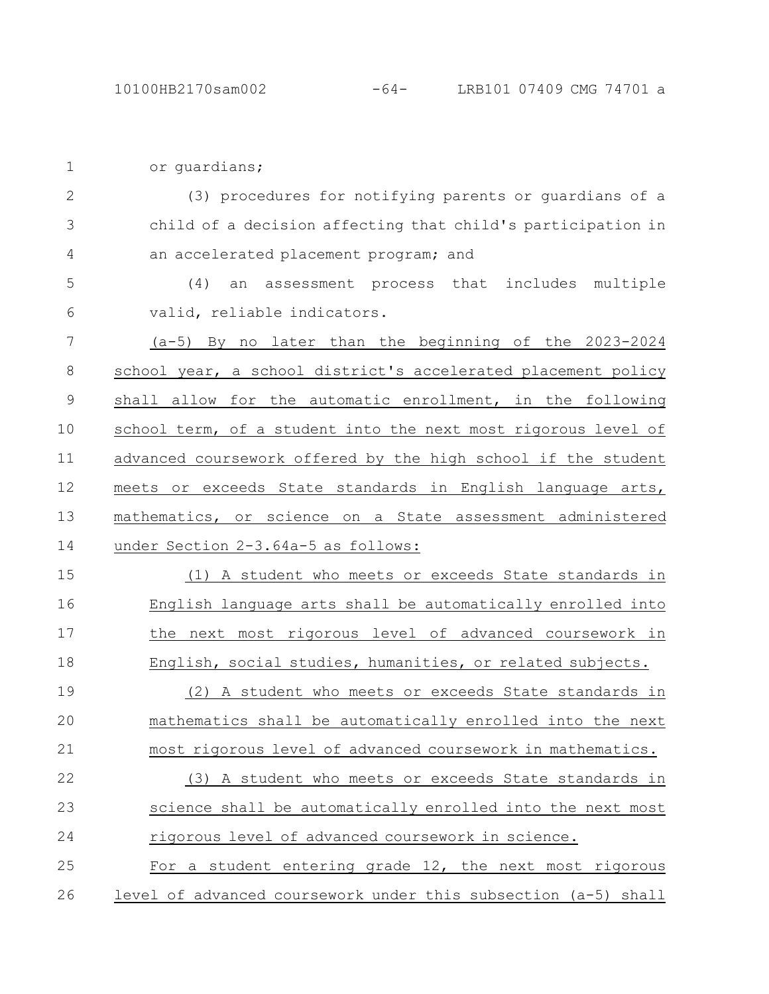| $\mathbf 1$   | or quardians;                                                  |
|---------------|----------------------------------------------------------------|
| $\mathbf{2}$  | (3) procedures for notifying parents or guardians of a         |
| 3             | child of a decision affecting that child's participation in    |
| 4             | an accelerated placement program; and                          |
| 5             | (4)<br>an assessment process that includes multiple            |
| 6             | valid, reliable indicators.                                    |
| 7             | (a-5) By no later than the beginning of the 2023-2024          |
| 8             | school year, a school district's accelerated placement policy  |
| $\mathcal{G}$ | shall allow for the automatic enrollment, in the following     |
| 10            | school term, of a student into the next most rigorous level of |
| 11            | advanced coursework offered by the high school if the student  |
| 12            | meets or exceeds State standards in English language arts,     |
| 13            | mathematics, or science on a State assessment administered     |
| 14            | under Section 2-3.64a-5 as follows:                            |
| 15            | (1) A student who meets or exceeds State standards in          |
| 16            | English language arts shall be automatically enrolled into     |
| 17            | the next most rigorous level of advanced coursework in         |
| 18            | English, social studies, humanities, or related subjects.      |
| 19            | (2) A student who meets or exceeds State standards in          |
| 20            | mathematics shall be automatically enrolled into the next      |
| 21            | most rigorous level of advanced coursework in mathematics.     |
| 22            | (3) A student who meets or exceeds State standards in          |
| 23            | science shall be automatically enrolled into the next most     |
| 24            | rigorous level of advanced coursework in science.              |
| 25            | For a student entering grade 12, the next most rigorous        |
|               |                                                                |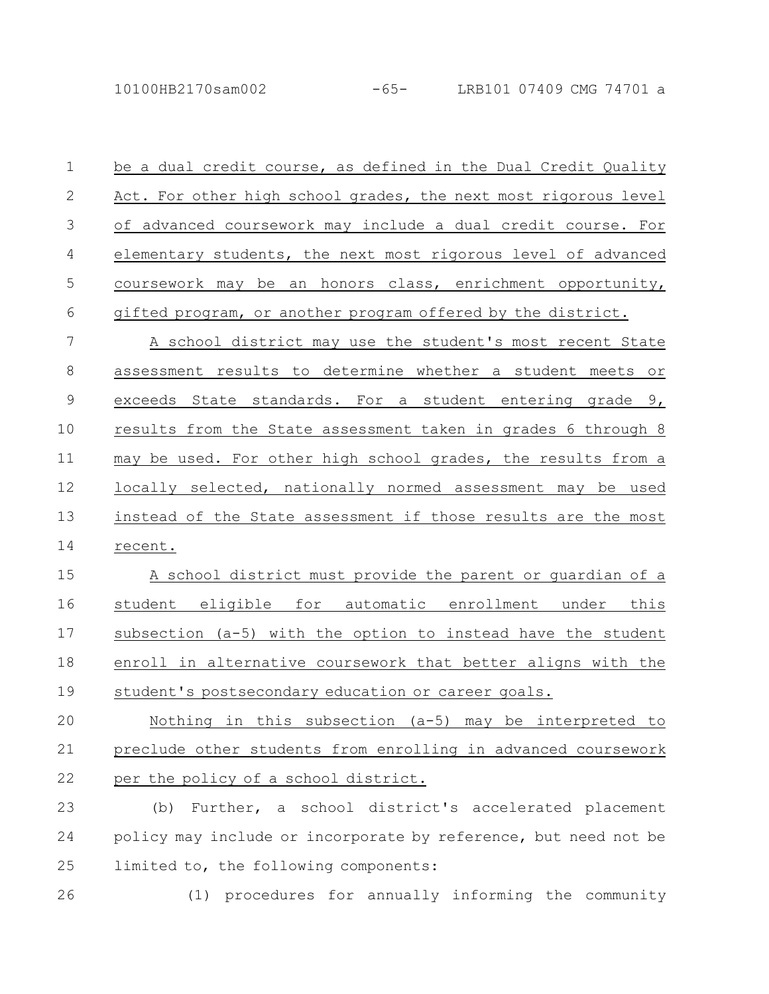10100HB2170sam002 -65- LRB101 07409 CMG 74701 a

| $\mathbf{1}$ | be a dual credit course, as defined in the Dual Credit Quality  |
|--------------|-----------------------------------------------------------------|
| 2            | Act. For other high school grades, the next most rigorous level |
| 3            | of advanced coursework may include a dual credit course. For    |
| 4            | elementary students, the next most rigorous level of advanced   |
| .5           | coursework may be an honors class, enrichment opportunity,      |
| 6            | gifted program, or another program offered by the district.     |

A school district may use the student's most recent State assessment results to determine whether a student meets or exceeds State standards. For a student entering grade 9, results from the State assessment taken in grades 6 through 8 may be used. For other high school grades, the results from a locally selected, nationally normed assessment may be used instead of the State assessment if those results are the most recent. 7 8 9 10 11 12 13 14

A school district must provide the parent or guardian of a student eligible for automatic enrollment under this subsection (a-5) with the option to instead have the student enroll in alternative coursework that better aligns with the student's postsecondary education or career goals. 15 16 17 18 19

Nothing in this subsection (a-5) may be interpreted to preclude other students from enrolling in advanced coursework per the policy of a school district. 20 21 22

(b) Further, a school district's accelerated placement policy may include or incorporate by reference, but need not be limited to, the following components: 23 24 25

26

(1) procedures for annually informing the community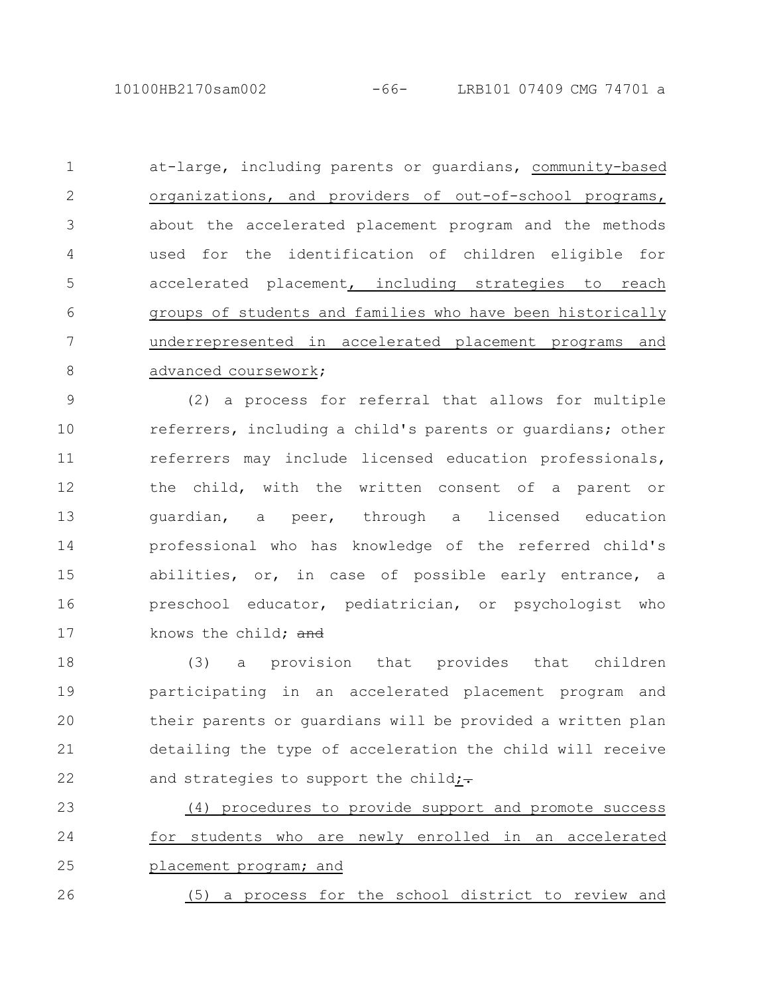10100HB2170sam002 -66- LRB101 07409 CMG 74701 a

at-large, including parents or guardians, community-based organizations, and providers of out-of-school programs, about the accelerated placement program and the methods used for the identification of children eligible for accelerated placement, including strategies to reach groups of students and families who have been historically underrepresented in accelerated placement programs and advanced coursework; 1 2 3 4 5 6 7 8

(2) a process for referral that allows for multiple referrers, including a child's parents or guardians; other referrers may include licensed education professionals, the child, with the written consent of a parent or guardian, a peer, through a licensed education professional who has knowledge of the referred child's abilities, or, in case of possible early entrance, a preschool educator, pediatrician, or psychologist who knows the child: and 9 10 11 12 13 14 15 16 17

(3) a provision that provides that children participating in an accelerated placement program and their parents or guardians will be provided a written plan detailing the type of acceleration the child will receive and strategies to support the child $:=$ 18 19 20 21 22

(4) procedures to provide support and promote success for students who are newly enrolled in an accelerated placement program; and 23 24 25

(5) a process for the school district to review and 26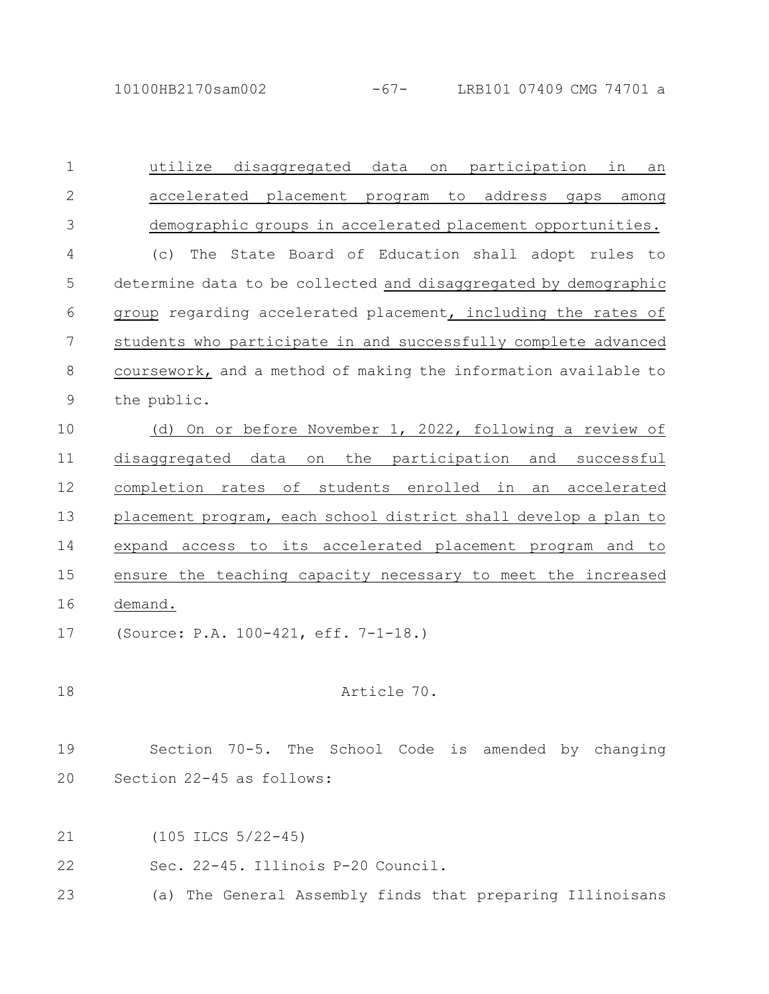10100HB2170sam002 -67- LRB101 07409 CMG 74701 a

utilize disaggregated data on participation in an accelerated placement program to address gaps among demographic groups in accelerated placement opportunities. (c) The State Board of Education shall adopt rules to determine data to be collected and disaggregated by demographic group regarding accelerated placement, including the rates of students who participate in and successfully complete advanced coursework, and a method of making the information available to the public. (d) On or before November 1, 2022, following a review of disaggregated data on the participation and successful completion rates of students enrolled in an accelerated placement program, each school district shall develop a plan to expand access to its accelerated placement program and to ensure the teaching capacity necessary to meet the increased demand. (Source: P.A. 100-421, eff. 7-1-18.) Article 70. Section 70-5. The School Code is amended by changing Section 22-45 as follows: (105 ILCS 5/22-45) Sec. 22-45. Illinois P-20 Council. 1 2 3 4 5 6 7 8 9 10 11 12 13 14 15 16 17 18 19 20 21 22

(a) The General Assembly finds that preparing Illinoisans 23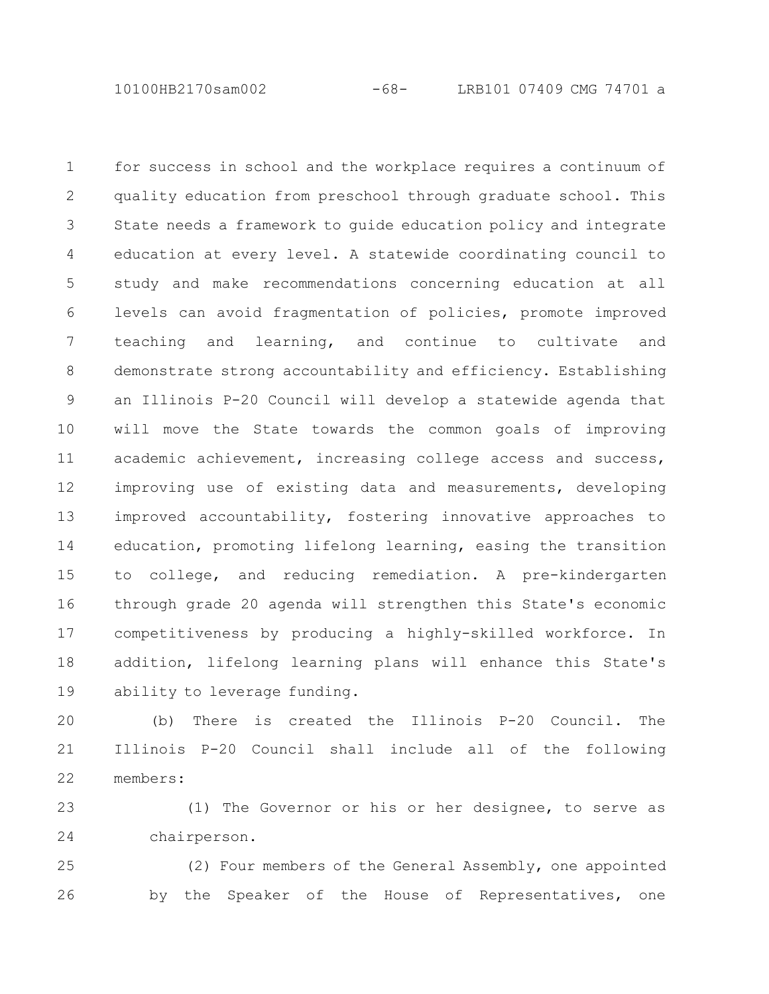10100HB2170sam002 -68- LRB101 07409 CMG 74701 a

for success in school and the workplace requires a continuum of quality education from preschool through graduate school. This State needs a framework to guide education policy and integrate education at every level. A statewide coordinating council to study and make recommendations concerning education at all levels can avoid fragmentation of policies, promote improved teaching and learning, and continue to cultivate and demonstrate strong accountability and efficiency. Establishing an Illinois P-20 Council will develop a statewide agenda that will move the State towards the common goals of improving academic achievement, increasing college access and success, improving use of existing data and measurements, developing improved accountability, fostering innovative approaches to education, promoting lifelong learning, easing the transition to college, and reducing remediation. A pre-kindergarten through grade 20 agenda will strengthen this State's economic competitiveness by producing a highly-skilled workforce. In addition, lifelong learning plans will enhance this State's ability to leverage funding. 1 2 3 4 5 6 7 8 9 10 11 12 13 14 15 16 17 18 19

(b) There is created the Illinois P-20 Council. The Illinois P-20 Council shall include all of the following members: 20 21 22

(1) The Governor or his or her designee, to serve as chairperson. 23 24

(2) Four members of the General Assembly, one appointed by the Speaker of the House of Representatives, one 25 26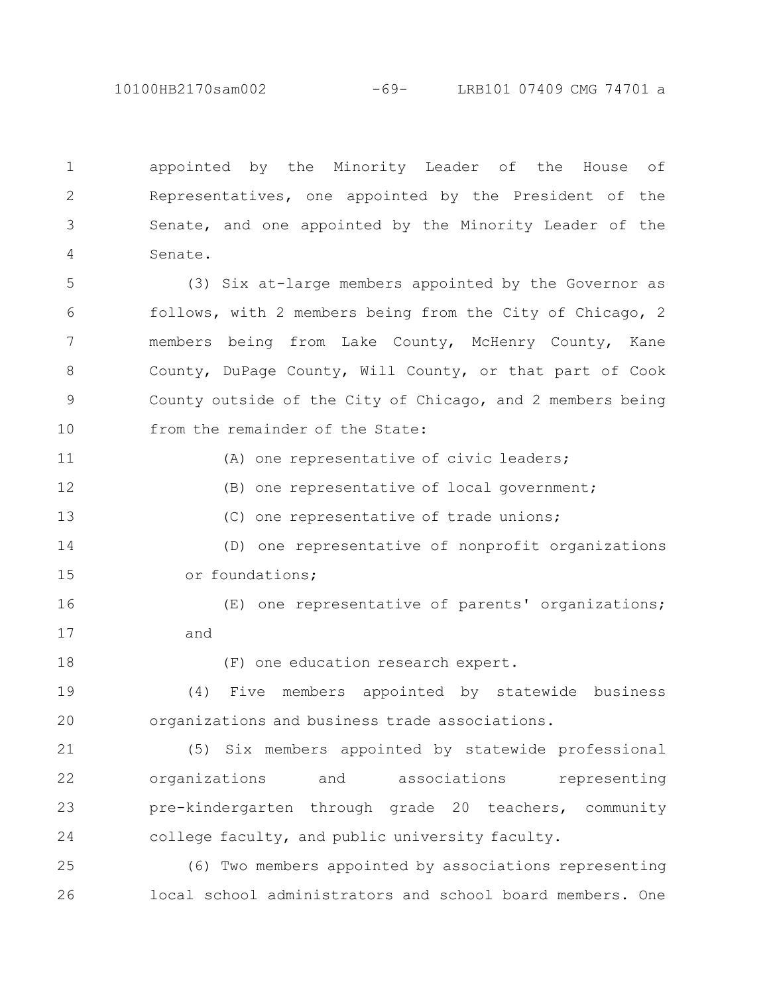10100HB2170sam002 -69- LRB101 07409 CMG 74701 a

appointed by the Minority Leader of the House of Representatives, one appointed by the President of the Senate, and one appointed by the Minority Leader of the Senate. 1 2 3 4

(3) Six at-large members appointed by the Governor as follows, with 2 members being from the City of Chicago, 2 members being from Lake County, McHenry County, Kane County, DuPage County, Will County, or that part of Cook County outside of the City of Chicago, and 2 members being from the remainder of the State: 5 6 7 8 9 10

(A) one representative of civic leaders;

(B) one representative of local government;

(C) one representative of trade unions;

(D) one representative of nonprofit organizations or foundations; 14 15

(E) one representative of parents' organizations; and 16 17

18

11

12

13

(F) one education research expert.

(4) Five members appointed by statewide business organizations and business trade associations. 19 20

(5) Six members appointed by statewide professional organizations and associations representing pre-kindergarten through grade 20 teachers, community college faculty, and public university faculty. 21 22 23 24

(6) Two members appointed by associations representing local school administrators and school board members. One 25 26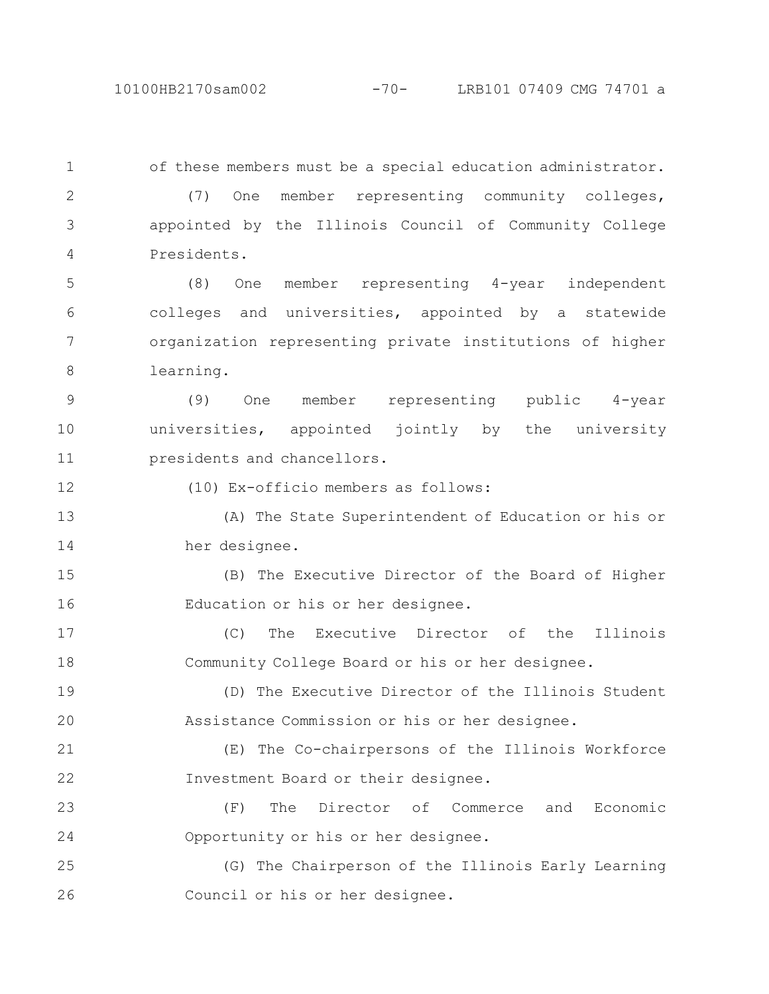10100HB2170sam002 -70- LRB101 07409 CMG 74701 a

of these members must be a special education administrator. (7) One member representing community colleges, appointed by the Illinois Council of Community College Presidents. (8) One member representing 4-year independent colleges and universities, appointed by a statewide organization representing private institutions of higher learning. (9) One member representing public 4-year universities, appointed jointly by the university presidents and chancellors. (10) Ex-officio members as follows: (A) The State Superintendent of Education or his or her designee. (B) The Executive Director of the Board of Higher Education or his or her designee. (C) The Executive Director of the Illinois Community College Board or his or her designee. (D) The Executive Director of the Illinois Student Assistance Commission or his or her designee. (E) The Co-chairpersons of the Illinois Workforce Investment Board or their designee. (F) The Director of Commerce and Economic Opportunity or his or her designee. (G) The Chairperson of the Illinois Early Learning Council or his or her designee. 1 2 3 4 5 6 7 8 9 10 11 12 13 14 15 16 17 18 19 20 21 22 23 24 25 26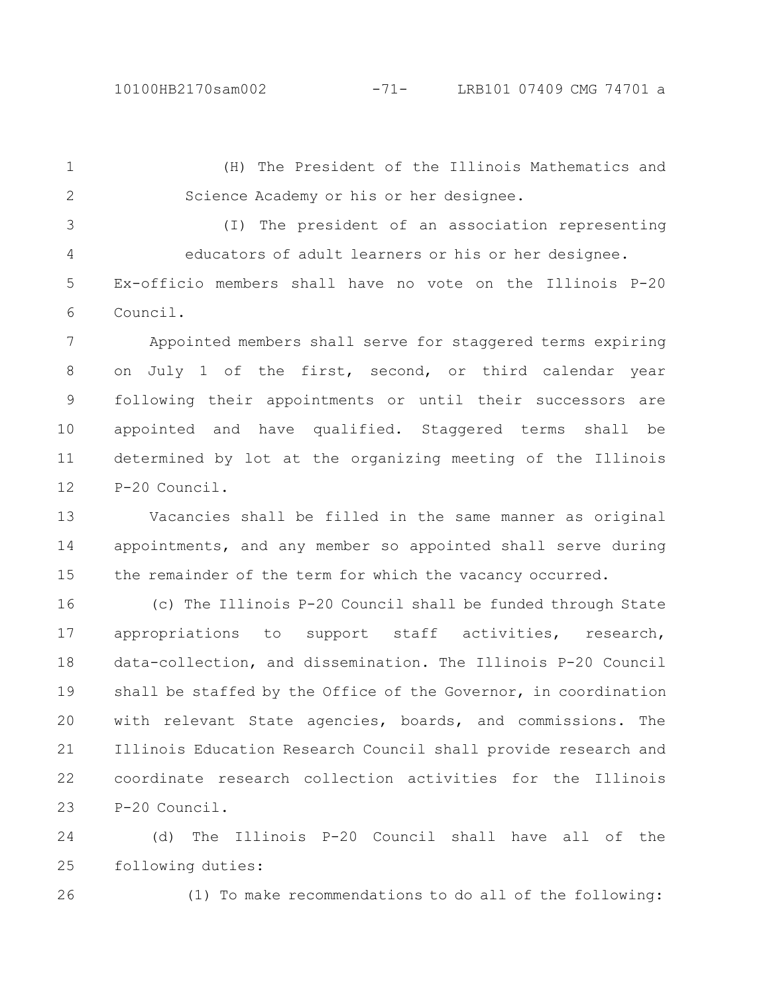(H) The President of the Illinois Mathematics and Science Academy or his or her designee. 1 2

(I) The president of an association representing educators of adult learners or his or her designee. Ex-officio members shall have no vote on the Illinois P-20 Council. 3 4 5 6

Appointed members shall serve for staggered terms expiring on July 1 of the first, second, or third calendar year following their appointments or until their successors are appointed and have qualified. Staggered terms shall be determined by lot at the organizing meeting of the Illinois P-20 Council. 7 8 9 10 11 12

Vacancies shall be filled in the same manner as original appointments, and any member so appointed shall serve during the remainder of the term for which the vacancy occurred. 13 14 15

(c) The Illinois P-20 Council shall be funded through State appropriations to support staff activities, research, data-collection, and dissemination. The Illinois P-20 Council shall be staffed by the Office of the Governor, in coordination with relevant State agencies, boards, and commissions. The Illinois Education Research Council shall provide research and coordinate research collection activities for the Illinois P-20 Council. 16 17 18 19 20 21 22 23

(d) The Illinois P-20 Council shall have all of the following duties: 24 25

26

(1) To make recommendations to do all of the following: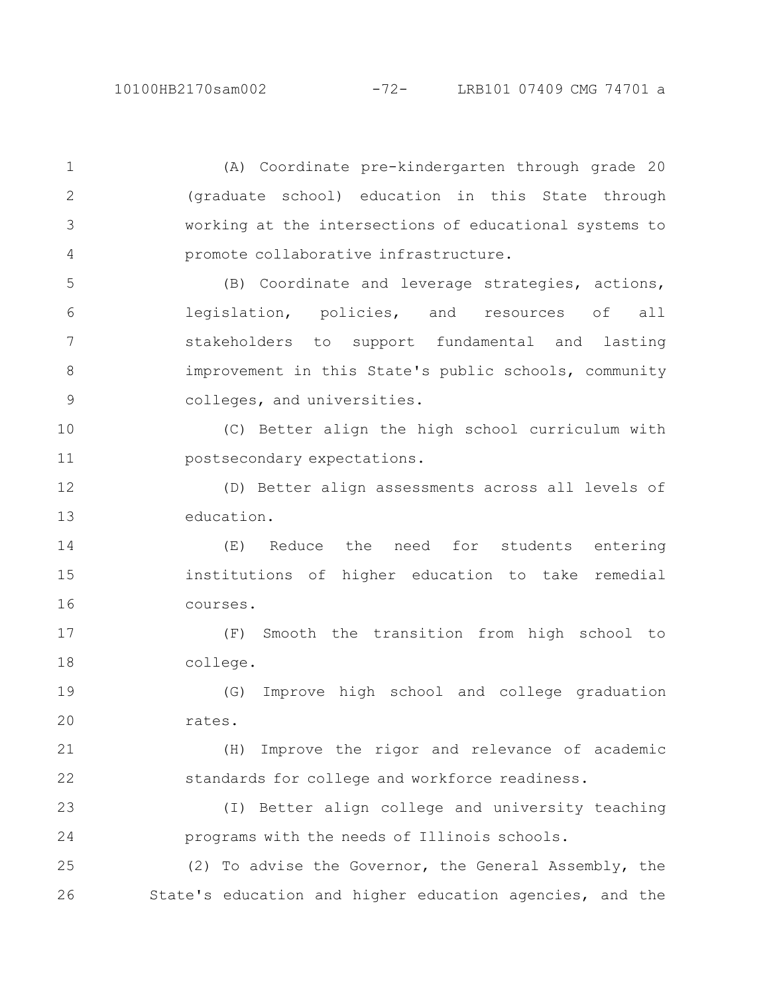(A) Coordinate pre-kindergarten through grade 20 (graduate school) education in this State through working at the intersections of educational systems to promote collaborative infrastructure. 1 2 3 4

(B) Coordinate and leverage strategies, actions, legislation, policies, and resources of all stakeholders to support fundamental and lasting improvement in this State's public schools, community colleges, and universities. 5 6 7 8 9

(C) Better align the high school curriculum with postsecondary expectations. 10 11

(D) Better align assessments across all levels of education. 12 13

(E) Reduce the need for students entering institutions of higher education to take remedial courses. 14 15 16

(F) Smooth the transition from high school to college. 17 18

(G) Improve high school and college graduation rates. 19 20

(H) Improve the rigor and relevance of academic standards for college and workforce readiness. 21 22

(I) Better align college and university teaching programs with the needs of Illinois schools. 23 24

(2) To advise the Governor, the General Assembly, the State's education and higher education agencies, and the 25 26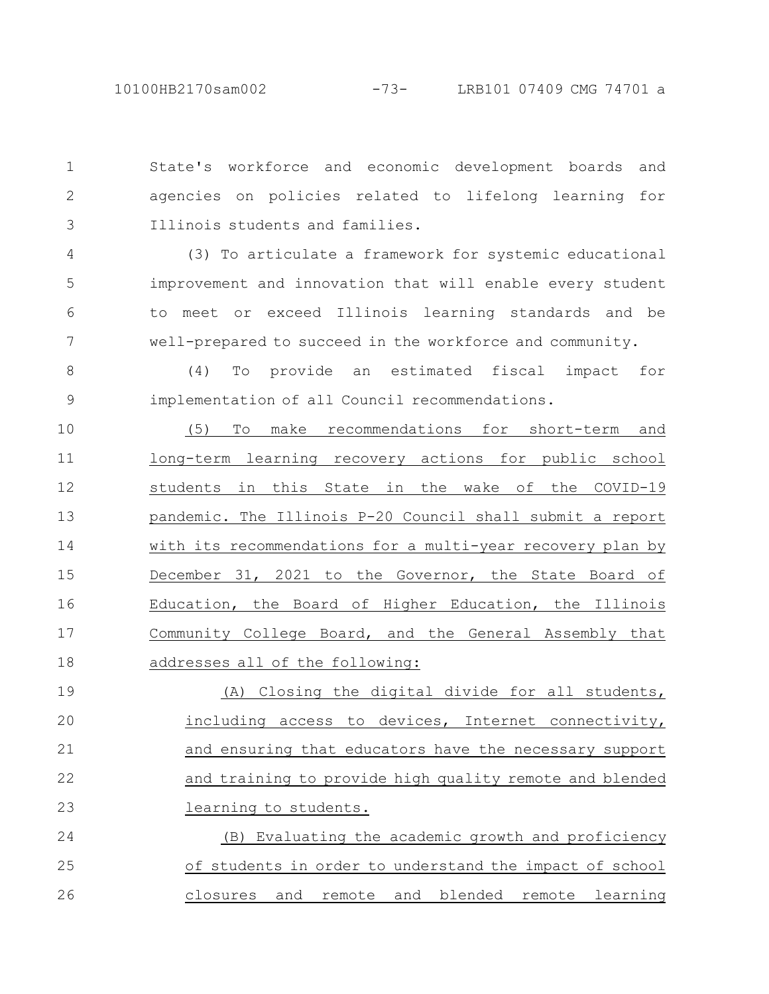9

State's workforce and economic development boards and agencies on policies related to lifelong learning for Illinois students and families. 1 2 3

(3) To articulate a framework for systemic educational improvement and innovation that will enable every student to meet or exceed Illinois learning standards and be well-prepared to succeed in the workforce and community. 4 5 6 7

(4) To provide an estimated fiscal impact for implementation of all Council recommendations.

(5) To make recommendations for short-term and long-term learning recovery actions for public school students in this State in the wake of the COVID-19 pandemic. The Illinois P-20 Council shall submit a report with its recommendations for a multi-year recovery plan by December 31, 2021 to the Governor, the State Board of Education, the Board of Higher Education, the Illinois Community College Board, and the General Assembly that addresses all of the following: 10 11 12 13 14 15 16 17 18

(A) Closing the digital divide for all students, including access to devices, Internet connectivity, and ensuring that educators have the necessary support and training to provide high quality remote and blended learning to students. 19 20 21 22 23

(B) Evaluating the academic growth and proficiency of students in order to understand the impact of school closures and remote and blended remote learning 24 25 26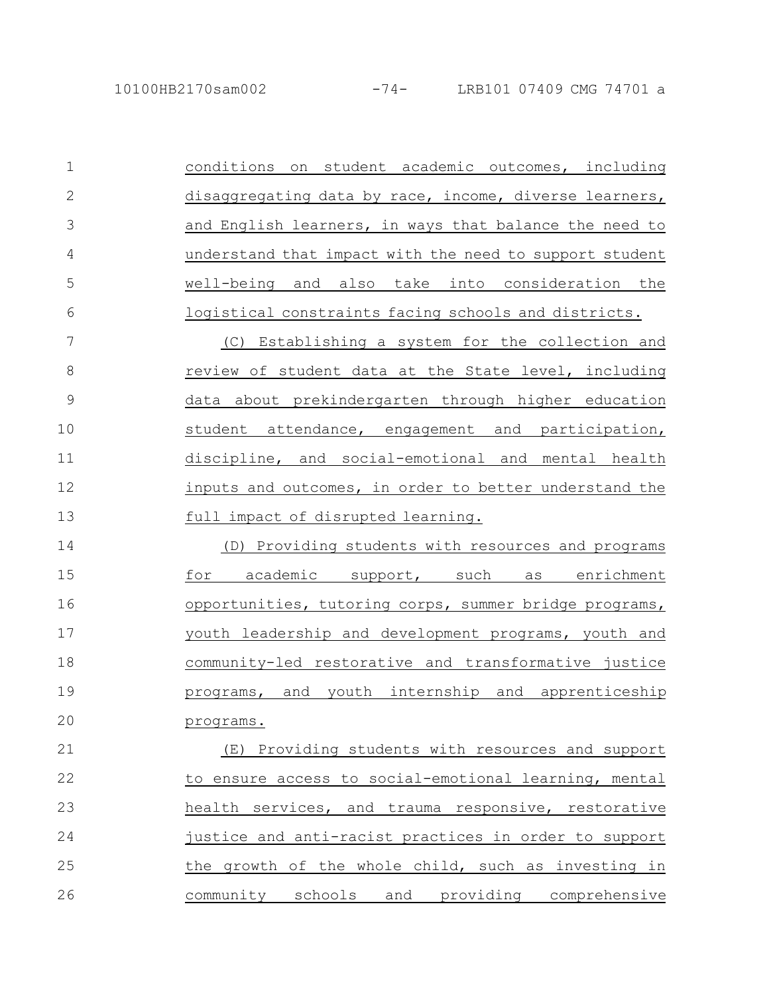| $\mathbf{1}$ | conditions on student academic outcomes, including      |
|--------------|---------------------------------------------------------|
| $\mathbf{2}$ | disaggregating data by race, income, diverse learners,  |
| 3            | and English learners, in ways that balance the need to  |
| 4            | understand that impact with the need to support student |
| 5            | well-being and also take into consideration the         |
| 6            | logistical constraints facing schools and districts.    |
| 7            | (C) Establishing a system for the collection and        |
| 8            | review of student data at the State level, including    |
| 9            | data about prekindergarten through higher education     |
| 10           | student attendance, engagement and participation,       |
| 11           | discipline, and social-emotional and mental health      |
| 12           | inputs and outcomes, in order to better understand the  |
| 13           | full impact of disrupted learning.                      |
| 14           | (D) Providing students with resources and programs      |
| 15           | academic support, such as enrichment<br>for             |
| 16           | opportunities, tutoring corps, summer bridge programs,  |
| 17           | youth leadership and development programs, youth and    |
| 18           | community-led restorative and transformative justice    |

programs. 20

19

(E) Providing students with resources and support to ensure access to social-emotional learning, mental health services, and trauma responsive, restorative justice and anti-racist practices in order to support the growth of the whole child, such as investing in community schools and providing comprehensive 21 22 23 24 25 26

programs, and youth internship and apprenticeship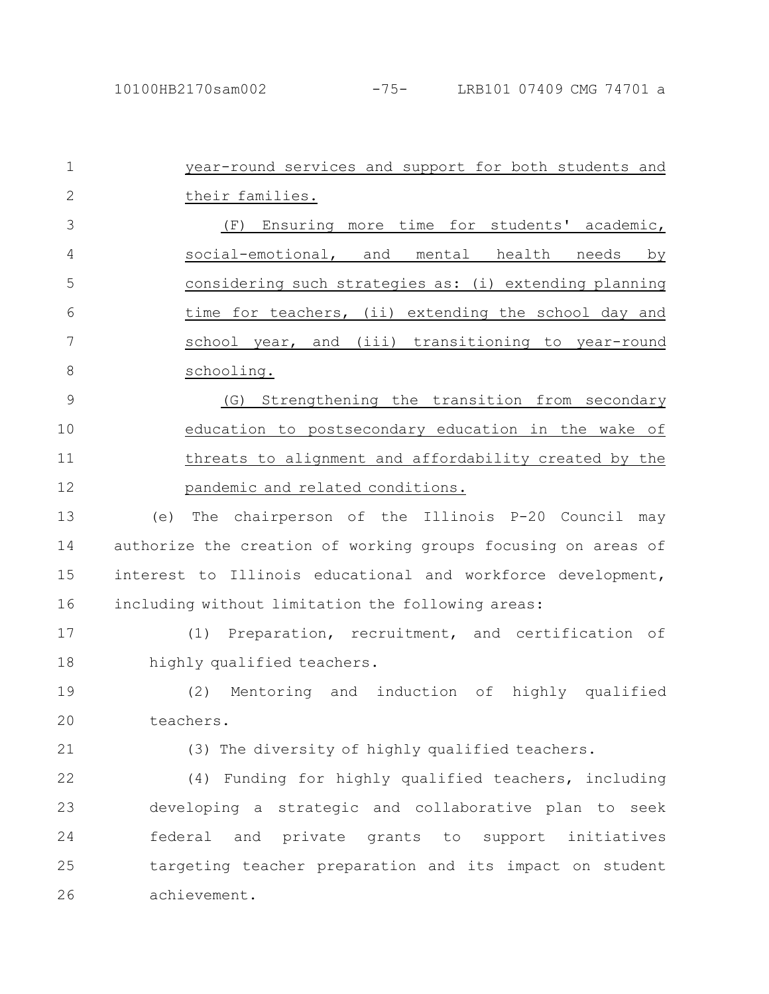| $\mathbf 1$   | year-round services and support for both students and         |
|---------------|---------------------------------------------------------------|
| $\mathbf{2}$  | their families.                                               |
| 3             | (F) Ensuring more time for students' academic,                |
| 4             | social-emotional, and mental health needs<br>by               |
| 5             | considering such strategies as: (i) extending planning        |
| 6             | time for teachers, (ii) extending the school day and          |
| 7             | school year, and (iii) transitioning to year-round            |
| 8             | schooling.                                                    |
| $\mathcal{G}$ | Strengthening the transition from secondary<br>(G)            |
| 10            | education to postsecondary education in the wake of           |
| 11            | threats to alignment and affordability created by the         |
| 12            | pandemic and related conditions.                              |
| 13            | The chairperson of the Illinois P-20 Council may<br>(e)       |
| 14            | authorize the creation of working groups focusing on areas of |
| 15            | interest to Illinois educational and workforce development,   |
| 16            | including without limitation the following areas:             |
| 17            | Preparation, recruitment, and certification of<br>(1)         |
| 18            | highly qualified teachers.                                    |
| 19            | Mentoring and induction of highly qualified<br>(2)            |
| 20            | teachers.                                                     |
| 21            | (3) The diversity of highly qualified teachers.               |
| 22            | (4) Funding for highly qualified teachers, including          |
| 23            | developing a strategic and collaborative plan to seek         |
| 24            | federal<br>and private<br>grants to support<br>initiatives    |
| 25            | targeting teacher preparation and its impact on student       |
| 26            | achievement.                                                  |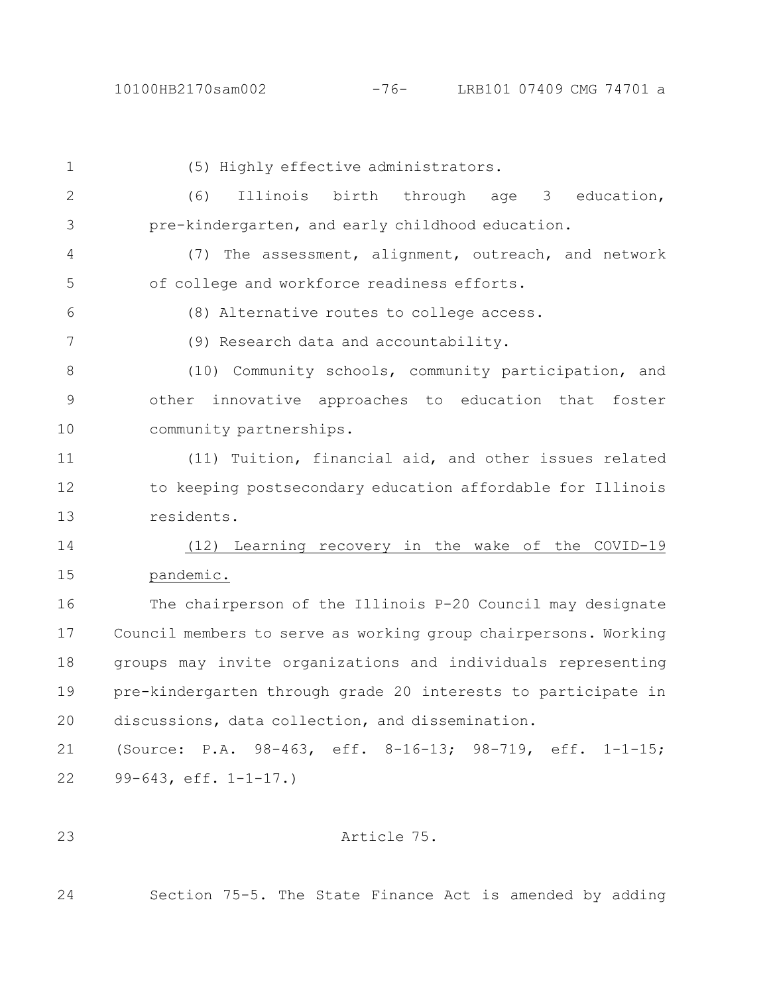## 10100HB2170sam002 -76- LRB101 07409 CMG 74701 a

| 1            | (5) Highly effective administrators.                            |
|--------------|-----------------------------------------------------------------|
| $\mathbf{2}$ | Illinois birth through age 3 education,<br>(6)                  |
| 3            | pre-kindergarten, and early childhood education.                |
| 4            | (7) The assessment, alignment, outreach, and network            |
| 5            | of college and workforce readiness efforts.                     |
| 6            | (8) Alternative routes to college access.                       |
| 7            | (9) Research data and accountability.                           |
| 8            | (10) Community schools, community participation, and            |
| $\mathsf 9$  | other innovative approaches to education that foster            |
| 10           | community partnerships.                                         |
| 11           | (11) Tuition, financial aid, and other issues related           |
| 12           | to keeping postsecondary education affordable for Illinois      |
| 13           | residents.                                                      |
| 14           | (12) Learning recovery in the wake of the COVID-19              |
| 15           | pandemic.                                                       |
| 16           | The chairperson of the Illinois P-20 Council may designate      |
| 17           | Council members to serve as working group chairpersons. Working |
| 18           | groups may invite organizations and individuals representing    |
| 19           | pre-kindergarten through grade 20 interests to participate in   |
| 20           | discussions, data collection, and dissemination.                |
| 21           | (Source: P.A. 98-463, eff. 8-16-13; 98-719, eff. 1-1-15;        |
| 22           | 99-643, $eff. 1-1-17.$                                          |
|              |                                                                 |

Article 75.

23

24 Section 75-5. The State Finance Act is amended by adding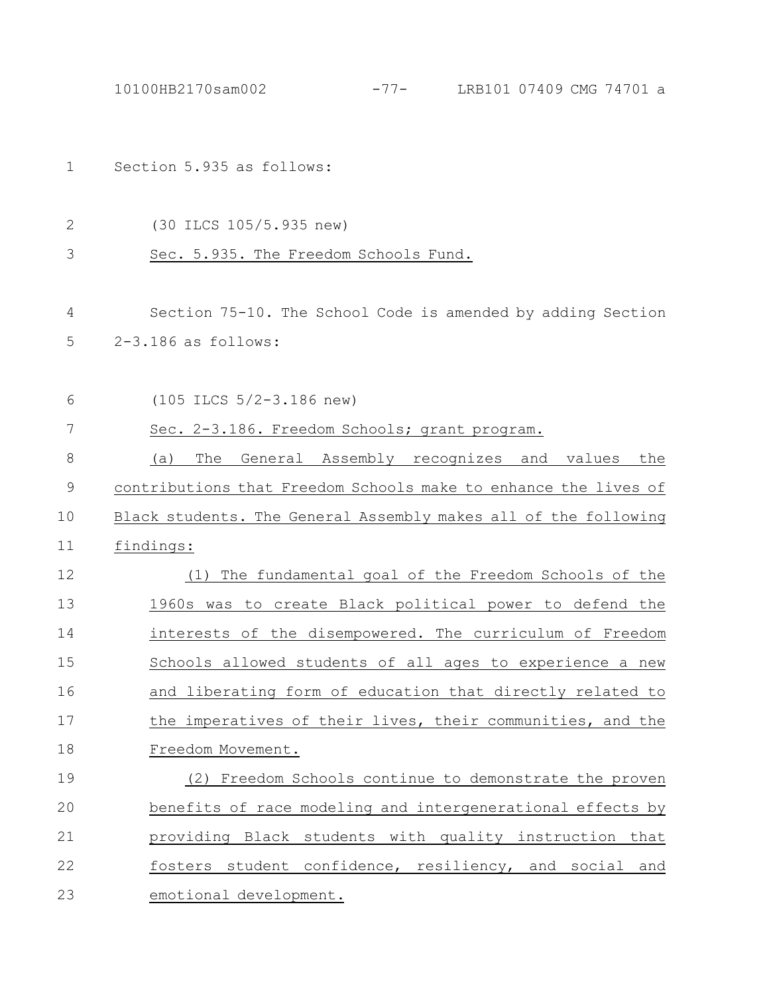|             | $-77-$<br>LRB101 07409 CMG 74701 a<br>10100HB2170sam002         |
|-------------|-----------------------------------------------------------------|
|             |                                                                 |
| 1           | Section 5.935 as follows:                                       |
|             |                                                                 |
| 2           | (30 ILCS 105/5.935 new)                                         |
| 3           | Sec. 5.935. The Freedom Schools Fund.                           |
|             |                                                                 |
| 4           | Section 75-10. The School Code is amended by adding Section     |
| 5           | $2-3.186$ as follows:                                           |
|             |                                                                 |
| 6           | $(105$ ILCS $5/2-3.186$ new)                                    |
| 7           | Sec. 2-3.186. Freedom Schools; grant program.                   |
| 8           | The<br>General Assembly recognizes<br>(a)<br>and values<br>the  |
| $\mathsf 9$ | contributions that Freedom Schools make to enhance the lives of |
| 10          | Black students. The General Assembly makes all of the following |
| 11          | findings:                                                       |
| 12          | The fundamental goal of the Freedom Schools of the<br>(1)       |
| 13          | 1960s was to create Black political power to defend the         |
| 14          | interests of the disempowered. The curriculum of Freedom        |
| 15          | Schools allowed students of all ages to experience a new        |
| 16          | and liberating form of education that directly related to       |
| 17          | the imperatives of their lives, their communities, and the      |
| 18          | Freedom Movement.                                               |
| 19          | (2) Freedom Schools continue to demonstrate the proven          |
| 20          | benefits of race modeling and intergenerational effects by      |
| 21          | providing Black students with quality instruction that          |
| 22          | fosters student confidence, resiliency, and social and          |
| 23          | emotional development.                                          |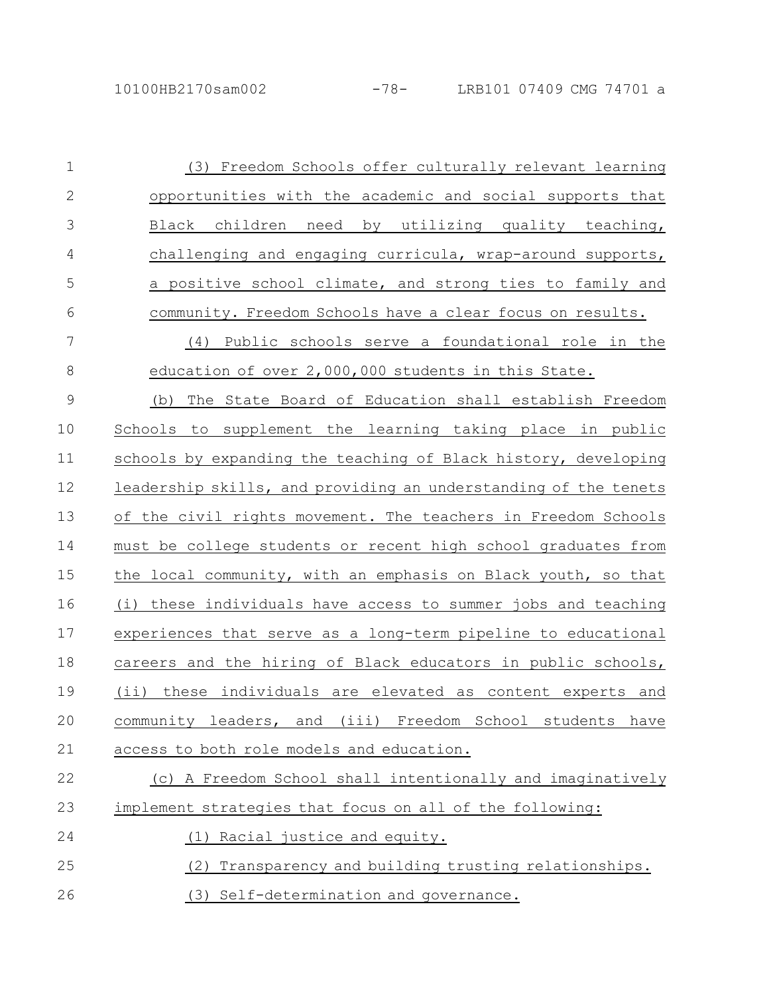| $\mathbf 1$   | Freedom Schools offer culturally relevant learning<br>(3)       |
|---------------|-----------------------------------------------------------------|
| $\mathbf{2}$  | opportunities with the academic and social supports that        |
| 3             | need by utilizing quality teaching,<br>Black children           |
| 4             | challenging and engaging curricula, wrap-around supports,       |
| 5             | a positive school climate, and strong ties to family and        |
| 6             | community. Freedom Schools have a clear focus on results.       |
| 7             | Public schools serve a foundational role in the<br>(4)          |
| 8             | education of over 2,000,000 students in this State.             |
| $\mathcal{G}$ | The State Board of Education shall establish Freedom<br>(b)     |
| 10            | Schools to supplement the learning taking place in public       |
| 11            | schools by expanding the teaching of Black history, developing  |
| 12            | leadership skills, and providing an understanding of the tenets |
| 13            | of the civil rights movement. The teachers in Freedom Schools   |
| 14            | must be college students or recent high school graduates from   |
| 15            | the local community, with an emphasis on Black youth, so that   |
| 16            | (i) these individuals have access to summer jobs and teaching   |
| 17            | experiences that serve as a long-term pipeline to educational   |
| 18            | careers and the hiring of Black educators in public schools,    |
| 19            | (ii) these individuals are elevated as content experts and      |
| 20            | community leaders, and (iii) Freedom School students have       |
| 21            | access to both role models and education.                       |
| 22            | (c) A Freedom School shall intentionally and imaginatively      |
| 23            | implement strategies that focus on all of the following:        |
| 24            | Racial justice and equity.                                      |
| 25            | Transparency and building trusting relationships.<br>(2)        |
| 26            | (3) Self-determination and governance.                          |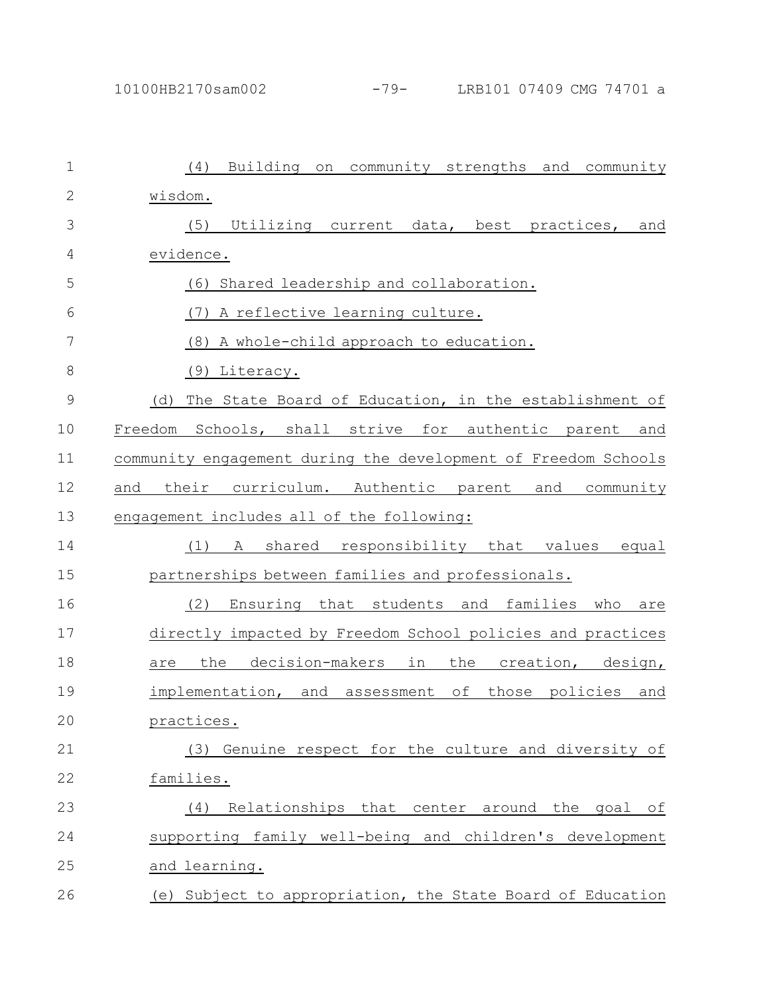| $\mathbf 1$   | Building on community strengths and community<br>(4)           |
|---------------|----------------------------------------------------------------|
| $\mathbf{2}$  | wisdom.                                                        |
| 3             | (5)<br>Utilizing current data, best practices, and             |
| 4             | evidence.                                                      |
| 5             | Shared leadership and collaboration.<br>(6)                    |
| 6             | (7)<br>A reflective learning culture.                          |
| 7             | (8)<br>A whole-child approach to education.                    |
| 8             | (9) Literacy.                                                  |
| $\mathcal{G}$ | The State Board of Education, in the establishment of<br>(d)   |
| 10            | Freedom Schools, shall strive for authentic parent and         |
| 11            | community engagement during the development of Freedom Schools |
| 12            | curriculum. Authentic parent and community<br>their<br>and     |
| 13            | engagement includes all of the following:                      |
| 14            | shared responsibility that values equal<br>(1)<br>A            |
| 15            | partnerships between families and professionals.               |
| 16            | (2)<br>Ensuring that students and families who<br>are          |
| 17            | directly impacted by Freedom School policies and practices     |
| 18            | decision-makers in<br>the<br>the creation, design,<br>are      |
| 19            | implementation, and assessment of<br>those policies<br>and     |
| 20            | practices.                                                     |
| 21            | (3) Genuine respect for the culture and diversity of           |
| 22            | families.                                                      |
| 23            | Relationships that center around the goal of<br>(4)            |
| 24            | supporting family well-being and children's development        |
| 25            | and learning.                                                  |
| 26            | (e) Subject to appropriation, the State Board of Education     |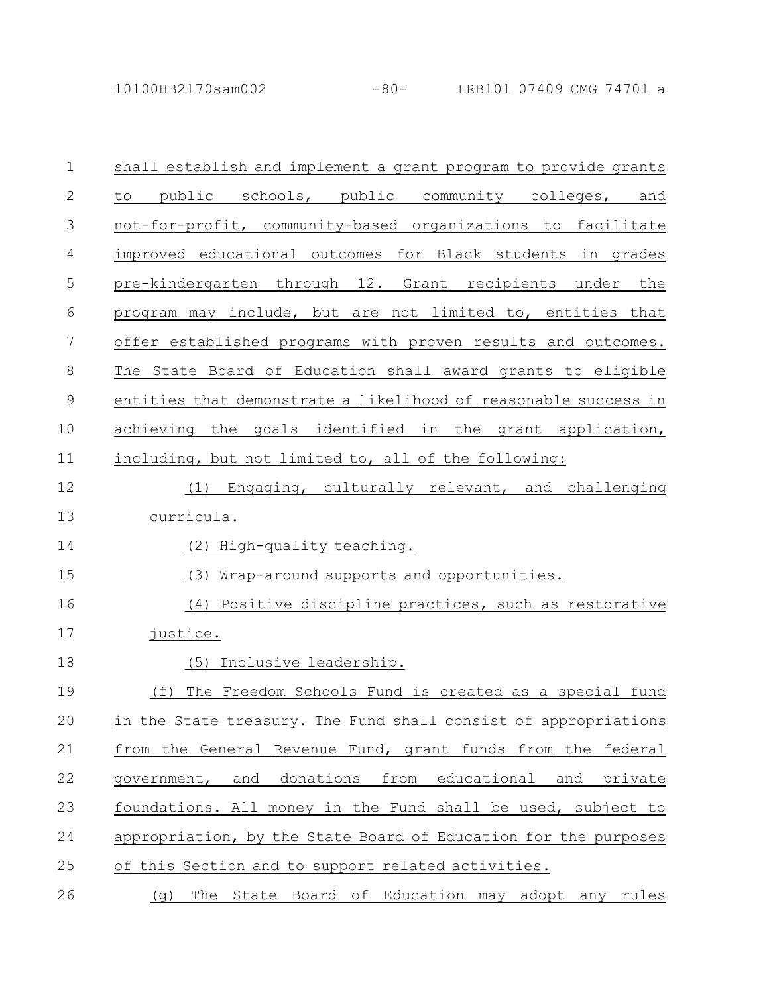10100HB2170sam002 -80- LRB101 07409 CMG 74701 a

| $\mathbf 1$    | shall establish and implement a grant program to provide grants |
|----------------|-----------------------------------------------------------------|
| $\mathbf{2}$   | to public schools, public community colleges, and               |
| 3              | not-for-profit, community-based organizations to facilitate     |
| 4              | improved educational outcomes for Black students in grades      |
| 5              | pre-kindergarten through 12. Grant recipients under the         |
| 6              | program may include, but are not limited to, entities that      |
| $\overline{7}$ | offer established programs with proven results and outcomes.    |
| 8              | The State Board of Education shall award grants to eligible     |
| $\mathsf 9$    | entities that demonstrate a likelihood of reasonable success in |
| 10             | achieving the goals identified in the grant application,        |
| 11             | including, but not limited to, all of the following:            |
| 12             | (1) Engaging, culturally relevant, and challenging              |
| 13             | curricula.                                                      |
| 14             | (2) High-quality teaching.                                      |
| 15             | (3) Wrap-around supports and opportunities.                     |
| 16             | (4) Positive discipline practices, such as restorative          |
| 17             | justice.                                                        |
| 18             | (5) Inclusive leadership.                                       |
| 19             | The Freedom Schools Fund is created as a special fund<br>(f)    |
| 20             | in the State treasury. The Fund shall consist of appropriations |
| 21             | from the General Revenue Fund, grant funds from the federal     |
| 22             | government, and donations from educational and private          |
| 23             | foundations. All money in the Fund shall be used, subject to    |
| 24             | appropriation, by the State Board of Education for the purposes |
| 25             | of this Section and to support related activities.              |
| 26             | The State Board of Education may adopt any rules<br>(q)         |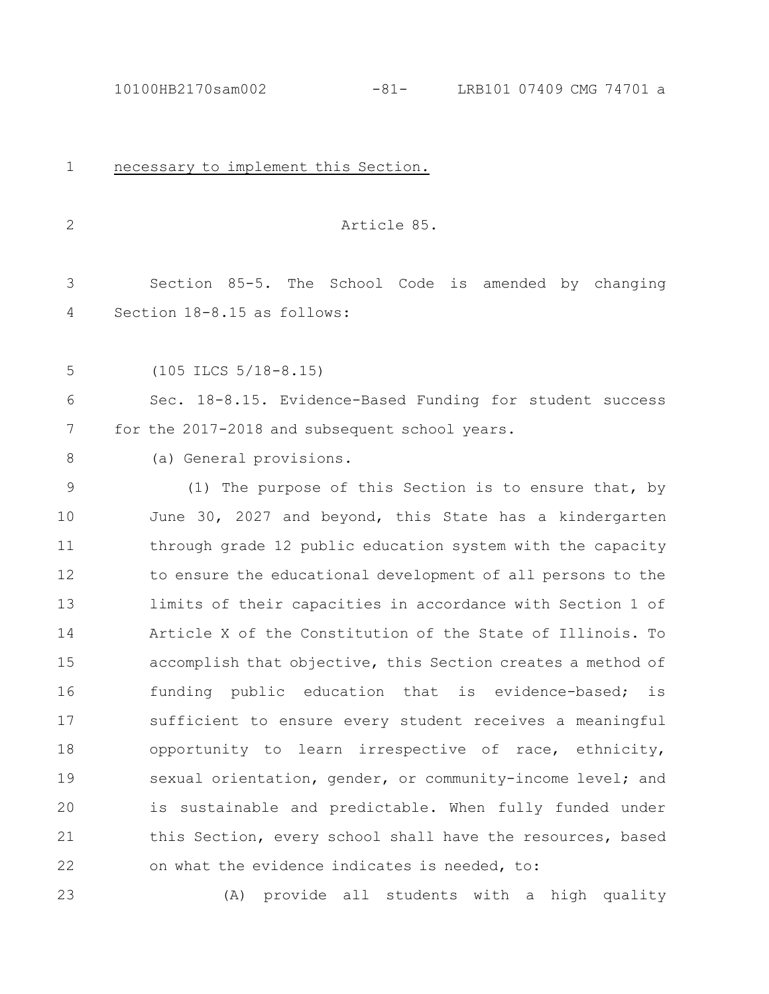necessary to implement this Section. Article 85. Section 85-5. The School Code is amended by changing Section 18-8.15 as follows: (105 ILCS 5/18-8.15) Sec. 18-8.15. Evidence-Based Funding for student success for the 2017-2018 and subsequent school years. (a) General provisions. (1) The purpose of this Section is to ensure that, by June 30, 2027 and beyond, this State has a kindergarten through grade 12 public education system with the capacity to ensure the educational development of all persons to the limits of their capacities in accordance with Section 1 of Article X of the Constitution of the State of Illinois. To accomplish that objective, this Section creates a method of funding public education that is evidence-based; is sufficient to ensure every student receives a meaningful opportunity to learn irrespective of race, ethnicity, sexual orientation, gender, or community-income level; and is sustainable and predictable. When fully funded under this Section, every school shall have the resources, based on what the evidence indicates is needed, to: 1 2 3 4 5 6 7 8 9 10 11 12 13 14 15 16 17 18 19 20 21 22

(A) provide all students with a high quality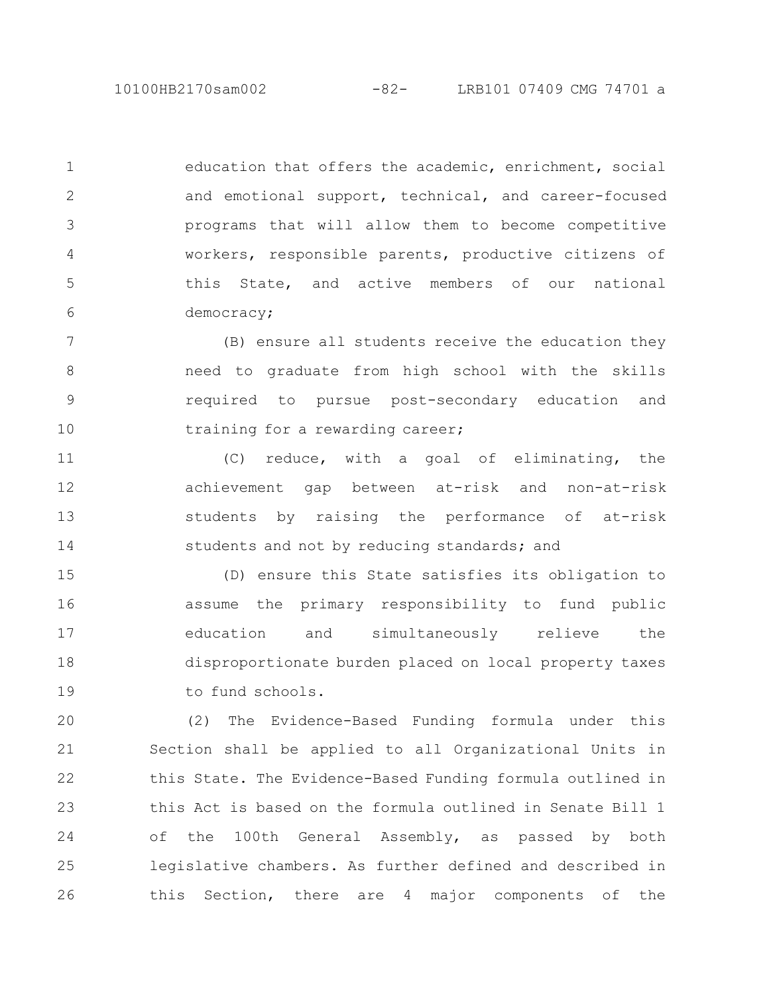10100HB2170sam002 -82- LRB101 07409 CMG 74701 a

education that offers the academic, enrichment, social and emotional support, technical, and career-focused programs that will allow them to become competitive workers, responsible parents, productive citizens of this State, and active members of our national democracy; 1 2 3 4 5 6

(B) ensure all students receive the education they need to graduate from high school with the skills required to pursue post-secondary education and training for a rewarding career; 7 8 9 10

(C) reduce, with a goal of eliminating, the achievement gap between at-risk and non-at-risk students by raising the performance of at-risk students and not by reducing standards; and 11 12 13 14

(D) ensure this State satisfies its obligation to assume the primary responsibility to fund public education and simultaneously relieve the disproportionate burden placed on local property taxes to fund schools. 15 16 17 18 19

(2) The Evidence-Based Funding formula under this Section shall be applied to all Organizational Units in this State. The Evidence-Based Funding formula outlined in this Act is based on the formula outlined in Senate Bill 1 of the 100th General Assembly, as passed by both legislative chambers. As further defined and described in this Section, there are 4 major components of the 20 21 22 23 24 25 26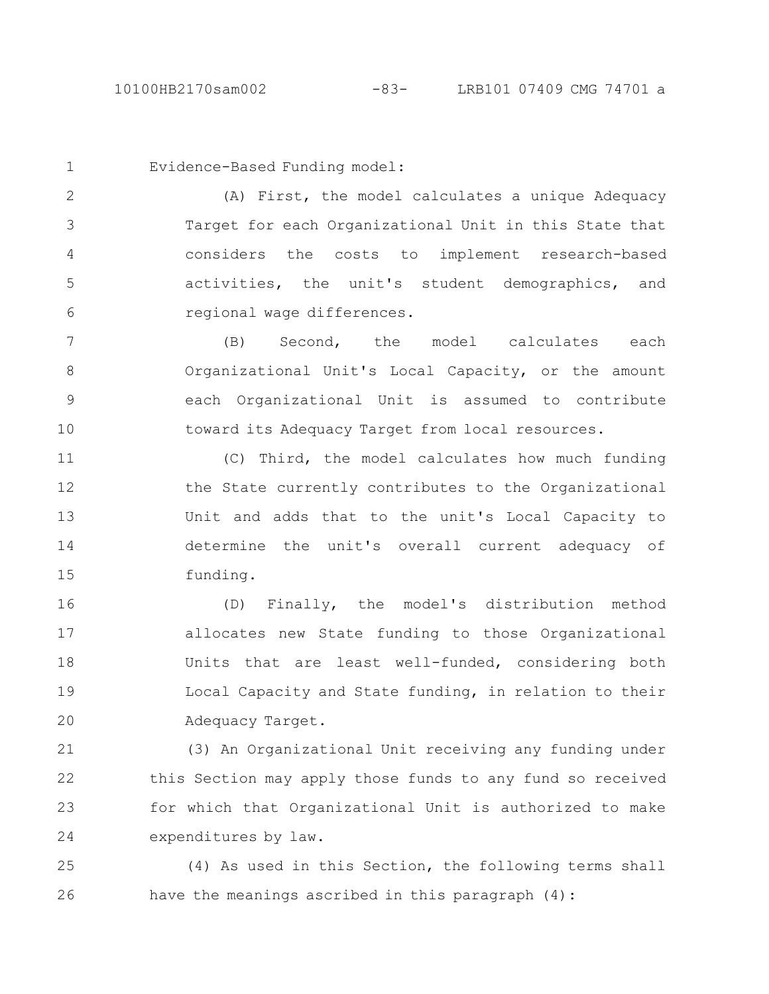Evidence-Based Funding model:

(A) First, the model calculates a unique Adequacy Target for each Organizational Unit in this State that considers the costs to implement research-based activities, the unit's student demographics, and regional wage differences. 2 3 4 5 6

(B) Second, the model calculates each Organizational Unit's Local Capacity, or the amount each Organizational Unit is assumed to contribute toward its Adequacy Target from local resources. 7 8 9 10

(C) Third, the model calculates how much funding the State currently contributes to the Organizational Unit and adds that to the unit's Local Capacity to determine the unit's overall current adequacy of funding. 11 12 13 14 15

(D) Finally, the model's distribution method allocates new State funding to those Organizational Units that are least well-funded, considering both Local Capacity and State funding, in relation to their Adequacy Target. 16 17 18 19 20

(3) An Organizational Unit receiving any funding under this Section may apply those funds to any fund so received for which that Organizational Unit is authorized to make expenditures by law. 21 22 23 24

(4) As used in this Section, the following terms shall have the meanings ascribed in this paragraph (4): 25 26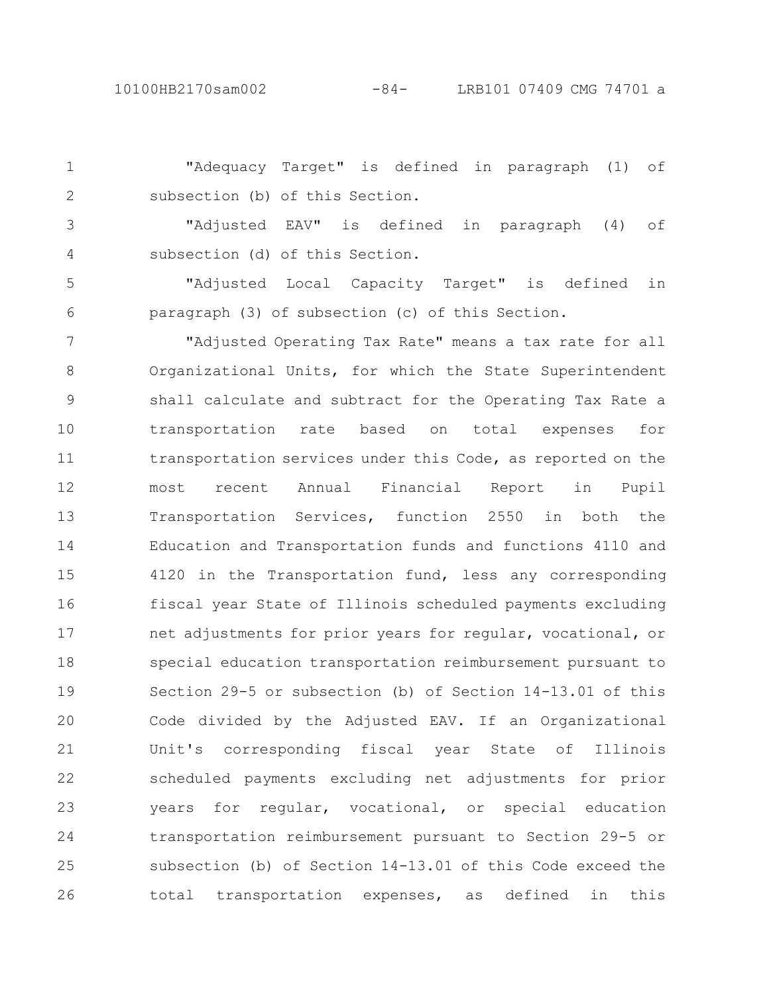"Adequacy Target" is defined in paragraph (1) of subsection (b) of this Section. 1 2

"Adjusted EAV" is defined in paragraph (4) of subsection (d) of this Section. 3 4

"Adjusted Local Capacity Target" is defined in paragraph (3) of subsection (c) of this Section. 5 6

"Adjusted Operating Tax Rate" means a tax rate for all Organizational Units, for which the State Superintendent shall calculate and subtract for the Operating Tax Rate a transportation rate based on total expenses for transportation services under this Code, as reported on the most recent Annual Financial Report in Pupil Transportation Services, function 2550 in both the Education and Transportation funds and functions 4110 and 4120 in the Transportation fund, less any corresponding fiscal year State of Illinois scheduled payments excluding net adjustments for prior years for regular, vocational, or special education transportation reimbursement pursuant to Section 29-5 or subsection (b) of Section 14-13.01 of this Code divided by the Adjusted EAV. If an Organizational Unit's corresponding fiscal year State of Illinois scheduled payments excluding net adjustments for prior years for regular, vocational, or special education transportation reimbursement pursuant to Section 29-5 or subsection (b) of Section 14-13.01 of this Code exceed the total transportation expenses, as defined in this 7 8 9 10 11 12 13 14 15 16 17 18 19 20 21 22 23 24 25 26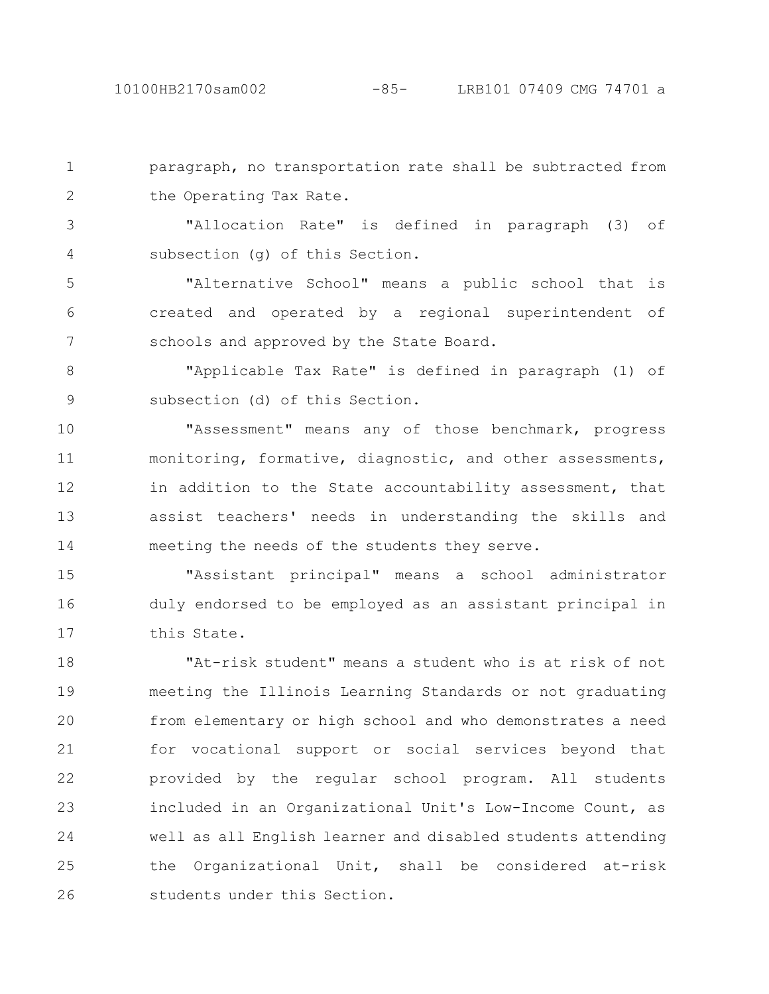paragraph, no transportation rate shall be subtracted from the Operating Tax Rate. 1 2

"Allocation Rate" is defined in paragraph (3) of subsection (g) of this Section. 3 4

"Alternative School" means a public school that is created and operated by a regional superintendent of schools and approved by the State Board. 5 6 7

"Applicable Tax Rate" is defined in paragraph (1) of subsection (d) of this Section. 8 9

"Assessment" means any of those benchmark, progress monitoring, formative, diagnostic, and other assessments, in addition to the State accountability assessment, that assist teachers' needs in understanding the skills and meeting the needs of the students they serve. 10 11 12 13 14

"Assistant principal" means a school administrator duly endorsed to be employed as an assistant principal in this State. 15 16 17

"At-risk student" means a student who is at risk of not meeting the Illinois Learning Standards or not graduating from elementary or high school and who demonstrates a need for vocational support or social services beyond that provided by the regular school program. All students included in an Organizational Unit's Low-Income Count, as well as all English learner and disabled students attending the Organizational Unit, shall be considered at-risk students under this Section. 18 19 20 21 22 23 24 25 26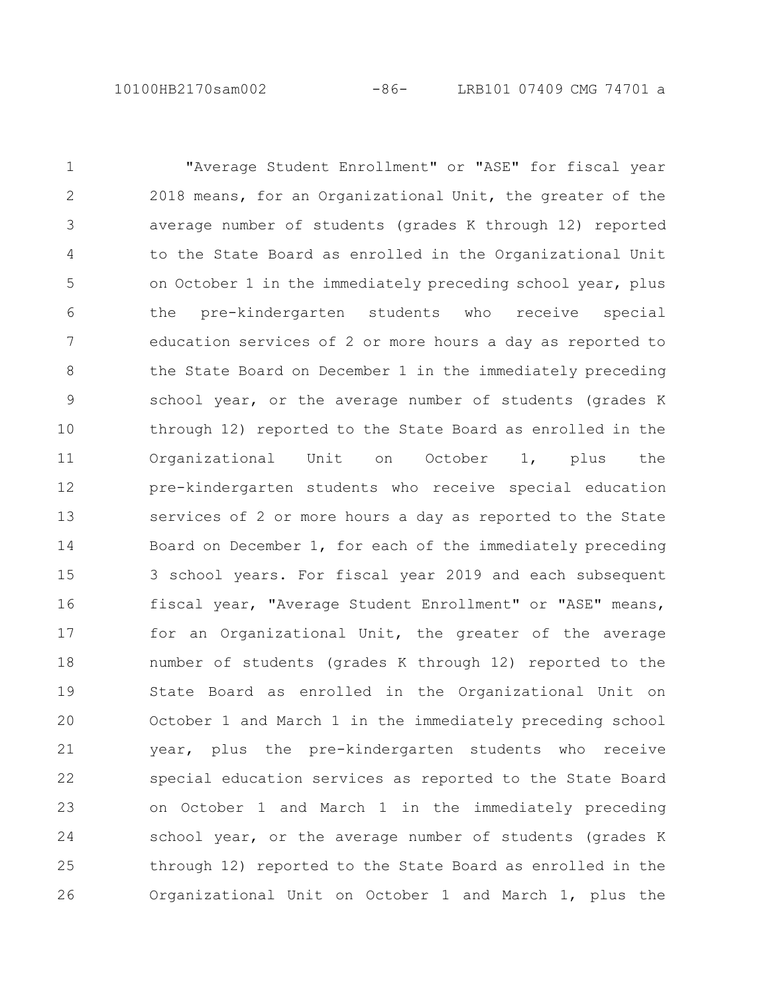"Average Student Enrollment" or "ASE" for fiscal year 2018 means, for an Organizational Unit, the greater of the average number of students (grades K through 12) reported to the State Board as enrolled in the Organizational Unit on October 1 in the immediately preceding school year, plus the pre-kindergarten students who receive special education services of 2 or more hours a day as reported to the State Board on December 1 in the immediately preceding school year, or the average number of students (grades K through 12) reported to the State Board as enrolled in the Organizational Unit on October 1, plus the pre-kindergarten students who receive special education services of 2 or more hours a day as reported to the State Board on December 1, for each of the immediately preceding 3 school years. For fiscal year 2019 and each subsequent fiscal year, "Average Student Enrollment" or "ASE" means, for an Organizational Unit, the greater of the average number of students (grades K through 12) reported to the State Board as enrolled in the Organizational Unit on October 1 and March 1 in the immediately preceding school year, plus the pre-kindergarten students who receive special education services as reported to the State Board on October 1 and March 1 in the immediately preceding school year, or the average number of students (grades K through 12) reported to the State Board as enrolled in the Organizational Unit on October 1 and March 1, plus the 1 2 3 4 5 6 7 8 9 10 11 12 13 14 15 16 17 18 19 20 21 22 23 24 25 26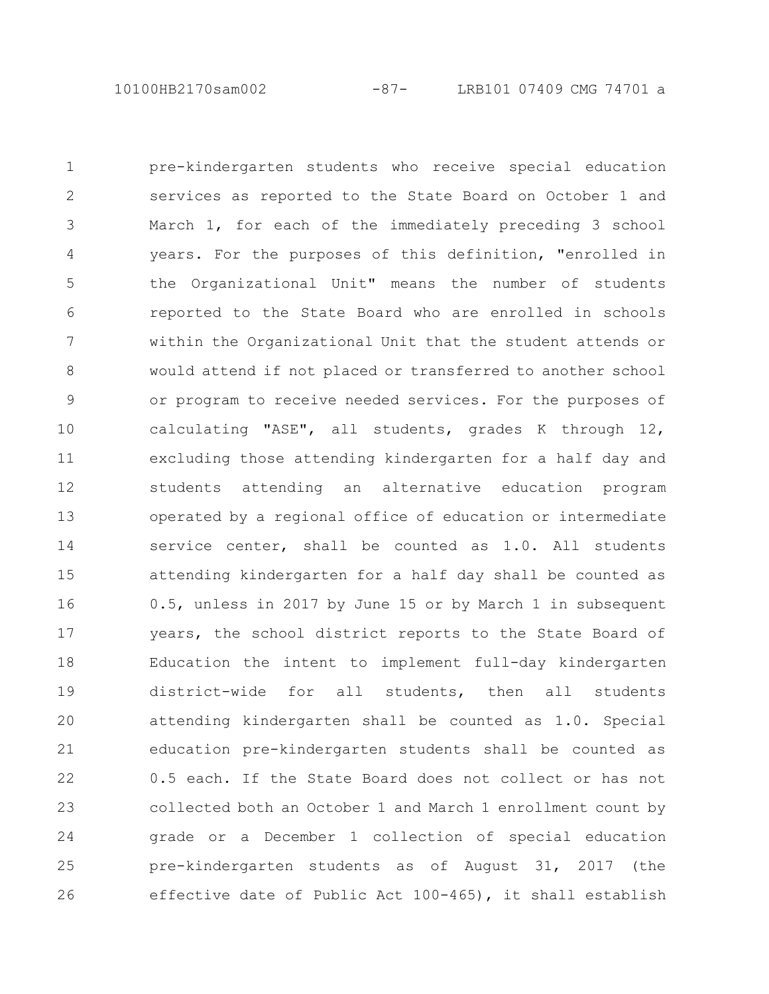10100HB2170sam002 -87- LRB101 07409 CMG 74701 a

pre-kindergarten students who receive special education services as reported to the State Board on October 1 and March 1, for each of the immediately preceding 3 school years. For the purposes of this definition, "enrolled in the Organizational Unit" means the number of students reported to the State Board who are enrolled in schools within the Organizational Unit that the student attends or would attend if not placed or transferred to another school or program to receive needed services. For the purposes of calculating "ASE", all students, grades K through 12, excluding those attending kindergarten for a half day and students attending an alternative education program operated by a regional office of education or intermediate service center, shall be counted as 1.0. All students attending kindergarten for a half day shall be counted as 0.5, unless in 2017 by June 15 or by March 1 in subsequent years, the school district reports to the State Board of Education the intent to implement full-day kindergarten district-wide for all students, then all students attending kindergarten shall be counted as 1.0. Special education pre-kindergarten students shall be counted as 0.5 each. If the State Board does not collect or has not collected both an October 1 and March 1 enrollment count by grade or a December 1 collection of special education pre-kindergarten students as of August 31, 2017 (the effective date of Public Act 100-465), it shall establish 1 2 3 4 5 6 7 8 9 10 11 12 13 14 15 16 17 18 19 20 21 22 23 24 25 26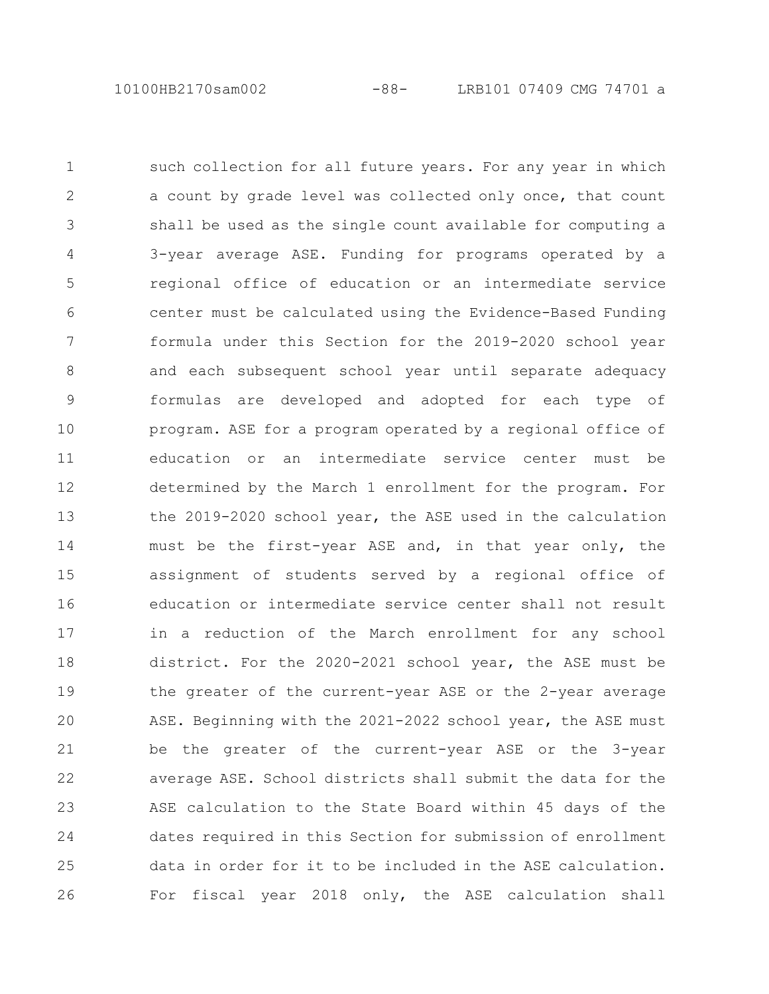10100HB2170sam002 -88- LRB101 07409 CMG 74701 a

such collection for all future years. For any year in which a count by grade level was collected only once, that count shall be used as the single count available for computing a 3-year average ASE. Funding for programs operated by a regional office of education or an intermediate service center must be calculated using the Evidence-Based Funding formula under this Section for the 2019-2020 school year and each subsequent school year until separate adequacy formulas are developed and adopted for each type of program. ASE for a program operated by a regional office of education or an intermediate service center must be determined by the March 1 enrollment for the program. For the 2019-2020 school year, the ASE used in the calculation must be the first-year ASE and, in that year only, the assignment of students served by a regional office of education or intermediate service center shall not result in a reduction of the March enrollment for any school district. For the 2020-2021 school year, the ASE must be the greater of the current-year ASE or the 2-year average ASE. Beginning with the 2021-2022 school year, the ASE must be the greater of the current-year ASE or the 3-year average ASE. School districts shall submit the data for the ASE calculation to the State Board within 45 days of the dates required in this Section for submission of enrollment data in order for it to be included in the ASE calculation. For fiscal year 2018 only, the ASE calculation shall 1  $\mathcal{L}$ 3 4 5 6 7 8 9 10 11 12 13 14 15 16 17 18 19 20 21 22 23 24 25 26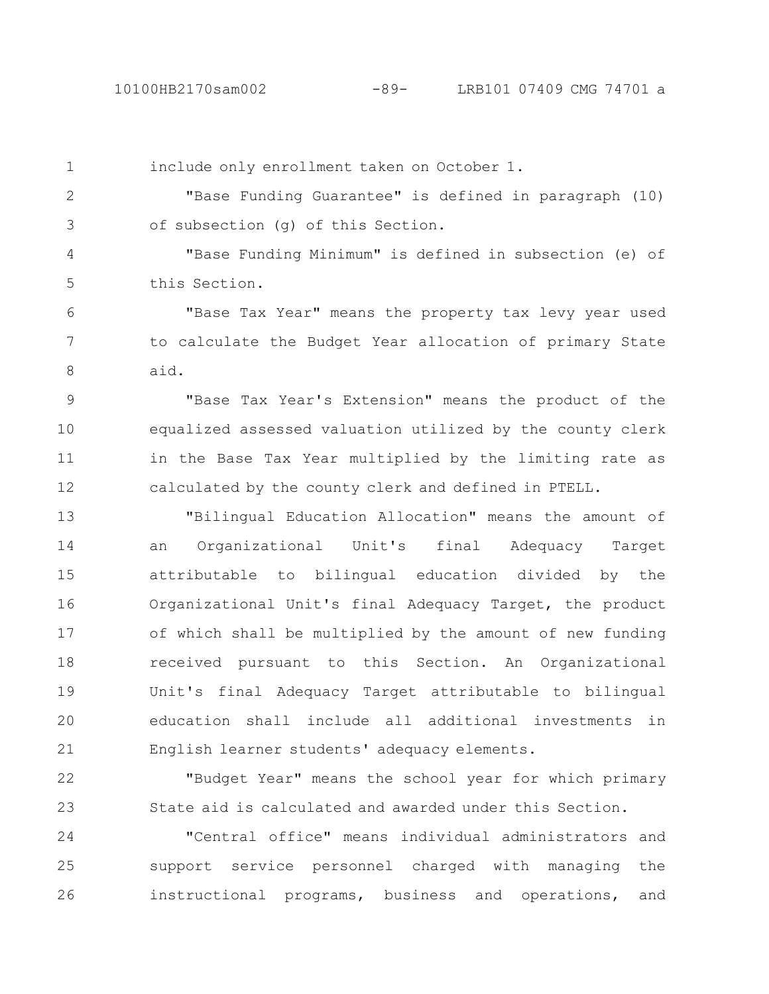2

3

include only enrollment taken on October 1.

"Base Funding Guarantee" is defined in paragraph (10) of subsection (g) of this Section.

"Base Funding Minimum" is defined in subsection (e) of this Section. 4 5

"Base Tax Year" means the property tax levy year used to calculate the Budget Year allocation of primary State aid. 6 7 8

"Base Tax Year's Extension" means the product of the equalized assessed valuation utilized by the county clerk in the Base Tax Year multiplied by the limiting rate as calculated by the county clerk and defined in PTELL. 9 10 11 12

"Bilingual Education Allocation" means the amount of an Organizational Unit's final Adequacy Target attributable to bilingual education divided by the Organizational Unit's final Adequacy Target, the product of which shall be multiplied by the amount of new funding received pursuant to this Section. An Organizational Unit's final Adequacy Target attributable to bilingual education shall include all additional investments in English learner students' adequacy elements. 13 14 15 16 17 18 19 20 21

"Budget Year" means the school year for which primary State aid is calculated and awarded under this Section. 22 23

"Central office" means individual administrators and support service personnel charged with managing the instructional programs, business and operations, and 24 25 26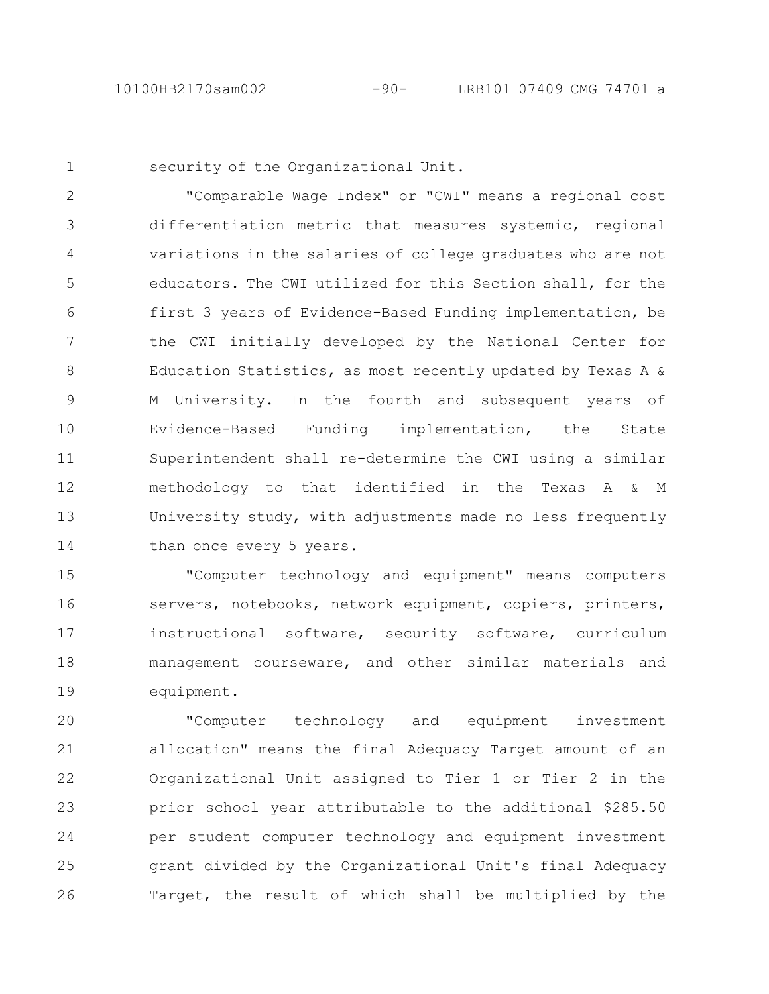security of the Organizational Unit.

"Comparable Wage Index" or "CWI" means a regional cost differentiation metric that measures systemic, regional variations in the salaries of college graduates who are not educators. The CWI utilized for this Section shall, for the first 3 years of Evidence-Based Funding implementation, be the CWI initially developed by the National Center for Education Statistics, as most recently updated by Texas A & M University. In the fourth and subsequent years of Evidence-Based Funding implementation, the State Superintendent shall re-determine the CWI using a similar methodology to that identified in the Texas A & M University study, with adjustments made no less frequently than once every 5 years. 2 3 4 5 6 7 8 9 10 11 12 13 14

"Computer technology and equipment" means computers servers, notebooks, network equipment, copiers, printers, instructional software, security software, curriculum management courseware, and other similar materials and equipment. 15 16 17 18 19

"Computer technology and equipment investment allocation" means the final Adequacy Target amount of an Organizational Unit assigned to Tier 1 or Tier 2 in the prior school year attributable to the additional \$285.50 per student computer technology and equipment investment grant divided by the Organizational Unit's final Adequacy Target, the result of which shall be multiplied by the 20 21 22 23 24 25 26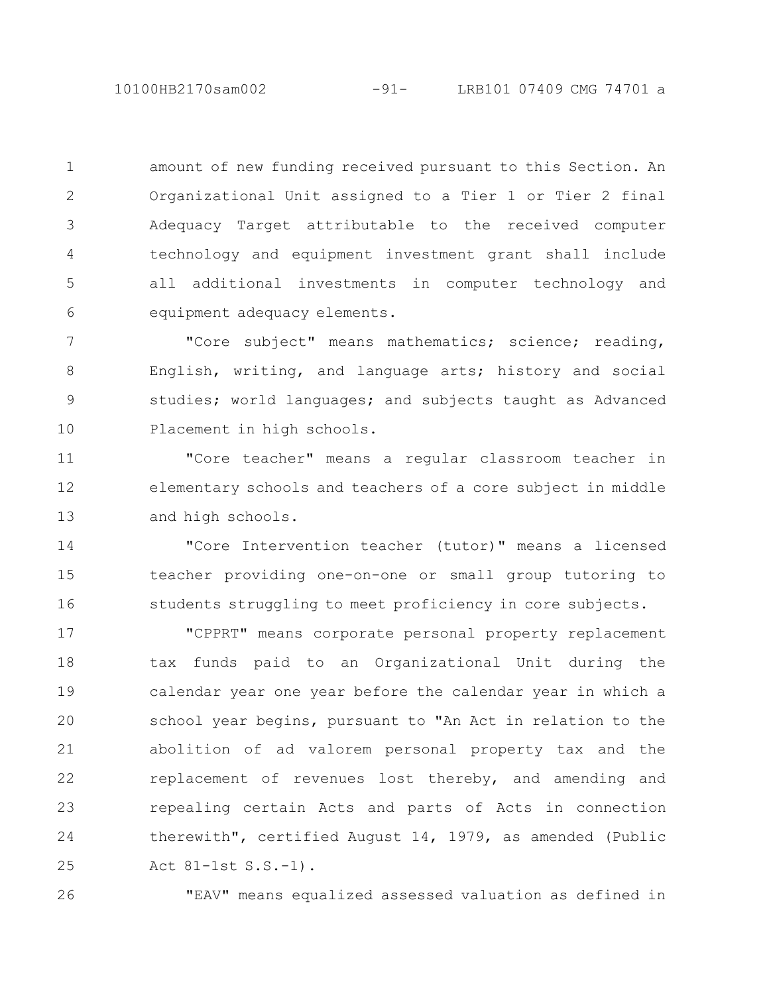10100HB2170sam002 -91- LRB101 07409 CMG 74701 a

amount of new funding received pursuant to this Section. An Organizational Unit assigned to a Tier 1 or Tier 2 final Adequacy Target attributable to the received computer technology and equipment investment grant shall include all additional investments in computer technology and equipment adequacy elements. 1 2 3 4 5 6

"Core subject" means mathematics; science; reading, English, writing, and language arts; history and social studies; world languages; and subjects taught as Advanced Placement in high schools. 7 8 9 10

"Core teacher" means a regular classroom teacher in elementary schools and teachers of a core subject in middle and high schools. 11 12 13

"Core Intervention teacher (tutor)" means a licensed teacher providing one-on-one or small group tutoring to students struggling to meet proficiency in core subjects. 14 15 16

"CPPRT" means corporate personal property replacement tax funds paid to an Organizational Unit during the calendar year one year before the calendar year in which a school year begins, pursuant to "An Act in relation to the abolition of ad valorem personal property tax and the replacement of revenues lost thereby, and amending and repealing certain Acts and parts of Acts in connection therewith", certified August 14, 1979, as amended (Public Act 81-1st S.S.-1). 17 18 19 20 21 22 23 24 25

26

"EAV" means equalized assessed valuation as defined in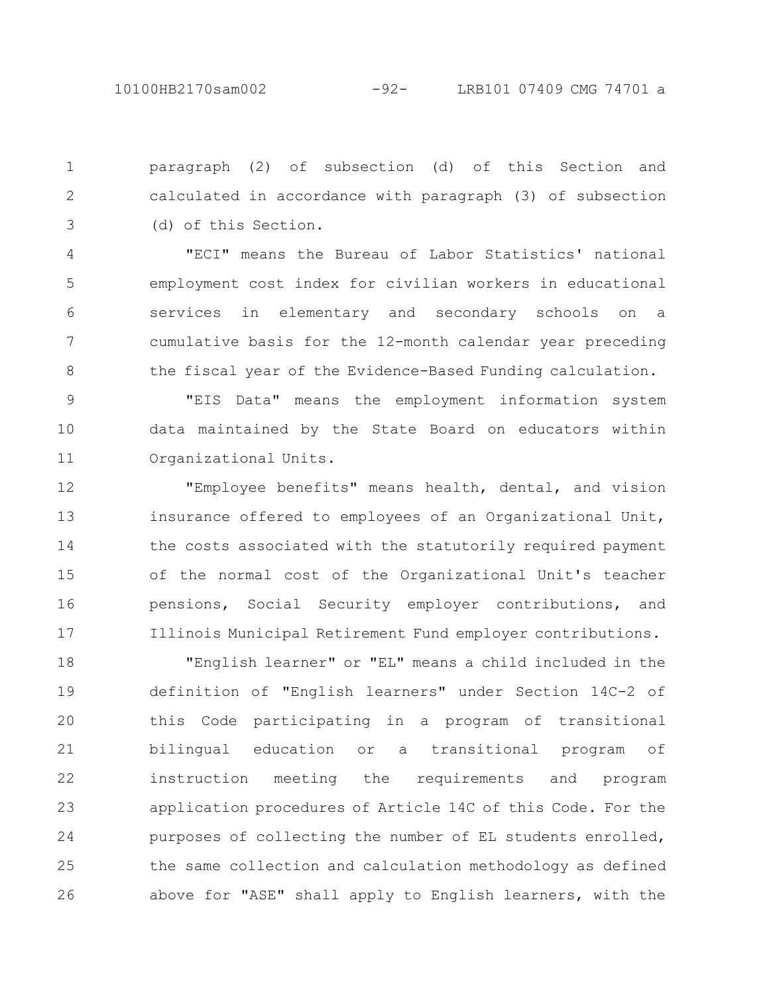paragraph (2) of subsection (d) of this Section and calculated in accordance with paragraph (3) of subsection (d) of this Section. 1 2 3

"ECI" means the Bureau of Labor Statistics' national employment cost index for civilian workers in educational services in elementary and secondary schools on a cumulative basis for the 12-month calendar year preceding the fiscal year of the Evidence-Based Funding calculation. 4 5 6 7 8

"EIS Data" means the employment information system data maintained by the State Board on educators within Organizational Units. 9 10 11

"Employee benefits" means health, dental, and vision insurance offered to employees of an Organizational Unit, the costs associated with the statutorily required payment of the normal cost of the Organizational Unit's teacher pensions, Social Security employer contributions, and Illinois Municipal Retirement Fund employer contributions. 12 13 14 15 16 17

"English learner" or "EL" means a child included in the definition of "English learners" under Section 14C-2 of this Code participating in a program of transitional bilingual education or a transitional program of instruction meeting the requirements and program application procedures of Article 14C of this Code. For the purposes of collecting the number of EL students enrolled, the same collection and calculation methodology as defined above for "ASE" shall apply to English learners, with the 18 19 20 21 22 23 24 25 26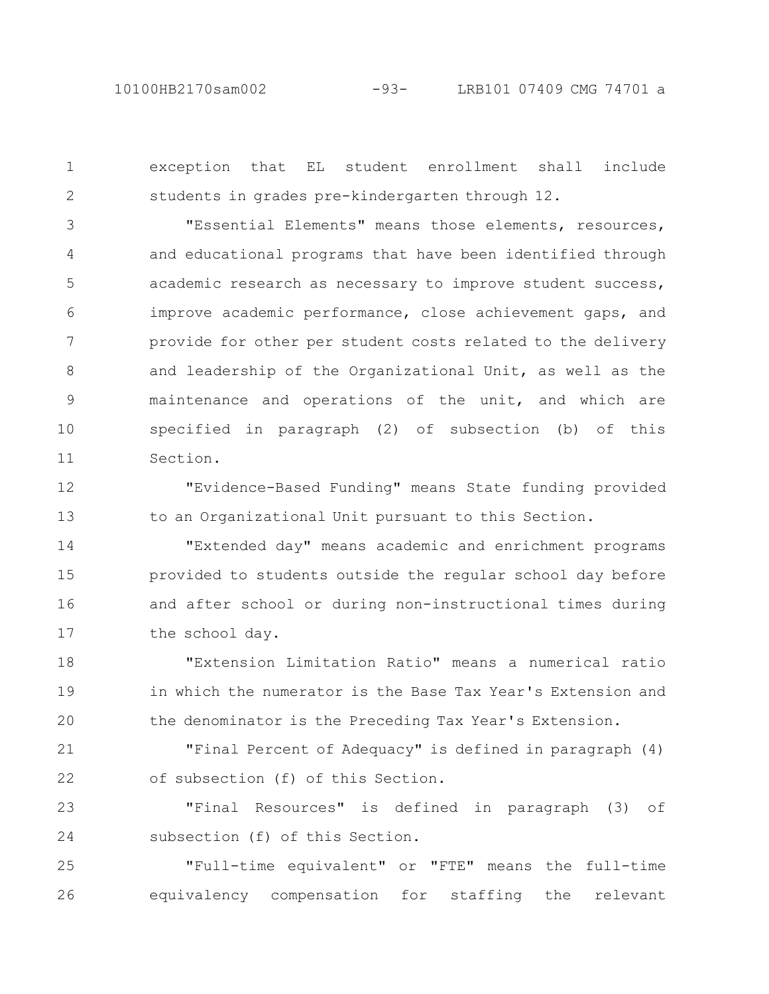exception that EL student enrollment shall include students in grades pre-kindergarten through 12. 1 2

"Essential Elements" means those elements, resources, and educational programs that have been identified through academic research as necessary to improve student success, improve academic performance, close achievement gaps, and provide for other per student costs related to the delivery and leadership of the Organizational Unit, as well as the maintenance and operations of the unit, and which are specified in paragraph (2) of subsection (b) of this Section. 3 4 5 6 7 8 9 10 11

"Evidence-Based Funding" means State funding provided to an Organizational Unit pursuant to this Section. 12 13

"Extended day" means academic and enrichment programs provided to students outside the regular school day before and after school or during non-instructional times during the school day. 14 15 16 17

"Extension Limitation Ratio" means a numerical ratio in which the numerator is the Base Tax Year's Extension and the denominator is the Preceding Tax Year's Extension. 18 19 20

"Final Percent of Adequacy" is defined in paragraph (4) of subsection (f) of this Section. 21 22

"Final Resources" is defined in paragraph (3) of subsection (f) of this Section. 23 24

"Full-time equivalent" or "FTE" means the full-time equivalency compensation for staffing the relevant 25 26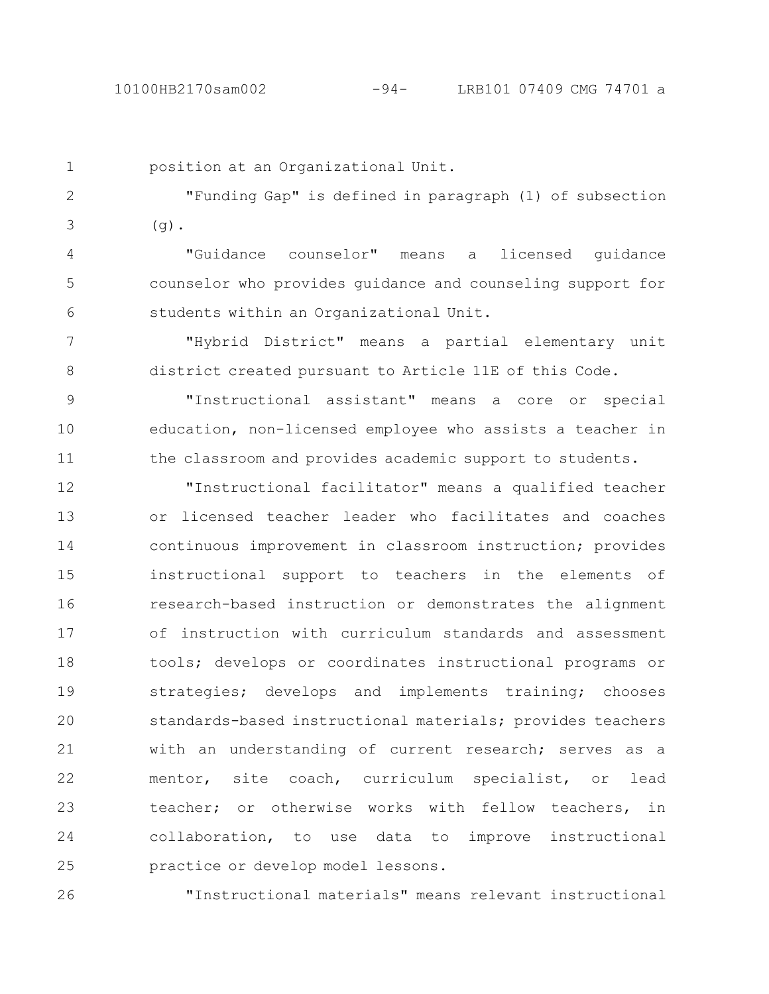position at an Organizational Unit.

"Funding Gap" is defined in paragraph (1) of subsection  $(q)$ . 2 3

"Guidance counselor" means a licensed guidance counselor who provides guidance and counseling support for students within an Organizational Unit. 4 5 6

"Hybrid District" means a partial elementary unit district created pursuant to Article 11E of this Code. 7 8

"Instructional assistant" means a core or special education, non-licensed employee who assists a teacher in the classroom and provides academic support to students. 9 10 11

"Instructional facilitator" means a qualified teacher or licensed teacher leader who facilitates and coaches continuous improvement in classroom instruction; provides instructional support to teachers in the elements of research-based instruction or demonstrates the alignment of instruction with curriculum standards and assessment tools; develops or coordinates instructional programs or strategies; develops and implements training; chooses standards-based instructional materials; provides teachers with an understanding of current research; serves as a mentor, site coach, curriculum specialist, or lead teacher; or otherwise works with fellow teachers, in collaboration, to use data to improve instructional practice or develop model lessons. 12 13 14 15 16 17 18 19 20 21 22 23 24 25

"Instructional materials" means relevant instructional 26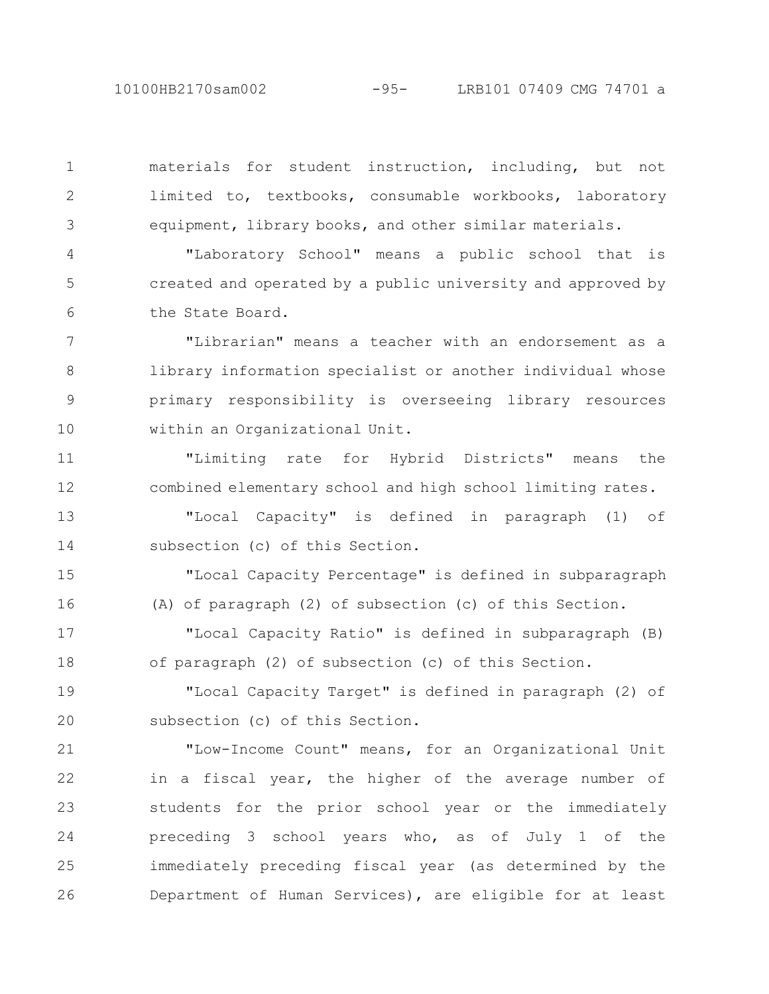10100HB2170sam002 -95- LRB101 07409 CMG 74701 a

materials for student instruction, including, but not limited to, textbooks, consumable workbooks, laboratory equipment, library books, and other similar materials. 1 2 3

"Laboratory School" means a public school that is created and operated by a public university and approved by the State Board. 4 5 6

"Librarian" means a teacher with an endorsement as a library information specialist or another individual whose primary responsibility is overseeing library resources within an Organizational Unit. 7 8 9 10

"Limiting rate for Hybrid Districts" means the combined elementary school and high school limiting rates. 11 12

"Local Capacity" is defined in paragraph (1) of subsection (c) of this Section. 13 14

"Local Capacity Percentage" is defined in subparagraph (A) of paragraph (2) of subsection (c) of this Section. 15 16

"Local Capacity Ratio" is defined in subparagraph (B) of paragraph (2) of subsection (c) of this Section. 17 18

"Local Capacity Target" is defined in paragraph (2) of subsection (c) of this Section. 19 20

"Low-Income Count" means, for an Organizational Unit in a fiscal year, the higher of the average number of students for the prior school year or the immediately preceding 3 school years who, as of July 1 of the immediately preceding fiscal year (as determined by the Department of Human Services), are eligible for at least 21 22 23 24 25 26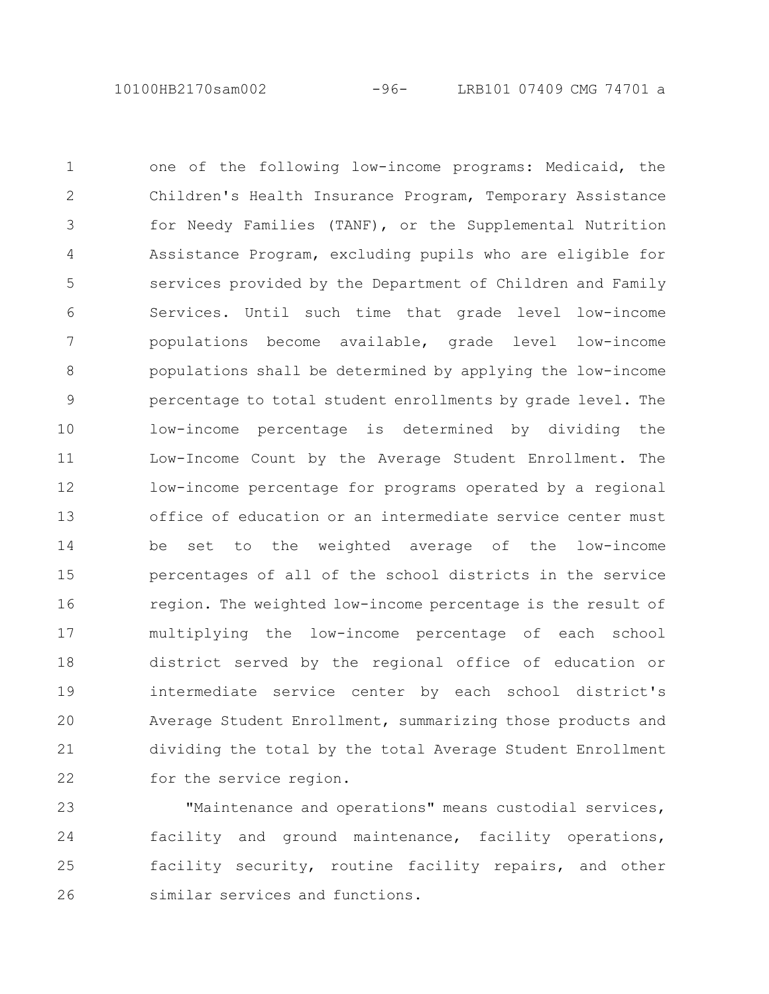10100HB2170sam002 -96- LRB101 07409 CMG 74701 a

one of the following low-income programs: Medicaid, the Children's Health Insurance Program, Temporary Assistance for Needy Families (TANF), or the Supplemental Nutrition Assistance Program, excluding pupils who are eligible for services provided by the Department of Children and Family Services. Until such time that grade level low-income populations become available, grade level low-income populations shall be determined by applying the low-income percentage to total student enrollments by grade level. The low-income percentage is determined by dividing the Low-Income Count by the Average Student Enrollment. The low-income percentage for programs operated by a regional office of education or an intermediate service center must be set to the weighted average of the low-income percentages of all of the school districts in the service region. The weighted low-income percentage is the result of multiplying the low-income percentage of each school district served by the regional office of education or intermediate service center by each school district's Average Student Enrollment, summarizing those products and dividing the total by the total Average Student Enrollment for the service region. 1 2 3 4 5 6 7 8 9 10 11 12 13 14 15 16 17 18 19 20 21 22

"Maintenance and operations" means custodial services, facility and ground maintenance, facility operations, facility security, routine facility repairs, and other similar services and functions. 23 24 25 26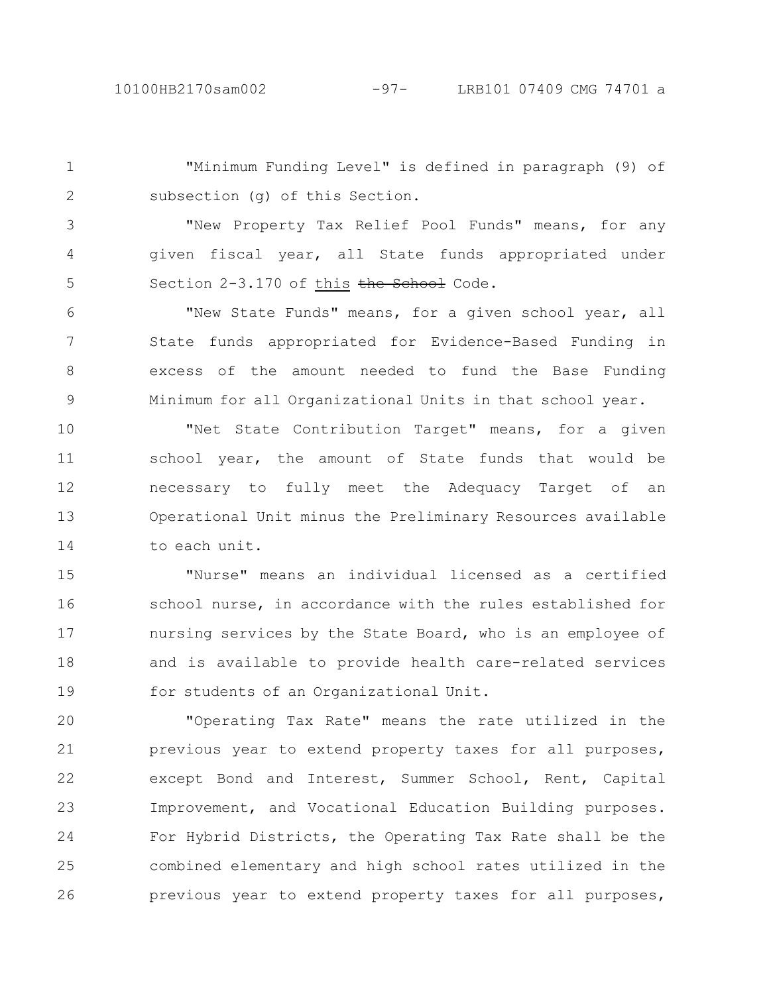"Minimum Funding Level" is defined in paragraph (9) of subsection (g) of this Section. 1 2

"New Property Tax Relief Pool Funds" means, for any given fiscal year, all State funds appropriated under Section 2-3.170 of this the School Code. 3 4 5

"New State Funds" means, for a given school year, all State funds appropriated for Evidence-Based Funding in excess of the amount needed to fund the Base Funding Minimum for all Organizational Units in that school year. 6 7 8 9

"Net State Contribution Target" means, for a given school year, the amount of State funds that would be necessary to fully meet the Adequacy Target of an Operational Unit minus the Preliminary Resources available to each unit. 10 11 12 13 14

"Nurse" means an individual licensed as a certified school nurse, in accordance with the rules established for nursing services by the State Board, who is an employee of and is available to provide health care-related services for students of an Organizational Unit. 15 16 17 18 19

"Operating Tax Rate" means the rate utilized in the previous year to extend property taxes for all purposes, except Bond and Interest, Summer School, Rent, Capital Improvement, and Vocational Education Building purposes. For Hybrid Districts, the Operating Tax Rate shall be the combined elementary and high school rates utilized in the previous year to extend property taxes for all purposes, 20 21 22 23 24 25 26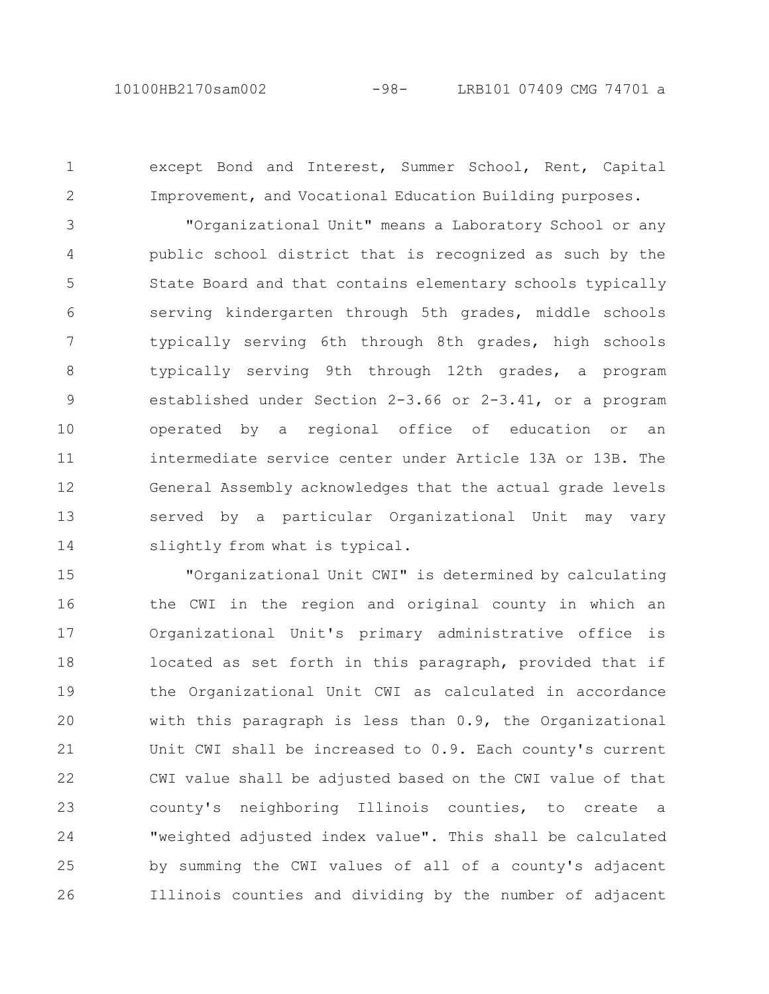2

except Bond and Interest, Summer School, Rent, Capital Improvement, and Vocational Education Building purposes.

"Organizational Unit" means a Laboratory School or any public school district that is recognized as such by the State Board and that contains elementary schools typically serving kindergarten through 5th grades, middle schools typically serving 6th through 8th grades, high schools typically serving 9th through 12th grades, a program established under Section 2-3.66 or 2-3.41, or a program operated by a regional office of education or an intermediate service center under Article 13A or 13B. The General Assembly acknowledges that the actual grade levels served by a particular Organizational Unit may vary slightly from what is typical. 3 4 5 6 7 8 9 10 11 12 13 14

"Organizational Unit CWI" is determined by calculating the CWI in the region and original county in which an Organizational Unit's primary administrative office is located as set forth in this paragraph, provided that if the Organizational Unit CWI as calculated in accordance with this paragraph is less than 0.9, the Organizational Unit CWI shall be increased to 0.9. Each county's current CWI value shall be adjusted based on the CWI value of that county's neighboring Illinois counties, to create a "weighted adjusted index value". This shall be calculated by summing the CWI values of all of a county's adjacent Illinois counties and dividing by the number of adjacent 15 16 17 18 19 20 21 22 23 24 25 26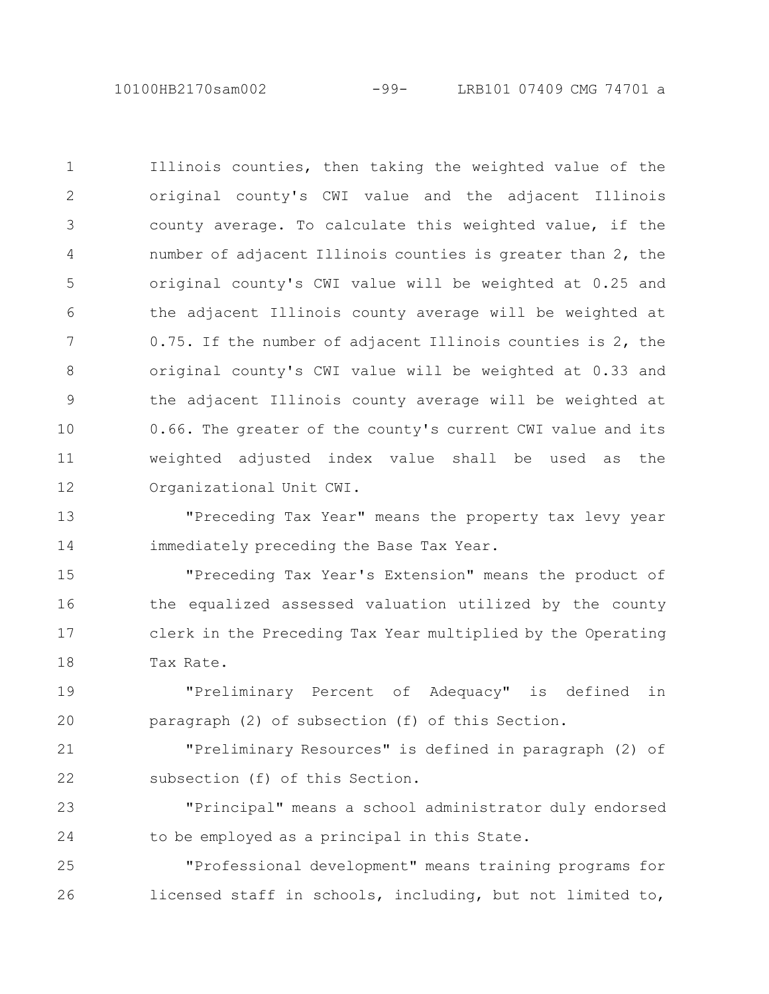10100HB2170sam002 -99- LRB101 07409 CMG 74701 a

Illinois counties, then taking the weighted value of the original county's CWI value and the adjacent Illinois county average. To calculate this weighted value, if the number of adjacent Illinois counties is greater than 2, the original county's CWI value will be weighted at 0.25 and the adjacent Illinois county average will be weighted at 0.75. If the number of adjacent Illinois counties is 2, the original county's CWI value will be weighted at 0.33 and the adjacent Illinois county average will be weighted at 0.66. The greater of the county's current CWI value and its weighted adjusted index value shall be used as the Organizational Unit CWI. 1 2 3 4 5 6 7 8 9 10 11 12

"Preceding Tax Year" means the property tax levy year immediately preceding the Base Tax Year. 13 14

"Preceding Tax Year's Extension" means the product of the equalized assessed valuation utilized by the county clerk in the Preceding Tax Year multiplied by the Operating Tax Rate. 15 16 17 18

"Preliminary Percent of Adequacy" is defined in paragraph (2) of subsection (f) of this Section. 19 20

"Preliminary Resources" is defined in paragraph (2) of subsection (f) of this Section. 21 22

"Principal" means a school administrator duly endorsed to be employed as a principal in this State. 23 24

"Professional development" means training programs for licensed staff in schools, including, but not limited to, 25 26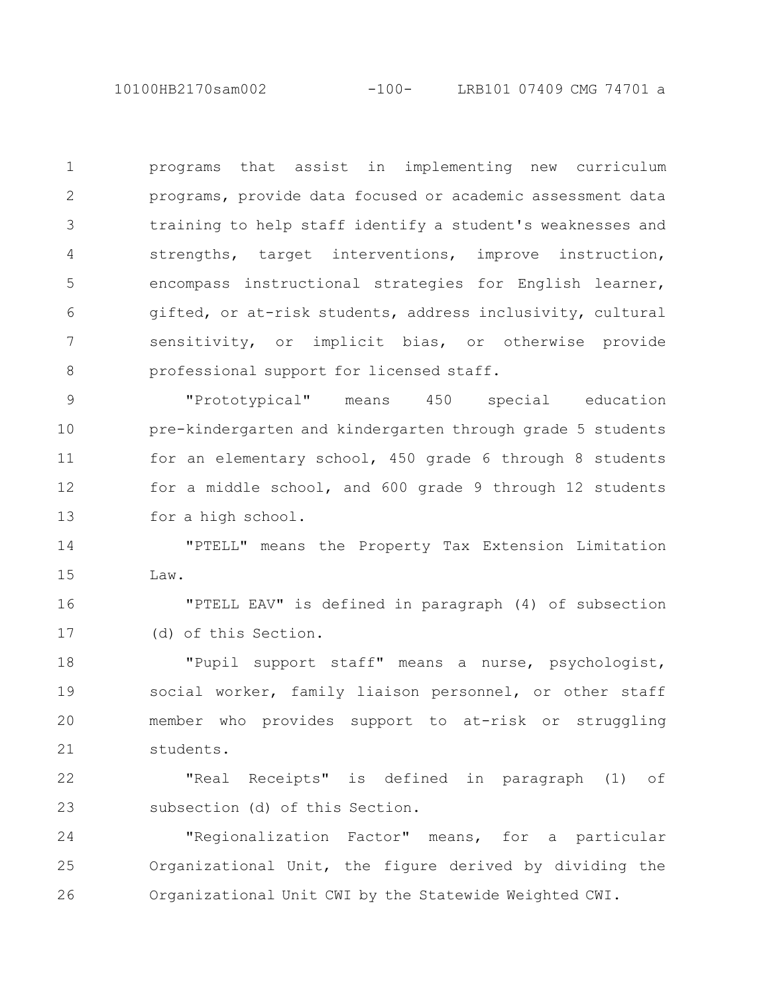10100HB2170sam002 -100- LRB101 07409 CMG 74701 a

programs that assist in implementing new curriculum programs, provide data focused or academic assessment data training to help staff identify a student's weaknesses and strengths, target interventions, improve instruction, encompass instructional strategies for English learner, gifted, or at-risk students, address inclusivity, cultural sensitivity, or implicit bias, or otherwise provide professional support for licensed staff. 1 2 3 4 5 6 7 8

"Prototypical" means 450 special education pre-kindergarten and kindergarten through grade 5 students for an elementary school, 450 grade 6 through 8 students for a middle school, and 600 grade 9 through 12 students for a high school. 9 10 11 12 13

"PTELL" means the Property Tax Extension Limitation Law. 14 15

"PTELL EAV" is defined in paragraph (4) of subsection (d) of this Section. 16 17

"Pupil support staff" means a nurse, psychologist, social worker, family liaison personnel, or other staff member who provides support to at-risk or struggling students. 18 19 20 21

"Real Receipts" is defined in paragraph (1) of subsection (d) of this Section. 22 23

"Regionalization Factor" means, for a particular Organizational Unit, the figure derived by dividing the Organizational Unit CWI by the Statewide Weighted CWI. 24 25 26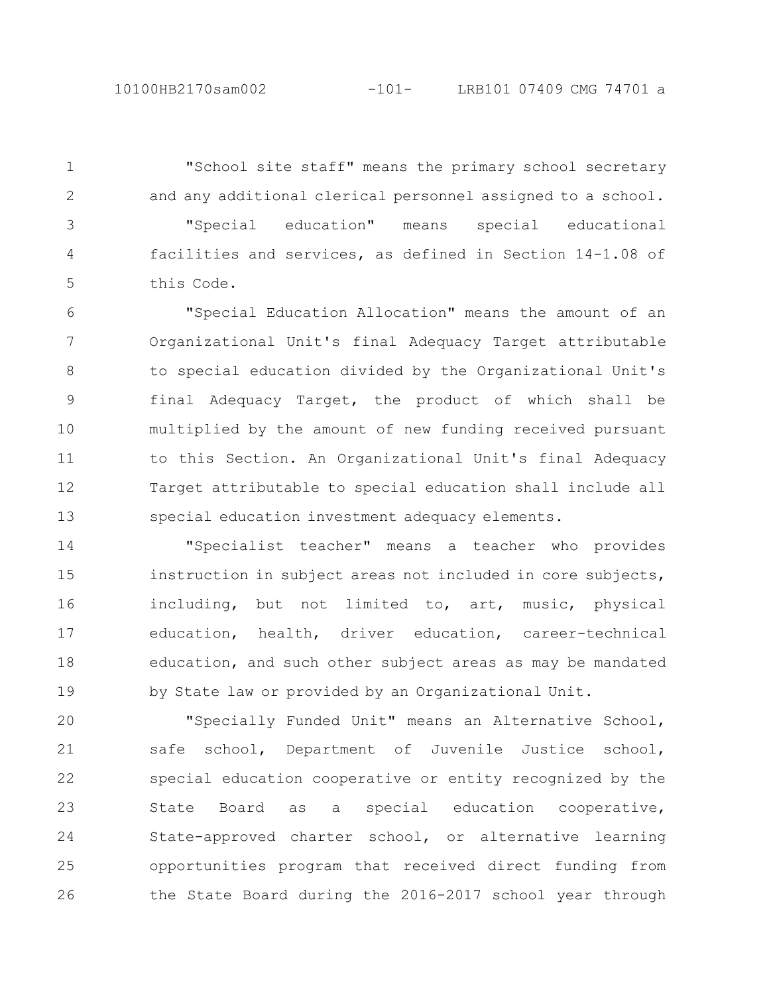"School site staff" means the primary school secretary and any additional clerical personnel assigned to a school. "Special education" means special educational facilities and services, as defined in Section 14-1.08 of this Code. 1 2 3 4 5

"Special Education Allocation" means the amount of an Organizational Unit's final Adequacy Target attributable to special education divided by the Organizational Unit's final Adequacy Target, the product of which shall be multiplied by the amount of new funding received pursuant to this Section. An Organizational Unit's final Adequacy Target attributable to special education shall include all special education investment adequacy elements. 6 7 8 9 10 11 12 13

"Specialist teacher" means a teacher who provides instruction in subject areas not included in core subjects, including, but not limited to, art, music, physical education, health, driver education, career-technical education, and such other subject areas as may be mandated by State law or provided by an Organizational Unit. 14 15 16 17 18 19

"Specially Funded Unit" means an Alternative School, safe school, Department of Juvenile Justice school, special education cooperative or entity recognized by the State Board as a special education cooperative, State-approved charter school, or alternative learning opportunities program that received direct funding from the State Board during the 2016-2017 school year through 20 21 22 23 24 25 26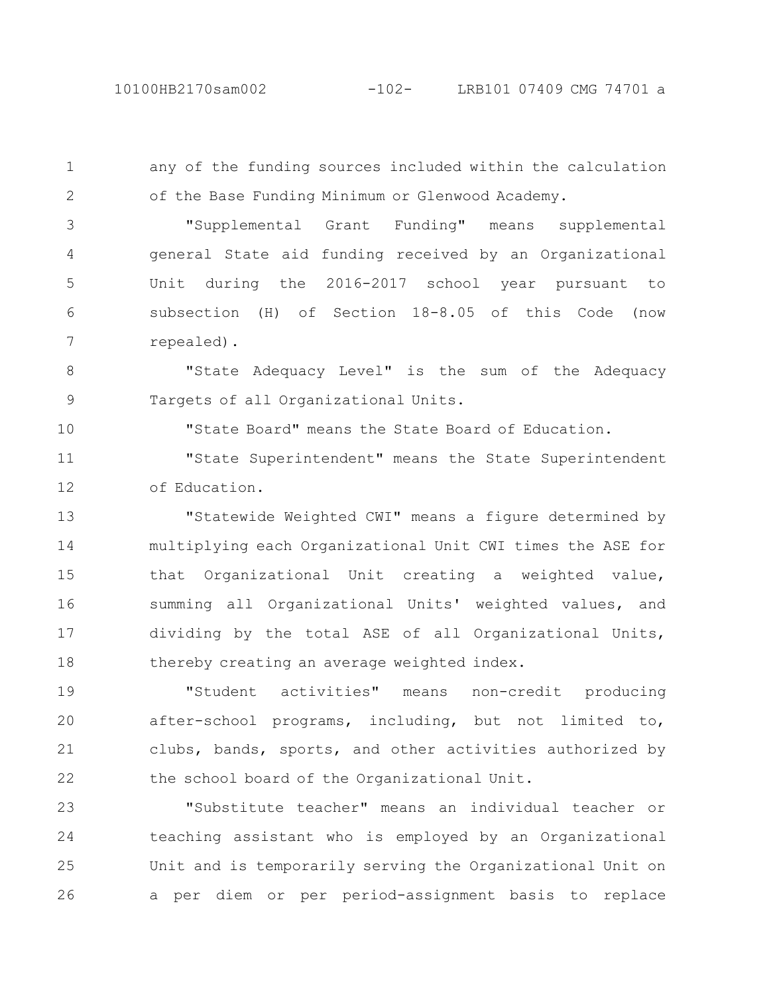any of the funding sources included within the calculation of the Base Funding Minimum or Glenwood Academy. 1 2

"Supplemental Grant Funding" means supplemental general State aid funding received by an Organizational Unit during the 2016-2017 school year pursuant to subsection (H) of Section 18-8.05 of this Code (now repealed). 3 4 5 6 7

"State Adequacy Level" is the sum of the Adequacy Targets of all Organizational Units. 8 9

"State Board" means the State Board of Education.

"State Superintendent" means the State Superintendent of Education. 11 12

"Statewide Weighted CWI" means a figure determined by multiplying each Organizational Unit CWI times the ASE for that Organizational Unit creating a weighted value, summing all Organizational Units' weighted values, and dividing by the total ASE of all Organizational Units, thereby creating an average weighted index. 13 14 15 16 17 18

"Student activities" means non-credit producing after-school programs, including, but not limited to, clubs, bands, sports, and other activities authorized by the school board of the Organizational Unit. 19 20 21 22

"Substitute teacher" means an individual teacher or teaching assistant who is employed by an Organizational Unit and is temporarily serving the Organizational Unit on a per diem or per period-assignment basis to replace 23 24 25 26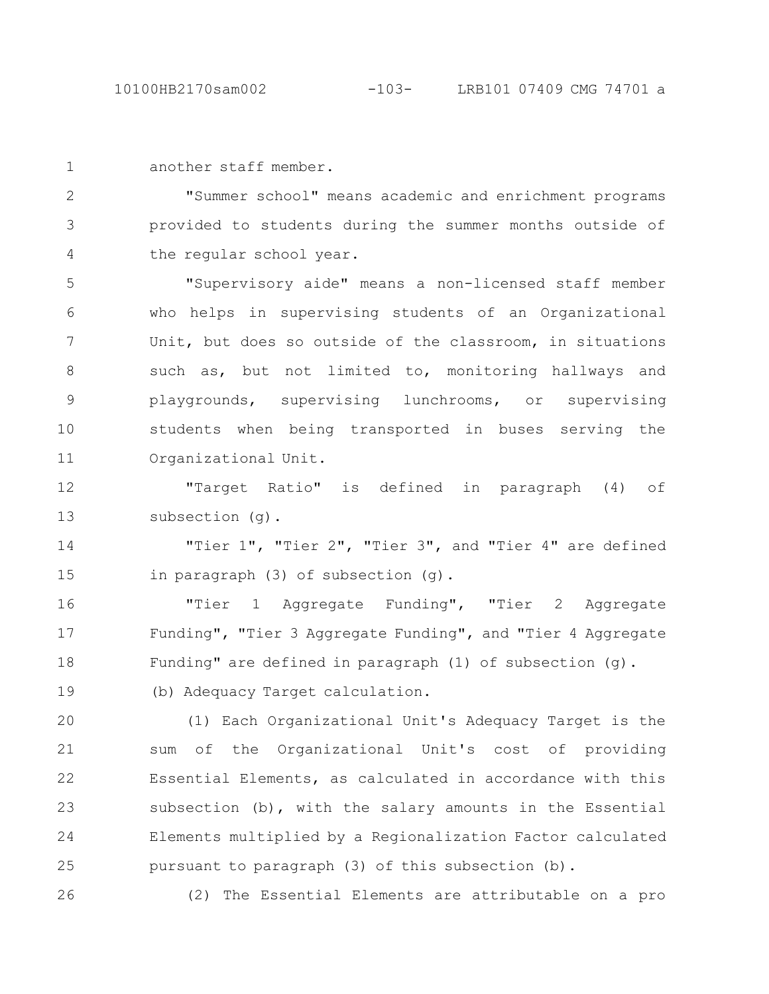another staff member. 1

"Summer school" means academic and enrichment programs provided to students during the summer months outside of the regular school year. 2 3 4

"Supervisory aide" means a non-licensed staff member who helps in supervising students of an Organizational Unit, but does so outside of the classroom, in situations such as, but not limited to, monitoring hallways and playgrounds, supervising lunchrooms, or supervising students when being transported in buses serving the Organizational Unit. 5 6 7 8 9 10 11

"Target Ratio" is defined in paragraph (4) of subsection (g). 12 13

"Tier 1", "Tier 2", "Tier 3", and "Tier 4" are defined in paragraph (3) of subsection (g). 14 15

"Tier 1 Aggregate Funding", "Tier 2 Aggregate Funding", "Tier 3 Aggregate Funding", and "Tier 4 Aggregate Funding" are defined in paragraph (1) of subsection (g). 16 17 18

(b) Adequacy Target calculation.

(1) Each Organizational Unit's Adequacy Target is the sum of the Organizational Unit's cost of providing Essential Elements, as calculated in accordance with this subsection (b), with the salary amounts in the Essential Elements multiplied by a Regionalization Factor calculated pursuant to paragraph (3) of this subsection (b). 20 21 22 23 24 25

26

19

(2) The Essential Elements are attributable on a pro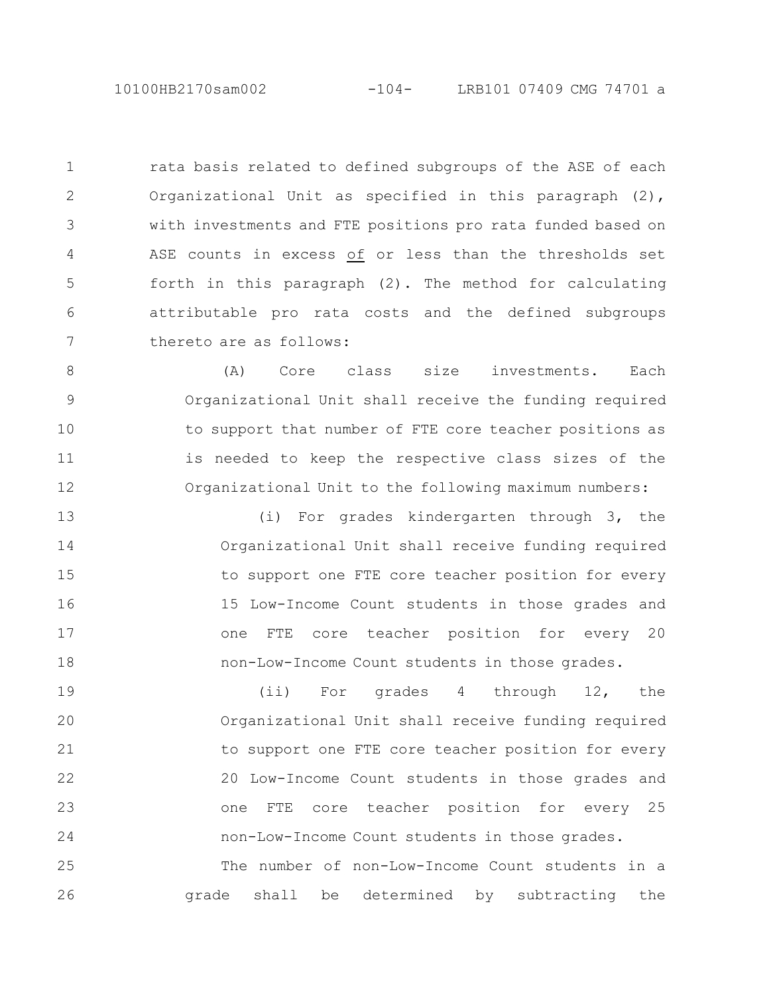10100HB2170sam002 -104- LRB101 07409 CMG 74701 a

rata basis related to defined subgroups of the ASE of each Organizational Unit as specified in this paragraph (2), with investments and FTE positions pro rata funded based on ASE counts in excess of or less than the thresholds set forth in this paragraph (2). The method for calculating attributable pro rata costs and the defined subgroups thereto are as follows: 1 2 3 4 5 6 7

(A) Core class size investments. Each Organizational Unit shall receive the funding required to support that number of FTE core teacher positions as is needed to keep the respective class sizes of the Organizational Unit to the following maximum numbers: 8 9 10 11 12

(i) For grades kindergarten through 3, the Organizational Unit shall receive funding required to support one FTE core teacher position for every 15 Low-Income Count students in those grades and one FTE core teacher position for every 20 non-Low-Income Count students in those grades. 13 14 15 16 17 18

(ii) For grades 4 through 12, the Organizational Unit shall receive funding required to support one FTE core teacher position for every 20 Low-Income Count students in those grades and one FTE core teacher position for every 25 non-Low-Income Count students in those grades. The number of non-Low-Income Count students in a grade shall be determined by subtracting the 19 20 21 22 23 24 25 26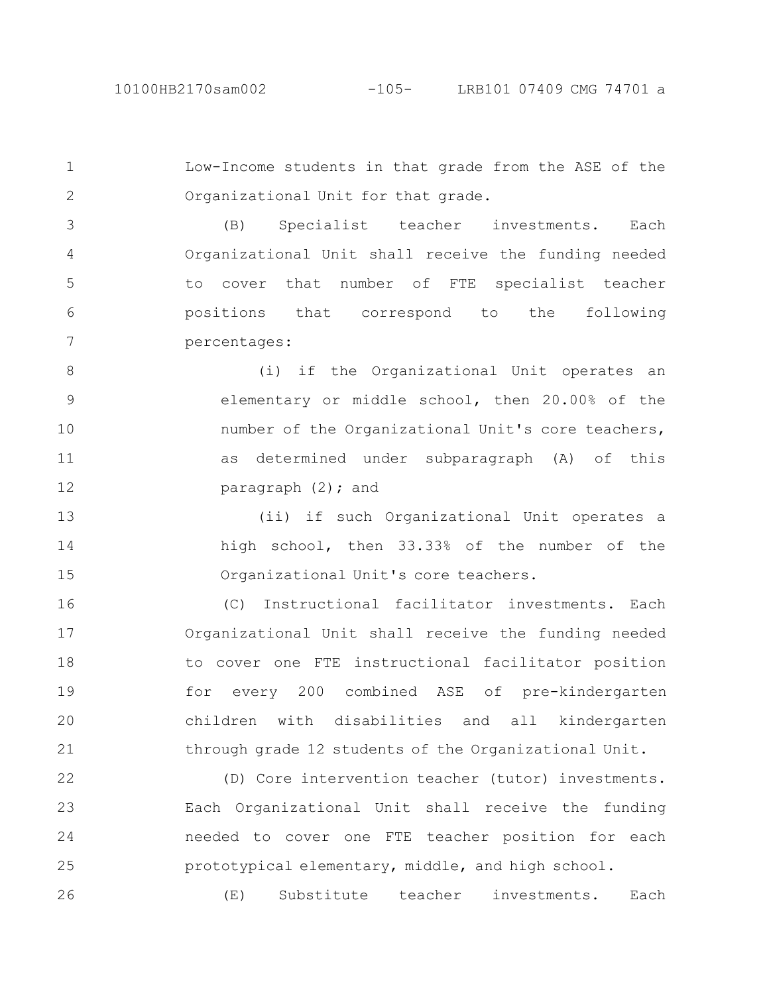Low-Income students in that grade from the ASE of the Organizational Unit for that grade. 1 2

(B) Specialist teacher investments. Each Organizational Unit shall receive the funding needed to cover that number of FTE specialist teacher positions that correspond to the following percentages: 3 4 5 6 7

(i) if the Organizational Unit operates an elementary or middle school, then 20.00% of the number of the Organizational Unit's core teachers, as determined under subparagraph (A) of this paragraph (2); and 8 9 10 11 12

(ii) if such Organizational Unit operates a high school, then 33.33% of the number of the Organizational Unit's core teachers. 13 14 15

(C) Instructional facilitator investments. Each Organizational Unit shall receive the funding needed to cover one FTE instructional facilitator position for every 200 combined ASE of pre-kindergarten children with disabilities and all kindergarten through grade 12 students of the Organizational Unit. 16 17 18 19 20 21

(D) Core intervention teacher (tutor) investments. Each Organizational Unit shall receive the funding needed to cover one FTE teacher position for each prototypical elementary, middle, and high school. 22 23 24 25

(E) Substitute teacher investments. Each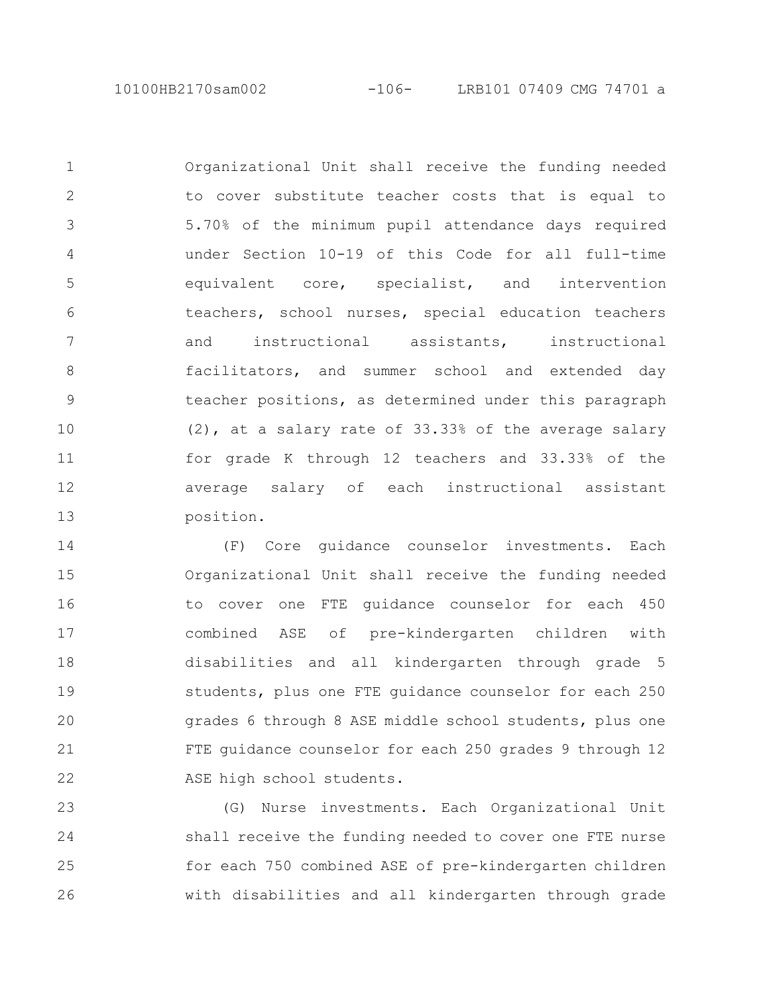Organizational Unit shall receive the funding needed to cover substitute teacher costs that is equal to 5.70% of the minimum pupil attendance days required under Section 10-19 of this Code for all full-time equivalent core, specialist, and intervention teachers, school nurses, special education teachers and instructional assistants, instructional facilitators, and summer school and extended day teacher positions, as determined under this paragraph (2), at a salary rate of 33.33% of the average salary for grade K through 12 teachers and 33.33% of the average salary of each instructional assistant position. 1 2 3 4 5 6 7 8 9 10 11 12 13

(F) Core guidance counselor investments. Each Organizational Unit shall receive the funding needed to cover one FTE guidance counselor for each 450 combined ASE of pre-kindergarten children with disabilities and all kindergarten through grade 5 students, plus one FTE guidance counselor for each 250 grades 6 through 8 ASE middle school students, plus one FTE guidance counselor for each 250 grades 9 through 12 ASE high school students. 14 15 16 17 18 19 20 21 22

(G) Nurse investments. Each Organizational Unit shall receive the funding needed to cover one FTE nurse for each 750 combined ASE of pre-kindergarten children with disabilities and all kindergarten through grade 23 24 25 26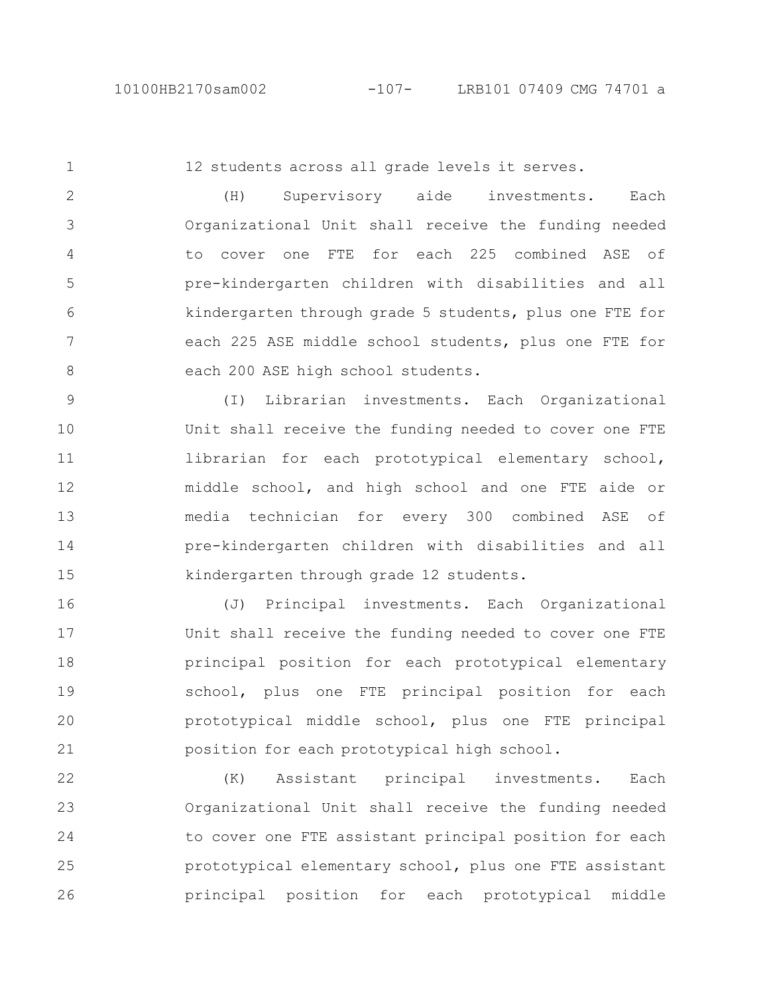12 students across all grade levels it serves.

(H) Supervisory aide investments. Each Organizational Unit shall receive the funding needed to cover one FTE for each 225 combined ASE of pre-kindergarten children with disabilities and all kindergarten through grade 5 students, plus one FTE for each 225 ASE middle school students, plus one FTE for each 200 ASE high school students. 2 3 4 5 6 7 8

(I) Librarian investments. Each Organizational Unit shall receive the funding needed to cover one FTE librarian for each prototypical elementary school, middle school, and high school and one FTE aide or media technician for every 300 combined ASE of pre-kindergarten children with disabilities and all kindergarten through grade 12 students. 9 10 11 12 13 14 15

(J) Principal investments. Each Organizational Unit shall receive the funding needed to cover one FTE principal position for each prototypical elementary school, plus one FTE principal position for each prototypical middle school, plus one FTE principal position for each prototypical high school. 16 17 18 19 20 21

(K) Assistant principal investments. Each Organizational Unit shall receive the funding needed to cover one FTE assistant principal position for each prototypical elementary school, plus one FTE assistant principal position for each prototypical middle 22 23 24 25 26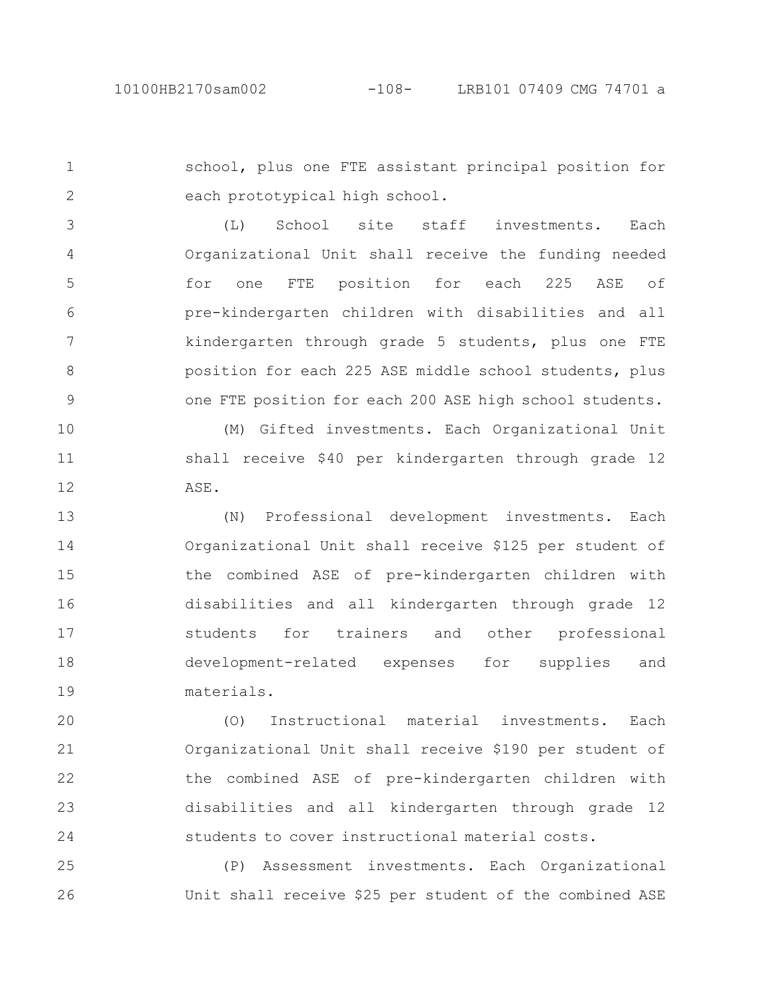school, plus one FTE assistant principal position for each prototypical high school. 1 2

(L) School site staff investments. Each Organizational Unit shall receive the funding needed for one FTE position for each 225 ASE of pre-kindergarten children with disabilities and all kindergarten through grade 5 students, plus one FTE position for each 225 ASE middle school students, plus one FTE position for each 200 ASE high school students. 3 4 5 6 7 8 9

(M) Gifted investments. Each Organizational Unit shall receive \$40 per kindergarten through grade 12 ASE. 10 11 12

(N) Professional development investments. Each Organizational Unit shall receive \$125 per student of the combined ASE of pre-kindergarten children with disabilities and all kindergarten through grade 12 students for trainers and other professional development-related expenses for supplies and materials. 13 14 15 16 17 18 19

(O) Instructional material investments. Each Organizational Unit shall receive \$190 per student of the combined ASE of pre-kindergarten children with disabilities and all kindergarten through grade 12 students to cover instructional material costs. 20 21 22 23 24

(P) Assessment investments. Each Organizational Unit shall receive \$25 per student of the combined ASE 25 26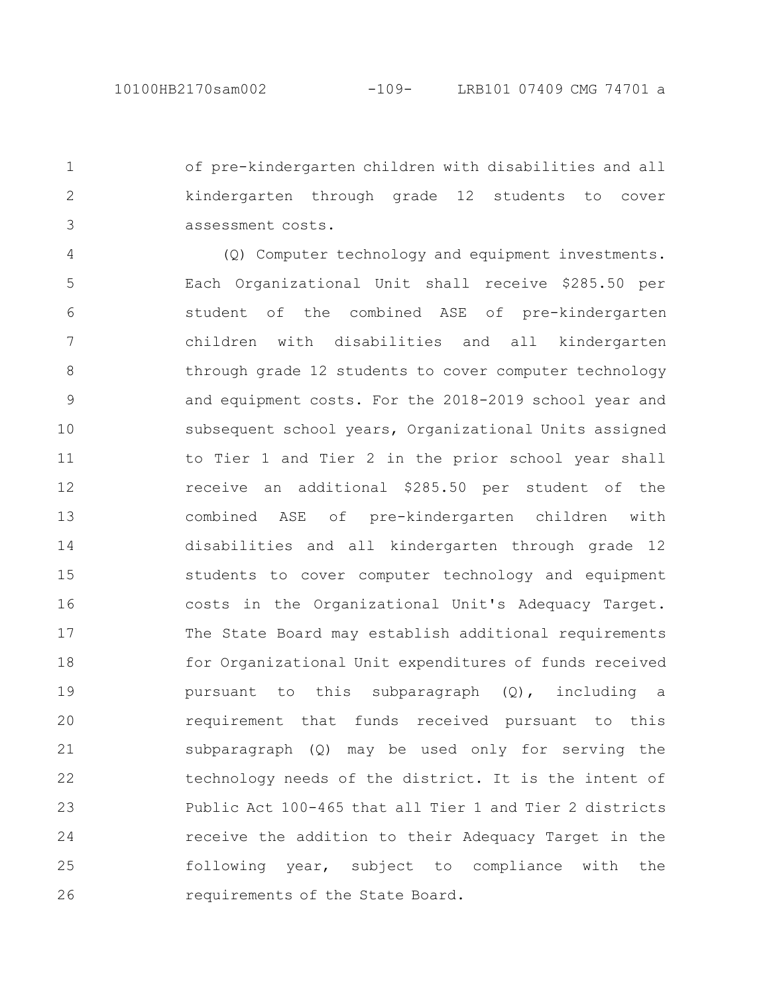of pre-kindergarten children with disabilities and all kindergarten through grade 12 students to cover assessment costs. 1 2

(Q) Computer technology and equipment investments. Each Organizational Unit shall receive \$285.50 per student of the combined ASE of pre-kindergarten children with disabilities and all kindergarten through grade 12 students to cover computer technology and equipment costs. For the 2018-2019 school year and subsequent school years, Organizational Units assigned to Tier 1 and Tier 2 in the prior school year shall receive an additional \$285.50 per student of the combined ASE of pre-kindergarten children with disabilities and all kindergarten through grade 12 students to cover computer technology and equipment costs in the Organizational Unit's Adequacy Target. The State Board may establish additional requirements for Organizational Unit expenditures of funds received pursuant to this subparagraph (Q), including a requirement that funds received pursuant to this subparagraph (Q) may be used only for serving the technology needs of the district. It is the intent of Public Act 100-465 that all Tier 1 and Tier 2 districts receive the addition to their Adequacy Target in the following year, subject to compliance with the requirements of the State Board. 4 5 6 7 8 9 10 11 12 13 14 15 16 17 18 19 20 21 22 23 24 25 26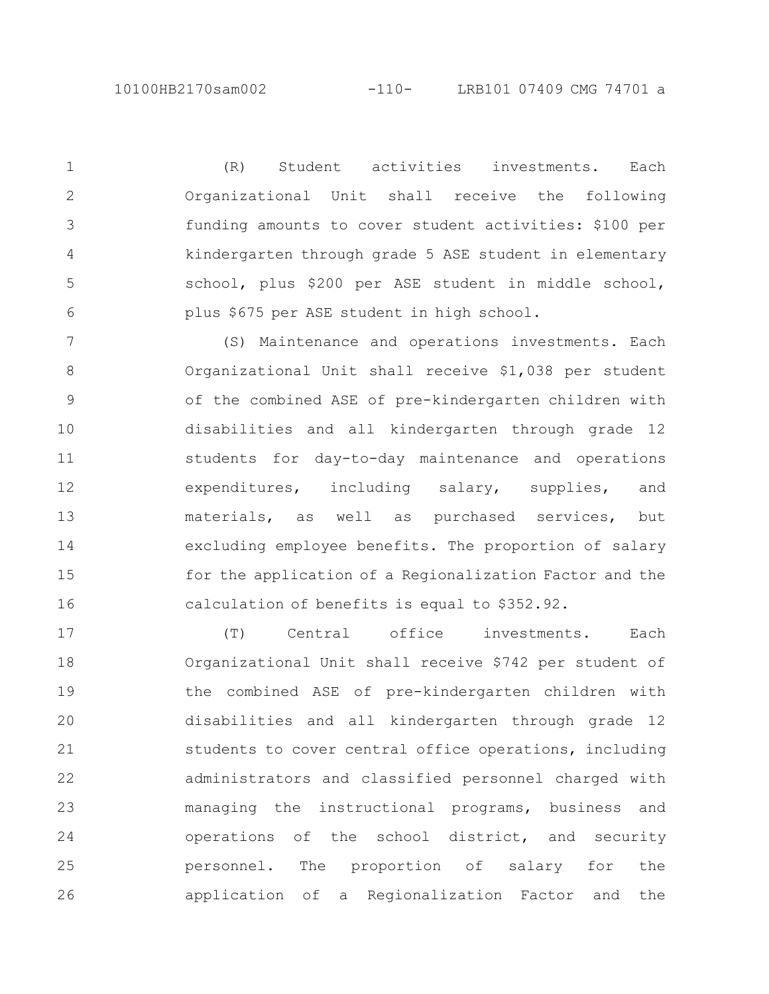2

3

4

5

6

(R) Student activities investments. Each Organizational Unit shall receive the following funding amounts to cover student activities: \$100 per kindergarten through grade 5 ASE student in elementary school, plus \$200 per ASE student in middle school, plus \$675 per ASE student in high school.

(S) Maintenance and operations investments. Each Organizational Unit shall receive \$1,038 per student of the combined ASE of pre-kindergarten children with disabilities and all kindergarten through grade 12 students for day-to-day maintenance and operations expenditures, including salary, supplies, and materials, as well as purchased services, but excluding employee benefits. The proportion of salary for the application of a Regionalization Factor and the calculation of benefits is equal to \$352.92. 7 8 9 10 11 12 13 14 15 16

(T) Central office investments. Each Organizational Unit shall receive \$742 per student of the combined ASE of pre-kindergarten children with disabilities and all kindergarten through grade 12 students to cover central office operations, including administrators and classified personnel charged with managing the instructional programs, business and operations of the school district, and security personnel. The proportion of salary for the application of a Regionalization Factor and the 17 18 19 20 21 22 23 24 25 26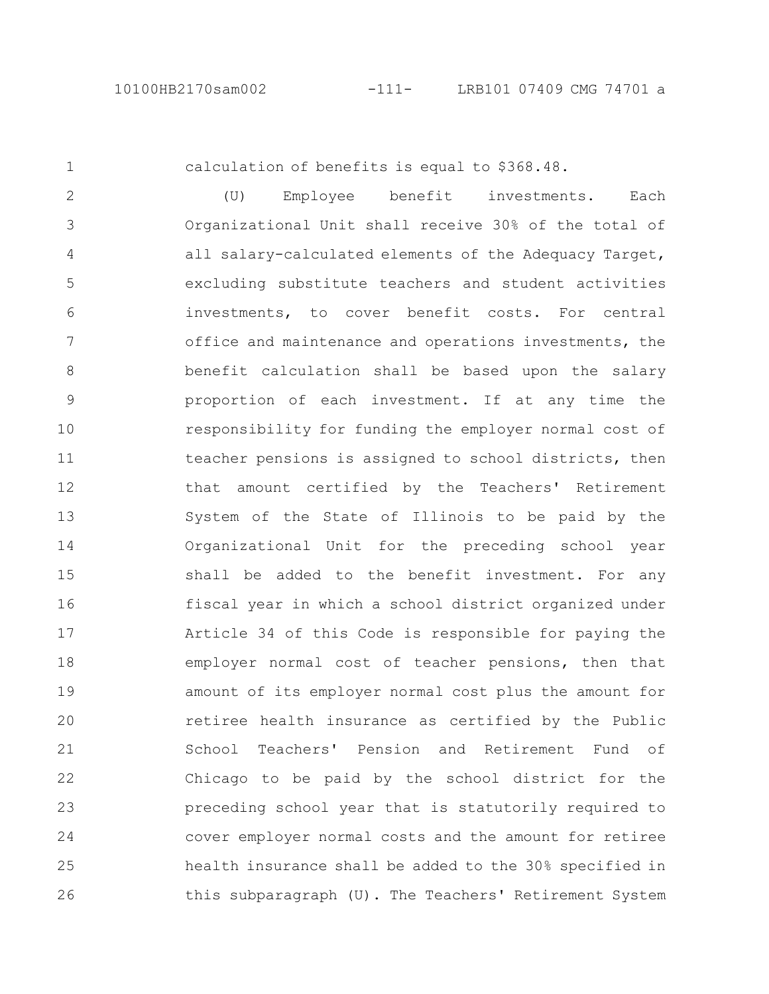calculation of benefits is equal to \$368.48.

(U) Employee benefit investments. Each Organizational Unit shall receive 30% of the total of all salary-calculated elements of the Adequacy Target, excluding substitute teachers and student activities investments, to cover benefit costs. For central office and maintenance and operations investments, the benefit calculation shall be based upon the salary proportion of each investment. If at any time the responsibility for funding the employer normal cost of teacher pensions is assigned to school districts, then that amount certified by the Teachers' Retirement System of the State of Illinois to be paid by the Organizational Unit for the preceding school year shall be added to the benefit investment. For any fiscal year in which a school district organized under Article 34 of this Code is responsible for paying the employer normal cost of teacher pensions, then that amount of its employer normal cost plus the amount for retiree health insurance as certified by the Public School Teachers' Pension and Retirement Fund of Chicago to be paid by the school district for the preceding school year that is statutorily required to cover employer normal costs and the amount for retiree health insurance shall be added to the 30% specified in this subparagraph (U). The Teachers' Retirement System 2 3 4 5 6 7 8 9 10 11 12 13 14 15 16 17 18 19 20 21 22 23 24 25 26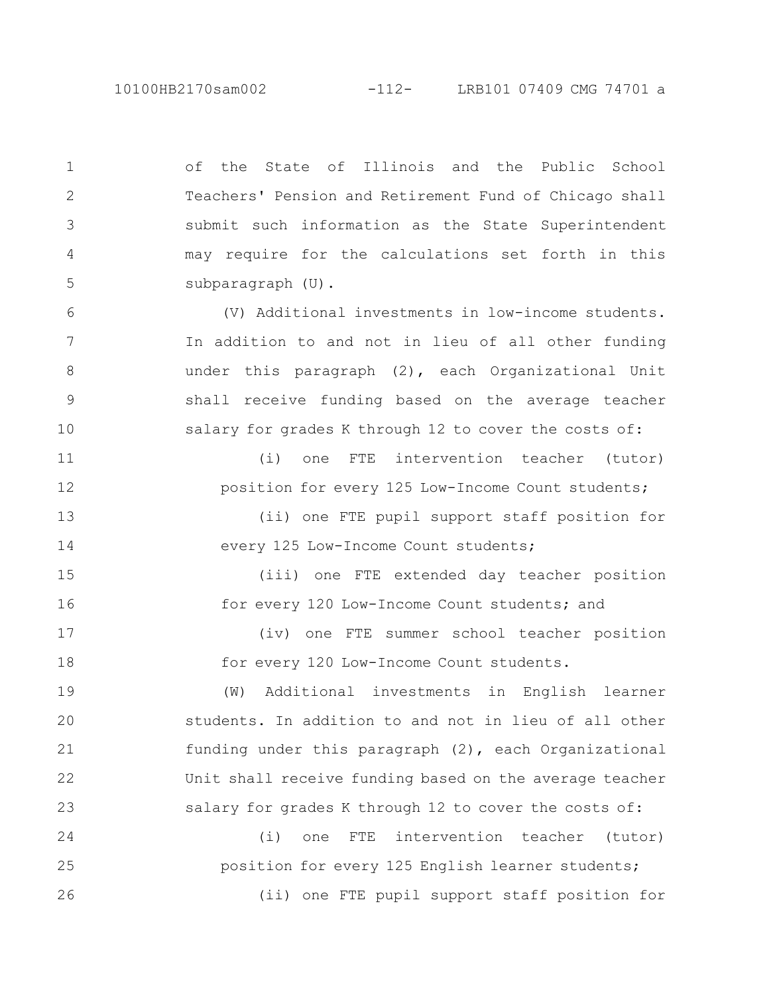of the State of Illinois and the Public School Teachers' Pension and Retirement Fund of Chicago shall submit such information as the State Superintendent may require for the calculations set forth in this subparagraph (U). (V) Additional investments in low-income students. In addition to and not in lieu of all other funding under this paragraph (2), each Organizational Unit shall receive funding based on the average teacher salary for grades K through 12 to cover the costs of: (i) one FTE intervention teacher (tutor) position for every 125 Low-Income Count students; (ii) one FTE pupil support staff position for every 125 Low-Income Count students; (iii) one FTE extended day teacher position for every 120 Low-Income Count students; and (iv) one FTE summer school teacher position for every 120 Low-Income Count students. (W) Additional investments in English learner students. In addition to and not in lieu of all other funding under this paragraph (2), each Organizational Unit shall receive funding based on the average teacher salary for grades K through 12 to cover the costs of: (i) one FTE intervention teacher (tutor) position for every 125 English learner students; (ii) one FTE pupil support staff position for 1 2 3 4 5 6 7 8 9 10 11 12 13 14 15 16 17 18 19 20 21 22 23 24 25 26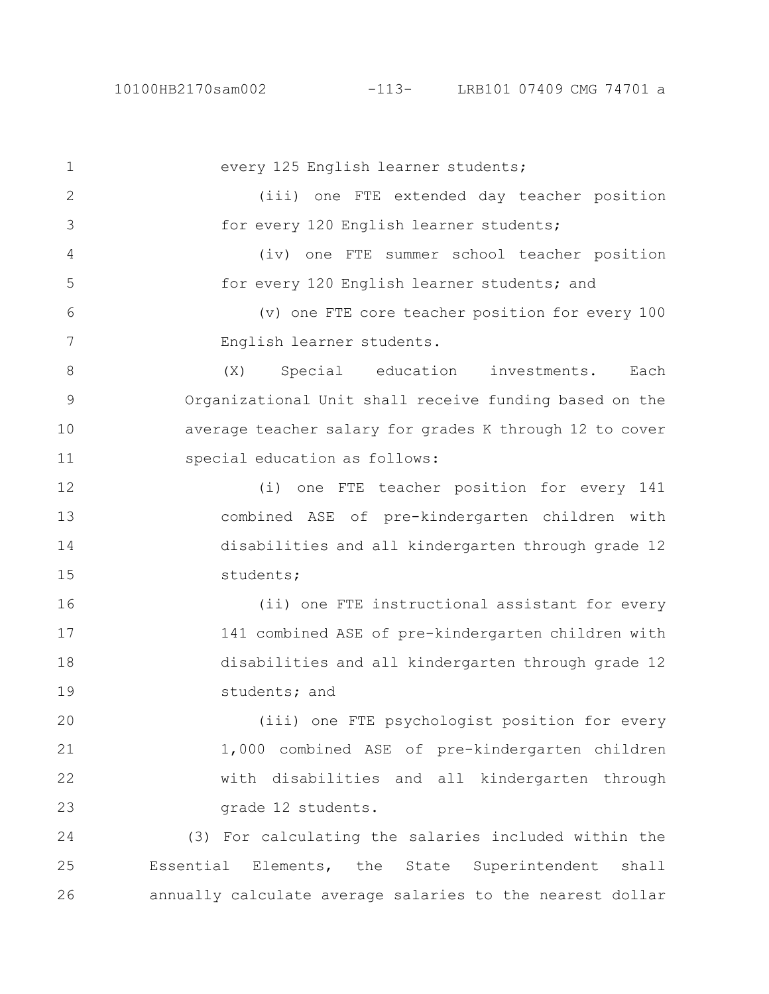every 125 English learner students; (iii) one FTE extended day teacher position for every 120 English learner students; (iv) one FTE summer school teacher position for every 120 English learner students; and (v) one FTE core teacher position for every 100 English learner students. (X) Special education investments. Each Organizational Unit shall receive funding based on the average teacher salary for grades K through 12 to cover special education as follows: (i) one FTE teacher position for every 141 combined ASE of pre-kindergarten children with disabilities and all kindergarten through grade 12 students; (ii) one FTE instructional assistant for every 141 combined ASE of pre-kindergarten children with disabilities and all kindergarten through grade 12 students; and (iii) one FTE psychologist position for every 1,000 combined ASE of pre-kindergarten children with disabilities and all kindergarten through grade 12 students. (3) For calculating the salaries included within the Essential Elements, the State Superintendent shall annually calculate average salaries to the nearest dollar 1 2 3 4 5 6 7 8 9 10 11 12 13 14 15 16 17 18 19 20 21 22 23 24 25 26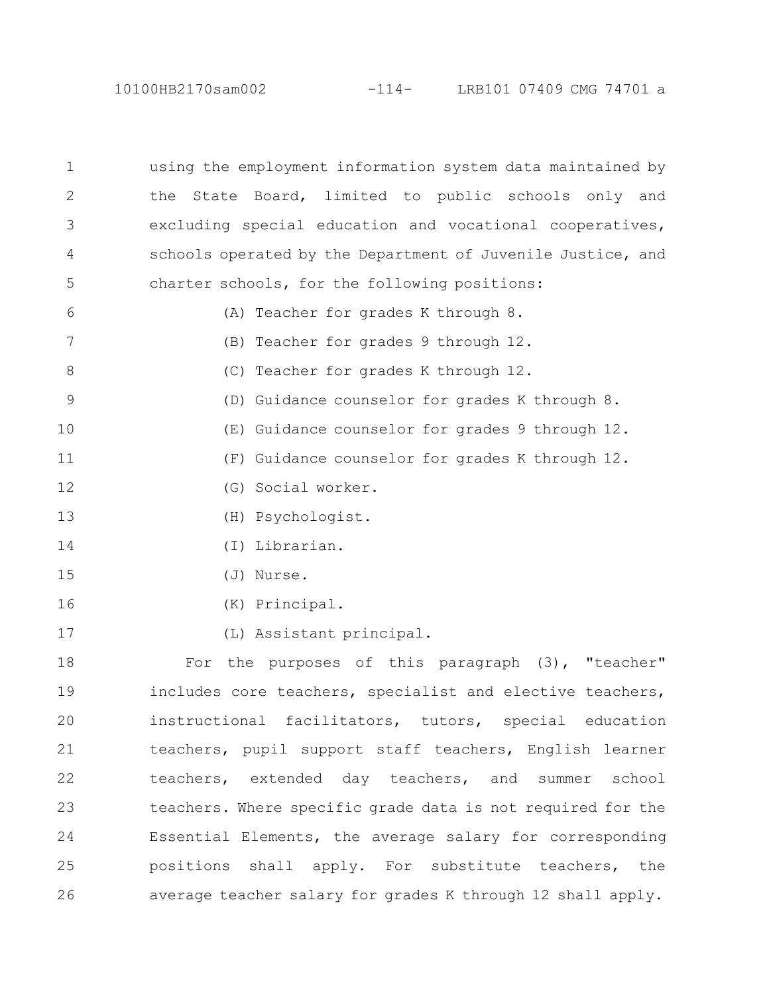10100HB2170sam002 -114- LRB101 07409 CMG 74701 a

using the employment information system data maintained by the State Board, limited to public schools only and excluding special education and vocational cooperatives, schools operated by the Department of Juvenile Justice, and charter schools, for the following positions: (A) Teacher for grades K through 8. (B) Teacher for grades 9 through 12. (C) Teacher for grades K through 12. (D) Guidance counselor for grades K through 8. (E) Guidance counselor for grades 9 through 12. (F) Guidance counselor for grades K through 12. (G) Social worker. (H) Psychologist. (I) Librarian. (J) Nurse. (K) Principal. (L) Assistant principal. For the purposes of this paragraph (3), "teacher" includes core teachers, specialist and elective teachers, instructional facilitators, tutors, special education teachers, pupil support staff teachers, English learner teachers, extended day teachers, and summer school teachers. Where specific grade data is not required for the Essential Elements, the average salary for corresponding positions shall apply. For substitute teachers, the average teacher salary for grades K through 12 shall apply. 1 2 3 4 5 6 7 8 9 10 11 12 13 14 15 16 17 18 19 20 21 22 23 24 25 26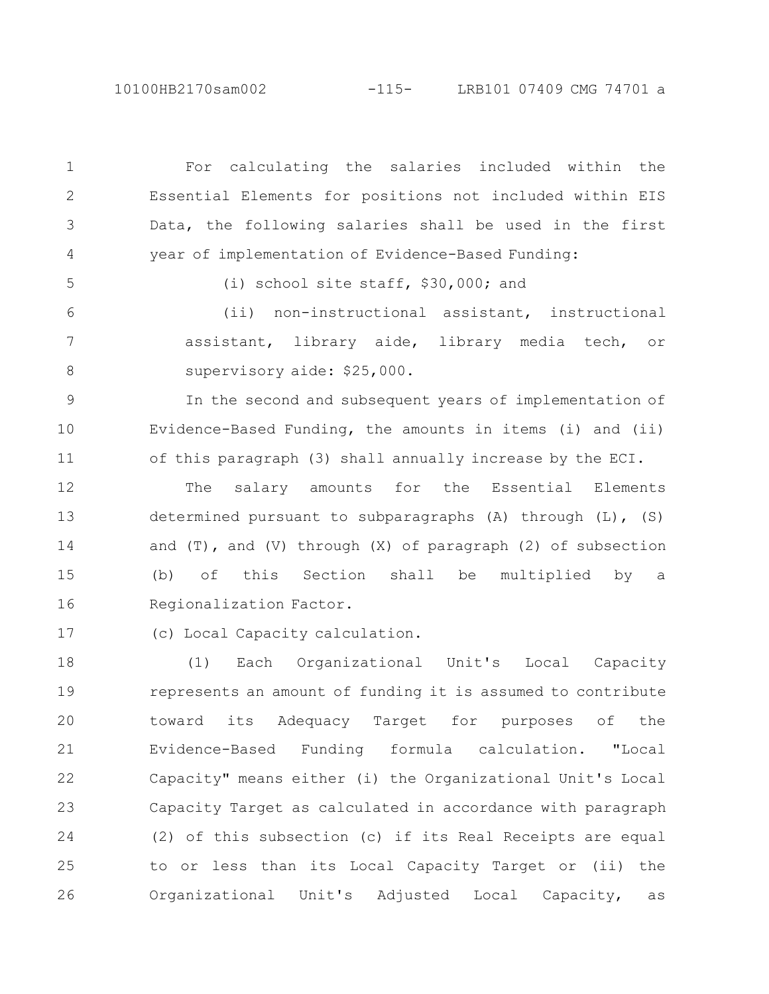10100HB2170sam002 -115- LRB101 07409 CMG 74701 a

For calculating the salaries included within the Essential Elements for positions not included within EIS Data, the following salaries shall be used in the first year of implementation of Evidence-Based Funding: (i) school site staff, \$30,000; and (ii) non-instructional assistant, instructional assistant, library aide, library media tech, or supervisory aide: \$25,000. In the second and subsequent years of implementation of Evidence-Based Funding, the amounts in items (i) and (ii) of this paragraph (3) shall annually increase by the ECI. The salary amounts for the Essential Elements determined pursuant to subparagraphs (A) through (L), (S) and  $(T)$ , and  $(V)$  through  $(X)$  of paragraph  $(2)$  of subsection (b) of this Section shall be multiplied by a Regionalization Factor. (c) Local Capacity calculation. (1) Each Organizational Unit's Local Capacity represents an amount of funding it is assumed to contribute toward its Adequacy Target for purposes of the Evidence-Based Funding formula calculation. "Local Capacity" means either (i) the Organizational Unit's Local Capacity Target as calculated in accordance with paragraph (2) of this subsection (c) if its Real Receipts are equal to or less than its Local Capacity Target or (ii) the Organizational Unit's Adjusted Local Capacity, as 1 2 3 4 5 6 7 8 9 10 11 12 13 14 15 16 17 18 19 20 21 22 23 24 25 26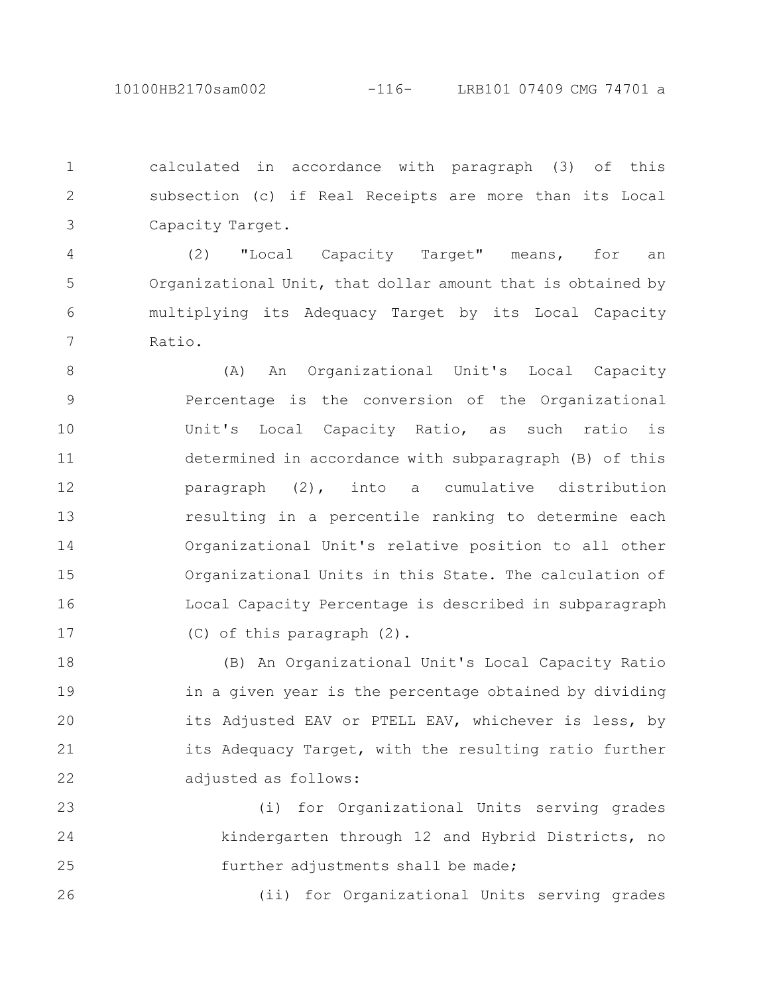calculated in accordance with paragraph (3) of this subsection (c) if Real Receipts are more than its Local Capacity Target. 1 2 3

(2) "Local Capacity Target" means, for an Organizational Unit, that dollar amount that is obtained by multiplying its Adequacy Target by its Local Capacity Ratio. 4 5 6 7

(A) An Organizational Unit's Local Capacity Percentage is the conversion of the Organizational Unit's Local Capacity Ratio, as such ratio is determined in accordance with subparagraph (B) of this paragraph (2), into a cumulative distribution resulting in a percentile ranking to determine each Organizational Unit's relative position to all other Organizational Units in this State. The calculation of Local Capacity Percentage is described in subparagraph (C) of this paragraph (2). 8 9 10 11 12 13 14 15 16 17

(B) An Organizational Unit's Local Capacity Ratio in a given year is the percentage obtained by dividing its Adjusted EAV or PTELL EAV, whichever is less, by its Adequacy Target, with the resulting ratio further adjusted as follows: 18 19 20 21 22

(i) for Organizational Units serving grades kindergarten through 12 and Hybrid Districts, no further adjustments shall be made; 23 24 25

(ii) for Organizational Units serving grades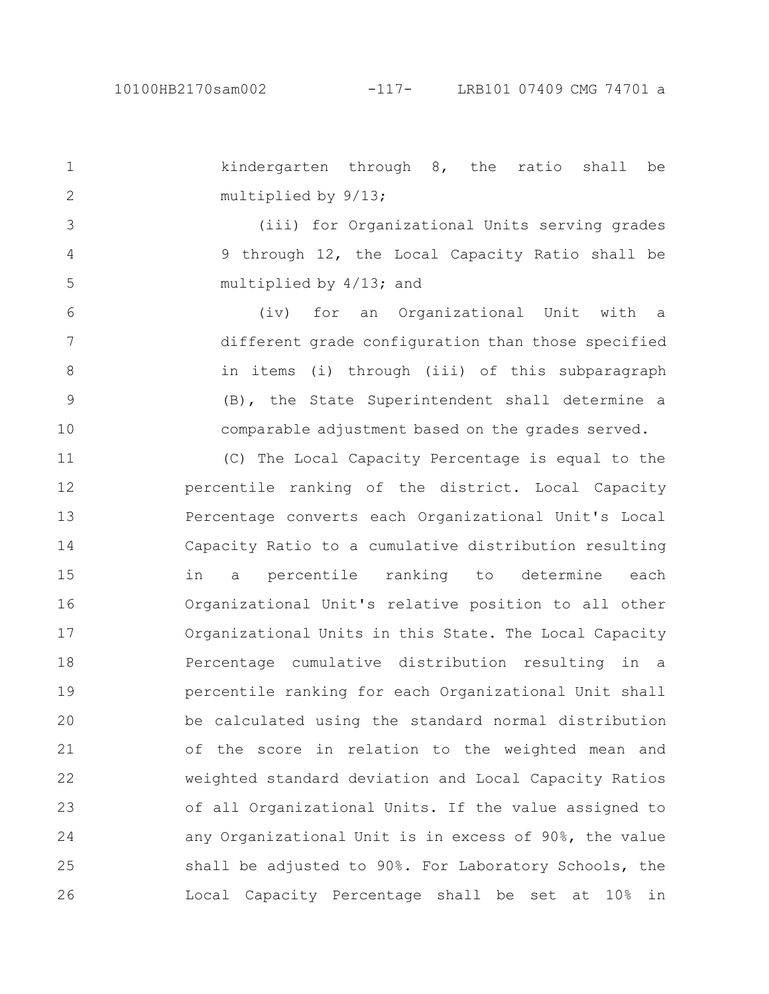kindergarten through 8, the ratio shall be multiplied by 9/13; (iii) for Organizational Units serving grades 9 through 12, the Local Capacity Ratio shall be multiplied by 4/13; and (iv) for an Organizational Unit with a different grade configuration than those specified in items (i) through (iii) of this subparagraph (B), the State Superintendent shall determine a comparable adjustment based on the grades served. (C) The Local Capacity Percentage is equal to the percentile ranking of the district. Local Capacity Percentage converts each Organizational Unit's Local Capacity Ratio to a cumulative distribution resulting in a percentile ranking to determine each Organizational Unit's relative position to all other Organizational Units in this State. The Local Capacity Percentage cumulative distribution resulting in a percentile ranking for each Organizational Unit shall be calculated using the standard normal distribution of the score in relation to the weighted mean and weighted standard deviation and Local Capacity Ratios of all Organizational Units. If the value assigned to any Organizational Unit is in excess of 90%, the value shall be adjusted to 90%. For Laboratory Schools, the Local Capacity Percentage shall be set at 10% in 1 2 3 4 5 6 7 8 9 10 11 12 13 14 15 16 17 18 19 20 21 22 23 24 25 26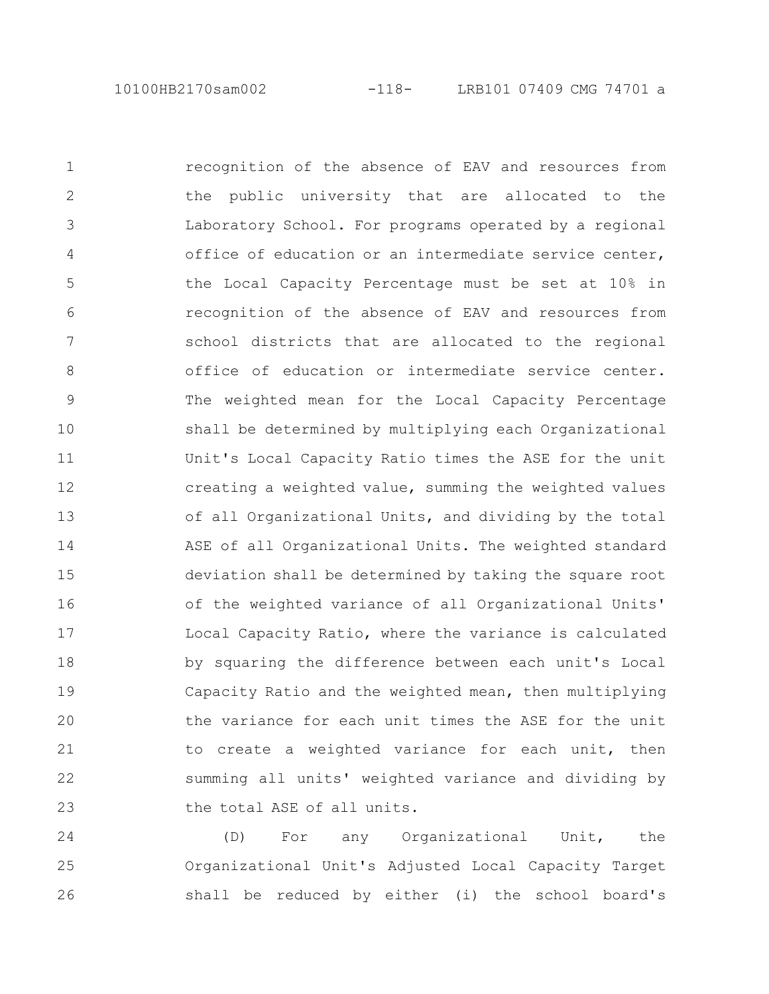recognition of the absence of EAV and resources from the public university that are allocated to the Laboratory School. For programs operated by a regional office of education or an intermediate service center, the Local Capacity Percentage must be set at 10% in recognition of the absence of EAV and resources from school districts that are allocated to the regional office of education or intermediate service center. The weighted mean for the Local Capacity Percentage shall be determined by multiplying each Organizational Unit's Local Capacity Ratio times the ASE for the unit creating a weighted value, summing the weighted values of all Organizational Units, and dividing by the total ASE of all Organizational Units. The weighted standard deviation shall be determined by taking the square root of the weighted variance of all Organizational Units' Local Capacity Ratio, where the variance is calculated by squaring the difference between each unit's Local Capacity Ratio and the weighted mean, then multiplying the variance for each unit times the ASE for the unit to create a weighted variance for each unit, then summing all units' weighted variance and dividing by the total ASE of all units. 1 2 3 4 5 6 7 8 9 10 11 12 13 14 15 16 17 18 19 20 21 22 23

(D) For any Organizational Unit, the Organizational Unit's Adjusted Local Capacity Target shall be reduced by either (i) the school board's 24 25 26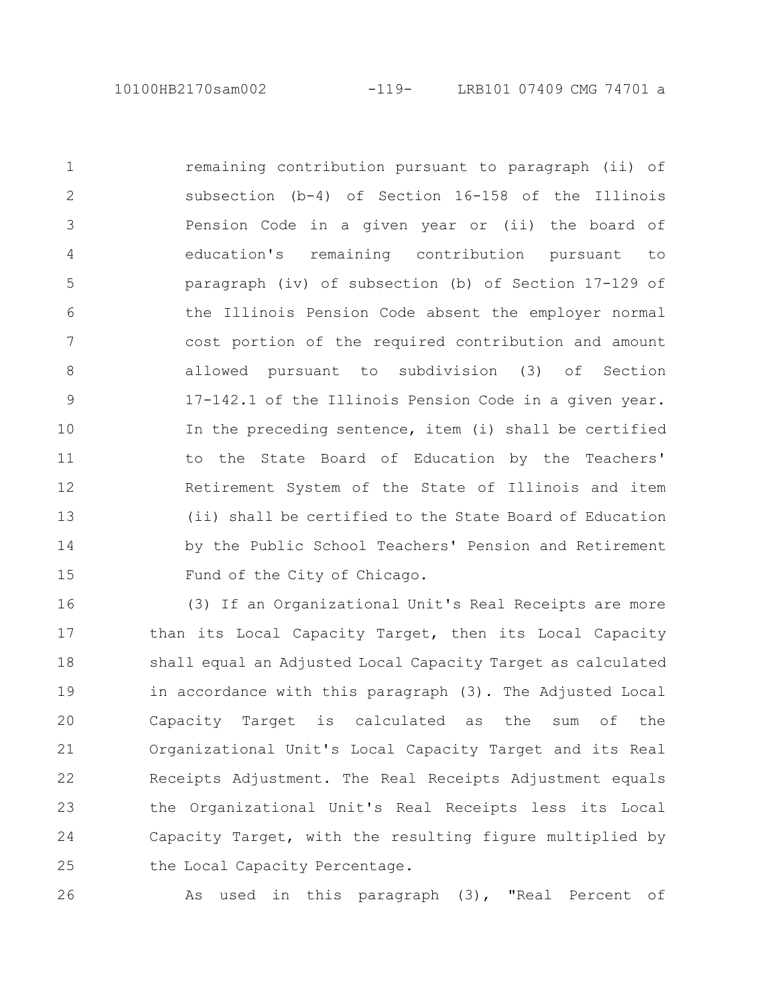remaining contribution pursuant to paragraph (ii) of subsection (b-4) of Section 16-158 of the Illinois Pension Code in a given year or (ii) the board of education's remaining contribution pursuant to paragraph (iv) of subsection (b) of Section 17-129 of the Illinois Pension Code absent the employer normal cost portion of the required contribution and amount allowed pursuant to subdivision (3) of Section 17-142.1 of the Illinois Pension Code in a given year. In the preceding sentence, item (i) shall be certified to the State Board of Education by the Teachers' Retirement System of the State of Illinois and item (ii) shall be certified to the State Board of Education by the Public School Teachers' Pension and Retirement Fund of the City of Chicago. 1 2 3 4 5 6 7 8 9 10 11 12 13 14 15

(3) If an Organizational Unit's Real Receipts are more than its Local Capacity Target, then its Local Capacity shall equal an Adjusted Local Capacity Target as calculated in accordance with this paragraph (3). The Adjusted Local Capacity Target is calculated as the sum of the Organizational Unit's Local Capacity Target and its Real Receipts Adjustment. The Real Receipts Adjustment equals the Organizational Unit's Real Receipts less its Local Capacity Target, with the resulting figure multiplied by the Local Capacity Percentage. 16 17 18 19 20 21 22 23 24 25

26

As used in this paragraph (3), "Real Percent of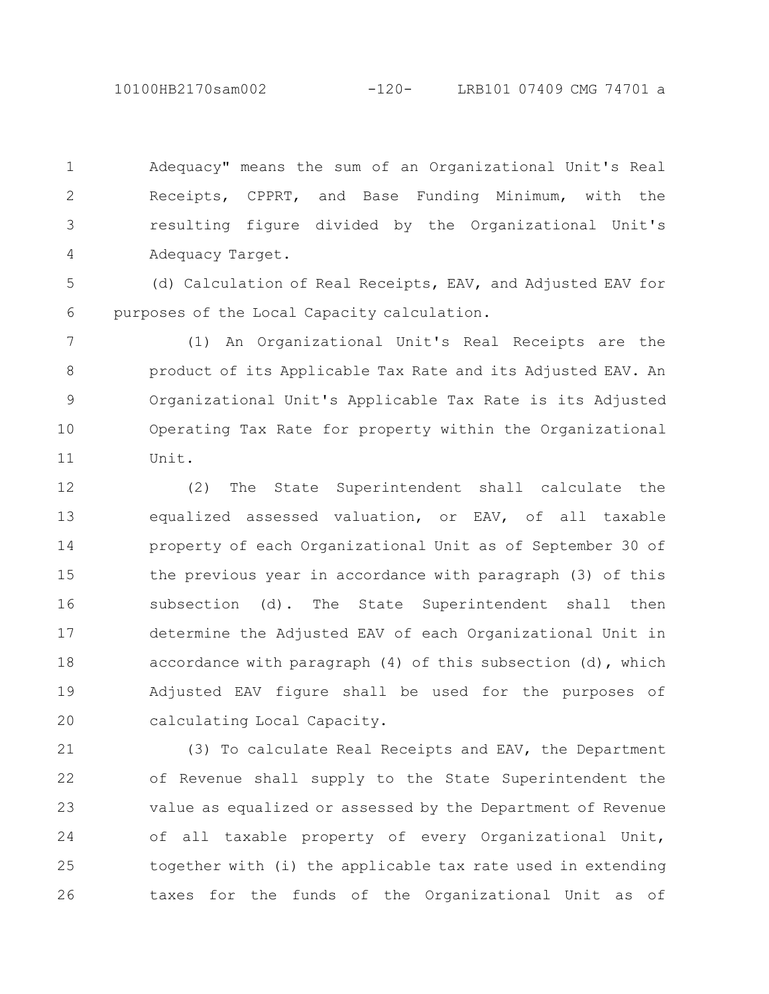10100HB2170sam002 -120- LRB101 07409 CMG 74701 a

Adequacy" means the sum of an Organizational Unit's Real Receipts, CPPRT, and Base Funding Minimum, with the resulting figure divided by the Organizational Unit's Adequacy Target. 1 2 3 4

(d) Calculation of Real Receipts, EAV, and Adjusted EAV for purposes of the Local Capacity calculation. 5 6

(1) An Organizational Unit's Real Receipts are the product of its Applicable Tax Rate and its Adjusted EAV. An Organizational Unit's Applicable Tax Rate is its Adjusted Operating Tax Rate for property within the Organizational Unit. 7 8 9 10 11

(2) The State Superintendent shall calculate the equalized assessed valuation, or EAV, of all taxable property of each Organizational Unit as of September 30 of the previous year in accordance with paragraph (3) of this subsection (d). The State Superintendent shall then determine the Adjusted EAV of each Organizational Unit in accordance with paragraph (4) of this subsection (d), which Adjusted EAV figure shall be used for the purposes of calculating Local Capacity. 12 13 14 15 16 17 18 19 20

(3) To calculate Real Receipts and EAV, the Department of Revenue shall supply to the State Superintendent the value as equalized or assessed by the Department of Revenue of all taxable property of every Organizational Unit, together with (i) the applicable tax rate used in extending taxes for the funds of the Organizational Unit as of 21 22 23 24 25 26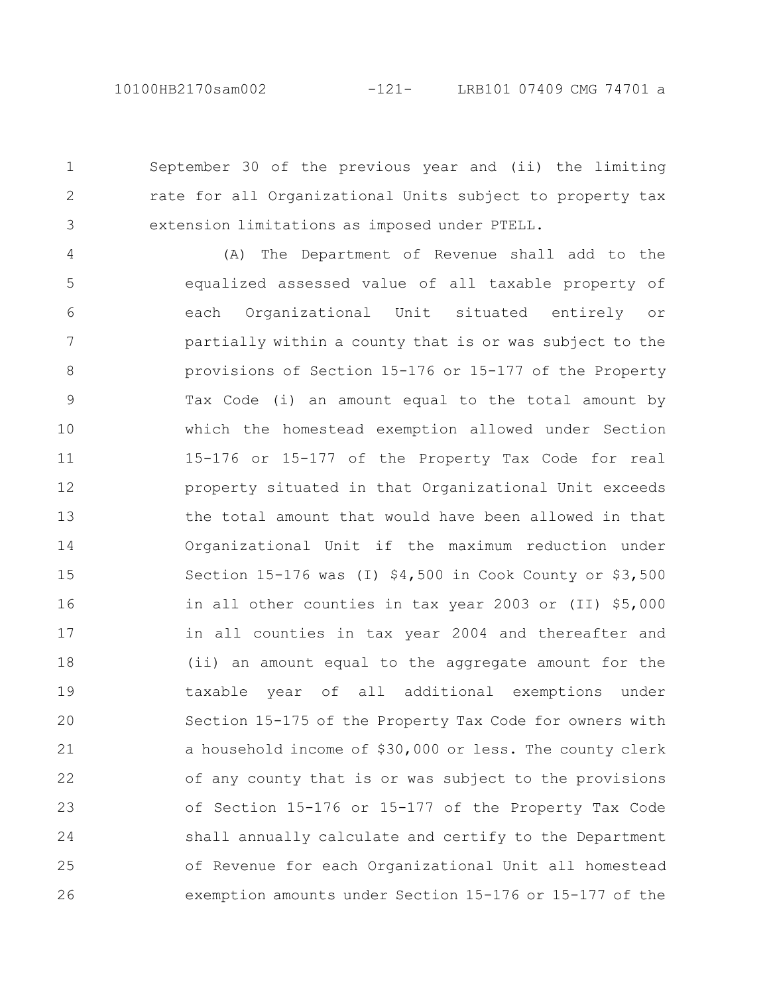2

3

September 30 of the previous year and (ii) the limiting rate for all Organizational Units subject to property tax extension limitations as imposed under PTELL.

(A) The Department of Revenue shall add to the equalized assessed value of all taxable property of each Organizational Unit situated entirely or partially within a county that is or was subject to the provisions of Section 15-176 or 15-177 of the Property Tax Code (i) an amount equal to the total amount by which the homestead exemption allowed under Section 15-176 or 15-177 of the Property Tax Code for real property situated in that Organizational Unit exceeds the total amount that would have been allowed in that Organizational Unit if the maximum reduction under Section 15-176 was (I) \$4,500 in Cook County or \$3,500 in all other counties in tax year 2003 or (II) \$5,000 in all counties in tax year 2004 and thereafter and (ii) an amount equal to the aggregate amount for the taxable year of all additional exemptions under Section 15-175 of the Property Tax Code for owners with a household income of \$30,000 or less. The county clerk of any county that is or was subject to the provisions of Section 15-176 or 15-177 of the Property Tax Code shall annually calculate and certify to the Department of Revenue for each Organizational Unit all homestead exemption amounts under Section 15-176 or 15-177 of the 4 5 6 7 8 9 10 11 12 13 14 15 16 17 18 19 20 21 22 23 24 25 26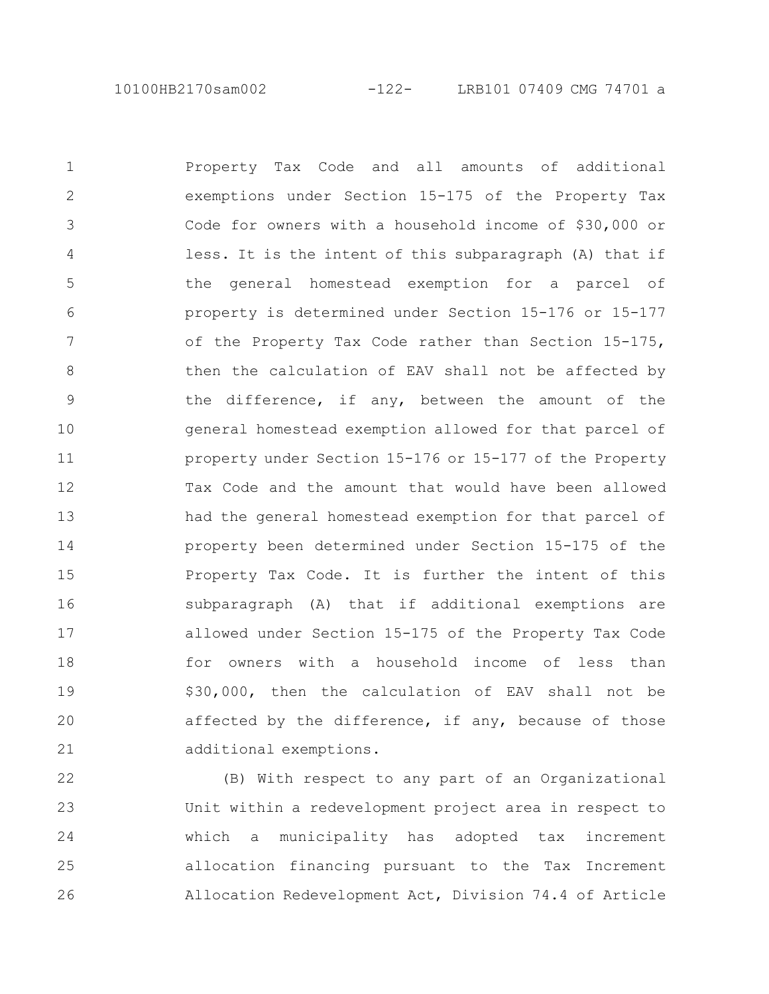10100HB2170sam002 -122- LRB101 07409 CMG 74701 a

Property Tax Code and all amounts of additional exemptions under Section 15-175 of the Property Tax Code for owners with a household income of \$30,000 or less. It is the intent of this subparagraph (A) that if the general homestead exemption for a parcel of property is determined under Section 15-176 or 15-177 of the Property Tax Code rather than Section 15-175, then the calculation of EAV shall not be affected by the difference, if any, between the amount of the general homestead exemption allowed for that parcel of property under Section 15-176 or 15-177 of the Property Tax Code and the amount that would have been allowed had the general homestead exemption for that parcel of property been determined under Section 15-175 of the Property Tax Code. It is further the intent of this subparagraph (A) that if additional exemptions are allowed under Section 15-175 of the Property Tax Code for owners with a household income of less than \$30,000, then the calculation of EAV shall not be affected by the difference, if any, because of those additional exemptions. 1 2 3 4 5 6 7 8 9 10 11 12 13 14 15 16 17 18 19 20 21

(B) With respect to any part of an Organizational Unit within a redevelopment project area in respect to which a municipality has adopted tax increment allocation financing pursuant to the Tax Increment Allocation Redevelopment Act, Division 74.4 of Article 22 23 24 25 26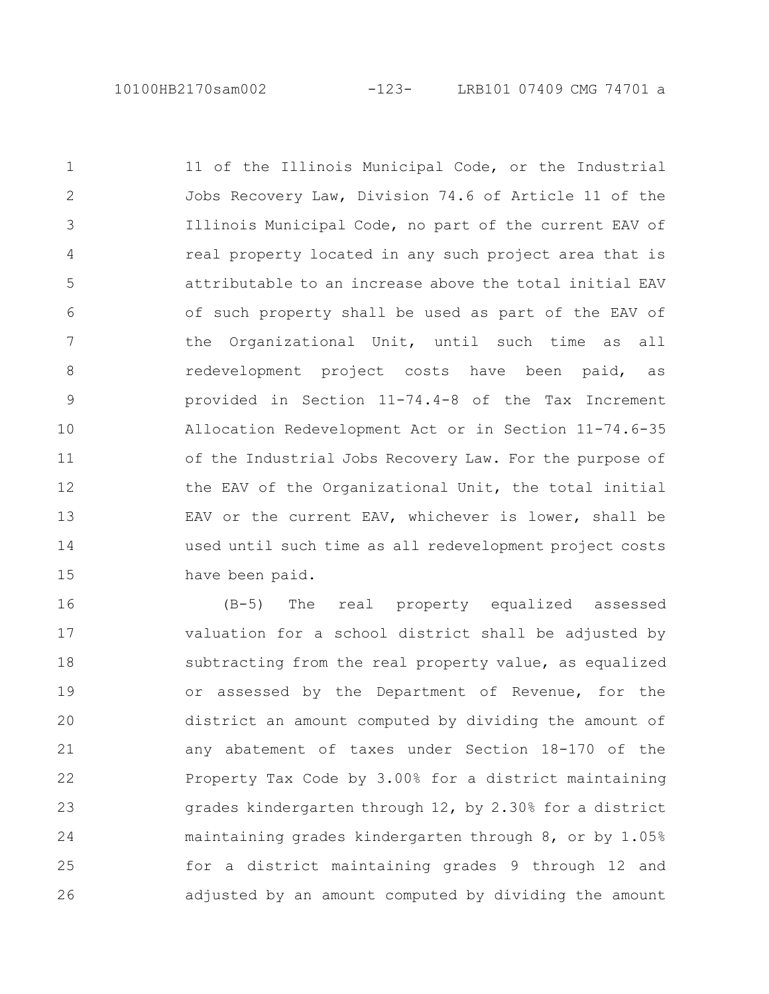11 of the Illinois Municipal Code, or the Industrial Jobs Recovery Law, Division 74.6 of Article 11 of the Illinois Municipal Code, no part of the current EAV of real property located in any such project area that is attributable to an increase above the total initial EAV of such property shall be used as part of the EAV of the Organizational Unit, until such time as all redevelopment project costs have been paid, as provided in Section 11-74.4-8 of the Tax Increment Allocation Redevelopment Act or in Section 11-74.6-35 of the Industrial Jobs Recovery Law. For the purpose of the EAV of the Organizational Unit, the total initial EAV or the current EAV, whichever is lower, shall be used until such time as all redevelopment project costs have been paid. 1 2 3 4 5 6 7 8 9 10 11 12 13 14 15

(B-5) The real property equalized assessed valuation for a school district shall be adjusted by subtracting from the real property value, as equalized or assessed by the Department of Revenue, for the district an amount computed by dividing the amount of any abatement of taxes under Section 18-170 of the Property Tax Code by 3.00% for a district maintaining grades kindergarten through 12, by 2.30% for a district maintaining grades kindergarten through 8, or by 1.05% for a district maintaining grades 9 through 12 and adjusted by an amount computed by dividing the amount 16 17 18 19 20 21 22 23 24 25 26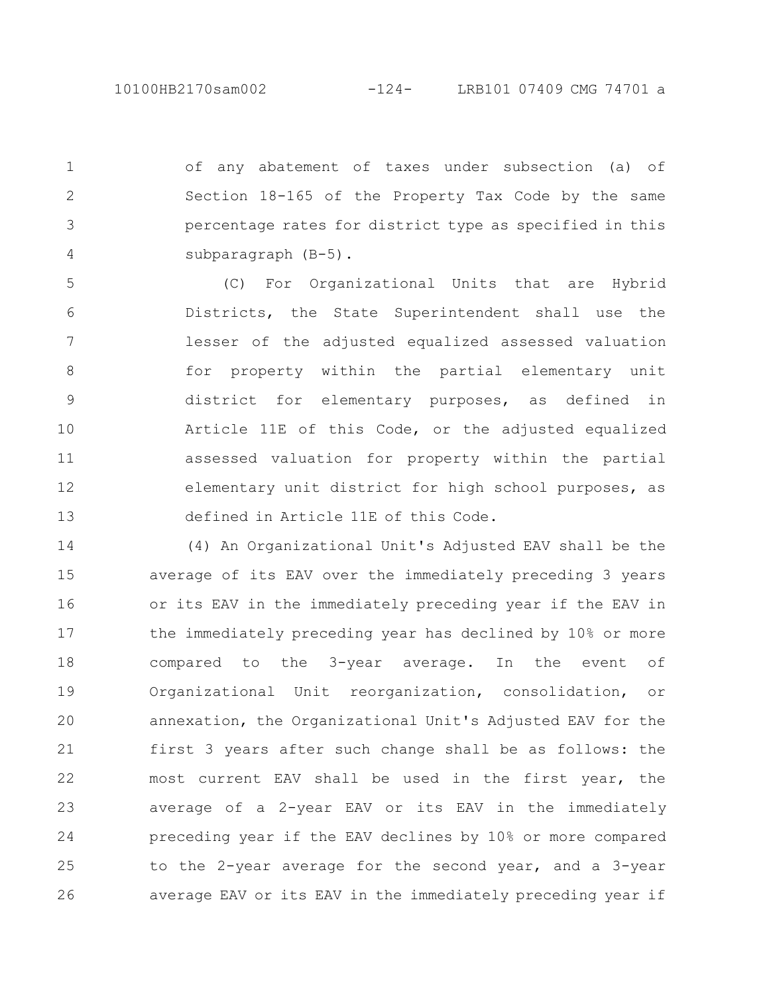of any abatement of taxes under subsection (a) of Section 18-165 of the Property Tax Code by the same percentage rates for district type as specified in this subparagraph (B-5). 1 2 3 4

(C) For Organizational Units that are Hybrid Districts, the State Superintendent shall use the lesser of the adjusted equalized assessed valuation for property within the partial elementary unit district for elementary purposes, as defined in Article 11E of this Code, or the adjusted equalized assessed valuation for property within the partial elementary unit district for high school purposes, as defined in Article 11E of this Code. 5 6 7 8 9 10 11 12 13

(4) An Organizational Unit's Adjusted EAV shall be the average of its EAV over the immediately preceding 3 years or its EAV in the immediately preceding year if the EAV in the immediately preceding year has declined by 10% or more compared to the 3-year average. In the event of Organizational Unit reorganization, consolidation, or annexation, the Organizational Unit's Adjusted EAV for the first 3 years after such change shall be as follows: the most current EAV shall be used in the first year, the average of a 2-year EAV or its EAV in the immediately preceding year if the EAV declines by 10% or more compared to the 2-year average for the second year, and a 3-year average EAV or its EAV in the immediately preceding year if 14 15 16 17 18 19 20 21 22 23 24 25 26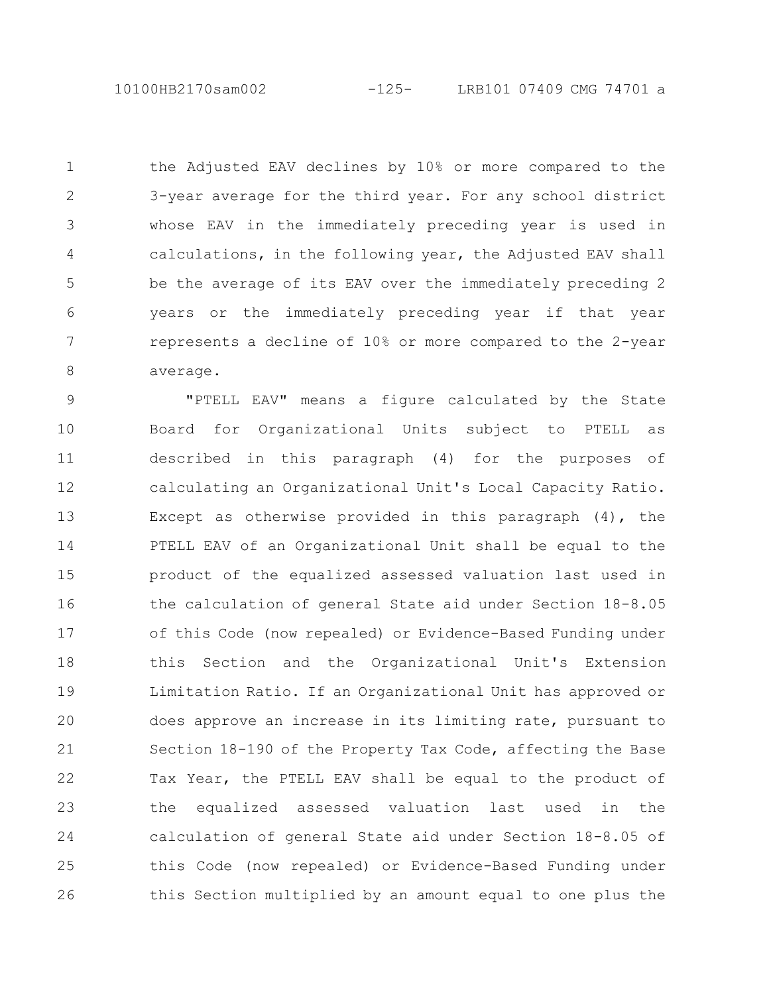10100HB2170sam002 -125- LRB101 07409 CMG 74701 a

the Adjusted EAV declines by 10% or more compared to the 3-year average for the third year. For any school district whose EAV in the immediately preceding year is used in calculations, in the following year, the Adjusted EAV shall be the average of its EAV over the immediately preceding 2 years or the immediately preceding year if that year represents a decline of 10% or more compared to the 2-year average. 1 2 3 4 5 6 7 8

"PTELL EAV" means a figure calculated by the State Board for Organizational Units subject to PTELL as described in this paragraph (4) for the purposes of calculating an Organizational Unit's Local Capacity Ratio. Except as otherwise provided in this paragraph (4), the PTELL EAV of an Organizational Unit shall be equal to the product of the equalized assessed valuation last used in the calculation of general State aid under Section 18-8.05 of this Code (now repealed) or Evidence-Based Funding under this Section and the Organizational Unit's Extension Limitation Ratio. If an Organizational Unit has approved or does approve an increase in its limiting rate, pursuant to Section 18-190 of the Property Tax Code, affecting the Base Tax Year, the PTELL EAV shall be equal to the product of the equalized assessed valuation last used in the calculation of general State aid under Section 18-8.05 of this Code (now repealed) or Evidence-Based Funding under this Section multiplied by an amount equal to one plus the 9 10 11 12 13 14 15 16 17 18 19 20 21 22 23 24 25 26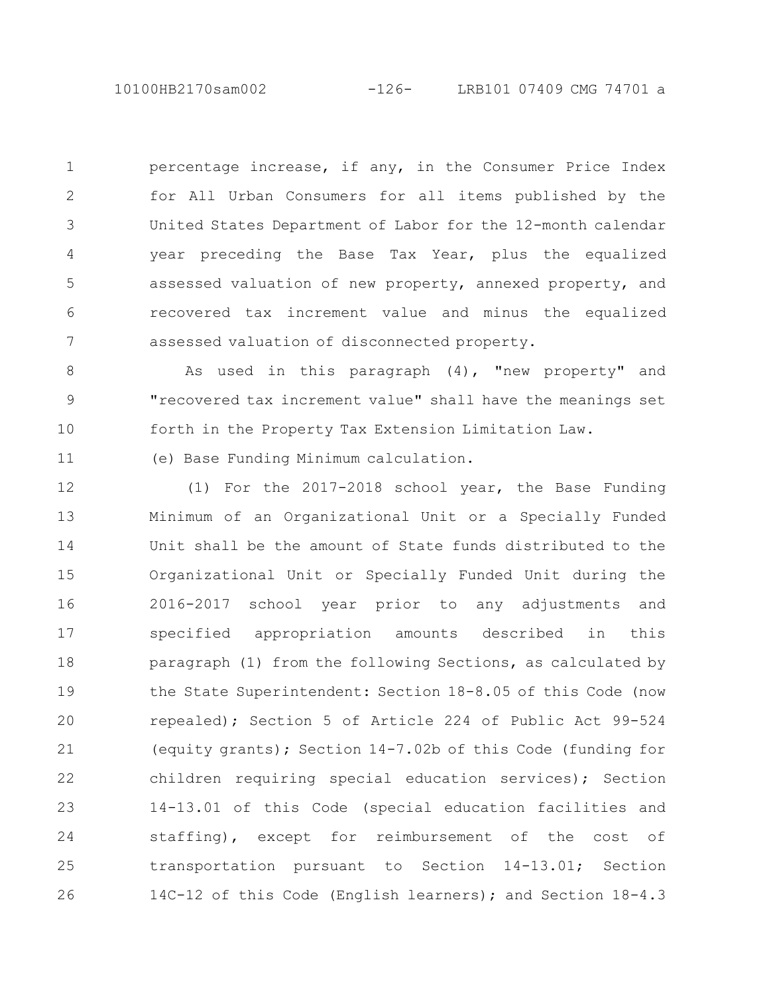10100HB2170sam002 -126- LRB101 07409 CMG 74701 a

percentage increase, if any, in the Consumer Price Index for All Urban Consumers for all items published by the United States Department of Labor for the 12-month calendar year preceding the Base Tax Year, plus the equalized assessed valuation of new property, annexed property, and recovered tax increment value and minus the equalized assessed valuation of disconnected property. 1 2 3 4 5 6 7

As used in this paragraph (4), "new property" and "recovered tax increment value" shall have the meanings set forth in the Property Tax Extension Limitation Law. 8 9 10

(e) Base Funding Minimum calculation.

11

(1) For the 2017-2018 school year, the Base Funding Minimum of an Organizational Unit or a Specially Funded Unit shall be the amount of State funds distributed to the Organizational Unit or Specially Funded Unit during the 2016-2017 school year prior to any adjustments and specified appropriation amounts described in this paragraph (1) from the following Sections, as calculated by the State Superintendent: Section 18-8.05 of this Code (now repealed); Section 5 of Article 224 of Public Act 99-524 (equity grants); Section 14-7.02b of this Code (funding for children requiring special education services); Section 14-13.01 of this Code (special education facilities and staffing), except for reimbursement of the cost of transportation pursuant to Section 14-13.01; Section 14C-12 of this Code (English learners); and Section 18-4.3 12 13 14 15 16 17 18 19 20 21 22 23 24 25 26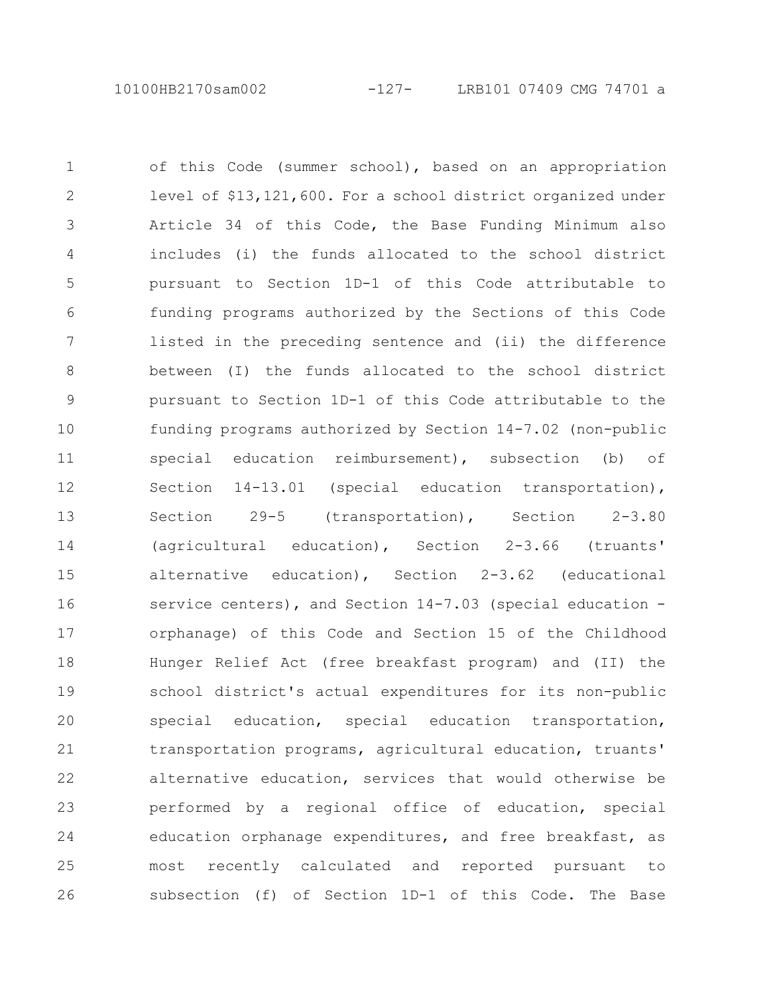of this Code (summer school), based on an appropriation level of \$13,121,600. For a school district organized under Article 34 of this Code, the Base Funding Minimum also includes (i) the funds allocated to the school district pursuant to Section 1D-1 of this Code attributable to funding programs authorized by the Sections of this Code listed in the preceding sentence and (ii) the difference between (I) the funds allocated to the school district pursuant to Section 1D-1 of this Code attributable to the funding programs authorized by Section 14-7.02 (non-public special education reimbursement), subsection (b) of Section 14-13.01 (special education transportation), Section 29-5 (transportation), Section 2-3.80 (agricultural education), Section 2-3.66 (truants' alternative education), Section 2-3.62 (educational service centers), and Section 14-7.03 (special education orphanage) of this Code and Section 15 of the Childhood Hunger Relief Act (free breakfast program) and (II) the school district's actual expenditures for its non-public special education, special education transportation, transportation programs, agricultural education, truants' alternative education, services that would otherwise be performed by a regional office of education, special education orphanage expenditures, and free breakfast, as most recently calculated and reported pursuant to subsection (f) of Section 1D-1 of this Code. The Base 1 2 3 4 5 6 7 8 9 10 11 12 13 14 15 16 17 18 19 20 21 22 23 24 25 26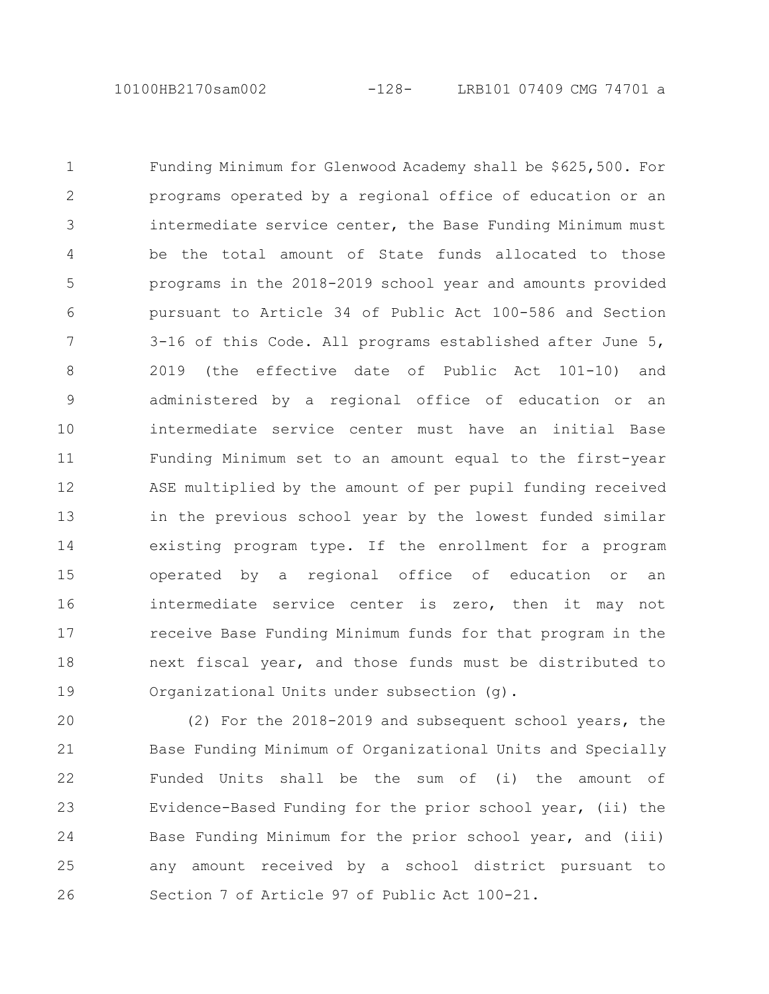Funding Minimum for Glenwood Academy shall be \$625,500. For programs operated by a regional office of education or an intermediate service center, the Base Funding Minimum must be the total amount of State funds allocated to those programs in the 2018-2019 school year and amounts provided pursuant to Article 34 of Public Act 100-586 and Section 3-16 of this Code. All programs established after June 5, 2019 (the effective date of Public Act 101-10) and administered by a regional office of education or an intermediate service center must have an initial Base Funding Minimum set to an amount equal to the first-year ASE multiplied by the amount of per pupil funding received in the previous school year by the lowest funded similar existing program type. If the enrollment for a program operated by a regional office of education or an intermediate service center is zero, then it may not receive Base Funding Minimum funds for that program in the next fiscal year, and those funds must be distributed to Organizational Units under subsection (g). 1 2 3 4 5 6 7 8 9 10 11 12 13 14 15 16 17 18 19

(2) For the 2018-2019 and subsequent school years, the Base Funding Minimum of Organizational Units and Specially Funded Units shall be the sum of (i) the amount of Evidence-Based Funding for the prior school year, (ii) the Base Funding Minimum for the prior school year, and (iii) any amount received by a school district pursuant to Section 7 of Article 97 of Public Act 100-21. 20 21 22 23 24 25 26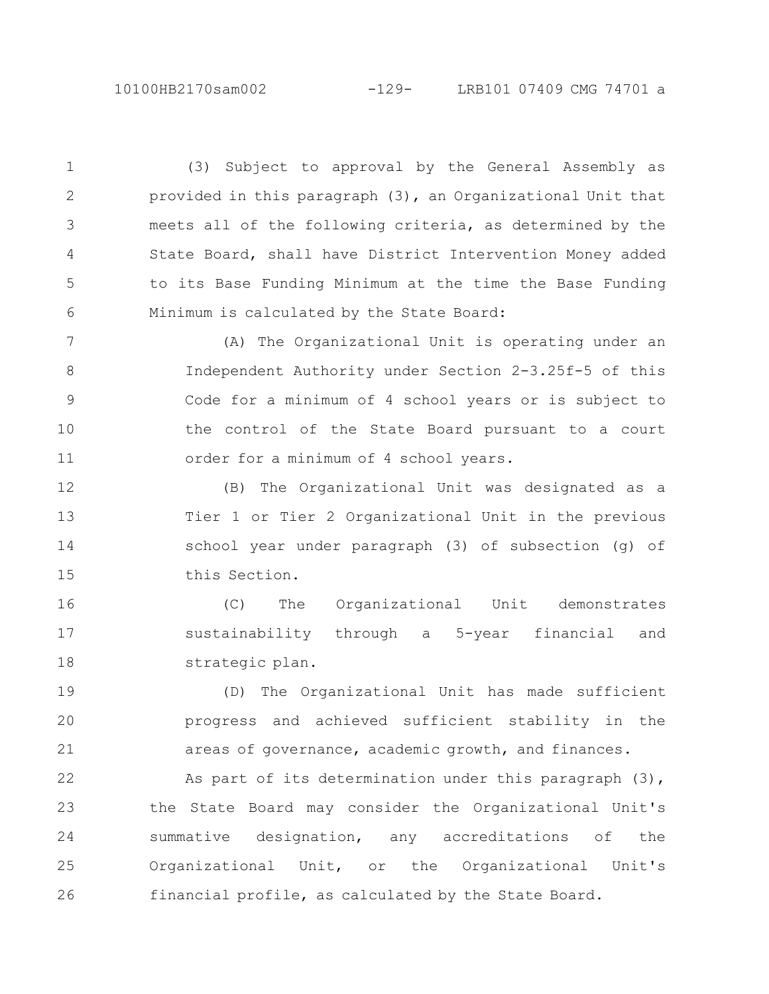(3) Subject to approval by the General Assembly as provided in this paragraph (3), an Organizational Unit that meets all of the following criteria, as determined by the State Board, shall have District Intervention Money added to its Base Funding Minimum at the time the Base Funding Minimum is calculated by the State Board: 1 2 3 4 5 6

(A) The Organizational Unit is operating under an Independent Authority under Section 2-3.25f-5 of this Code for a minimum of 4 school years or is subject to the control of the State Board pursuant to a court order for a minimum of 4 school years. 7 8 9 10 11

(B) The Organizational Unit was designated as a Tier 1 or Tier 2 Organizational Unit in the previous school year under paragraph (3) of subsection (g) of this Section. 12 13 14 15

(C) The Organizational Unit demonstrates sustainability through a 5-year financial and strategic plan. 16 17 18

(D) The Organizational Unit has made sufficient progress and achieved sufficient stability in the areas of governance, academic growth, and finances. 19 20 21

As part of its determination under this paragraph  $(3)$ , the State Board may consider the Organizational Unit's summative designation, any accreditations of the Organizational Unit, or the Organizational Unit's financial profile, as calculated by the State Board. 22 23 24 25 26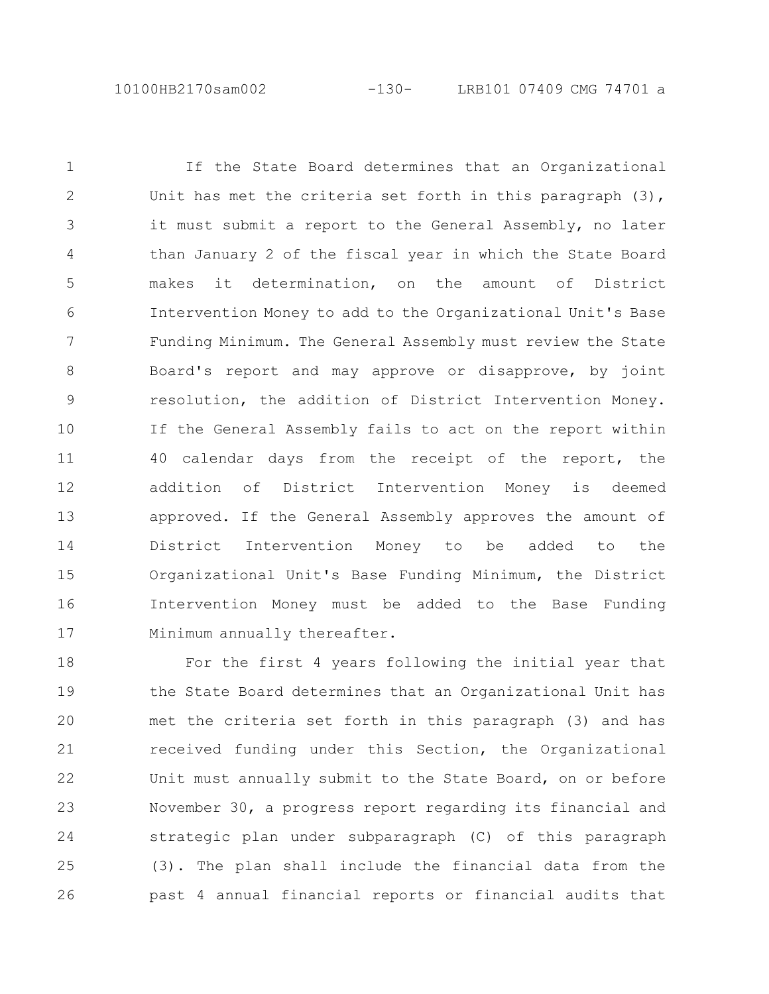10100HB2170sam002 -130- LRB101 07409 CMG 74701 a

If the State Board determines that an Organizational Unit has met the criteria set forth in this paragraph  $(3)$ , it must submit a report to the General Assembly, no later than January 2 of the fiscal year in which the State Board makes it determination, on the amount of District Intervention Money to add to the Organizational Unit's Base Funding Minimum. The General Assembly must review the State Board's report and may approve or disapprove, by joint resolution, the addition of District Intervention Money. If the General Assembly fails to act on the report within 40 calendar days from the receipt of the report, the addition of District Intervention Money is deemed approved. If the General Assembly approves the amount of District Intervention Money to be added to the Organizational Unit's Base Funding Minimum, the District Intervention Money must be added to the Base Funding Minimum annually thereafter. 1 2 3 4 5 6 7 8 9 10 11 12 13 14 15 16 17

For the first 4 years following the initial year that the State Board determines that an Organizational Unit has met the criteria set forth in this paragraph (3) and has received funding under this Section, the Organizational Unit must annually submit to the State Board, on or before November 30, a progress report regarding its financial and strategic plan under subparagraph (C) of this paragraph (3). The plan shall include the financial data from the past 4 annual financial reports or financial audits that 18 19 20 21 22 23 24 25 26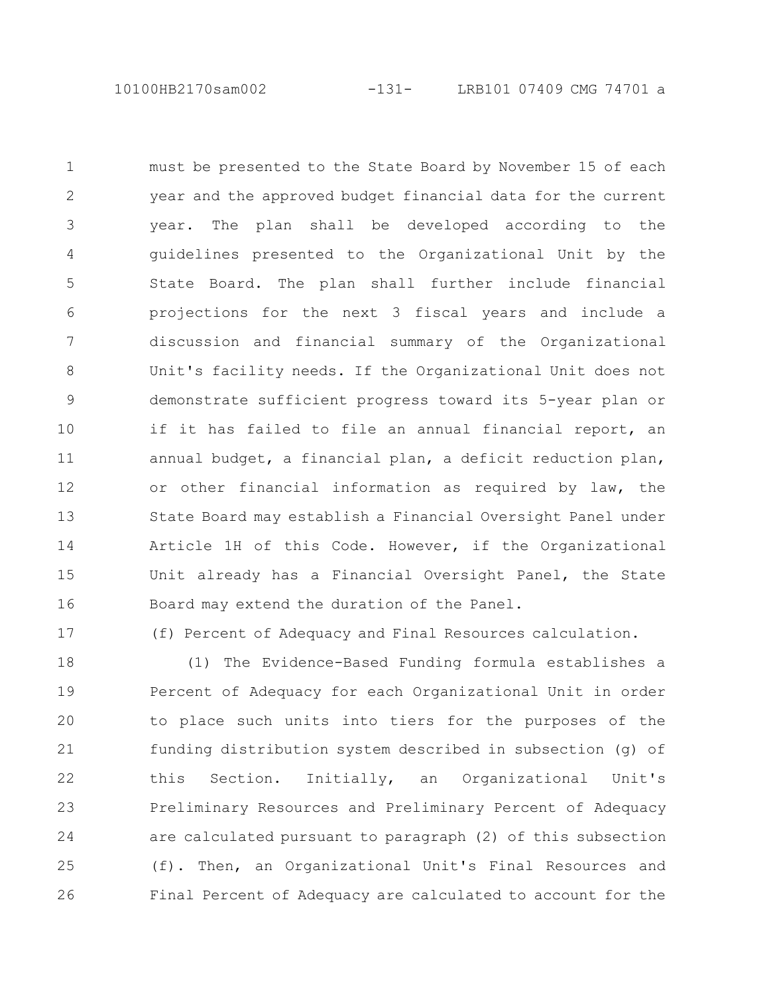must be presented to the State Board by November 15 of each year and the approved budget financial data for the current year. The plan shall be developed according to the guidelines presented to the Organizational Unit by the State Board. The plan shall further include financial projections for the next 3 fiscal years and include a discussion and financial summary of the Organizational Unit's facility needs. If the Organizational Unit does not demonstrate sufficient progress toward its 5-year plan or if it has failed to file an annual financial report, an annual budget, a financial plan, a deficit reduction plan, or other financial information as required by law, the State Board may establish a Financial Oversight Panel under Article 1H of this Code. However, if the Organizational Unit already has a Financial Oversight Panel, the State Board may extend the duration of the Panel. 1 2 3 4 5 6 7 8 9 10 11 12 13 14 15 16

17

(f) Percent of Adequacy and Final Resources calculation.

(1) The Evidence-Based Funding formula establishes a Percent of Adequacy for each Organizational Unit in order to place such units into tiers for the purposes of the funding distribution system described in subsection (g) of this Section. Initially, an Organizational Unit's Preliminary Resources and Preliminary Percent of Adequacy are calculated pursuant to paragraph (2) of this subsection (f). Then, an Organizational Unit's Final Resources and Final Percent of Adequacy are calculated to account for the 18 19 20 21 22 23 24 25 26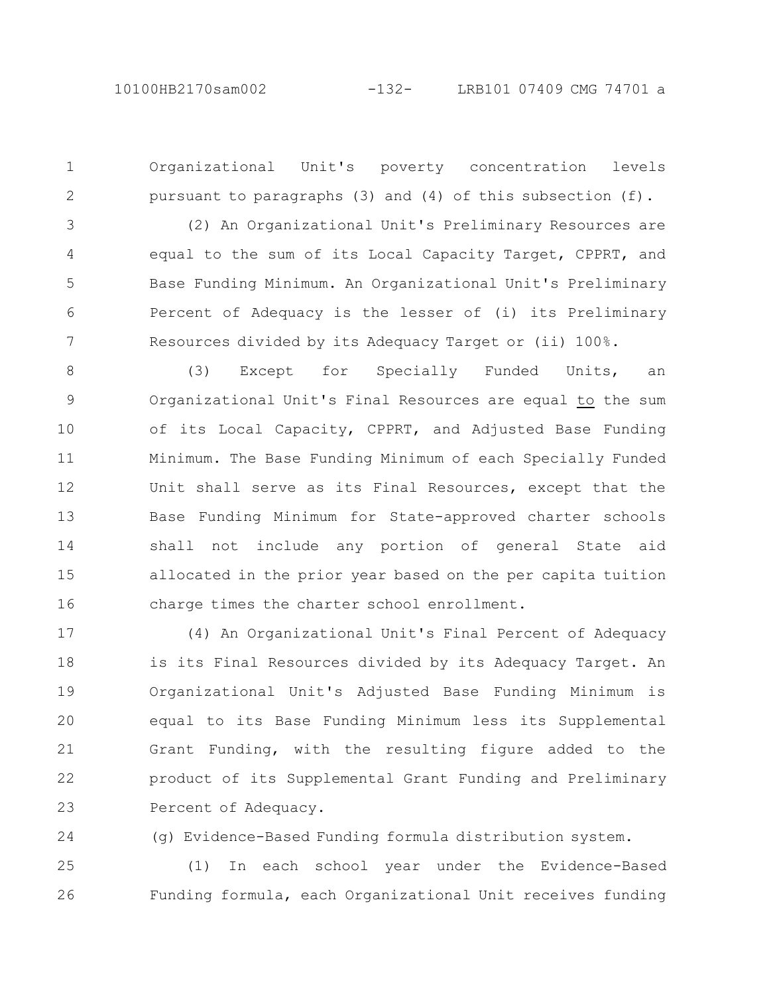2

Organizational Unit's poverty concentration levels pursuant to paragraphs (3) and (4) of this subsection (f).

(2) An Organizational Unit's Preliminary Resources are equal to the sum of its Local Capacity Target, CPPRT, and Base Funding Minimum. An Organizational Unit's Preliminary Percent of Adequacy is the lesser of (i) its Preliminary Resources divided by its Adequacy Target or (ii) 100%. 3 4 5 6 7

(3) Except for Specially Funded Units, an Organizational Unit's Final Resources are equal to the sum of its Local Capacity, CPPRT, and Adjusted Base Funding Minimum. The Base Funding Minimum of each Specially Funded Unit shall serve as its Final Resources, except that the Base Funding Minimum for State-approved charter schools shall not include any portion of general State aid allocated in the prior year based on the per capita tuition charge times the charter school enrollment. 8 9 10 11 12 13 14 15 16

(4) An Organizational Unit's Final Percent of Adequacy is its Final Resources divided by its Adequacy Target. An Organizational Unit's Adjusted Base Funding Minimum is equal to its Base Funding Minimum less its Supplemental Grant Funding, with the resulting figure added to the product of its Supplemental Grant Funding and Preliminary Percent of Adequacy. 17 18 19 20 21 22 23

24

(g) Evidence-Based Funding formula distribution system.

(1) In each school year under the Evidence-Based Funding formula, each Organizational Unit receives funding 25 26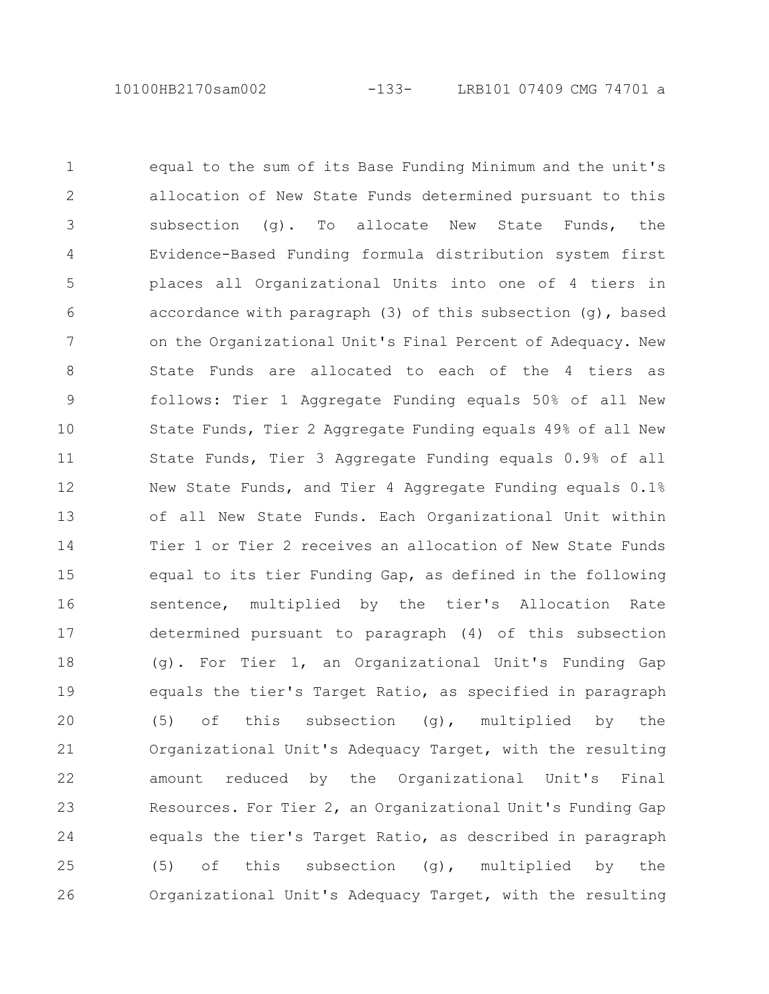10100HB2170sam002 -133- LRB101 07409 CMG 74701 a

equal to the sum of its Base Funding Minimum and the unit's allocation of New State Funds determined pursuant to this subsection (g). To allocate New State Funds, the Evidence-Based Funding formula distribution system first places all Organizational Units into one of 4 tiers in accordance with paragraph (3) of this subsection (g), based on the Organizational Unit's Final Percent of Adequacy. New State Funds are allocated to each of the 4 tiers as follows: Tier 1 Aggregate Funding equals 50% of all New State Funds, Tier 2 Aggregate Funding equals 49% of all New State Funds, Tier 3 Aggregate Funding equals 0.9% of all New State Funds, and Tier 4 Aggregate Funding equals 0.1% of all New State Funds. Each Organizational Unit within Tier 1 or Tier 2 receives an allocation of New State Funds equal to its tier Funding Gap, as defined in the following sentence, multiplied by the tier's Allocation Rate determined pursuant to paragraph (4) of this subsection (g). For Tier 1, an Organizational Unit's Funding Gap equals the tier's Target Ratio, as specified in paragraph (5) of this subsection  $(q)$ , multiplied by the Organizational Unit's Adequacy Target, with the resulting amount reduced by the Organizational Unit's Final Resources. For Tier 2, an Organizational Unit's Funding Gap equals the tier's Target Ratio, as described in paragraph (5) of this subsection (g), multiplied by the Organizational Unit's Adequacy Target, with the resulting 1 2 3 4 5 6 7 8 9 10 11 12 13 14 15 16 17 18 19 20 21 22 23 24 25 26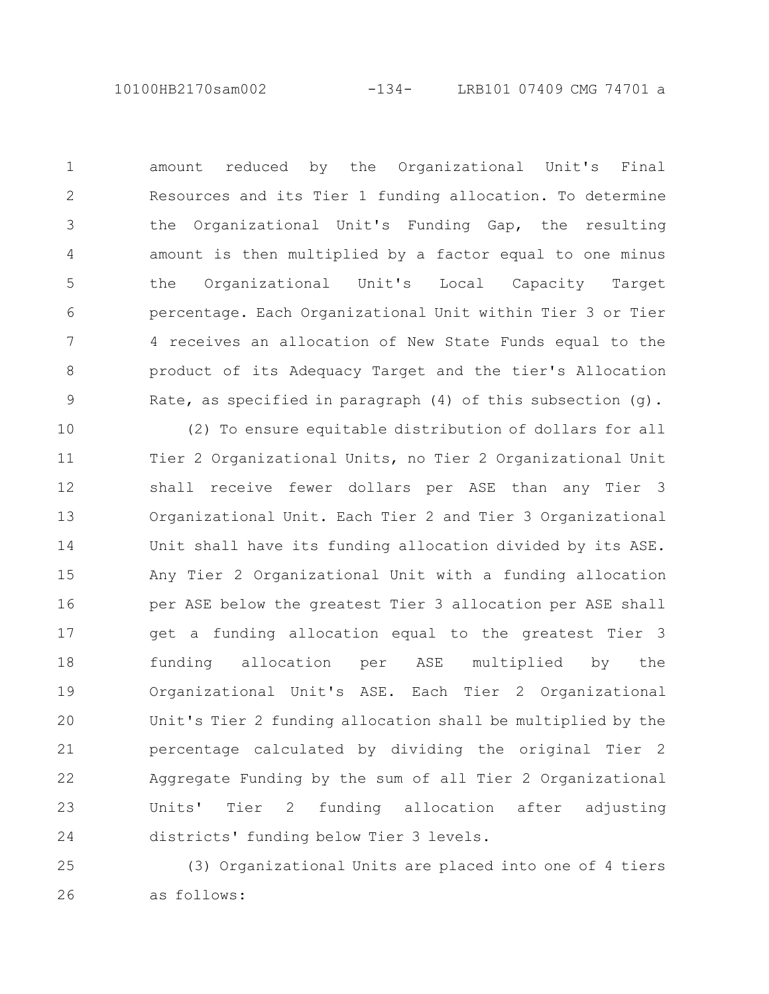amount reduced by the Organizational Unit's Final Resources and its Tier 1 funding allocation. To determine the Organizational Unit's Funding Gap, the resulting amount is then multiplied by a factor equal to one minus the Organizational Unit's Local Capacity Target percentage. Each Organizational Unit within Tier 3 or Tier 4 receives an allocation of New State Funds equal to the product of its Adequacy Target and the tier's Allocation Rate, as specified in paragraph (4) of this subsection (g).

1

2

3

4

5

6

7

8

9

(2) To ensure equitable distribution of dollars for all Tier 2 Organizational Units, no Tier 2 Organizational Unit shall receive fewer dollars per ASE than any Tier 3 Organizational Unit. Each Tier 2 and Tier 3 Organizational Unit shall have its funding allocation divided by its ASE. Any Tier 2 Organizational Unit with a funding allocation per ASE below the greatest Tier 3 allocation per ASE shall get a funding allocation equal to the greatest Tier 3 funding allocation per ASE multiplied by the Organizational Unit's ASE. Each Tier 2 Organizational Unit's Tier 2 funding allocation shall be multiplied by the percentage calculated by dividing the original Tier 2 Aggregate Funding by the sum of all Tier 2 Organizational Units' Tier 2 funding allocation after adjusting districts' funding below Tier 3 levels. 10 11 12 13 14 15 16 17 18 19 20 21 22 23 24

(3) Organizational Units are placed into one of 4 tiers as follows: 25 26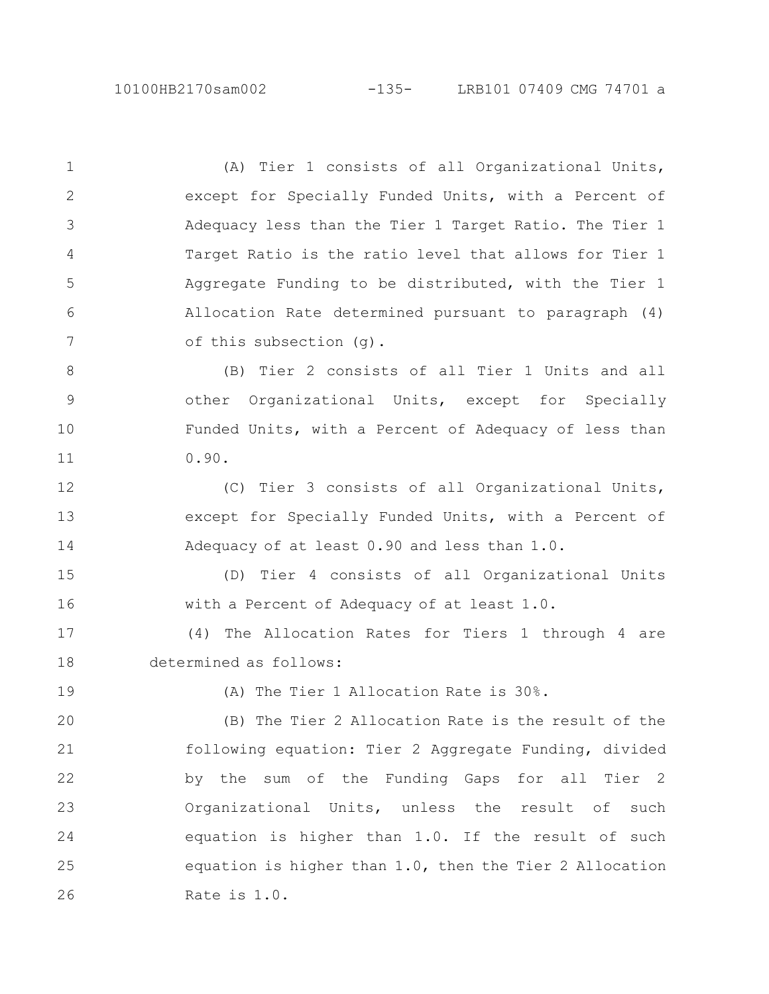(A) Tier 1 consists of all Organizational Units, except for Specially Funded Units, with a Percent of Adequacy less than the Tier 1 Target Ratio. The Tier 1 Target Ratio is the ratio level that allows for Tier 1 Aggregate Funding to be distributed, with the Tier 1 Allocation Rate determined pursuant to paragraph (4) of this subsection (g).

(B) Tier 2 consists of all Tier 1 Units and all other Organizational Units, except for Specially Funded Units, with a Percent of Adequacy of less than 0.90. 8 9 10 11

(C) Tier 3 consists of all Organizational Units, except for Specially Funded Units, with a Percent of Adequacy of at least 0.90 and less than 1.0. 12 13 14

(D) Tier 4 consists of all Organizational Units with a Percent of Adequacy of at least 1.0. 15 16

(4) The Allocation Rates for Tiers 1 through 4 are determined as follows: 17 18

19

1

2

3

4

5

6

7

(A) The Tier 1 Allocation Rate is 30%.

(B) The Tier 2 Allocation Rate is the result of the following equation: Tier 2 Aggregate Funding, divided by the sum of the Funding Gaps for all Tier 2 Organizational Units, unless the result of such equation is higher than 1.0. If the result of such equation is higher than 1.0, then the Tier 2 Allocation Rate is 1.0. 20 21 22 23 24 25 26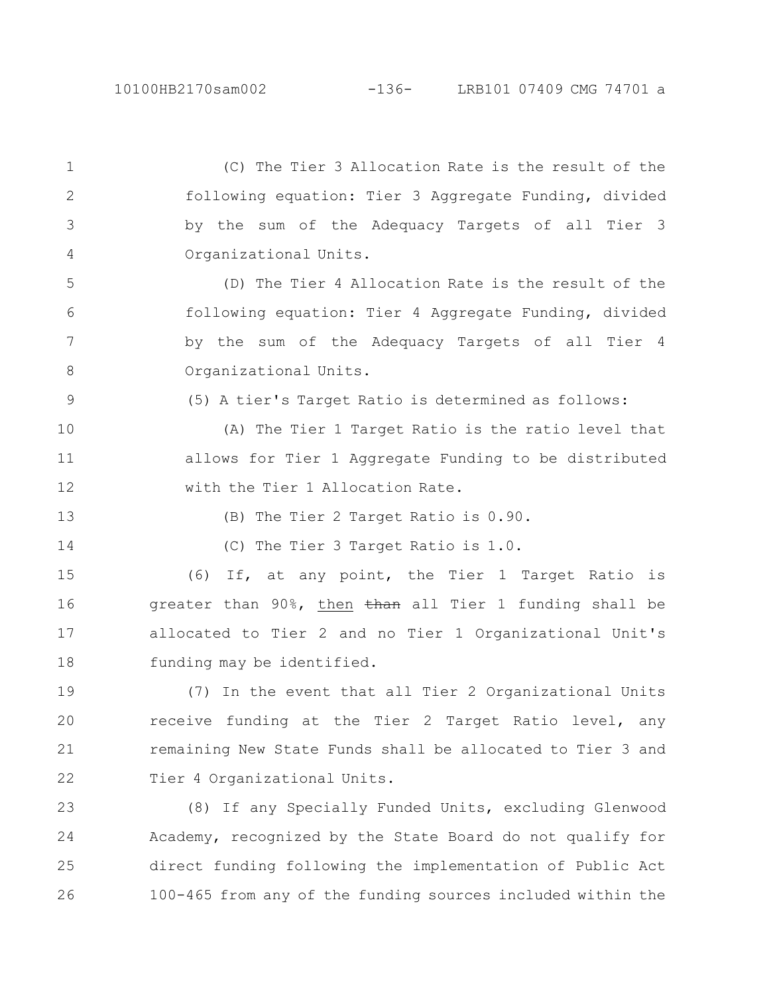## 10100HB2170sam002 -136- LRB101 07409 CMG 74701 a

(C) The Tier 3 Allocation Rate is the result of the following equation: Tier 3 Aggregate Funding, divided by the sum of the Adequacy Targets of all Tier 3 Organizational Units. (D) The Tier 4 Allocation Rate is the result of the following equation: Tier 4 Aggregate Funding, divided by the sum of the Adequacy Targets of all Tier 4 Organizational Units. (5) A tier's Target Ratio is determined as follows: (A) The Tier 1 Target Ratio is the ratio level that allows for Tier 1 Aggregate Funding to be distributed with the Tier 1 Allocation Rate. (B) The Tier 2 Target Ratio is 0.90. (C) The Tier 3 Target Ratio is 1.0. (6) If, at any point, the Tier 1 Target Ratio is greater than 90%, then than all Tier 1 funding shall be allocated to Tier 2 and no Tier 1 Organizational Unit's funding may be identified. (7) In the event that all Tier 2 Organizational Units receive funding at the Tier 2 Target Ratio level, any remaining New State Funds shall be allocated to Tier 3 and Tier 4 Organizational Units. (8) If any Specially Funded Units, excluding Glenwood Academy, recognized by the State Board do not qualify for direct funding following the implementation of Public Act 1 2 3 4 5 6 7 8 9 10 11 12 13 14 15 16 17 18 19 20 21 22 23 24 25

100-465 from any of the funding sources included within the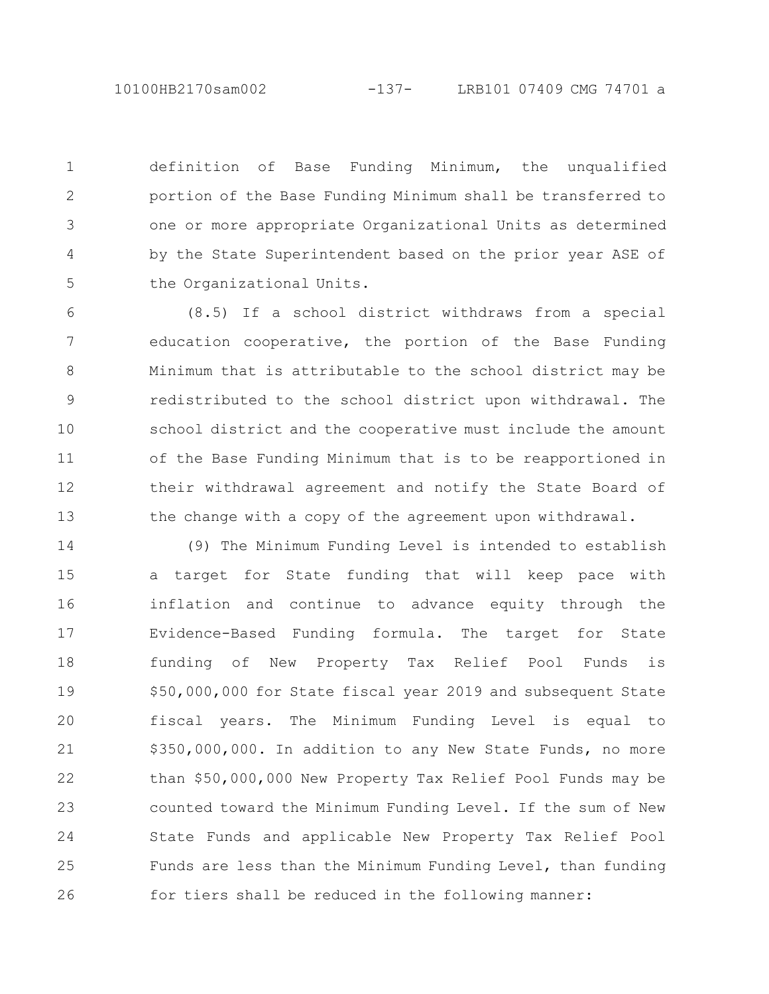10100HB2170sam002 -137- LRB101 07409 CMG 74701 a

definition of Base Funding Minimum, the unqualified portion of the Base Funding Minimum shall be transferred to one or more appropriate Organizational Units as determined by the State Superintendent based on the prior year ASE of the Organizational Units. 1 2 3 4 5

(8.5) If a school district withdraws from a special education cooperative, the portion of the Base Funding Minimum that is attributable to the school district may be redistributed to the school district upon withdrawal. The school district and the cooperative must include the amount of the Base Funding Minimum that is to be reapportioned in their withdrawal agreement and notify the State Board of the change with a copy of the agreement upon withdrawal. 6 7 8 9 10 11 12 13

(9) The Minimum Funding Level is intended to establish a target for State funding that will keep pace with inflation and continue to advance equity through the Evidence-Based Funding formula. The target for State funding of New Property Tax Relief Pool Funds is \$50,000,000 for State fiscal year 2019 and subsequent State fiscal years. The Minimum Funding Level is equal to \$350,000,000. In addition to any New State Funds, no more than \$50,000,000 New Property Tax Relief Pool Funds may be counted toward the Minimum Funding Level. If the sum of New State Funds and applicable New Property Tax Relief Pool Funds are less than the Minimum Funding Level, than funding for tiers shall be reduced in the following manner: 14 15 16 17 18 19 20 21 22 23 24 25 26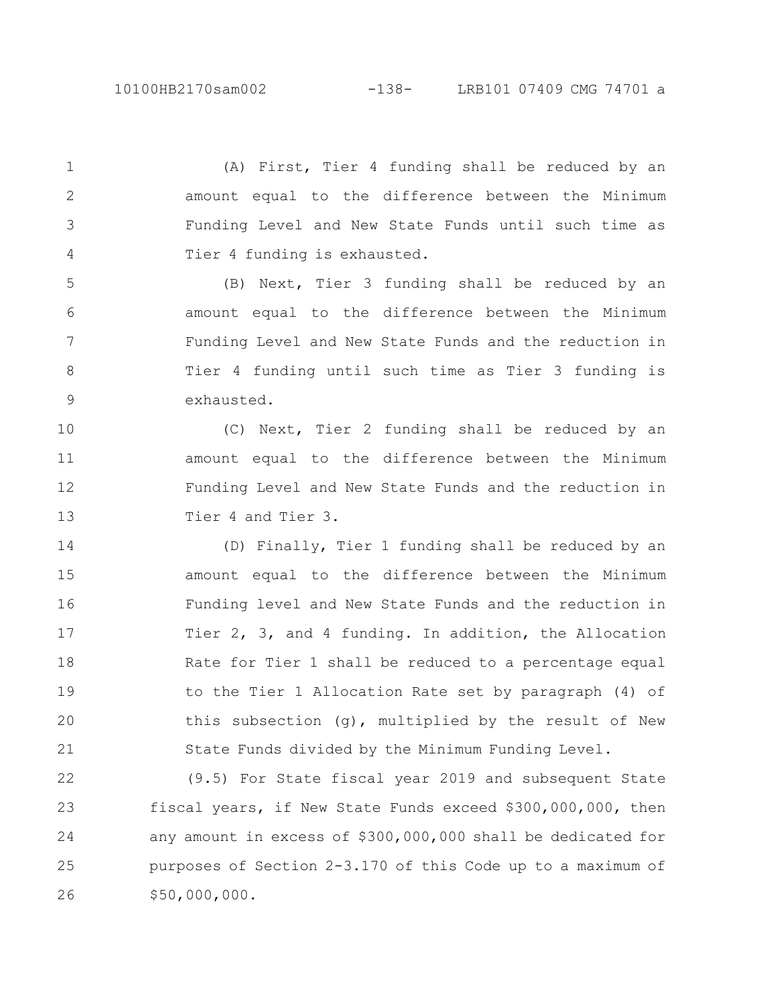2

3

4

(A) First, Tier 4 funding shall be reduced by an amount equal to the difference between the Minimum Funding Level and New State Funds until such time as Tier 4 funding is exhausted.

(B) Next, Tier 3 funding shall be reduced by an amount equal to the difference between the Minimum Funding Level and New State Funds and the reduction in Tier 4 funding until such time as Tier 3 funding is exhausted. 5 6 7 8 9

(C) Next, Tier 2 funding shall be reduced by an amount equal to the difference between the Minimum Funding Level and New State Funds and the reduction in Tier 4 and Tier 3. 10 11 12 13

(D) Finally, Tier 1 funding shall be reduced by an amount equal to the difference between the Minimum Funding level and New State Funds and the reduction in Tier 2, 3, and 4 funding. In addition, the Allocation Rate for Tier 1 shall be reduced to a percentage equal to the Tier 1 Allocation Rate set by paragraph (4) of this subsection (g), multiplied by the result of New State Funds divided by the Minimum Funding Level. 14 15 16 17 18 19 20 21

(9.5) For State fiscal year 2019 and subsequent State fiscal years, if New State Funds exceed \$300,000,000, then any amount in excess of \$300,000,000 shall be dedicated for purposes of Section 2-3.170 of this Code up to a maximum of \$50,000,000. 22 23 24 25 26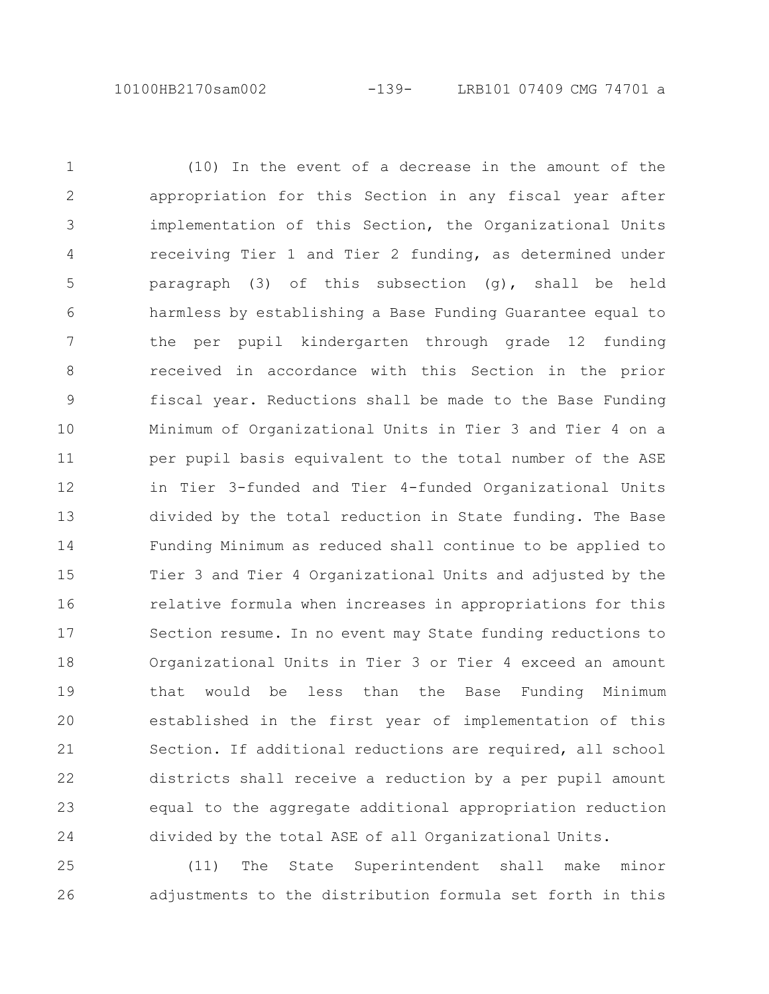(10) In the event of a decrease in the amount of the appropriation for this Section in any fiscal year after implementation of this Section, the Organizational Units receiving Tier 1 and Tier 2 funding, as determined under paragraph (3) of this subsection (g), shall be held harmless by establishing a Base Funding Guarantee equal to the per pupil kindergarten through grade 12 funding received in accordance with this Section in the prior fiscal year. Reductions shall be made to the Base Funding Minimum of Organizational Units in Tier 3 and Tier 4 on a per pupil basis equivalent to the total number of the ASE in Tier 3-funded and Tier 4-funded Organizational Units divided by the total reduction in State funding. The Base Funding Minimum as reduced shall continue to be applied to Tier 3 and Tier 4 Organizational Units and adjusted by the relative formula when increases in appropriations for this Section resume. In no event may State funding reductions to Organizational Units in Tier 3 or Tier 4 exceed an amount that would be less than the Base Funding Minimum established in the first year of implementation of this Section. If additional reductions are required, all school districts shall receive a reduction by a per pupil amount equal to the aggregate additional appropriation reduction divided by the total ASE of all Organizational Units. 1 2 3 4 5 6 7 8 9 10 11 12 13 14 15 16 17 18 19 20 21 22 23 24

(11) The State Superintendent shall make minor adjustments to the distribution formula set forth in this 25 26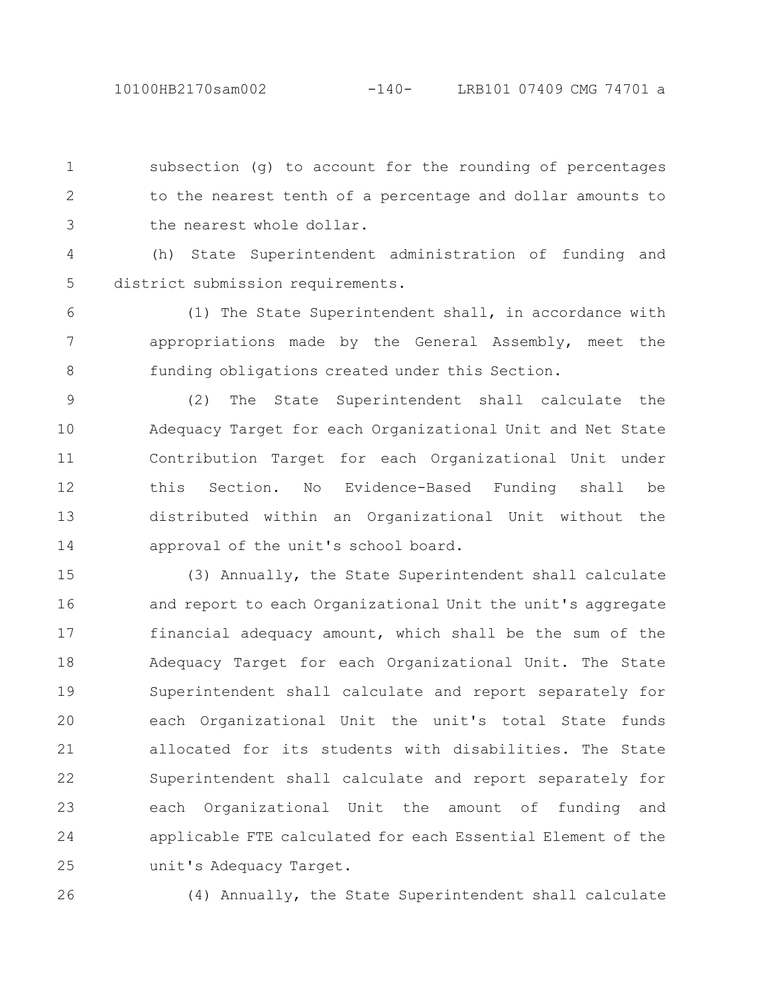subsection (g) to account for the rounding of percentages to the nearest tenth of a percentage and dollar amounts to the nearest whole dollar. 1 2 3

(h) State Superintendent administration of funding and district submission requirements. 4 5

(1) The State Superintendent shall, in accordance with appropriations made by the General Assembly, meet the funding obligations created under this Section. 6 7 8

(2) The State Superintendent shall calculate the Adequacy Target for each Organizational Unit and Net State Contribution Target for each Organizational Unit under this Section. No Evidence-Based Funding shall be distributed within an Organizational Unit without the approval of the unit's school board. 9 10 11 12 13 14

(3) Annually, the State Superintendent shall calculate and report to each Organizational Unit the unit's aggregate financial adequacy amount, which shall be the sum of the Adequacy Target for each Organizational Unit. The State Superintendent shall calculate and report separately for each Organizational Unit the unit's total State funds allocated for its students with disabilities. The State Superintendent shall calculate and report separately for each Organizational Unit the amount of funding and applicable FTE calculated for each Essential Element of the unit's Adequacy Target. 15 16 17 18 19 20 21 22 23 24 25

26

(4) Annually, the State Superintendent shall calculate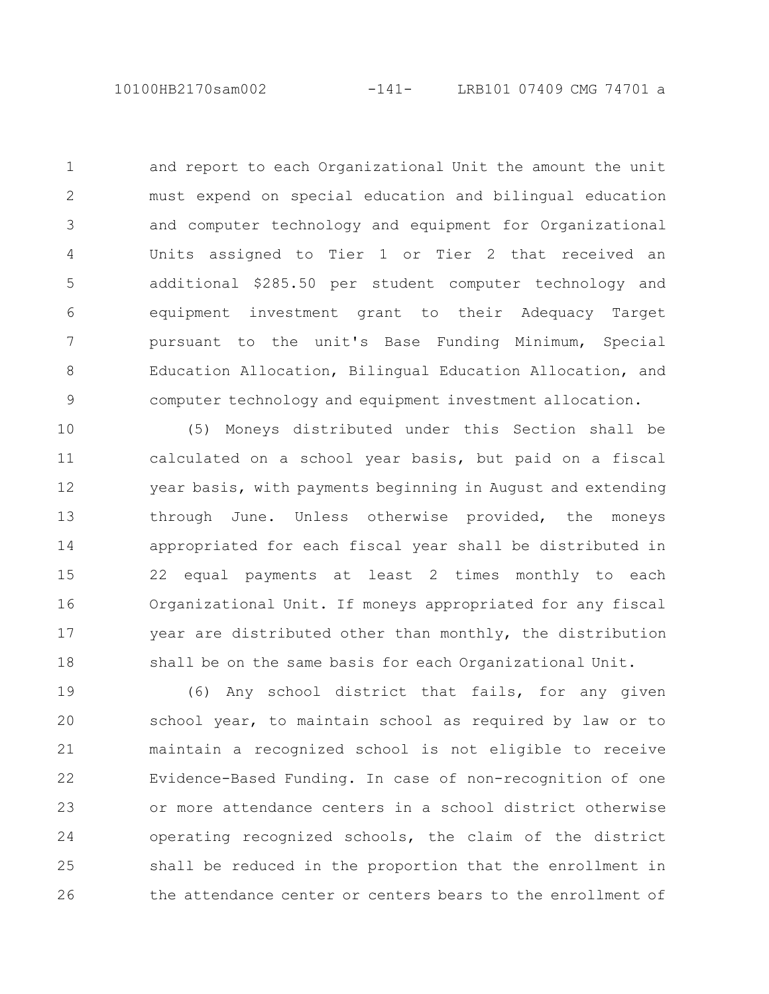and report to each Organizational Unit the amount the unit must expend on special education and bilingual education and computer technology and equipment for Organizational Units assigned to Tier 1 or Tier 2 that received an additional \$285.50 per student computer technology and equipment investment grant to their Adequacy Target pursuant to the unit's Base Funding Minimum, Special Education Allocation, Bilingual Education Allocation, and computer technology and equipment investment allocation. 1 2 3 4 5 6 7 8 9

(5) Moneys distributed under this Section shall be calculated on a school year basis, but paid on a fiscal year basis, with payments beginning in August and extending through June. Unless otherwise provided, the moneys appropriated for each fiscal year shall be distributed in 22 equal payments at least 2 times monthly to each Organizational Unit. If moneys appropriated for any fiscal year are distributed other than monthly, the distribution shall be on the same basis for each Organizational Unit. 10 11 12 13 14 15 16 17 18

(6) Any school district that fails, for any given school year, to maintain school as required by law or to maintain a recognized school is not eligible to receive Evidence-Based Funding. In case of non-recognition of one or more attendance centers in a school district otherwise operating recognized schools, the claim of the district shall be reduced in the proportion that the enrollment in the attendance center or centers bears to the enrollment of 19 20 21 22 23 24 25 26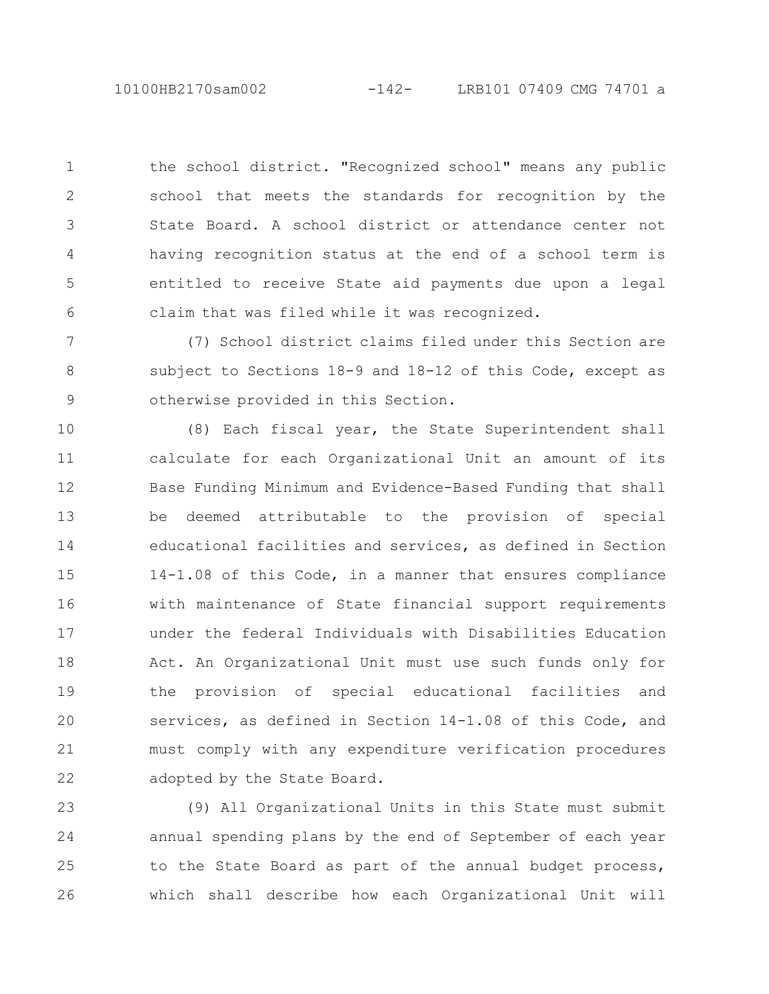10100HB2170sam002 -142- LRB101 07409 CMG 74701 a

the school district. "Recognized school" means any public school that meets the standards for recognition by the State Board. A school district or attendance center not having recognition status at the end of a school term is entitled to receive State aid payments due upon a legal claim that was filed while it was recognized. 1 2 3 4 5 6

(7) School district claims filed under this Section are subject to Sections 18-9 and 18-12 of this Code, except as otherwise provided in this Section. 7 8 9

(8) Each fiscal year, the State Superintendent shall calculate for each Organizational Unit an amount of its Base Funding Minimum and Evidence-Based Funding that shall be deemed attributable to the provision of special educational facilities and services, as defined in Section 14-1.08 of this Code, in a manner that ensures compliance with maintenance of State financial support requirements under the federal Individuals with Disabilities Education Act. An Organizational Unit must use such funds only for the provision of special educational facilities and services, as defined in Section 14-1.08 of this Code, and must comply with any expenditure verification procedures adopted by the State Board. 10 11 12 13 14 15 16 17 18 19 20 21 22

(9) All Organizational Units in this State must submit annual spending plans by the end of September of each year to the State Board as part of the annual budget process, which shall describe how each Organizational Unit will 23 24 25 26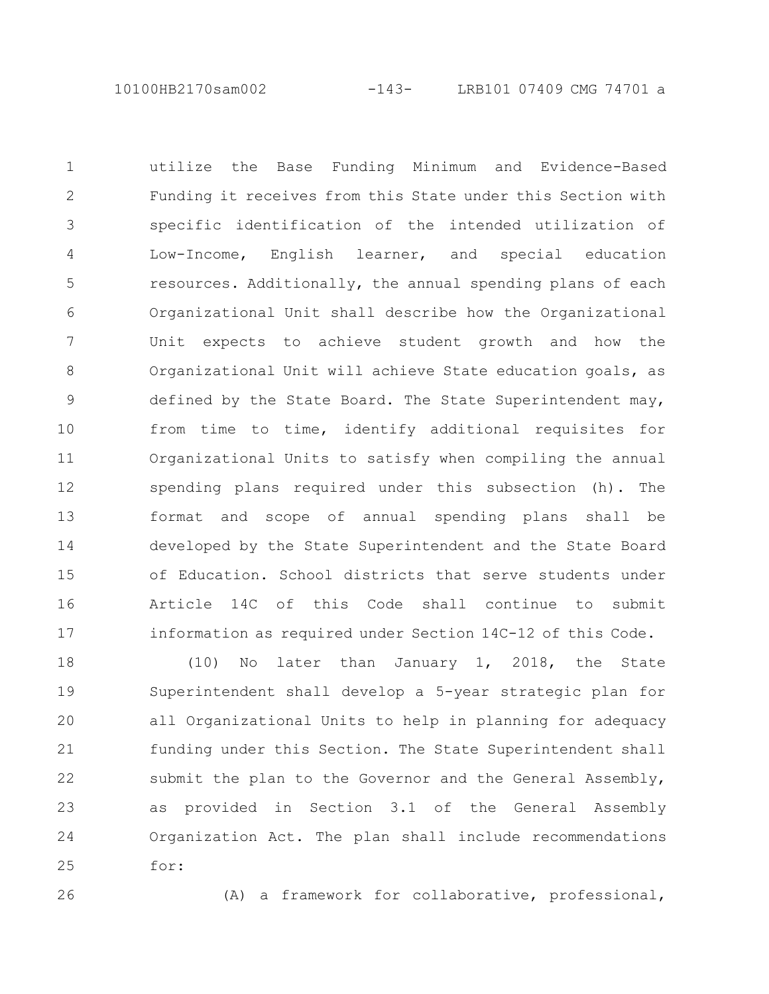10100HB2170sam002 -143- LRB101 07409 CMG 74701 a

utilize the Base Funding Minimum and Evidence-Based Funding it receives from this State under this Section with specific identification of the intended utilization of Low-Income, English learner, and special education resources. Additionally, the annual spending plans of each Organizational Unit shall describe how the Organizational Unit expects to achieve student growth and how the Organizational Unit will achieve State education goals, as defined by the State Board. The State Superintendent may, from time to time, identify additional requisites for Organizational Units to satisfy when compiling the annual spending plans required under this subsection (h). The format and scope of annual spending plans shall be developed by the State Superintendent and the State Board of Education. School districts that serve students under Article 14C of this Code shall continue to submit information as required under Section 14C-12 of this Code. 1 2 3 4 5 6 7 8 9 10 11 12 13 14 15 16 17

(10) No later than January 1, 2018, the State Superintendent shall develop a 5-year strategic plan for all Organizational Units to help in planning for adequacy funding under this Section. The State Superintendent shall submit the plan to the Governor and the General Assembly, as provided in Section 3.1 of the General Assembly Organization Act. The plan shall include recommendations for: 18 19 20 21 22 23 24 25

26

(A) a framework for collaborative, professional,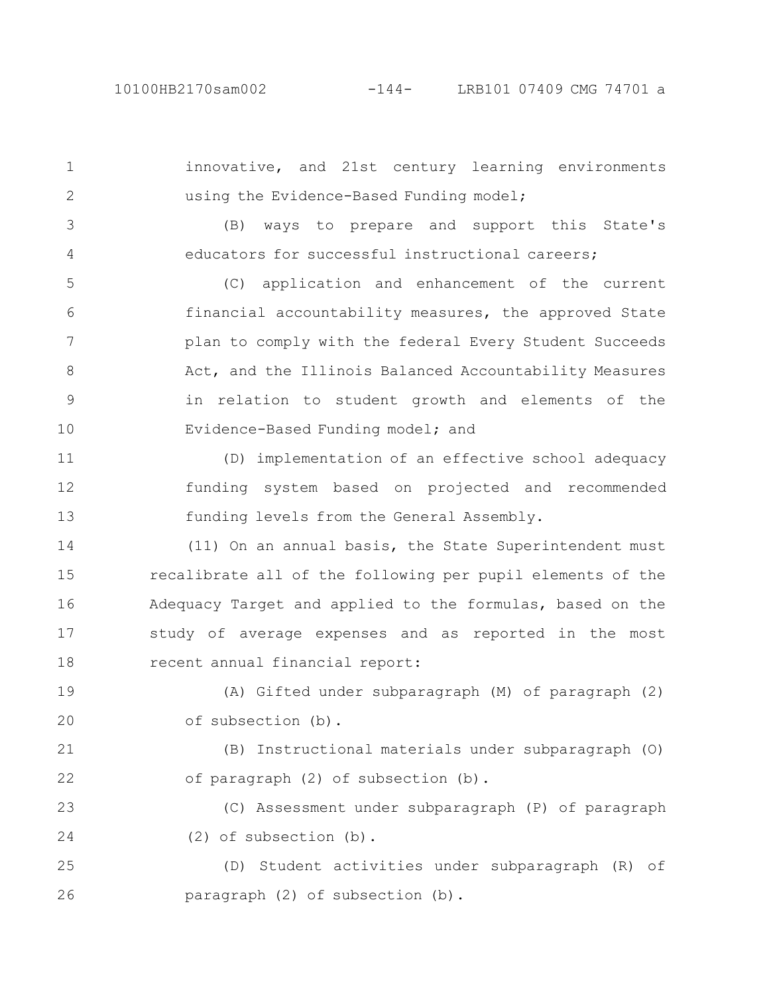innovative, and 21st century learning environments using the Evidence-Based Funding model; (B) ways to prepare and support this State's educators for successful instructional careers; 1 2 3 4

(C) application and enhancement of the current financial accountability measures, the approved State plan to comply with the federal Every Student Succeeds Act, and the Illinois Balanced Accountability Measures in relation to student growth and elements of the Evidence-Based Funding model; and 5 6 7 8 9 10

(D) implementation of an effective school adequacy funding system based on projected and recommended funding levels from the General Assembly. 11 12 13

(11) On an annual basis, the State Superintendent must recalibrate all of the following per pupil elements of the Adequacy Target and applied to the formulas, based on the study of average expenses and as reported in the most recent annual financial report: 14 15 16 17 18

(A) Gifted under subparagraph (M) of paragraph (2) of subsection (b). 19 20

(B) Instructional materials under subparagraph (O) of paragraph (2) of subsection (b). 21 22

(C) Assessment under subparagraph (P) of paragraph (2) of subsection (b). 23 24

(D) Student activities under subparagraph (R) of paragraph (2) of subsection (b). 25 26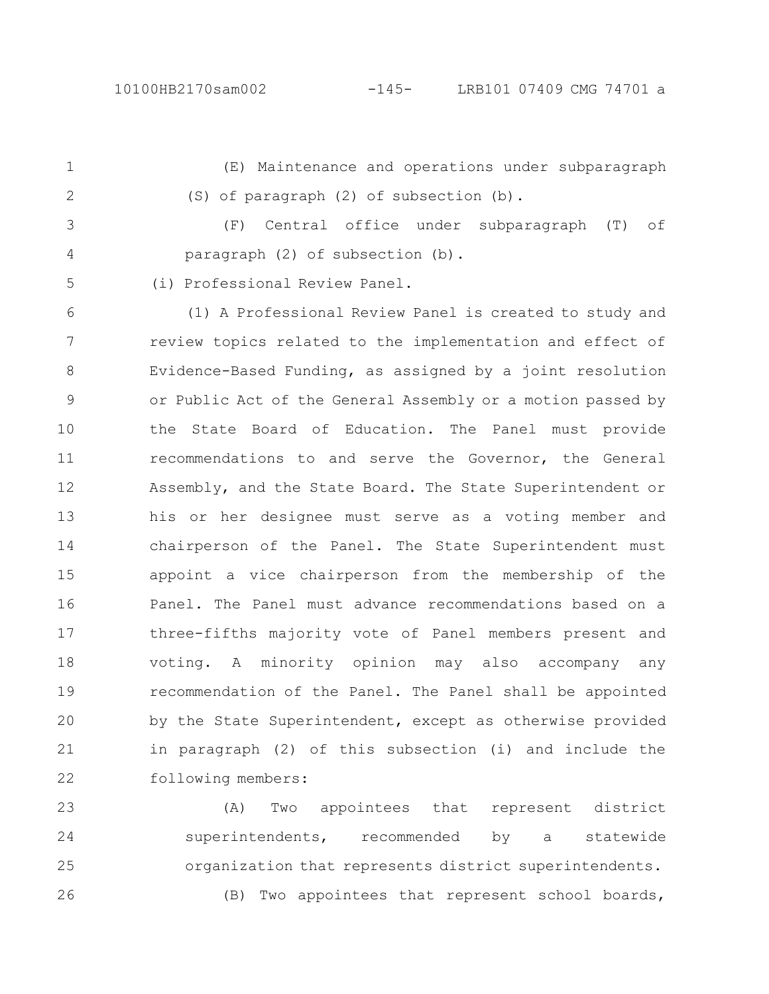(E) Maintenance and operations under subparagraph (S) of paragraph (2) of subsection (b). 1 2

(F) Central office under subparagraph (T) of paragraph (2) of subsection (b). 3 4

(i) Professional Review Panel. 5

(1) A Professional Review Panel is created to study and review topics related to the implementation and effect of Evidence-Based Funding, as assigned by a joint resolution or Public Act of the General Assembly or a motion passed by the State Board of Education. The Panel must provide recommendations to and serve the Governor, the General Assembly, and the State Board. The State Superintendent or his or her designee must serve as a voting member and chairperson of the Panel. The State Superintendent must appoint a vice chairperson from the membership of the Panel. The Panel must advance recommendations based on a three-fifths majority vote of Panel members present and voting. A minority opinion may also accompany any recommendation of the Panel. The Panel shall be appointed by the State Superintendent, except as otherwise provided in paragraph (2) of this subsection (i) and include the following members: 6 7 8 9 10 11 12 13 14 15 16 17 18 19 20 21 22

(A) Two appointees that represent district superintendents, recommended by a statewide organization that represents district superintendents. (B) Two appointees that represent school boards, 23 24 25 26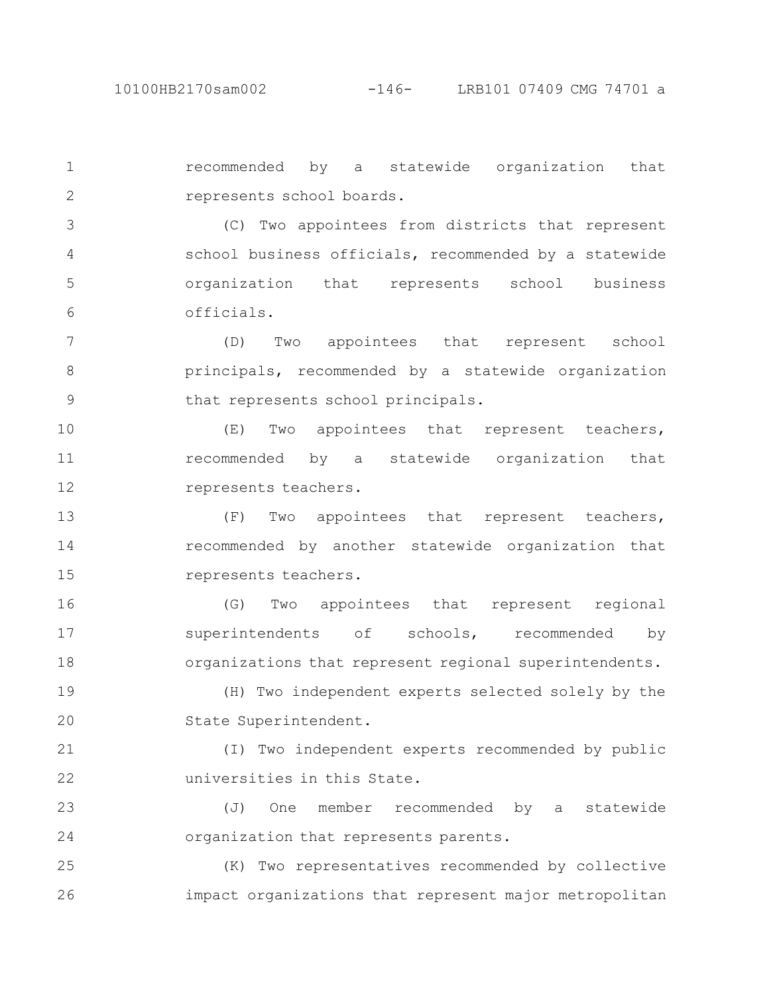recommended by a statewide organization that represents school boards. 1 2

(C) Two appointees from districts that represent school business officials, recommended by a statewide organization that represents school business officials. 3 4 5 6

(D) Two appointees that represent school principals, recommended by a statewide organization that represents school principals. 7 8 9

(E) Two appointees that represent teachers, recommended by a statewide organization that represents teachers. 10 11 12

(F) Two appointees that represent teachers, recommended by another statewide organization that represents teachers. 13 14 15

(G) Two appointees that represent regional superintendents of schools, recommended by organizations that represent regional superintendents. 16 17 18

(H) Two independent experts selected solely by the State Superintendent. 19 20

(I) Two independent experts recommended by public universities in this State. 21 22

(J) One member recommended by a statewide organization that represents parents. 23 24

(K) Two representatives recommended by collective impact organizations that represent major metropolitan 25 26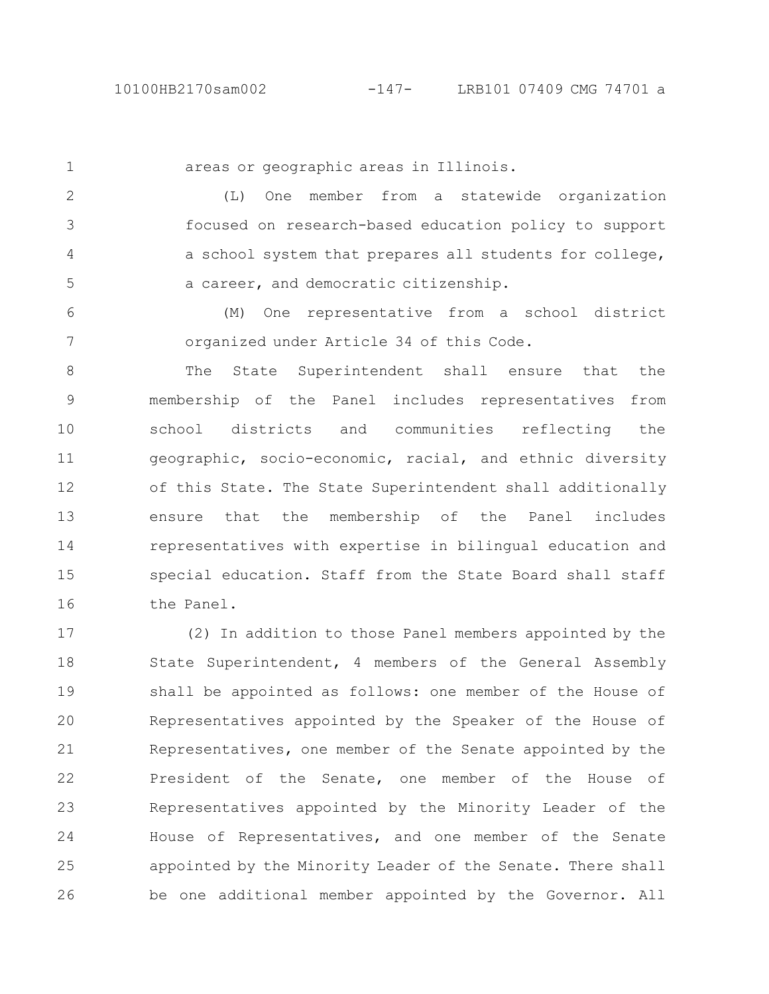1

areas or geographic areas in Illinois.

(L) One member from a statewide organization focused on research-based education policy to support a school system that prepares all students for college, a career, and democratic citizenship. 2 3 4 5

(M) One representative from a school district organized under Article 34 of this Code. 6 7

The State Superintendent shall ensure that the membership of the Panel includes representatives from school districts and communities reflecting the geographic, socio-economic, racial, and ethnic diversity of this State. The State Superintendent shall additionally ensure that the membership of the Panel includes representatives with expertise in bilingual education and special education. Staff from the State Board shall staff the Panel. 8 9 10 11 12 13 14 15 16

(2) In addition to those Panel members appointed by the State Superintendent, 4 members of the General Assembly shall be appointed as follows: one member of the House of Representatives appointed by the Speaker of the House of Representatives, one member of the Senate appointed by the President of the Senate, one member of the House of Representatives appointed by the Minority Leader of the House of Representatives, and one member of the Senate appointed by the Minority Leader of the Senate. There shall be one additional member appointed by the Governor. All 17 18 19 20 21 22 23 24 25 26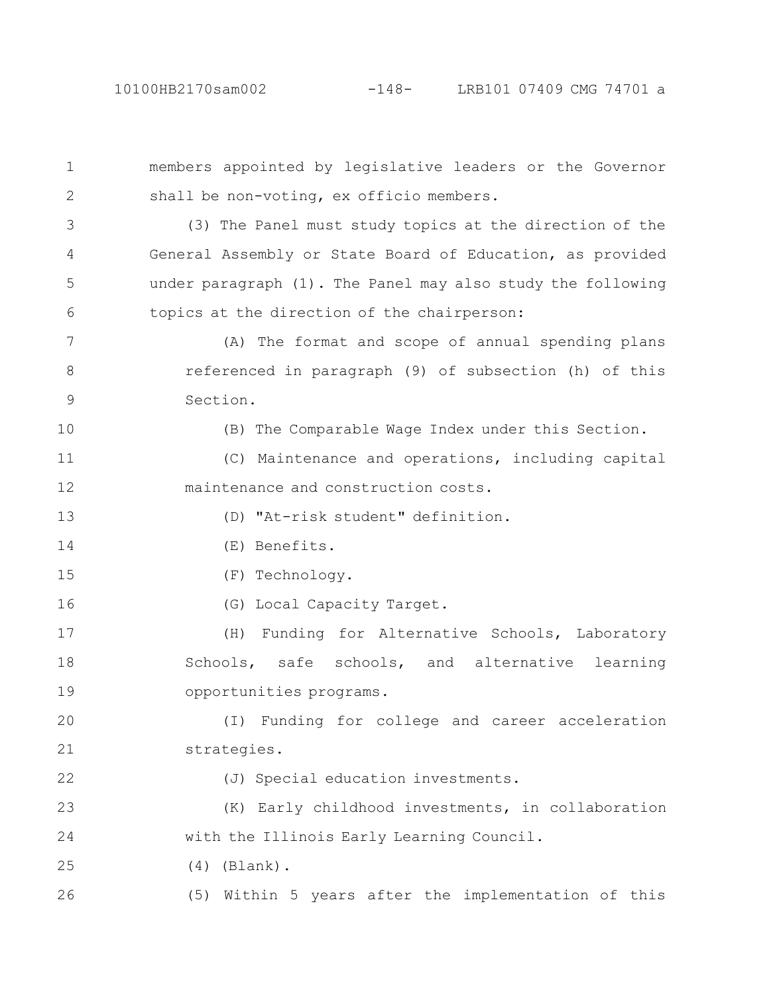members appointed by legislative leaders or the Governor shall be non-voting, ex officio members. (3) The Panel must study topics at the direction of the General Assembly or State Board of Education, as provided under paragraph (1). The Panel may also study the following topics at the direction of the chairperson: (A) The format and scope of annual spending plans referenced in paragraph (9) of subsection (h) of this Section. (B) The Comparable Wage Index under this Section. (C) Maintenance and operations, including capital maintenance and construction costs. (D) "At-risk student" definition. (E) Benefits. (F) Technology. (G) Local Capacity Target. (H) Funding for Alternative Schools, Laboratory Schools, safe schools, and alternative learning opportunities programs. (I) Funding for college and career acceleration strategies. (J) Special education investments. (K) Early childhood investments, in collaboration with the Illinois Early Learning Council. (4) (Blank). (5) Within 5 years after the implementation of this 1 2 3 4 5 6 7 8 9 10 11 12 13 14 15 16 17 18 19 20 21 22 23 24 25 26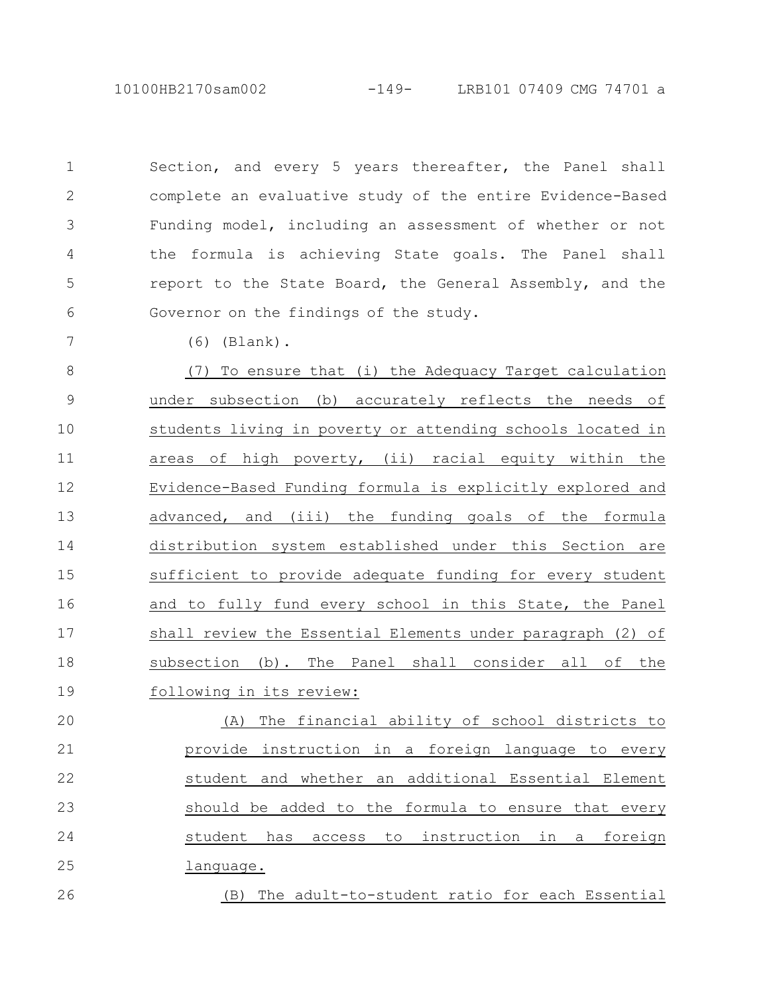10100HB2170sam002 -149- LRB101 07409 CMG 74701 a

Section, and every 5 years thereafter, the Panel shall complete an evaluative study of the entire Evidence-Based Funding model, including an assessment of whether or not the formula is achieving State goals. The Panel shall report to the State Board, the General Assembly, and the Governor on the findings of the study. 1 2 3 4 5 6

(6) (Blank).

7

26

(7) To ensure that (i) the Adequacy Target calculation under subsection (b) accurately reflects the needs of students living in poverty or attending schools located in areas of high poverty, (ii) racial equity within the Evidence-Based Funding formula is explicitly explored and advanced, and (iii) the funding goals of the formula distribution system established under this Section are sufficient to provide adequate funding for every student and to fully fund every school in this State, the Panel shall review the Essential Elements under paragraph (2) of subsection (b). The Panel shall consider all of the following in its review: 8 9 10 11 12 13 14 15 16 17 18 19

(A) The financial ability of school districts to provide instruction in a foreign language to every student and whether an additional Essential Element should be added to the formula to ensure that every student has access to instruction in a foreign language. 20 21 22 23 24 25

(B) The adult-to-student ratio for each Essential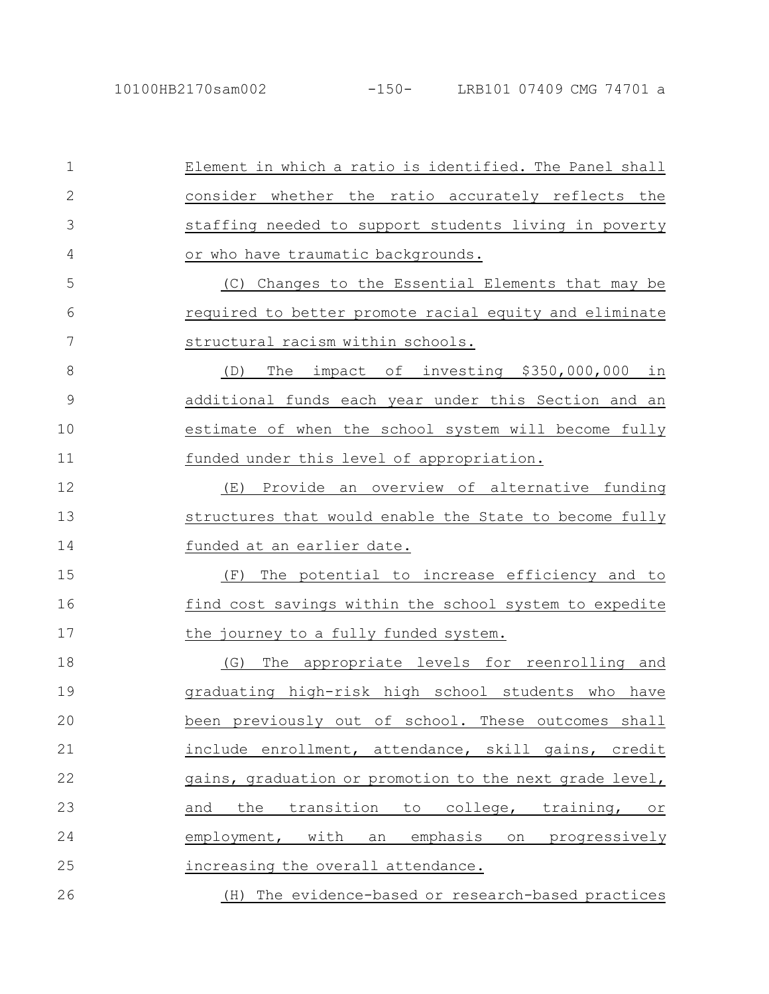Element in which a ratio is identified. The Panel shall consider whether the ratio accurately reflects the staffing needed to support students living in poverty or who have traumatic backgrounds. (C) Changes to the Essential Elements that may be required to better promote racial equity and eliminate structural racism within schools. (D) The impact of investing \$350,000,000 in additional funds each year under this Section and an estimate of when the school system will become fully funded under this level of appropriation. (E) Provide an overview of alternative funding structures that would enable the State to become fully funded at an earlier date. (F) The potential to increase efficiency and to find cost savings within the school system to expedite the journey to a fully funded system. (G) The appropriate levels for reenrolling and graduating high-risk high school students who have been previously out of school. These outcomes shall include enrollment, attendance, skill gains, credit gains, graduation or promotion to the next grade level, and the transition to college, training, or employment, with an emphasis on progressively increasing the overall attendance. (H) The evidence-based or research-based practices 1 2 3 4 5 6 7 8 9 10 11 12 13 14 15 16 17 18 19 20 21 22 23 24 25 26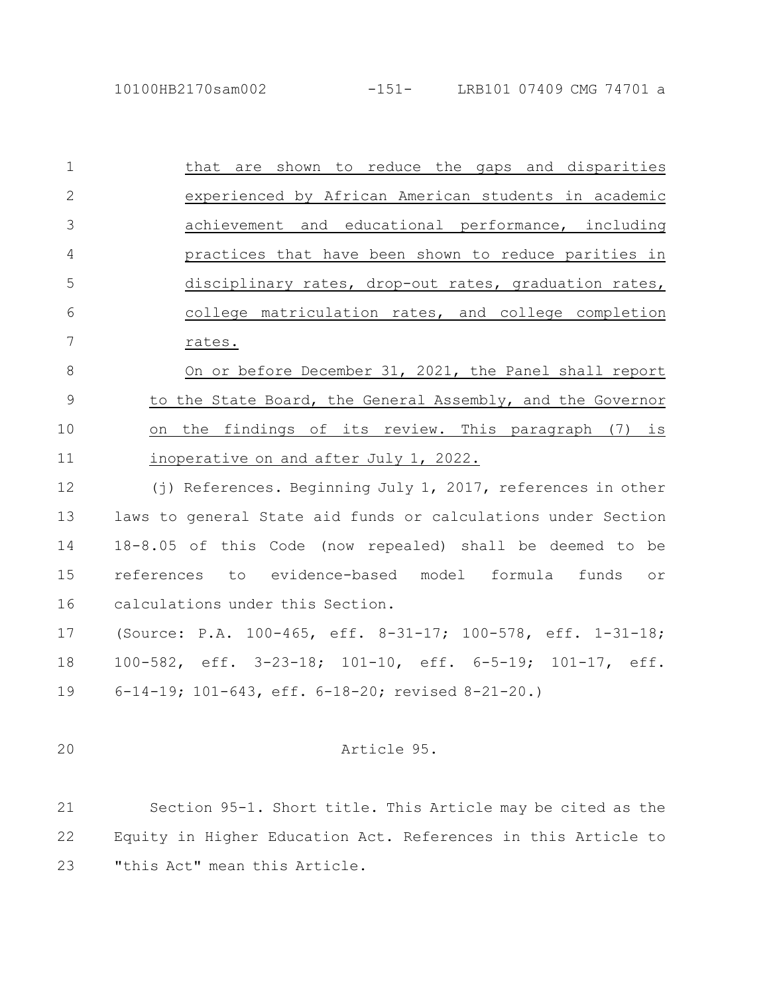| $\mathbf 1$    | that are shown to reduce the gaps and disparities             |
|----------------|---------------------------------------------------------------|
| $\overline{2}$ | experienced by African American students in academic          |
| 3              | achievement and educational performance, including            |
| 4              | practices that have been shown to reduce parities in          |
| 5              | disciplinary rates, drop-out rates, graduation rates,         |
| 6              | college matriculation rates, and college completion           |
| 7              | rates.                                                        |
| 8              | On or before December 31, 2021, the Panel shall report        |
| $\mathcal{G}$  | to the State Board, the General Assembly, and the Governor    |
| 10             | on the findings of its review. This paragraph (7) is          |
| 11             | inoperative on and after July 1, 2022.                        |
| 12             | (j) References. Beginning July 1, 2017, references in other   |
| 13             | laws to general State aid funds or calculations under Section |
| 14             | 18-8.05 of this Code (now repealed) shall be deemed to be     |
| 15             | references to evidence-based model formula funds<br>or        |
| 16             | calculations under this Section.                              |
|                |                                                               |

(Source: P.A. 100-465, eff. 8-31-17; 100-578, eff. 1-31-18; 100-582, eff. 3-23-18; 101-10, eff. 6-5-19; 101-17, eff. 6-14-19; 101-643, eff. 6-18-20; revised 8-21-20.) 17 18 19

20

# Article 95.

Section 95-1. Short title. This Article may be cited as the Equity in Higher Education Act. References in this Article to "this Act" mean this Article. 21 22 23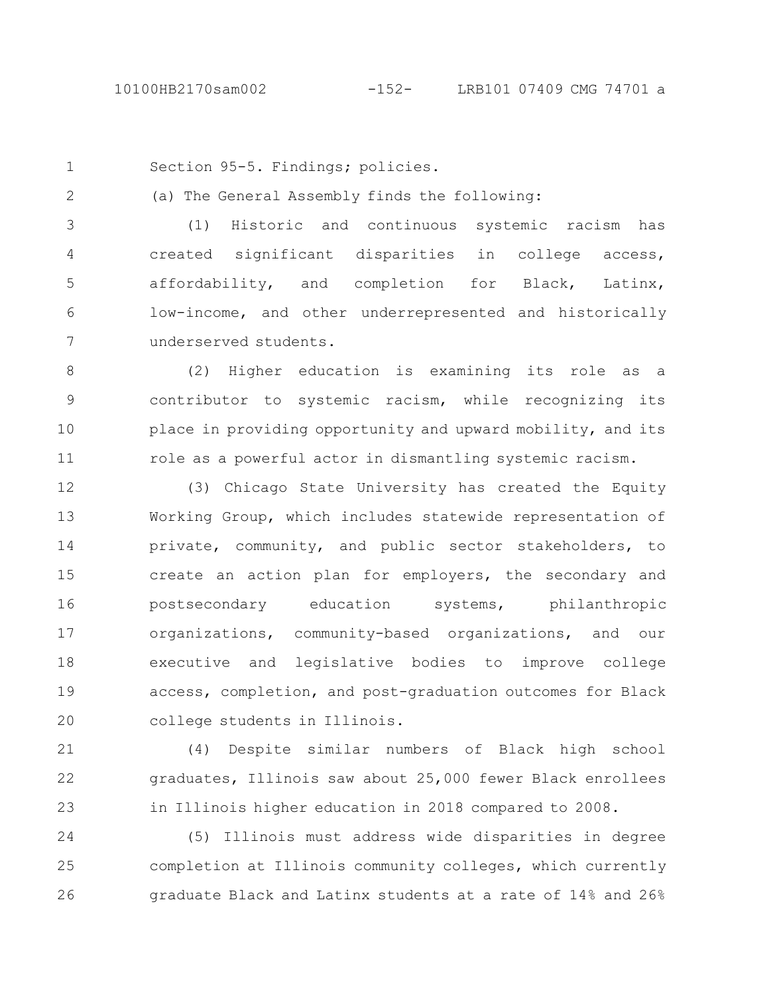1

2

Section 95-5. Findings; policies.

(a) The General Assembly finds the following:

(1) Historic and continuous systemic racism has created significant disparities in college access, affordability, and completion for Black, Latinx, low-income, and other underrepresented and historically underserved students. 3 4 5 6 7

(2) Higher education is examining its role as a contributor to systemic racism, while recognizing its place in providing opportunity and upward mobility, and its role as a powerful actor in dismantling systemic racism. 8 9 10 11

(3) Chicago State University has created the Equity Working Group, which includes statewide representation of private, community, and public sector stakeholders, to create an action plan for employers, the secondary and postsecondary education systems, philanthropic organizations, community-based organizations, and our executive and legislative bodies to improve college access, completion, and post-graduation outcomes for Black college students in Illinois. 12 13 14 15 16 17 18 19 20

(4) Despite similar numbers of Black high school graduates, Illinois saw about 25,000 fewer Black enrollees in Illinois higher education in 2018 compared to 2008. 21 22 23

(5) Illinois must address wide disparities in degree completion at Illinois community colleges, which currently graduate Black and Latinx students at a rate of 14% and 26% 24 25 26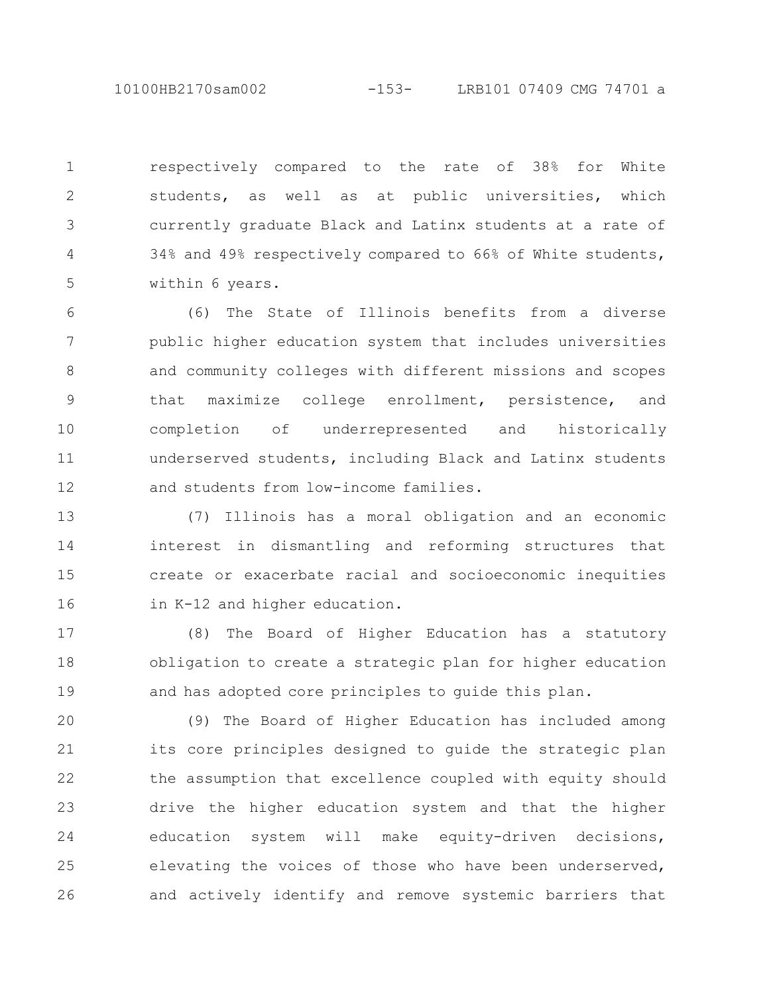10100HB2170sam002 -153- LRB101 07409 CMG 74701 a

respectively compared to the rate of 38% for White students, as well as at public universities, which currently graduate Black and Latinx students at a rate of 34% and 49% respectively compared to 66% of White students, within 6 years. 1 2 3 4 5

(6) The State of Illinois benefits from a diverse public higher education system that includes universities and community colleges with different missions and scopes that maximize college enrollment, persistence, and completion of underrepresented and historically underserved students, including Black and Latinx students and students from low-income families. 6 7 8 9 10 11 12

(7) Illinois has a moral obligation and an economic interest in dismantling and reforming structures that create or exacerbate racial and socioeconomic inequities in K-12 and higher education. 13 14 15 16

(8) The Board of Higher Education has a statutory obligation to create a strategic plan for higher education and has adopted core principles to guide this plan. 17 18 19

(9) The Board of Higher Education has included among its core principles designed to guide the strategic plan the assumption that excellence coupled with equity should drive the higher education system and that the higher education system will make equity-driven decisions, elevating the voices of those who have been underserved, and actively identify and remove systemic barriers that 20 21 22 23 24 25 26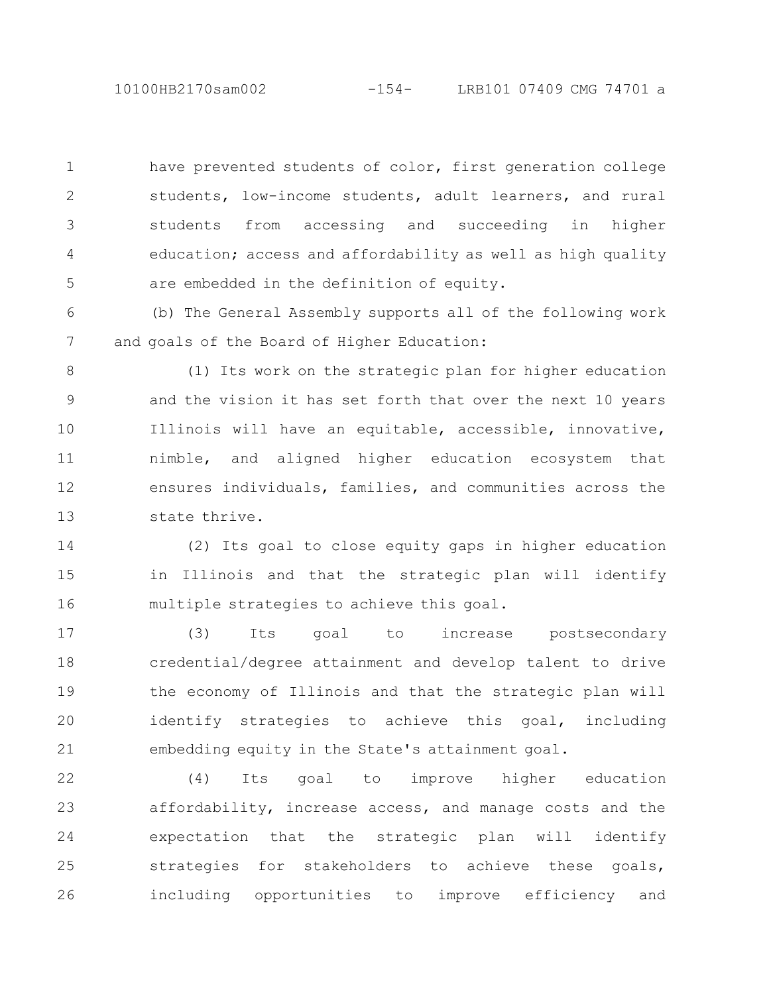10100HB2170sam002 -154- LRB101 07409 CMG 74701 a

have prevented students of color, first generation college students, low-income students, adult learners, and rural students from accessing and succeeding in higher education; access and affordability as well as high quality are embedded in the definition of equity. 1 2 3 4 5

(b) The General Assembly supports all of the following work and goals of the Board of Higher Education: 6 7

(1) Its work on the strategic plan for higher education and the vision it has set forth that over the next 10 years Illinois will have an equitable, accessible, innovative, nimble, and aligned higher education ecosystem that ensures individuals, families, and communities across the state thrive. 8 9 10 11 12 13

(2) Its goal to close equity gaps in higher education in Illinois and that the strategic plan will identify multiple strategies to achieve this goal. 14 15 16

(3) Its goal to increase postsecondary credential/degree attainment and develop talent to drive the economy of Illinois and that the strategic plan will identify strategies to achieve this goal, including embedding equity in the State's attainment goal. 17 18 19 20 21

(4) Its goal to improve higher education affordability, increase access, and manage costs and the expectation that the strategic plan will identify strategies for stakeholders to achieve these goals, including opportunities to improve efficiency and 22 23 24 25 26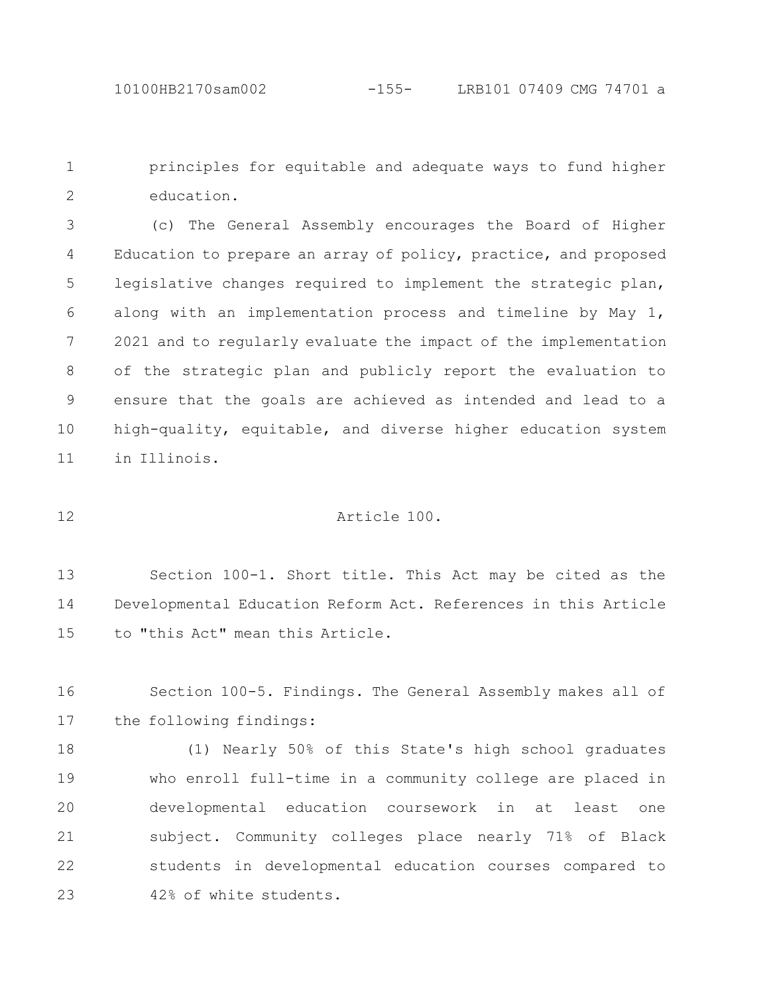principles for equitable and adequate ways to fund higher education. 1 2

(c) The General Assembly encourages the Board of Higher Education to prepare an array of policy, practice, and proposed legislative changes required to implement the strategic plan, along with an implementation process and timeline by May 1, 2021 and to regularly evaluate the impact of the implementation of the strategic plan and publicly report the evaluation to ensure that the goals are achieved as intended and lead to a high-quality, equitable, and diverse higher education system in Illinois. 3 4 5 6 7 8 9 10 11

12

## Article 100.

Section 100-1. Short title. This Act may be cited as the Developmental Education Reform Act. References in this Article to "this Act" mean this Article. 13 14 15

Section 100-5. Findings. The General Assembly makes all of the following findings: 16 17

(1) Nearly 50% of this State's high school graduates who enroll full-time in a community college are placed in developmental education coursework in at least one subject. Community colleges place nearly 71% of Black students in developmental education courses compared to 42% of white students. 18 19 20 21 22 23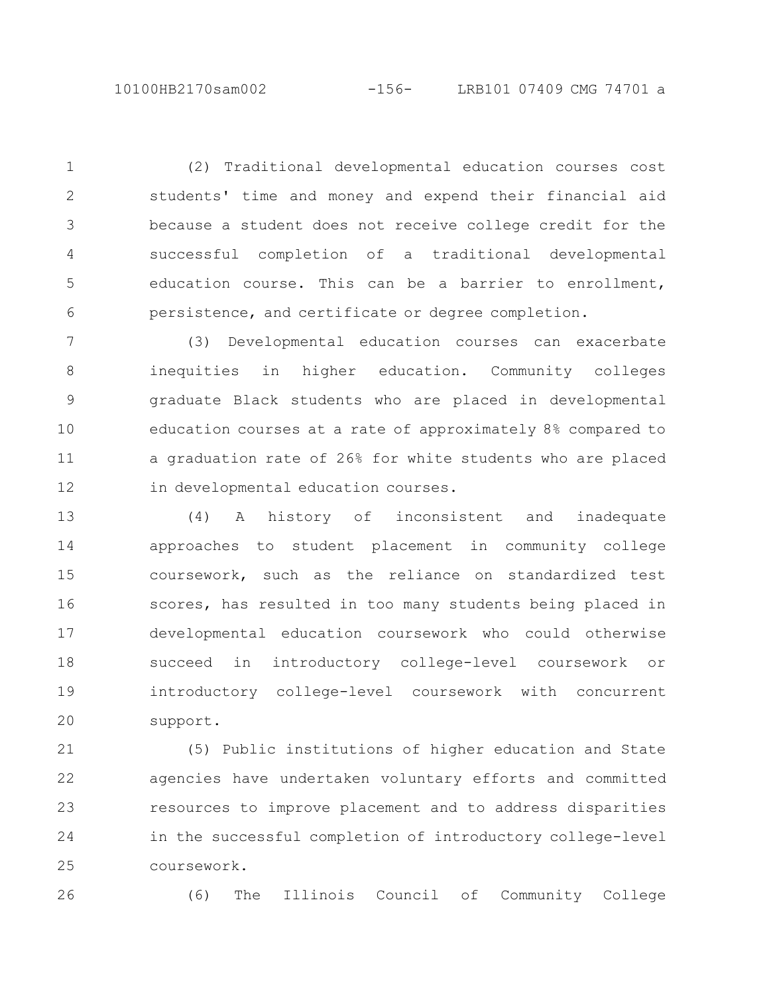(2) Traditional developmental education courses cost students' time and money and expend their financial aid because a student does not receive college credit for the successful completion of a traditional developmental education course. This can be a barrier to enrollment, persistence, and certificate or degree completion. 1 2 3 4 5 6

(3) Developmental education courses can exacerbate inequities in higher education. Community colleges graduate Black students who are placed in developmental education courses at a rate of approximately 8% compared to a graduation rate of 26% for white students who are placed in developmental education courses. 7 8 9 10 11 12

(4) A history of inconsistent and inadequate approaches to student placement in community college coursework, such as the reliance on standardized test scores, has resulted in too many students being placed in developmental education coursework who could otherwise succeed in introductory college-level coursework or introductory college-level coursework with concurrent support. 13 14 15 16 17 18 19 20

(5) Public institutions of higher education and State agencies have undertaken voluntary efforts and committed resources to improve placement and to address disparities in the successful completion of introductory college-level coursework. 21 22 23 24 25

26

(6) The Illinois Council of Community College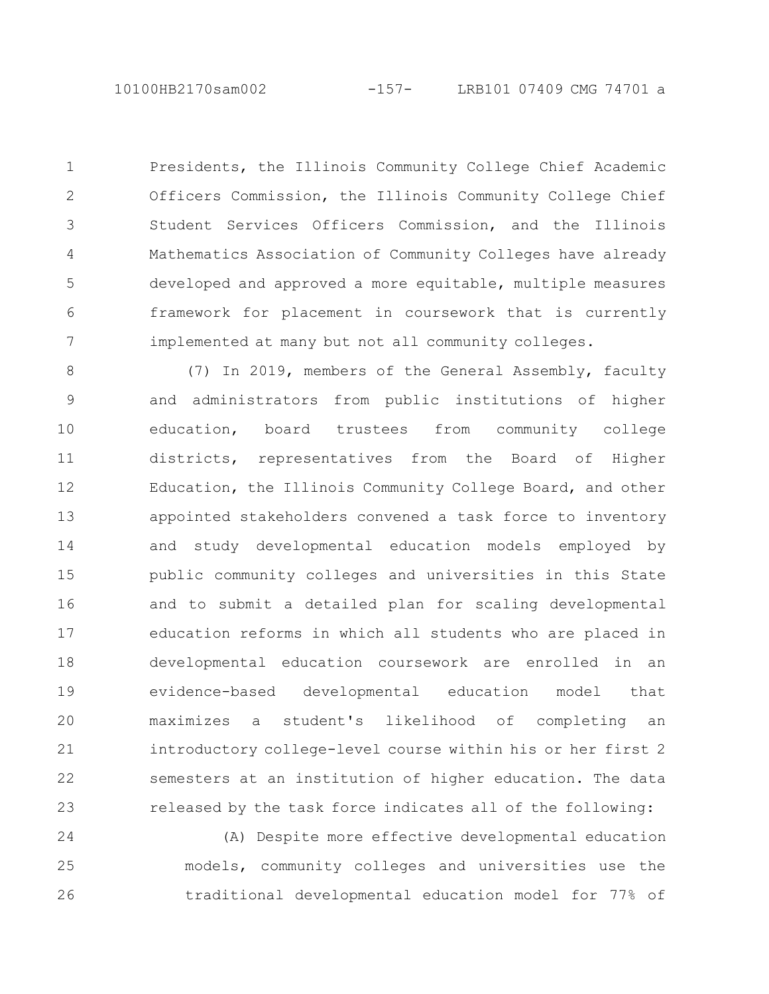Presidents, the Illinois Community College Chief Academic Officers Commission, the Illinois Community College Chief Student Services Officers Commission, and the Illinois Mathematics Association of Community Colleges have already developed and approved a more equitable, multiple measures framework for placement in coursework that is currently implemented at many but not all community colleges. 1 2 3 4 5 6 7

(7) In 2019, members of the General Assembly, faculty and administrators from public institutions of higher education, board trustees from community college districts, representatives from the Board of Higher Education, the Illinois Community College Board, and other appointed stakeholders convened a task force to inventory and study developmental education models employed by public community colleges and universities in this State and to submit a detailed plan for scaling developmental education reforms in which all students who are placed in developmental education coursework are enrolled in an evidence-based developmental education model that maximizes a student's likelihood of completing an introductory college-level course within his or her first 2 semesters at an institution of higher education. The data released by the task force indicates all of the following: 8 9 10 11 12 13 14 15 16 17 18 19 20 21 22 23

(A) Despite more effective developmental education models, community colleges and universities use the traditional developmental education model for 77% of 24 25 26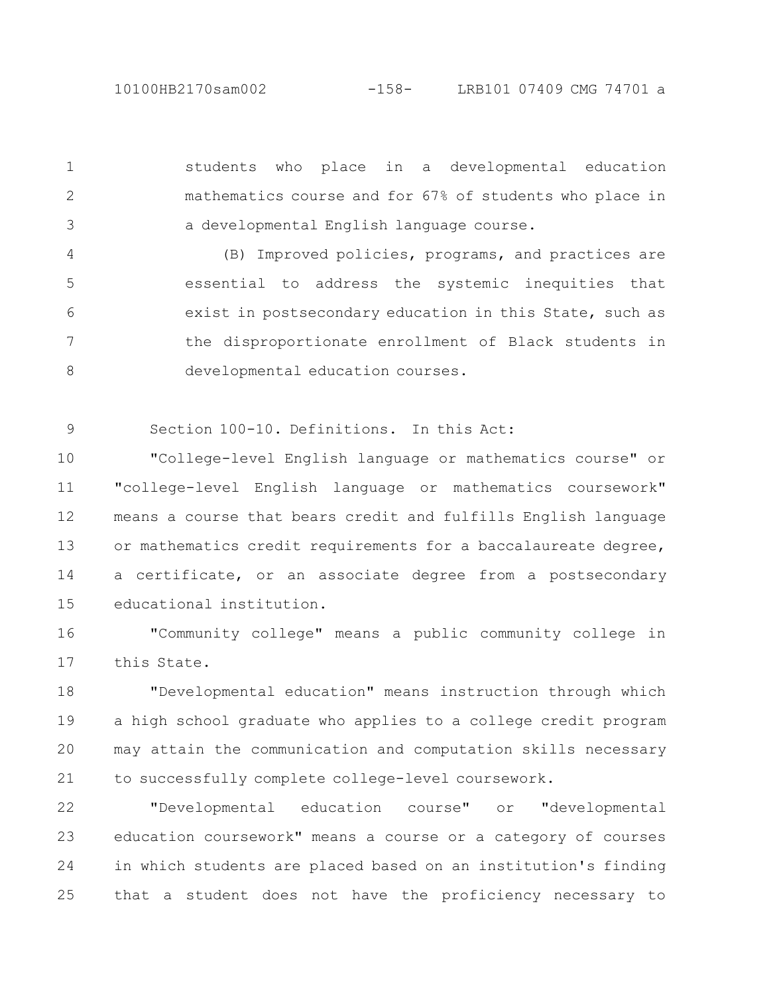students who place in a developmental education mathematics course and for 67% of students who place in a developmental English language course. 1 2 3

(B) Improved policies, programs, and practices are essential to address the systemic inequities that exist in postsecondary education in this State, such as the disproportionate enrollment of Black students in developmental education courses. 4 5 6 7 8

Section 100-10. Definitions. In this Act: 9

"College-level English language or mathematics course" or "college-level English language or mathematics coursework" means a course that bears credit and fulfills English language or mathematics credit requirements for a baccalaureate degree, a certificate, or an associate degree from a postsecondary educational institution. 10 11 12 13 14 15

"Community college" means a public community college in this State. 16 17

"Developmental education" means instruction through which a high school graduate who applies to a college credit program may attain the communication and computation skills necessary to successfully complete college-level coursework. 18 19 20 21

"Developmental education course" or "developmental education coursework" means a course or a category of courses in which students are placed based on an institution's finding that a student does not have the proficiency necessary to 22 23 24 25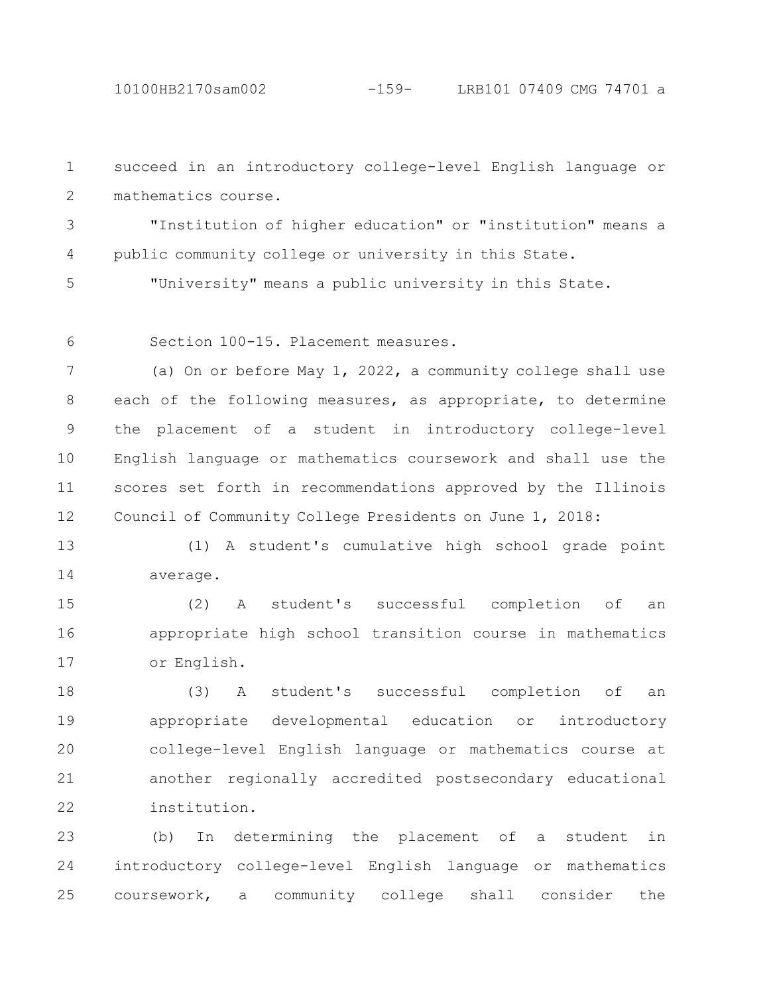succeed in an introductory college-level English language or mathematics course. 1 2

"Institution of higher education" or "institution" means a public community college or university in this State. 3 4

"University" means a public university in this State. 5

6

Section 100-15. Placement measures.

(a) On or before May 1, 2022, a community college shall use each of the following measures, as appropriate, to determine the placement of a student in introductory college-level English language or mathematics coursework and shall use the scores set forth in recommendations approved by the Illinois Council of Community College Presidents on June 1, 2018: 7 8 9 10 11 12

(1) A student's cumulative high school grade point average. 13 14

(2) A student's successful completion of an appropriate high school transition course in mathematics or English. 15 16 17

(3) A student's successful completion of an appropriate developmental education or introductory college-level English language or mathematics course at another regionally accredited postsecondary educational institution. 18 19 20 21 22

(b) In determining the placement of a student in introductory college-level English language or mathematics coursework, a community college shall consider the 23 24 25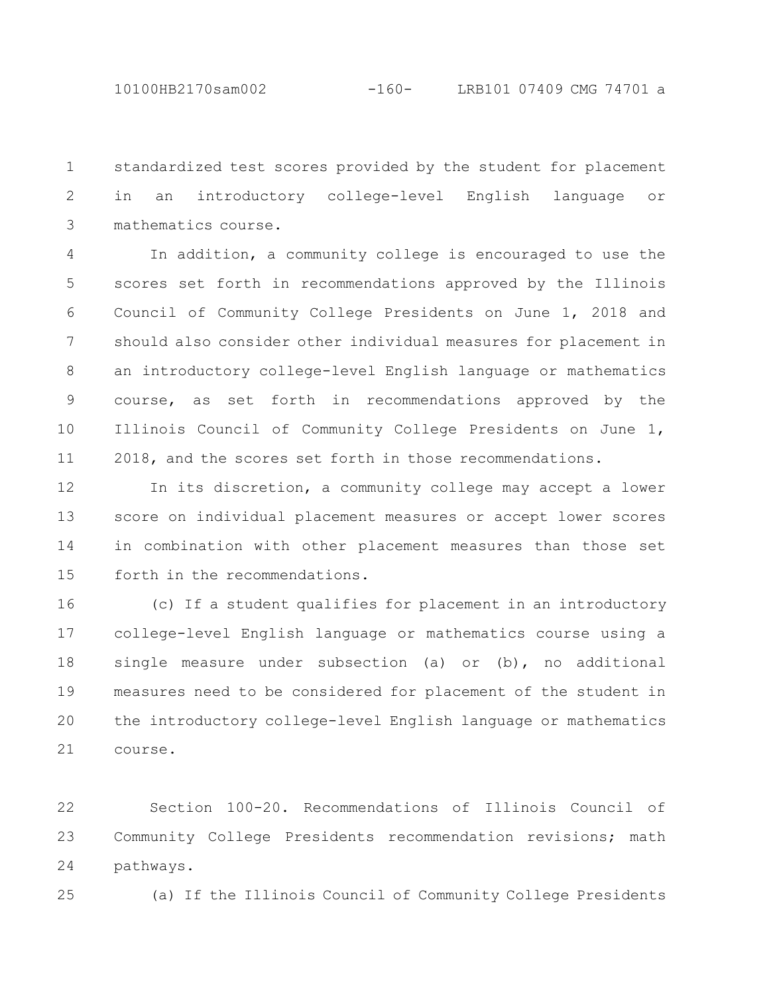standardized test scores provided by the student for placement in an introductory college-level English language or mathematics course. 1 2 3

In addition, a community college is encouraged to use the scores set forth in recommendations approved by the Illinois Council of Community College Presidents on June 1, 2018 and should also consider other individual measures for placement in an introductory college-level English language or mathematics course, as set forth in recommendations approved by the Illinois Council of Community College Presidents on June 1, 2018, and the scores set forth in those recommendations. 4 5 6 7 8 9 10 11

In its discretion, a community college may accept a lower score on individual placement measures or accept lower scores in combination with other placement measures than those set forth in the recommendations. 12 13 14 15

(c) If a student qualifies for placement in an introductory college-level English language or mathematics course using a single measure under subsection (a) or (b), no additional measures need to be considered for placement of the student in the introductory college-level English language or mathematics course. 16 17 18 19 20 21

Section 100-20. Recommendations of Illinois Council of Community College Presidents recommendation revisions; math pathways. 22 23 24

25

(a) If the Illinois Council of Community College Presidents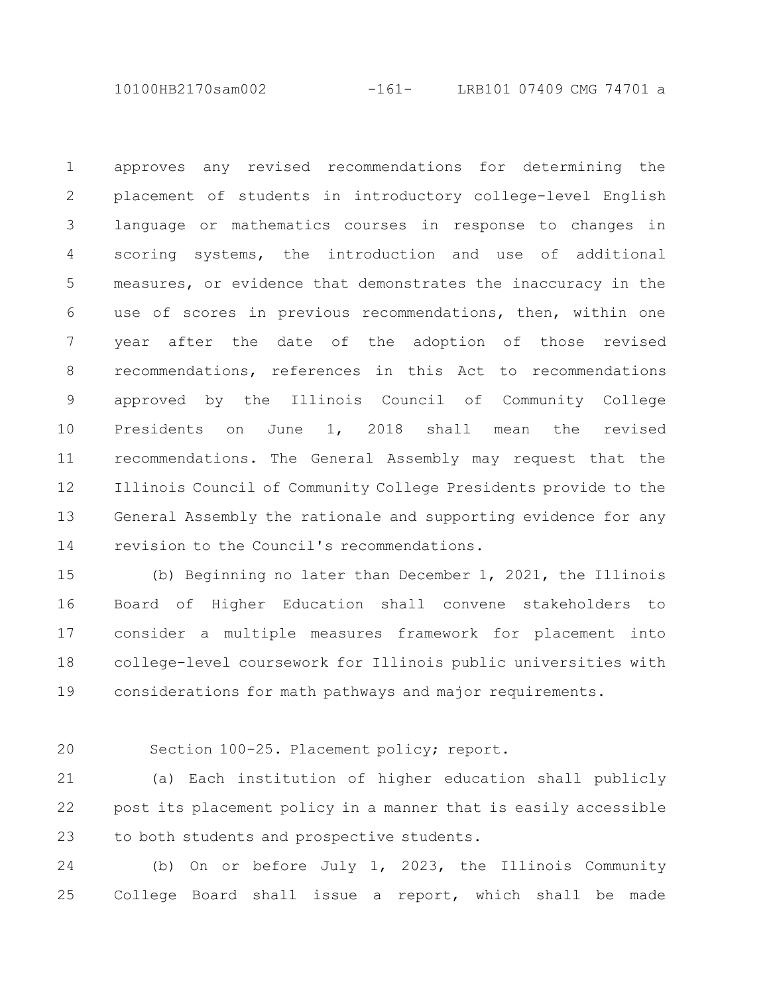10100HB2170sam002 -161- LRB101 07409 CMG 74701 a

approves any revised recommendations for determining the placement of students in introductory college-level English language or mathematics courses in response to changes in scoring systems, the introduction and use of additional measures, or evidence that demonstrates the inaccuracy in the use of scores in previous recommendations, then, within one year after the date of the adoption of those revised recommendations, references in this Act to recommendations approved by the Illinois Council of Community College Presidents on June 1, 2018 shall mean the revised recommendations. The General Assembly may request that the Illinois Council of Community College Presidents provide to the General Assembly the rationale and supporting evidence for any revision to the Council's recommendations. 1 2 3 4 5 6 7 8 9 10 11 12 13 14

(b) Beginning no later than December 1, 2021, the Illinois Board of Higher Education shall convene stakeholders to consider a multiple measures framework for placement into college-level coursework for Illinois public universities with considerations for math pathways and major requirements. 15 16 17 18 19

20

Section 100-25. Placement policy; report.

(a) Each institution of higher education shall publicly post its placement policy in a manner that is easily accessible to both students and prospective students. 21 22 23

(b) On or before July 1, 2023, the Illinois Community College Board shall issue a report, which shall be made 24 25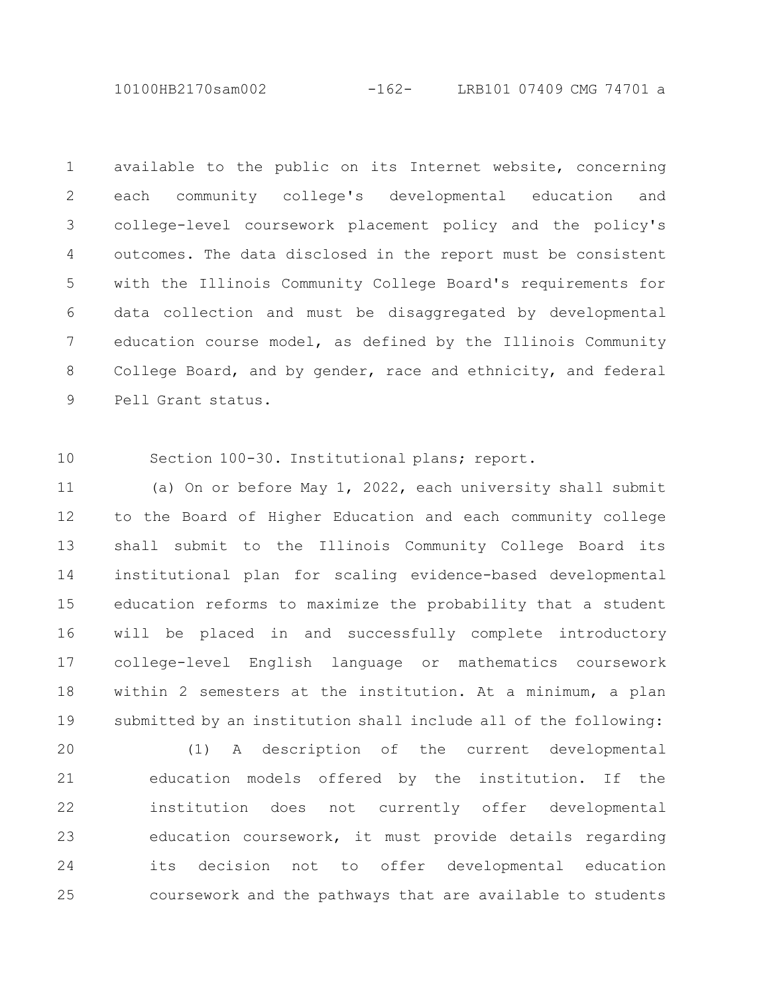10100HB2170sam002 -162- LRB101 07409 CMG 74701 a

available to the public on its Internet website, concerning each community college's developmental education and college-level coursework placement policy and the policy's outcomes. The data disclosed in the report must be consistent with the Illinois Community College Board's requirements for data collection and must be disaggregated by developmental education course model, as defined by the Illinois Community College Board, and by gender, race and ethnicity, and federal Pell Grant status. 1 2 3 4 5 6 7 8 9

Section 100-30. Institutional plans; report. 10

(a) On or before May 1, 2022, each university shall submit to the Board of Higher Education and each community college shall submit to the Illinois Community College Board its institutional plan for scaling evidence-based developmental education reforms to maximize the probability that a student will be placed in and successfully complete introductory college-level English language or mathematics coursework within 2 semesters at the institution. At a minimum, a plan submitted by an institution shall include all of the following: 11 12 13 14 15 16 17 18 19

(1) A description of the current developmental education models offered by the institution. If the institution does not currently offer developmental education coursework, it must provide details regarding its decision not to offer developmental education coursework and the pathways that are available to students 20 21 22 23 24 25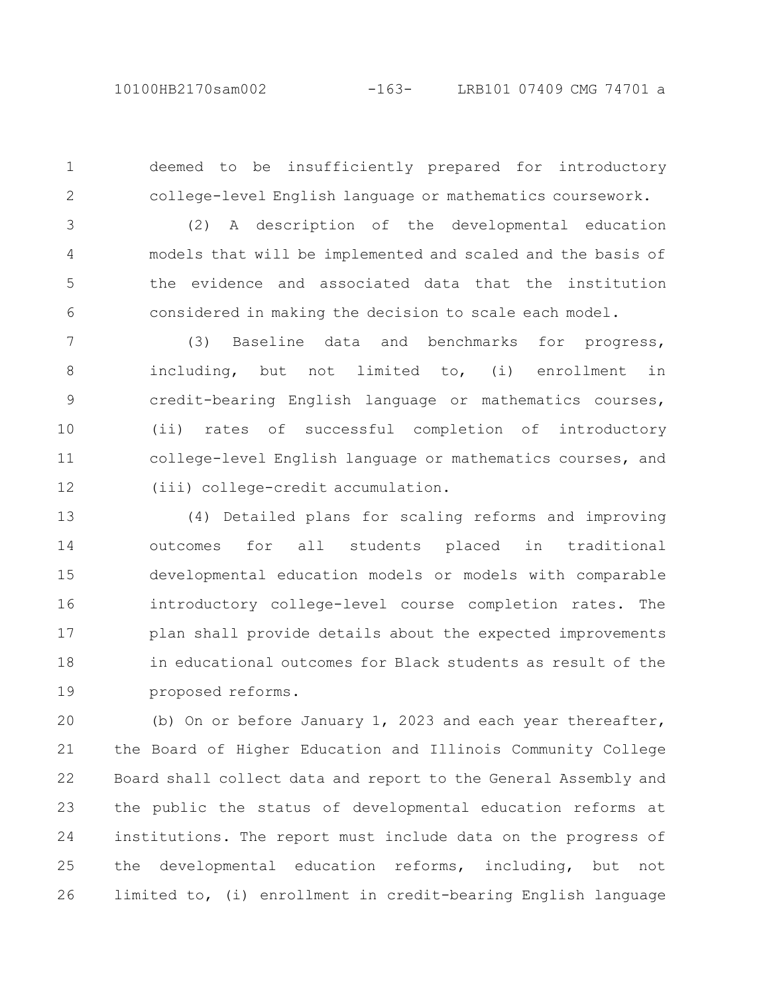2

deemed to be insufficiently prepared for introductory college-level English language or mathematics coursework. 1

(2) A description of the developmental education models that will be implemented and scaled and the basis of the evidence and associated data that the institution considered in making the decision to scale each model. 3 4 5 6

(3) Baseline data and benchmarks for progress, including, but not limited to, (i) enrollment in credit-bearing English language or mathematics courses, (ii) rates of successful completion of introductory college-level English language or mathematics courses, and (iii) college-credit accumulation. 7 8 9 10 11 12

(4) Detailed plans for scaling reforms and improving outcomes for all students placed in traditional developmental education models or models with comparable introductory college-level course completion rates. The plan shall provide details about the expected improvements in educational outcomes for Black students as result of the proposed reforms. 13 14 15 16 17 18 19

(b) On or before January 1, 2023 and each year thereafter, the Board of Higher Education and Illinois Community College Board shall collect data and report to the General Assembly and the public the status of developmental education reforms at institutions. The report must include data on the progress of the developmental education reforms, including, but not limited to, (i) enrollment in credit-bearing English language 20 21 22 23 24 25 26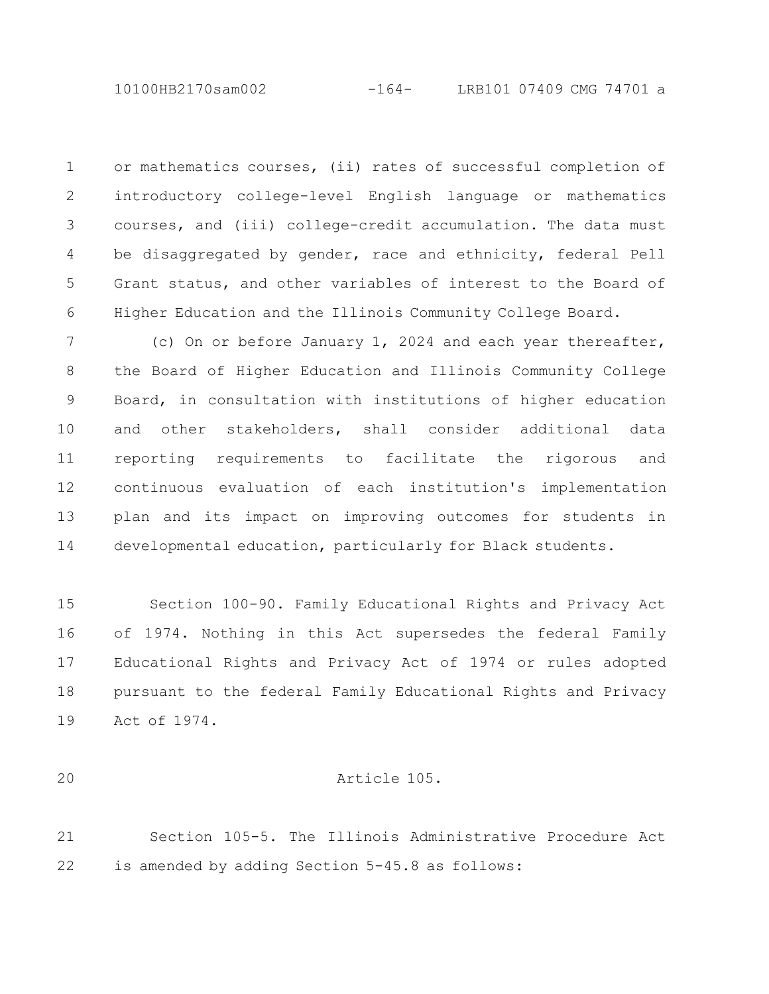or mathematics courses, (ii) rates of successful completion of introductory college-level English language or mathematics courses, and (iii) college-credit accumulation. The data must be disaggregated by gender, race and ethnicity, federal Pell Grant status, and other variables of interest to the Board of Higher Education and the Illinois Community College Board. 1 2 3 4 5 6

(c) On or before January 1, 2024 and each year thereafter, the Board of Higher Education and Illinois Community College Board, in consultation with institutions of higher education and other stakeholders, shall consider additional data reporting requirements to facilitate the rigorous and continuous evaluation of each institution's implementation plan and its impact on improving outcomes for students in developmental education, particularly for Black students. 7 8 9 10 11 12 13 14

Section 100-90. Family Educational Rights and Privacy Act of 1974. Nothing in this Act supersedes the federal Family Educational Rights and Privacy Act of 1974 or rules adopted pursuant to the federal Family Educational Rights and Privacy Act of 1974. 15 16 17 18 19

20

### Article 105.

Section 105-5. The Illinois Administrative Procedure Act is amended by adding Section 5-45.8 as follows: 21 22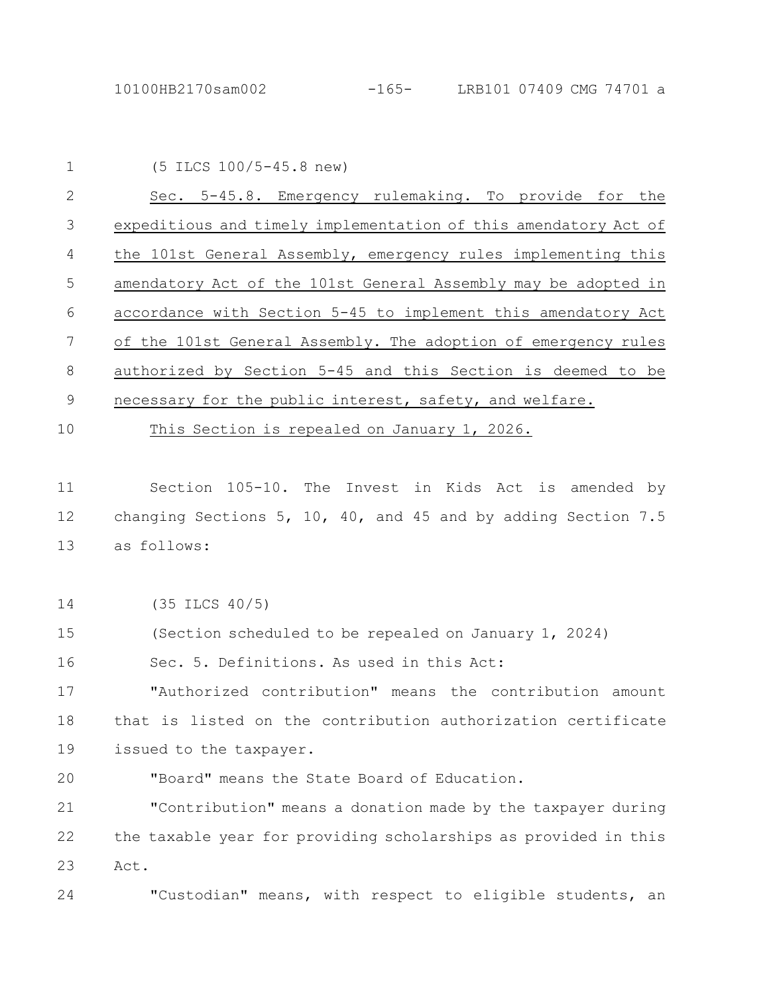| $\mathbf 1$  | $(5$ ILCS $100/5 - 45.8$ new)                                   |
|--------------|-----------------------------------------------------------------|
| $\mathbf{2}$ | Sec. 5-45.8. Emergency rulemaking. To provide for the           |
| 3            | expeditious and timely implementation of this amendatory Act of |
| 4            | the 101st General Assembly, emergency rules implementing this   |
| 5            | amendatory Act of the 101st General Assembly may be adopted in  |
| 6            | accordance with Section 5-45 to implement this amendatory Act   |
| 7            | of the 101st General Assembly. The adoption of emergency rules  |
| 8            | authorized by Section 5-45 and this Section is deemed to be     |
| $\mathsf 9$  | necessary for the public interest, safety, and welfare.         |
| 10           | This Section is repealed on January 1, 2026.                    |
|              |                                                                 |
| 11           | Section 105-10. The Invest in Kids Act is amended by            |
| 12           | changing Sections 5, 10, 40, and 45 and by adding Section 7.5   |
| 13           | as follows:                                                     |
|              |                                                                 |
| 14           | $(35$ ILCS $40/5)$                                              |
| 15           | (Section scheduled to be repealed on January 1, 2024)           |
| 16           | Sec. 5. Definitions. As used in this Act:                       |
| 17           | "Authorized contribution" means the contribution amount         |
| 18           | that is listed on the contribution authorization certificate    |
| 19           | issued to the taxpayer.                                         |
| 20           | "Board" means the State Board of Education.                     |
| 21           | "Contribution" means a donation made by the taxpayer during     |
| 22           | the taxable year for providing scholarships as provided in this |
| 23           | Act.                                                            |
| 24           | "Custodian" means, with respect to eligible students, an        |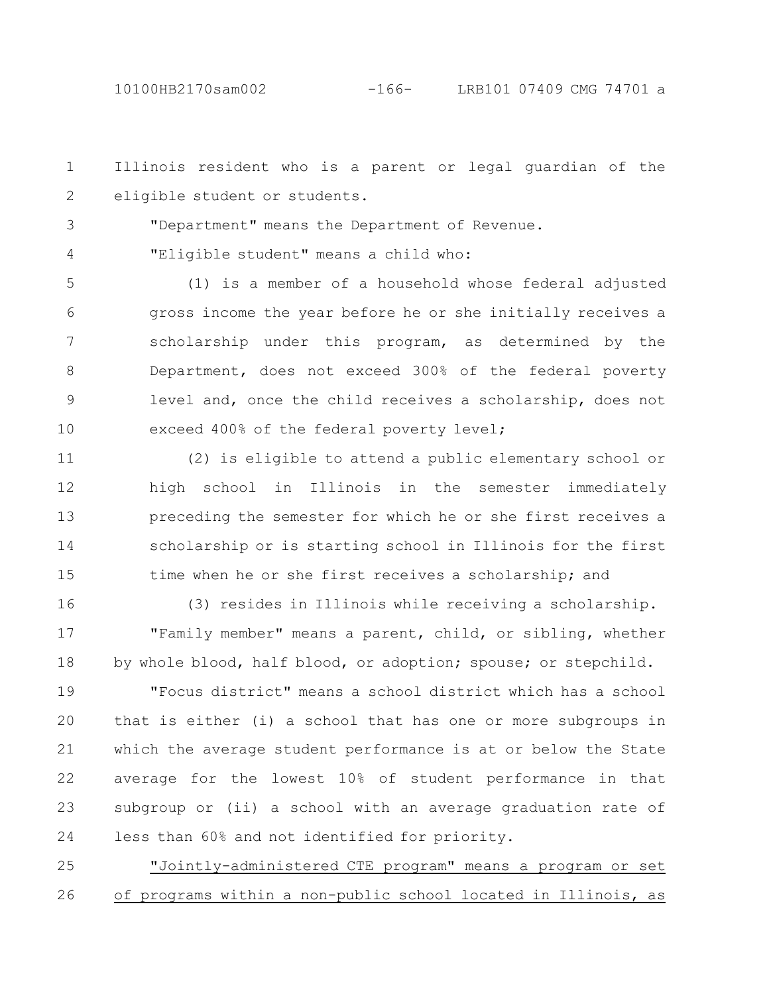3

4

Illinois resident who is a parent or legal guardian of the eligible student or students. 1 2

"Department" means the Department of Revenue.

"Eligible student" means a child who:

(1) is a member of a household whose federal adjusted gross income the year before he or she initially receives a scholarship under this program, as determined by the Department, does not exceed 300% of the federal poverty level and, once the child receives a scholarship, does not exceed 400% of the federal poverty level; 5 6 7 8 9 10

(2) is eligible to attend a public elementary school or high school in Illinois in the semester immediately preceding the semester for which he or she first receives a scholarship or is starting school in Illinois for the first time when he or she first receives a scholarship; and 11 12 13 14 15

(3) resides in Illinois while receiving a scholarship. "Family member" means a parent, child, or sibling, whether by whole blood, half blood, or adoption; spouse; or stepchild. 16 17 18

"Focus district" means a school district which has a school that is either (i) a school that has one or more subgroups in which the average student performance is at or below the State average for the lowest 10% of student performance in that subgroup or (ii) a school with an average graduation rate of less than 60% and not identified for priority. 19 20 21 22 23 24

"Jointly-administered CTE program" means a program or set of programs within a non-public school located in Illinois, as 25 26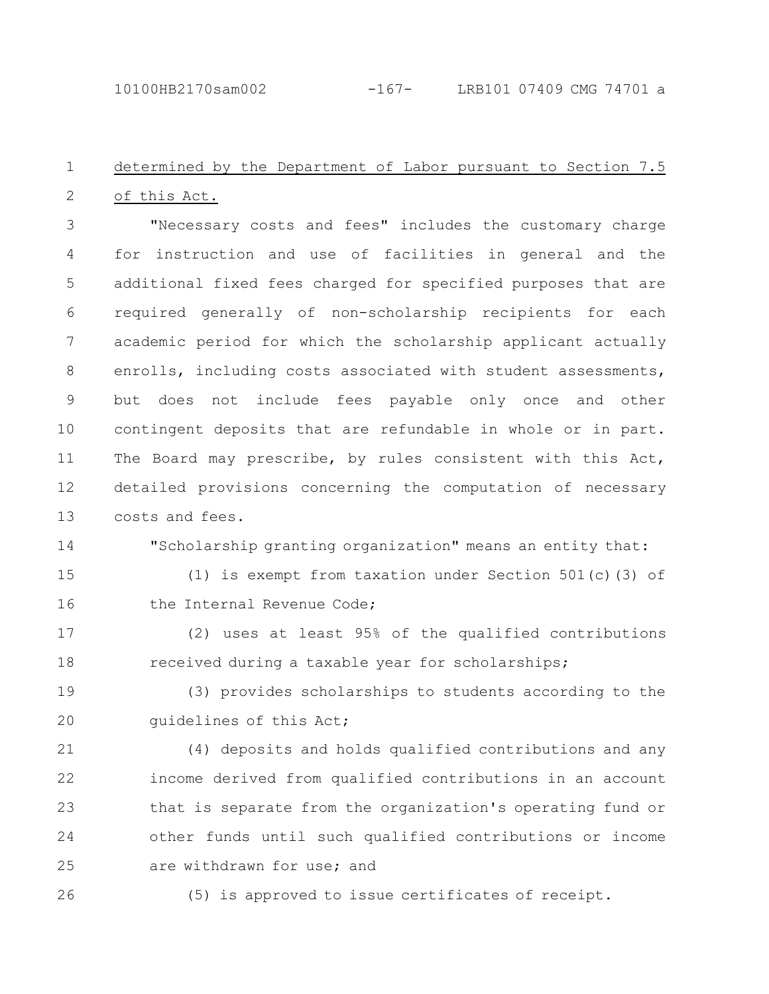#### determined by the Department of Labor pursuant to Section 7.5 of this Act. 1 2

"Necessary costs and fees" includes the customary charge for instruction and use of facilities in general and the additional fixed fees charged for specified purposes that are required generally of non-scholarship recipients for each academic period for which the scholarship applicant actually enrolls, including costs associated with student assessments, but does not include fees payable only once and other contingent deposits that are refundable in whole or in part. The Board may prescribe, by rules consistent with this Act, detailed provisions concerning the computation of necessary costs and fees. 3 4 5 6 7 8 9 10 11 12 13

14

"Scholarship granting organization" means an entity that:

(1) is exempt from taxation under Section 501(c)(3) of the Internal Revenue Code; 15 16

(2) uses at least 95% of the qualified contributions received during a taxable year for scholarships; 17 18

(3) provides scholarships to students according to the guidelines of this Act; 19 20

(4) deposits and holds qualified contributions and any income derived from qualified contributions in an account that is separate from the organization's operating fund or other funds until such qualified contributions or income are withdrawn for use; and 21 22 23 24 25

26

(5) is approved to issue certificates of receipt.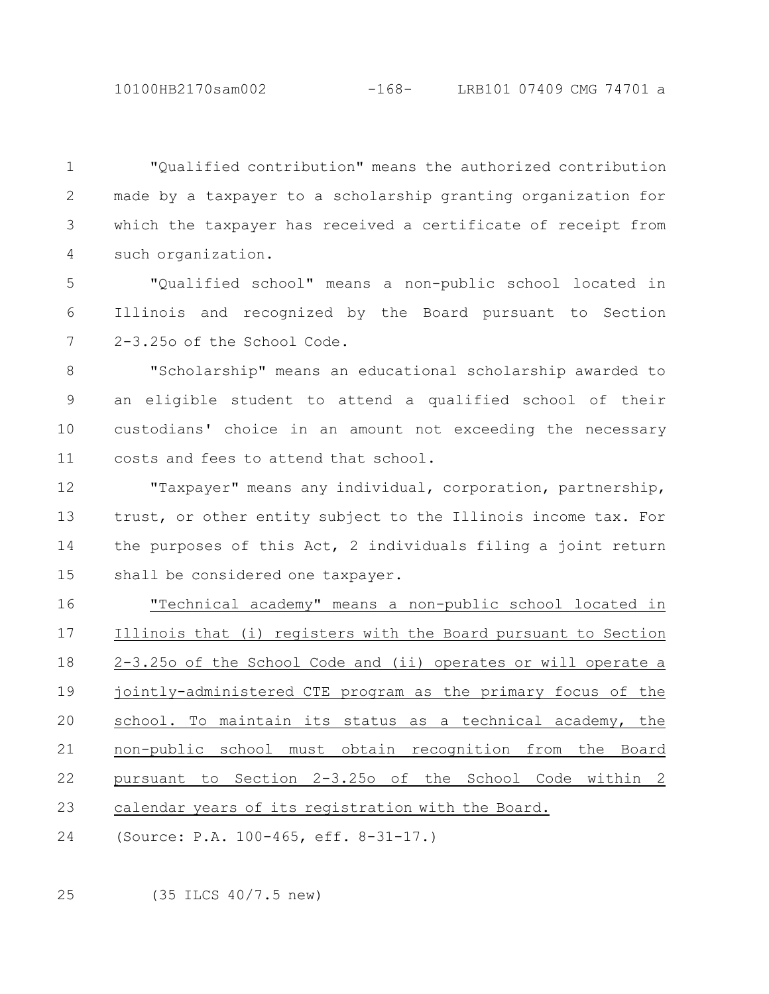10100HB2170sam002 -168- LRB101 07409 CMG 74701 a

"Qualified contribution" means the authorized contribution made by a taxpayer to a scholarship granting organization for which the taxpayer has received a certificate of receipt from such organization. 1 2 3 4

"Qualified school" means a non-public school located in Illinois and recognized by the Board pursuant to Section 2-3.25o of the School Code. 5 6 7

"Scholarship" means an educational scholarship awarded to an eligible student to attend a qualified school of their custodians' choice in an amount not exceeding the necessary costs and fees to attend that school. 8 9 10 11

"Taxpayer" means any individual, corporation, partnership, trust, or other entity subject to the Illinois income tax. For the purposes of this Act, 2 individuals filing a joint return shall be considered one taxpayer. 12 13 14 15

"Technical academy" means a non-public school located in Illinois that (i) registers with the Board pursuant to Section 2-3.25o of the School Code and (ii) operates or will operate a jointly-administered CTE program as the primary focus of the school. To maintain its status as a technical academy, the non-public school must obtain recognition from the Board pursuant to Section 2-3.25o of the School Code within 2 calendar years of its registration with the Board. 16 17 18 19 20 21 22 23

(Source: P.A. 100-465, eff. 8-31-17.) 24

(35 ILCS 40/7.5 new) 25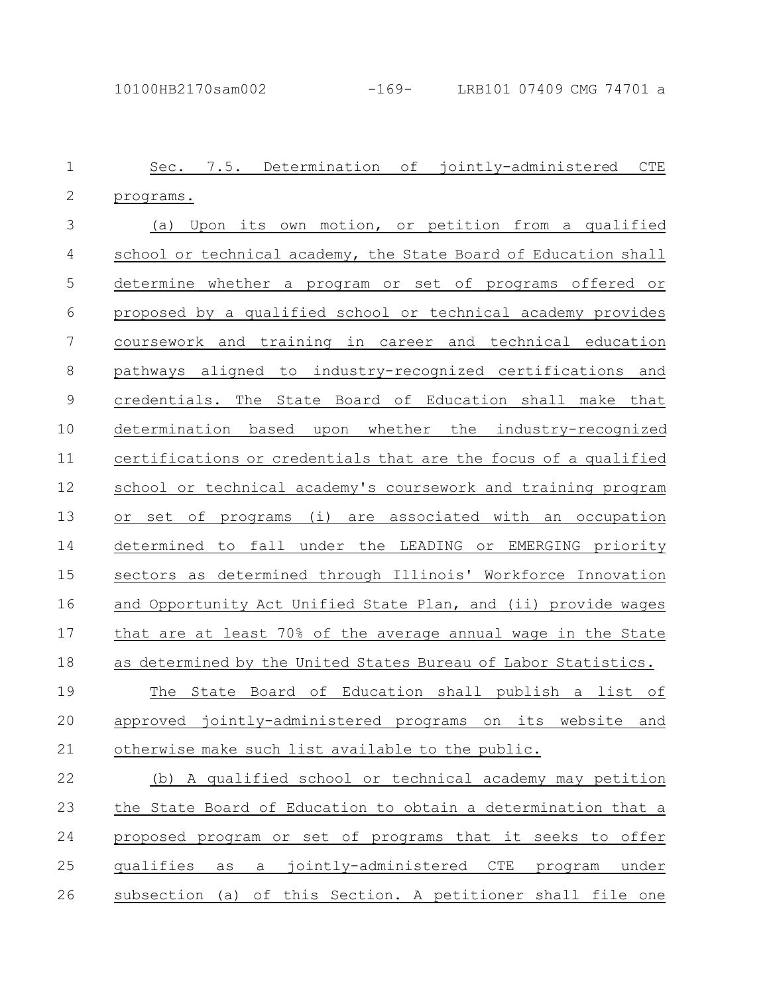| $\mathbf 1$  | Sec. 7.5. Determination of jointly-administered<br><b>CTE</b>     |
|--------------|-------------------------------------------------------------------|
| $\mathbf{2}$ | programs.                                                         |
| 3            | Upon its own motion, or petition from a qualified<br>(a)          |
| 4            | school or technical academy, the State Board of Education shall   |
| 5            | determine whether a program or set of programs offered or         |
| 6            | proposed by a qualified school or technical academy provides      |
| 7            | coursework and training in career and technical education         |
| 8            | pathways aligned to industry-recognized certifications and        |
| $\mathsf 9$  | credentials. The State Board of Education shall make that         |
| 10           | determination based upon whether the industry-recognized          |
| 11           | certifications or credentials that are the focus of a qualified   |
| 12           | school or technical academy's coursework and training program     |
| 13           | (i) are associated with an occupation<br>set of<br>programs<br>Оr |
| 14           | determined to fall under the LEADING or EMERGING priority         |
| 15           | sectors as determined through Illinois' Workforce Innovation      |
| 16           | and Opportunity Act Unified State Plan, and (ii) provide wages    |
| 17           | that are at least 70% of the average annual wage in the State     |
| 18           | as determined by the United States Bureau of Labor Statistics.    |
| 19           | State Board of Education shall publish a list of<br>The           |
| 20           | approved jointly-administered programs on its<br>website<br>and   |
| 21           | otherwise make such list available to the public.                 |
| 22           | A qualified school or technical academy may petition<br>(b)       |
| 23           | the State Board of Education to obtain a determination that a     |
| 24           | proposed program or set of programs that it seeks to offer        |
| 25           | as a jointly-administered CTE program<br>qualifies<br>under       |
| 26           | subsection (a) of this Section. A petitioner shall file one       |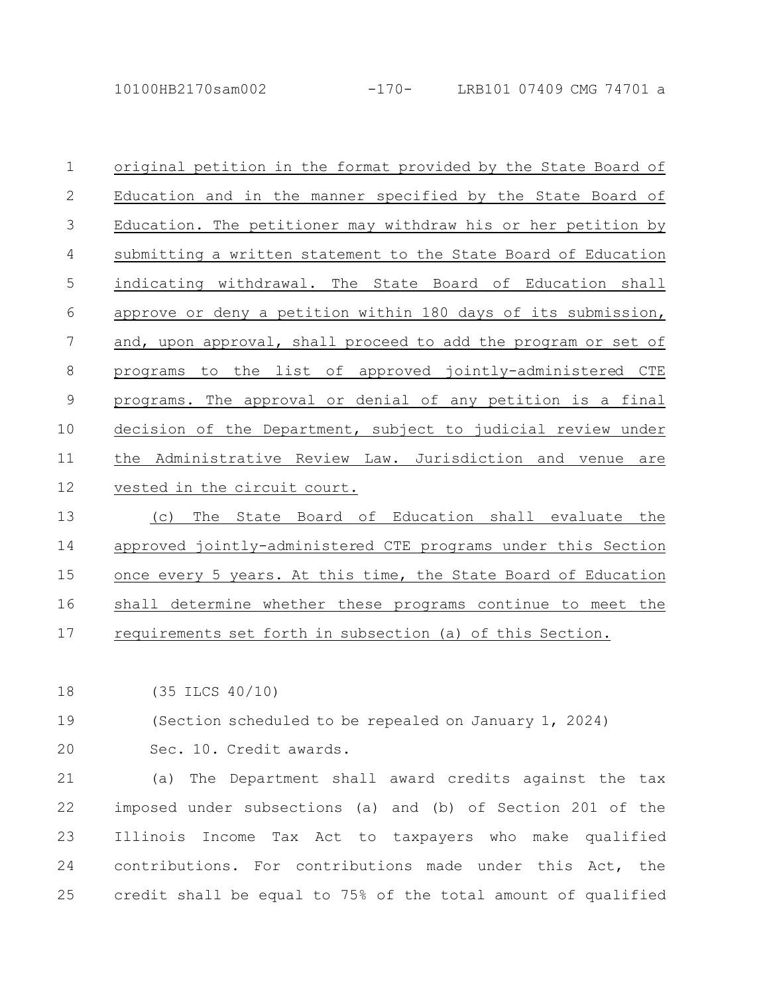10100HB2170sam002 -170- LRB101 07409 CMG 74701 a

original petition in the format provided by the State Board of Education and in the manner specified by the State Board of Education. The petitioner may withdraw his or her petition by submitting a written statement to the State Board of Education indicating withdrawal. The State Board of Education shall approve or deny a petition within 180 days of its submission, and, upon approval, shall proceed to add the program or set of programs to the list of approved jointly-administered CTE programs. The approval or denial of any petition is a final decision of the Department, subject to judicial review under the Administrative Review Law. Jurisdiction and venue are vested in the circuit court. 1 2 3 4 5 6 7 8 9 10 11 12

(c) The State Board of Education shall evaluate the approved jointly-administered CTE programs under this Section once every 5 years. At this time, the State Board of Education shall determine whether these programs continue to meet the requirements set forth in subsection (a) of this Section. 13 14 15 16 17

(35 ILCS 40/10) 18

(Section scheduled to be repealed on January 1, 2024) 19

20

Sec. 10. Credit awards.

(a) The Department shall award credits against the tax imposed under subsections (a) and (b) of Section 201 of the Illinois Income Tax Act to taxpayers who make qualified contributions. For contributions made under this Act, the credit shall be equal to 75% of the total amount of qualified 21 22 23 24 25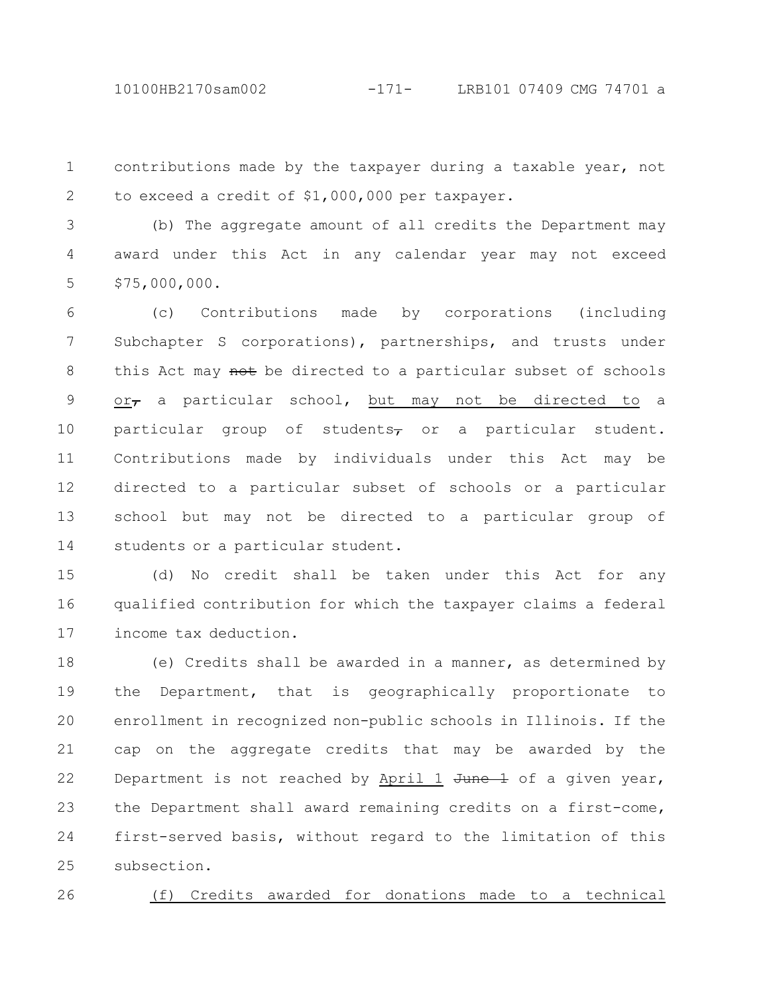10100HB2170sam002 -171- LRB101 07409 CMG 74701 a

contributions made by the taxpayer during a taxable year, not to exceed a credit of \$1,000,000 per taxpayer. 1 2

(b) The aggregate amount of all credits the Department may award under this Act in any calendar year may not exceed \$75,000,000. 3 4 5

(c) Contributions made by corporations (including Subchapter S corporations), partnerships, and trusts under this Act may not be directed to a particular subset of schools  $or_{\tau}$  a particular school, but may not be directed to a particular group of students $\tau$  or a particular student. Contributions made by individuals under this Act may be directed to a particular subset of schools or a particular school but may not be directed to a particular group of students or a particular student. 6 7 8 9 10 11 12 13 14

(d) No credit shall be taken under this Act for any qualified contribution for which the taxpayer claims a federal income tax deduction. 15 16 17

(e) Credits shall be awarded in a manner, as determined by the Department, that is geographically proportionate to enrollment in recognized non-public schools in Illinois. If the cap on the aggregate credits that may be awarded by the Department is not reached by April 1  $J$ une  $\pm$  of a given year, the Department shall award remaining credits on a first-come, first-served basis, without regard to the limitation of this subsection. 18 19 20 21 22 23 24 25

26

## (f) Credits awarded for donations made to a technical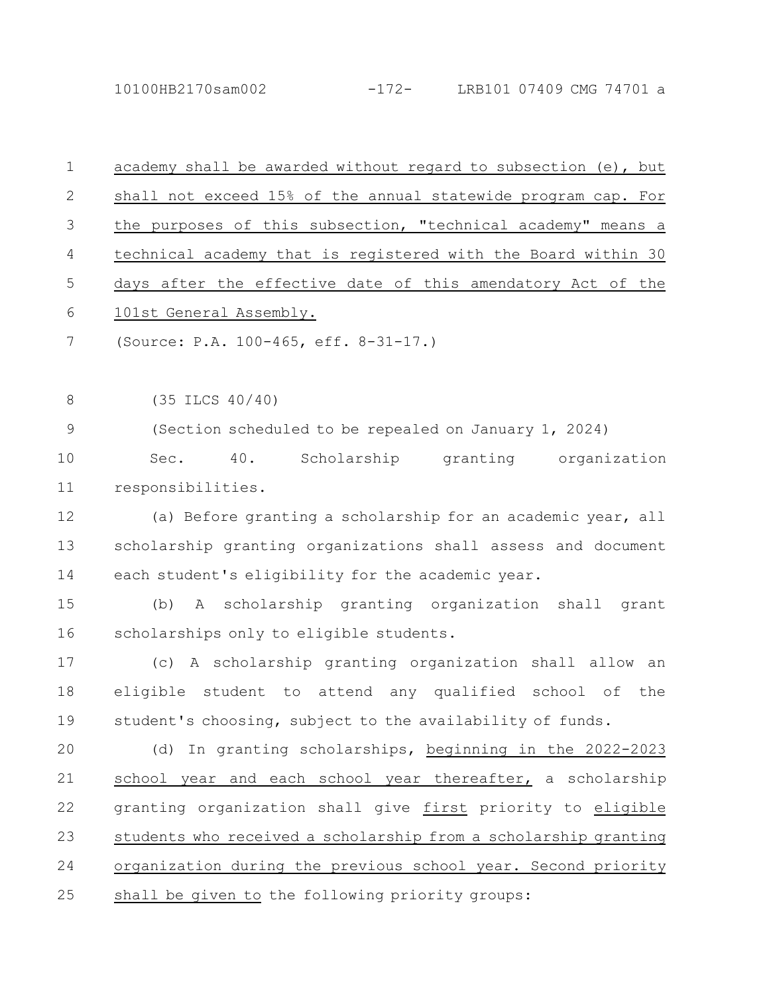10100HB2170sam002 -172- LRB101 07409 CMG 74701 a

| $\mathbf 1$ | academy shall be awarded without regard to subsection (e), but  |
|-------------|-----------------------------------------------------------------|
| 2           | shall not exceed 15% of the annual statewide program cap. For   |
| 3           | the purposes of this subsection, "technical academy" means a    |
| 4           | technical academy that is registered with the Board within 30   |
| 5           | days after the effective date of this amendatory Act of the     |
| 6           | 101st General Assembly.                                         |
| 7           | (Source: P.A. 100-465, eff. 8-31-17.)                           |
| 8           | $(35$ ILCS $40/40)$                                             |
| $\mathsf 9$ | (Section scheduled to be repealed on January 1, 2024)           |
| 10          | Scholarship granting organization<br>40.<br>Sec.                |
| 11          | responsibilities.                                               |
| 12          | (a) Before granting a scholarship for an academic year, all     |
| 13          | scholarship granting organizations shall assess and document    |
| 14          | each student's eligibility for the academic year.               |
| 15          | A scholarship granting organization shall grant<br>(b)          |
| 16          | scholarships only to eligible students.                         |
| 17          | (c) A scholarship granting organization shall allow an          |
| 18          | eligible student to attend any qualified school of<br>the       |
| 19          | student's choosing, subject to the availability of funds.       |
| 20          | (d) In granting scholarships, beginning in the 2022-2023        |
| 21          | school year and each school year thereafter, a scholarship      |
| 22          | granting organization shall give first priority to eligible     |
| 23          | students who received a scholarship from a scholarship granting |
| 24          | organization during the previous school year. Second priority   |
| 25          | shall be given to the following priority groups:                |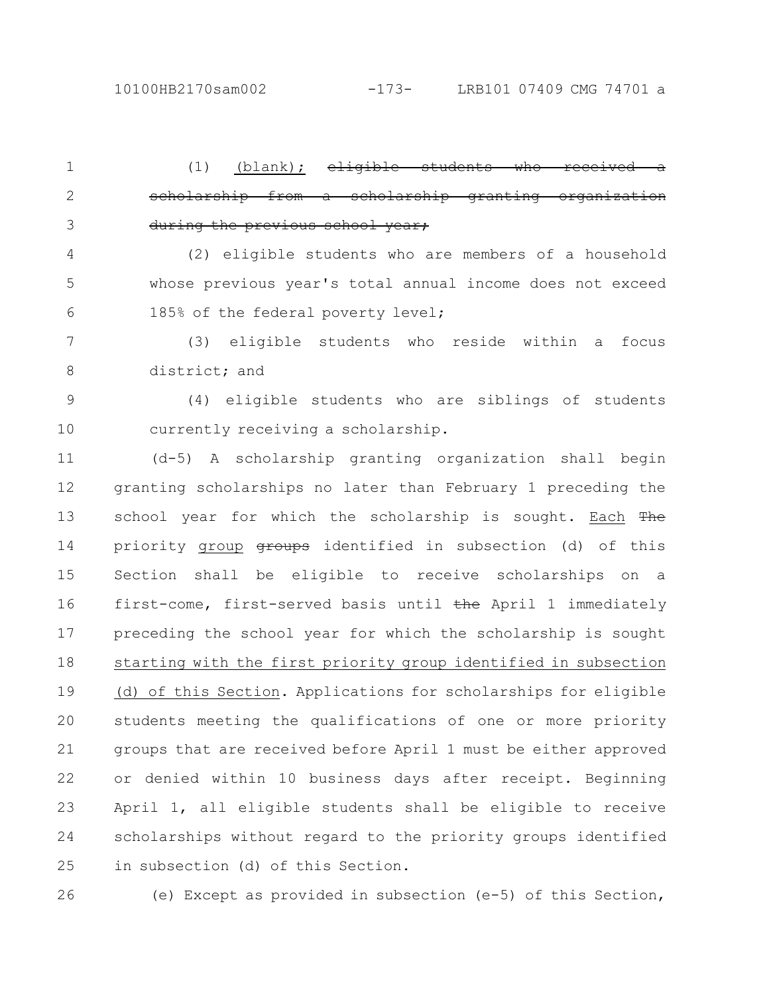(1) (blank);  $e^{\frac{1}{2}i\pi}$ scholarship from a scholarship granting organization during the previous school year; 1 2 3

(2) eligible students who are members of a household whose previous year's total annual income does not exceed 185% of the federal poverty level; 4 5 6

(3) eligible students who reside within a focus district; and 7 8

(4) eligible students who are siblings of students currently receiving a scholarship. 9 10

(d-5) A scholarship granting organization shall begin granting scholarships no later than February 1 preceding the school year for which the scholarship is sought. Each The priority group **groups** identified in subsection (d) of this Section shall be eligible to receive scholarships on a first-come, first-served basis until the April 1 immediately preceding the school year for which the scholarship is sought starting with the first priority group identified in subsection (d) of this Section. Applications for scholarships for eligible students meeting the qualifications of one or more priority groups that are received before April 1 must be either approved or denied within 10 business days after receipt. Beginning April 1, all eligible students shall be eligible to receive scholarships without regard to the priority groups identified in subsection (d) of this Section. 11 12 13 14 15 16 17 18 19 20 21 22 23 24 25

26

(e) Except as provided in subsection (e-5) of this Section,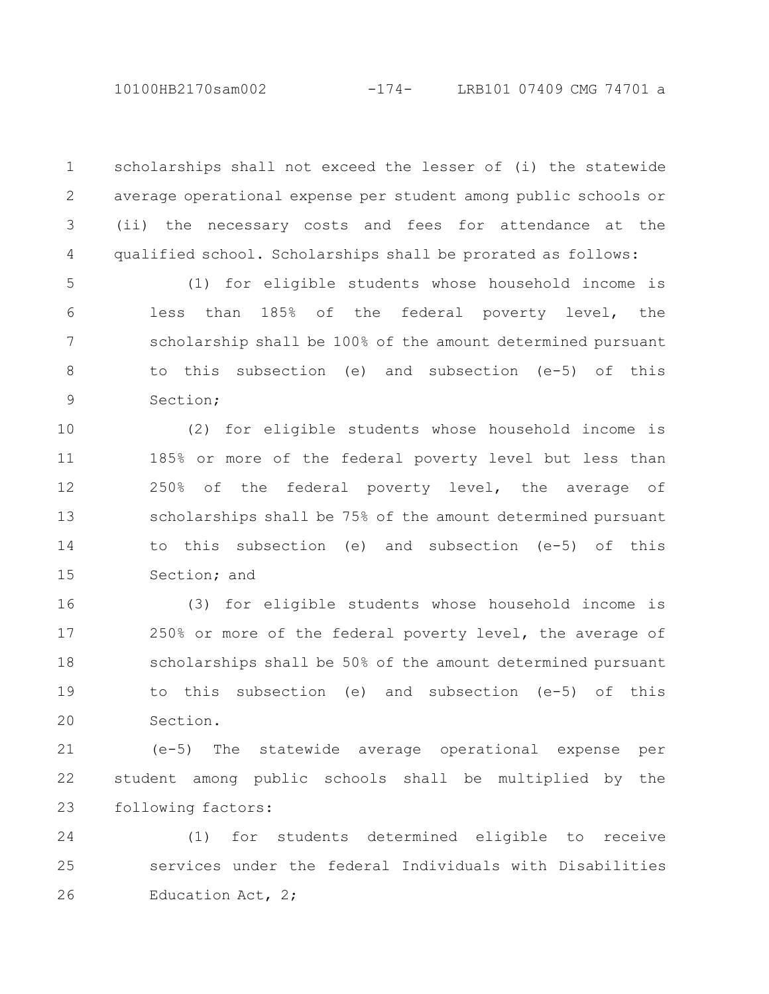scholarships shall not exceed the lesser of (i) the statewide average operational expense per student among public schools or (ii) the necessary costs and fees for attendance at the qualified school. Scholarships shall be prorated as follows: 1 2 3 4

(1) for eligible students whose household income is less than 185% of the federal poverty level, the scholarship shall be 100% of the amount determined pursuant to this subsection (e) and subsection (e-5) of this Section; 5 6 7 8 9

(2) for eligible students whose household income is 185% or more of the federal poverty level but less than 250% of the federal poverty level, the average of scholarships shall be 75% of the amount determined pursuant to this subsection (e) and subsection (e-5) of this Section; and 10 11 12 13 14 15

(3) for eligible students whose household income is 250% or more of the federal poverty level, the average of scholarships shall be 50% of the amount determined pursuant to this subsection (e) and subsection (e-5) of this Section. 16 17 18 19 20

(e-5) The statewide average operational expense per student among public schools shall be multiplied by the following factors: 21 22 23

(1) for students determined eligible to receive services under the federal Individuals with Disabilities Education Act, 2; 24 25 26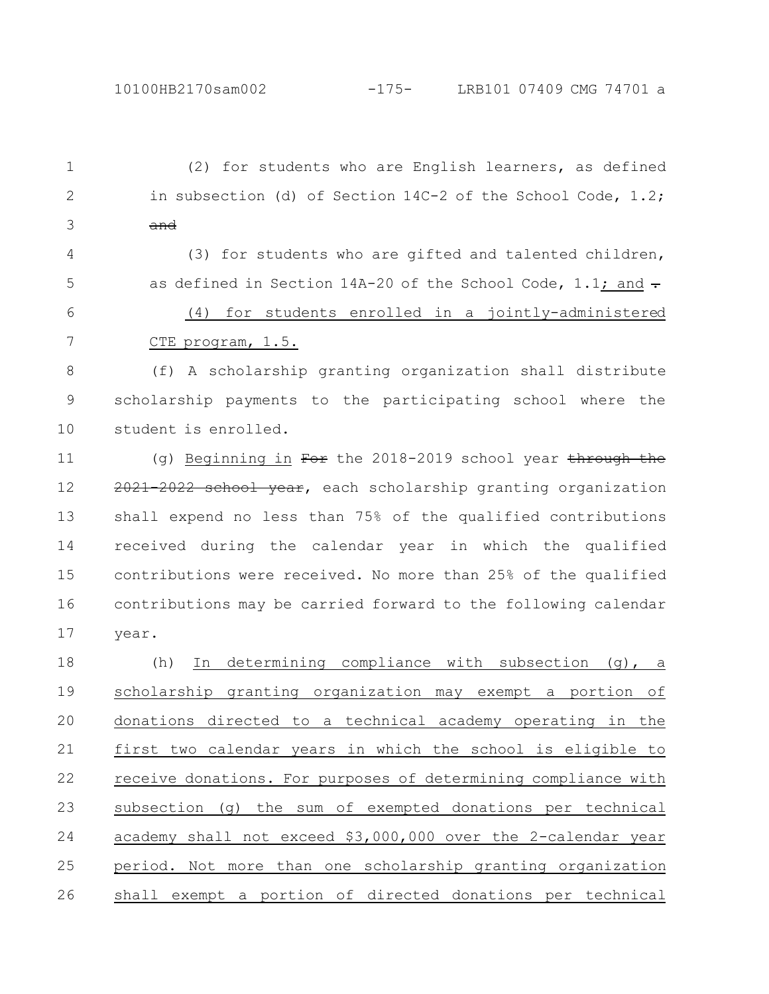(2) for students who are English learners, as defined in subsection (d) of Section 14C-2 of the School Code, 1.2; and 1 2 3

(3) for students who are gifted and talented children, as defined in Section 14A-20 of the School Code, 1.1; and  $\frac{1}{2}$ (4) for students enrolled in a jointly-administered CTE program, 1.5. 4 5 6 7

(f) A scholarship granting organization shall distribute scholarship payments to the participating school where the student is enrolled. 8 9 10

(g) Beginning in For the 2018-2019 school year through the 2021-2022 school year, each scholarship granting organization shall expend no less than 75% of the qualified contributions received during the calendar year in which the qualified contributions were received. No more than 25% of the qualified contributions may be carried forward to the following calendar year. 11 12 13 14 15 16 17

(h) In determining compliance with subsection (g), a scholarship granting organization may exempt a portion of donations directed to a technical academy operating in the first two calendar years in which the school is eligible to receive donations. For purposes of determining compliance with subsection (g) the sum of exempted donations per technical academy shall not exceed \$3,000,000 over the 2-calendar year period. Not more than one scholarship granting organization shall exempt a portion of directed donations per technical 18 19 20 21 22 23 24 25 26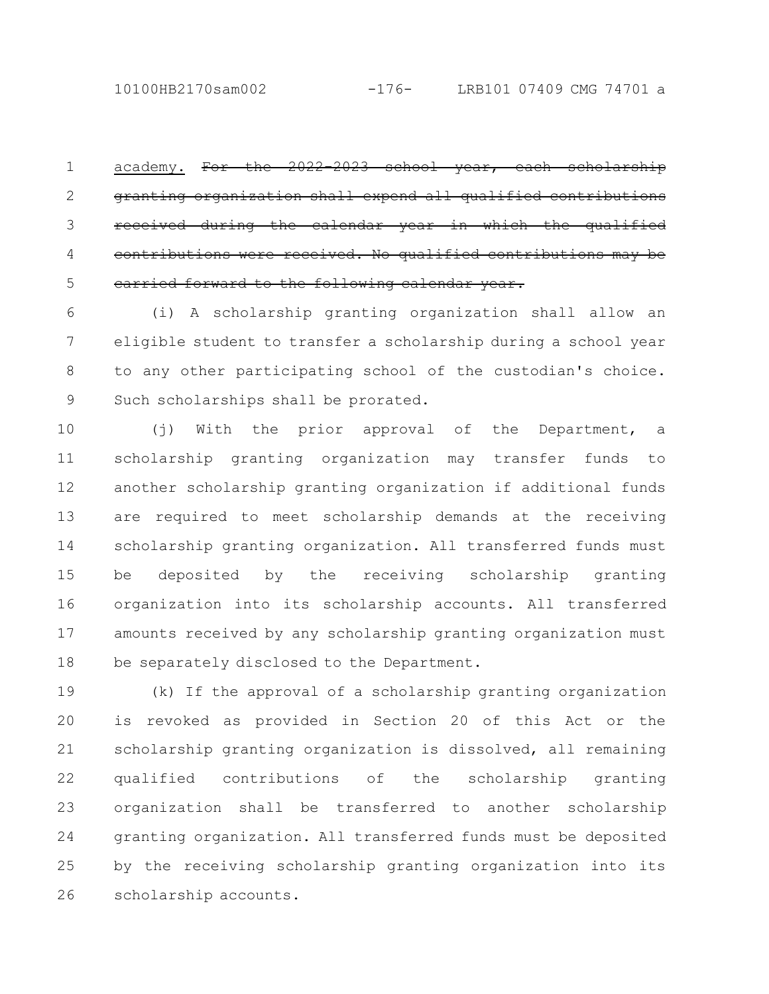academy. For the 2022-2023 school year, each granting organization shall expend all qualified during the calendar year in which contributions were received. No qualified contributions carried forward to the following calendar year. 1 2 3 4 5

(i) A scholarship granting organization shall allow an eligible student to transfer a scholarship during a school year to any other participating school of the custodian's choice. Such scholarships shall be prorated. 6 7 8 9

(j) With the prior approval of the Department, a scholarship granting organization may transfer funds to another scholarship granting organization if additional funds are required to meet scholarship demands at the receiving scholarship granting organization. All transferred funds must be deposited by the receiving scholarship granting organization into its scholarship accounts. All transferred amounts received by any scholarship granting organization must be separately disclosed to the Department. 10 11 12 13 14 15 16 17 18

(k) If the approval of a scholarship granting organization is revoked as provided in Section 20 of this Act or the scholarship granting organization is dissolved, all remaining qualified contributions of the scholarship granting organization shall be transferred to another scholarship granting organization. All transferred funds must be deposited by the receiving scholarship granting organization into its scholarship accounts. 19 20 21 22 23 24 25 26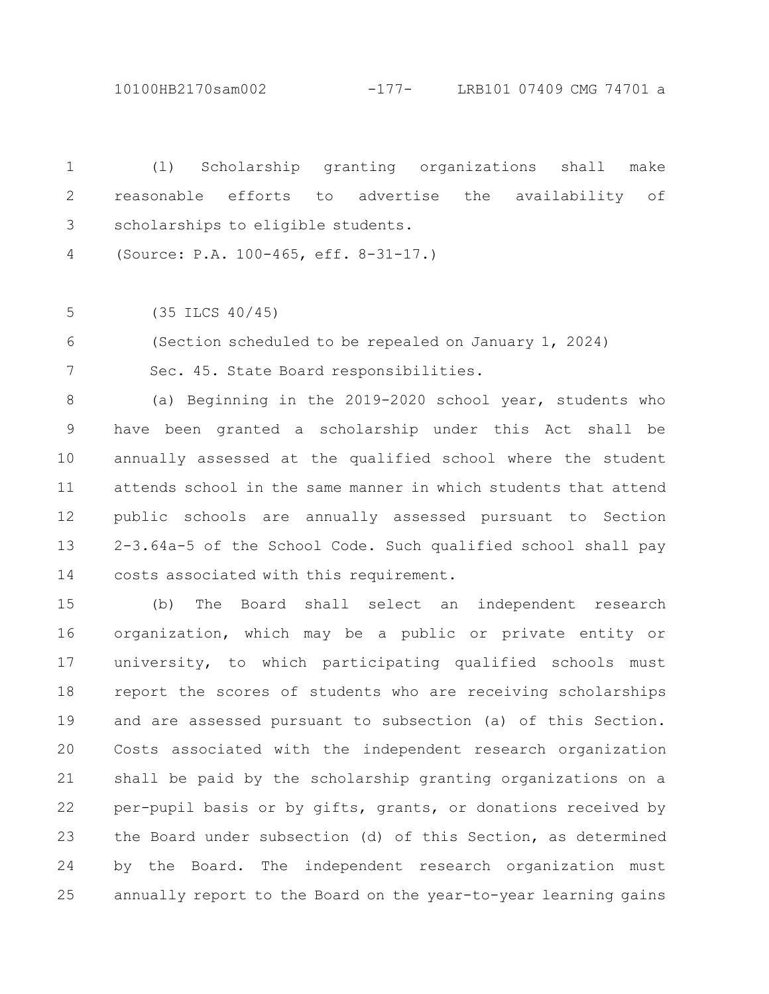10100HB2170sam002 -177- LRB101 07409 CMG 74701 a

(l) Scholarship granting organizations shall make reasonable efforts to advertise the availability of scholarships to eligible students. 1 2 3

(Source: P.A. 100-465, eff. 8-31-17.) 4

(35 ILCS 40/45) 5

(Section scheduled to be repealed on January 1, 2024) 6

7

Sec. 45. State Board responsibilities.

(a) Beginning in the 2019-2020 school year, students who have been granted a scholarship under this Act shall be annually assessed at the qualified school where the student attends school in the same manner in which students that attend public schools are annually assessed pursuant to Section 2-3.64a-5 of the School Code. Such qualified school shall pay costs associated with this requirement. 8 9 10 11 12 13 14

(b) The Board shall select an independent research organization, which may be a public or private entity or university, to which participating qualified schools must report the scores of students who are receiving scholarships and are assessed pursuant to subsection (a) of this Section. Costs associated with the independent research organization shall be paid by the scholarship granting organizations on a per-pupil basis or by gifts, grants, or donations received by the Board under subsection (d) of this Section, as determined by the Board. The independent research organization must annually report to the Board on the year-to-year learning gains 15 16 17 18 19 20 21 22 23 24 25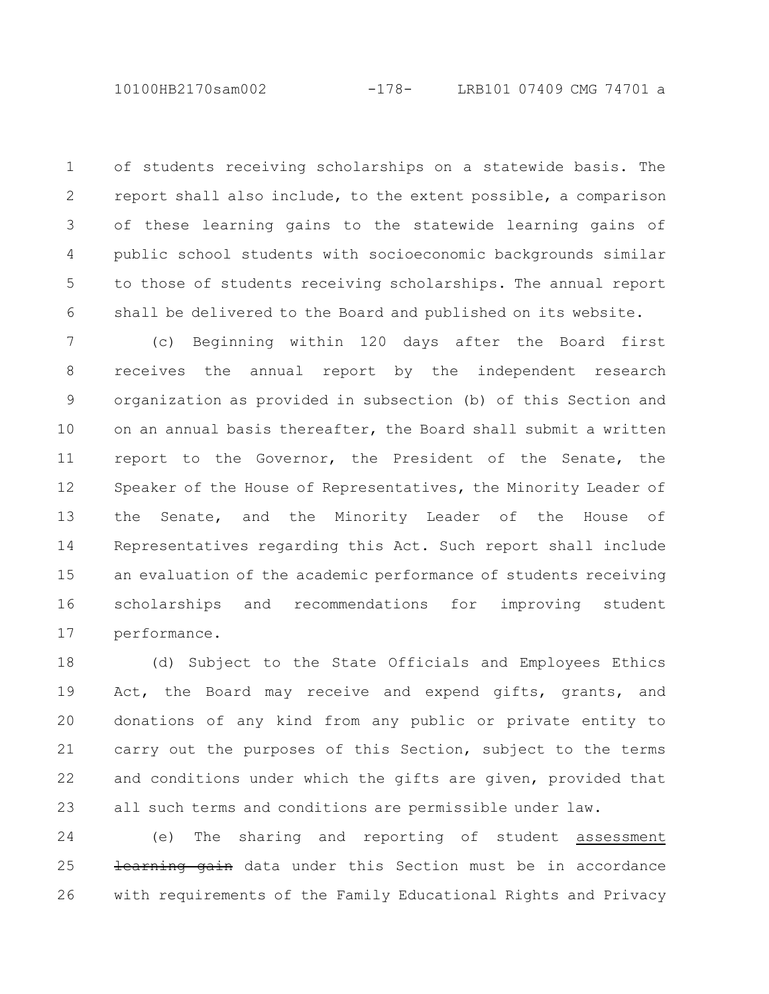of students receiving scholarships on a statewide basis. The report shall also include, to the extent possible, a comparison of these learning gains to the statewide learning gains of public school students with socioeconomic backgrounds similar to those of students receiving scholarships. The annual report shall be delivered to the Board and published on its website. 1 2 3 4 5 6

(c) Beginning within 120 days after the Board first receives the annual report by the independent research organization as provided in subsection (b) of this Section and on an annual basis thereafter, the Board shall submit a written report to the Governor, the President of the Senate, the Speaker of the House of Representatives, the Minority Leader of the Senate, and the Minority Leader of the House of Representatives regarding this Act. Such report shall include an evaluation of the academic performance of students receiving scholarships and recommendations for improving student performance. 7 8 9 10 11 12 13 14 15 16 17

(d) Subject to the State Officials and Employees Ethics Act, the Board may receive and expend gifts, grants, and donations of any kind from any public or private entity to carry out the purposes of this Section, subject to the terms and conditions under which the gifts are given, provided that all such terms and conditions are permissible under law. 18 19 20 21 22 23

(e) The sharing and reporting of student assessment learning gain data under this Section must be in accordance with requirements of the Family Educational Rights and Privacy 24 25 26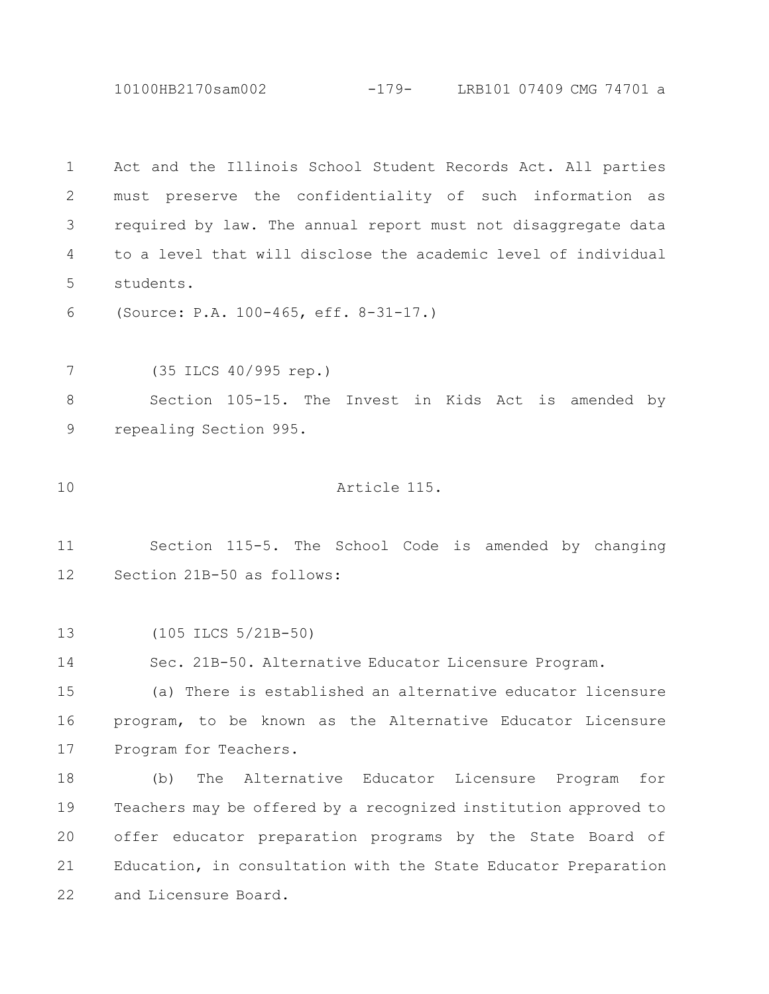10100HB2170sam002 -179- LRB101 07409 CMG 74701 a

Act and the Illinois School Student Records Act. All parties must preserve the confidentiality of such information as required by law. The annual report must not disaggregate data to a level that will disclose the academic level of individual students. 1 2 3 4 5

(Source: P.A. 100-465, eff. 8-31-17.) 6

(35 ILCS 40/995 rep.) 7

Section 105-15. The Invest in Kids Act is amended by repealing Section 995. 8 9

Article 115. 10

Section 115-5. The School Code is amended by changing Section 21B-50 as follows: 11 12

(105 ILCS 5/21B-50) 13

Sec. 21B-50. Alternative Educator Licensure Program. 14

(a) There is established an alternative educator licensure program, to be known as the Alternative Educator Licensure Program for Teachers. 15 16 17

(b) The Alternative Educator Licensure Program for Teachers may be offered by a recognized institution approved to offer educator preparation programs by the State Board of Education, in consultation with the State Educator Preparation and Licensure Board. 18 19 20 21 22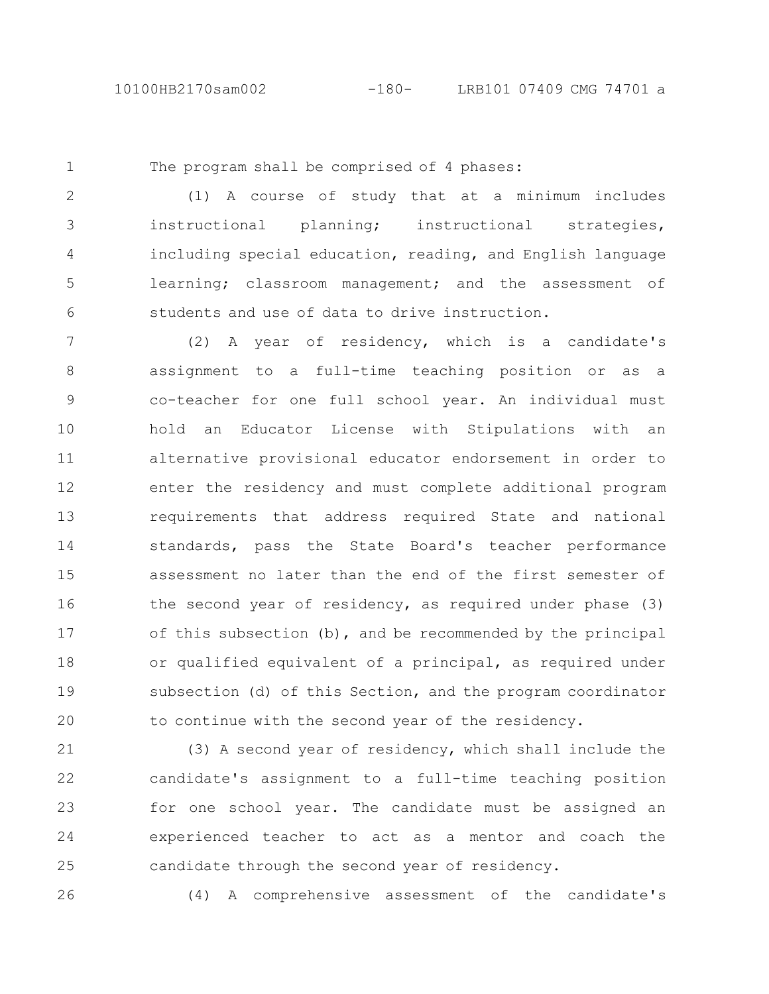1

The program shall be comprised of 4 phases:

(1) A course of study that at a minimum includes instructional planning; instructional strategies, including special education, reading, and English language learning; classroom management; and the assessment of students and use of data to drive instruction. 2 3 4 5 6

(2) A year of residency, which is a candidate's assignment to a full-time teaching position or as a co-teacher for one full school year. An individual must hold an Educator License with Stipulations with an alternative provisional educator endorsement in order to enter the residency and must complete additional program requirements that address required State and national standards, pass the State Board's teacher performance assessment no later than the end of the first semester of the second year of residency, as required under phase (3) of this subsection (b), and be recommended by the principal or qualified equivalent of a principal, as required under subsection (d) of this Section, and the program coordinator to continue with the second year of the residency. 7 8 9 10 11 12 13 14 15 16 17 18 19 20

(3) A second year of residency, which shall include the candidate's assignment to a full-time teaching position for one school year. The candidate must be assigned an experienced teacher to act as a mentor and coach the candidate through the second year of residency. 21 22 23 24 25

26

(4) A comprehensive assessment of the candidate's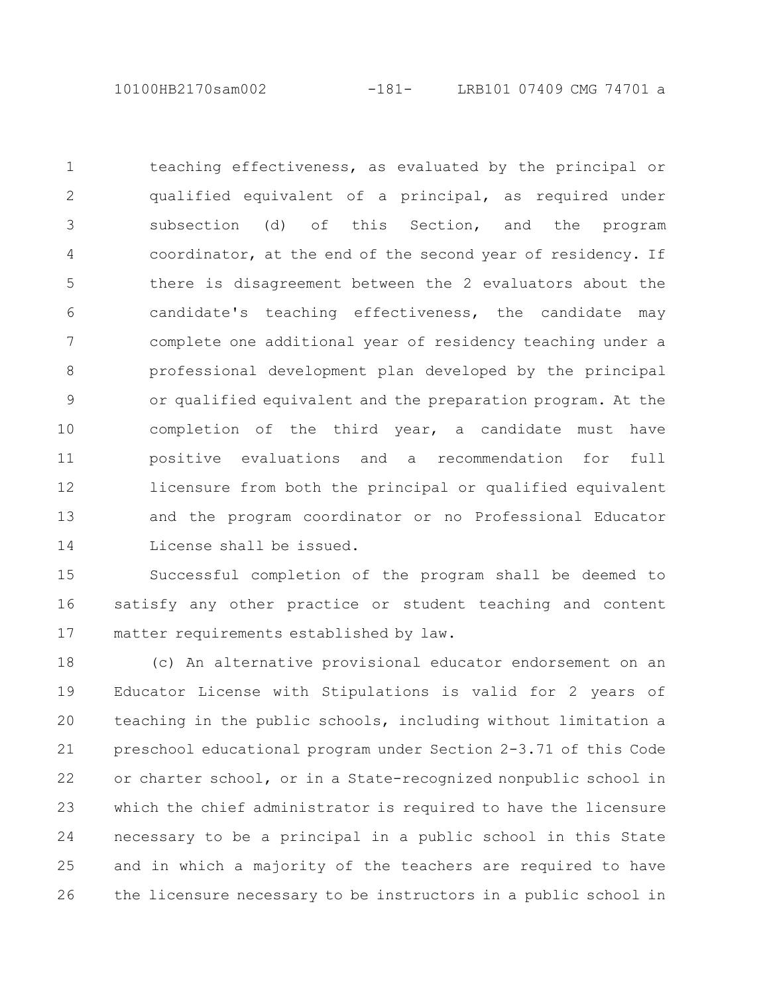10100HB2170sam002 -181- LRB101 07409 CMG 74701 a

teaching effectiveness, as evaluated by the principal or qualified equivalent of a principal, as required under subsection (d) of this Section, and the program coordinator, at the end of the second year of residency. If there is disagreement between the 2 evaluators about the candidate's teaching effectiveness, the candidate may complete one additional year of residency teaching under a professional development plan developed by the principal or qualified equivalent and the preparation program. At the completion of the third year, a candidate must have positive evaluations and a recommendation for full licensure from both the principal or qualified equivalent and the program coordinator or no Professional Educator License shall be issued. 1 2 3 4 5 6 7 8 9 10 11 12 13 14

Successful completion of the program shall be deemed to satisfy any other practice or student teaching and content matter requirements established by law. 15 16 17

(c) An alternative provisional educator endorsement on an Educator License with Stipulations is valid for 2 years of teaching in the public schools, including without limitation a preschool educational program under Section 2-3.71 of this Code or charter school, or in a State-recognized nonpublic school in which the chief administrator is required to have the licensure necessary to be a principal in a public school in this State and in which a majority of the teachers are required to have the licensure necessary to be instructors in a public school in 18 19 20 21 22 23 24 25 26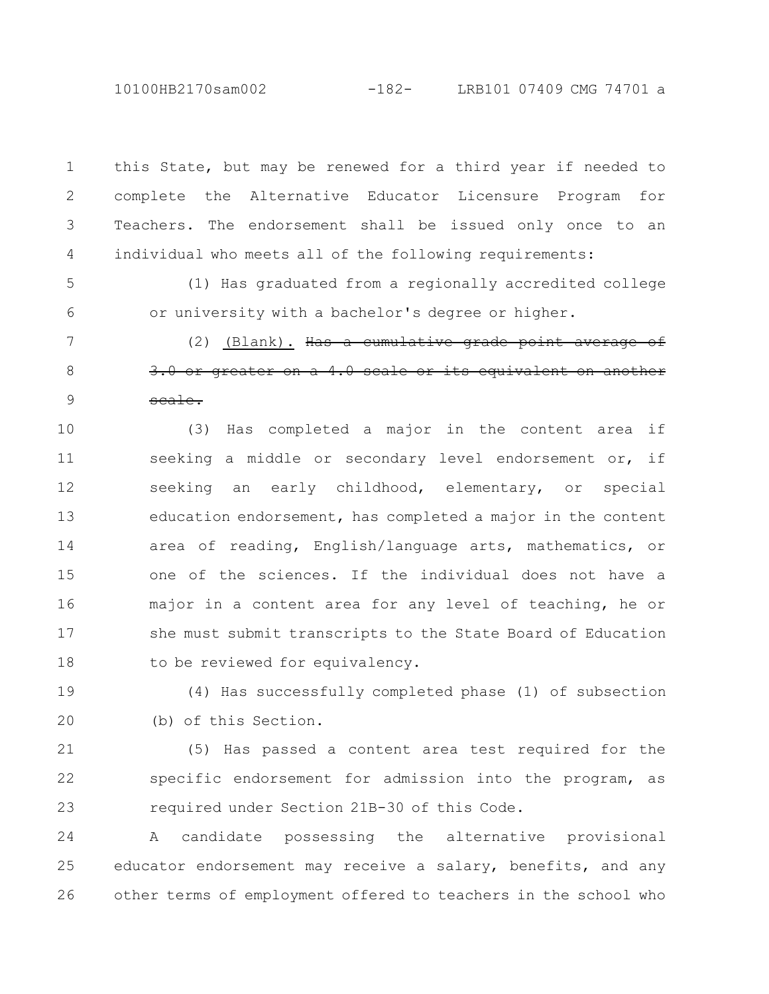10100HB2170sam002 -182- LRB101 07409 CMG 74701 a

this State, but may be renewed for a third year if needed to complete the Alternative Educator Licensure Program for Teachers. The endorsement shall be issued only once to an individual who meets all of the following requirements: 1 2 3 4

(1) Has graduated from a regionally accredited college or university with a bachelor's degree or higher. 5 6

(2) (Blank). Has a cumulative grade point average of  $3.0$  or greater on a  $4.0$  scale or its equivalent scale. 7 8 9

(3) Has completed a major in the content area if seeking a middle or secondary level endorsement or, if seeking an early childhood, elementary, or special education endorsement, has completed a major in the content area of reading, English/language arts, mathematics, or one of the sciences. If the individual does not have a major in a content area for any level of teaching, he or she must submit transcripts to the State Board of Education to be reviewed for equivalency. 10 11 12 13 14 15 16 17 18

(4) Has successfully completed phase (1) of subsection (b) of this Section. 19 20

(5) Has passed a content area test required for the specific endorsement for admission into the program, as required under Section 21B-30 of this Code. 21 22 23

A candidate possessing the alternative provisional educator endorsement may receive a salary, benefits, and any other terms of employment offered to teachers in the school who 24 25 26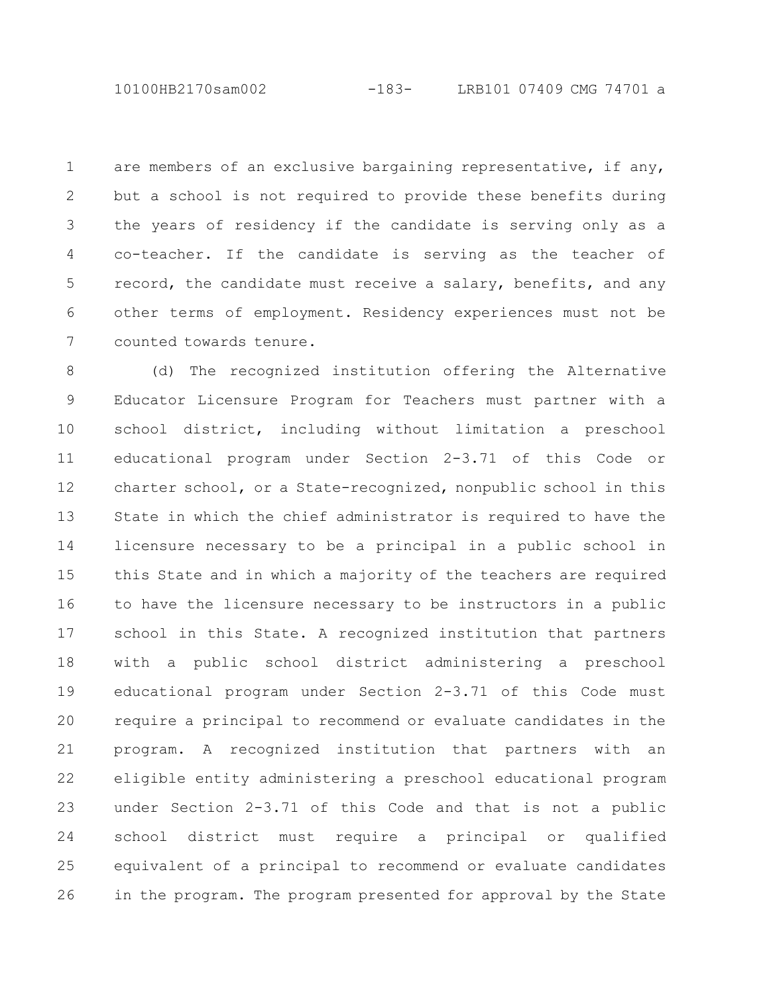10100HB2170sam002 -183- LRB101 07409 CMG 74701 a

are members of an exclusive bargaining representative, if any, but a school is not required to provide these benefits during the years of residency if the candidate is serving only as a co-teacher. If the candidate is serving as the teacher of record, the candidate must receive a salary, benefits, and any other terms of employment. Residency experiences must not be counted towards tenure. 1 2 3 4 5 6 7

(d) The recognized institution offering the Alternative Educator Licensure Program for Teachers must partner with a school district, including without limitation a preschool educational program under Section 2-3.71 of this Code or charter school, or a State-recognized, nonpublic school in this State in which the chief administrator is required to have the licensure necessary to be a principal in a public school in this State and in which a majority of the teachers are required to have the licensure necessary to be instructors in a public school in this State. A recognized institution that partners with a public school district administering a preschool educational program under Section 2-3.71 of this Code must require a principal to recommend or evaluate candidates in the program. A recognized institution that partners with an eligible entity administering a preschool educational program under Section 2-3.71 of this Code and that is not a public school district must require a principal or qualified equivalent of a principal to recommend or evaluate candidates in the program. The program presented for approval by the State 8 9 10 11 12 13 14 15 16 17 18 19 20 21 22 23 24 25 26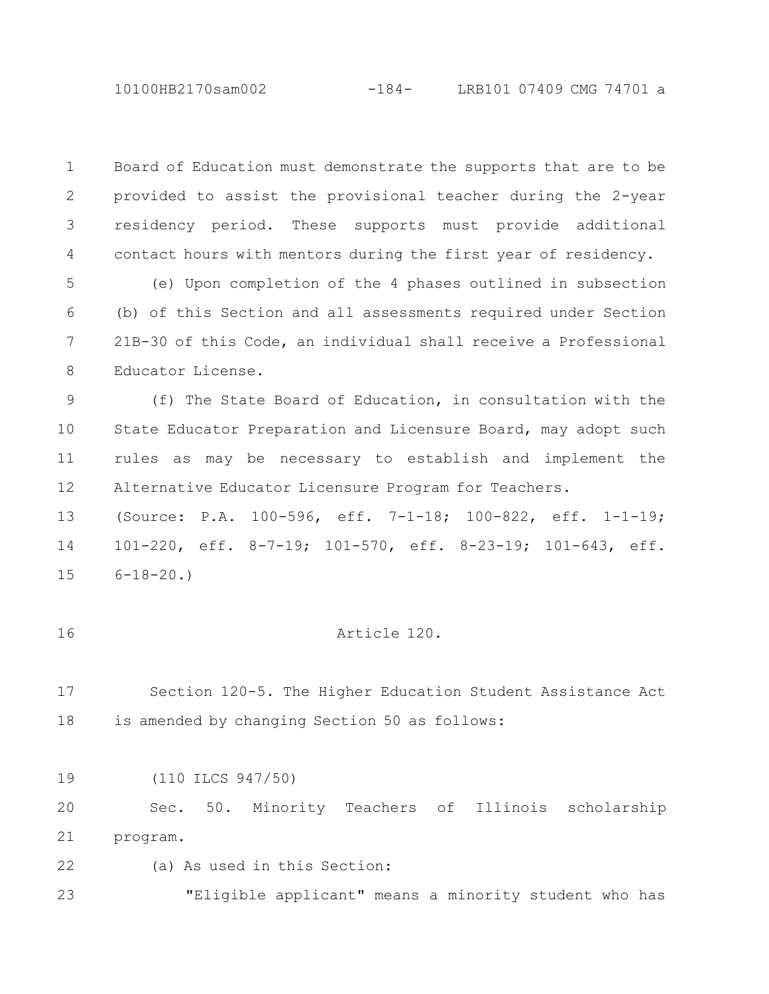10100HB2170sam002 -184- LRB101 07409 CMG 74701 a

Board of Education must demonstrate the supports that are to be provided to assist the provisional teacher during the 2-year residency period. These supports must provide additional contact hours with mentors during the first year of residency. 1 2 3 4

(e) Upon completion of the 4 phases outlined in subsection (b) of this Section and all assessments required under Section 21B-30 of this Code, an individual shall receive a Professional Educator License. 5 6 7 8

(f) The State Board of Education, in consultation with the State Educator Preparation and Licensure Board, may adopt such rules as may be necessary to establish and implement the Alternative Educator Licensure Program for Teachers. 9 10 11 12

(Source: P.A. 100-596, eff. 7-1-18; 100-822, eff. 1-1-19; 101-220, eff. 8-7-19; 101-570, eff. 8-23-19; 101-643, eff.  $6 - 18 - 20.$ 13 14 15

16

## Article 120.

Section 120-5. The Higher Education Student Assistance Act is amended by changing Section 50 as follows: 17 18

(110 ILCS 947/50) 19

Sec. 50. Minority Teachers of Illinois scholarship program. 20 21

(a) As used in this Section: 22

"Eligible applicant" means a minority student who has 23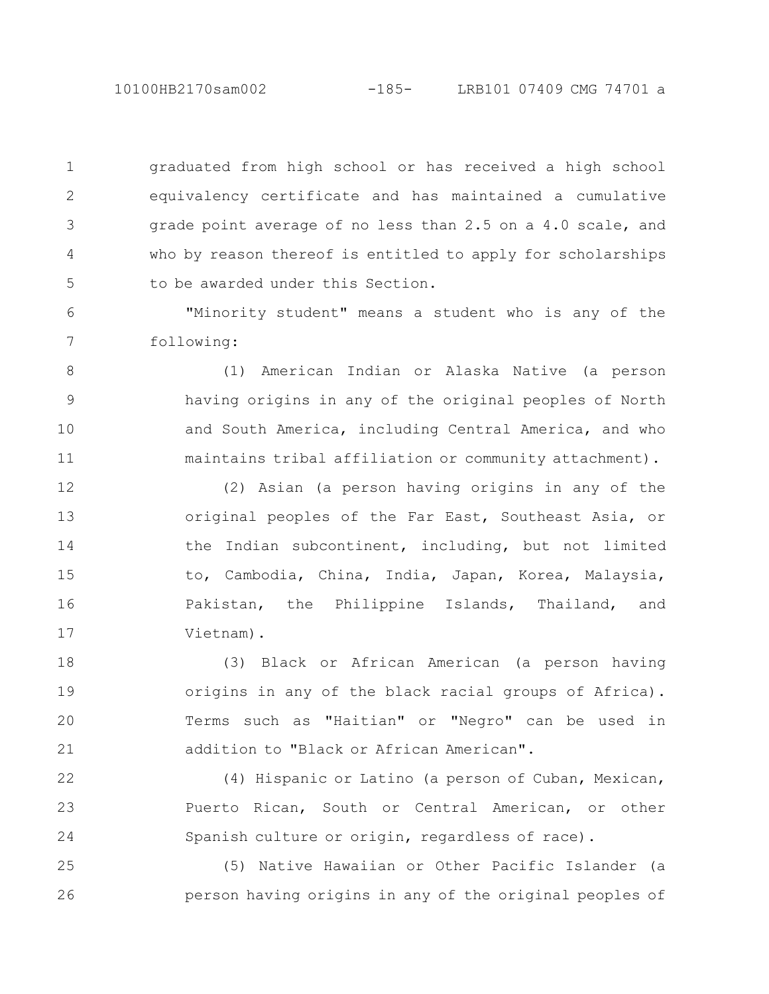10100HB2170sam002 -185- LRB101 07409 CMG 74701 a

graduated from high school or has received a high school equivalency certificate and has maintained a cumulative grade point average of no less than 2.5 on a 4.0 scale, and who by reason thereof is entitled to apply for scholarships to be awarded under this Section. 1 2 3 4 5

"Minority student" means a student who is any of the following: 6 7

(1) American Indian or Alaska Native (a person having origins in any of the original peoples of North and South America, including Central America, and who maintains tribal affiliation or community attachment). 8 9 10 11

(2) Asian (a person having origins in any of the original peoples of the Far East, Southeast Asia, or the Indian subcontinent, including, but not limited to, Cambodia, China, India, Japan, Korea, Malaysia, Pakistan, the Philippine Islands, Thailand, and Vietnam). 12 13 14 15 16 17

(3) Black or African American (a person having origins in any of the black racial groups of Africa). Terms such as "Haitian" or "Negro" can be used in addition to "Black or African American". 18 19 20 21

(4) Hispanic or Latino (a person of Cuban, Mexican, Puerto Rican, South or Central American, or other Spanish culture or origin, regardless of race). 22 23 24

(5) Native Hawaiian or Other Pacific Islander (a person having origins in any of the original peoples of 25 26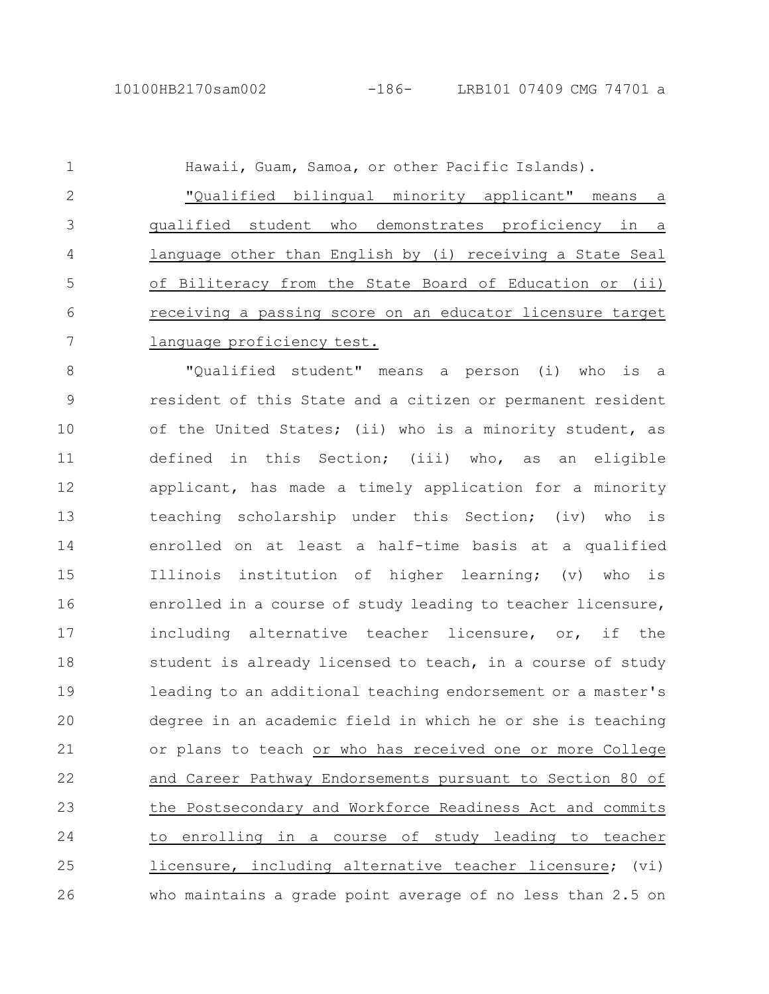Hawaii, Guam, Samoa, or other Pacific Islands). "Qualified bilingual minority applicant" means a qualified student who demonstrates proficiency in a language other than English by (i) receiving a State Seal of Biliteracy from the State Board of Education or (ii) receiving a passing score on an educator licensure target language proficiency test. 1 2 3 4 5 6 7

"Qualified student" means a person (i) who is a resident of this State and a citizen or permanent resident of the United States; (ii) who is a minority student, as defined in this Section; (iii) who, as an eligible applicant, has made a timely application for a minority teaching scholarship under this Section; (iv) who is enrolled on at least a half-time basis at a qualified Illinois institution of higher learning; (v) who is enrolled in a course of study leading to teacher licensure, including alternative teacher licensure, or, if the student is already licensed to teach, in a course of study leading to an additional teaching endorsement or a master's degree in an academic field in which he or she is teaching or plans to teach or who has received one or more College and Career Pathway Endorsements pursuant to Section 80 of the Postsecondary and Workforce Readiness Act and commits to enrolling in a course of study leading to teacher licensure, including alternative teacher licensure; (vi) who maintains a grade point average of no less than 2.5 on 8 9 10 11 12 13 14 15 16 17 18 19 20 21 22 23 24 25 26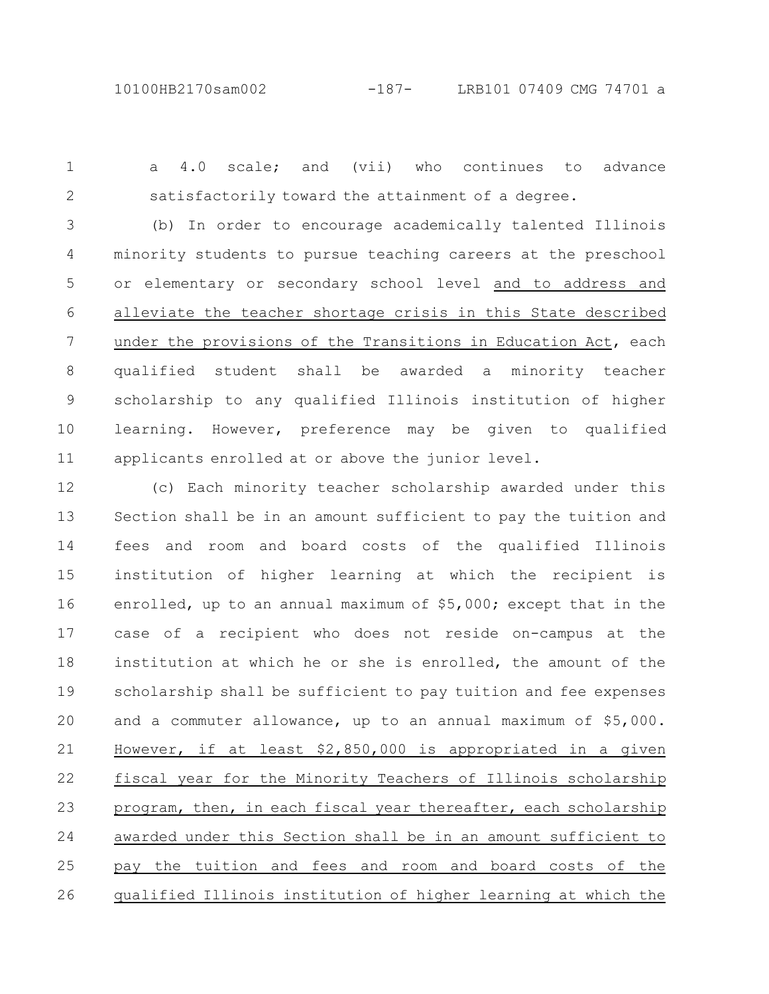1 2

a 4.0 scale; and (vii) who continues to advance satisfactorily toward the attainment of a degree.

(b) In order to encourage academically talented Illinois minority students to pursue teaching careers at the preschool or elementary or secondary school level and to address and alleviate the teacher shortage crisis in this State described under the provisions of the Transitions in Education Act, each qualified student shall be awarded a minority teacher scholarship to any qualified Illinois institution of higher learning. However, preference may be given to qualified applicants enrolled at or above the junior level. 3 4 5 6 7 8 9 10 11

(c) Each minority teacher scholarship awarded under this Section shall be in an amount sufficient to pay the tuition and fees and room and board costs of the qualified Illinois institution of higher learning at which the recipient is enrolled, up to an annual maximum of \$5,000; except that in the case of a recipient who does not reside on-campus at the institution at which he or she is enrolled, the amount of the scholarship shall be sufficient to pay tuition and fee expenses and a commuter allowance, up to an annual maximum of \$5,000. However, if at least \$2,850,000 is appropriated in a given fiscal year for the Minority Teachers of Illinois scholarship program, then, in each fiscal year thereafter, each scholarship awarded under this Section shall be in an amount sufficient to pay the tuition and fees and room and board costs of the qualified Illinois institution of higher learning at which the 12 13 14 15 16 17 18 19 20 21 22 23 24 25 26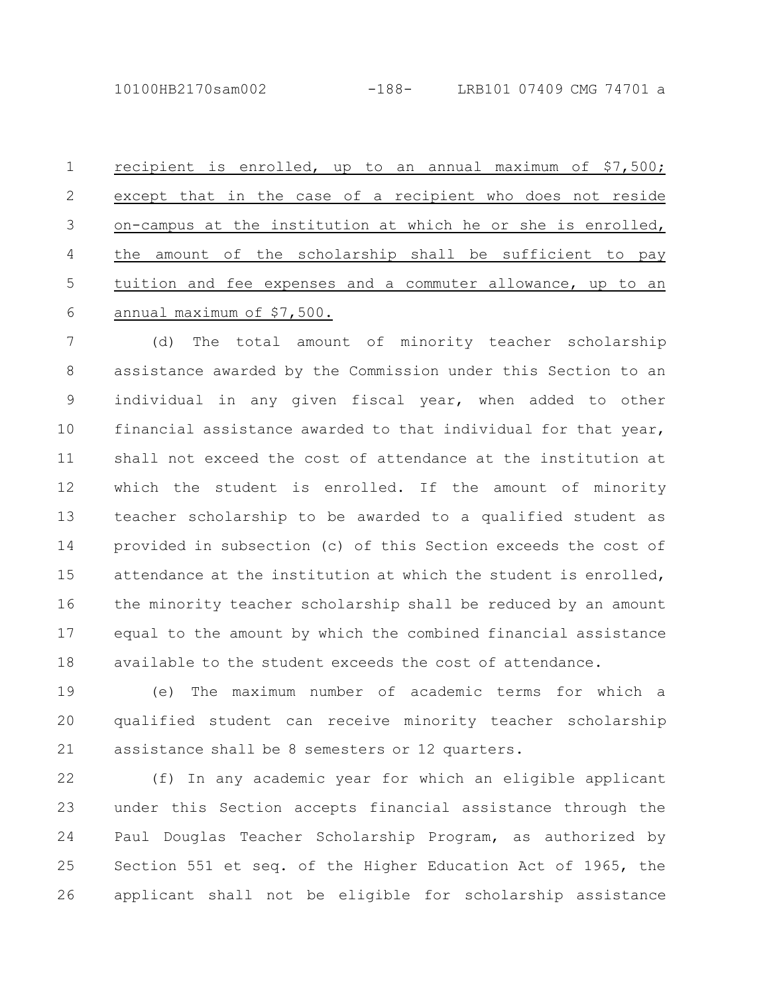recipient is enrolled, up to an annual maximum of \$7,500; except that in the case of a recipient who does not reside on-campus at the institution at which he or she is enrolled, the amount of the scholarship shall be sufficient to pay tuition and fee expenses and a commuter allowance, up to an annual maximum of \$7,500. 1 2 3 4 5 6

(d) The total amount of minority teacher scholarship assistance awarded by the Commission under this Section to an individual in any given fiscal year, when added to other financial assistance awarded to that individual for that year, shall not exceed the cost of attendance at the institution at which the student is enrolled. If the amount of minority teacher scholarship to be awarded to a qualified student as provided in subsection (c) of this Section exceeds the cost of attendance at the institution at which the student is enrolled, the minority teacher scholarship shall be reduced by an amount equal to the amount by which the combined financial assistance available to the student exceeds the cost of attendance. 7 8 9 10 11 12 13 14 15 16 17 18

(e) The maximum number of academic terms for which a qualified student can receive minority teacher scholarship assistance shall be 8 semesters or 12 quarters. 19 20 21

(f) In any academic year for which an eligible applicant under this Section accepts financial assistance through the Paul Douglas Teacher Scholarship Program, as authorized by Section 551 et seq. of the Higher Education Act of 1965, the applicant shall not be eligible for scholarship assistance 22 23 24 25 26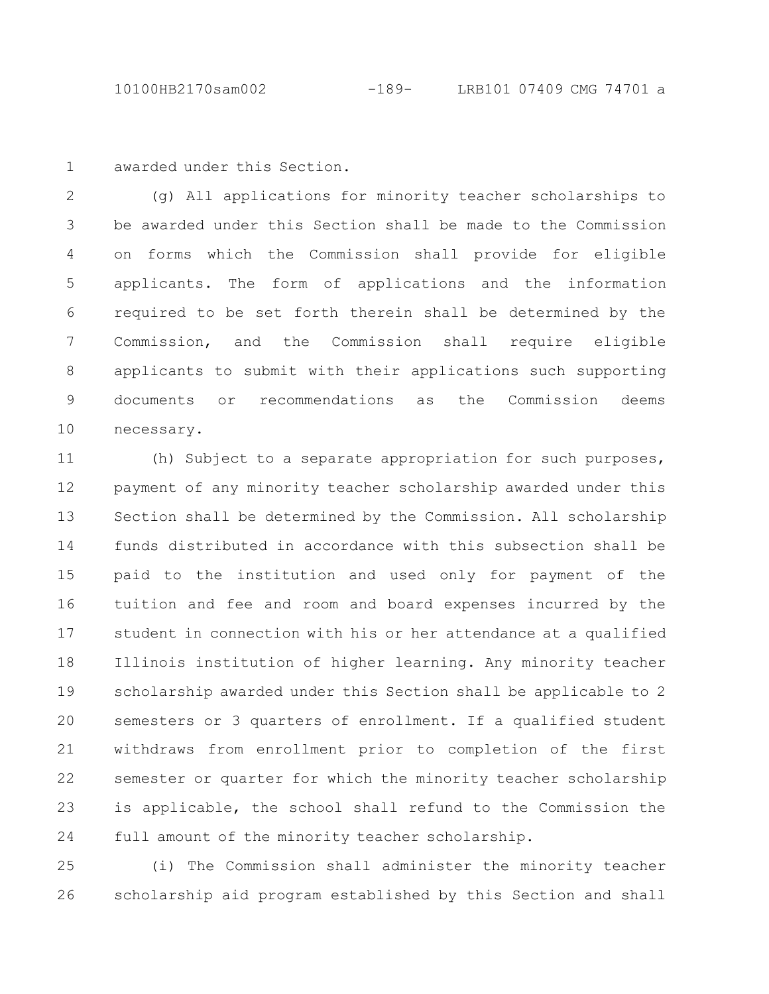awarded under this Section. 1

(g) All applications for minority teacher scholarships to be awarded under this Section shall be made to the Commission on forms which the Commission shall provide for eligible applicants. The form of applications and the information required to be set forth therein shall be determined by the Commission, and the Commission shall require eligible applicants to submit with their applications such supporting documents or recommendations as the Commission deems necessary. 2 3 4 5 6 7 8 9 10

(h) Subject to a separate appropriation for such purposes, payment of any minority teacher scholarship awarded under this Section shall be determined by the Commission. All scholarship funds distributed in accordance with this subsection shall be paid to the institution and used only for payment of the tuition and fee and room and board expenses incurred by the student in connection with his or her attendance at a qualified Illinois institution of higher learning. Any minority teacher scholarship awarded under this Section shall be applicable to 2 semesters or 3 quarters of enrollment. If a qualified student withdraws from enrollment prior to completion of the first semester or quarter for which the minority teacher scholarship is applicable, the school shall refund to the Commission the full amount of the minority teacher scholarship. 11 12 13 14 15 16 17 18 19 20 21 22 23 24

(i) The Commission shall administer the minority teacher scholarship aid program established by this Section and shall 25 26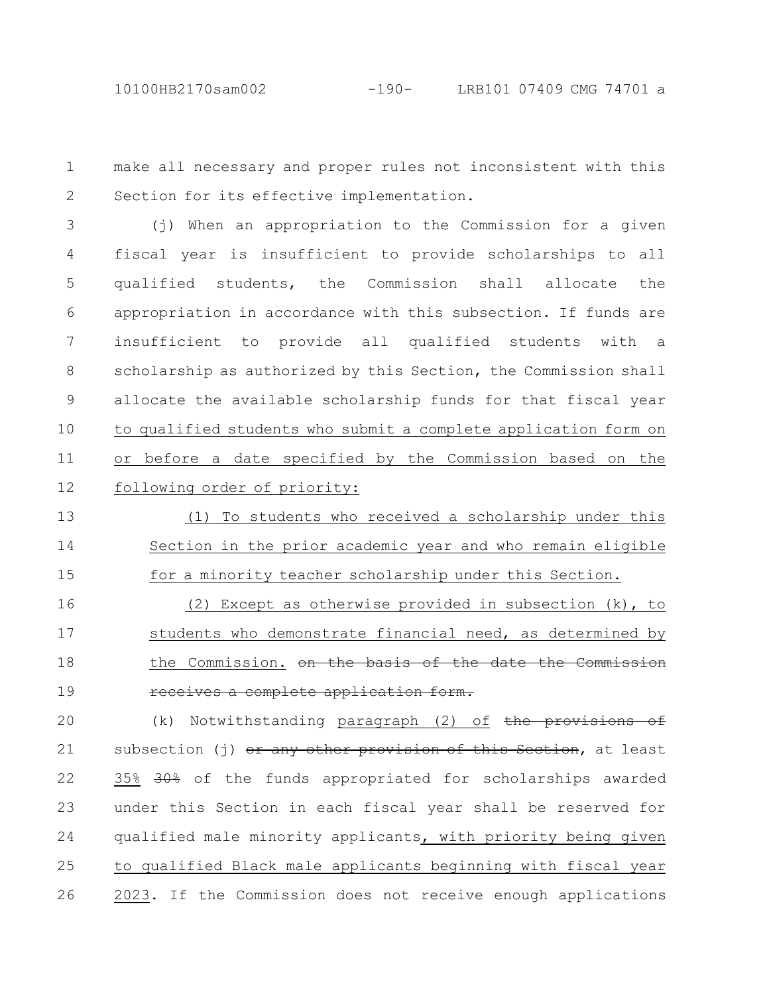make all necessary and proper rules not inconsistent with this Section for its effective implementation. 1 2

(j) When an appropriation to the Commission for a given fiscal year is insufficient to provide scholarships to all qualified students, the Commission shall allocate the appropriation in accordance with this subsection. If funds are insufficient to provide all qualified students with a scholarship as authorized by this Section, the Commission shall allocate the available scholarship funds for that fiscal year to qualified students who submit a complete application form on or before a date specified by the Commission based on the following order of priority: 3 4 5 6 7 8 9 10 11 12

(1) To students who received a scholarship under this Section in the prior academic year and who remain eligible for a minority teacher scholarship under this Section. 13 14 15

(2) Except as otherwise provided in subsection (k), to students who demonstrate financial need, as determined by the Commission. on the basis of the date the Commission receives a complete application form. 16 17 18 19

(k) Notwithstanding paragraph (2) of the provisions of subsection (j) or any other provision of this Section, at least 35% 30% of the funds appropriated for scholarships awarded under this Section in each fiscal year shall be reserved for qualified male minority applicants, with priority being given to qualified Black male applicants beginning with fiscal year 2023. If the Commission does not receive enough applications 20 21 22 23 24 25 26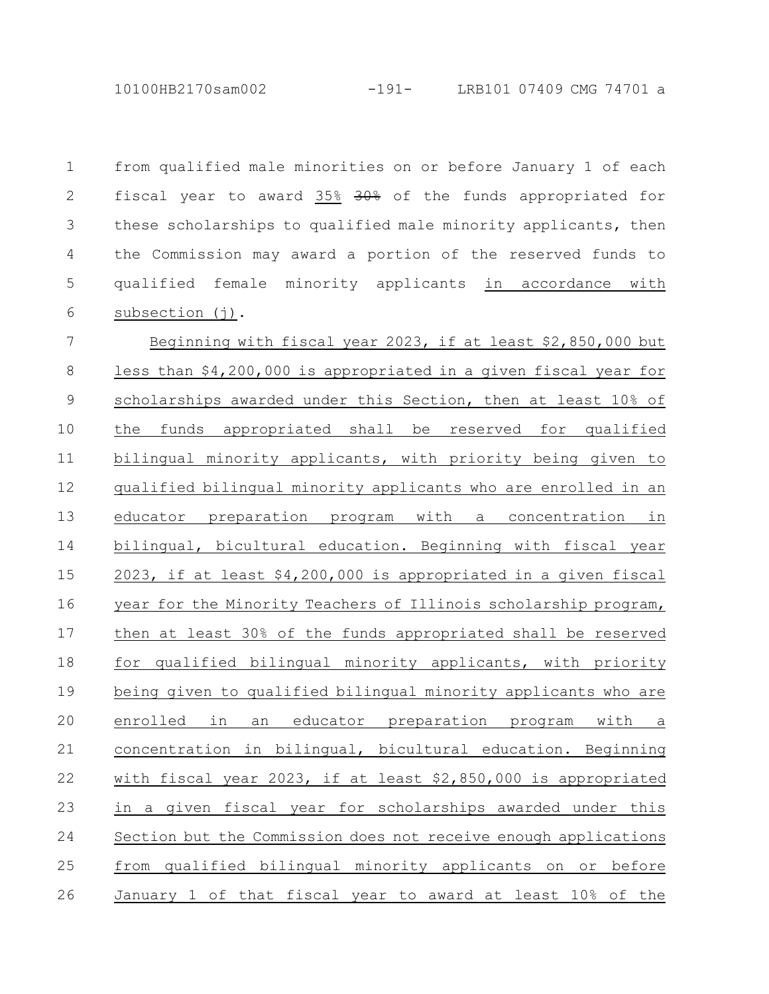10100HB2170sam002 -191- LRB101 07409 CMG 74701 a

from qualified male minorities on or before January 1 of each fiscal year to award 35% 30% of the funds appropriated for these scholarships to qualified male minority applicants, then the Commission may award a portion of the reserved funds to qualified female minority applicants in accordance with subsection (j). 1 2 3 4 5 6

Beginning with fiscal year 2023, if at least \$2,850,000 but less than \$4,200,000 is appropriated in a given fiscal year for scholarships awarded under this Section, then at least 10% of the funds appropriated shall be reserved for qualified bilingual minority applicants, with priority being given to qualified bilingual minority applicants who are enrolled in an educator preparation program with a concentration in bilingual, bicultural education. Beginning with fiscal year 2023, if at least \$4,200,000 is appropriated in a given fiscal year for the Minority Teachers of Illinois scholarship program, then at least 30% of the funds appropriated shall be reserved for qualified bilingual minority applicants, with priority being given to qualified bilingual minority applicants who are enrolled in an educator preparation program with a concentration in bilingual, bicultural education. Beginning with fiscal year 2023, if at least \$2,850,000 is appropriated in a given fiscal year for scholarships awarded under this Section but the Commission does not receive enough applications from qualified bilingual minority applicants on or before January 1 of that fiscal year to award at least 10% of the 7 8 9 10 11 12 13 14 15 16 17 18 19 20 21 22 23 24 25 26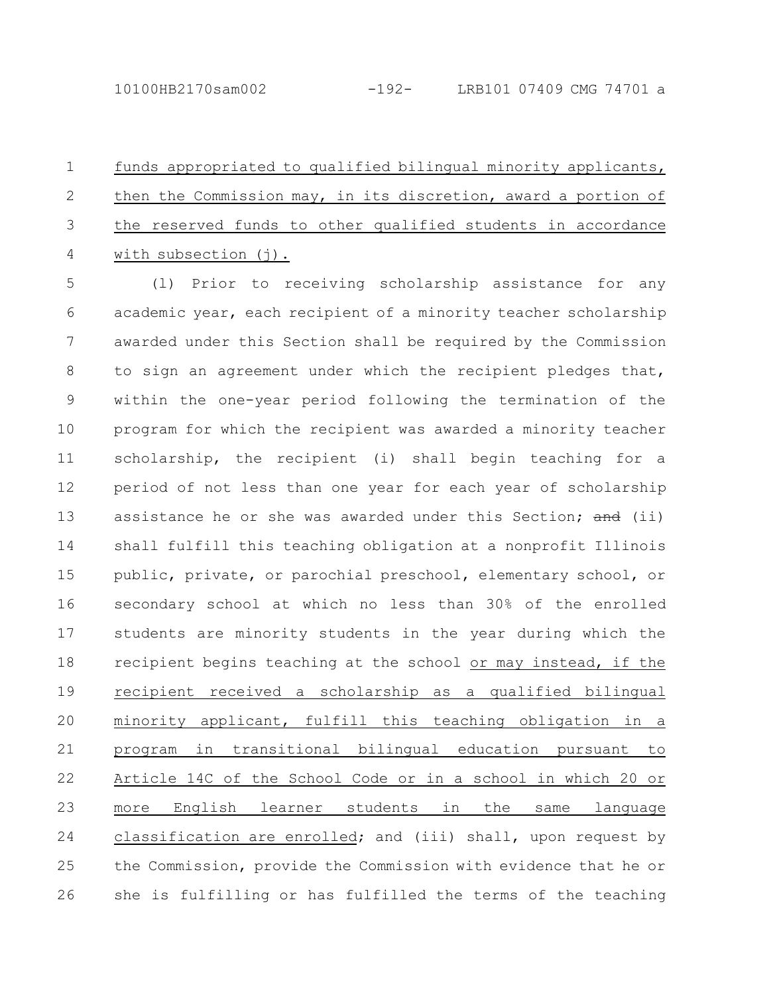funds appropriated to qualified bilingual minority applicants, then the Commission may, in its discretion, award a portion of the reserved funds to other qualified students in accordance with subsection (j). 1 2 3 4

(l) Prior to receiving scholarship assistance for any academic year, each recipient of a minority teacher scholarship awarded under this Section shall be required by the Commission to sign an agreement under which the recipient pledges that, within the one-year period following the termination of the program for which the recipient was awarded a minority teacher scholarship, the recipient (i) shall begin teaching for a period of not less than one year for each year of scholarship assistance he or she was awarded under this Section; and (ii) shall fulfill this teaching obligation at a nonprofit Illinois public, private, or parochial preschool, elementary school, or secondary school at which no less than 30% of the enrolled students are minority students in the year during which the recipient begins teaching at the school or may instead, if the recipient received a scholarship as a qualified bilingual minority applicant, fulfill this teaching obligation in a program in transitional bilingual education pursuant to Article 14C of the School Code or in a school in which 20 or more English learner students in the same language classification are enrolled; and (iii) shall, upon request by the Commission, provide the Commission with evidence that he or she is fulfilling or has fulfilled the terms of the teaching 5 6 7 8 9 10 11 12 13 14 15 16 17 18 19 20 21 22 23 24 25 26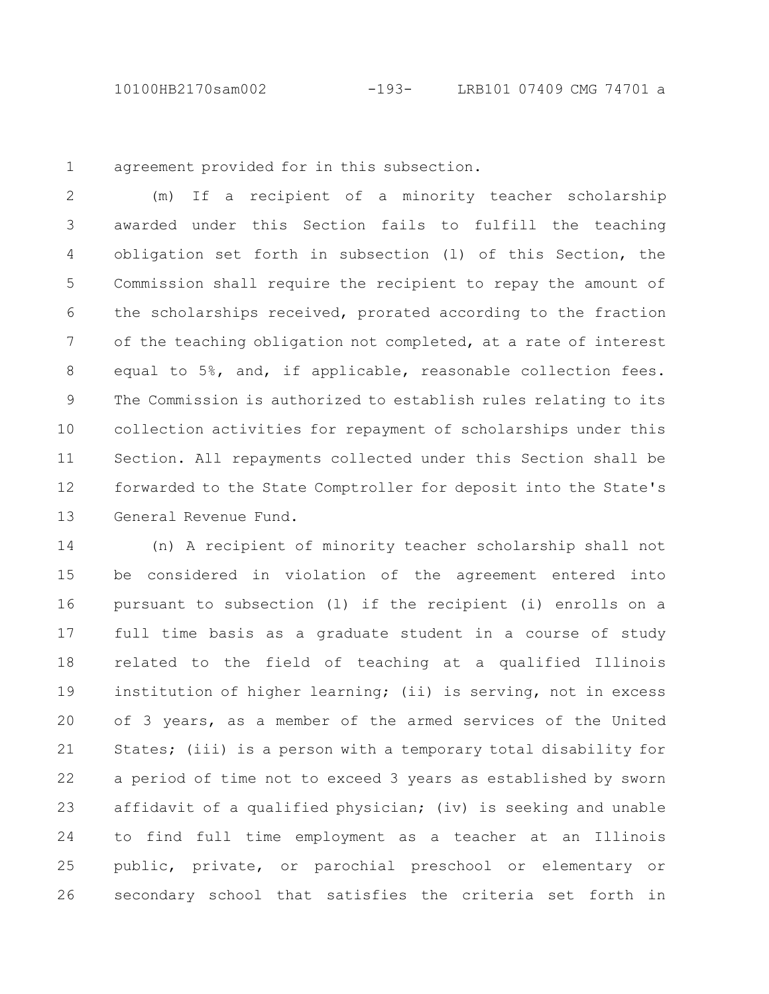10100HB2170sam002 -193- LRB101 07409 CMG 74701 a

1

agreement provided for in this subsection.

(m) If a recipient of a minority teacher scholarship awarded under this Section fails to fulfill the teaching obligation set forth in subsection (l) of this Section, the Commission shall require the recipient to repay the amount of the scholarships received, prorated according to the fraction of the teaching obligation not completed, at a rate of interest equal to 5%, and, if applicable, reasonable collection fees. The Commission is authorized to establish rules relating to its collection activities for repayment of scholarships under this Section. All repayments collected under this Section shall be forwarded to the State Comptroller for deposit into the State's General Revenue Fund. 2 3 4 5 6 7 8 9 10 11 12 13

(n) A recipient of minority teacher scholarship shall not be considered in violation of the agreement entered into pursuant to subsection (l) if the recipient (i) enrolls on a full time basis as a graduate student in a course of study related to the field of teaching at a qualified Illinois institution of higher learning; (ii) is serving, not in excess of 3 years, as a member of the armed services of the United States; (iii) is a person with a temporary total disability for a period of time not to exceed 3 years as established by sworn affidavit of a qualified physician; (iv) is seeking and unable to find full time employment as a teacher at an Illinois public, private, or parochial preschool or elementary or secondary school that satisfies the criteria set forth in 14 15 16 17 18 19 20 21 22 23 24 25 26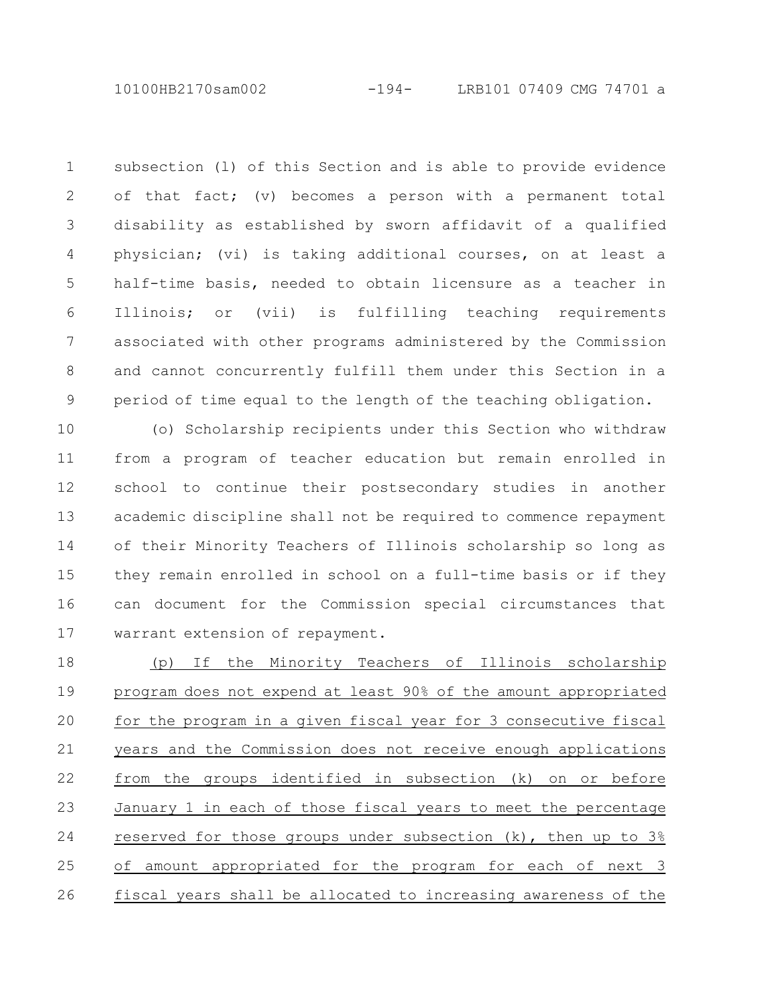10100HB2170sam002 -194- LRB101 07409 CMG 74701 a

subsection (l) of this Section and is able to provide evidence of that fact; (v) becomes a person with a permanent total disability as established by sworn affidavit of a qualified physician; (vi) is taking additional courses, on at least a half-time basis, needed to obtain licensure as a teacher in Illinois; or (vii) is fulfilling teaching requirements associated with other programs administered by the Commission and cannot concurrently fulfill them under this Section in a period of time equal to the length of the teaching obligation. 1 2 3 4 5 6 7 8 9

(o) Scholarship recipients under this Section who withdraw from a program of teacher education but remain enrolled in school to continue their postsecondary studies in another academic discipline shall not be required to commence repayment of their Minority Teachers of Illinois scholarship so long as they remain enrolled in school on a full-time basis or if they can document for the Commission special circumstances that warrant extension of repayment. 10 11 12 13 14 15 16 17

(p) If the Minority Teachers of Illinois scholarship program does not expend at least 90% of the amount appropriated for the program in a given fiscal year for 3 consecutive fiscal years and the Commission does not receive enough applications from the groups identified in subsection (k) on or before January 1 in each of those fiscal years to meet the percentage reserved for those groups under subsection (k), then up to 3% of amount appropriated for the program for each of next 3 fiscal years shall be allocated to increasing awareness of the 18 19 20 21 22 23 24 25 26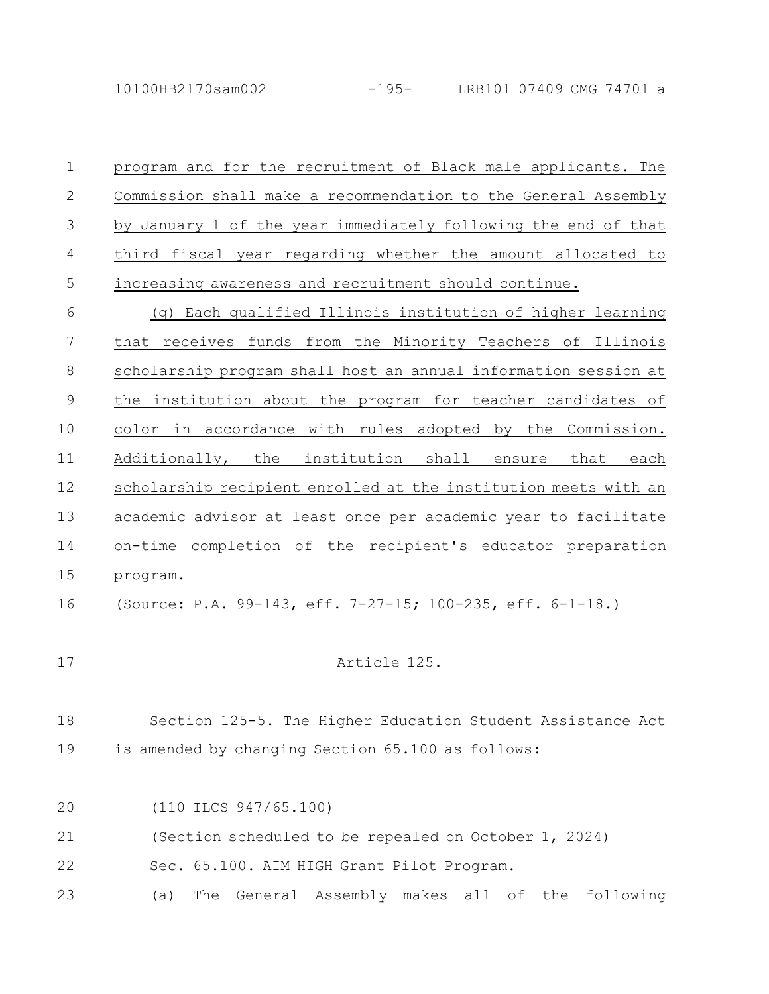10100HB2170sam002 -195- LRB101 07409 CMG 74701 a

program and for the recruitment of Black male applicants. The Commission shall make a recommendation to the General Assembly by January 1 of the year immediately following the end of that third fiscal year regarding whether the amount allocated to increasing awareness and recruitment should continue. (q) Each qualified Illinois institution of higher learning that receives funds from the Minority Teachers of Illinois 1 2 3 4 5 6 7

scholarship program shall host an annual information session at the institution about the program for teacher candidates of color in accordance with rules adopted by the Commission. Additionally, the institution shall ensure that each scholarship recipient enrolled at the institution meets with an academic advisor at least once per academic year to facilitate on-time completion of the recipient's educator preparation program. 8 9 10 11 12 13 14 15

(Source: P.A. 99-143, eff. 7-27-15; 100-235, eff. 6-1-18.) 16

17

Article 125.

Section 125-5. The Higher Education Student Assistance Act is amended by changing Section 65.100 as follows: 18 19

(110 ILCS 947/65.100) 20

(Section scheduled to be repealed on October 1, 2024) 21

Sec. 65.100. AIM HIGH Grant Pilot Program. 22

(a) The General Assembly makes all of the following 23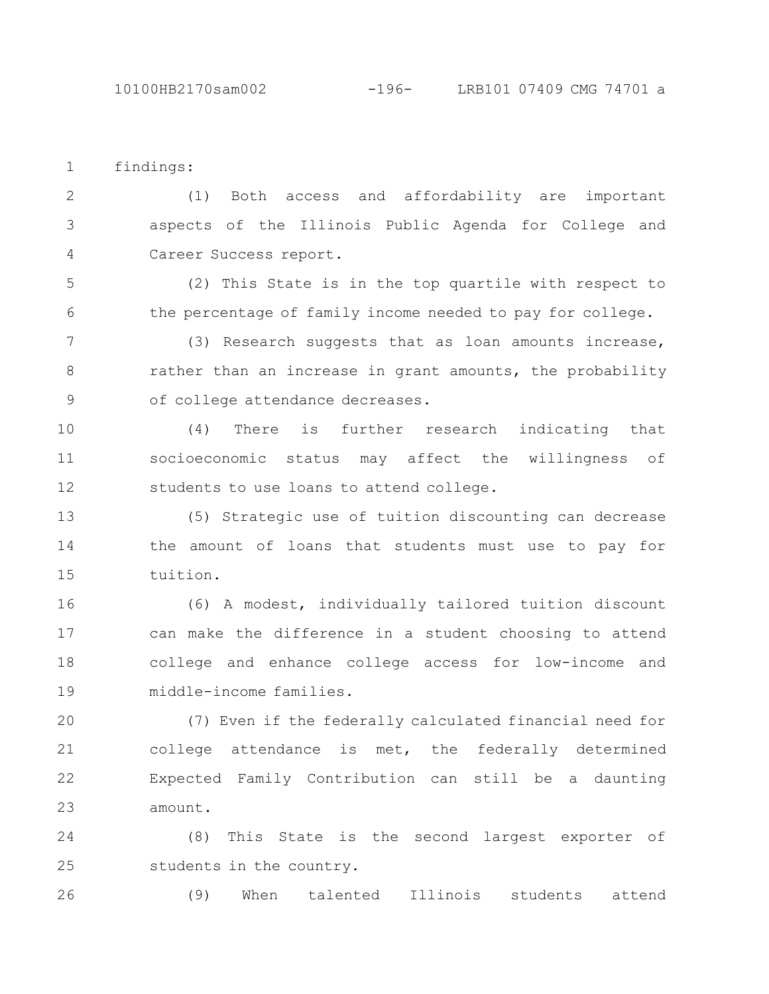findings: 1

(1) Both access and affordability are important aspects of the Illinois Public Agenda for College and Career Success report. 2 3 4

(2) This State is in the top quartile with respect to the percentage of family income needed to pay for college. 5 6

(3) Research suggests that as loan amounts increase, rather than an increase in grant amounts, the probability of college attendance decreases. 7 8 9

(4) There is further research indicating that socioeconomic status may affect the willingness of students to use loans to attend college. 10 11 12

(5) Strategic use of tuition discounting can decrease the amount of loans that students must use to pay for tuition. 13 14 15

(6) A modest, individually tailored tuition discount can make the difference in a student choosing to attend college and enhance college access for low-income and middle-income families. 16 17 18 19

(7) Even if the federally calculated financial need for college attendance is met, the federally determined Expected Family Contribution can still be a daunting amount. 20 21 22 23

(8) This State is the second largest exporter of students in the country. 24 25

(9) When talented Illinois students attend 26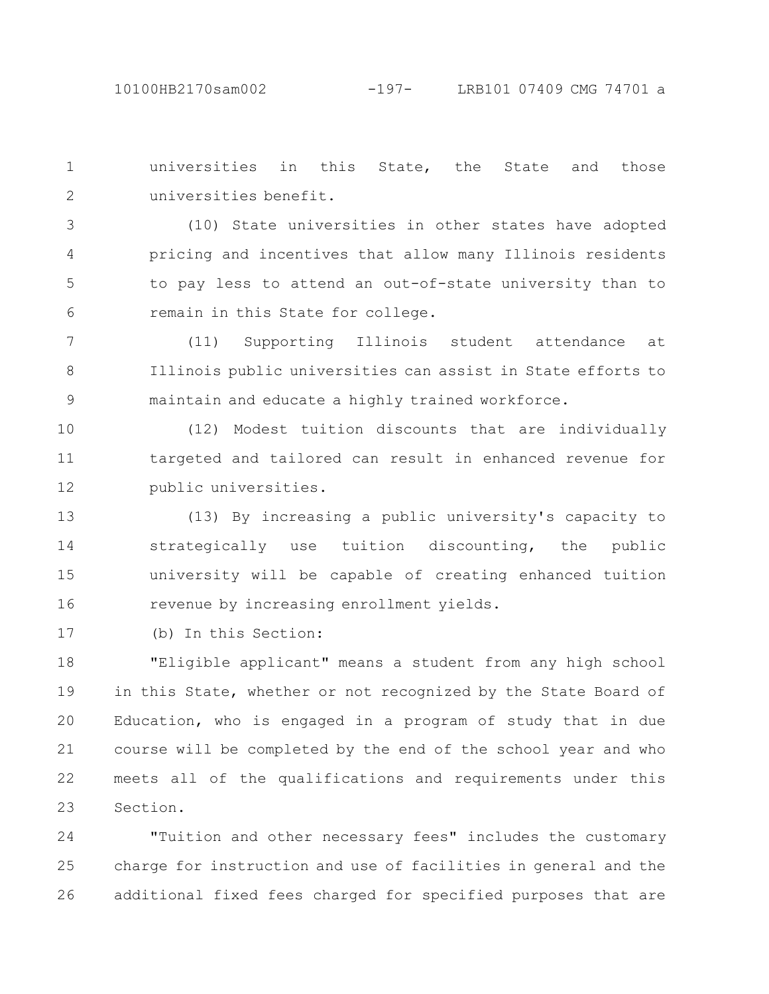universities in this State, the State and those universities benefit. 1 2

(10) State universities in other states have adopted pricing and incentives that allow many Illinois residents to pay less to attend an out-of-state university than to remain in this State for college. 3 4 5 6

(11) Supporting Illinois student attendance at Illinois public universities can assist in State efforts to maintain and educate a highly trained workforce. 7 8 9

(12) Modest tuition discounts that are individually targeted and tailored can result in enhanced revenue for public universities. 10 11 12

(13) By increasing a public university's capacity to strategically use tuition discounting, the public university will be capable of creating enhanced tuition revenue by increasing enrollment yields. 13 14 15 16

(b) In this Section: 17

"Eligible applicant" means a student from any high school in this State, whether or not recognized by the State Board of Education, who is engaged in a program of study that in due course will be completed by the end of the school year and who meets all of the qualifications and requirements under this Section. 18 19 20 21 22 23

"Tuition and other necessary fees" includes the customary charge for instruction and use of facilities in general and the additional fixed fees charged for specified purposes that are 24 25 26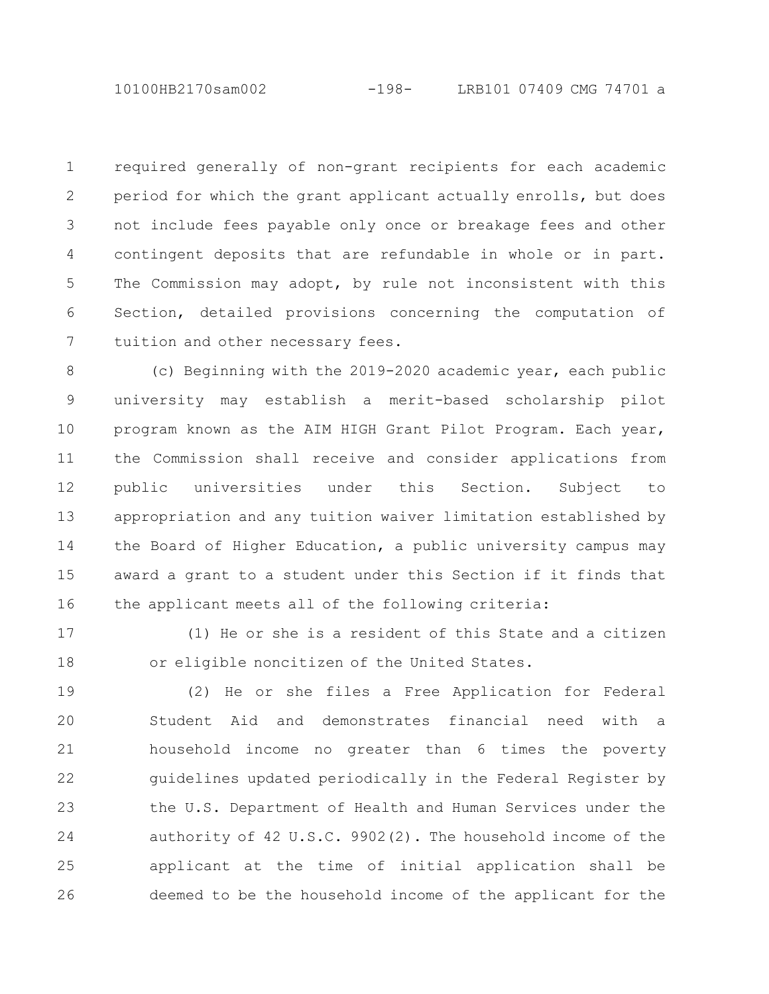10100HB2170sam002 -198- LRB101 07409 CMG 74701 a

required generally of non-grant recipients for each academic period for which the grant applicant actually enrolls, but does not include fees payable only once or breakage fees and other contingent deposits that are refundable in whole or in part. The Commission may adopt, by rule not inconsistent with this Section, detailed provisions concerning the computation of tuition and other necessary fees. 1 2 3 4 5 6 7

(c) Beginning with the 2019-2020 academic year, each public university may establish a merit-based scholarship pilot program known as the AIM HIGH Grant Pilot Program. Each year, the Commission shall receive and consider applications from public universities under this Section. Subject to appropriation and any tuition waiver limitation established by the Board of Higher Education, a public university campus may award a grant to a student under this Section if it finds that the applicant meets all of the following criteria: 8 9 10 11 12 13 14 15 16

17

18

(1) He or she is a resident of this State and a citizen or eligible noncitizen of the United States.

(2) He or she files a Free Application for Federal Student Aid and demonstrates financial need with a household income no greater than 6 times the poverty guidelines updated periodically in the Federal Register by the U.S. Department of Health and Human Services under the authority of 42 U.S.C. 9902(2). The household income of the applicant at the time of initial application shall be deemed to be the household income of the applicant for the 19 20 21 22 23 24 25 26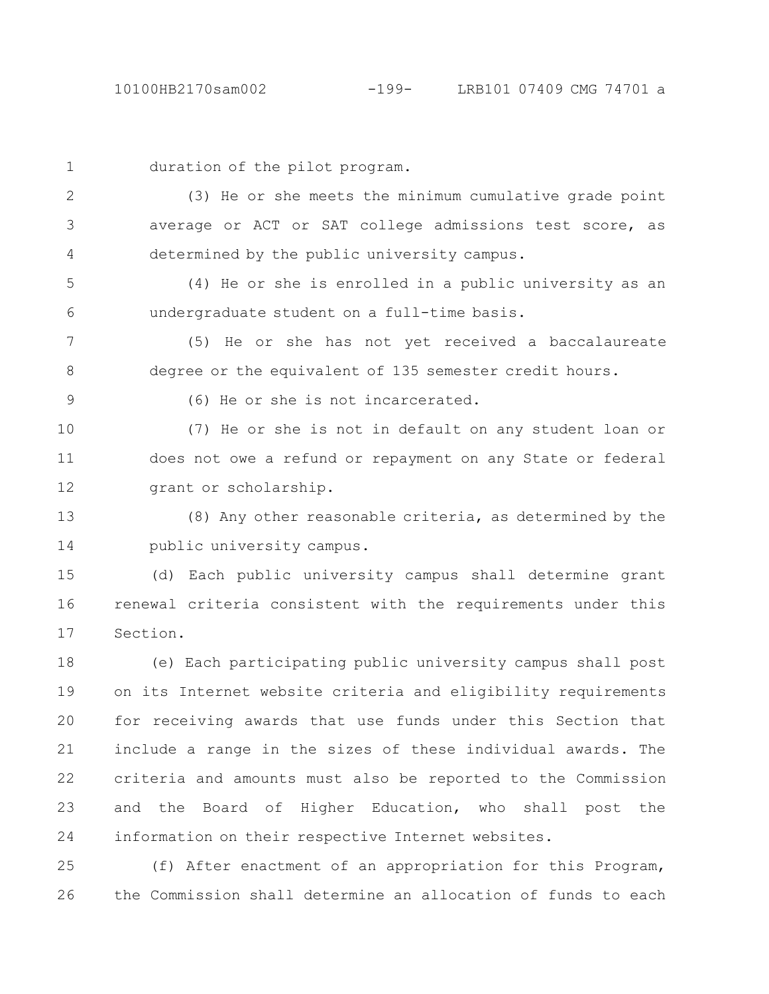| $\mathbf 1$ | duration of the pilot program.                                |
|-------------|---------------------------------------------------------------|
| 2           | (3) He or she meets the minimum cumulative grade point        |
| 3           | average or ACT or SAT college admissions test score, as       |
| 4           | determined by the public university campus.                   |
| 5           | (4) He or she is enrolled in a public university as an        |
| 6           | undergraduate student on a full-time basis.                   |
| 7           | (5) He or she has not yet received a baccalaureate            |
| 8           | degree or the equivalent of 135 semester credit hours.        |
| $\mathsf 9$ | (6) He or she is not incarcerated.                            |
| 10          | (7) He or she is not in default on any student loan or        |
| 11          | does not owe a refund or repayment on any State or federal    |
| 12          | grant or scholarship.                                         |
| 13          | (8) Any other reasonable criteria, as determined by the       |
| 14          | public university campus.                                     |
| 15          | (d) Each public university campus shall determine grant       |
| 16          | renewal criteria consistent with the requirements under this  |
| 17          | Section.                                                      |
| 18          | (e) Each participating public university campus shall post    |
| 19          | on its Internet website criteria and eligibility requirements |
| 20          | for receiving awards that use funds under this Section that   |
| 21          | include a range in the sizes of these individual awards. The  |
| 22          | criteria and amounts must also be reported to the Commission  |
| 23          | and the Board of Higher Education, who shall post the         |
| 24          | information on their respective Internet websites.            |

(f) After enactment of an appropriation for this Program, the Commission shall determine an allocation of funds to each 26 25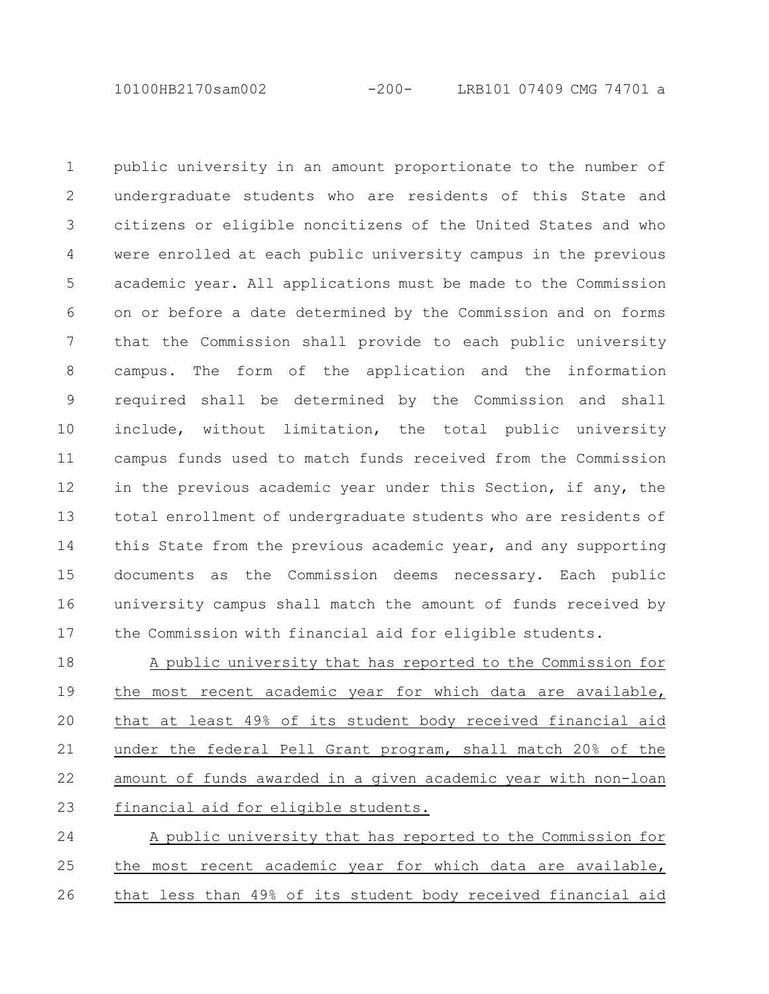10100HB2170sam002 -200- LRB101 07409 CMG 74701 a

public university in an amount proportionate to the number of undergraduate students who are residents of this State and citizens or eligible noncitizens of the United States and who were enrolled at each public university campus in the previous academic year. All applications must be made to the Commission on or before a date determined by the Commission and on forms that the Commission shall provide to each public university campus. The form of the application and the information required shall be determined by the Commission and shall include, without limitation, the total public university campus funds used to match funds received from the Commission in the previous academic year under this Section, if any, the total enrollment of undergraduate students who are residents of this State from the previous academic year, and any supporting documents as the Commission deems necessary. Each public university campus shall match the amount of funds received by the Commission with financial aid for eligible students. 1 2 3 4 5 6 7 8 9 10 11 12 13 14 15 16 17

A public university that has reported to the Commission for the most recent academic year for which data are available, that at least 49% of its student body received financial aid under the federal Pell Grant program, shall match 20% of the amount of funds awarded in a given academic year with non-loan financial aid for eligible students. 18 19 20 21 22 23

A public university that has reported to the Commission for the most recent academic year for which data are available, that less than 49% of its student body received financial aid 24 25 26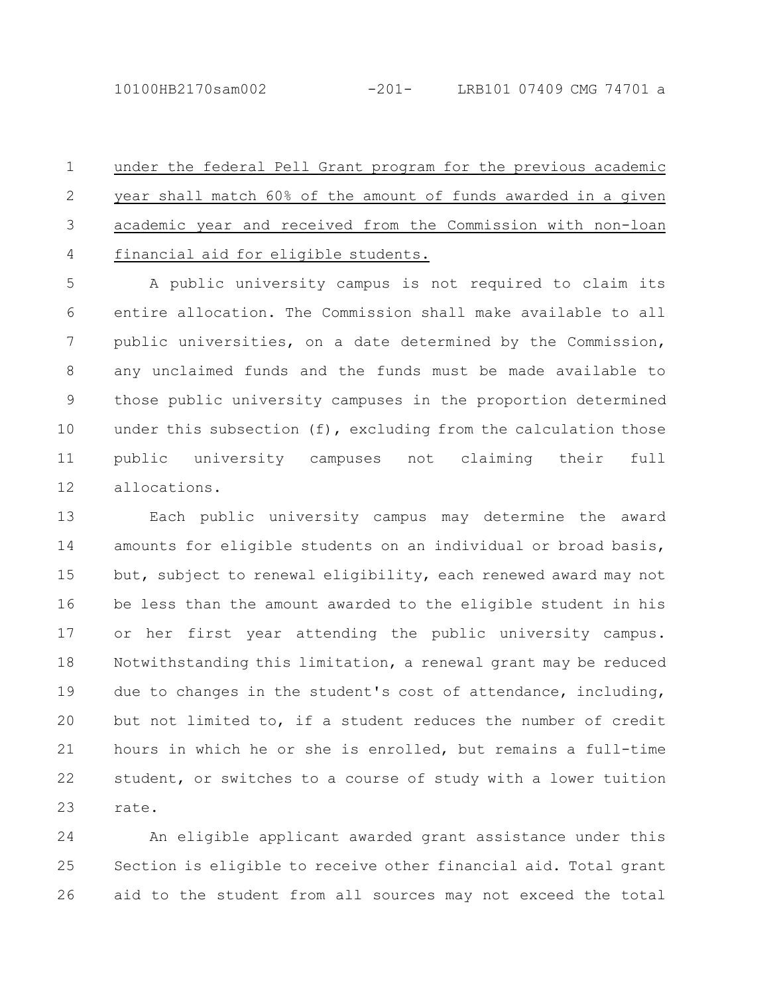under the federal Pell Grant program for the previous academic year shall match 60% of the amount of funds awarded in a given academic year and received from the Commission with non-loan financial aid for eligible students. 1 2 3 4

A public university campus is not required to claim its entire allocation. The Commission shall make available to all public universities, on a date determined by the Commission, any unclaimed funds and the funds must be made available to those public university campuses in the proportion determined under this subsection (f), excluding from the calculation those public university campuses not claiming their full allocations. 5 6 7 8 9 10 11 12

Each public university campus may determine the award amounts for eligible students on an individual or broad basis, but, subject to renewal eligibility, each renewed award may not be less than the amount awarded to the eligible student in his or her first year attending the public university campus. Notwithstanding this limitation, a renewal grant may be reduced due to changes in the student's cost of attendance, including, but not limited to, if a student reduces the number of credit hours in which he or she is enrolled, but remains a full-time student, or switches to a course of study with a lower tuition rate. 13 14 15 16 17 18 19 20 21 22 23

An eligible applicant awarded grant assistance under this Section is eligible to receive other financial aid. Total grant aid to the student from all sources may not exceed the total 24 25 26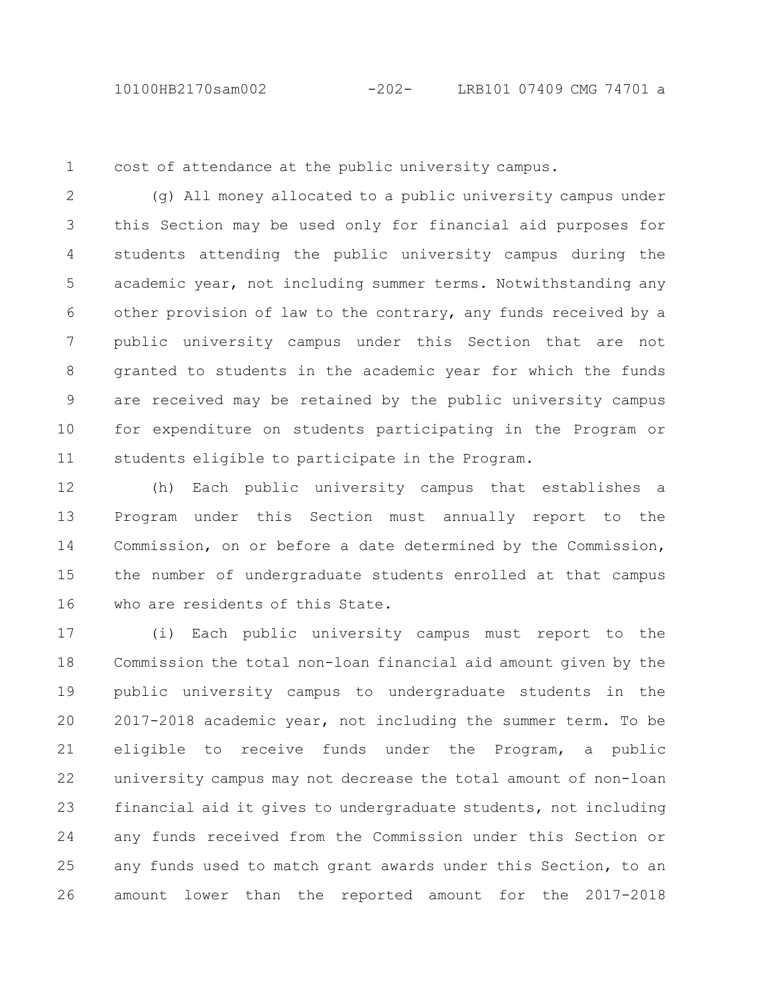1

cost of attendance at the public university campus.

(g) All money allocated to a public university campus under this Section may be used only for financial aid purposes for students attending the public university campus during the academic year, not including summer terms. Notwithstanding any other provision of law to the contrary, any funds received by a public university campus under this Section that are not granted to students in the academic year for which the funds are received may be retained by the public university campus for expenditure on students participating in the Program or students eligible to participate in the Program. 2 3 4 5 6 7 8 9 10 11

(h) Each public university campus that establishes a Program under this Section must annually report to the Commission, on or before a date determined by the Commission, the number of undergraduate students enrolled at that campus who are residents of this State. 12 13 14 15 16

(i) Each public university campus must report to the Commission the total non-loan financial aid amount given by the public university campus to undergraduate students in the 2017-2018 academic year, not including the summer term. To be eligible to receive funds under the Program, a public university campus may not decrease the total amount of non-loan financial aid it gives to undergraduate students, not including any funds received from the Commission under this Section or any funds used to match grant awards under this Section, to an amount lower than the reported amount for the 2017-2018 17 18 19 20 21 22 23 24 25 26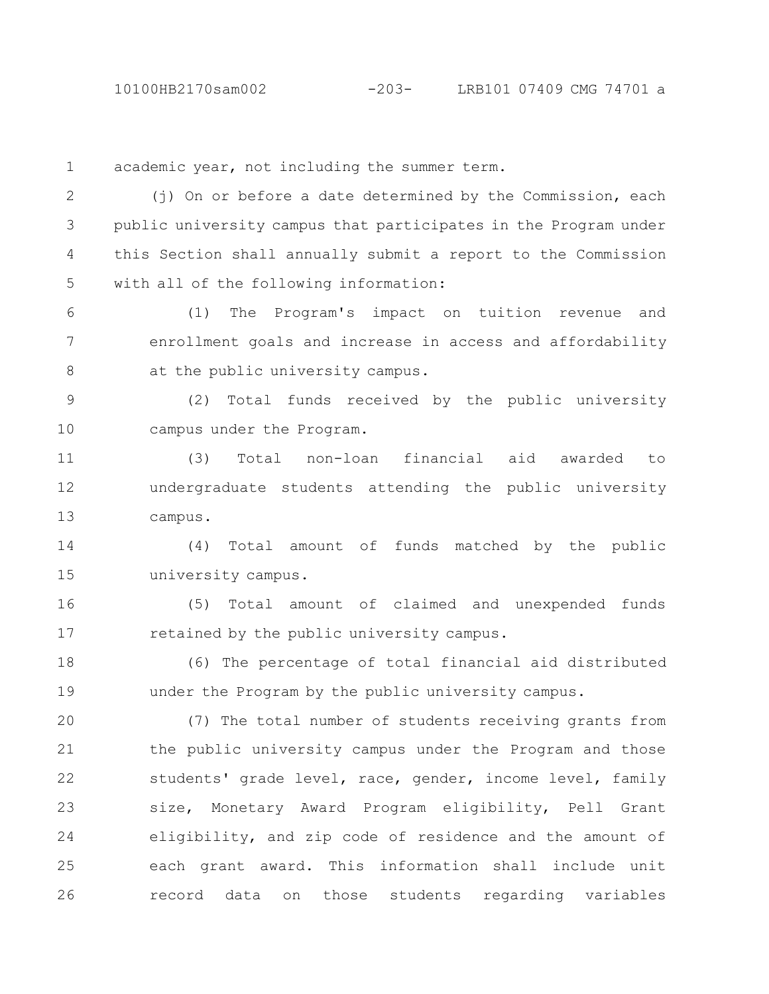academic year, not including the summer term. 1

(i) On or before a date determined by the Commission, each public university campus that participates in the Program under this Section shall annually submit a report to the Commission with all of the following information: 2 3 4 5

(1) The Program's impact on tuition revenue and enrollment goals and increase in access and affordability at the public university campus. 6 7 8

(2) Total funds received by the public university campus under the Program. 9 10

(3) Total non-loan financial aid awarded to undergraduate students attending the public university campus. 11 12 13

(4) Total amount of funds matched by the public university campus. 14 15

(5) Total amount of claimed and unexpended funds retained by the public university campus. 16 17

(6) The percentage of total financial aid distributed under the Program by the public university campus. 18 19

(7) The total number of students receiving grants from the public university campus under the Program and those students' grade level, race, gender, income level, family size, Monetary Award Program eligibility, Pell Grant eligibility, and zip code of residence and the amount of each grant award. This information shall include unit record data on those students regarding variables 20 21 22 23 24 25 26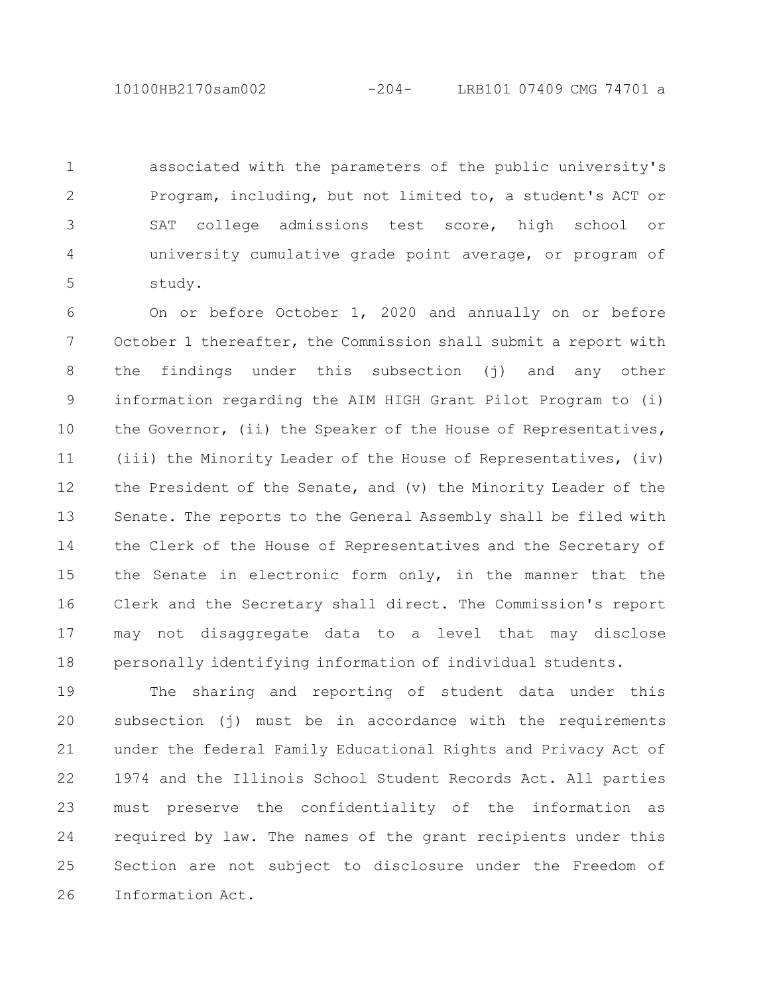associated with the parameters of the public university's Program, including, but not limited to, a student's ACT or SAT college admissions test score, high school or university cumulative grade point average, or program of study. 1 2 3 4 5

On or before October 1, 2020 and annually on or before October 1 thereafter, the Commission shall submit a report with the findings under this subsection (j) and any other information regarding the AIM HIGH Grant Pilot Program to (i) the Governor, (ii) the Speaker of the House of Representatives, (iii) the Minority Leader of the House of Representatives, (iv) the President of the Senate, and (v) the Minority Leader of the Senate. The reports to the General Assembly shall be filed with the Clerk of the House of Representatives and the Secretary of the Senate in electronic form only, in the manner that the Clerk and the Secretary shall direct. The Commission's report may not disaggregate data to a level that may disclose personally identifying information of individual students. 6 7 8 9 10 11 12 13 14 15 16 17 18

The sharing and reporting of student data under this subsection (j) must be in accordance with the requirements under the federal Family Educational Rights and Privacy Act of 1974 and the Illinois School Student Records Act. All parties must preserve the confidentiality of the information as required by law. The names of the grant recipients under this Section are not subject to disclosure under the Freedom of Information Act. 19 20 21 22 23 24 25 26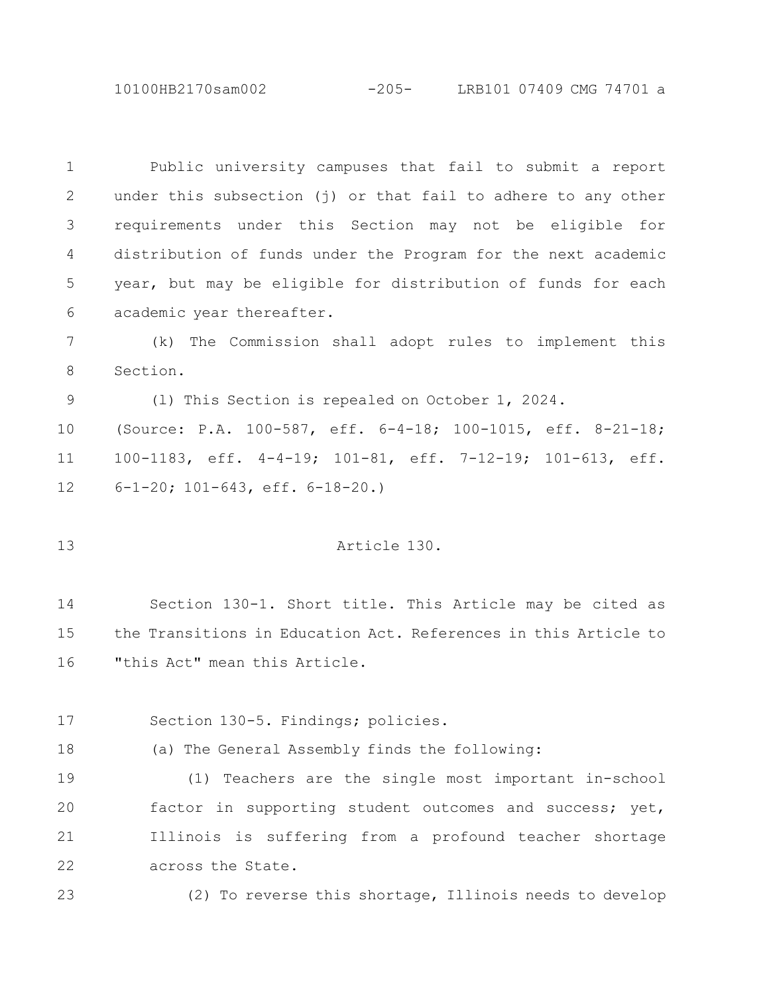10100HB2170sam002 -205- LRB101 07409 CMG 74701 a

Public university campuses that fail to submit a report under this subsection (j) or that fail to adhere to any other requirements under this Section may not be eligible for distribution of funds under the Program for the next academic year, but may be eligible for distribution of funds for each academic year thereafter. 1 2 3 4 5 6

(k) The Commission shall adopt rules to implement this Section. 7 8

(l) This Section is repealed on October 1, 2024. 9

(Source: P.A. 100-587, eff. 6-4-18; 100-1015, eff. 8-21-18; 100-1183, eff. 4-4-19; 101-81, eff. 7-12-19; 101-613, eff. 6-1-20; 101-643, eff. 6-18-20.) 10 11 12

## Article 130.

Section 130-1. Short title. This Article may be cited as the Transitions in Education Act. References in this Article to "this Act" mean this Article. 14 15 16

Section 130-5. Findings; policies. 17

18

13

(a) The General Assembly finds the following:

(1) Teachers are the single most important in-school factor in supporting student outcomes and success; yet, Illinois is suffering from a profound teacher shortage across the State. 19 20 21 22

(2) To reverse this shortage, Illinois needs to develop 23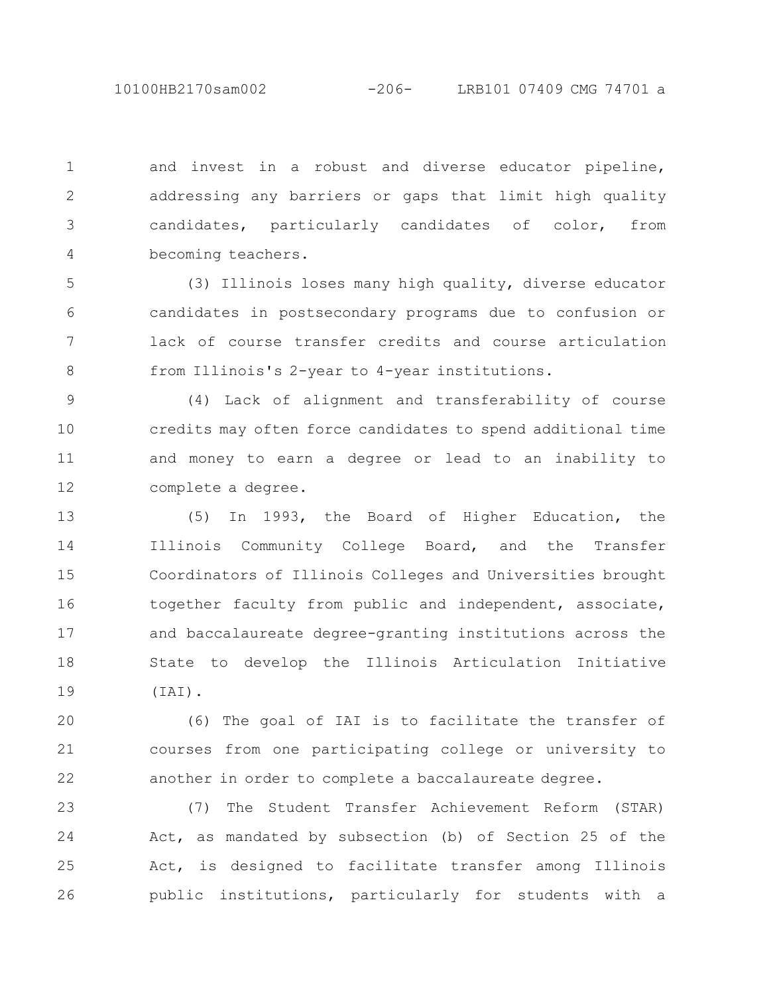and invest in a robust and diverse educator pipeline, addressing any barriers or gaps that limit high quality candidates, particularly candidates of color, from becoming teachers. 1 2 3 4

(3) Illinois loses many high quality, diverse educator candidates in postsecondary programs due to confusion or lack of course transfer credits and course articulation from Illinois's 2-year to 4-year institutions. 5 6 7 8

(4) Lack of alignment and transferability of course credits may often force candidates to spend additional time and money to earn a degree or lead to an inability to complete a degree. 9 10 11 12

(5) In 1993, the Board of Higher Education, the Illinois Community College Board, and the Transfer Coordinators of Illinois Colleges and Universities brought together faculty from public and independent, associate, and baccalaureate degree-granting institutions across the State to develop the Illinois Articulation Initiative (IAI). 13 14 15 16 17 18 19

(6) The goal of IAI is to facilitate the transfer of courses from one participating college or university to another in order to complete a baccalaureate degree. 20 21 22

(7) The Student Transfer Achievement Reform (STAR) Act, as mandated by subsection (b) of Section 25 of the Act, is designed to facilitate transfer among Illinois public institutions, particularly for students with a 23 24 25 26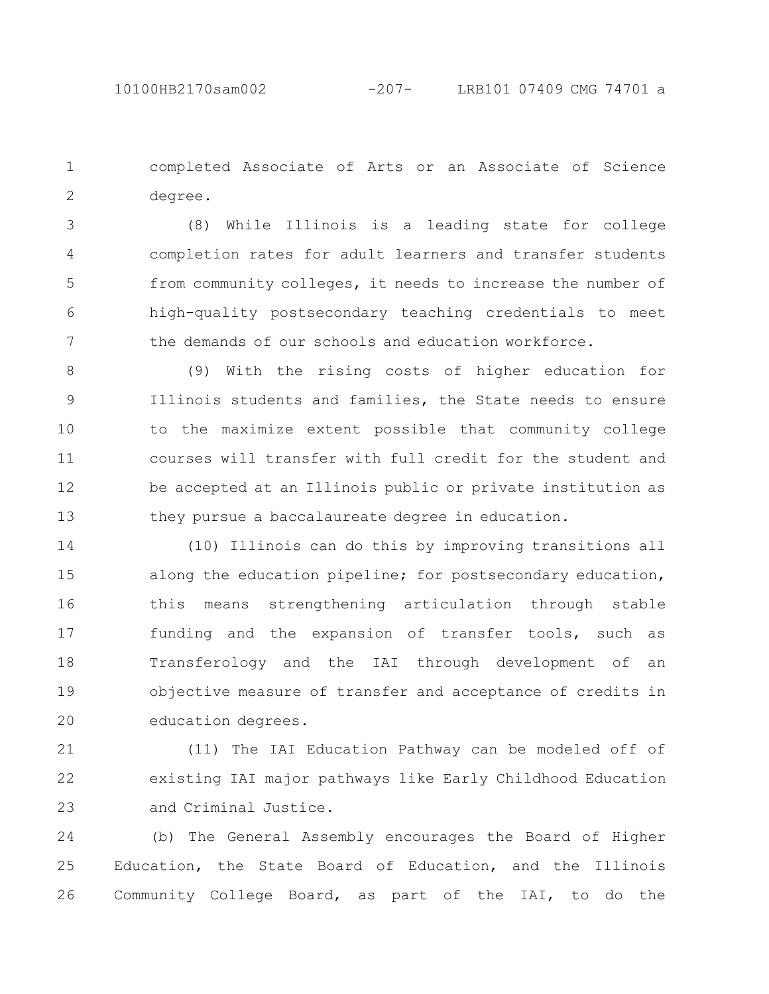completed Associate of Arts or an Associate of Science degree. 1 2

(8) While Illinois is a leading state for college completion rates for adult learners and transfer students from community colleges, it needs to increase the number of high-quality postsecondary teaching credentials to meet the demands of our schools and education workforce. 3 4 5 6 7

(9) With the rising costs of higher education for Illinois students and families, the State needs to ensure to the maximize extent possible that community college courses will transfer with full credit for the student and be accepted at an Illinois public or private institution as they pursue a baccalaureate degree in education. 8 9 10 11 12 13

(10) Illinois can do this by improving transitions all along the education pipeline; for postsecondary education, this means strengthening articulation through stable funding and the expansion of transfer tools, such as Transferology and the IAI through development of an objective measure of transfer and acceptance of credits in education degrees. 14 15 16 17 18 19 20

(11) The IAI Education Pathway can be modeled off of existing IAI major pathways like Early Childhood Education and Criminal Justice. 21 22 23

(b) The General Assembly encourages the Board of Higher Education, the State Board of Education, and the Illinois Community College Board, as part of the IAI, to do the 24 25 26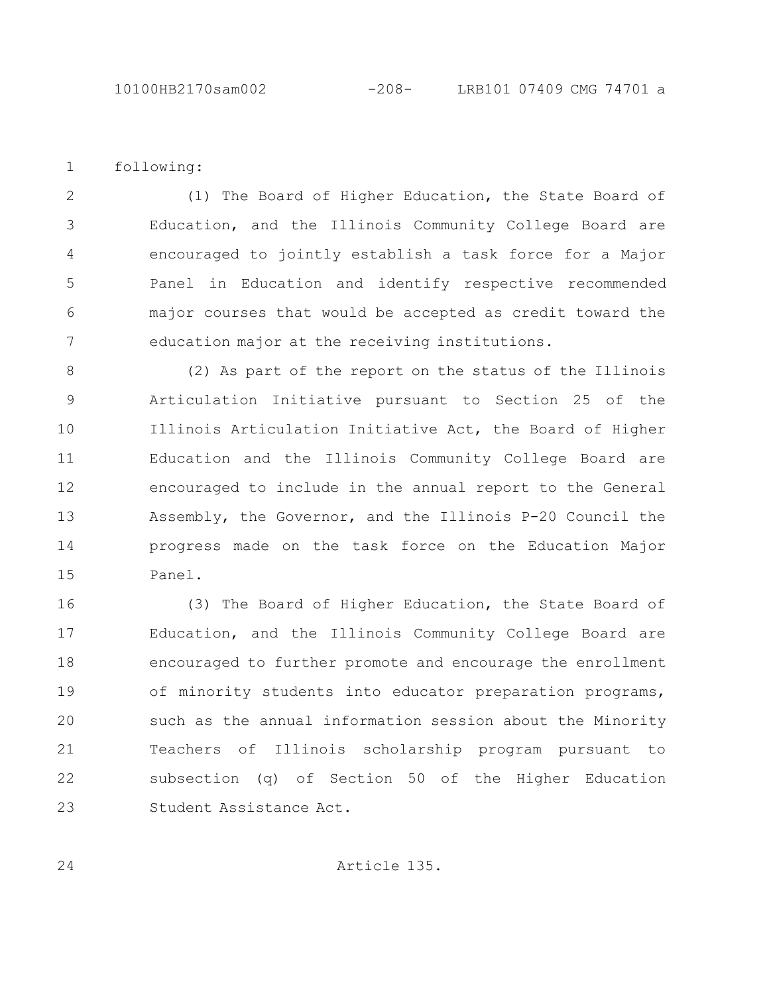following: 1

24

(1) The Board of Higher Education, the State Board of Education, and the Illinois Community College Board are encouraged to jointly establish a task force for a Major Panel in Education and identify respective recommended major courses that would be accepted as credit toward the education major at the receiving institutions. 2 3 4 5 6 7

(2) As part of the report on the status of the Illinois Articulation Initiative pursuant to Section 25 of the Illinois Articulation Initiative Act, the Board of Higher Education and the Illinois Community College Board are encouraged to include in the annual report to the General Assembly, the Governor, and the Illinois P-20 Council the progress made on the task force on the Education Major Panel. 8 9 10 11 12 13 14 15

(3) The Board of Higher Education, the State Board of Education, and the Illinois Community College Board are encouraged to further promote and encourage the enrollment of minority students into educator preparation programs, such as the annual information session about the Minority Teachers of Illinois scholarship program pursuant to subsection (q) of Section 50 of the Higher Education Student Assistance Act. 16 17 18 19 20 21 22 23

Article 135.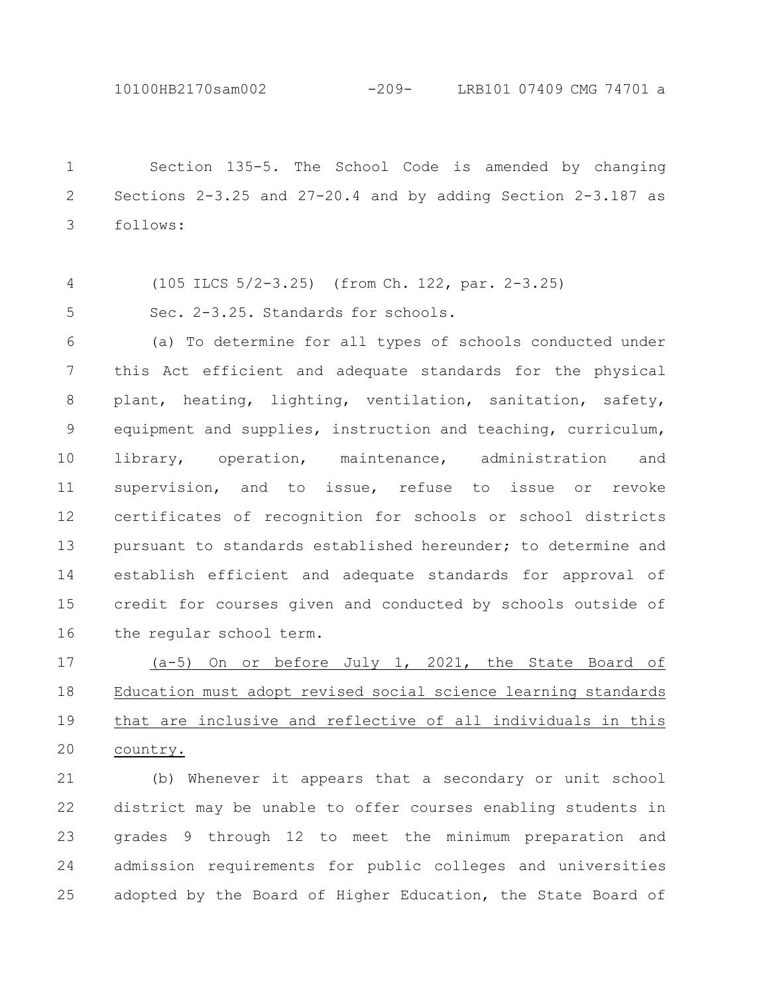10100HB2170sam002 -209- LRB101 07409 CMG 74701 a

Section 135-5. The School Code is amended by changing Sections 2-3.25 and 27-20.4 and by adding Section 2-3.187 as follows: 1 2 3

(105 ILCS 5/2-3.25) (from Ch. 122, par. 2-3.25) 4

Sec. 2-3.25. Standards for schools. 5

(a) To determine for all types of schools conducted under this Act efficient and adequate standards for the physical plant, heating, lighting, ventilation, sanitation, safety, equipment and supplies, instruction and teaching, curriculum, library, operation, maintenance, administration and supervision, and to issue, refuse to issue or revoke certificates of recognition for schools or school districts pursuant to standards established hereunder; to determine and establish efficient and adequate standards for approval of credit for courses given and conducted by schools outside of the regular school term. 6 7 8 9 10 11 12 13 14 15 16

(a-5) On or before July 1, 2021, the State Board of Education must adopt revised social science learning standards that are inclusive and reflective of all individuals in this country. 17 18 19 20

(b) Whenever it appears that a secondary or unit school district may be unable to offer courses enabling students in grades 9 through 12 to meet the minimum preparation and admission requirements for public colleges and universities adopted by the Board of Higher Education, the State Board of 21 22 23 24 25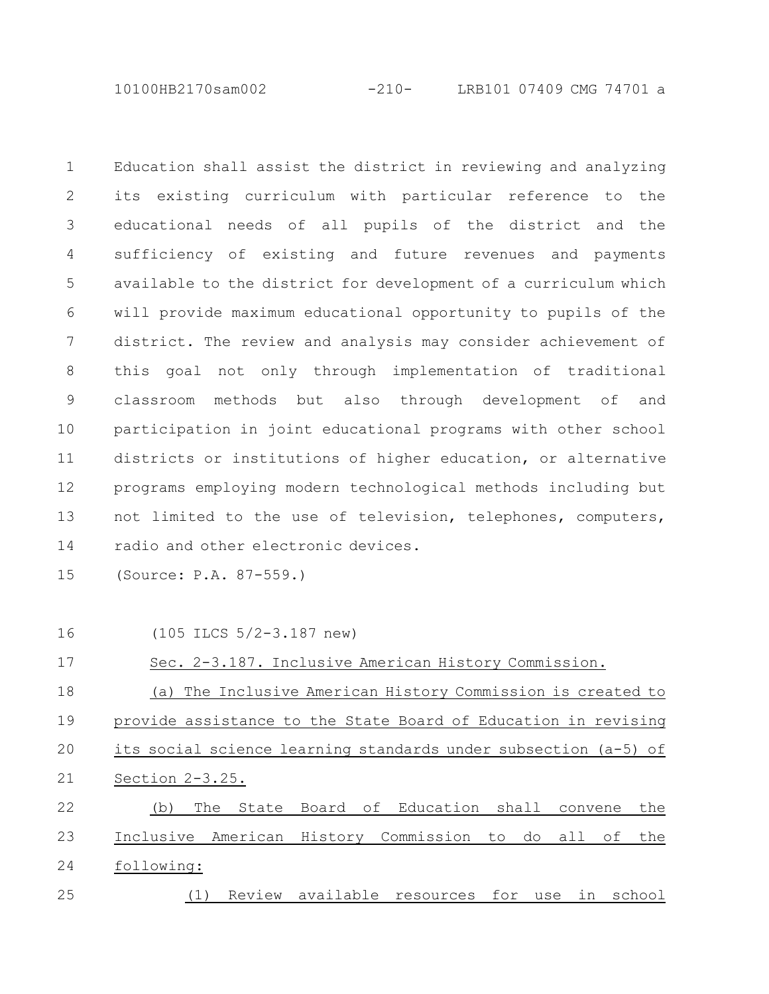10100HB2170sam002 -210- LRB101 07409 CMG 74701 a

Education shall assist the district in reviewing and analyzing its existing curriculum with particular reference to the educational needs of all pupils of the district and the sufficiency of existing and future revenues and payments available to the district for development of a curriculum which will provide maximum educational opportunity to pupils of the district. The review and analysis may consider achievement of this goal not only through implementation of traditional classroom methods but also through development of and participation in joint educational programs with other school districts or institutions of higher education, or alternative programs employing modern technological methods including but not limited to the use of television, telephones, computers, radio and other electronic devices. 1 2 3 4 5 6 7 8 9 10 11 12 13 14

(Source: P.A. 87-559.) 15

16

(105 ILCS 5/2-3.187 new)

Sec. 2-3.187. Inclusive American History Commission. 17

(a) The Inclusive American History Commission is created to provide assistance to the State Board of Education in revising its social science learning standards under subsection (a-5) of Section 2-3.25. 18 19 20 21

(b) The State Board of Education shall convene the Inclusive American History Commission to do all of the following: (1) Review available resources for use in school 22 23 24 25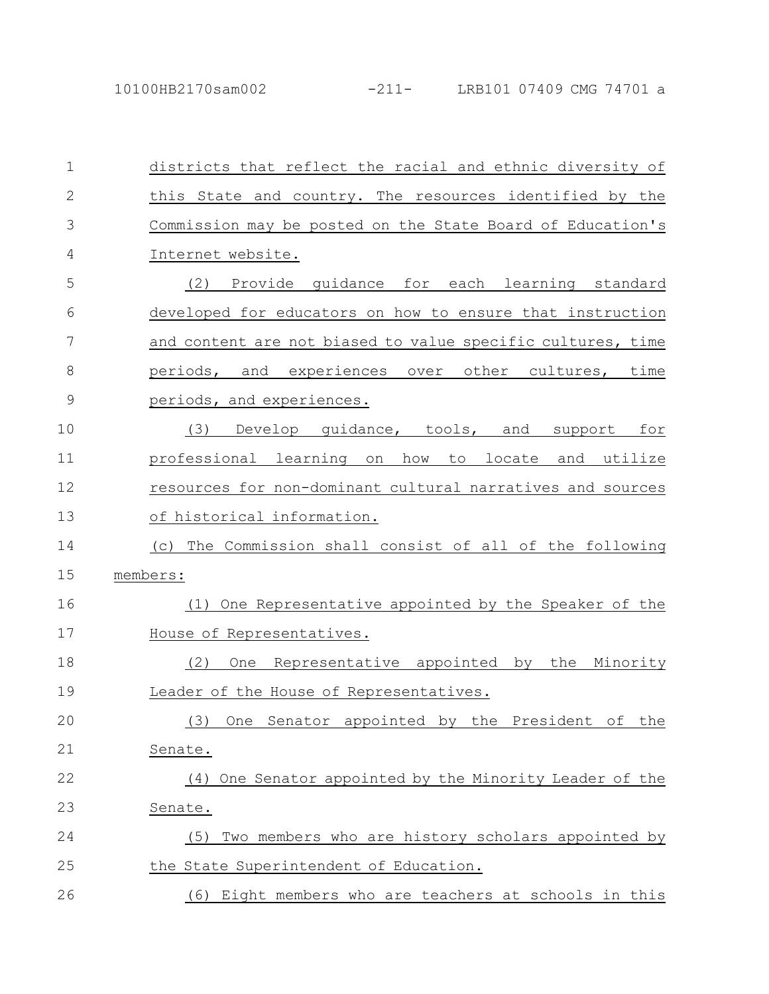| 1             | districts that reflect the racial and ethnic diversity of        |
|---------------|------------------------------------------------------------------|
| $\mathbf{2}$  | this State and country. The resources identified by the          |
| 3             | Commission may be posted on the State Board of Education's       |
| 4             | Internet website.                                                |
| 5             | Provide quidance for each learning standard<br>(2)               |
| 6             | developed for educators on how to ensure that instruction        |
| 7             | and content are not biased to value specific cultures, time      |
| 8             | periods, and experiences over other cultures, time               |
| $\mathcal{G}$ | periods, and experiences.                                        |
| 10            | Develop guidance, tools, and support for<br>(3)                  |
| 11            | professional learning on how<br>to<br>locate and utilize         |
| 12            | resources for non-dominant cultural narratives and sources       |
| 13            | of historical information.                                       |
| 14            | (c) The Commission shall consist of all of the following         |
| 15            | members:                                                         |
| 16            | One Representative appointed by the Speaker of the<br>(1)        |
| 17            | House of Representatives.                                        |
| 18            | Representative appointed by<br>the Minority<br>(2)<br><b>One</b> |
| 19            | Leader of the House of Representatives.                          |
| 20            | One Senator appointed by the President of the<br>(3)             |
| 21            | Senate.                                                          |
| 22            | (4) One Senator appointed by the Minority Leader of the          |
| 23            | Senate.                                                          |
| 24            | Two members who are history scholars appointed by<br>(5)         |
| 25            | the State Superintendent of Education.                           |
| 26            | (6) Eight members who are teachers at schools in this            |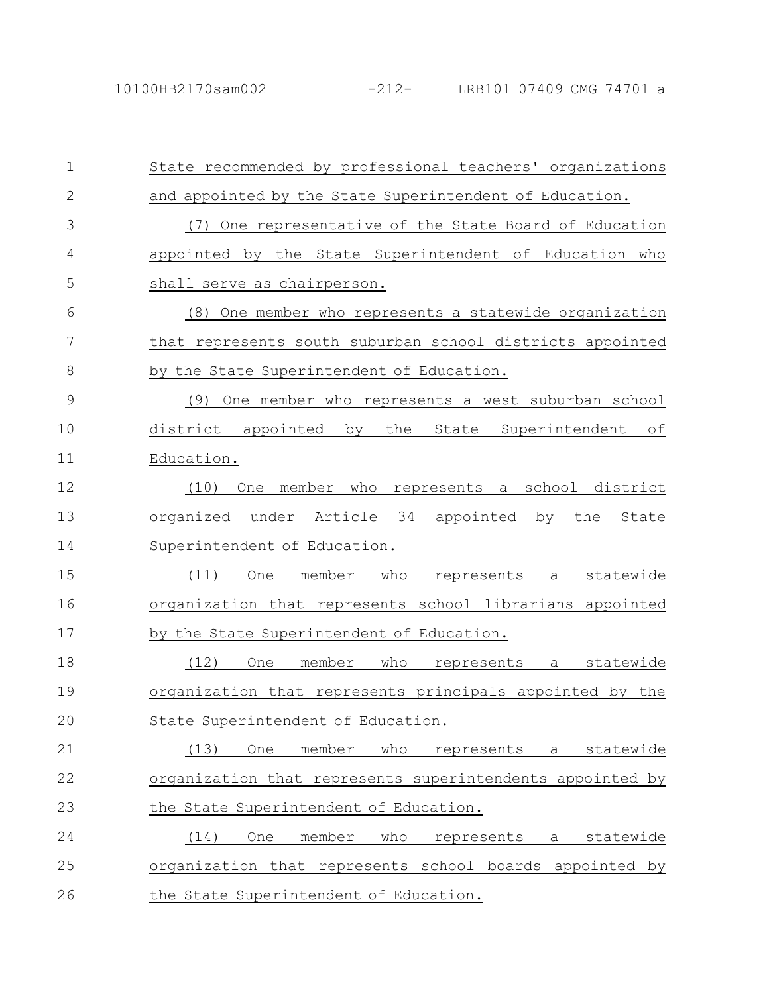| $\mathbf{1}$ | State recommended by professional teachers' organizations            |
|--------------|----------------------------------------------------------------------|
| $\mathbf{2}$ | and appointed by the State Superintendent of Education.              |
| 3            | (7) One representative of the State Board of Education               |
| 4            | appointed by the State Superintendent of Education who               |
| 5            | shall serve as chairperson.                                          |
| 6            | (8) One member who represents a statewide organization               |
| 7            | that represents south suburban school districts appointed            |
| 8            | by the State Superintendent of Education.                            |
| 9            | One member who represents a west suburban school<br>(9)              |
| 10           | district appointed by<br>the<br>State Superintendent<br>of           |
| 11           | Education.                                                           |
| 12           | school district<br>(10)<br>member<br>who<br>represents<br>One<br>a a |
| 13           | organized under Article 34 appointed<br>the<br>by<br>State           |
| 14           | Superintendent of Education.                                         |
| 15           | member<br>(11)<br>who<br>a statewide<br>One<br>represents            |
| 16           | organization that represents school librarians appointed             |
| 17           | by the State Superintendent of Education.                            |
| 18           | (12)<br>who<br>statewide<br>member<br><b>One</b><br>represents<br>a  |
| 19           | organization that represents principals appointed by the             |
| 20           | State Superintendent of Education.                                   |
| 21           | statewide<br>(13)<br>member<br>who<br>One<br>represents<br>a         |
| 22           | organization that represents superintendents appointed by            |
| 23           | the State Superintendent of Education.                               |
| 24           | member<br>who<br>statewide<br>(14)<br>One<br>represents<br>a a       |
| 25           | organization that represents school boards appointed by              |
| 26           | the State Superintendent of Education.                               |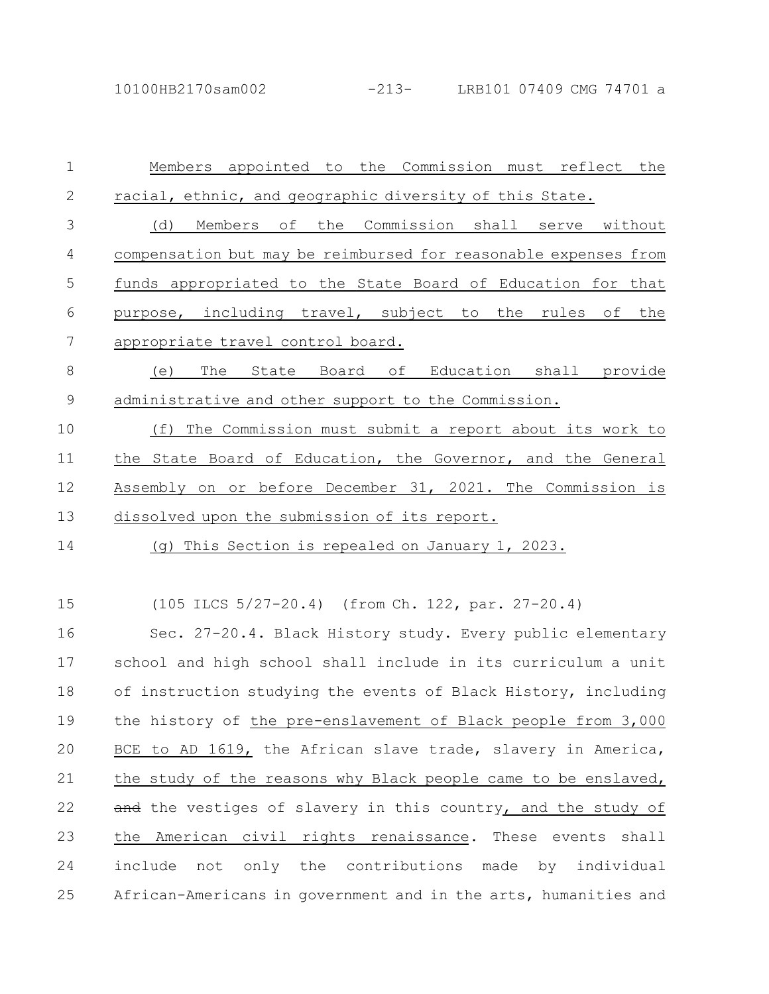| $\mathbf 1$ | Members appointed to the Commission must reflect the            |
|-------------|-----------------------------------------------------------------|
| 2           | racial, ethnic, and geographic diversity of this State.         |
| 3           | (d) Members of the Commission shall serve without               |
| 4           | compensation but may be reimbursed for reasonable expenses from |
| 5           | funds appropriated to the State Board of Education for that     |
| 6           | purpose, including travel, subject to the rules of the          |
| 7           | appropriate travel control board.                               |
| 8           | The State Board of Education shall provide<br>(e)               |
| $\mathsf 9$ | administrative and other support to the Commission.             |
| 10          | The Commission must submit a report about its work to<br>(f)    |
| 11          | the State Board of Education, the Governor, and the General     |
| 12          | Assembly on or before December 31, 2021. The Commission is      |
| 13          | dissolved upon the submission of its report.                    |
| 14          | (g) This Section is repealed on January 1, 2023.                |
|             |                                                                 |
| 15          | (105 ILCS 5/27-20.4) (from Ch. 122, par. 27-20.4)               |
| 16          | Sec. 27-20.4. Black History study. Every public elementary      |
| 17          | school and high school shall include in its curriculum a unit   |
| 18          | of instruction studying the events of Black History, including  |
| 19          | the history of the pre-enslavement of Black people from 3,000   |
| 20          | BCE to AD 1619, the African slave trade, slavery in America,    |
| 21          | the study of the reasons why Black people came to be enslaved,  |
| 22          | and the vestiges of slavery in this country, and the study of   |
| 23          | the American civil rights renaissance. These events shall       |
| 24          | include not only the contributions made by individual           |
| 25          | African-Americans in government and in the arts, humanities and |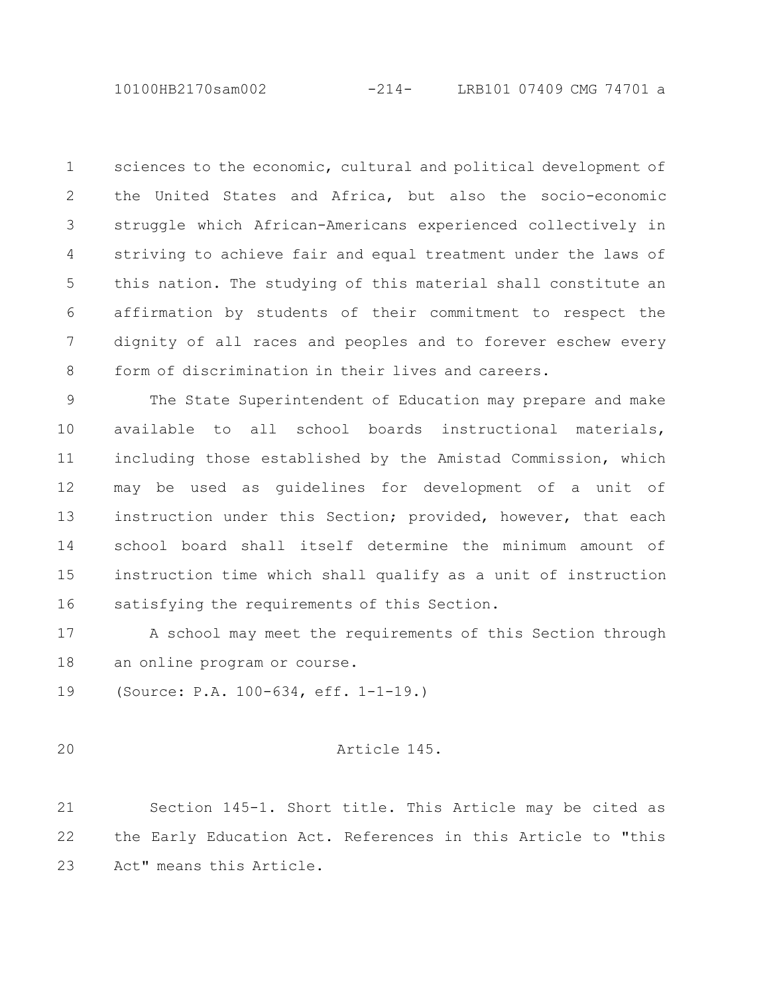10100HB2170sam002 -214- LRB101 07409 CMG 74701 a

sciences to the economic, cultural and political development of the United States and Africa, but also the socio-economic struggle which African-Americans experienced collectively in striving to achieve fair and equal treatment under the laws of this nation. The studying of this material shall constitute an affirmation by students of their commitment to respect the dignity of all races and peoples and to forever eschew every form of discrimination in their lives and careers. 1 2 3 4 5 6 7 8

The State Superintendent of Education may prepare and make available to all school boards instructional materials, including those established by the Amistad Commission, which may be used as guidelines for development of a unit of instruction under this Section; provided, however, that each school board shall itself determine the minimum amount of instruction time which shall qualify as a unit of instruction satisfying the requirements of this Section. 9 10 11 12 13 14 15 16

A school may meet the requirements of this Section through an online program or course. 17 18

(Source: P.A. 100-634, eff. 1-1-19.) 19

20

Article 145.

Section 145-1. Short title. This Article may be cited as the Early Education Act. References in this Article to "this Act" means this Article. 21 22 23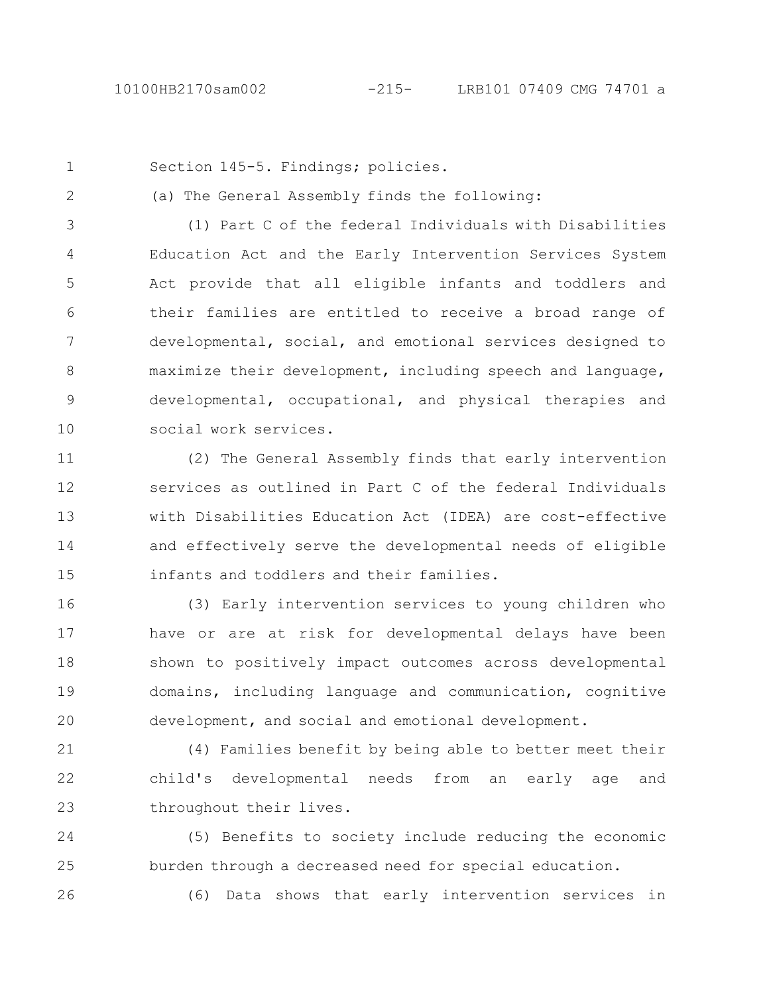1

2

Section 145-5. Findings; policies.

(a) The General Assembly finds the following:

(1) Part C of the federal Individuals with Disabilities Education Act and the Early Intervention Services System Act provide that all eligible infants and toddlers and their families are entitled to receive a broad range of developmental, social, and emotional services designed to maximize their development, including speech and language, developmental, occupational, and physical therapies and social work services. 3 4 5 6 7 8 9 10

(2) The General Assembly finds that early intervention services as outlined in Part C of the federal Individuals with Disabilities Education Act (IDEA) are cost-effective and effectively serve the developmental needs of eligible infants and toddlers and their families. 11 12 13 14 15

(3) Early intervention services to young children who have or are at risk for developmental delays have been shown to positively impact outcomes across developmental domains, including language and communication, cognitive development, and social and emotional development. 16 17 18 19 20

(4) Families benefit by being able to better meet their child's developmental needs from an early age and throughout their lives. 21 22 23

(5) Benefits to society include reducing the economic burden through a decreased need for special education. 24 25

26

(6) Data shows that early intervention services in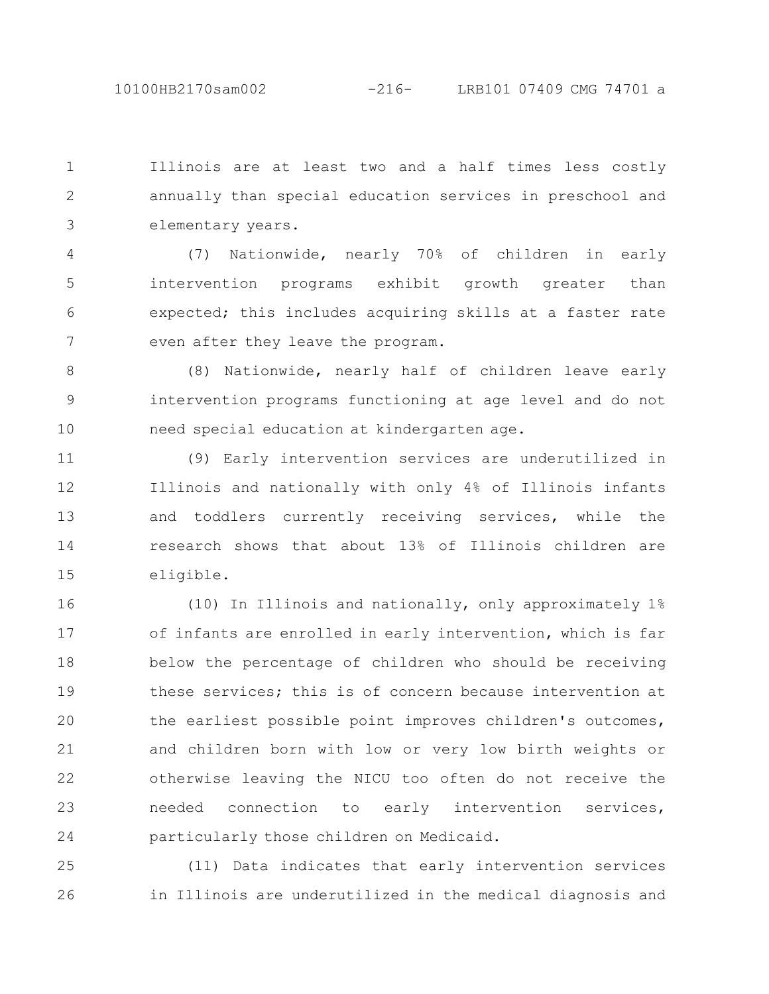Illinois are at least two and a half times less costly annually than special education services in preschool and elementary years. 1 2 3

(7) Nationwide, nearly 70% of children in early intervention programs exhibit growth greater than expected; this includes acquiring skills at a faster rate even after they leave the program. 4 5 6 7

(8) Nationwide, nearly half of children leave early intervention programs functioning at age level and do not need special education at kindergarten age. 8 9 10

(9) Early intervention services are underutilized in Illinois and nationally with only 4% of Illinois infants and toddlers currently receiving services, while the research shows that about 13% of Illinois children are eligible. 11 12 13 14 15

(10) In Illinois and nationally, only approximately 1% of infants are enrolled in early intervention, which is far below the percentage of children who should be receiving these services; this is of concern because intervention at the earliest possible point improves children's outcomes, and children born with low or very low birth weights or otherwise leaving the NICU too often do not receive the needed connection to early intervention services, particularly those children on Medicaid. 16 17 18 19 20 21 22 23 24

(11) Data indicates that early intervention services in Illinois are underutilized in the medical diagnosis and 25 26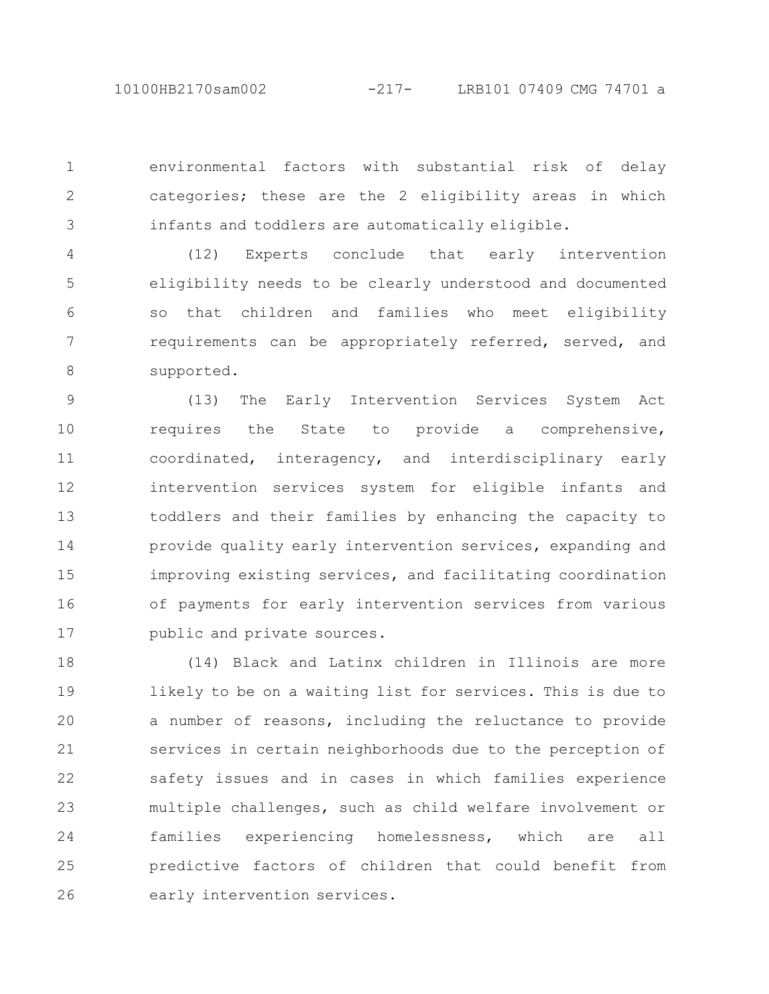10100HB2170sam002 -217- LRB101 07409 CMG 74701 a

environmental factors with substantial risk of delay categories; these are the 2 eligibility areas in which infants and toddlers are automatically eligible. 1 2 3

(12) Experts conclude that early intervention eligibility needs to be clearly understood and documented so that children and families who meet eligibility requirements can be appropriately referred, served, and supported. 4 5 6 7 8

(13) The Early Intervention Services System Act requires the State to provide a comprehensive, coordinated, interagency, and interdisciplinary early intervention services system for eligible infants and toddlers and their families by enhancing the capacity to provide quality early intervention services, expanding and improving existing services, and facilitating coordination of payments for early intervention services from various public and private sources. 9 10 11 12 13 14 15 16 17

(14) Black and Latinx children in Illinois are more likely to be on a waiting list for services. This is due to a number of reasons, including the reluctance to provide services in certain neighborhoods due to the perception of safety issues and in cases in which families experience multiple challenges, such as child welfare involvement or families experiencing homelessness, which are all predictive factors of children that could benefit from early intervention services. 18 19 20 21 22 23 24 25 26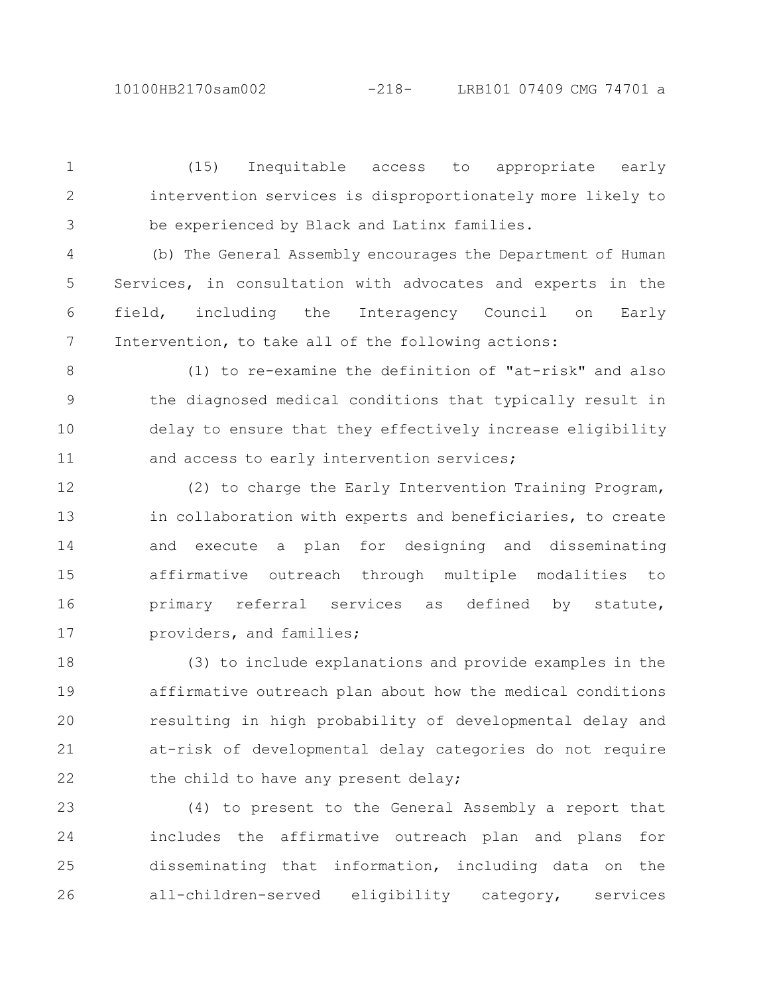(15) Inequitable access to appropriate early intervention services is disproportionately more likely to be experienced by Black and Latinx families. 1 2 3

(b) The General Assembly encourages the Department of Human Services, in consultation with advocates and experts in the field, including the Interagency Council on Early Intervention, to take all of the following actions: 4 5 6 7

(1) to re-examine the definition of "at-risk" and also the diagnosed medical conditions that typically result in delay to ensure that they effectively increase eligibility and access to early intervention services; 8 9 10 11

(2) to charge the Early Intervention Training Program, in collaboration with experts and beneficiaries, to create and execute a plan for designing and disseminating affirmative outreach through multiple modalities to primary referral services as defined by statute, providers, and families; 12 13 14 15 16 17

(3) to include explanations and provide examples in the affirmative outreach plan about how the medical conditions resulting in high probability of developmental delay and at-risk of developmental delay categories do not require the child to have any present delay; 18 19 20 21 22

(4) to present to the General Assembly a report that includes the affirmative outreach plan and plans for disseminating that information, including data on the all-children-served eligibility category, services 23 24 25 26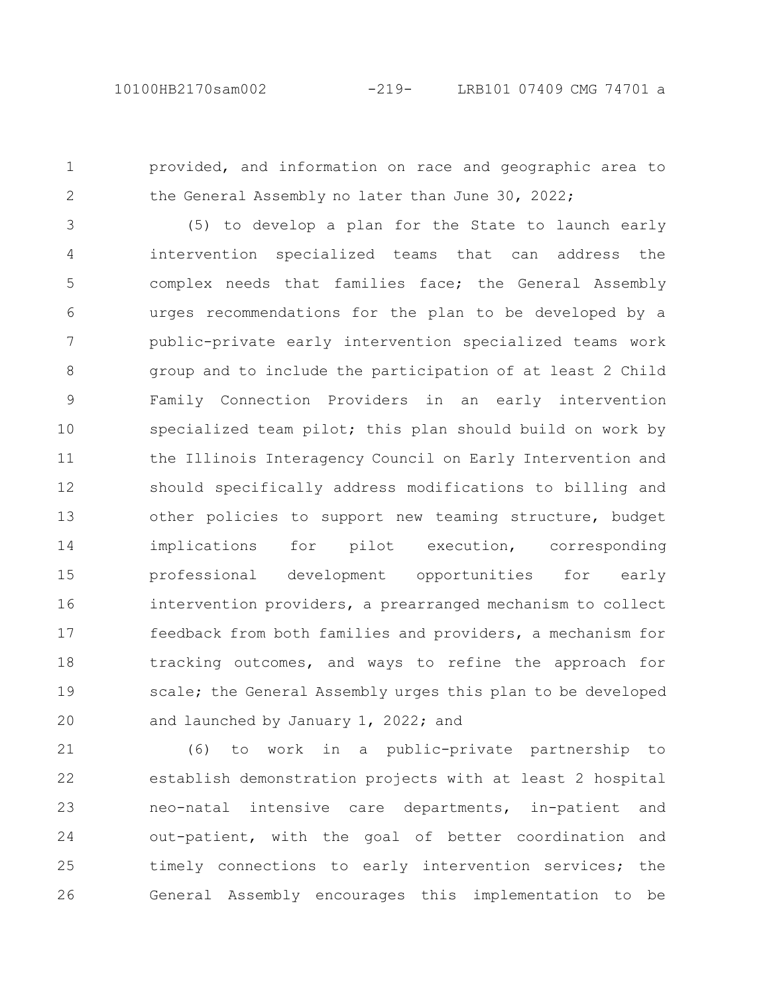provided, and information on race and geographic area to the General Assembly no later than June 30, 2022; 1 2

(5) to develop a plan for the State to launch early intervention specialized teams that can address the complex needs that families face; the General Assembly urges recommendations for the plan to be developed by a public-private early intervention specialized teams work group and to include the participation of at least 2 Child Family Connection Providers in an early intervention specialized team pilot; this plan should build on work by the Illinois Interagency Council on Early Intervention and should specifically address modifications to billing and other policies to support new teaming structure, budget implications for pilot execution, corresponding professional development opportunities for early intervention providers, a prearranged mechanism to collect feedback from both families and providers, a mechanism for tracking outcomes, and ways to refine the approach for scale; the General Assembly urges this plan to be developed and launched by January 1, 2022; and 3 4 5 6 7 8 9 10 11 12 13 14 15 16 17 18 19 20

(6) to work in a public-private partnership to establish demonstration projects with at least 2 hospital neo-natal intensive care departments, in-patient and out-patient, with the goal of better coordination and timely connections to early intervention services; the General Assembly encourages this implementation to be 21 22 23 24 25 26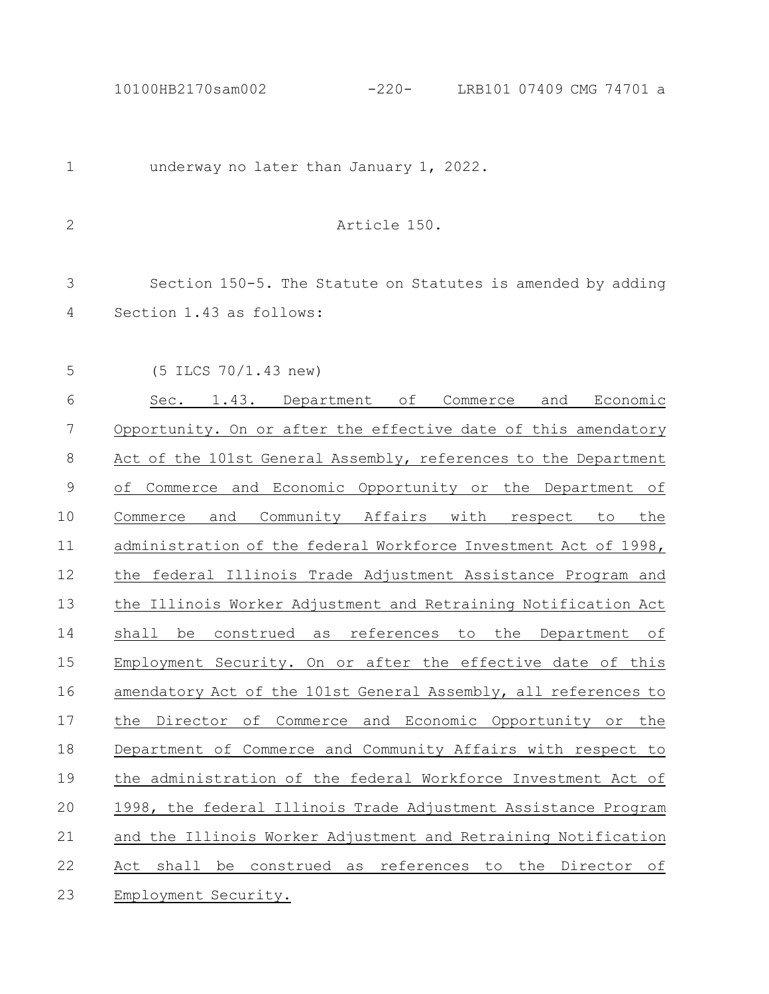10100HB2170sam002 -220- LRB101 07409 CMG 74701 a

underway no later than January 1, 2022. Article 150. Section 150-5. The Statute on Statutes is amended by adding Section 1.43 as follows: (5 ILCS 70/1.43 new) Sec. 1.43. Department of Commerce and Economic Opportunity. On or after the effective date of this amendatory Act of the 101st General Assembly, references to the Department of Commerce and Economic Opportunity or the Department of Commerce and Community Affairs with respect to the administration of the federal Workforce Investment Act of 1998, the federal Illinois Trade Adjustment Assistance Program and the Illinois Worker Adjustment and Retraining Notification Act shall be construed as references to the Department of Employment Security. On or after the effective date of this amendatory Act of the 101st General Assembly, all references to the Director of Commerce and Economic Opportunity or the Department of Commerce and Community Affairs with respect to the administration of the federal Workforce Investment Act of 1998, the federal Illinois Trade Adjustment Assistance Program and the Illinois Worker Adjustment and Retraining Notification Act shall be construed as references to the Director of Employment Security. 1 2 3 4 5 6 7 8 9 10 11 12 13 14 15 16 17 18 19 20 21 22 23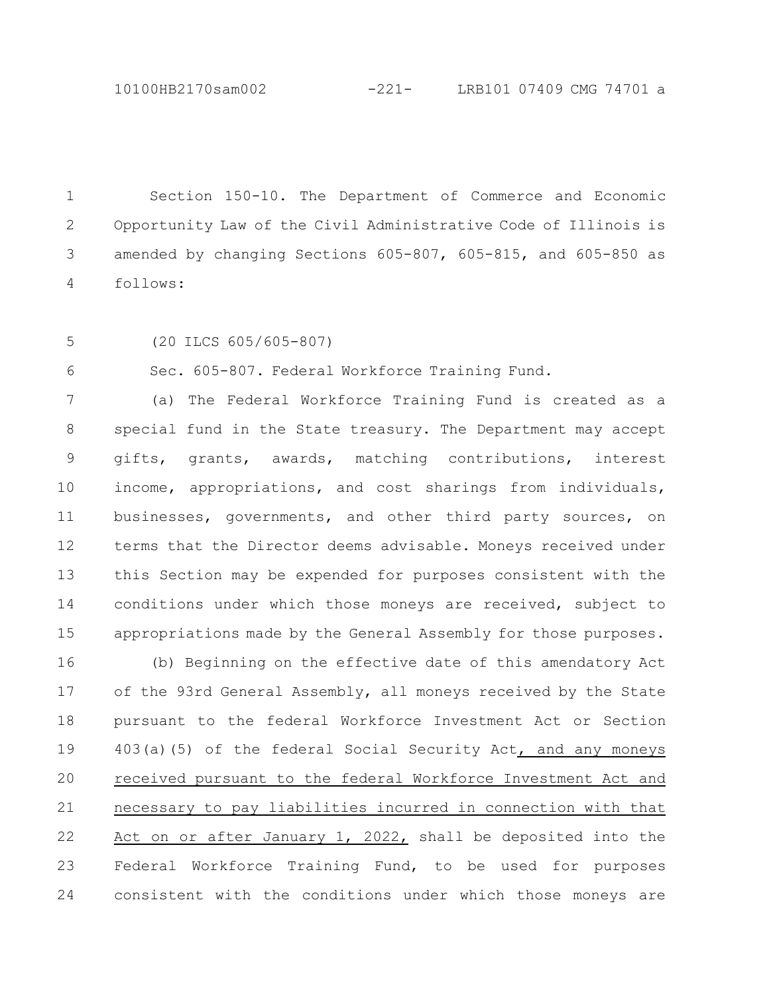10100HB2170sam002 -221- LRB101 07409 CMG 74701 a

Section 150-10. The Department of Commerce and Economic Opportunity Law of the Civil Administrative Code of Illinois is amended by changing Sections 605-807, 605-815, and 605-850 as follows: 1 2 3 4

5

(20 ILCS 605/605-807)

Sec. 605-807. Federal Workforce Training Fund. 6

(a) The Federal Workforce Training Fund is created as a special fund in the State treasury. The Department may accept gifts, grants, awards, matching contributions, interest income, appropriations, and cost sharings from individuals, businesses, governments, and other third party sources, on terms that the Director deems advisable. Moneys received under this Section may be expended for purposes consistent with the conditions under which those moneys are received, subject to appropriations made by the General Assembly for those purposes. 7 8 9 10 11 12 13 14 15

(b) Beginning on the effective date of this amendatory Act of the 93rd General Assembly, all moneys received by the State pursuant to the federal Workforce Investment Act or Section 403(a)(5) of the federal Social Security Act, and any moneys received pursuant to the federal Workforce Investment Act and necessary to pay liabilities incurred in connection with that Act on or after January 1, 2022, shall be deposited into the Federal Workforce Training Fund, to be used for purposes consistent with the conditions under which those moneys are 16 17 18 19 20 21 22 23 24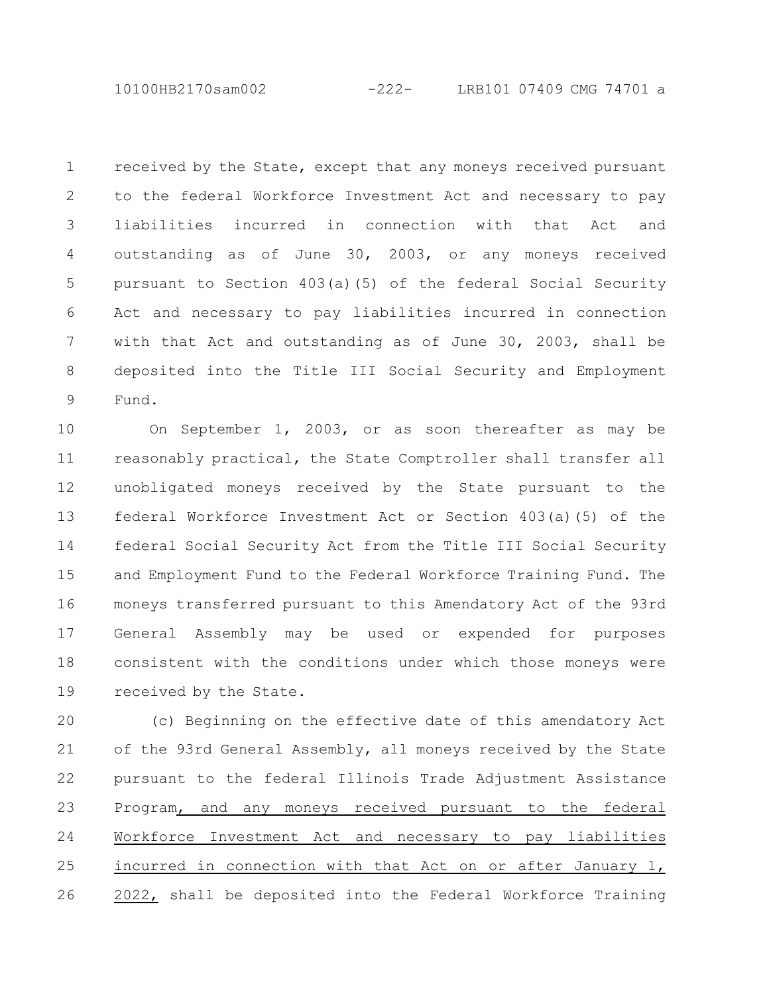10100HB2170sam002 -222- LRB101 07409 CMG 74701 a

received by the State, except that any moneys received pursuant to the federal Workforce Investment Act and necessary to pay liabilities incurred in connection with that Act and outstanding as of June 30, 2003, or any moneys received pursuant to Section 403(a)(5) of the federal Social Security Act and necessary to pay liabilities incurred in connection with that Act and outstanding as of June 30, 2003, shall be deposited into the Title III Social Security and Employment Fund. 1 2 3 4 5 6 7 8 9

On September 1, 2003, or as soon thereafter as may be reasonably practical, the State Comptroller shall transfer all unobligated moneys received by the State pursuant to the federal Workforce Investment Act or Section 403(a)(5) of the federal Social Security Act from the Title III Social Security and Employment Fund to the Federal Workforce Training Fund. The moneys transferred pursuant to this Amendatory Act of the 93rd General Assembly may be used or expended for purposes consistent with the conditions under which those moneys were received by the State. 10 11 12 13 14 15 16 17 18 19

(c) Beginning on the effective date of this amendatory Act of the 93rd General Assembly, all moneys received by the State pursuant to the federal Illinois Trade Adjustment Assistance Program, and any moneys received pursuant to the federal Workforce Investment Act and necessary to pay liabilities incurred in connection with that Act on or after January 1, 2022, shall be deposited into the Federal Workforce Training 20 21 22 23 24 25 26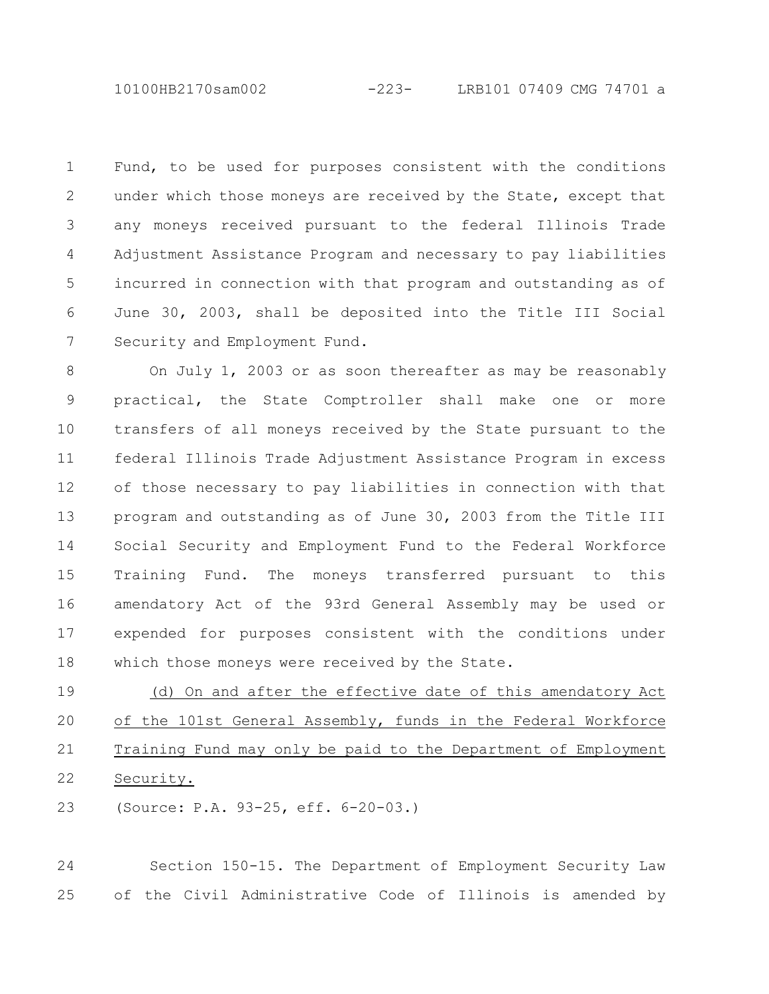10100HB2170sam002 -223- LRB101 07409 CMG 74701 a

Fund, to be used for purposes consistent with the conditions under which those moneys are received by the State, except that any moneys received pursuant to the federal Illinois Trade Adjustment Assistance Program and necessary to pay liabilities incurred in connection with that program and outstanding as of June 30, 2003, shall be deposited into the Title III Social Security and Employment Fund. 1 2 3 4 5 6 7

On July 1, 2003 or as soon thereafter as may be reasonably practical, the State Comptroller shall make one or more transfers of all moneys received by the State pursuant to the federal Illinois Trade Adjustment Assistance Program in excess of those necessary to pay liabilities in connection with that program and outstanding as of June 30, 2003 from the Title III Social Security and Employment Fund to the Federal Workforce Training Fund. The moneys transferred pursuant to this amendatory Act of the 93rd General Assembly may be used or expended for purposes consistent with the conditions under which those moneys were received by the State. 8 9 10 11 12 13 14 15 16 17 18

(d) On and after the effective date of this amendatory Act of the 101st General Assembly, funds in the Federal Workforce Training Fund may only be paid to the Department of Employment Security. 19 20 21 22

(Source: P.A. 93-25, eff. 6-20-03.) 23

Section 150-15. The Department of Employment Security Law of the Civil Administrative Code of Illinois is amended by 24 25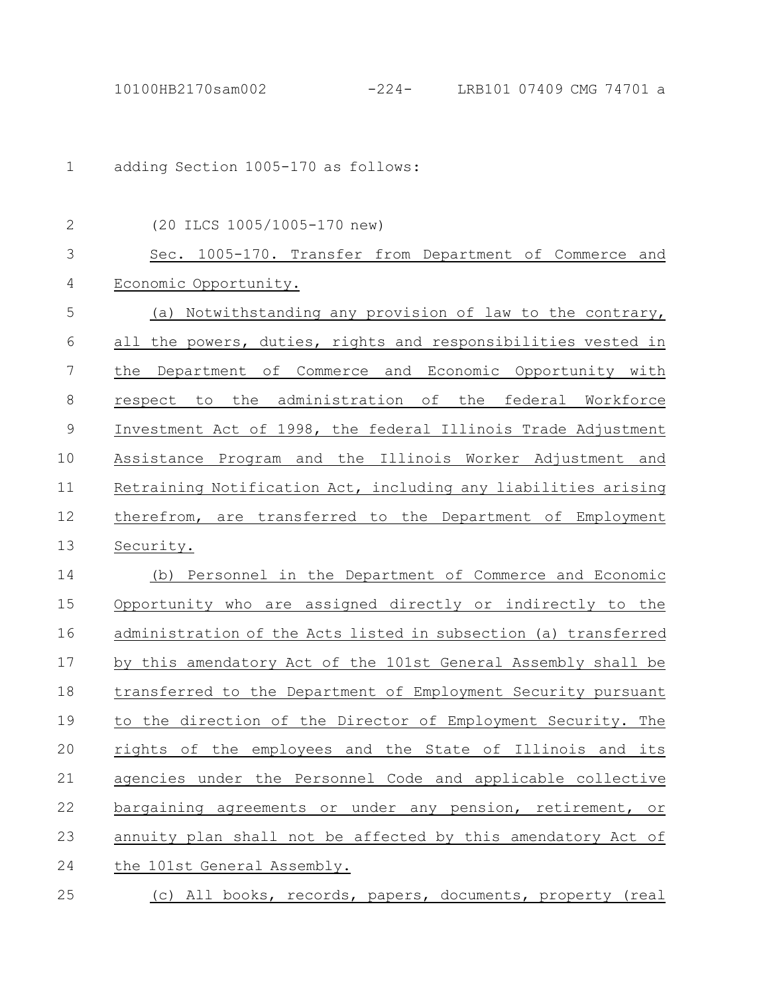adding Section 1005-170 as follows: 1

| $\mathbf{2}$  | (20 ILCS 1005/1005-170 new)                                      |
|---------------|------------------------------------------------------------------|
| 3             | Sec. 1005-170. Transfer from Department of Commerce and          |
| 4             | Economic Opportunity.                                            |
| 5             | Notwithstanding any provision of law to the contrary,<br>(a)     |
| 6             | the powers, duties, rights and responsibilities vested in<br>all |
| 7             | Department of Commerce and Economic Opportunity with<br>the      |
| 8             | administration of the federal Workforce<br>respect to<br>the     |
| $\mathcal{G}$ | Investment Act of 1998, the federal Illinois Trade Adjustment    |
| 10            | Assistance Program and the Illinois Worker Adjustment and        |
| 11            | Retraining Notification Act, including any liabilities arising   |
| 12            | therefrom, are transferred to the Department of Employment       |
| 13            | Security.                                                        |
| 14            | Personnel in the Department of Commerce and Economic<br>(b)      |
| 15            | Opportunity who are assigned directly or indirectly to the       |
| 16            | administration of the Acts listed in subsection (a) transferred  |
| 17            | by this amendatory Act of the 101st General Assembly shall be    |
| 18            | transferred to the Department of Employment Security pursuant    |
| 19            | to the direction of the Director of Employment Security. The     |
| 20            | rights of the employees and the State of Illinois and its        |
| 21            | agencies under the Personnel Code and applicable collective      |
| 22            | bargaining agreements or under any pension, retirement, or       |
| 23            | annuity plan shall not be affected by this amendatory Act of     |
| 24            | the 101st General Assembly.                                      |
| 25            | (c) All books, records, papers, documents, property (real        |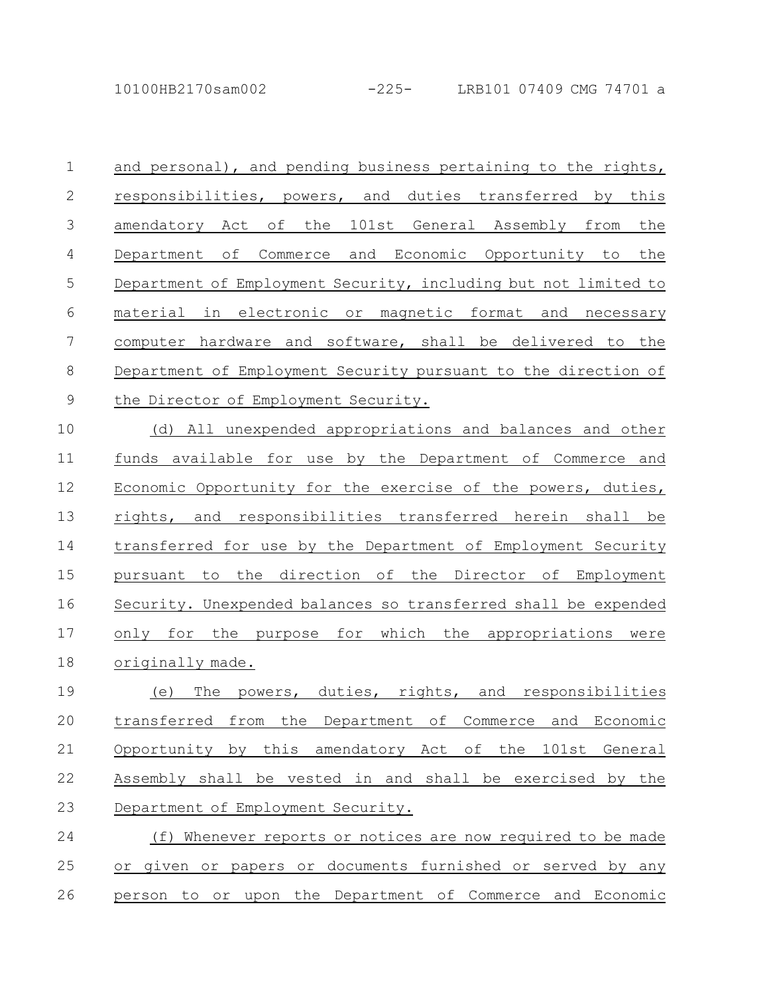10100HB2170sam002 -225- LRB101 07409 CMG 74701 a

and personal), and pending business pertaining to the rights, responsibilities, powers, and duties transferred by this amendatory Act of the 101st General Assembly from the Department of Commerce and Economic Opportunity to the Department of Employment Security, including but not limited to material in electronic or magnetic format and necessary computer hardware and software, shall be delivered to the Department of Employment Security pursuant to the direction of the Director of Employment Security. 1 2 3 4 5 6 7 8 9

(d) All unexpended appropriations and balances and other funds available for use by the Department of Commerce and Economic Opportunity for the exercise of the powers, duties, rights, and responsibilities transferred herein shall be transferred for use by the Department of Employment Security pursuant to the direction of the Director of Employment Security. Unexpended balances so transferred shall be expended only for the purpose for which the appropriations were originally made. 10 11 12 13 14 15 16 17 18

(e) The powers, duties, rights, and responsibilities transferred from the Department of Commerce and Economic Opportunity by this amendatory Act of the 101st General Assembly shall be vested in and shall be exercised by the Department of Employment Security. 19 20 21 22 23

(f) Whenever reports or notices are now required to be made or given or papers or documents furnished or served by any person to or upon the Department of Commerce and Economic 24 25 26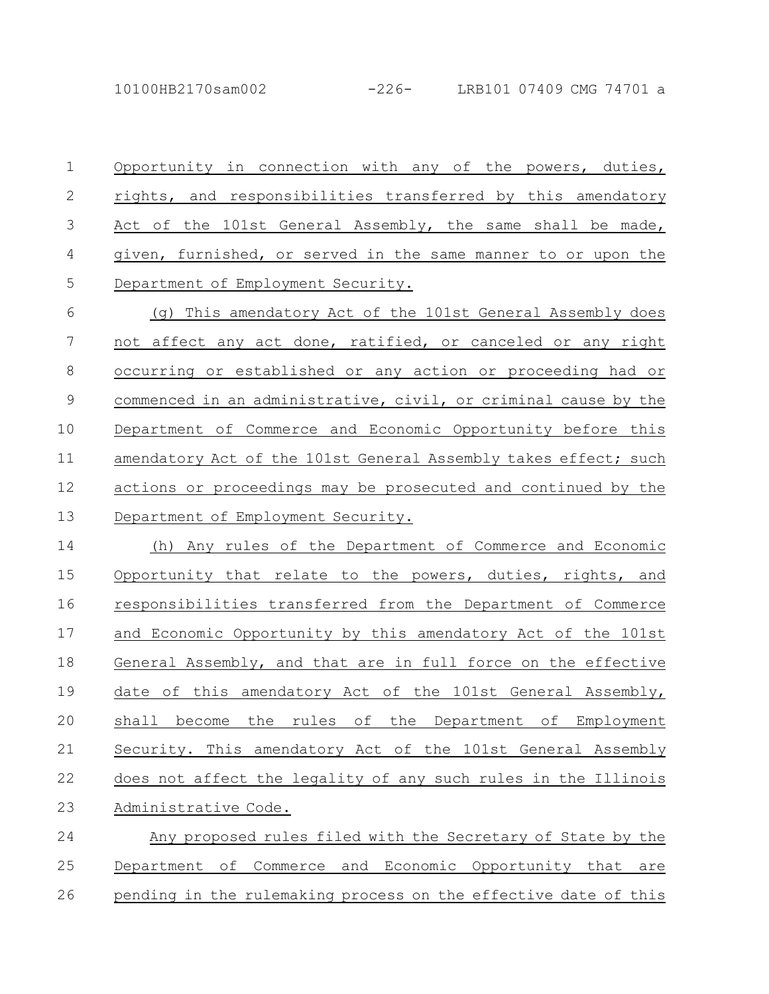10100HB2170sam002 -226- LRB101 07409 CMG 74701 a

Opportunity in connection with any of the powers, duties, rights, and responsibilities transferred by this amendatory Act of the 101st General Assembly, the same shall be made, given, furnished, or served in the same manner to or upon the Department of Employment Security. 1 2 3 4 5

(g) This amendatory Act of the 101st General Assembly does not affect any act done, ratified, or canceled or any right occurring or established or any action or proceeding had or commenced in an administrative, civil, or criminal cause by the Department of Commerce and Economic Opportunity before this amendatory Act of the 101st General Assembly takes effect; such actions or proceedings may be prosecuted and continued by the Department of Employment Security. 6 7 8 9 10 11 12 13

(h) Any rules of the Department of Commerce and Economic Opportunity that relate to the powers, duties, rights, and responsibilities transferred from the Department of Commerce and Economic Opportunity by this amendatory Act of the 101st General Assembly, and that are in full force on the effective date of this amendatory Act of the 101st General Assembly, shall become the rules of the Department of Employment Security. This amendatory Act of the 101st General Assembly does not affect the legality of any such rules in the Illinois Administrative Code. 14 15 16 17 18 19 20 21 22 23

Any proposed rules filed with the Secretary of State by the Department of Commerce and Economic Opportunity that are pending in the rulemaking process on the effective date of this 24 25 26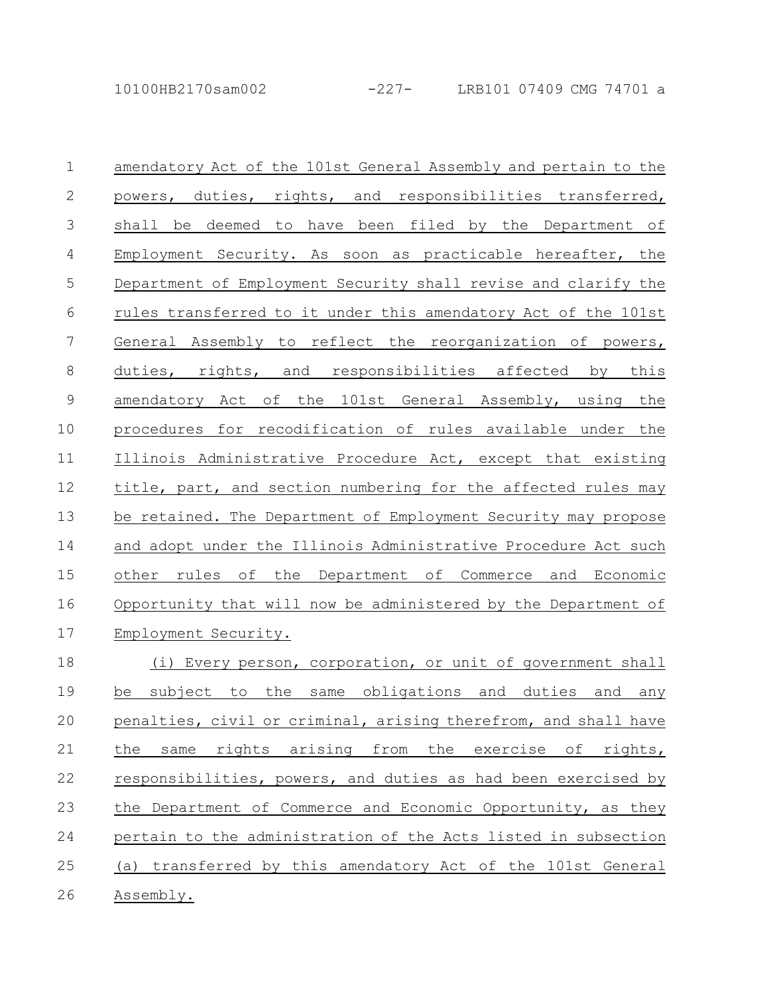| $\mathbf 1$    | amendatory Act of the 101st General Assembly and pertain to the |
|----------------|-----------------------------------------------------------------|
| $\mathbf{2}$   | powers, duties, rights, and responsibilities transferred,       |
| 3              | shall be deemed to have been filed by the Department of         |
| $\overline{4}$ | Employment Security. As soon as practicable hereafter, the      |
| 5              | Department of Employment Security shall revise and clarify the  |
| 6              | rules transferred to it under this amendatory Act of the 101st  |
| $\overline{7}$ | General Assembly to reflect the reorganization of powers,       |
| $8\,$          | duties, rights, and responsibilities affected by this           |
| $\mathcal{G}$  | amendatory Act of the 101st General Assembly, using the         |
| 10             | procedures for recodification of rules available under the      |
| 11             | Illinois Administrative Procedure Act, except that existing     |
| 12             | title, part, and section numbering for the affected rules may   |
| 13             | be retained. The Department of Employment Security may propose  |
| 14             | and adopt under the Illinois Administrative Procedure Act such  |
| 15             | other rules of the Department of Commerce and Economic          |
| 16             | Opportunity that will now be administered by the Department of  |
| 17             | Employment Security.                                            |
| 18             | (i) Every person, corporation, or unit of government shall      |
| 19             | the same obligations and duties and any<br>subject to<br>be     |
| 20             | penalties, civil or criminal, arising therefrom, and shall have |
| 21             | rights arising from the exercise of<br>rights,<br>the<br>same   |
| 22             | responsibilities, powers, and duties as had been exercised by   |
| 23             | the Department of Commerce and Economic Opportunity, as they    |
| 24             | pertain to the administration of the Acts listed in subsection  |
| 25             | (a) transferred by this amendatory Act of the 101st General     |
| 26             | Assembly.                                                       |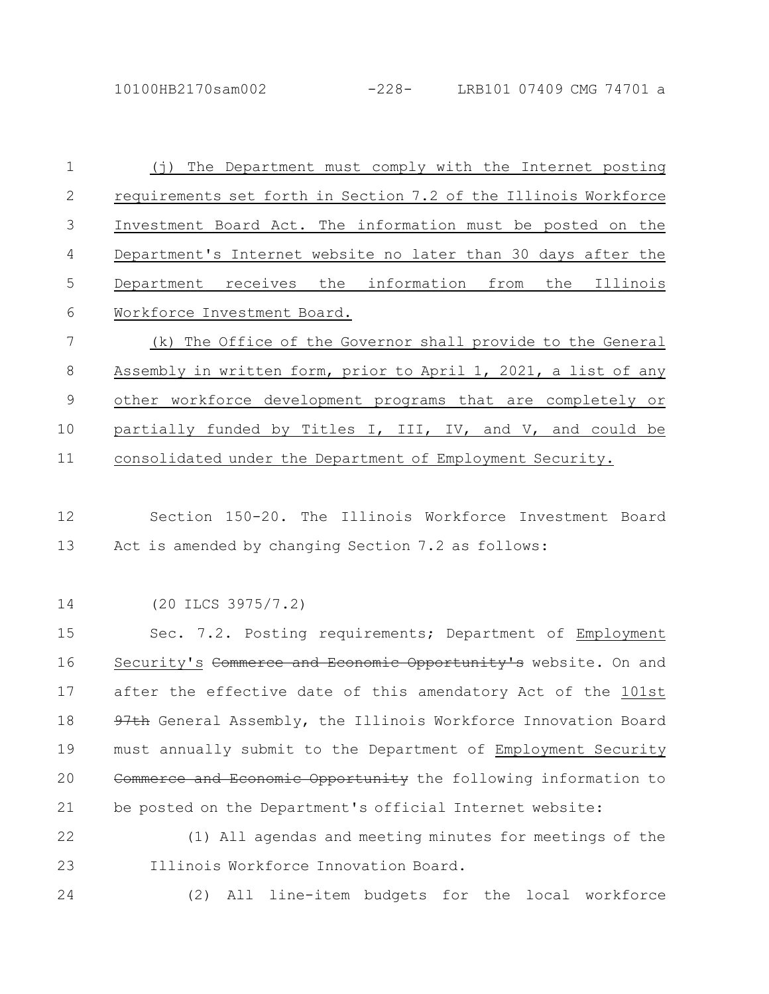10100HB2170sam002 -228- LRB101 07409 CMG 74701 a

(j) The Department must comply with the Internet posting requirements set forth in Section 7.2 of the Illinois Workforce Investment Board Act. The information must be posted on the Department's Internet website no later than 30 days after the Department receives the information from the Illinois Workforce Investment Board. (k) The Office of the Governor shall provide to the General Assembly in written form, prior to April 1, 2021, a list of any other workforce development programs that are completely or partially funded by Titles I, III, IV, and V, and could be 1 2 3 4 5 6 7 8 9 10

consolidated under the Department of Employment Security. 11

Section 150-20. The Illinois Workforce Investment Board Act is amended by changing Section 7.2 as follows: 12 13

(20 ILCS 3975/7.2) 14

Sec. 7.2. Posting requirements; Department of Employment Security's Commerce and Economic Opportunity's website. On and after the effective date of this amendatory Act of the 101st 97th General Assembly, the Illinois Workforce Innovation Board must annually submit to the Department of Employment Security Commerce and Economic Opportunity the following information to be posted on the Department's official Internet website: 15 16 17 18 19 20 21

(1) All agendas and meeting minutes for meetings of the Illinois Workforce Innovation Board. 22 23

24

(2) All line-item budgets for the local workforce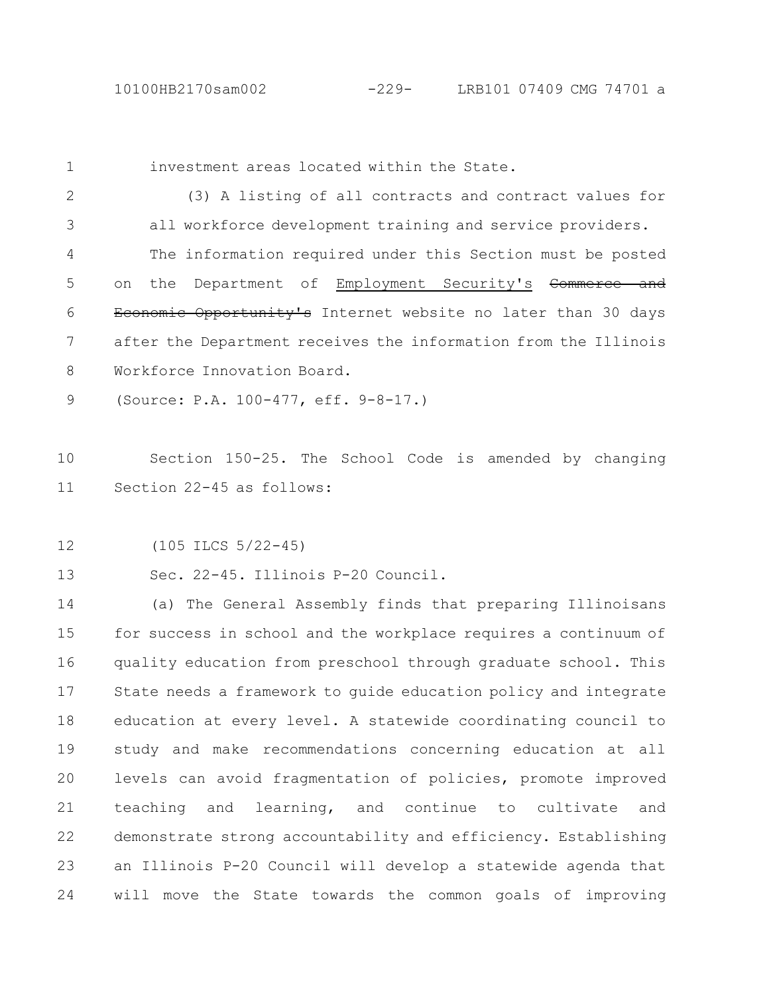1

investment areas located within the State.

(3) A listing of all contracts and contract values for all workforce development training and service providers. The information required under this Section must be posted on the Department of Employment Security's Commerce and Economic Opportunity's Internet website no later than 30 days after the Department receives the information from the Illinois Workforce Innovation Board. 2 3 4 5 6 7 8

(Source: P.A. 100-477, eff. 9-8-17.) 9

Section 150-25. The School Code is amended by changing Section 22-45 as follows: 10 11

(105 ILCS 5/22-45) 12

Sec. 22-45. Illinois P-20 Council. 13

(a) The General Assembly finds that preparing Illinoisans for success in school and the workplace requires a continuum of quality education from preschool through graduate school. This State needs a framework to guide education policy and integrate education at every level. A statewide coordinating council to study and make recommendations concerning education at all levels can avoid fragmentation of policies, promote improved teaching and learning, and continue to cultivate and demonstrate strong accountability and efficiency. Establishing an Illinois P-20 Council will develop a statewide agenda that will move the State towards the common goals of improving 14 15 16 17 18 19 20 21 22 23 24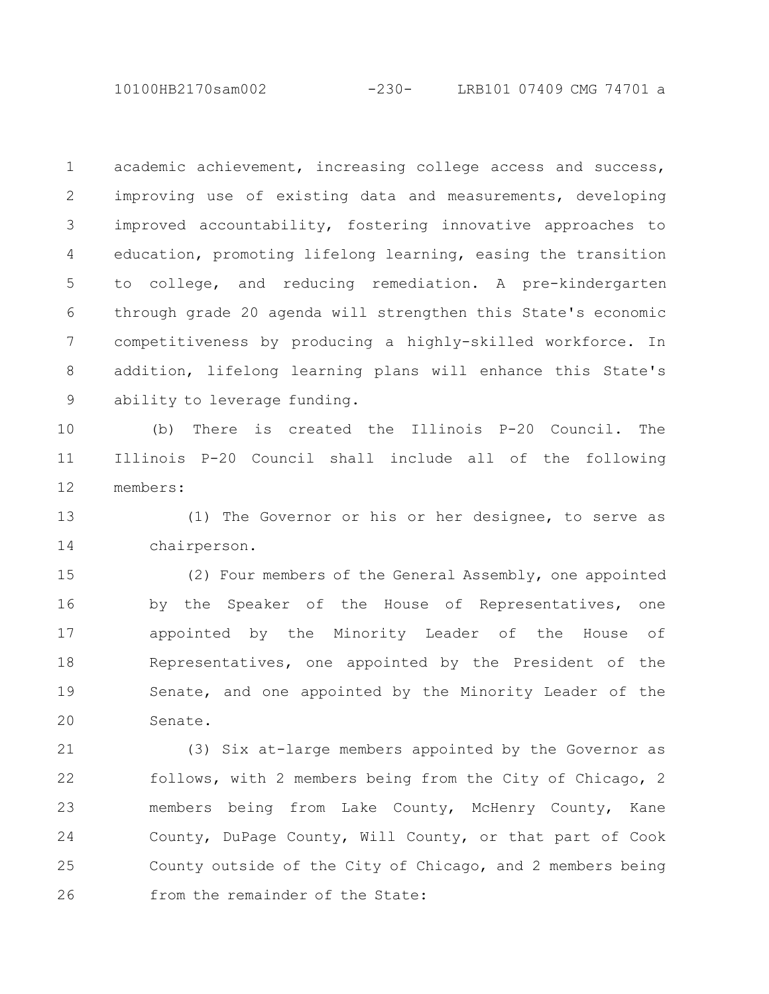10100HB2170sam002 -230- LRB101 07409 CMG 74701 a

academic achievement, increasing college access and success, improving use of existing data and measurements, developing improved accountability, fostering innovative approaches to education, promoting lifelong learning, easing the transition to college, and reducing remediation. A pre-kindergarten through grade 20 agenda will strengthen this State's economic competitiveness by producing a highly-skilled workforce. In addition, lifelong learning plans will enhance this State's ability to leverage funding. 1 2 3 4 5 6 7 8 9

(b) There is created the Illinois P-20 Council. The Illinois P-20 Council shall include all of the following members: 10 11 12

(1) The Governor or his or her designee, to serve as chairperson. 13 14

(2) Four members of the General Assembly, one appointed by the Speaker of the House of Representatives, one appointed by the Minority Leader of the House of Representatives, one appointed by the President of the Senate, and one appointed by the Minority Leader of the Senate. 15 16 17 18 19 20

(3) Six at-large members appointed by the Governor as follows, with 2 members being from the City of Chicago, 2 members being from Lake County, McHenry County, Kane County, DuPage County, Will County, or that part of Cook County outside of the City of Chicago, and 2 members being from the remainder of the State: 21 22 23 24 25 26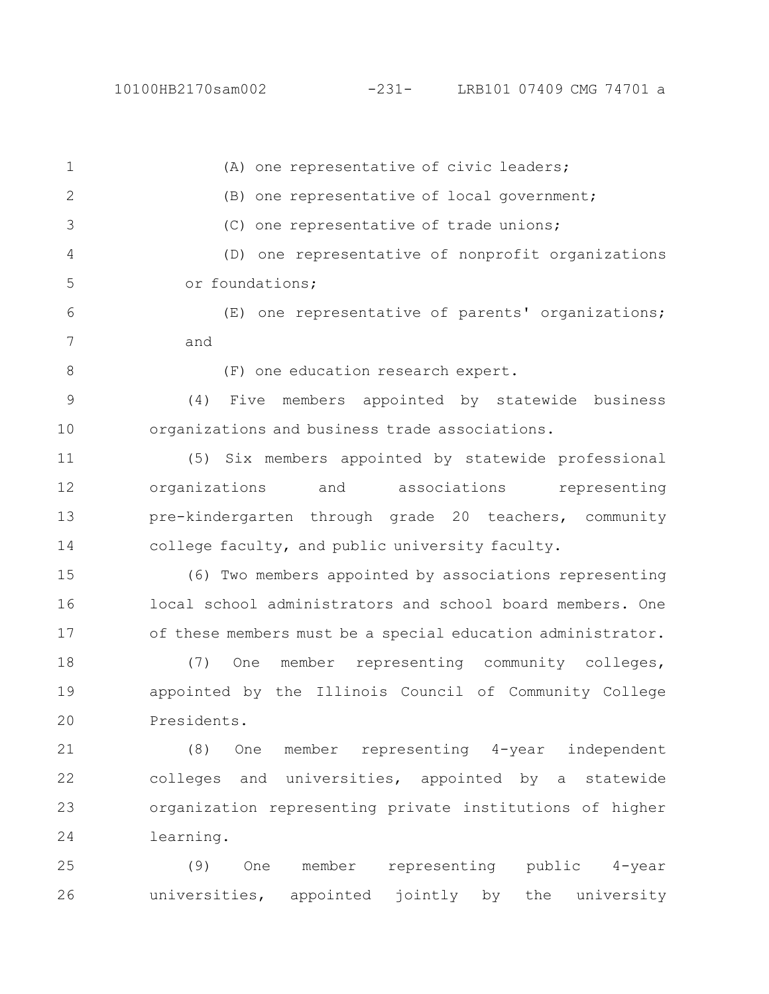26

(A) one representative of civic leaders; (B) one representative of local government; (C) one representative of trade unions; (D) one representative of nonprofit organizations or foundations; (E) one representative of parents' organizations; and (F) one education research expert. (4) Five members appointed by statewide business organizations and business trade associations. (5) Six members appointed by statewide professional organizations and associations representing pre-kindergarten through grade 20 teachers, community college faculty, and public university faculty. (6) Two members appointed by associations representing local school administrators and school board members. One of these members must be a special education administrator. (7) One member representing community colleges, appointed by the Illinois Council of Community College Presidents. (8) One member representing 4-year independent colleges and universities, appointed by a statewide organization representing private institutions of higher learning. (9) One member representing public 4-year 1 2 3 4 5 6 7 8 9 10 11 12 13 14 15 16 17 18 19 20 21 22 23 24 25

universities, appointed jointly by the university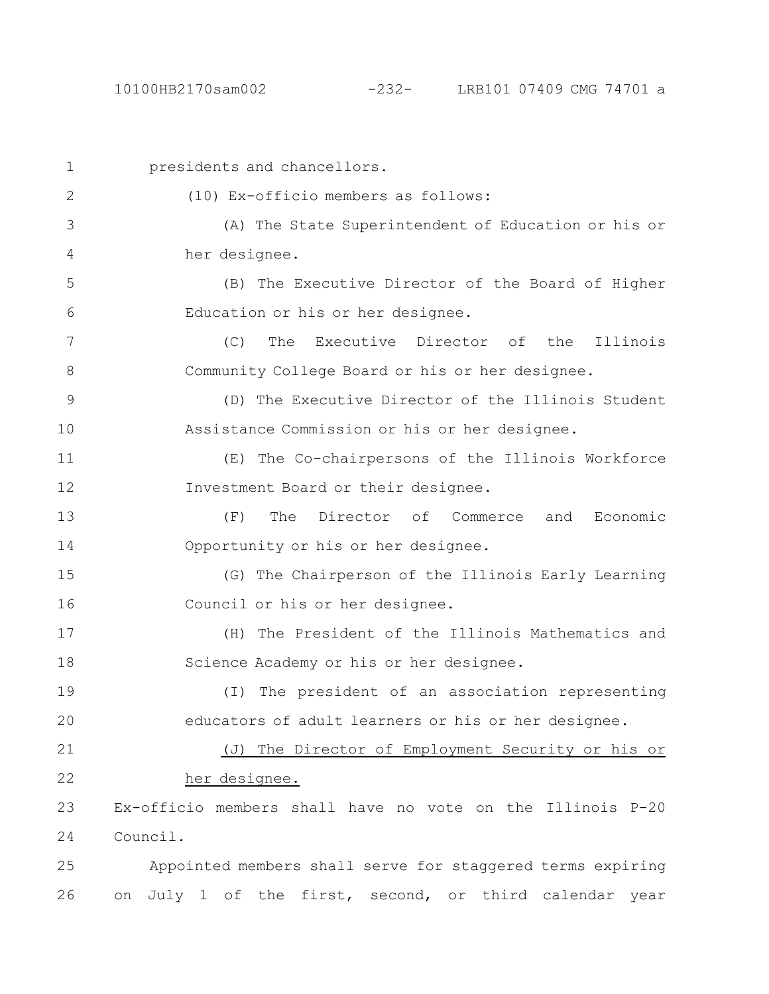| $\mathbf{1}$  | presidents and chancellors.                                       |  |  |  |  |
|---------------|-------------------------------------------------------------------|--|--|--|--|
| 2             | (10) Ex-officio members as follows:                               |  |  |  |  |
| 3             | (A) The State Superintendent of Education or his or               |  |  |  |  |
| 4             | her designee.                                                     |  |  |  |  |
| 5             | (B) The Executive Director of the Board of Higher                 |  |  |  |  |
| 6             | Education or his or her designee.                                 |  |  |  |  |
| 7             | (C)<br>The<br>Executive Director of the Illinois                  |  |  |  |  |
| 8             | Community College Board or his or her designee.                   |  |  |  |  |
| $\mathcal{G}$ | (D) The Executive Director of the Illinois Student                |  |  |  |  |
| 10            | Assistance Commission or his or her designee.                     |  |  |  |  |
| 11            | (E) The Co-chairpersons of the Illinois Workforce                 |  |  |  |  |
| 12            | Investment Board or their designee.                               |  |  |  |  |
| 13            | The Director of Commerce and<br>(F)<br>Economic                   |  |  |  |  |
| 14            | Opportunity or his or her designee.                               |  |  |  |  |
| 15            | (G) The Chairperson of the Illinois Early Learning                |  |  |  |  |
| 16            | Council or his or her designee.                                   |  |  |  |  |
| 17            | (H) The President of the Illinois Mathematics and                 |  |  |  |  |
| 18            | Science Academy or his or her designee.                           |  |  |  |  |
| 19            | The president of an association representing<br>$(\top)$          |  |  |  |  |
| 20            | educators of adult learners or his or her designee.               |  |  |  |  |
| 21            | The Director of Employment Security or his or<br>$(\overline{J})$ |  |  |  |  |
| 22            | her designee.                                                     |  |  |  |  |
| 23            | Ex-officio members shall have no vote on the Illinois P-20        |  |  |  |  |
| 24            | Council.                                                          |  |  |  |  |
| 25            | Appointed members shall serve for staggered terms expiring        |  |  |  |  |
| 26            | July 1 of the first, second, or third calendar year<br>on         |  |  |  |  |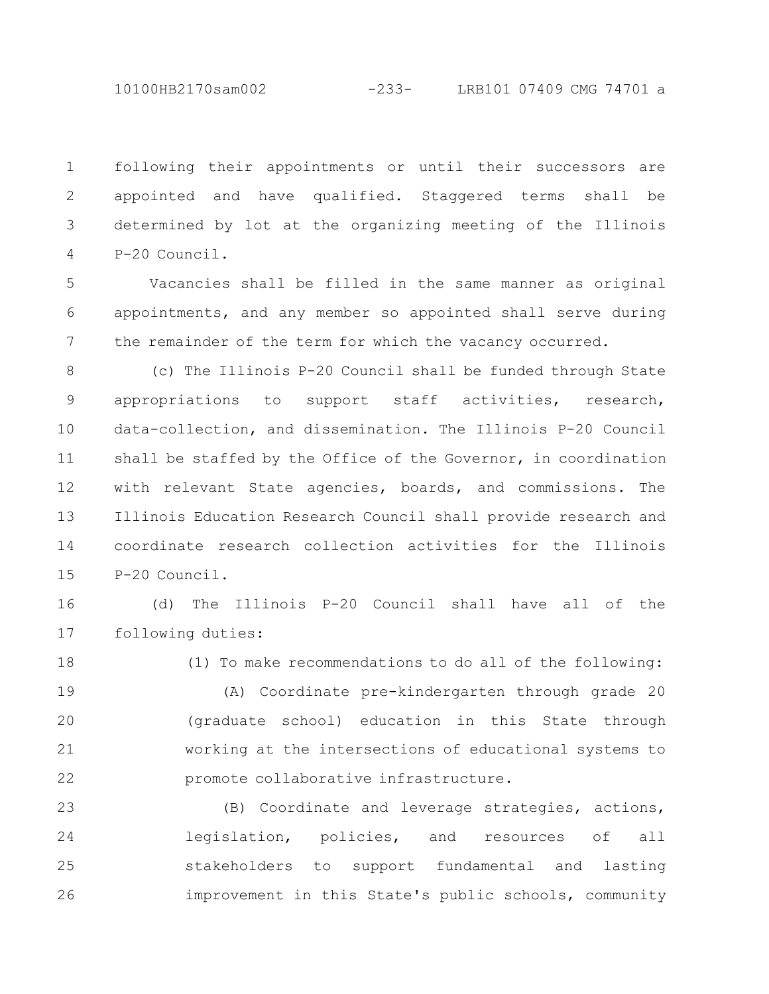10100HB2170sam002 -233- LRB101 07409 CMG 74701 a

following their appointments or until their successors are appointed and have qualified. Staggered terms shall be determined by lot at the organizing meeting of the Illinois P-20 Council. 1 2 3 4

Vacancies shall be filled in the same manner as original appointments, and any member so appointed shall serve during the remainder of the term for which the vacancy occurred. 5 6 7

(c) The Illinois P-20 Council shall be funded through State appropriations to support staff activities, research, data-collection, and dissemination. The Illinois P-20 Council shall be staffed by the Office of the Governor, in coordination with relevant State agencies, boards, and commissions. The Illinois Education Research Council shall provide research and coordinate research collection activities for the Illinois P-20 Council. 8 9 10 11 12 13 14 15

(d) The Illinois P-20 Council shall have all of the following duties: 16 17

18

(1) To make recommendations to do all of the following:

(A) Coordinate pre-kindergarten through grade 20 (graduate school) education in this State through working at the intersections of educational systems to promote collaborative infrastructure. 19 20 21 22

(B) Coordinate and leverage strategies, actions, legislation, policies, and resources of all stakeholders to support fundamental and lasting improvement in this State's public schools, community 23 24 25 26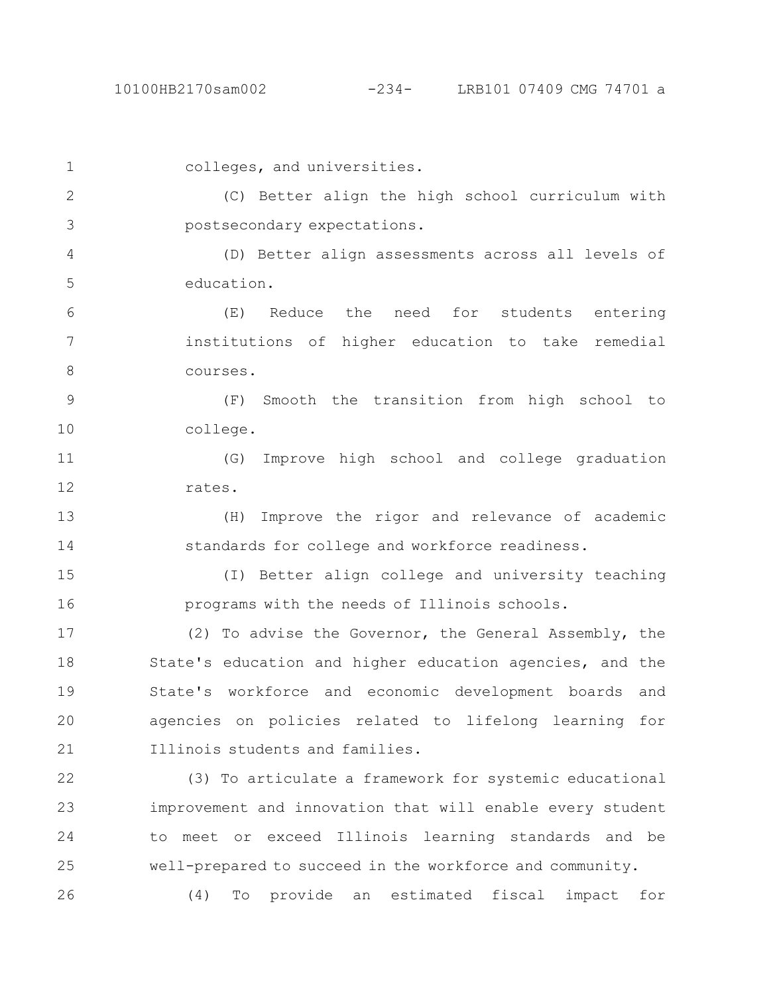colleges, and universities. (C) Better align the high school curriculum with postsecondary expectations. (D) Better align assessments across all levels of education. (E) Reduce the need for students entering institutions of higher education to take remedial courses. (F) Smooth the transition from high school to college. (G) Improve high school and college graduation rates. (H) Improve the rigor and relevance of academic standards for college and workforce readiness. (I) Better align college and university teaching programs with the needs of Illinois schools. (2) To advise the Governor, the General Assembly, the State's education and higher education agencies, and the State's workforce and economic development boards and 1 2 3 4 5 6 7 8 9 10 11 12 13 14 15 16 17 18 19

agencies on policies related to lifelong learning for Illinois students and families. 20 21

(3) To articulate a framework for systemic educational improvement and innovation that will enable every student to meet or exceed Illinois learning standards and be well-prepared to succeed in the workforce and community. (4) To provide an estimated fiscal impact for 22 23 24 25 26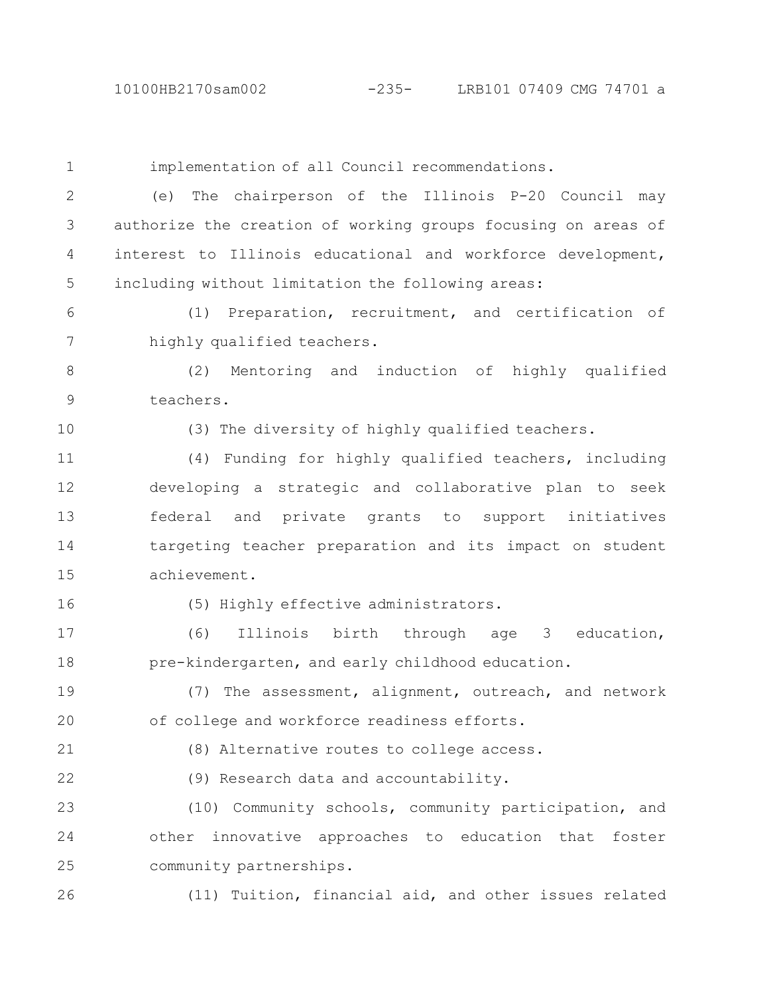| $\mathbf 1$   | implementation of all Council recommendations.                |  |  |  |
|---------------|---------------------------------------------------------------|--|--|--|
| $\mathbf{2}$  | The chairperson of the Illinois P-20 Council may<br>(e)       |  |  |  |
| 3             | authorize the creation of working groups focusing on areas of |  |  |  |
| 4             | interest to Illinois educational and workforce development,   |  |  |  |
| 5             | including without limitation the following areas:             |  |  |  |
| 6             | (1) Preparation, recruitment, and certification of            |  |  |  |
| 7             | highly qualified teachers.                                    |  |  |  |
| $8\,$         | Mentoring and induction of highly qualified<br>(2)            |  |  |  |
| $\mathcal{G}$ | teachers.                                                     |  |  |  |
| 10            | (3) The diversity of highly qualified teachers.               |  |  |  |
| 11            | (4) Funding for highly qualified teachers, including          |  |  |  |
| 12            | developing a strategic and collaborative plan to seek         |  |  |  |
| 13            | federal and private grants to support initiatives             |  |  |  |
| 14            | targeting teacher preparation and its impact on student       |  |  |  |
| 15            | achievement.                                                  |  |  |  |
| 16            | (5) Highly effective administrators.                          |  |  |  |
| 17            | (6)<br>Illinois birth through age 3<br>education,             |  |  |  |
| 18            | pre-kindergarten, and early childhood education.              |  |  |  |
| 19            | The assessment, alignment, outreach, and network<br>(7)       |  |  |  |
| 20            | of college and workforce readiness efforts.                   |  |  |  |
| 21            | (8) Alternative routes to college access.                     |  |  |  |
| 22            | (9) Research data and accountability.                         |  |  |  |
| 23            | (10) Community schools, community participation, and          |  |  |  |
| 24            | other innovative approaches to education that<br>foster       |  |  |  |
| 25            | community partnerships.                                       |  |  |  |
| 26            | (11) Tuition, financial aid, and other issues related         |  |  |  |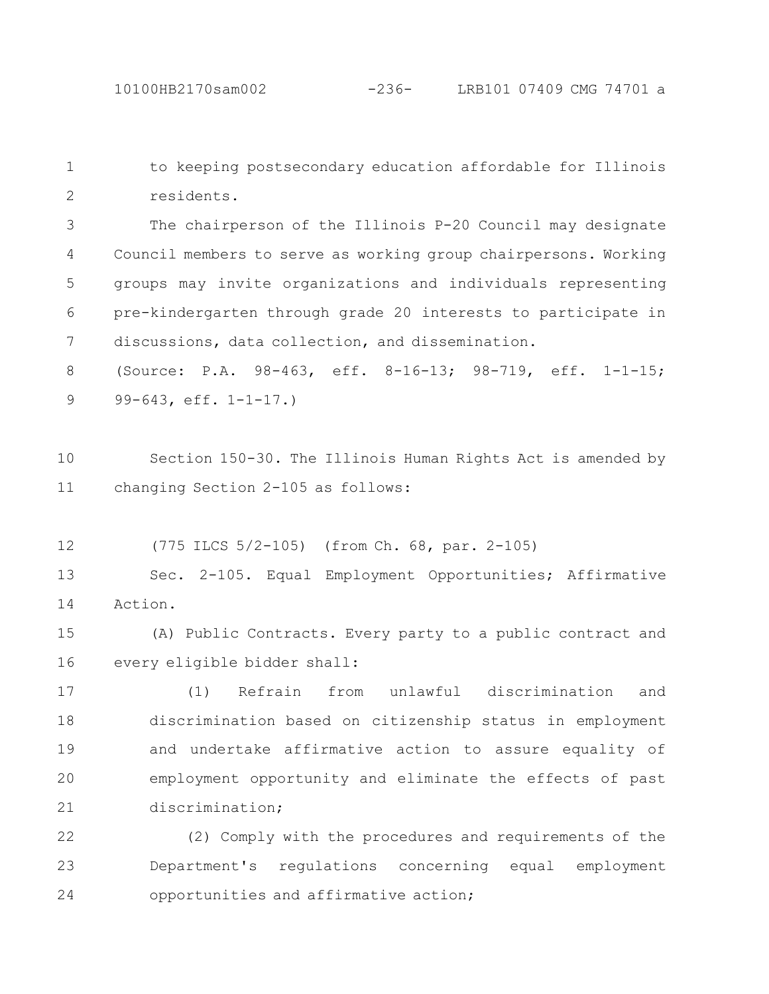to keeping postsecondary education affordable for Illinois residents. 1 2

The chairperson of the Illinois P-20 Council may designate Council members to serve as working group chairpersons. Working groups may invite organizations and individuals representing pre-kindergarten through grade 20 interests to participate in discussions, data collection, and dissemination. 3 4 5 6 7

(Source: P.A. 98-463, eff. 8-16-13; 98-719, eff. 1-1-15; 99-643, eff. 1-1-17.) 8 9

Section 150-30. The Illinois Human Rights Act is amended by changing Section 2-105 as follows: 10 11

(775 ILCS 5/2-105) (from Ch. 68, par. 2-105) 12

Sec. 2-105. Equal Employment Opportunities; Affirmative Action. 13 14

(A) Public Contracts. Every party to a public contract and every eligible bidder shall: 15 16

(1) Refrain from unlawful discrimination and discrimination based on citizenship status in employment and undertake affirmative action to assure equality of employment opportunity and eliminate the effects of past discrimination; 17 18 19 20 21

(2) Comply with the procedures and requirements of the Department's regulations concerning equal employment opportunities and affirmative action; 22 23 24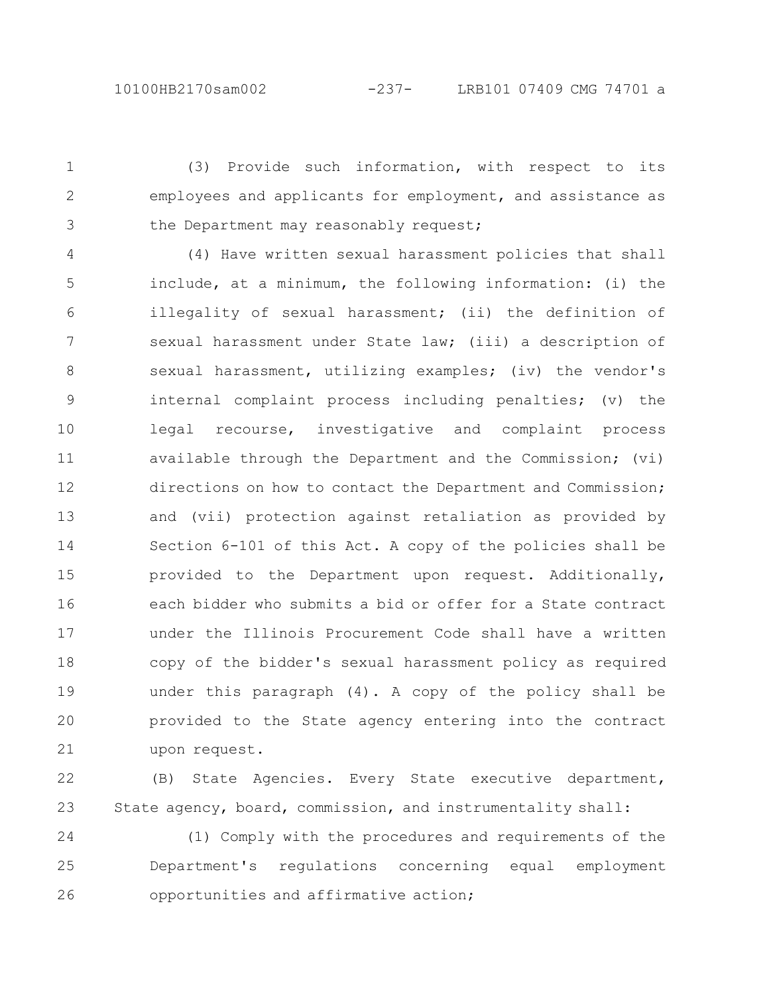(3) Provide such information, with respect to its employees and applicants for employment, and assistance as the Department may reasonably request; 1 2 3

(4) Have written sexual harassment policies that shall include, at a minimum, the following information: (i) the illegality of sexual harassment; (ii) the definition of sexual harassment under State law; (iii) a description of sexual harassment, utilizing examples; (iv) the vendor's internal complaint process including penalties; (v) the legal recourse, investigative and complaint process available through the Department and the Commission; (vi) directions on how to contact the Department and Commission; and (vii) protection against retaliation as provided by Section 6-101 of this Act. A copy of the policies shall be provided to the Department upon request. Additionally, each bidder who submits a bid or offer for a State contract under the Illinois Procurement Code shall have a written copy of the bidder's sexual harassment policy as required under this paragraph (4). A copy of the policy shall be provided to the State agency entering into the contract upon request. 4 5 6 7 8 9 10 11 12 13 14 15 16 17 18 19 20 21

(B) State Agencies. Every State executive department, State agency, board, commission, and instrumentality shall: 22 23

(1) Comply with the procedures and requirements of the Department's regulations concerning equal employment opportunities and affirmative action; 24 25 26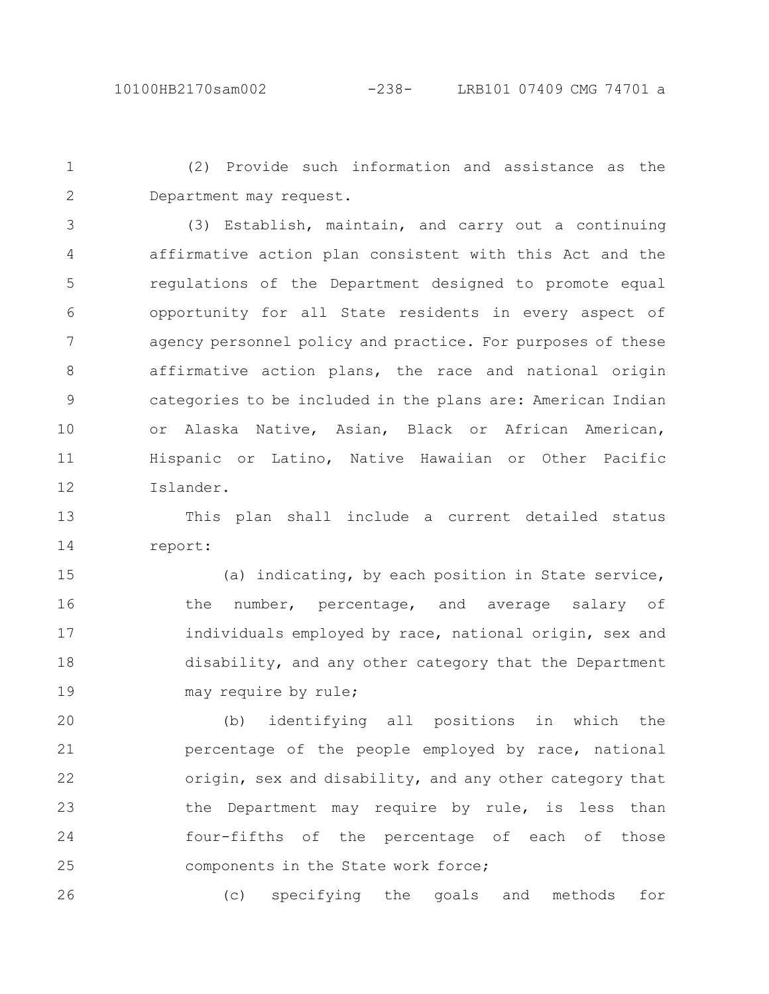(2) Provide such information and assistance as the Department may request. 1 2

(3) Establish, maintain, and carry out a continuing affirmative action plan consistent with this Act and the regulations of the Department designed to promote equal opportunity for all State residents in every aspect of agency personnel policy and practice. For purposes of these affirmative action plans, the race and national origin categories to be included in the plans are: American Indian or Alaska Native, Asian, Black or African American, Hispanic or Latino, Native Hawaiian or Other Pacific Islander. 3 4 5 6 7 8 9 10 11 12

This plan shall include a current detailed status report: 13 14

(a) indicating, by each position in State service, the number, percentage, and average salary of individuals employed by race, national origin, sex and disability, and any other category that the Department may require by rule; 15 16 17 18 19

(b) identifying all positions in which the percentage of the people employed by race, national origin, sex and disability, and any other category that the Department may require by rule, is less than four-fifths of the percentage of each of those components in the State work force; 20 21 22 23 24 25

(c) specifying the goals and methods for 26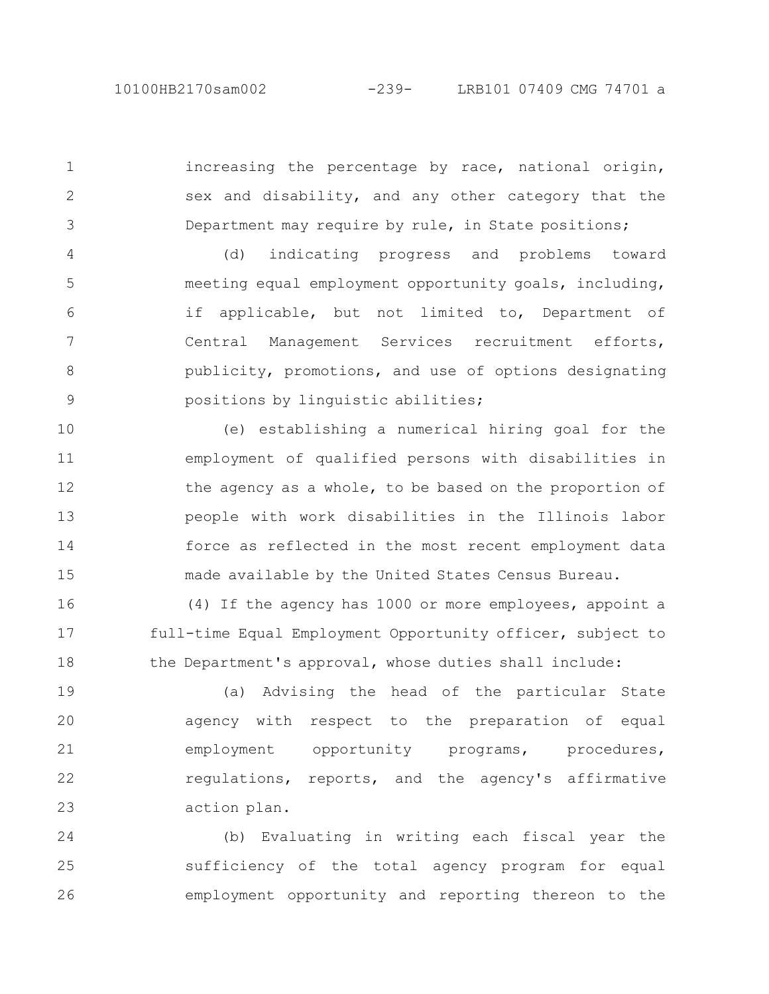1

2

3

increasing the percentage by race, national origin, sex and disability, and any other category that the Department may require by rule, in State positions;

(d) indicating progress and problems toward meeting equal employment opportunity goals, including, if applicable, but not limited to, Department of Central Management Services recruitment efforts, publicity, promotions, and use of options designating positions by linguistic abilities; 4 5 6 7 8 9

(e) establishing a numerical hiring goal for the employment of qualified persons with disabilities in the agency as a whole, to be based on the proportion of people with work disabilities in the Illinois labor force as reflected in the most recent employment data made available by the United States Census Bureau. 10 11 12 13 14 15

(4) If the agency has 1000 or more employees, appoint a full-time Equal Employment Opportunity officer, subject to the Department's approval, whose duties shall include: 16 17 18

(a) Advising the head of the particular State agency with respect to the preparation of equal employment opportunity programs, procedures, regulations, reports, and the agency's affirmative action plan. 19 20 21 22 23

(b) Evaluating in writing each fiscal year the sufficiency of the total agency program for equal employment opportunity and reporting thereon to the 24 25 26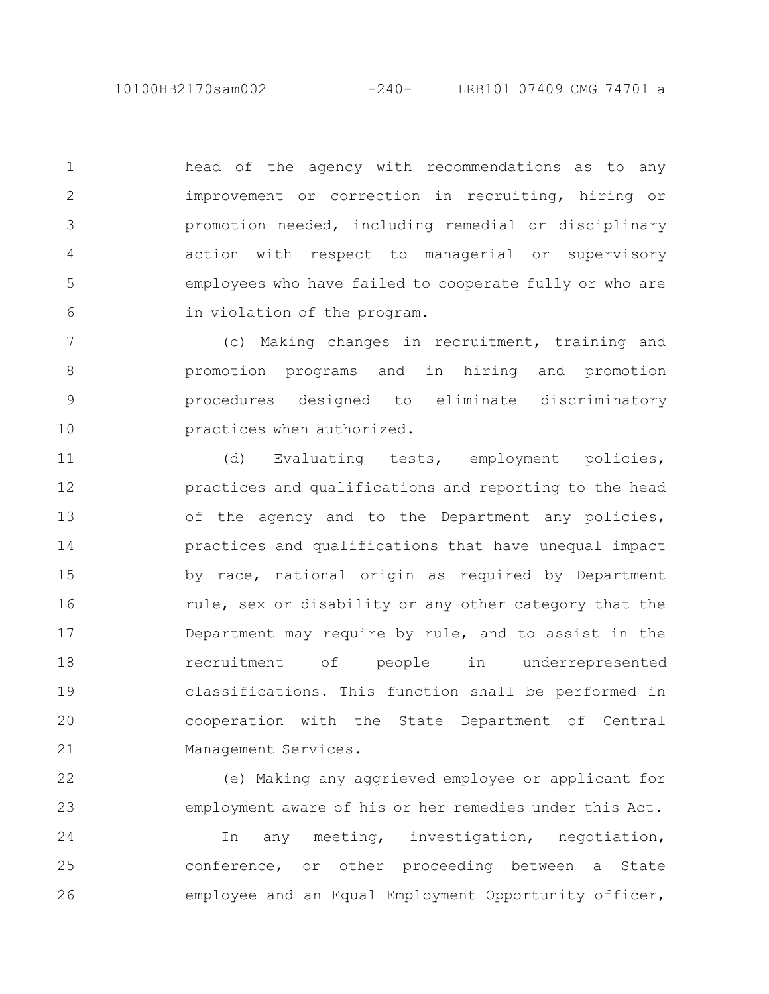10100HB2170sam002 -240- LRB101 07409 CMG 74701 a

2

3

4

5

6

22

23

head of the agency with recommendations as to any improvement or correction in recruiting, hiring or promotion needed, including remedial or disciplinary action with respect to managerial or supervisory employees who have failed to cooperate fully or who are in violation of the program. 1

(c) Making changes in recruitment, training and promotion programs and in hiring and promotion procedures designed to eliminate discriminatory practices when authorized. 7 8 9 10

(d) Evaluating tests, employment policies, practices and qualifications and reporting to the head of the agency and to the Department any policies, practices and qualifications that have unequal impact by race, national origin as required by Department rule, sex or disability or any other category that the Department may require by rule, and to assist in the recruitment of people in underrepresented classifications. This function shall be performed in cooperation with the State Department of Central Management Services. 11 12 13 14 15 16 17 18 19 20 21

> (e) Making any aggrieved employee or applicant for employment aware of his or her remedies under this Act.

In any meeting, investigation, negotiation, conference, or other proceeding between a State employee and an Equal Employment Opportunity officer, 24 25 26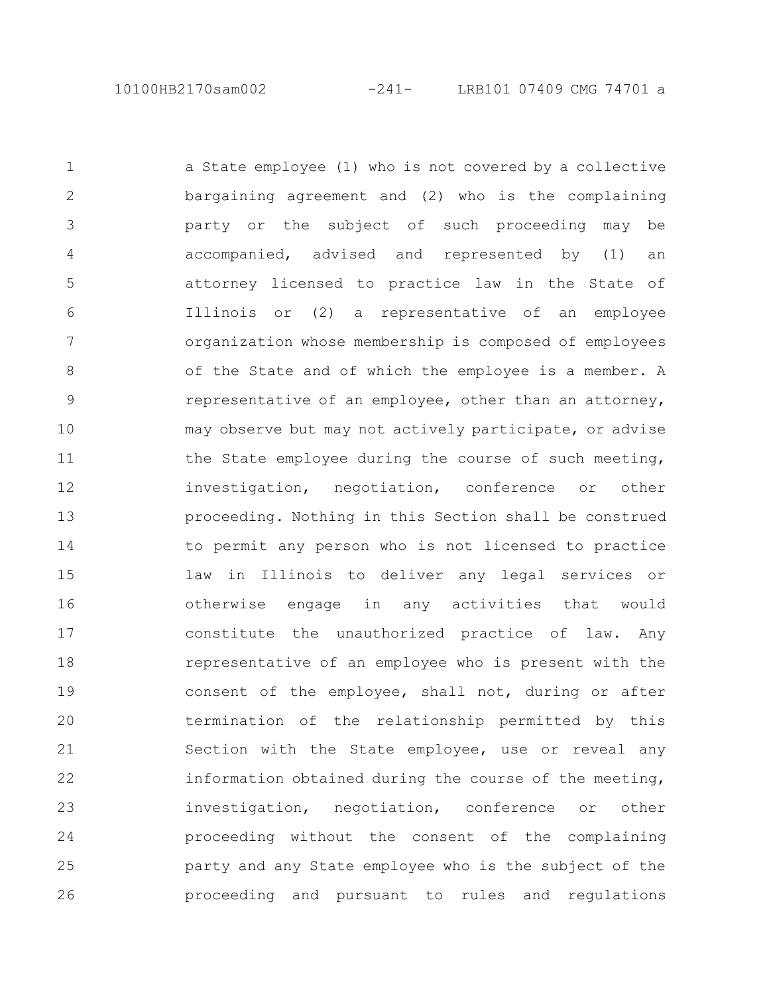a State employee (1) who is not covered by a collective bargaining agreement and (2) who is the complaining party or the subject of such proceeding may be accompanied, advised and represented by (1) an attorney licensed to practice law in the State of Illinois or (2) a representative of an employee organization whose membership is composed of employees of the State and of which the employee is a member. A representative of an employee, other than an attorney, may observe but may not actively participate, or advise the State employee during the course of such meeting, investigation, negotiation, conference or other proceeding. Nothing in this Section shall be construed to permit any person who is not licensed to practice law in Illinois to deliver any legal services or otherwise engage in any activities that would constitute the unauthorized practice of law. Any representative of an employee who is present with the consent of the employee, shall not, during or after termination of the relationship permitted by this Section with the State employee, use or reveal any information obtained during the course of the meeting, investigation, negotiation, conference or other proceeding without the consent of the complaining party and any State employee who is the subject of the proceeding and pursuant to rules and regulations 1 2 3 4 5 6 7 8 9 10 11 12 13 14 15 16 17 18 19 20 21 22 23 24 25 26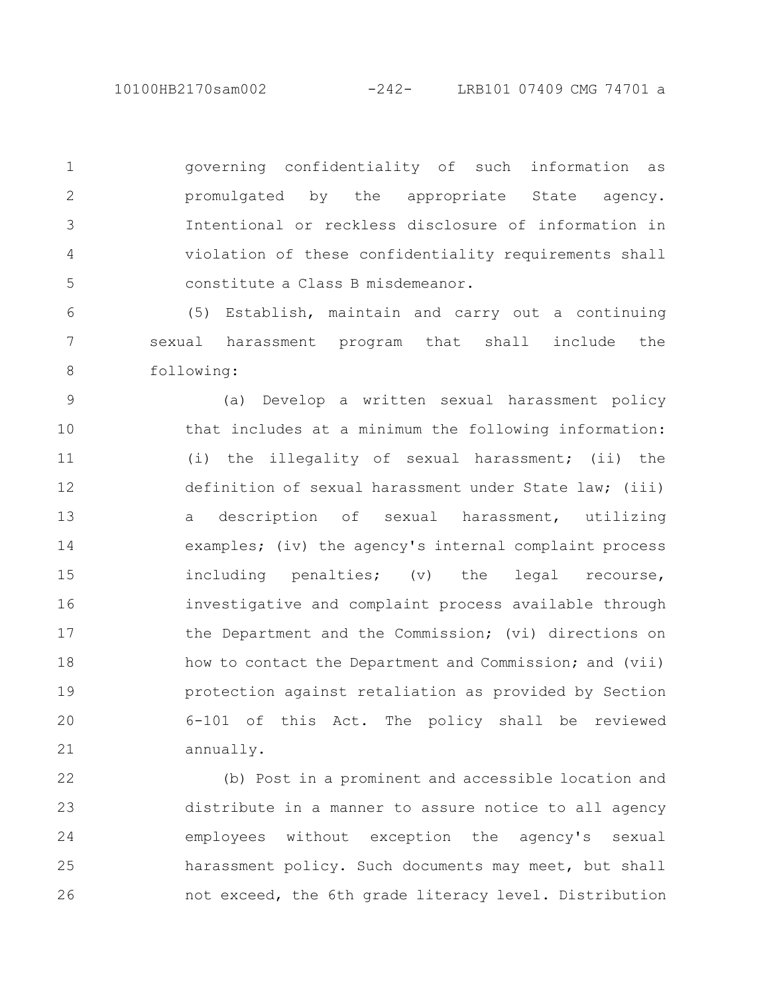10100HB2170sam002 -242- LRB101 07409 CMG 74701 a

governing confidentiality of such information as promulgated by the appropriate State agency. Intentional or reckless disclosure of information in violation of these confidentiality requirements shall constitute a Class B misdemeanor. 1 2 3 4 5

(5) Establish, maintain and carry out a continuing sexual harassment program that shall include the following: 6 7 8

(a) Develop a written sexual harassment policy that includes at a minimum the following information: (i) the illegality of sexual harassment; (ii) the definition of sexual harassment under State law; (iii) a description of sexual harassment, utilizing examples; (iv) the agency's internal complaint process including penalties; (v) the legal recourse, investigative and complaint process available through the Department and the Commission; (vi) directions on how to contact the Department and Commission; and (vii) protection against retaliation as provided by Section 6-101 of this Act. The policy shall be reviewed annually. 9 10 11 12 13 14 15 16 17 18 19 20 21

(b) Post in a prominent and accessible location and distribute in a manner to assure notice to all agency employees without exception the agency's sexual harassment policy. Such documents may meet, but shall not exceed, the 6th grade literacy level. Distribution 22 23 24 25 26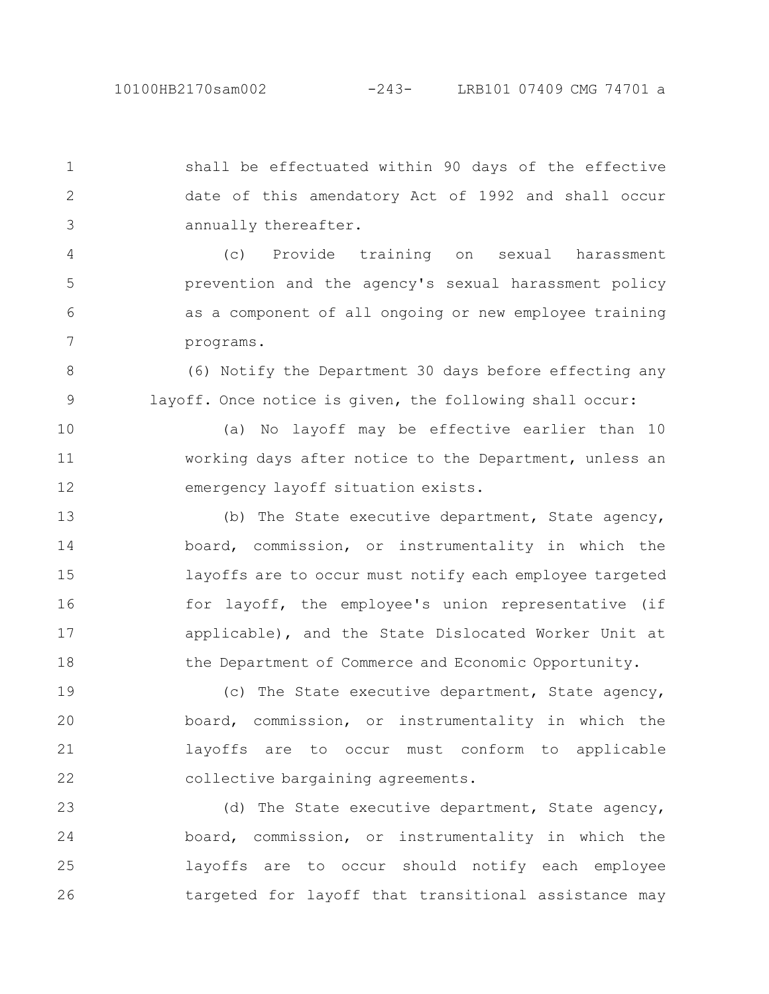shall be effectuated within 90 days of the effective date of this amendatory Act of 1992 and shall occur annually thereafter. 1 2 3

(c) Provide training on sexual harassment prevention and the agency's sexual harassment policy as a component of all ongoing or new employee training programs. 4 5 6 7

(6) Notify the Department 30 days before effecting any layoff. Once notice is given, the following shall occur: 8 9

(a) No layoff may be effective earlier than 10 working days after notice to the Department, unless an emergency layoff situation exists. 10 11 12

(b) The State executive department, State agency, board, commission, or instrumentality in which the layoffs are to occur must notify each employee targeted for layoff, the employee's union representative (if applicable), and the State Dislocated Worker Unit at the Department of Commerce and Economic Opportunity. 13 14 15 16 17 18

(c) The State executive department, State agency, board, commission, or instrumentality in which the layoffs are to occur must conform to applicable collective bargaining agreements. 19 20 21 22

(d) The State executive department, State agency, board, commission, or instrumentality in which the layoffs are to occur should notify each employee targeted for layoff that transitional assistance may 23 24 25 26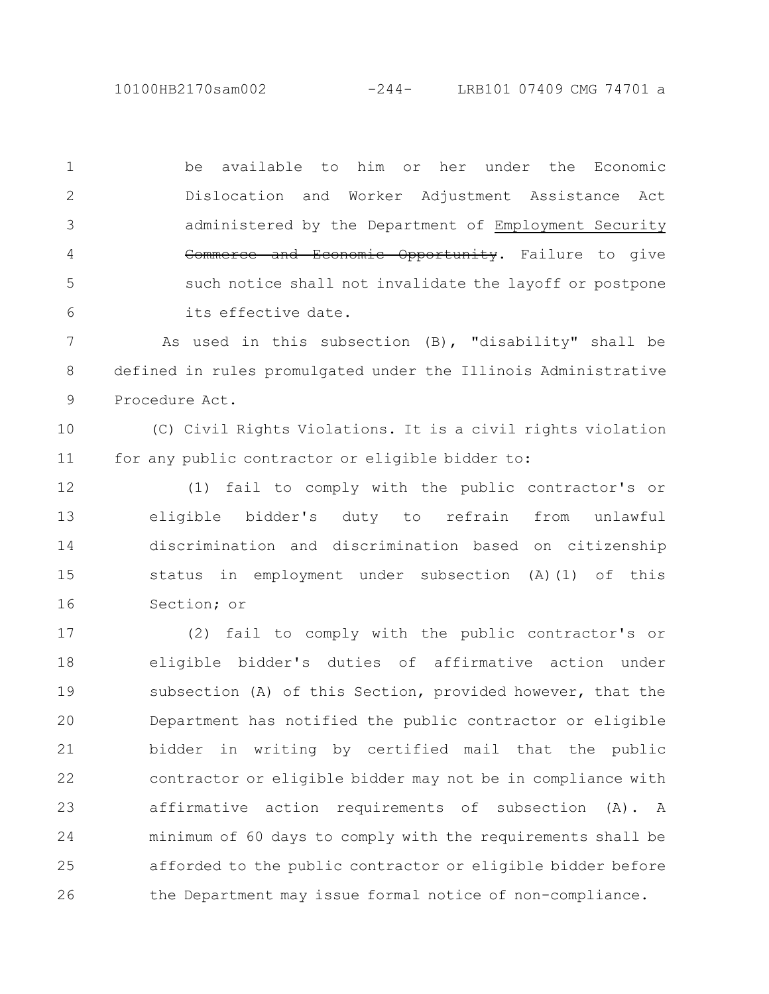10100HB2170sam002 -244- LRB101 07409 CMG 74701 a

2

3

4

5

6

be available to him or her under the Economic Dislocation and Worker Adjustment Assistance Act administered by the Department of Employment Security Commerce and Economic Opportunity. Failure to give such notice shall not invalidate the layoff or postpone its effective date. 1

As used in this subsection (B), "disability" shall be defined in rules promulgated under the Illinois Administrative Procedure Act. 7 8 9

(C) Civil Rights Violations. It is a civil rights violation for any public contractor or eligible bidder to: 10 11

(1) fail to comply with the public contractor's or eligible bidder's duty to refrain from unlawful discrimination and discrimination based on citizenship status in employment under subsection (A)(1) of this Section; or 12 13 14 15 16

(2) fail to comply with the public contractor's or eligible bidder's duties of affirmative action under subsection (A) of this Section, provided however, that the Department has notified the public contractor or eligible bidder in writing by certified mail that the public contractor or eligible bidder may not be in compliance with affirmative action requirements of subsection (A). A minimum of 60 days to comply with the requirements shall be afforded to the public contractor or eligible bidder before the Department may issue formal notice of non-compliance. 17 18 19 20 21 22 23 24 25 26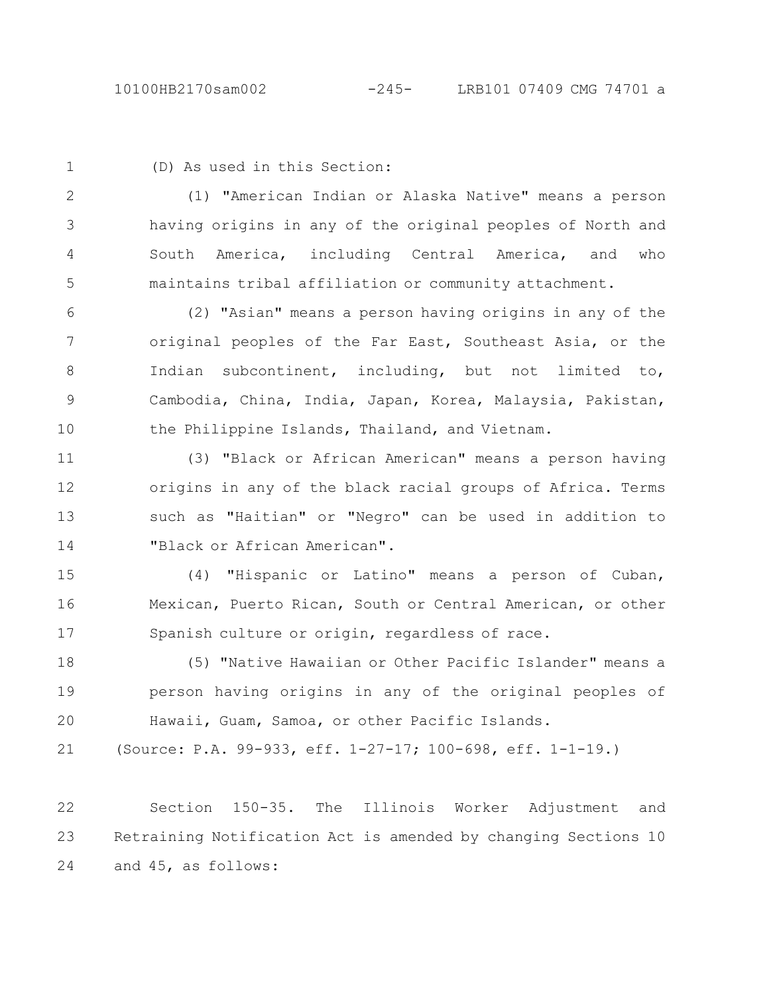1

## (D) As used in this Section:

(1) "American Indian or Alaska Native" means a person having origins in any of the original peoples of North and South America, including Central America, and who maintains tribal affiliation or community attachment. 2 3 4 5

(2) "Asian" means a person having origins in any of the original peoples of the Far East, Southeast Asia, or the Indian subcontinent, including, but not limited to, Cambodia, China, India, Japan, Korea, Malaysia, Pakistan, the Philippine Islands, Thailand, and Vietnam. 6 7 8 9 10

(3) "Black or African American" means a person having origins in any of the black racial groups of Africa. Terms such as "Haitian" or "Negro" can be used in addition to "Black or African American". 11 12 13 14

(4) "Hispanic or Latino" means a person of Cuban, Mexican, Puerto Rican, South or Central American, or other Spanish culture or origin, regardless of race. 15 16 17

(5) "Native Hawaiian or Other Pacific Islander" means a person having origins in any of the original peoples of Hawaii, Guam, Samoa, or other Pacific Islands. 18 19 20

(Source: P.A. 99-933, eff. 1-27-17; 100-698, eff. 1-1-19.) 21

Section 150-35. The Illinois Worker Adjustment and Retraining Notification Act is amended by changing Sections 10 and 45, as follows: 22 23 24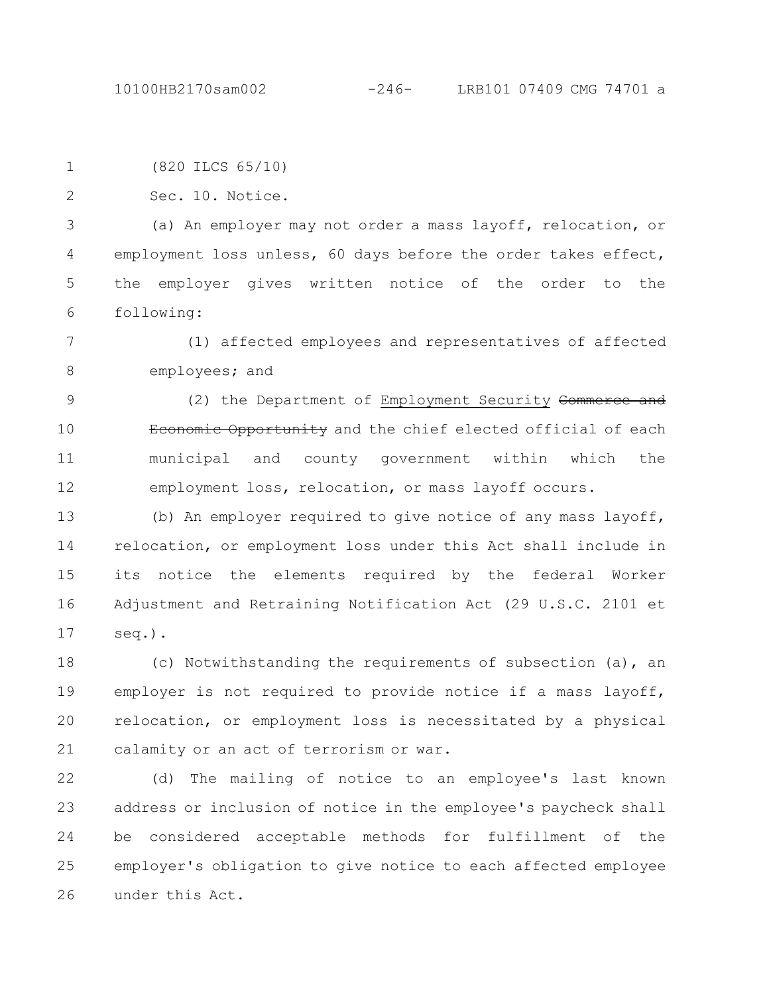10100HB2170sam002 -246- LRB101 07409 CMG 74701 a

|  | (820 ILCS 65/10) |
|--|------------------|
|  |                  |

Sec. 10. Notice. 2

(a) An employer may not order a mass layoff, relocation, or employment loss unless, 60 days before the order takes effect, the employer gives written notice of the order to the following: 3 4 5 6

(1) affected employees and representatives of affected employees; and 7 8

(2) the Department of Employment Security Commerce and Economic Opportunity and the chief elected official of each municipal and county government within which the employment loss, relocation, or mass layoff occurs. 9 10 11 12

(b) An employer required to give notice of any mass layoff, relocation, or employment loss under this Act shall include in its notice the elements required by the federal Worker Adjustment and Retraining Notification Act (29 U.S.C. 2101 et seq.). 13 14 15 16 17

(c) Notwithstanding the requirements of subsection (a), an employer is not required to provide notice if a mass layoff, relocation, or employment loss is necessitated by a physical calamity or an act of terrorism or war. 18 19 20 21

(d) The mailing of notice to an employee's last known address or inclusion of notice in the employee's paycheck shall be considered acceptable methods for fulfillment of the employer's obligation to give notice to each affected employee under this Act. 22 23 24 25 26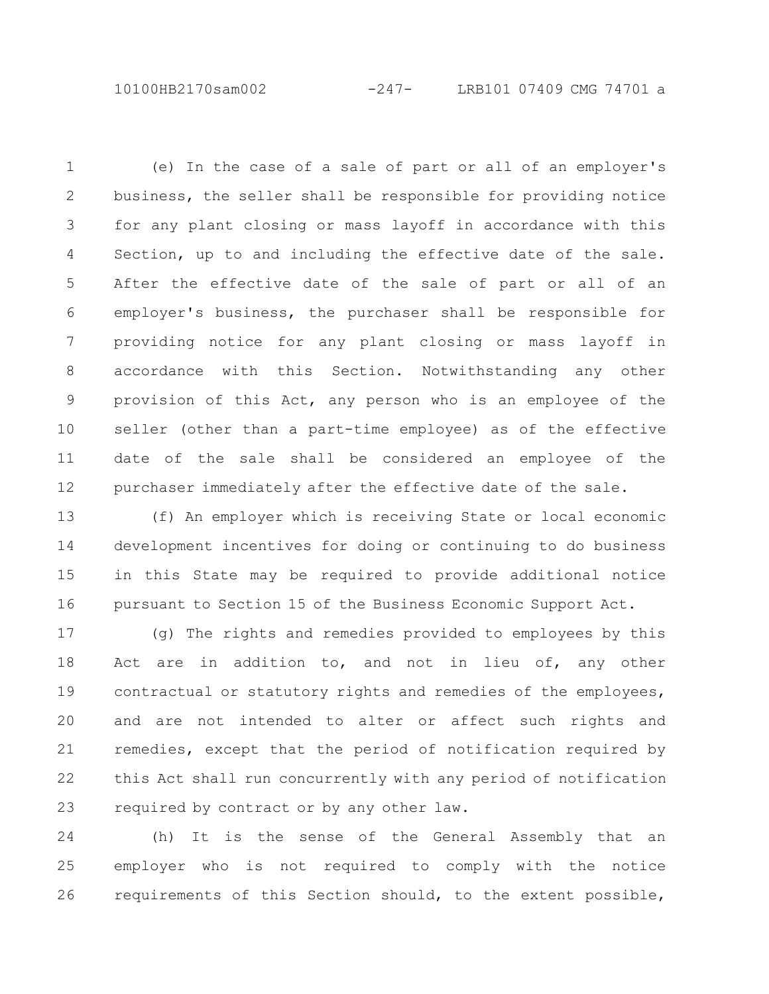10100HB2170sam002 -247- LRB101 07409 CMG 74701 a

(e) In the case of a sale of part or all of an employer's business, the seller shall be responsible for providing notice for any plant closing or mass layoff in accordance with this Section, up to and including the effective date of the sale. After the effective date of the sale of part or all of an employer's business, the purchaser shall be responsible for providing notice for any plant closing or mass layoff in accordance with this Section. Notwithstanding any other provision of this Act, any person who is an employee of the seller (other than a part-time employee) as of the effective date of the sale shall be considered an employee of the purchaser immediately after the effective date of the sale. 1 2 3 4 5 6 7 8 9 10 11 12

(f) An employer which is receiving State or local economic development incentives for doing or continuing to do business in this State may be required to provide additional notice pursuant to Section 15 of the Business Economic Support Act. 13 14 15 16

(g) The rights and remedies provided to employees by this Act are in addition to, and not in lieu of, any other contractual or statutory rights and remedies of the employees, and are not intended to alter or affect such rights and remedies, except that the period of notification required by this Act shall run concurrently with any period of notification required by contract or by any other law. 17 18 19 20 21 22 23

(h) It is the sense of the General Assembly that an employer who is not required to comply with the notice requirements of this Section should, to the extent possible, 24 25 26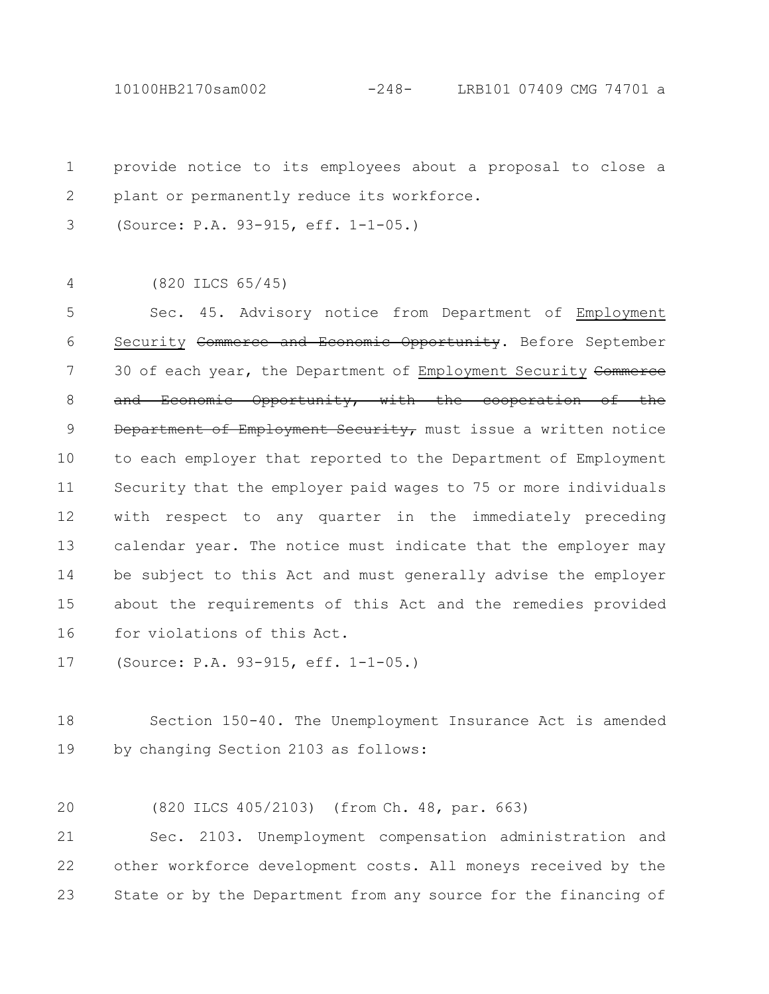10100HB2170sam002 -248- LRB101 07409 CMG 74701 a

provide notice to its employees about a proposal to close a plant or permanently reduce its workforce. 1 2

(Source: P.A. 93-915, eff. 1-1-05.) 3

(820 ILCS 65/45) 4

Sec. 45. Advisory notice from Department of Employment Security Commerce and Economic Opportunity. Before September 30 of each year, the Department of Employment Security Commerce and Economic Opportunity, with the cooperation of the Department of Employment Security, must issue a written notice to each employer that reported to the Department of Employment Security that the employer paid wages to 75 or more individuals with respect to any quarter in the immediately preceding calendar year. The notice must indicate that the employer may be subject to this Act and must generally advise the employer about the requirements of this Act and the remedies provided for violations of this Act. 5 6 7 8 9 10 11 12 13 14 15 16

(Source: P.A. 93-915, eff. 1-1-05.) 17

Section 150-40. The Unemployment Insurance Act is amended by changing Section 2103 as follows: 18 19

(820 ILCS 405/2103) (from Ch. 48, par. 663) 20

Sec. 2103. Unemployment compensation administration and other workforce development costs. All moneys received by the State or by the Department from any source for the financing of 21 22 23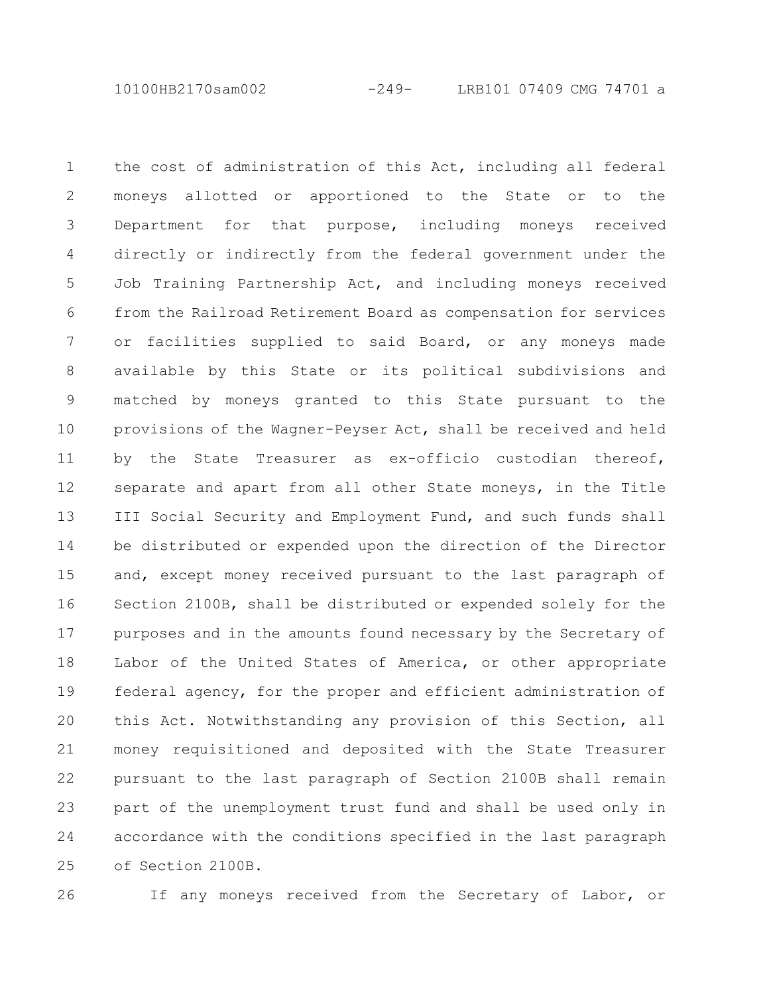10100HB2170sam002 -249- LRB101 07409 CMG 74701 a

the cost of administration of this Act, including all federal moneys allotted or apportioned to the State or to the Department for that purpose, including moneys received directly or indirectly from the federal government under the Job Training Partnership Act, and including moneys received from the Railroad Retirement Board as compensation for services or facilities supplied to said Board, or any moneys made available by this State or its political subdivisions and matched by moneys granted to this State pursuant to the provisions of the Wagner-Peyser Act, shall be received and held by the State Treasurer as ex-officio custodian thereof, separate and apart from all other State moneys, in the Title III Social Security and Employment Fund, and such funds shall be distributed or expended upon the direction of the Director and, except money received pursuant to the last paragraph of Section 2100B, shall be distributed or expended solely for the purposes and in the amounts found necessary by the Secretary of Labor of the United States of America, or other appropriate federal agency, for the proper and efficient administration of this Act. Notwithstanding any provision of this Section, all money requisitioned and deposited with the State Treasurer pursuant to the last paragraph of Section 2100B shall remain part of the unemployment trust fund and shall be used only in accordance with the conditions specified in the last paragraph of Section 2100B. 1 2 3 4 5 6 7 8 9 10 11 12 13 14 15 16 17 18 19 20 21 22 23 24 25

26

If any moneys received from the Secretary of Labor, or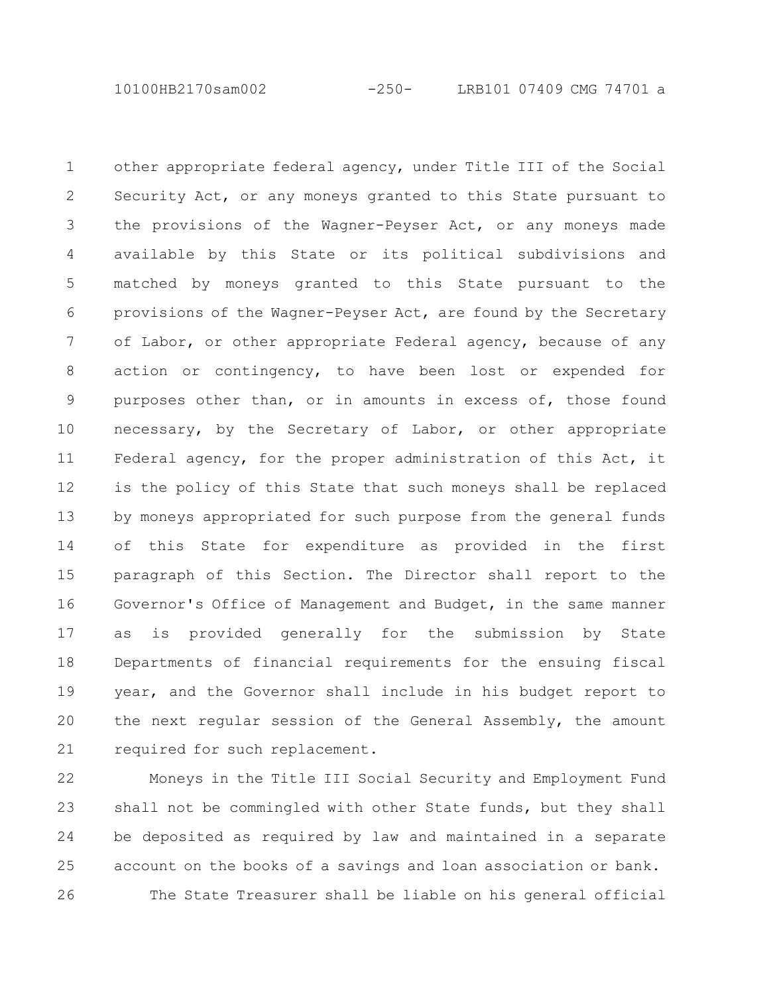10100HB2170sam002 -250- LRB101 07409 CMG 74701 a

other appropriate federal agency, under Title III of the Social Security Act, or any moneys granted to this State pursuant to the provisions of the Wagner-Peyser Act, or any moneys made available by this State or its political subdivisions and matched by moneys granted to this State pursuant to the provisions of the Wagner-Peyser Act, are found by the Secretary of Labor, or other appropriate Federal agency, because of any action or contingency, to have been lost or expended for purposes other than, or in amounts in excess of, those found necessary, by the Secretary of Labor, or other appropriate Federal agency, for the proper administration of this Act, it is the policy of this State that such moneys shall be replaced by moneys appropriated for such purpose from the general funds of this State for expenditure as provided in the first paragraph of this Section. The Director shall report to the Governor's Office of Management and Budget, in the same manner as is provided generally for the submission by State Departments of financial requirements for the ensuing fiscal year, and the Governor shall include in his budget report to the next regular session of the General Assembly, the amount required for such replacement. 1 2 3 4 5 6 7 8 9 10 11 12 13 14 15 16 17 18 19 20 21

Moneys in the Title III Social Security and Employment Fund shall not be commingled with other State funds, but they shall be deposited as required by law and maintained in a separate account on the books of a savings and loan association or bank. The State Treasurer shall be liable on his general official 22 23 24 25 26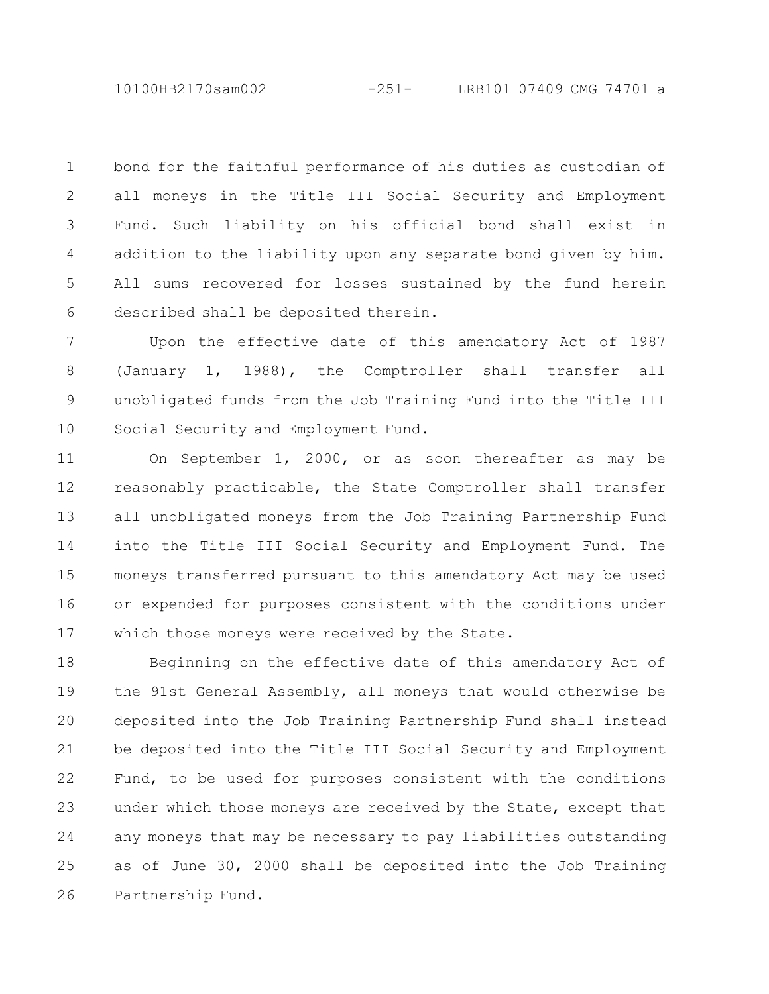10100HB2170sam002 -251- LRB101 07409 CMG 74701 a

bond for the faithful performance of his duties as custodian of all moneys in the Title III Social Security and Employment Fund. Such liability on his official bond shall exist in addition to the liability upon any separate bond given by him. All sums recovered for losses sustained by the fund herein described shall be deposited therein. 1 2 3 4 5 6

Upon the effective date of this amendatory Act of 1987 (January 1, 1988), the Comptroller shall transfer all unobligated funds from the Job Training Fund into the Title III Social Security and Employment Fund. 7 8 9 10

On September 1, 2000, or as soon thereafter as may be reasonably practicable, the State Comptroller shall transfer all unobligated moneys from the Job Training Partnership Fund into the Title III Social Security and Employment Fund. The moneys transferred pursuant to this amendatory Act may be used or expended for purposes consistent with the conditions under which those moneys were received by the State. 11 12 13 14 15 16 17

Beginning on the effective date of this amendatory Act of the 91st General Assembly, all moneys that would otherwise be deposited into the Job Training Partnership Fund shall instead be deposited into the Title III Social Security and Employment Fund, to be used for purposes consistent with the conditions under which those moneys are received by the State, except that any moneys that may be necessary to pay liabilities outstanding as of June 30, 2000 shall be deposited into the Job Training Partnership Fund. 18 19 20 21 22 23 24 25 26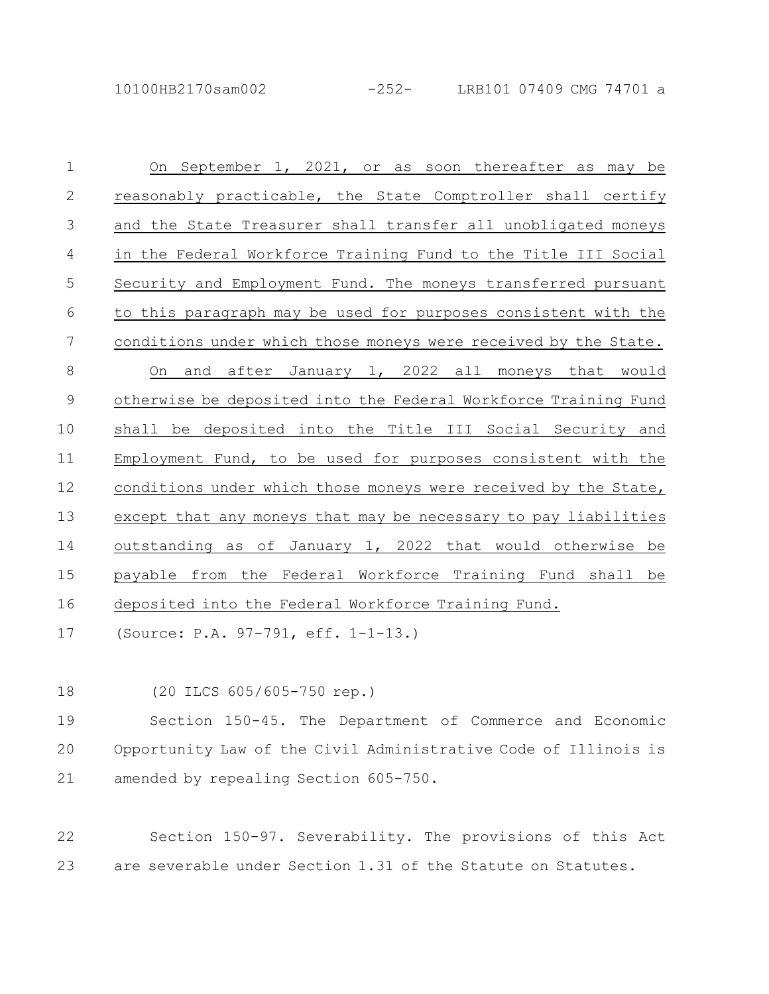On September 1, 2021, or as soon thereafter as may be reasonably practicable, the State Comptroller shall certify and the State Treasurer shall transfer all unobligated moneys in the Federal Workforce Training Fund to the Title III Social Security and Employment Fund. The moneys transferred pursuant to this paragraph may be used for purposes consistent with the conditions under which those moneys were received by the State. On and after January 1, 2022 all moneys that would otherwise be deposited into the Federal Workforce Training Fund shall be deposited into the Title III Social Security and Employment Fund, to be used for purposes consistent with the conditions under which those moneys were received by the State, except that any moneys that may be necessary to pay liabilities outstanding as of January 1, 2022 that would otherwise be payable from the Federal Workforce Training Fund shall be deposited into the Federal Workforce Training Fund. 1 2 3 4 5 6 7 8 9 10 11 12 13 14 15 16

(Source: P.A. 97-791, eff. 1-1-13.) 17

(20 ILCS 605/605-750 rep.) 18

Section 150-45. The Department of Commerce and Economic Opportunity Law of the Civil Administrative Code of Illinois is amended by repealing Section 605-750. 19 20 21

Section 150-97. Severability. The provisions of this Act are severable under Section 1.31 of the Statute on Statutes. 22 23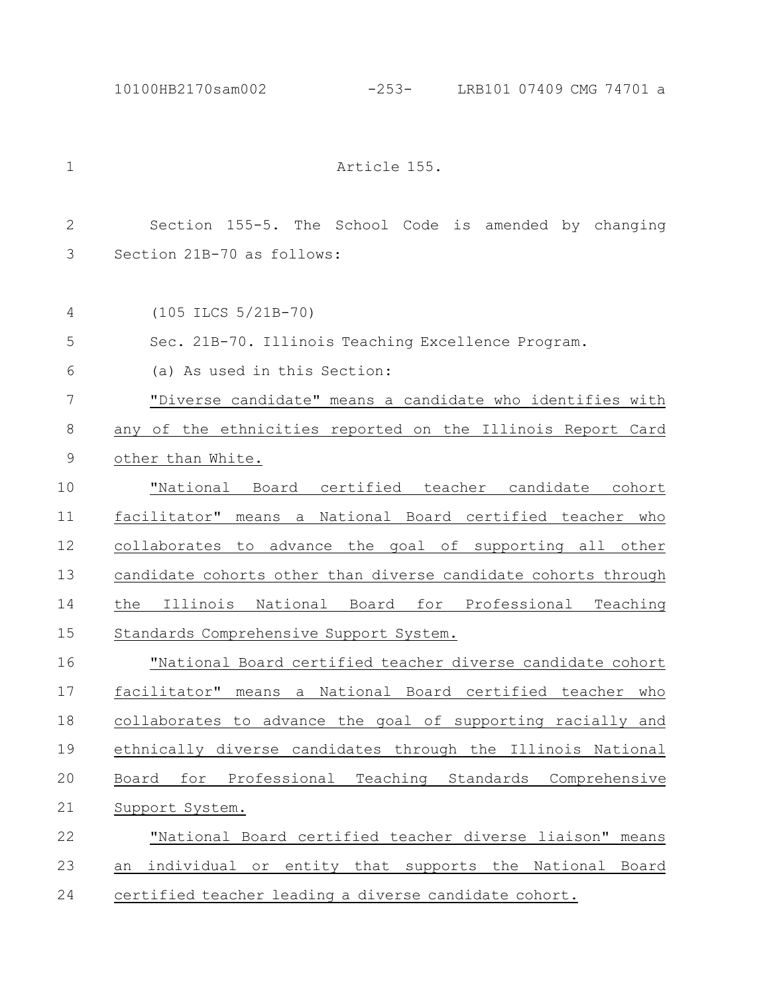## 10100HB2170sam002 -253- LRB101 07409 CMG 74701 a

| $\mathbf 1$ | Article 155.                                                   |
|-------------|----------------------------------------------------------------|
| 2           | Section 155-5. The School Code is amended by changing          |
| 3           | Section 21B-70 as follows:                                     |
| 4           | $(105$ ILCS $5/21B-70)$                                        |
| 5           | Sec. 21B-70. Illinois Teaching Excellence Program.             |
| 6           | (a) As used in this Section:                                   |
| 7           | "Diverse candidate" means a candidate who identifies with      |
| 8           | any of the ethnicities reported on the Illinois Report Card    |
| 9           | other than White.                                              |
| 10          | "National Board certified teacher candidate cohort             |
| 11          | facilitator" means a National Board certified teacher who      |
| 12          | collaborates to advance the goal of supporting all other       |
| 13          | candidate cohorts other than diverse candidate cohorts through |
| 14          | the Illinois National Board for Professional Teaching          |
| 15          | Standards Comprehensive Support System.                        |
| 16          | "National Board certified teacher diverse candidate cohort     |
| 17          | facilitator" means a National Board certified teacher who      |
| 18          | collaborates to advance the goal of supporting racially and    |
| 19          | ethnically diverse candidates through the Illinois National    |
| 20          | for Professional Teaching Standards Comprehensive<br>Board     |
| 21          | Support System.                                                |
| 22          | "National Board certified teacher diverse liaison" means       |
| 23          | individual or entity that supports the National Board<br>an    |
| 24          | certified teacher leading a diverse candidate cohort.          |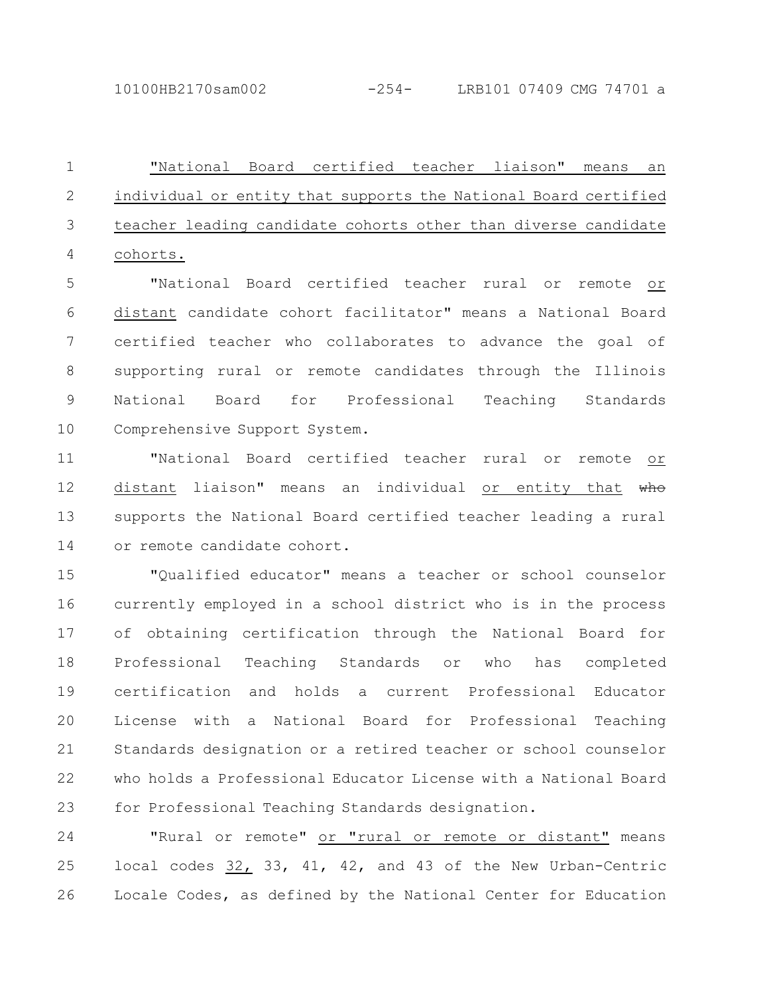"National Board certified teacher liaison" means an individual or entity that supports the National Board certified teacher leading candidate cohorts other than diverse candidate cohorts. 1 2 3 4

"National Board certified teacher rural or remote or distant candidate cohort facilitator" means a National Board certified teacher who collaborates to advance the goal of supporting rural or remote candidates through the Illinois National Board for Professional Teaching Standards Comprehensive Support System. 5 6 7 8 9 10

"National Board certified teacher rural or remote or distant liaison" means an individual or entity that who supports the National Board certified teacher leading a rural or remote candidate cohort. 11 12 13 14

"Qualified educator" means a teacher or school counselor currently employed in a school district who is in the process of obtaining certification through the National Board for Professional Teaching Standards or who has completed certification and holds a current Professional Educator License with a National Board for Professional Teaching Standards designation or a retired teacher or school counselor who holds a Professional Educator License with a National Board for Professional Teaching Standards designation. 15 16 17 18 19 20 21 22 23

"Rural or remote" or "rural or remote or distant" means local codes 32, 33, 41, 42, and 43 of the New Urban-Centric Locale Codes, as defined by the National Center for Education 24 25 26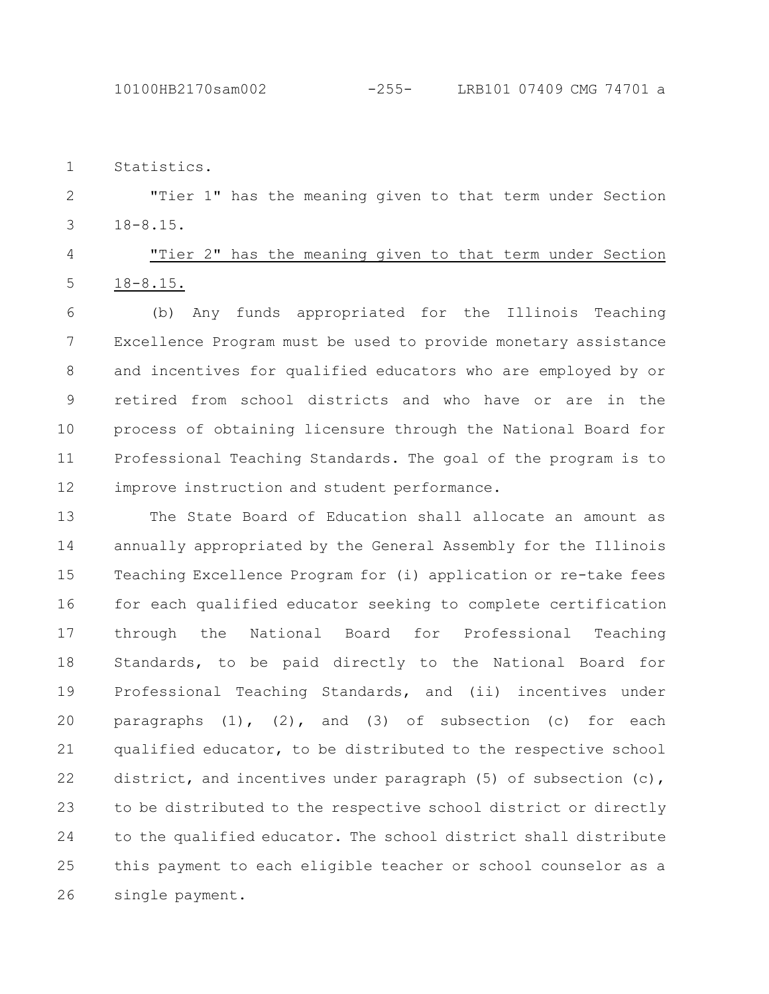Statistics. 1

"Tier 1" has the meaning given to that term under Section 18-8.15. 2 3

"Tier 2" has the meaning given to that term under Section 18-8.15. 4 5

(b) Any funds appropriated for the Illinois Teaching Excellence Program must be used to provide monetary assistance and incentives for qualified educators who are employed by or retired from school districts and who have or are in the process of obtaining licensure through the National Board for Professional Teaching Standards. The goal of the program is to improve instruction and student performance. 6 7 8 9 10 11 12

The State Board of Education shall allocate an amount as annually appropriated by the General Assembly for the Illinois Teaching Excellence Program for (i) application or re-take fees for each qualified educator seeking to complete certification through the National Board for Professional Teaching Standards, to be paid directly to the National Board for Professional Teaching Standards, and (ii) incentives under paragraphs (1), (2), and (3) of subsection (c) for each qualified educator, to be distributed to the respective school district, and incentives under paragraph  $(5)$  of subsection  $(c)$ , to be distributed to the respective school district or directly to the qualified educator. The school district shall distribute this payment to each eligible teacher or school counselor as a single payment. 13 14 15 16 17 18 19 20 21 22 23 24 25 26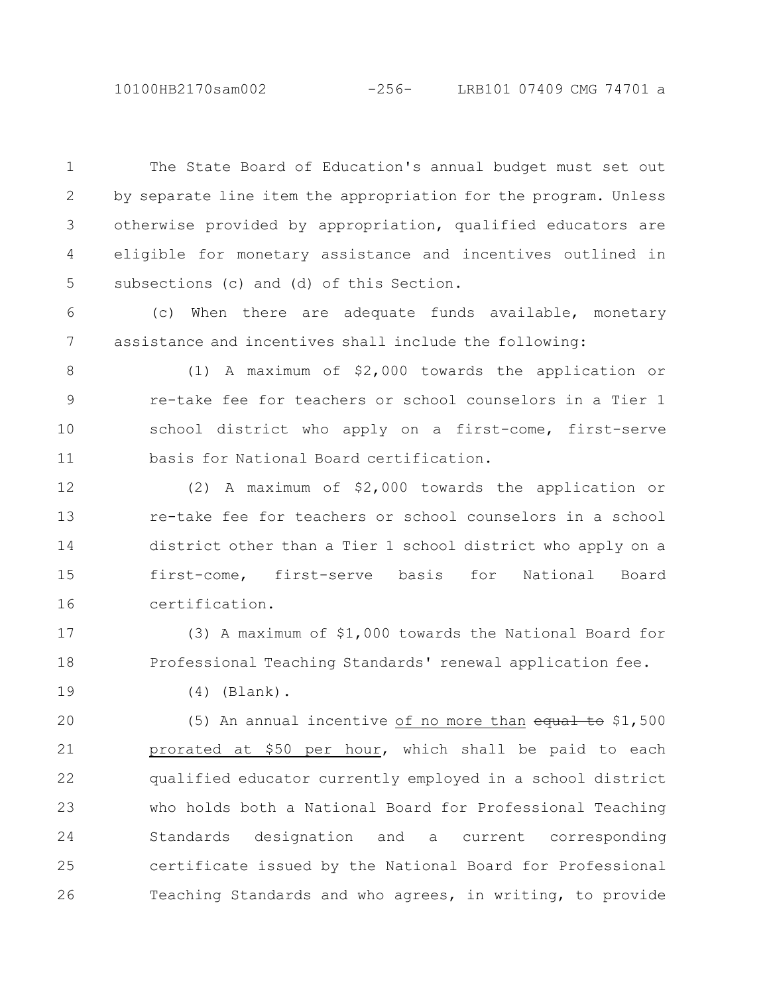10100HB2170sam002 -256- LRB101 07409 CMG 74701 a

The State Board of Education's annual budget must set out by separate line item the appropriation for the program. Unless otherwise provided by appropriation, qualified educators are eligible for monetary assistance and incentives outlined in subsections (c) and (d) of this Section. 1 2 3 4 5

(c) When there are adequate funds available, monetary assistance and incentives shall include the following: 6 7

(1) A maximum of \$2,000 towards the application or re-take fee for teachers or school counselors in a Tier 1 school district who apply on a first-come, first-serve basis for National Board certification. 8 9 10 11

(2) A maximum of \$2,000 towards the application or re-take fee for teachers or school counselors in a school district other than a Tier 1 school district who apply on a first-come, first-serve basis for National Board certification. 12 13 14 15 16

(3) A maximum of \$1,000 towards the National Board for Professional Teaching Standards' renewal application fee. 17 18

19

(4) (Blank).

(5) An annual incentive of no more than equal to \$1,500 prorated at \$50 per hour, which shall be paid to each qualified educator currently employed in a school district who holds both a National Board for Professional Teaching Standards designation and a current corresponding certificate issued by the National Board for Professional Teaching Standards and who agrees, in writing, to provide 20 21 22 23 24 25 26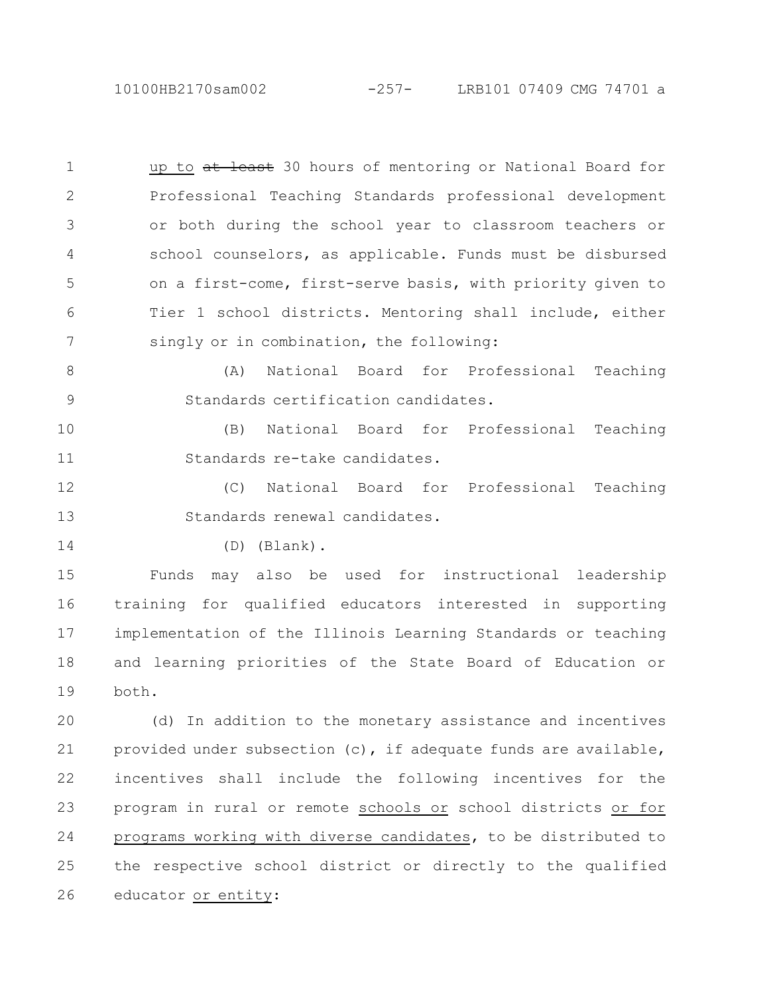10100HB2170sam002 -257- LRB101 07409 CMG 74701 a

up to at least 30 hours of mentoring or National Board for Professional Teaching Standards professional development or both during the school year to classroom teachers or school counselors, as applicable. Funds must be disbursed on a first-come, first-serve basis, with priority given to Tier 1 school districts. Mentoring shall include, either singly or in combination, the following: 1 2 3 4 5 6 7

(A) National Board for Professional Teaching Standards certification candidates. 8 9

(B) National Board for Professional Teaching Standards re-take candidates. 10 11

(C) National Board for Professional Teaching Standards renewal candidates. 12 13

14

(D) (Blank).

Funds may also be used for instructional leadership training for qualified educators interested in supporting implementation of the Illinois Learning Standards or teaching and learning priorities of the State Board of Education or both. 15 16 17 18 19

(d) In addition to the monetary assistance and incentives provided under subsection (c), if adequate funds are available, incentives shall include the following incentives for the program in rural or remote schools or school districts or for programs working with diverse candidates, to be distributed to the respective school district or directly to the qualified educator or entity: 20 21 22 23 24 25 26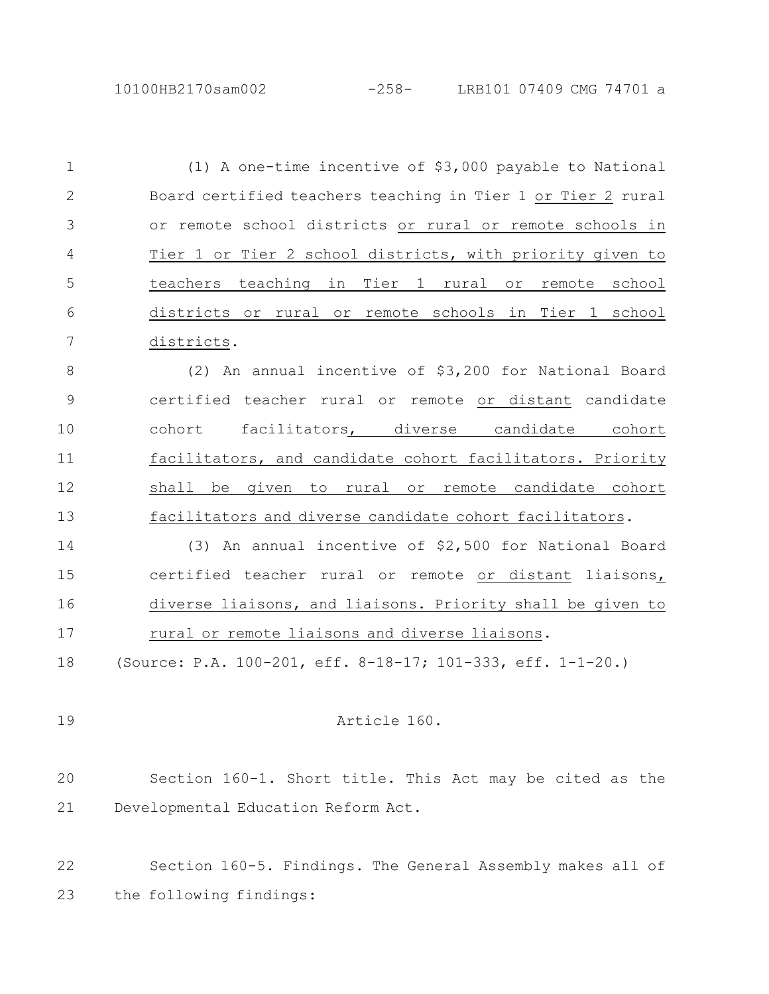(1) A one-time incentive of \$3,000 payable to National Board certified teachers teaching in Tier 1 or Tier 2 rural or remote school districts or rural or remote schools in Tier 1 or Tier 2 school districts, with priority given to teachers teaching in Tier 1 rural or remote school districts or rural or remote schools in Tier 1 school districts. (2) An annual incentive of \$3,200 for National Board certified teacher rural or remote or distant candidate cohort facilitators, diverse candidate cohort facilitators, and candidate cohort facilitators. Priority shall be given to rural or remote candidate cohort facilitators and diverse candidate cohort facilitators. (3) An annual incentive of \$2,500 for National Board certified teacher rural or remote or distant liaisons, diverse liaisons, and liaisons. Priority shall be given to rural or remote liaisons and diverse liaisons. (Source: P.A. 100-201, eff. 8-18-17; 101-333, eff. 1-1-20.) Article 160. Section 160-1. Short title. This Act may be cited as the Developmental Education Reform Act. Section 160-5. Findings. The General Assembly makes all of the following findings: 1 2 3 4 5 6 7 8 9 10 11 12 13 14 15 16 17 18 19 20 21 22 23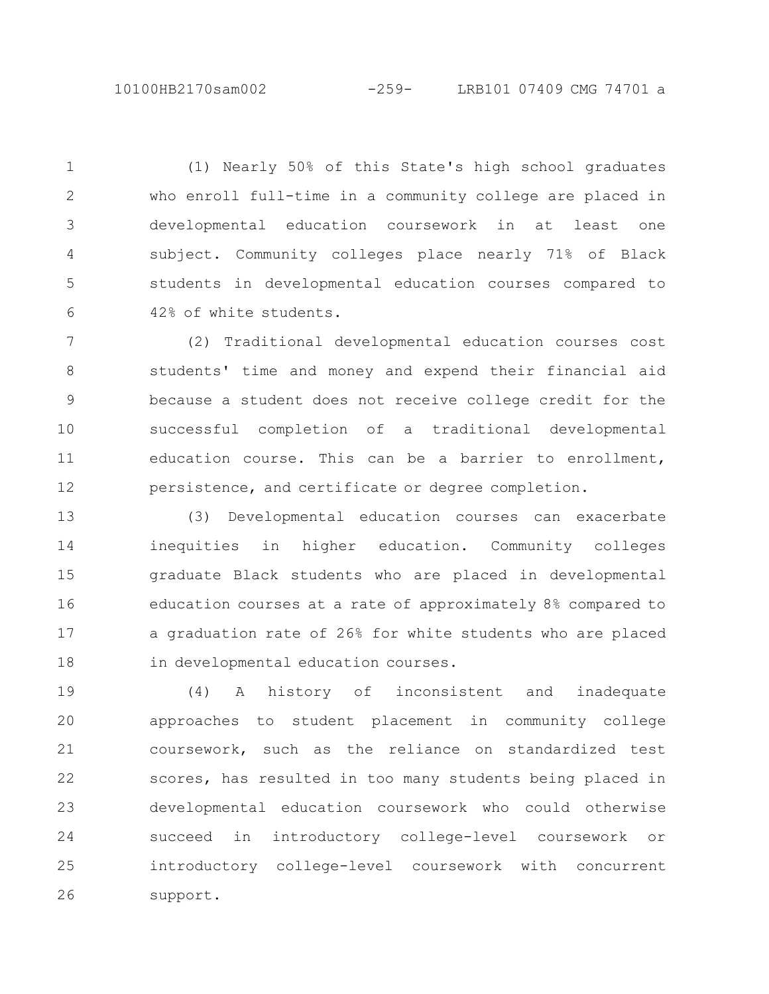(1) Nearly 50% of this State's high school graduates who enroll full-time in a community college are placed in developmental education coursework in at least one subject. Community colleges place nearly 71% of Black students in developmental education courses compared to 42% of white students. 1 2 3 4 5 6

(2) Traditional developmental education courses cost students' time and money and expend their financial aid because a student does not receive college credit for the successful completion of a traditional developmental education course. This can be a barrier to enrollment, persistence, and certificate or degree completion. 7 8 9 10 11 12

(3) Developmental education courses can exacerbate inequities in higher education. Community colleges graduate Black students who are placed in developmental education courses at a rate of approximately 8% compared to a graduation rate of 26% for white students who are placed in developmental education courses. 13 14 15 16 17 18

(4) A history of inconsistent and inadequate approaches to student placement in community college coursework, such as the reliance on standardized test scores, has resulted in too many students being placed in developmental education coursework who could otherwise succeed in introductory college-level coursework or introductory college-level coursework with concurrent support. 19 20 21 22 23 24 25 26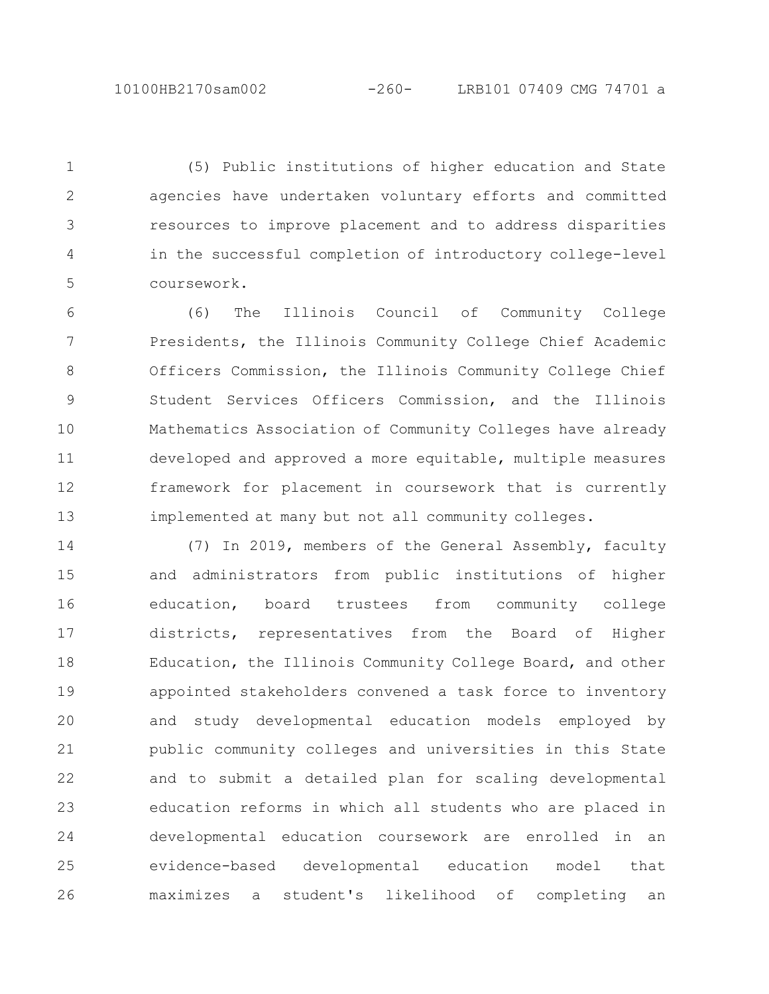(5) Public institutions of higher education and State agencies have undertaken voluntary efforts and committed resources to improve placement and to address disparities in the successful completion of introductory college-level coursework. 1 2 3 4 5

(6) The Illinois Council of Community College Presidents, the Illinois Community College Chief Academic Officers Commission, the Illinois Community College Chief Student Services Officers Commission, and the Illinois Mathematics Association of Community Colleges have already developed and approved a more equitable, multiple measures framework for placement in coursework that is currently implemented at many but not all community colleges. 6 7 8 9 10 11 12 13

(7) In 2019, members of the General Assembly, faculty and administrators from public institutions of higher education, board trustees from community college districts, representatives from the Board of Higher Education, the Illinois Community College Board, and other appointed stakeholders convened a task force to inventory and study developmental education models employed by public community colleges and universities in this State and to submit a detailed plan for scaling developmental education reforms in which all students who are placed in developmental education coursework are enrolled in an evidence-based developmental education model that maximizes a student's likelihood of completing an 14 15 16 17 18 19 20 21 22 23 24 25 26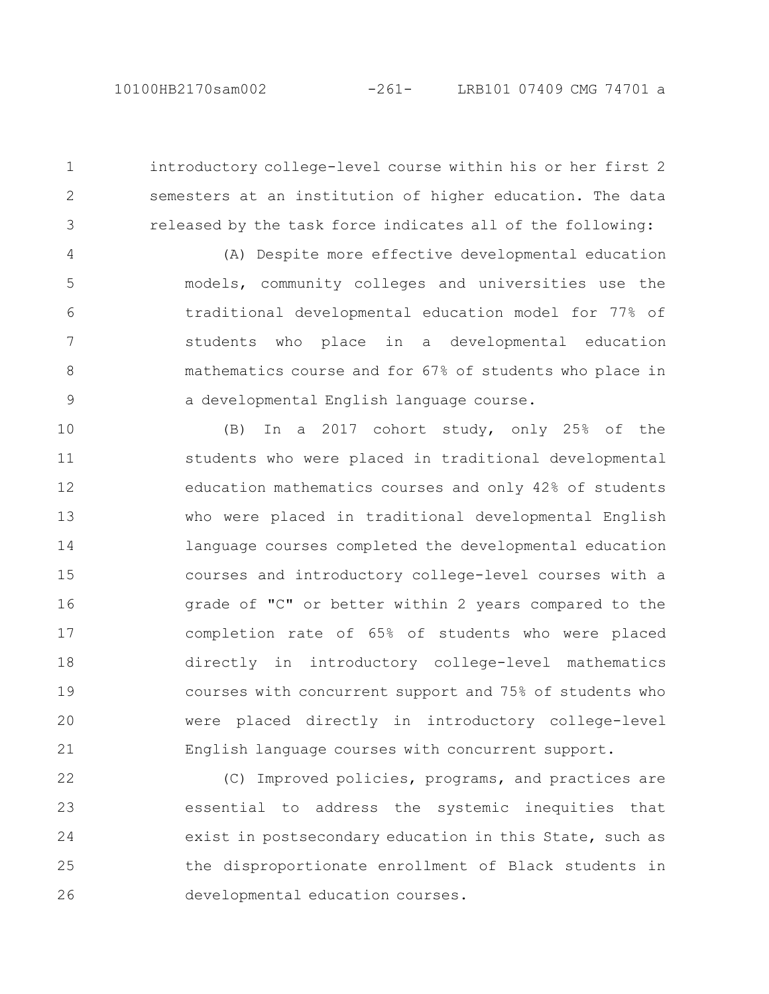1

2

3

introductory college-level course within his or her first 2 semesters at an institution of higher education. The data released by the task force indicates all of the following:

(A) Despite more effective developmental education models, community colleges and universities use the traditional developmental education model for 77% of students who place in a developmental education mathematics course and for 67% of students who place in a developmental English language course. 4 5 6 7 8 9

(B) In a 2017 cohort study, only 25% of the students who were placed in traditional developmental education mathematics courses and only 42% of students who were placed in traditional developmental English language courses completed the developmental education courses and introductory college-level courses with a grade of "C" or better within 2 years compared to the completion rate of 65% of students who were placed directly in introductory college-level mathematics courses with concurrent support and 75% of students who were placed directly in introductory college-level English language courses with concurrent support. 10 11 12 13 14 15 16 17 18 19 20 21

(C) Improved policies, programs, and practices are essential to address the systemic inequities that exist in postsecondary education in this State, such as the disproportionate enrollment of Black students in developmental education courses. 22 23 24 25 26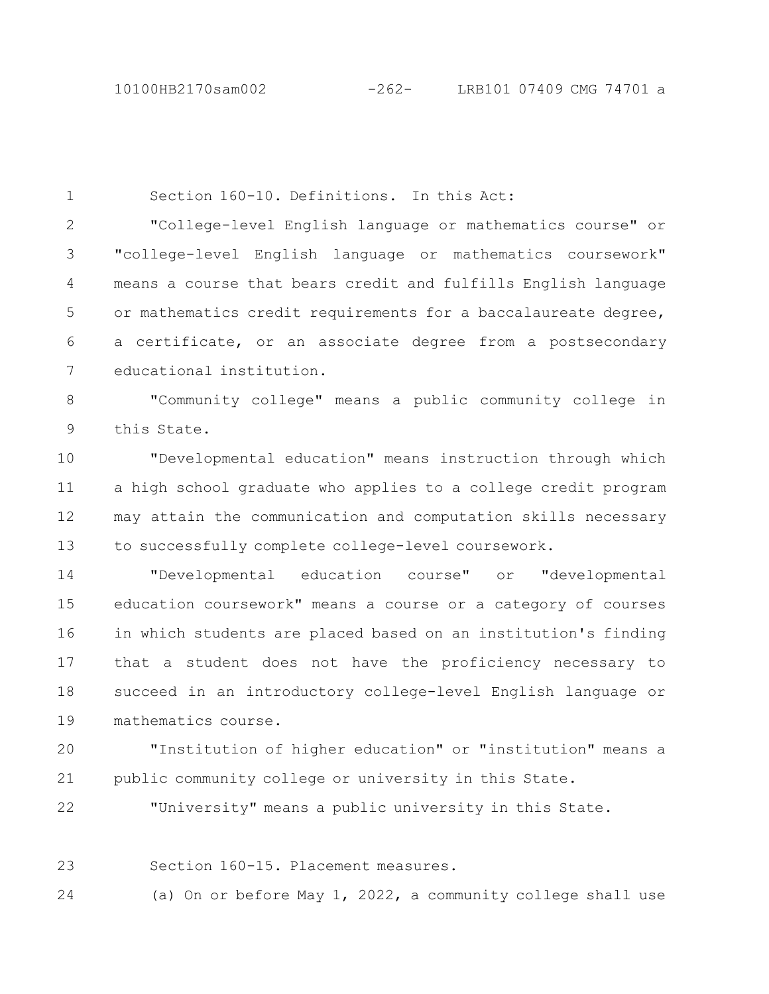Section 160-10. Definitions. In this Act: "College-level English language or mathematics course" or "college-level English language or mathematics coursework" means a course that bears credit and fulfills English language or mathematics credit requirements for a baccalaureate degree, a certificate, or an associate degree from a postsecondary educational institution. "Community college" means a public community college in this State. "Developmental education" means instruction through which a high school graduate who applies to a college credit program may attain the communication and computation skills necessary to successfully complete college-level coursework. "Developmental education course" or "developmental education coursework" means a course or a category of courses in which students are placed based on an institution's finding that a student does not have the proficiency necessary to succeed in an introductory college-level English language or mathematics course. "Institution of higher education" or "institution" means a 1 2 3 4 5 6 7 8 9 10 11 12 13 14 15 16 17 18 19 20

public community college or university in this State. 21

"University" means a public university in this State. 22

Section 160-15. Placement measures. 23

(a) On or before May 1, 2022, a community college shall use 24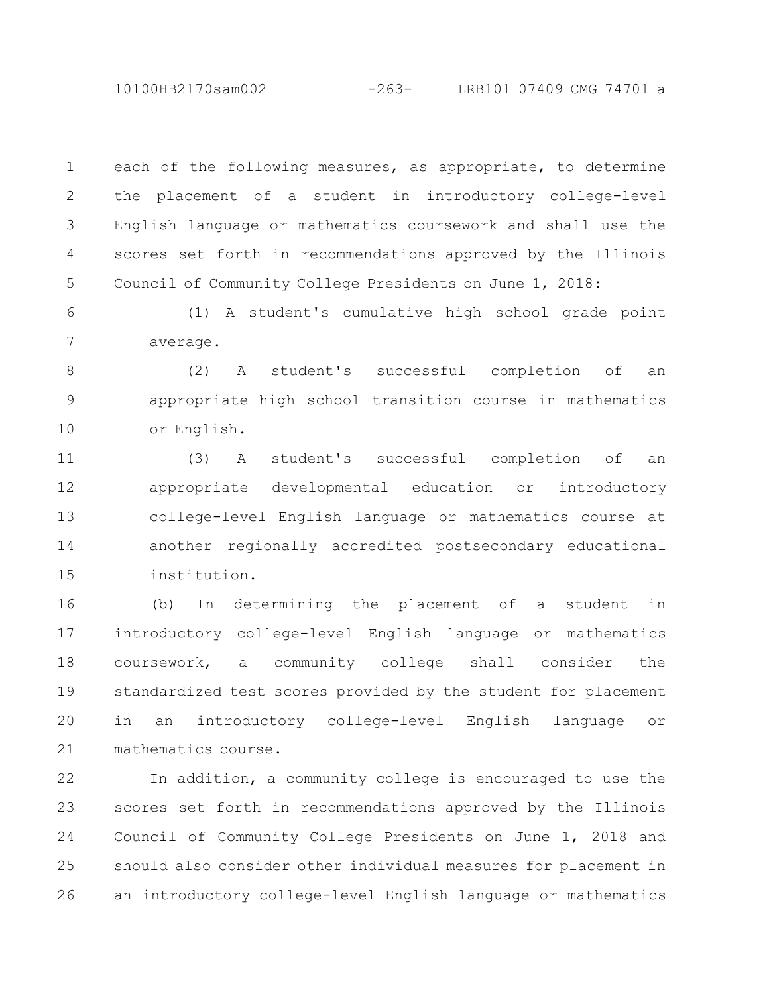10100HB2170sam002 -263- LRB101 07409 CMG 74701 a

each of the following measures, as appropriate, to determine the placement of a student in introductory college-level English language or mathematics coursework and shall use the scores set forth in recommendations approved by the Illinois Council of Community College Presidents on June 1, 2018: 1 2 3 4 5

(1) A student's cumulative high school grade point average. 6 7

(2) A student's successful completion of an appropriate high school transition course in mathematics or English. 8 9 10

(3) A student's successful completion of an appropriate developmental education or introductory college-level English language or mathematics course at another regionally accredited postsecondary educational institution. 11 12 13 14 15

(b) In determining the placement of a student in introductory college-level English language or mathematics coursework, a community college shall consider the standardized test scores provided by the student for placement in an introductory college-level English language or mathematics course. 16 17 18 19 20 21

In addition, a community college is encouraged to use the scores set forth in recommendations approved by the Illinois Council of Community College Presidents on June 1, 2018 and should also consider other individual measures for placement in an introductory college-level English language or mathematics 22 23 24 25 26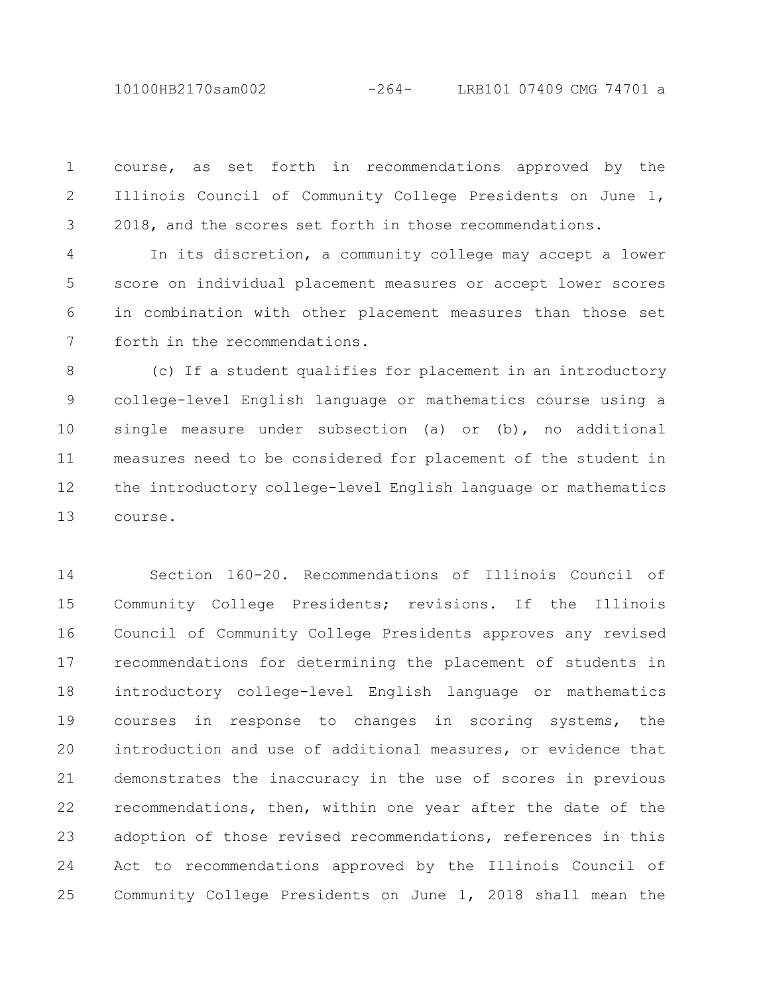10100HB2170sam002 -264- LRB101 07409 CMG 74701 a

course, as set forth in recommendations approved by the Illinois Council of Community College Presidents on June 1, 2018, and the scores set forth in those recommendations. 1 2 3

In its discretion, a community college may accept a lower score on individual placement measures or accept lower scores in combination with other placement measures than those set forth in the recommendations. 4 5 6 7

(c) If a student qualifies for placement in an introductory college-level English language or mathematics course using a single measure under subsection (a) or (b), no additional measures need to be considered for placement of the student in the introductory college-level English language or mathematics course. 8 9 10 11 12 13

Section 160-20. Recommendations of Illinois Council of Community College Presidents; revisions. If the Illinois Council of Community College Presidents approves any revised recommendations for determining the placement of students in introductory college-level English language or mathematics courses in response to changes in scoring systems, the introduction and use of additional measures, or evidence that demonstrates the inaccuracy in the use of scores in previous recommendations, then, within one year after the date of the adoption of those revised recommendations, references in this Act to recommendations approved by the Illinois Council of Community College Presidents on June 1, 2018 shall mean the 14 15 16 17 18 19 20 21 22 23 24 25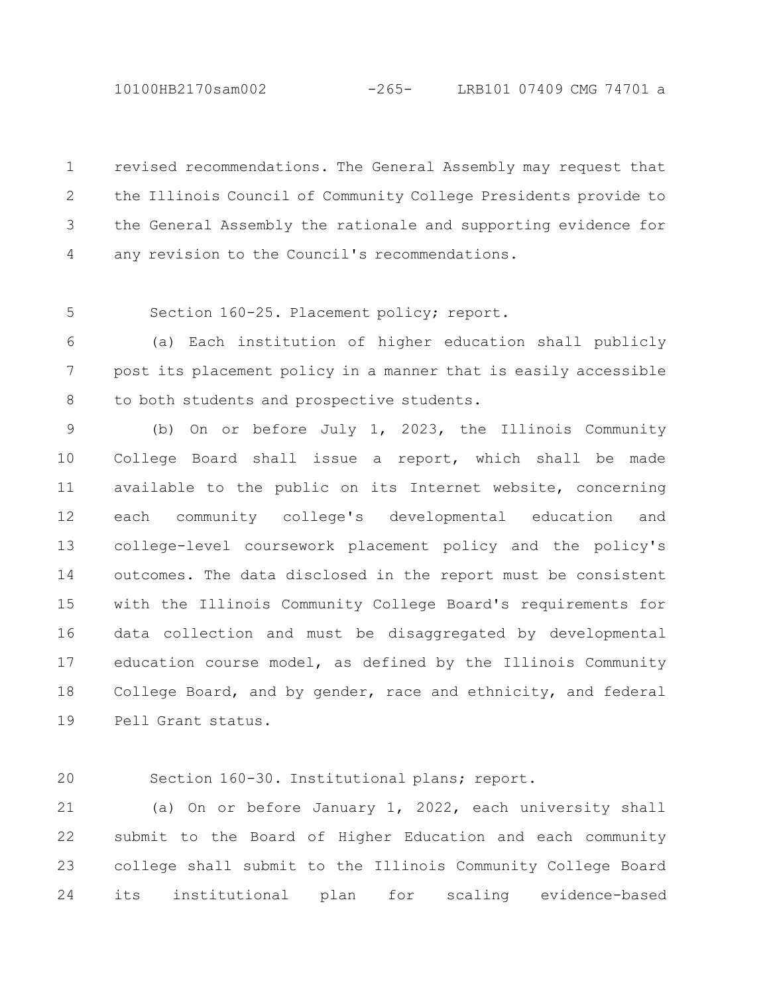10100HB2170sam002 -265- LRB101 07409 CMG 74701 a

revised recommendations. The General Assembly may request that the Illinois Council of Community College Presidents provide to the General Assembly the rationale and supporting evidence for any revision to the Council's recommendations. 1 2 3 4

5

Section 160-25. Placement policy; report.

(a) Each institution of higher education shall publicly post its placement policy in a manner that is easily accessible to both students and prospective students. 6 7 8

(b) On or before July 1, 2023, the Illinois Community College Board shall issue a report, which shall be made available to the public on its Internet website, concerning each community college's developmental education and college-level coursework placement policy and the policy's outcomes. The data disclosed in the report must be consistent with the Illinois Community College Board's requirements for data collection and must be disaggregated by developmental education course model, as defined by the Illinois Community College Board, and by gender, race and ethnicity, and federal Pell Grant status. 9 10 11 12 13 14 15 16 17 18 19

20

Section 160-30. Institutional plans; report.

(a) On or before January 1, 2022, each university shall submit to the Board of Higher Education and each community college shall submit to the Illinois Community College Board its institutional plan for scaling evidence-based 21 22 23 24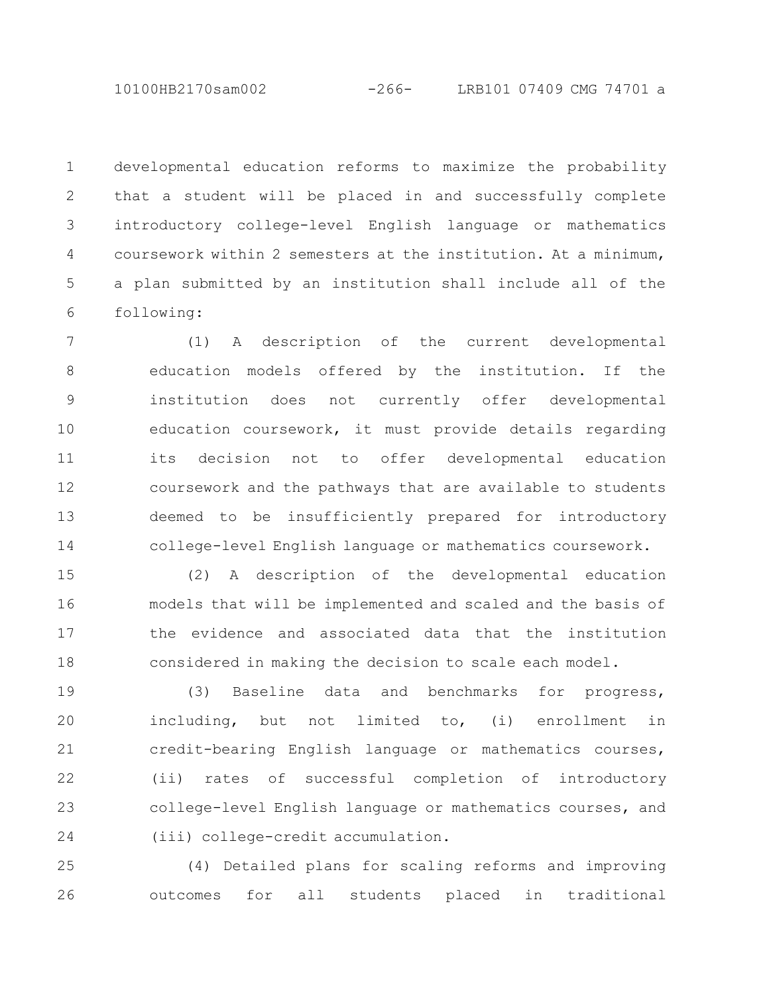10100HB2170sam002 -266- LRB101 07409 CMG 74701 a

developmental education reforms to maximize the probability that a student will be placed in and successfully complete introductory college-level English language or mathematics coursework within 2 semesters at the institution. At a minimum, a plan submitted by an institution shall include all of the following: 1 2 3 4 5 6

(1) A description of the current developmental education models offered by the institution. If the institution does not currently offer developmental education coursework, it must provide details regarding its decision not to offer developmental education coursework and the pathways that are available to students deemed to be insufficiently prepared for introductory college-level English language or mathematics coursework. 7 8 9 10 11 12 13 14

(2) A description of the developmental education models that will be implemented and scaled and the basis of the evidence and associated data that the institution considered in making the decision to scale each model. 15 16 17 18

(3) Baseline data and benchmarks for progress, including, but not limited to, (i) enrollment in credit-bearing English language or mathematics courses, (ii) rates of successful completion of introductory college-level English language or mathematics courses, and (iii) college-credit accumulation. 19 20 21 22 23 24

(4) Detailed plans for scaling reforms and improving outcomes for all students placed in traditional 25 26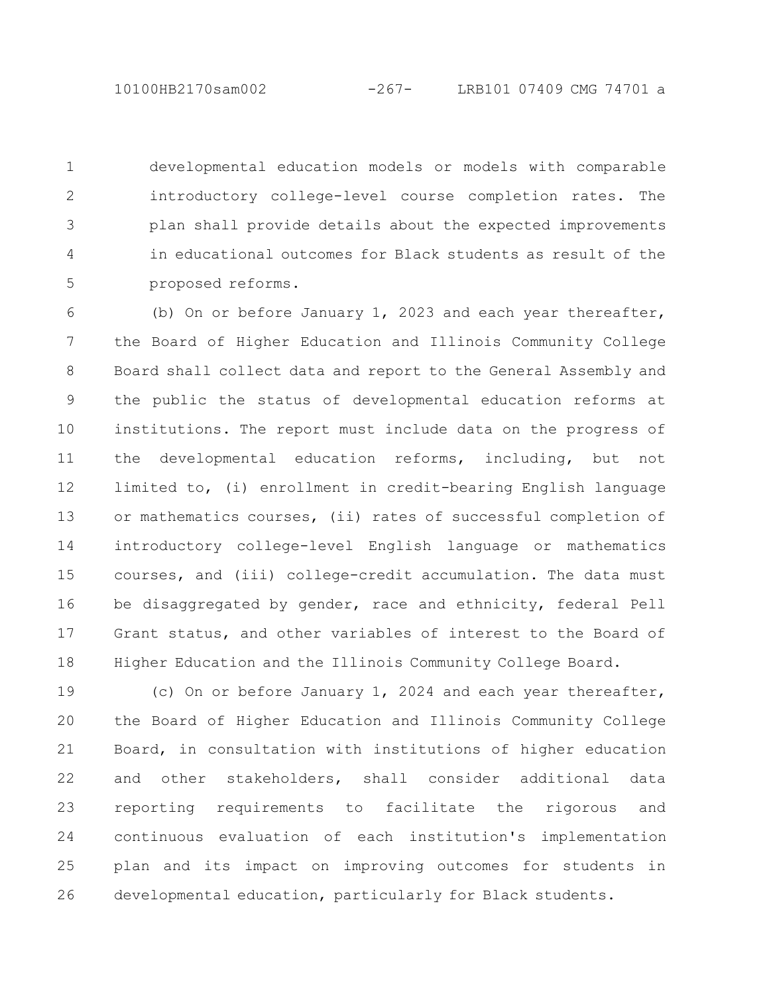developmental education models or models with comparable introductory college-level course completion rates. The plan shall provide details about the expected improvements in educational outcomes for Black students as result of the proposed reforms. 1 2 3 4 5

(b) On or before January 1, 2023 and each year thereafter, the Board of Higher Education and Illinois Community College Board shall collect data and report to the General Assembly and the public the status of developmental education reforms at institutions. The report must include data on the progress of the developmental education reforms, including, but not limited to, (i) enrollment in credit-bearing English language or mathematics courses, (ii) rates of successful completion of introductory college-level English language or mathematics courses, and (iii) college-credit accumulation. The data must be disaggregated by gender, race and ethnicity, federal Pell Grant status, and other variables of interest to the Board of Higher Education and the Illinois Community College Board. 6 7 8 9 10 11 12 13 14 15 16 17 18

(c) On or before January 1, 2024 and each year thereafter, the Board of Higher Education and Illinois Community College Board, in consultation with institutions of higher education and other stakeholders, shall consider additional data reporting requirements to facilitate the rigorous and continuous evaluation of each institution's implementation plan and its impact on improving outcomes for students in developmental education, particularly for Black students. 19 20 21 22 23 24 25 26